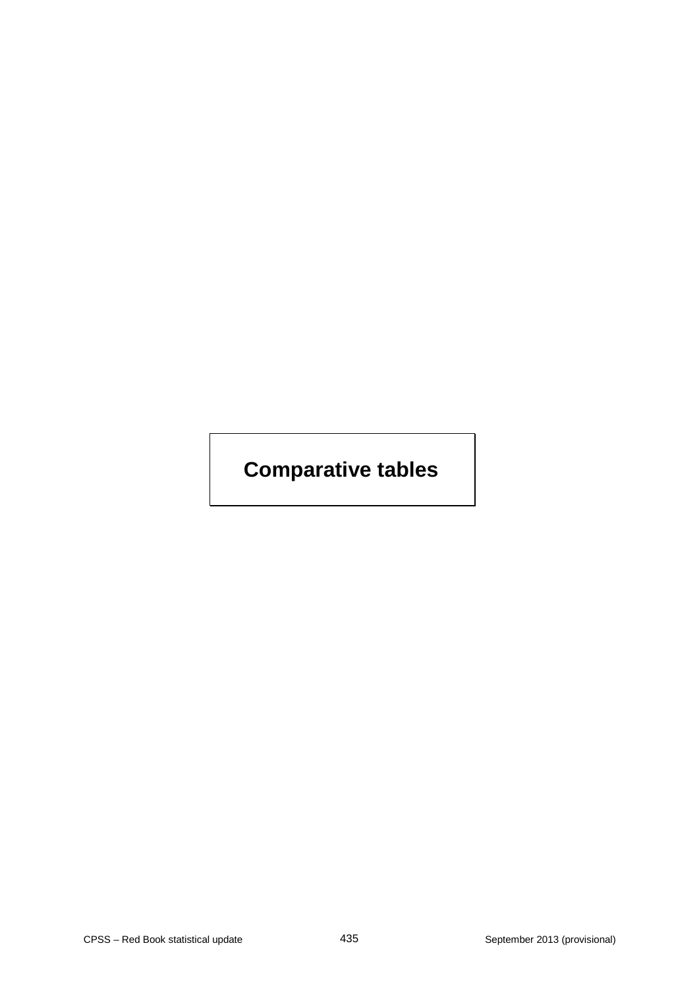# **Comparative tables**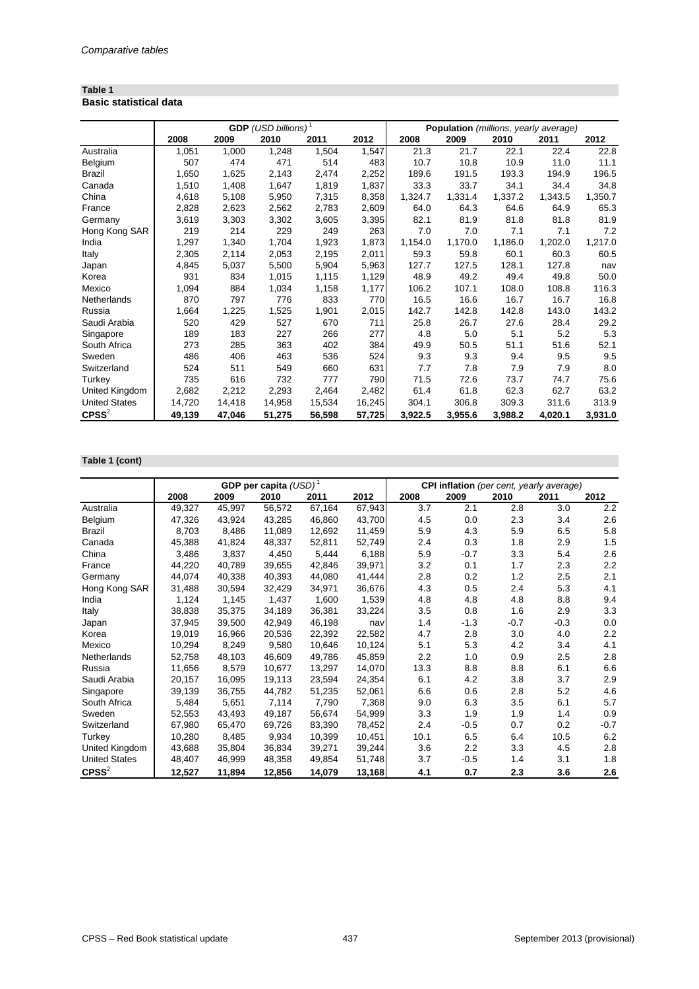## **Table 1 Basic statistical data**

|                      |        |        | <b>GDP</b> (USD billions) <sup>1</sup> |        |        | Population (millions, yearly average) |         |         |         |         |  |
|----------------------|--------|--------|----------------------------------------|--------|--------|---------------------------------------|---------|---------|---------|---------|--|
|                      | 2008   | 2009   | 2010                                   | 2011   | 2012   | 2008                                  | 2009    | 2010    | 2011    | 2012    |  |
| Australia            | 1,051  | 1,000  | 1,248                                  | 1,504  | 1,547  | 21.3                                  | 21.7    | 22.1    | 22.4    | 22.8    |  |
| Belgium              | 507    | 474    | 471                                    | 514    | 483    | 10.7                                  | 10.8    | 10.9    | 11.0    | 11.1    |  |
| <b>Brazil</b>        | 1,650  | 1,625  | 2,143                                  | 2,474  | 2,252  | 189.6                                 | 191.5   | 193.3   | 194.9   | 196.5   |  |
| Canada               | 1,510  | 1,408  | 1,647                                  | 1,819  | 1,837  | 33.3                                  | 33.7    | 34.1    | 34.4    | 34.8    |  |
| China                | 4,618  | 5,108  | 5,950                                  | 7,315  | 8,358  | 1,324.7                               | 1,331.4 | 1,337.2 | 1,343.5 | 1,350.7 |  |
| France               | 2,828  | 2,623  | 2,562                                  | 2,783  | 2,609  | 64.0                                  | 64.3    | 64.6    | 64.9    | 65.3    |  |
| Germany              | 3,619  | 3,303  | 3,302                                  | 3,605  | 3,395  | 82.1                                  | 81.9    | 81.8    | 81.8    | 81.9    |  |
| Hong Kong SAR        | 219    | 214    | 229                                    | 249    | 263    | 7.0                                   | 7.0     | 7.1     | 7.1     | 7.2     |  |
| India                | 1,297  | 1,340  | 1,704                                  | 1,923  | 1,873  | 1,154.0                               | 1,170.0 | 1,186.0 | 1,202.0 | 1,217.0 |  |
| Italy                | 2,305  | 2,114  | 2,053                                  | 2,195  | 2,011  | 59.3                                  | 59.8    | 60.1    | 60.3    | 60.5    |  |
| Japan                | 4,845  | 5,037  | 5,500                                  | 5,904  | 5,963  | 127.7                                 | 127.5   | 128.1   | 127.8   | nav     |  |
| Korea                | 931    | 834    | 1,015                                  | 1,115  | 1,129  | 48.9                                  | 49.2    | 49.4    | 49.8    | 50.0    |  |
| Mexico               | 1,094  | 884    | 1,034                                  | 1,158  | 1,177  | 106.2                                 | 107.1   | 108.0   | 108.8   | 116.3   |  |
| <b>Netherlands</b>   | 870    | 797    | 776                                    | 833    | 770    | 16.5                                  | 16.6    | 16.7    | 16.7    | 16.8    |  |
| Russia               | 1,664  | 1,225  | 1,525                                  | 1,901  | 2,015  | 142.7                                 | 142.8   | 142.8   | 143.0   | 143.2   |  |
| Saudi Arabia         | 520    | 429    | 527                                    | 670    | 711    | 25.8                                  | 26.7    | 27.6    | 28.4    | 29.2    |  |
| Singapore            | 189    | 183    | 227                                    | 266    | 277    | 4.8                                   | 5.0     | 5.1     | 5.2     | 5.3     |  |
| South Africa         | 273    | 285    | 363                                    | 402    | 384    | 49.9                                  | 50.5    | 51.1    | 51.6    | 52.1    |  |
| Sweden               | 486    | 406    | 463                                    | 536    | 524    | 9.3                                   | 9.3     | 9.4     | 9.5     | 9.5     |  |
| Switzerland          | 524    | 511    | 549                                    | 660    | 631    | 7.7                                   | 7.8     | 7.9     | 7.9     | 8.0     |  |
| Turkey               | 735    | 616    | 732                                    | 777    | 790    | 71.5                                  | 72.6    | 73.7    | 74.7    | 75.6    |  |
| United Kingdom       | 2,682  | 2,212  | 2,293                                  | 2,464  | 2,482  | 61.4                                  | 61.8    | 62.3    | 62.7    | 63.2    |  |
| <b>United States</b> | 14,720 | 14,418 | 14,958                                 | 15,534 | 16,245 | 304.1                                 | 306.8   | 309.3   | 311.6   | 313.9   |  |
| $C$ PSS $2$          | 49,139 | 47,046 | 51,275                                 | 56,598 | 57,725 | 3,922.5                               | 3,955.6 | 3,988.2 | 4,020.1 | 3,931.0 |  |

# **Table 1 (cont)**

|                      |        | GDP per capita $(USD)^1$ |        |        |        |      | CPI inflation (per cent, yearly average) |        |        |        |  |
|----------------------|--------|--------------------------|--------|--------|--------|------|------------------------------------------|--------|--------|--------|--|
|                      | 2008   | 2009                     | 2010   | 2011   | 2012   | 2008 | 2009                                     | 2010   | 2011   | 2012   |  |
| Australia            | 49,327 | 45,997                   | 56,572 | 67,164 | 67,943 | 3.7  | 2.1                                      | 2.8    | 3.0    | 2.2    |  |
| Belgium              | 47,326 | 43,924                   | 43,285 | 46,860 | 43,700 | 4.5  | 0.0                                      | 2.3    | 3.4    | 2.6    |  |
| <b>Brazil</b>        | 8,703  | 8,486                    | 11,089 | 12,692 | 11,459 | 5.9  | 4.3                                      | 5.9    | 6.5    | 5.8    |  |
| Canada               | 45,388 | 41,824                   | 48,337 | 52,811 | 52,749 | 2.4  | 0.3                                      | 1.8    | 2.9    | 1.5    |  |
| China                | 3,486  | 3,837                    | 4,450  | 5,444  | 6,188  | 5.9  | $-0.7$                                   | 3.3    | 5.4    | 2.6    |  |
| France               | 44,220 | 40,789                   | 39,655 | 42,846 | 39,971 | 3.2  | 0.1                                      | 1.7    | 2.3    | 2.2    |  |
| Germany              | 44,074 | 40,338                   | 40,393 | 44,080 | 41,444 | 2.8  | 0.2                                      | 1.2    | 2.5    | 2.1    |  |
| Hong Kong SAR        | 31,488 | 30,594                   | 32,429 | 34,971 | 36,676 | 4.3  | 0.5                                      | 2.4    | 5.3    | 4.1    |  |
| India                | 1,124  | 1,145                    | 1,437  | 1,600  | 1,539  | 4.8  | 4.8                                      | 4.8    | 8.8    | 9.4    |  |
| Italy                | 38,838 | 35,375                   | 34,189 | 36,381 | 33,224 | 3.5  | 0.8                                      | 1.6    | 2.9    | 3.3    |  |
| Japan                | 37,945 | 39,500                   | 42,949 | 46,198 | nav    | 1.4  | $-1.3$                                   | $-0.7$ | $-0.3$ | 0.0    |  |
| Korea                | 19,019 | 16,966                   | 20,536 | 22,392 | 22,582 | 4.7  | 2.8                                      | 3.0    | 4.0    | 2.2    |  |
| Mexico               | 10,294 | 8,249                    | 9,580  | 10,646 | 10,124 | 5.1  | 5.3                                      | 4.2    | 3.4    | 4.1    |  |
| Netherlands          | 52,758 | 48,103                   | 46,609 | 49,786 | 45,859 | 2.2  | 1.0                                      | 0.9    | 2.5    | 2.8    |  |
| Russia               | 11,656 | 8,579                    | 10,677 | 13,297 | 14,070 | 13.3 | 8.8                                      | 8.8    | 6.1    | 6.6    |  |
| Saudi Arabia         | 20,157 | 16,095                   | 19,113 | 23,594 | 24,354 | 6.1  | 4.2                                      | 3.8    | 3.7    | 2.9    |  |
| Singapore            | 39,139 | 36,755                   | 44,782 | 51,235 | 52,061 | 6.6  | 0.6                                      | 2.8    | 5.2    | 4.6    |  |
| South Africa         | 5,484  | 5,651                    | 7,114  | 7,790  | 7,368  | 9.0  | 6.3                                      | 3.5    | 6.1    | 5.7    |  |
| Sweden               | 52,553 | 43,493                   | 49,187 | 56,674 | 54,999 | 3.3  | 1.9                                      | 1.9    | 1.4    | 0.9    |  |
| Switzerland          | 67,980 | 65,470                   | 69,726 | 83,390 | 78,452 | 2.4  | $-0.5$                                   | 0.7    | 0.2    | $-0.7$ |  |
| Turkey               | 10,280 | 8,485                    | 9,934  | 10,399 | 10,451 | 10.1 | 6.5                                      | 6.4    | 10.5   | 6.2    |  |
| United Kingdom       | 43,688 | 35,804                   | 36,834 | 39,271 | 39,244 | 3.6  | 2.2                                      | 3.3    | 4.5    | 2.8    |  |
| <b>United States</b> | 48,407 | 46,999                   | 48,358 | 49,854 | 51,748 | 3.7  | $-0.5$                                   | 1.4    | 3.1    | 1.8    |  |
| $C$ PSS $^{2}$       | 12,527 | 11,894                   | 12,856 | 14,079 | 13,168 | 4.1  | 0.7                                      | 2.3    | 3.6    | 2.6    |  |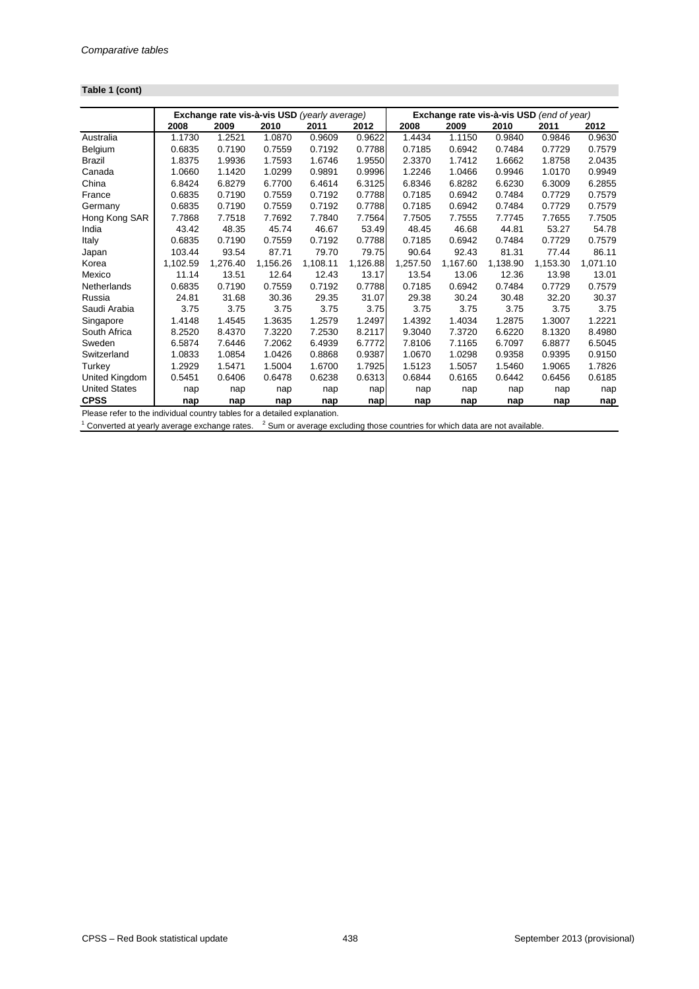# **Table 1 (cont)**

|                      |          | Exchange rate vis-à-vis USD (yearly average) |          |          |          | Exchange rate vis-à-vis USD (end of year) |          |          |          |            |
|----------------------|----------|----------------------------------------------|----------|----------|----------|-------------------------------------------|----------|----------|----------|------------|
|                      | 2008     | 2009                                         | 2010     | 2011     | 2012     | 2008                                      | 2009     | 2010     | 2011     | 2012       |
| Australia            | 1.1730   | 1.2521                                       | 1.0870   | 0.9609   | 0.9622   | 1.4434                                    | 1.1150   | 0.9840   | 0.9846   | 0.9630     |
| Belgium              | 0.6835   | 0.7190                                       | 0.7559   | 0.7192   | 0.7788   | 0.7185                                    | 0.6942   | 0.7484   | 0.7729   | 0.7579     |
| <b>Brazil</b>        | 1.8375   | 1.9936                                       | 1.7593   | 1.6746   | 1.9550   | 2.3370                                    | 1.7412   | 1.6662   | 1.8758   | 2.0435     |
| Canada               | 1.0660   | 1.1420                                       | 1.0299   | 0.9891   | 0.9996   | 1.2246                                    | 1.0466   | 0.9946   | 1.0170   | 0.9949     |
| China                | 6.8424   | 6.8279                                       | 6.7700   | 6.4614   | 6.3125   | 6.8346                                    | 6.8282   | 6.6230   | 6.3009   | 6.2855     |
| France               | 0.6835   | 0.7190                                       | 0.7559   | 0.7192   | 0.7788   | 0.7185                                    | 0.6942   | 0.7484   | 0.7729   | 0.7579     |
| Germany              | 0.6835   | 0.7190                                       | 0.7559   | 0.7192   | 0.7788   | 0.7185                                    | 0.6942   | 0.7484   | 0.7729   | 0.7579     |
| Hong Kong SAR        | 7.7868   | 7.7518                                       | 7.7692   | 7.7840   | 7.7564   | 7.7505                                    | 7.7555   | 7.7745   | 7.7655   | 7.7505     |
| India                | 43.42    | 48.35                                        | 45.74    | 46.67    | 53.49    | 48.45                                     | 46.68    | 44.81    | 53.27    | 54.78      |
| Italy                | 0.6835   | 0.7190                                       | 0.7559   | 0.7192   | 0.7788   | 0.7185                                    | 0.6942   | 0.7484   | 0.7729   | 0.7579     |
| Japan                | 103.44   | 93.54                                        | 87.71    | 79.70    | 79.75    | 90.64                                     | 92.43    | 81.31    | 77.44    | 86.11      |
| Korea                | 1,102.59 | 1,276.40                                     | 1,156.26 | 1,108.11 | 1,126.88 | 1,257.50                                  | 1,167.60 | 1,138.90 | 1,153.30 | 1,071.10   |
| Mexico               | 11.14    | 13.51                                        | 12.64    | 12.43    | 13.17    | 13.54                                     | 13.06    | 12.36    | 13.98    | 13.01      |
| Netherlands          | 0.6835   | 0.7190                                       | 0.7559   | 0.7192   | 0.7788   | 0.7185                                    | 0.6942   | 0.7484   | 0.7729   | 0.7579     |
| Russia               | 24.81    | 31.68                                        | 30.36    | 29.35    | 31.07    | 29.38                                     | 30.24    | 30.48    | 32.20    | 30.37      |
| Saudi Arabia         | 3.75     | 3.75                                         | 3.75     | 3.75     | 3.75     | 3.75                                      | 3.75     | 3.75     | 3.75     | 3.75       |
| Singapore            | 1.4148   | 1.4545                                       | 1.3635   | 1.2579   | 1.2497   | 1.4392                                    | 1.4034   | 1.2875   | 1.3007   | 1.2221     |
| South Africa         | 8.2520   | 8.4370                                       | 7.3220   | 7.2530   | 8.2117   | 9.3040                                    | 7.3720   | 6.6220   | 8.1320   | 8.4980     |
| Sweden               | 6.5874   | 7.6446                                       | 7.2062   | 6.4939   | 6.7772   | 7.8106                                    | 7.1165   | 6.7097   | 6.8877   | 6.5045     |
| Switzerland          | 1.0833   | 1.0854                                       | 1.0426   | 0.8868   | 0.9387   | 1.0670                                    | 1.0298   | 0.9358   | 0.9395   | 0.9150     |
| Turkey               | 1.2929   | 1.5471                                       | 1.5004   | 1.6700   | 1.7925   | 1.5123                                    | 1.5057   | 1.5460   | 1.9065   | 1.7826     |
| United Kingdom       | 0.5451   | 0.6406                                       | 0.6478   | 0.6238   | 0.6313   | 0.6844                                    | 0.6165   | 0.6442   | 0.6456   | 0.6185     |
| <b>United States</b> | nap      | nap                                          | nap      | nap      | nap      | nap                                       | nap      | nap      | nap      | nap        |
| <b>CPSS</b>          | nap      | nap                                          | nap      | nap      | nap      | nap                                       | nap      | nap      | nap      | <u>nap</u> |

Please refer to the individual country tables for a detailed explanation.

 $1$  Converted at yearly average exchange rates.  $2$  Sum or average excluding those countries for which data are not available.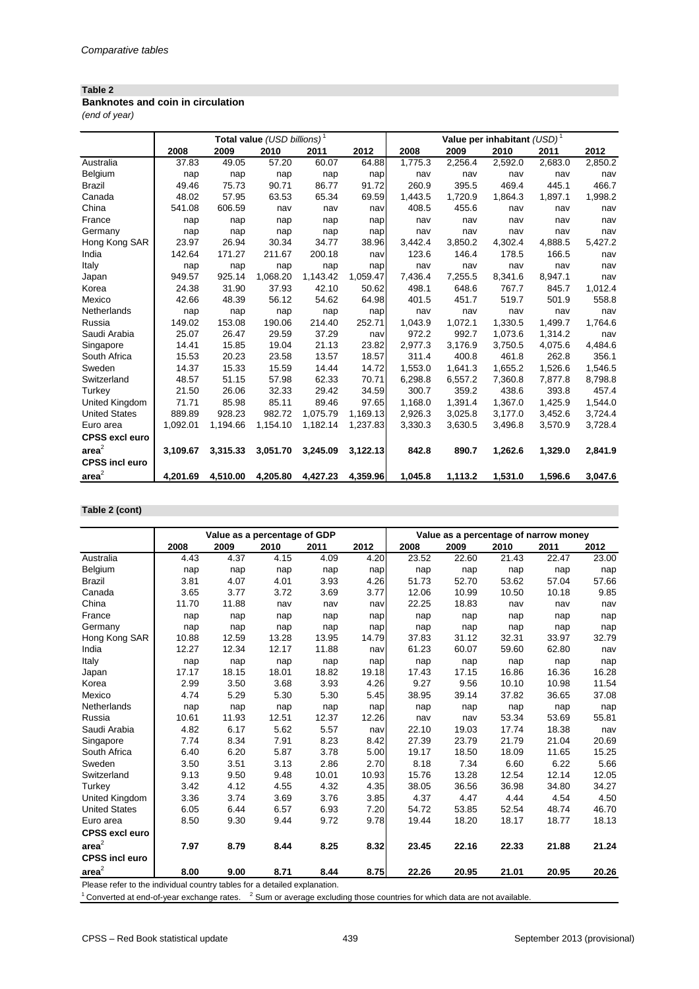# **Banknotes and coin in circulation**

*(end of year)*

|                       |          |          | Total value (USD billions) <sup>1</sup> |          |          | Value per inhabitant $(USD)^1$ |         |         |         |         |
|-----------------------|----------|----------|-----------------------------------------|----------|----------|--------------------------------|---------|---------|---------|---------|
|                       | 2008     | 2009     | 2010                                    | 2011     | 2012     | 2008                           | 2009    | 2010    | 2011    | 2012    |
| Australia             | 37.83    | 49.05    | 57.20                                   | 60.07    | 64.88    | 1,775.3                        | 2,256.4 | 2,592.0 | 2,683.0 | 2,850.2 |
| Belgium               | nap      | nap      | nap                                     | nap      | nap      | nav                            | nav     | nav     | nav     | nav     |
| <b>Brazil</b>         | 49.46    | 75.73    | 90.71                                   | 86.77    | 91.72    | 260.9                          | 395.5   | 469.4   | 445.1   | 466.7   |
| Canada                | 48.02    | 57.95    | 63.53                                   | 65.34    | 69.59    | 1,443.5                        | 1,720.9 | 1,864.3 | 1,897.1 | 1,998.2 |
| China                 | 541.08   | 606.59   | nav                                     | nav      | nav      | 408.5                          | 455.6   | nav     | nav     | nav     |
| France                | nap      | nap      | nap                                     | nap      | nap      | nav                            | nav     | nav     | nav     | nav     |
| Germany               | nap      | nap      | nap                                     | nap      | nap      | nav                            | nav     | nav     | nav     | nav     |
| Hong Kong SAR         | 23.97    | 26.94    | 30.34                                   | 34.77    | 38.96    | 3,442.4                        | 3,850.2 | 4,302.4 | 4,888.5 | 5,427.2 |
| India                 | 142.64   | 171.27   | 211.67                                  | 200.18   | nav      | 123.6                          | 146.4   | 178.5   | 166.5   | nav     |
| Italy                 | nap      | nap      | nap                                     | nap      | nap      | nav                            | nav     | nav     | nav     | nav     |
| Japan                 | 949.57   | 925.14   | 1,068.20                                | 1,143.42 | 1,059.47 | 7,436.4                        | 7,255.5 | 8,341.6 | 8,947.1 | nav     |
| Korea                 | 24.38    | 31.90    | 37.93                                   | 42.10    | 50.62    | 498.1                          | 648.6   | 767.7   | 845.7   | 1,012.4 |
| Mexico                | 42.66    | 48.39    | 56.12                                   | 54.62    | 64.98    | 401.5                          | 451.7   | 519.7   | 501.9   | 558.8   |
| Netherlands           | nap      | nap      | nap                                     | nap      | nap      | nav                            | nav     | nav     | nav     | nav     |
| Russia                | 149.02   | 153.08   | 190.06                                  | 214.40   | 252.71   | 1,043.9                        | 1,072.1 | 1,330.5 | 1,499.7 | 1,764.6 |
| Saudi Arabia          | 25.07    | 26.47    | 29.59                                   | 37.29    | nav      | 972.2                          | 992.7   | 1,073.6 | 1,314.2 | nav     |
| Singapore             | 14.41    | 15.85    | 19.04                                   | 21.13    | 23.82    | 2,977.3                        | 3,176.9 | 3,750.5 | 4,075.6 | 4,484.6 |
| South Africa          | 15.53    | 20.23    | 23.58                                   | 13.57    | 18.57    | 311.4                          | 400.8   | 461.8   | 262.8   | 356.1   |
| Sweden                | 14.37    | 15.33    | 15.59                                   | 14.44    | 14.72    | 1,553.0                        | 1,641.3 | 1,655.2 | 1,526.6 | 1,546.5 |
| Switzerland           | 48.57    | 51.15    | 57.98                                   | 62.33    | 70.71    | 6,298.8                        | 6,557.2 | 7,360.8 | 7,877.8 | 8,798.8 |
| Turkey                | 21.50    | 26.06    | 32.33                                   | 29.42    | 34.59    | 300.7                          | 359.2   | 438.6   | 393.8   | 457.4   |
| United Kingdom        | 71.71    | 85.98    | 85.11                                   | 89.46    | 97.65    | 1,168.0                        | 1,391.4 | 1,367.0 | 1,425.9 | 1,544.0 |
| <b>United States</b>  | 889.89   | 928.23   | 982.72                                  | 1,075.79 | 1,169.13 | 2,926.3                        | 3,025.8 | 3,177.0 | 3,452.6 | 3,724.4 |
| Euro area             | 1,092.01 | 1,194.66 | 1,154.10                                | 1,182.14 | 1,237.83 | 3,330.3                        | 3,630.5 | 3,496.8 | 3,570.9 | 3,728.4 |
| <b>CPSS excl euro</b> |          |          |                                         |          |          |                                |         |         |         |         |
| area <sup>2</sup>     | 3,109.67 | 3,315.33 | 3,051.70                                | 3,245.09 | 3,122.13 | 842.8                          | 890.7   | 1,262.6 | 1,329.0 | 2,841.9 |
| <b>CPSS incl euro</b> |          |          |                                         |          |          |                                |         |         |         |         |
| area <sup>2</sup>     | 4,201.69 | 4,510.00 | 4,205.80                                | 4,427.23 | 4,359.96 | 1,045.8                        | 1,113.2 | 1,531.0 | 1,596.6 | 3,047.6 |

# **Table 2 (cont)**

|                                                                           |       | Value as a percentage of GDP |       |       |       | Value as a percentage of narrow money |       |       |       |       |
|---------------------------------------------------------------------------|-------|------------------------------|-------|-------|-------|---------------------------------------|-------|-------|-------|-------|
|                                                                           | 2008  | 2009                         | 2010  | 2011  | 2012  | 2008                                  | 2009  | 2010  | 2011  | 2012  |
| Australia                                                                 | 4.43  | 4.37                         | 4.15  | 4.09  | 4.20  | 23.52                                 | 22.60 | 21.43 | 22.47 | 23.00 |
| Belgium                                                                   | nap   | nap                          | nap   | nap   | nap   | nap                                   | nap   | nap   | nap   | nap   |
| <b>Brazil</b>                                                             | 3.81  | 4.07                         | 4.01  | 3.93  | 4.26  | 51.73                                 | 52.70 | 53.62 | 57.04 | 57.66 |
| Canada                                                                    | 3.65  | 3.77                         | 3.72  | 3.69  | 3.77  | 12.06                                 | 10.99 | 10.50 | 10.18 | 9.85  |
| China                                                                     | 11.70 | 11.88                        | nav   | nav   | nav   | 22.25                                 | 18.83 | nav   | nav   | nav   |
| France                                                                    | nap   | nap                          | nap   | nap   | nap   | nap                                   | nap   | nap   | nap   | nap   |
| Germany                                                                   | nap   | nap                          | nap   | nap   | nap   | nap                                   | nap   | nap   | nap   | nap   |
| Hong Kong SAR                                                             | 10.88 | 12.59                        | 13.28 | 13.95 | 14.79 | 37.83                                 | 31.12 | 32.31 | 33.97 | 32.79 |
| India                                                                     | 12.27 | 12.34                        | 12.17 | 11.88 | nav   | 61.23                                 | 60.07 | 59.60 | 62.80 | nav   |
| Italy                                                                     | nap   | nap                          | nap   | nap   | nap   | nap                                   | nap   | nap   | nap   | nap   |
| Japan                                                                     | 17.17 | 18.15                        | 18.01 | 18.82 | 19.18 | 17.43                                 | 17.15 | 16.86 | 16.36 | 16.28 |
| Korea                                                                     | 2.99  | 3.50                         | 3.68  | 3.93  | 4.26  | 9.27                                  | 9.56  | 10.10 | 10.98 | 11.54 |
| Mexico                                                                    | 4.74  | 5.29                         | 5.30  | 5.30  | 5.45  | 38.95                                 | 39.14 | 37.82 | 36.65 | 37.08 |
| Netherlands                                                               | nap   | nap                          | nap   | nap   | nap   | nap                                   | nap   | nap   | nap   | nap   |
| Russia                                                                    | 10.61 | 11.93                        | 12.51 | 12.37 | 12.26 | nav                                   | nav   | 53.34 | 53.69 | 55.81 |
| Saudi Arabia                                                              | 4.82  | 6.17                         | 5.62  | 5.57  | nav   | 22.10                                 | 19.03 | 17.74 | 18.38 | nav   |
| Singapore                                                                 | 7.74  | 8.34                         | 7.91  | 8.23  | 8.42  | 27.39                                 | 23.79 | 21.79 | 21.04 | 20.69 |
| South Africa                                                              | 6.40  | 6.20                         | 5.87  | 3.78  | 5.00  | 19.17                                 | 18.50 | 18.09 | 11.65 | 15.25 |
| Sweden                                                                    | 3.50  | 3.51                         | 3.13  | 2.86  | 2.70  | 8.18                                  | 7.34  | 6.60  | 6.22  | 5.66  |
| Switzerland                                                               | 9.13  | 9.50                         | 9.48  | 10.01 | 10.93 | 15.76                                 | 13.28 | 12.54 | 12.14 | 12.05 |
| Turkey                                                                    | 3.42  | 4.12                         | 4.55  | 4.32  | 4.35  | 38.05                                 | 36.56 | 36.98 | 34.80 | 34.27 |
| United Kingdom                                                            | 3.36  | 3.74                         | 3.69  | 3.76  | 3.85  | 4.37                                  | 4.47  | 4.44  | 4.54  | 4.50  |
| <b>United States</b>                                                      | 6.05  | 6.44                         | 6.57  | 6.93  | 7.20  | 54.72                                 | 53.85 | 52.54 | 48.74 | 46.70 |
| Euro area                                                                 | 8.50  | 9.30                         | 9.44  | 9.72  | 9.78  | 19.44                                 | 18.20 | 18.17 | 18.77 | 18.13 |
| <b>CPSS excl euro</b>                                                     |       |                              |       |       |       |                                       |       |       |       |       |
| area <sup>2</sup>                                                         | 7.97  | 8.79                         | 8.44  | 8.25  | 8.32  | 23.45                                 | 22.16 | 22.33 | 21.88 | 21.24 |
| <b>CPSS incl euro</b>                                                     |       |                              |       |       |       |                                       |       |       |       |       |
| area <sup>2</sup>                                                         | 8.00  | 9.00                         | 8.71  | 8.44  | 8.75  | 22.26                                 | 20.95 | 21.01 | 20.95 | 20.26 |
| Please refer to the individual country tables for a detailed explanation. |       |                              |       |       |       |                                       |       |       |       |       |

 $1$  Converted at end-of-year exchange rates.  $2$  Sum or average excluding those countries for which data are not available.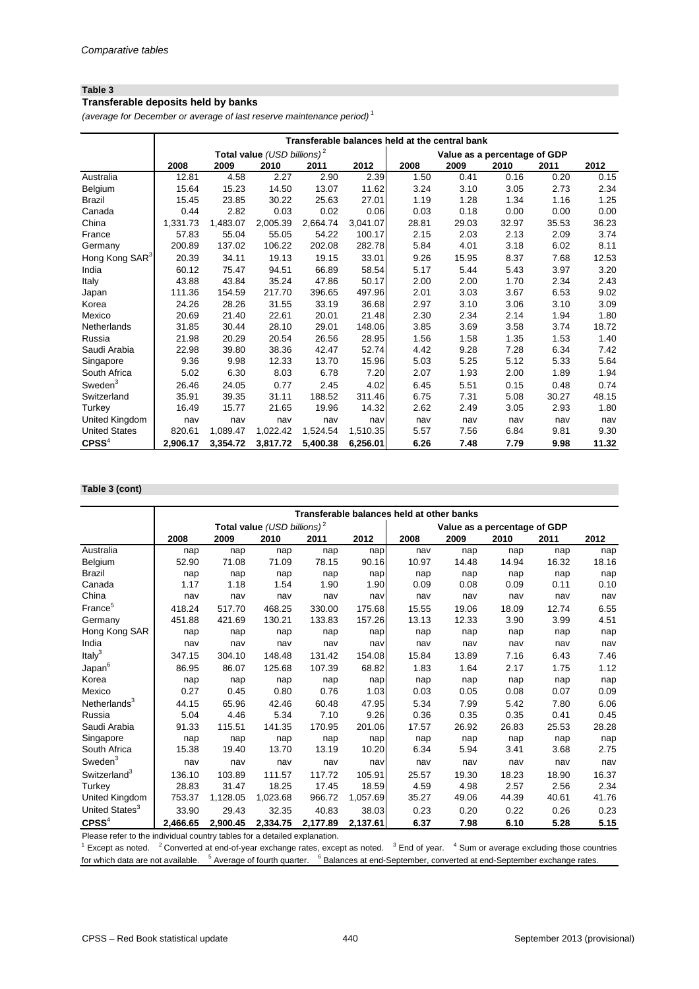# **Transferable deposits held by banks**

*(average for December or average of last reserve maintenance period)* <sup>1</sup>

|                            |          |          |                                         |          |          | Transferable balances held at the central bank |                              |       |       |       |
|----------------------------|----------|----------|-----------------------------------------|----------|----------|------------------------------------------------|------------------------------|-------|-------|-------|
|                            |          |          | Total value (USD billions) <sup>2</sup> |          |          |                                                | Value as a percentage of GDP |       |       |       |
|                            | 2008     | 2009     | 2010                                    | 2011     | 2012     | 2008                                           | 2009                         | 2010  | 2011  | 2012  |
| Australia                  | 12.81    | 4.58     | 2.27                                    | 2.90     | 2.39     | 1.50                                           | 0.41                         | 0.16  | 0.20  | 0.15  |
| Belgium                    | 15.64    | 15.23    | 14.50                                   | 13.07    | 11.62    | 3.24                                           | 3.10                         | 3.05  | 2.73  | 2.34  |
| <b>Brazil</b>              | 15.45    | 23.85    | 30.22                                   | 25.63    | 27.01    | 1.19                                           | 1.28                         | 1.34  | 1.16  | 1.25  |
| Canada                     | 0.44     | 2.82     | 0.03                                    | 0.02     | 0.06     | 0.03                                           | 0.18                         | 0.00  | 0.00  | 0.00  |
| China                      | 1,331.73 | 1,483.07 | 2,005.39                                | 2,664.74 | 3,041.07 | 28.81                                          | 29.03                        | 32.97 | 35.53 | 36.23 |
| France                     | 57.83    | 55.04    | 55.05                                   | 54.22    | 100.17   | 2.15                                           | 2.03                         | 2.13  | 2.09  | 3.74  |
| Germany                    | 200.89   | 137.02   | 106.22                                  | 202.08   | 282.78   | 5.84                                           | 4.01                         | 3.18  | 6.02  | 8.11  |
| Hong Kong SAR <sup>3</sup> | 20.39    | 34.11    | 19.13                                   | 19.15    | 33.01    | 9.26                                           | 15.95                        | 8.37  | 7.68  | 12.53 |
| India                      | 60.12    | 75.47    | 94.51                                   | 66.89    | 58.54    | 5.17                                           | 5.44                         | 5.43  | 3.97  | 3.20  |
| Italy                      | 43.88    | 43.84    | 35.24                                   | 47.86    | 50.17    | 2.00                                           | 2.00                         | 1.70  | 2.34  | 2.43  |
| Japan                      | 111.36   | 154.59   | 217.70                                  | 396.65   | 497.96   | 2.01                                           | 3.03                         | 3.67  | 6.53  | 9.02  |
| Korea                      | 24.26    | 28.26    | 31.55                                   | 33.19    | 36.68    | 2.97                                           | 3.10                         | 3.06  | 3.10  | 3.09  |
| Mexico                     | 20.69    | 21.40    | 22.61                                   | 20.01    | 21.48    | 2.30                                           | 2.34                         | 2.14  | 1.94  | 1.80  |
| Netherlands                | 31.85    | 30.44    | 28.10                                   | 29.01    | 148.06   | 3.85                                           | 3.69                         | 3.58  | 3.74  | 18.72 |
| Russia                     | 21.98    | 20.29    | 20.54                                   | 26.56    | 28.95    | 1.56                                           | 1.58                         | 1.35  | 1.53  | 1.40  |
| Saudi Arabia               | 22.98    | 39.80    | 38.36                                   | 42.47    | 52.74    | 4.42                                           | 9.28                         | 7.28  | 6.34  | 7.42  |
| Singapore                  | 9.36     | 9.98     | 12.33                                   | 13.70    | 15.96    | 5.03                                           | 5.25                         | 5.12  | 5.33  | 5.64  |
| South Africa               | 5.02     | 6.30     | 8.03                                    | 6.78     | 7.20     | 2.07                                           | 1.93                         | 2.00  | 1.89  | 1.94  |
| Sweden <sup>3</sup>        | 26.46    | 24.05    | 0.77                                    | 2.45     | 4.02     | 6.45                                           | 5.51                         | 0.15  | 0.48  | 0.74  |
| Switzerland                | 35.91    | 39.35    | 31.11                                   | 188.52   | 311.46   | 6.75                                           | 7.31                         | 5.08  | 30.27 | 48.15 |
| Turkey                     | 16.49    | 15.77    | 21.65                                   | 19.96    | 14.32    | 2.62                                           | 2.49                         | 3.05  | 2.93  | 1.80  |
| United Kingdom             | nav      | nav      | nav                                     | nav      | nav      | nav                                            | nav                          | nav   | nav   | nav   |
| <b>United States</b>       | 820.61   | 1,089.47 | 1,022.42                                | 1,524.54 | 1,510.35 | 5.57                                           | 7.56                         | 6.84  | 9.81  | 9.30  |
| $C$ PSS <sup>4</sup>       | 2,906.17 | 3,354.72 | 3,817.72                                | 5,400.38 | 6,256.01 | 6.26                                           | 7.48                         | 7.79  | 9.98  | 11.32 |

## **Table 3 (cont)**

|                            | Transferable balances held at other banks              |          |                                |          |          |       |                              |       |       |       |
|----------------------------|--------------------------------------------------------|----------|--------------------------------|----------|----------|-------|------------------------------|-------|-------|-------|
|                            |                                                        |          | Total value $(USD~billions)^2$ |          |          |       | Value as a percentage of GDP |       |       |       |
|                            | 2008                                                   | 2009     | 2010                           | 2011     | 2012     | 2008  | 2009                         | 2010  | 2011  | 2012  |
| Australia                  | nap                                                    | nap      | nap                            | nap      | nap      | nav   | nap                          | nap   | nap   | nap   |
| Belgium                    | 52.90                                                  | 71.08    | 71.09                          | 78.15    | 90.16    | 10.97 | 14.48                        | 14.94 | 16.32 | 18.16 |
| <b>Brazil</b>              | nap                                                    | nap      | nap                            | nap      | nap      | nap   | nap                          | nap   | nap   | nap   |
| Canada                     | 1.17                                                   | 1.18     | 1.54                           | 1.90     | 1.90     | 0.09  | 0.08                         | 0.09  | 0.11  | 0.10  |
| China                      | nav                                                    | nav      | nav                            | nav      | nav      | nav   | nav                          | nav   | nav   | nav   |
| France <sup>5</sup>        | 418.24                                                 | 517.70   | 468.25                         | 330.00   | 175.68   | 15.55 | 19.06                        | 18.09 | 12.74 | 6.55  |
| Germany                    | 451.88                                                 | 421.69   | 130.21                         | 133.83   | 157.26   | 13.13 | 12.33                        | 3.90  | 3.99  | 4.51  |
| Hong Kong SAR              | nap                                                    | nap      | nap                            | nap      | nap      | nap   | nap                          | nap   | nap   | nap   |
| India                      | nav                                                    | nav      | nav                            | nav      | nav      | nav   | nav                          | nav   | nav   | nav   |
| Italy $3$                  | 347.15                                                 | 304.10   | 148.48                         | 131.42   | 154.08   | 15.84 | 13.89                        | 7.16  | 6.43  | 7.46  |
| Japan <sup>6</sup>         | 86.95                                                  | 86.07    | 125.68                         | 107.39   | 68.82    | 1.83  | 1.64                         | 2.17  | 1.75  | 1.12  |
| Korea                      | nap                                                    | nap      | nap                            | nap      | nap      | nap   | nap                          | nap   | nap   | nap   |
| Mexico                     | 0.27                                                   | 0.45     | 0.80                           | 0.76     | 1.03     | 0.03  | 0.05                         | 0.08  | 0.07  | 0.09  |
| Netherlands <sup>3</sup>   | 44.15                                                  | 65.96    | 42.46                          | 60.48    | 47.95    | 5.34  | 7.99                         | 5.42  | 7.80  | 6.06  |
| Russia                     | 5.04                                                   | 4.46     | 5.34                           | 7.10     | 9.26     | 0.36  | 0.35                         | 0.35  | 0.41  | 0.45  |
| Saudi Arabia               | 91.33                                                  | 115.51   | 141.35                         | 170.95   | 201.06   | 17.57 | 26.92                        | 26.83 | 25.53 | 28.28 |
| Singapore                  | nap                                                    | nap      | nap                            | nap      | nap      | nap   | nap                          | nap   | nap   | nap   |
| South Africa               | 15.38                                                  | 19.40    | 13.70                          | 13.19    | 10.20    | 6.34  | 5.94                         | 3.41  | 3.68  | 2.75  |
| Sweden $3$                 | nav                                                    | nav      | nav                            | nav      | nav      | nav   | nav                          | nav   | nav   | nav   |
| Switzerland <sup>3</sup>   | 136.10                                                 | 103.89   | 111.57                         | 117.72   | 105.91   | 25.57 | 19.30                        | 18.23 | 18.90 | 16.37 |
| Turkey                     | 28.83                                                  | 31.47    | 18.25                          | 17.45    | 18.59    | 4.59  | 4.98                         | 2.57  | 2.56  | 2.34  |
| United Kingdom             | 753.37                                                 | 1,128.05 | 1,023.68                       | 966.72   | 1,057.69 | 35.27 | 49.06                        | 44.39 | 40.61 | 41.76 |
| United States <sup>3</sup> | 33.90                                                  | 29.43    | 32.35                          | 40.83    | 38.03    | 0.23  | 0.20                         | 0.22  | 0.26  | 0.23  |
| $CPSS^4$                   | 2,466.65<br>$\mathbf{r}$ , $\mathbf{r}$ , $\mathbf{r}$ | 2,900.45 | 2,334.75                       | 2,177.89 | 2,137.61 | 6.37  | 7.98                         | 6.10  | 5.28  | 5.15  |

Please refer to the individual country tables for a detailed explanation.

 $1$  Except as noted.  $2$  Converted at end-of-year exchange rates, except as noted.  $3$  End of year.  $4$  Sum or average excluding those countries for which data are not available. <sup>5</sup> Average of fourth quarter. <sup>6</sup> Balances at end-September, converted at end-September exchange rates.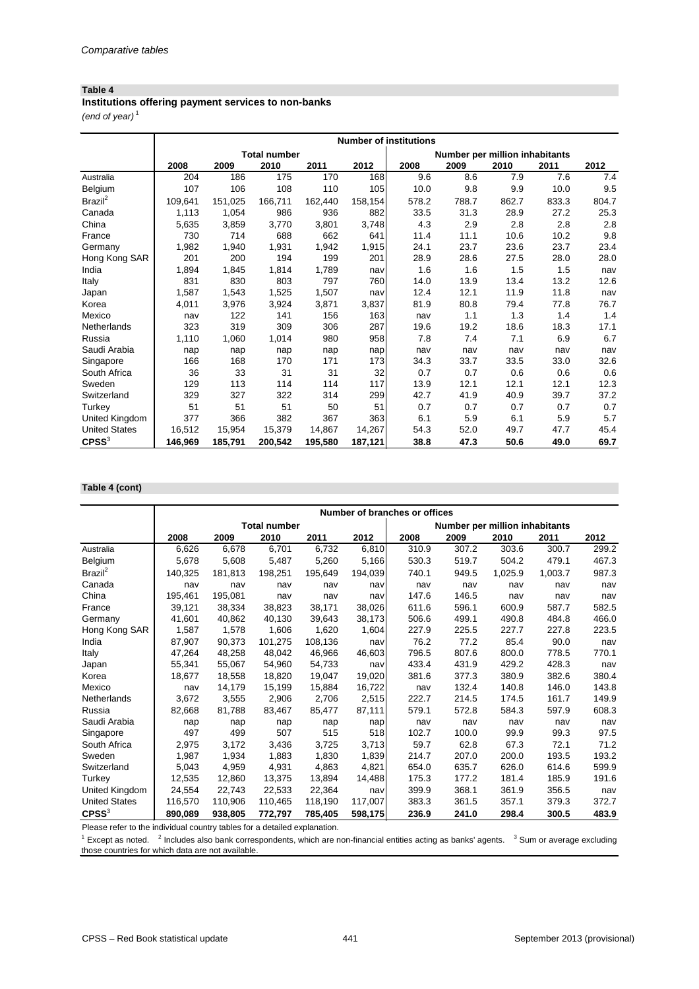**Institutions offering payment services to non-banks**

*(end of year)* <sup>1</sup>

|                      |         |         | <b>Total number</b> |         |         |       | Number per million inhabitants |       |       |       |
|----------------------|---------|---------|---------------------|---------|---------|-------|--------------------------------|-------|-------|-------|
|                      | 2008    | 2009    | 2010                | 2011    | 2012    | 2008  | 2009                           | 2010  | 2011  | 2012  |
| Australia            | 204     | 186     | 175                 | 170     | 168     | 9.6   | 8.6                            | 7.9   | 7.6   | 7.4   |
| Belgium              | 107     | 106     | 108                 | 110     | 105     | 10.0  | 9.8                            | 9.9   | 10.0  | 9.5   |
| Brazil <sup>2</sup>  | 109,641 | 151,025 | 166,711             | 162,440 | 158,154 | 578.2 | 788.7                          | 862.7 | 833.3 | 804.7 |
| Canada               | 1,113   | 1,054   | 986                 | 936     | 882     | 33.5  | 31.3                           | 28.9  | 27.2  | 25.3  |
| China                | 5,635   | 3,859   | 3,770               | 3,801   | 3,748   | 4.3   | 2.9                            | 2.8   | 2.8   | 2.8   |
| France               | 730     | 714     | 688                 | 662     | 641     | 11.4  | 11.1                           | 10.6  | 10.2  | 9.8   |
| Germany              | 1,982   | 1,940   | 1,931               | 1,942   | 1,915   | 24.1  | 23.7                           | 23.6  | 23.7  | 23.4  |
| Hong Kong SAR        | 201     | 200     | 194                 | 199     | 201     | 28.9  | 28.6                           | 27.5  | 28.0  | 28.0  |
| India                | 1,894   | 1,845   | 1,814               | 1,789   | nav     | 1.6   | 1.6                            | 1.5   | 1.5   | nav   |
| Italy                | 831     | 830     | 803                 | 797     | 760     | 14.0  | 13.9                           | 13.4  | 13.2  | 12.6  |
| Japan                | 1,587   | 1,543   | 1,525               | 1,507   | nav     | 12.4  | 12.1                           | 11.9  | 11.8  | nav   |
| Korea                | 4,011   | 3,976   | 3,924               | 3,871   | 3,837   | 81.9  | 80.8                           | 79.4  | 77.8  | 76.7  |
| Mexico               | nav     | 122     | 141                 | 156     | 163     | nav   | 1.1                            | 1.3   | 1.4   | 1.4   |
| Netherlands          | 323     | 319     | 309                 | 306     | 287     | 19.6  | 19.2                           | 18.6  | 18.3  | 17.1  |
| Russia               | 1,110   | 1,060   | 1,014               | 980     | 958     | 7.8   | 7.4                            | 7.1   | 6.9   | 6.7   |
| Saudi Arabia         | nap     | nap     | nap                 | nap     | nap     | nav   | nav                            | nav   | nav   | nav   |
| Singapore            | 166     | 168     | 170                 | 171     | 173     | 34.3  | 33.7                           | 33.5  | 33.0  | 32.6  |
| South Africa         | 36      | 33      | 31                  | 31      | 32      | 0.7   | 0.7                            | 0.6   | 0.6   | 0.6   |
| Sweden               | 129     | 113     | 114                 | 114     | 117     | 13.9  | 12.1                           | 12.1  | 12.1  | 12.3  |
| Switzerland          | 329     | 327     | 322                 | 314     | 299     | 42.7  | 41.9                           | 40.9  | 39.7  | 37.2  |
| Turkey               | 51      | 51      | 51                  | 50      | 51      | 0.7   | 0.7                            | 0.7   | 0.7   | 0.7   |
| United Kingdom       | 377     | 366     | 382                 | 367     | 363     | 6.1   | 5.9                            | 6.1   | 5.9   | 5.7   |
| <b>United States</b> | 16,512  | 15,954  | 15,379              | 14,867  | 14,267  | 54.3  | 52.0                           | 49.7  | 47.7  | 45.4  |
| $C$ PSS $3$          | 146,969 | 185,791 | 200,542             | 195,580 | 187,121 | 38.8  | 47.3                           | 50.6  | 49.0  | 69.7  |

## **Table 4 (cont)**

|                      | Number of branches or offices |         |                     |         |         |       |       |                                |         |       |  |
|----------------------|-------------------------------|---------|---------------------|---------|---------|-------|-------|--------------------------------|---------|-------|--|
|                      |                               |         | <b>Total number</b> |         |         |       |       | Number per million inhabitants |         |       |  |
|                      | 2008                          | 2009    | 2010                | 2011    | 2012    | 2008  | 2009  | 2010                           | 2011    | 2012  |  |
| Australia            | 6,626                         | 6,678   | 6,701               | 6,732   | 6,810   | 310.9 | 307.2 | 303.6                          | 300.7   | 299.2 |  |
| Belgium              | 5,678                         | 5,608   | 5,487               | 5,260   | 5,166   | 530.3 | 519.7 | 504.2                          | 479.1   | 467.3 |  |
| Brazil <sup>2</sup>  | 140,325                       | 181,813 | 198,251             | 195,649 | 194,039 | 740.1 | 949.5 | 1,025.9                        | 1,003.7 | 987.3 |  |
| Canada               | nav                           | nav     | nav                 | nav     | nav     | nav   | nav   | nav                            | nav     | nav   |  |
| China                | 195,461                       | 195,081 | nav                 | nav     | nav     | 147.6 | 146.5 | nav                            | nav     | nav   |  |
| France               | 39,121                        | 38,334  | 38,823              | 38,171  | 38,026  | 611.6 | 596.1 | 600.9                          | 587.7   | 582.5 |  |
| Germany              | 41,601                        | 40,862  | 40,130              | 39,643  | 38,173  | 506.6 | 499.1 | 490.8                          | 484.8   | 466.0 |  |
| Hong Kong SAR        | 1,587                         | 1,578   | 1,606               | 1,620   | 1,604   | 227.9 | 225.5 | 227.7                          | 227.8   | 223.5 |  |
| India                | 87,907                        | 90,373  | 101,275             | 108,136 | nav     | 76.2  | 77.2  | 85.4                           | 90.0    | nav   |  |
| Italy                | 47,264                        | 48,258  | 48,042              | 46,966  | 46,603  | 796.5 | 807.6 | 800.0                          | 778.5   | 770.1 |  |
| Japan                | 55,341                        | 55,067  | 54,960              | 54,733  | navl    | 433.4 | 431.9 | 429.2                          | 428.3   | nav   |  |
| Korea                | 18,677                        | 18,558  | 18,820              | 19,047  | 19,020  | 381.6 | 377.3 | 380.9                          | 382.6   | 380.4 |  |
| Mexico               | nav                           | 14,179  | 15,199              | 15,884  | 16,722  | nav   | 132.4 | 140.8                          | 146.0   | 143.8 |  |
| Netherlands          | 3,672                         | 3,555   | 2,906               | 2,706   | 2,515   | 222.7 | 214.5 | 174.5                          | 161.7   | 149.9 |  |
| Russia               | 82,668                        | 81,788  | 83,467              | 85,477  | 87,111  | 579.1 | 572.8 | 584.3                          | 597.9   | 608.3 |  |
| Saudi Arabia         | nap                           | nap     | nap                 | nap     | nap     | nav   | nav   | nav                            | nav     | nav   |  |
| Singapore            | 497                           | 499     | 507                 | 515     | 518     | 102.7 | 100.0 | 99.9                           | 99.3    | 97.5  |  |
| South Africa         | 2,975                         | 3,172   | 3,436               | 3,725   | 3,713   | 59.7  | 62.8  | 67.3                           | 72.1    | 71.2  |  |
| Sweden               | 1,987                         | 1,934   | 1,883               | 1,830   | 1,839   | 214.7 | 207.0 | 200.0                          | 193.5   | 193.2 |  |
| Switzerland          | 5,043                         | 4,959   | 4,931               | 4,863   | 4,821   | 654.0 | 635.7 | 626.0                          | 614.6   | 599.9 |  |
| Turkey               | 12,535                        | 12,860  | 13,375              | 13,894  | 14,488  | 175.3 | 177.2 | 181.4                          | 185.9   | 191.6 |  |
| United Kingdom       | 24,554                        | 22,743  | 22,533              | 22,364  | nav     | 399.9 | 368.1 | 361.9                          | 356.5   | nav   |  |
| <b>United States</b> | 116,570                       | 110,906 | 110,465             | 118,190 | 117,007 | 383.3 | 361.5 | 357.1                          | 379.3   | 372.7 |  |
| C P S S <sup>3</sup> | 890,089                       | 938,805 | 772,797             | 785,405 | 598,175 | 236.9 | 241.0 | 298.4                          | 300.5   | 483.9 |  |

Please refer to the individual country tables for a detailed explanation.

 $1$  Except as noted.  $2$  Includes also bank correspondents, which are non-financial entities acting as banks' agents.  $3$  Sum or average excluding those countries for which data are not available.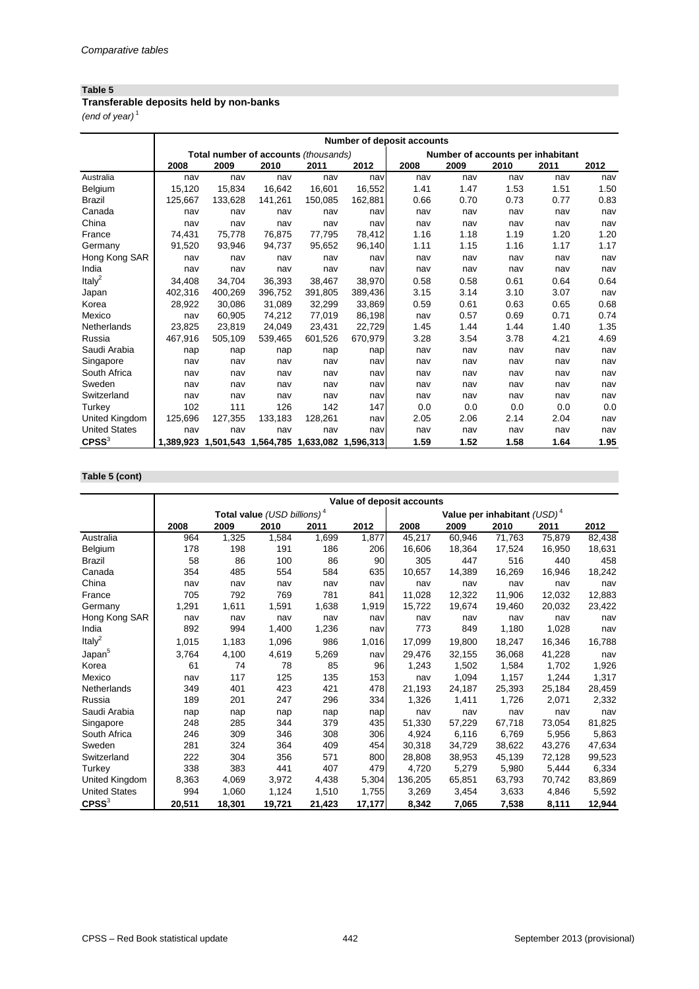# **Transferable deposits held by non-banks**

*(end of year)* <sup>1</sup>

|                      | <b>Number of deposit accounts</b> |         |                                         |         |           |      |                                   |      |      |      |
|----------------------|-----------------------------------|---------|-----------------------------------------|---------|-----------|------|-----------------------------------|------|------|------|
|                      |                                   |         | Total number of accounts (thousands)    |         |           |      | Number of accounts per inhabitant |      |      |      |
|                      | 2008                              | 2009    | 2010                                    | 2011    | 2012      | 2008 | 2009                              | 2010 | 2011 | 2012 |
| Australia            | nav                               | nav     | nav                                     | nav     | nav       | nav  | nav                               | nav  | nav  | nav  |
| Belgium              | 15,120                            | 15,834  | 16,642                                  | 16,601  | 16,552    | 1.41 | 1.47                              | 1.53 | 1.51 | 1.50 |
| <b>Brazil</b>        | 125,667                           | 133,628 | 141,261                                 | 150,085 | 162,881   | 0.66 | 0.70                              | 0.73 | 0.77 | 0.83 |
| Canada               | nav                               | nav     | nav                                     | nav     | nav       | nav  | nav                               | nav  | nav  | nav  |
| China                | nav                               | nav     | nav                                     | nav     | nav       | nav  | nav                               | nav  | nav  | nav  |
| France               | 74,431                            | 75,778  | 76,875                                  | 77,795  | 78,412    | 1.16 | 1.18                              | 1.19 | 1.20 | 1.20 |
| Germany              | 91,520                            | 93,946  | 94,737                                  | 95,652  | 96,140    | 1.11 | 1.15                              | 1.16 | 1.17 | 1.17 |
| Hong Kong SAR        | nav                               | nav     | nav                                     | nav     | nav       | nav  | nav                               | nav  | nav  | nav  |
| India                | nav                               | nav     | nav                                     | nav     | nav       | nav  | nav                               | nav  | nav  | nav  |
| Ital $v^2$           | 34,408                            | 34,704  | 36,393                                  | 38,467  | 38,970    | 0.58 | 0.58                              | 0.61 | 0.64 | 0.64 |
| Japan                | 402,316                           | 400,269 | 396,752                                 | 391,805 | 389,436   | 3.15 | 3.14                              | 3.10 | 3.07 | nav  |
| Korea                | 28,922                            | 30,086  | 31,089                                  | 32,299  | 33,869    | 0.59 | 0.61                              | 0.63 | 0.65 | 0.68 |
| Mexico               | nav                               | 60,905  | 74,212                                  | 77,019  | 86,198    | nav  | 0.57                              | 0.69 | 0.71 | 0.74 |
| Netherlands          | 23,825                            | 23,819  | 24,049                                  | 23,431  | 22,729    | 1.45 | 1.44                              | 1.44 | 1.40 | 1.35 |
| Russia               | 467,916                           | 505,109 | 539,465                                 | 601,526 | 670,979   | 3.28 | 3.54                              | 3.78 | 4.21 | 4.69 |
| Saudi Arabia         | nap                               | nap     | nap                                     | nap     | nap       | nav  | nav                               | nav  | nav  | nav  |
| Singapore            | nav                               | nav     | nav                                     | nav     | nav       | nav  | nav                               | nav  | nav  | nav  |
| South Africa         | nav                               | nav     | nav                                     | nav     | nav       | nav  | nav                               | nav  | nav  | nav  |
| Sweden               | nav                               | nav     | nav                                     | nav     | nav       | nav  | nav                               | nav  | nav  | nav  |
| Switzerland          | nav                               | nav     | nav                                     | nav     | nav       | nav  | nav                               | nav  | nav  | nav  |
| Turkey               | 102                               | 111     | 126                                     | 142     | 147       | 0.0  | 0.0                               | 0.0  | 0.0  | 0.0  |
| United Kingdom       | 125,696                           | 127,355 | 133,183                                 | 128,261 | nav       | 2.05 | 2.06                              | 2.14 | 2.04 | nav  |
| <b>United States</b> | nav                               | nav     | nav                                     | nav     | nav       | nav  | nav                               | nav  | nav  | nav  |
| $C$ PSS $3$          |                                   |         | 1,389,923 1,501,543 1,564,785 1,633,082 |         | 1,596,313 | 1.59 | 1.52                              | 1.58 | 1.64 | 1.95 |

# **Table 5 (cont)**

|                      |        | Value of deposit accounts |                                         |        |        |         |        |                                |        |        |  |  |
|----------------------|--------|---------------------------|-----------------------------------------|--------|--------|---------|--------|--------------------------------|--------|--------|--|--|
|                      |        |                           | Total value (USD billions) <sup>4</sup> |        |        |         |        | Value per inhabitant $(USD)^4$ |        |        |  |  |
|                      | 2008   | 2009                      | 2010                                    | 2011   | 2012   | 2008    | 2009   | 2010                           | 2011   | 2012   |  |  |
| Australia            | 964    | 1,325                     | 1,584                                   | 1,699  | 1,877  | 45,217  | 60,946 | 71,763                         | 75,879 | 82,438 |  |  |
| Belgium              | 178    | 198                       | 191                                     | 186    | 206    | 16,606  | 18,364 | 17,524                         | 16,950 | 18,631 |  |  |
| <b>Brazil</b>        | 58     | 86                        | 100                                     | 86     | 90     | 305     | 447    | 516                            | 440    | 458    |  |  |
| Canada               | 354    | 485                       | 554                                     | 584    | 635    | 10,657  | 14,389 | 16,269                         | 16,946 | 18,242 |  |  |
| China                | nav    | nav                       | nav                                     | nav    | nav    | nav     | nav    | nav                            | nav    | nav    |  |  |
| France               | 705    | 792                       | 769                                     | 781    | 841    | 11,028  | 12,322 | 11,906                         | 12,032 | 12,883 |  |  |
| Germany              | 1,291  | 1,611                     | 1,591                                   | 1,638  | 1,919  | 15,722  | 19,674 | 19,460                         | 20,032 | 23,422 |  |  |
| Hong Kong SAR        | nav    | nav                       | nav                                     | nav    | navl   | nav     | nav    | nav                            | nav    | nav    |  |  |
| India                | 892    | 994                       | 1,400                                   | 1,236  | navl   | 773     | 849    | 1,180                          | 1,028  | nav    |  |  |
| Italy <sup>2</sup>   | 1,015  | 1,183                     | 1,096                                   | 986    | 1,016  | 17,099  | 19,800 | 18,247                         | 16,346 | 16,788 |  |  |
| Japan <sup>5</sup>   | 3,764  | 4,100                     | 4,619                                   | 5,269  | navl   | 29,476  | 32,155 | 36,068                         | 41,228 | nav    |  |  |
| Korea                | 61     | 74                        | 78                                      | 85     | 96     | 1,243   | 1,502  | 1,584                          | 1,702  | 1,926  |  |  |
| Mexico               | nav    | 117                       | 125                                     | 135    | 153    | nav     | 1,094  | 1,157                          | 1,244  | 1,317  |  |  |
| Netherlands          | 349    | 401                       | 423                                     | 421    | 478    | 21,193  | 24,187 | 25,393                         | 25,184 | 28,459 |  |  |
| Russia               | 189    | 201                       | 247                                     | 296    | 334    | 1,326   | 1,411  | 1,726                          | 2,071  | 2,332  |  |  |
| Saudi Arabia         | nap    | nap                       | nap                                     | nap    | nap    | nav     | nav    | nav                            | nav    | nav    |  |  |
| Singapore            | 248    | 285                       | 344                                     | 379    | 435    | 51,330  | 57,229 | 67,718                         | 73,054 | 81,825 |  |  |
| South Africa         | 246    | 309                       | 346                                     | 308    | 306    | 4,924   | 6,116  | 6,769                          | 5,956  | 5,863  |  |  |
| Sweden               | 281    | 324                       | 364                                     | 409    | 454    | 30,318  | 34,729 | 38,622                         | 43,276 | 47,634 |  |  |
| Switzerland          | 222    | 304                       | 356                                     | 571    | 800    | 28,808  | 38,953 | 45,139                         | 72,128 | 99,523 |  |  |
| Turkey               | 338    | 383                       | 441                                     | 407    | 479    | 4,720   | 5,279  | 5,980                          | 5,444  | 6,334  |  |  |
| United Kingdom       | 8,363  | 4,069                     | 3,972                                   | 4,438  | 5,304  | 136,205 | 65,851 | 63,793                         | 70,742 | 83,869 |  |  |
| <b>United States</b> | 994    | 1,060                     | 1,124                                   | 1,510  | 1,755  | 3,269   | 3,454  | 3,633                          | 4,846  | 5,592  |  |  |
| $C$ PSS $3$          | 20,511 | 18,301                    | 19,721                                  | 21,423 | 17,177 | 8,342   | 7,065  | 7,538                          | 8,111  | 12,944 |  |  |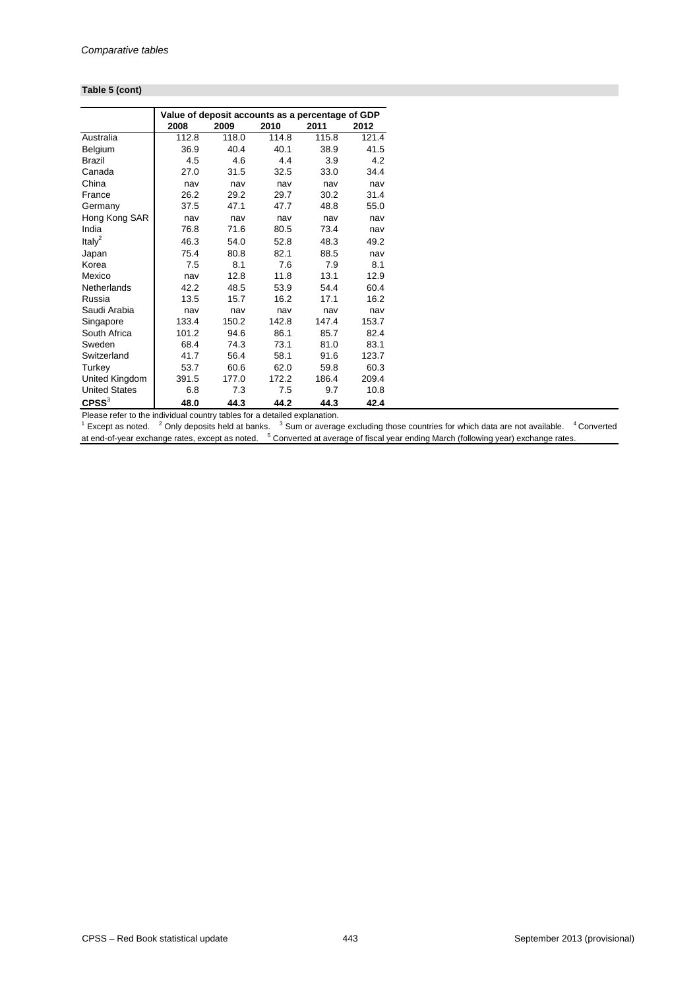#### **Table 5 (cont)**

|                      | Value of deposit accounts as a percentage of GDP |       |       |       |       |  |  |  |  |
|----------------------|--------------------------------------------------|-------|-------|-------|-------|--|--|--|--|
|                      | 2008                                             | 2009  | 2010  | 2011  | 2012  |  |  |  |  |
| Australia            | 112.8                                            | 118.0 | 114.8 | 115.8 | 121.4 |  |  |  |  |
| Belgium              | 36.9                                             | 40.4  | 40.1  | 38.9  | 41.5  |  |  |  |  |
| <b>Brazil</b>        | 4.5                                              | 4.6   | 4.4   | 3.9   | 4.2   |  |  |  |  |
| Canada               | 27.0                                             | 31.5  | 32.5  | 33.0  | 34.4  |  |  |  |  |
| China                | nav                                              | nav   | nav   | nav   | nav   |  |  |  |  |
| France               | 26.2                                             | 29.2  | 29.7  | 30.2  | 31.4  |  |  |  |  |
| Germany              | 37.5                                             | 47.1  | 47.7  | 48.8  | 55.0  |  |  |  |  |
| Hong Kong SAR        | nav                                              | nav   | nav   | nav   | nav   |  |  |  |  |
| India                | 76.8                                             | 71.6  | 80.5  | 73.4  | nav   |  |  |  |  |
| Italy <sup>2</sup>   | 46.3                                             | 54.0  | 52.8  | 48.3  | 49.2  |  |  |  |  |
| Japan                | 75.4                                             | 80.8  | 82.1  | 88.5  | nav   |  |  |  |  |
| Korea                | 7.5                                              | 8.1   | 7.6   | 7.9   | 8.1   |  |  |  |  |
| Mexico               | nav                                              | 12.8  | 11.8  | 13.1  | 12.9  |  |  |  |  |
| Netherlands          | 42.2                                             | 48.5  | 53.9  | 54.4  | 60.4  |  |  |  |  |
| Russia               | 13.5                                             | 15.7  | 16.2  | 17.1  | 16.2  |  |  |  |  |
| Saudi Arabia         | nav                                              | nav   | nav   | nav   | nav   |  |  |  |  |
| Singapore            | 133.4                                            | 150.2 | 142.8 | 147.4 | 153.7 |  |  |  |  |
| South Africa         | 101.2                                            | 94.6  | 86.1  | 85.7  | 82.4  |  |  |  |  |
| Sweden               | 68.4                                             | 74.3  | 73.1  | 81.0  | 83.1  |  |  |  |  |
| Switzerland          | 41.7                                             | 56.4  | 58.1  | 91.6  | 123.7 |  |  |  |  |
| Turkey               | 53.7                                             | 60.6  | 62.0  | 59.8  | 60.3  |  |  |  |  |
| United Kingdom       | 391.5                                            | 177.0 | 172.2 | 186.4 | 209.4 |  |  |  |  |
| <b>United States</b> | 6.8                                              | 7.3   | 7.5   | 9.7   | 10.8  |  |  |  |  |
| $C$ PSS $3$          | 48.0                                             | 44.3  | 44.2  | 44.3  | 42.4  |  |  |  |  |

Please refer to the individual country tables for a detailed explanation.

 $1$  Except as noted.  $2$  Only deposits held at banks.  $3$  Sum or average excluding those countries for which data are not available.  $4$  Converted at end-of-year exchange rates, except as noted. <sup>5</sup> Converted at average of fiscal year ending March (following year) exchange rates.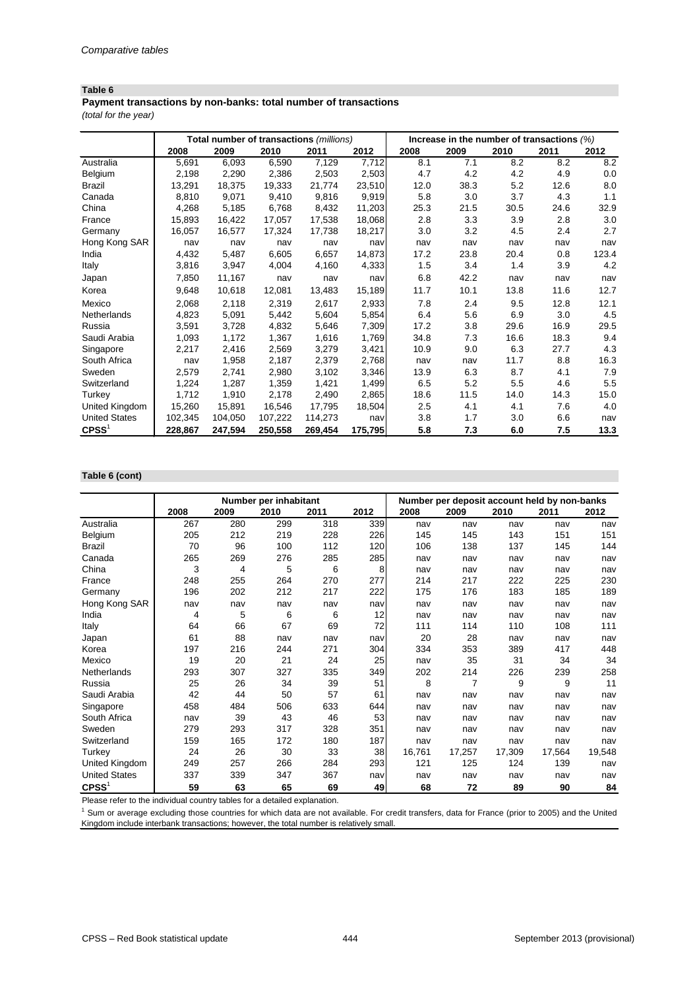*(total for the year)* **Payment transactions by non-banks: total number of transactions**

|                      |         | Total number of transactions (millions) |         |         |         | Increase in the number of transactions $(\%)$ |      |      |      |       |
|----------------------|---------|-----------------------------------------|---------|---------|---------|-----------------------------------------------|------|------|------|-------|
|                      | 2008    | 2009                                    | 2010    | 2011    | 2012    | 2008                                          | 2009 | 2010 | 2011 | 2012  |
| Australia            | 5,691   | 6,093                                   | 6,590   | 7,129   | 7,712   | 8.1                                           | 7.1  | 8.2  | 8.2  | 8.2   |
| <b>Belgium</b>       | 2,198   | 2,290                                   | 2,386   | 2,503   | 2,503   | 4.7                                           | 4.2  | 4.2  | 4.9  | 0.0   |
| <b>Brazil</b>        | 13,291  | 18,375                                  | 19,333  | 21,774  | 23,510  | 12.0                                          | 38.3 | 5.2  | 12.6 | 8.0   |
| Canada               | 8,810   | 9,071                                   | 9,410   | 9,816   | 9,919   | 5.8                                           | 3.0  | 3.7  | 4.3  | 1.1   |
| China                | 4,268   | 5,185                                   | 6,768   | 8,432   | 11,203  | 25.3                                          | 21.5 | 30.5 | 24.6 | 32.9  |
| France               | 15,893  | 16,422                                  | 17,057  | 17,538  | 18,068  | 2.8                                           | 3.3  | 3.9  | 2.8  | 3.0   |
| Germany              | 16,057  | 16,577                                  | 17,324  | 17,738  | 18,217  | 3.0                                           | 3.2  | 4.5  | 2.4  | 2.7   |
| Hong Kong SAR        | nav     | nav                                     | nav     | nav     | nav     | nav                                           | nav  | nav  | nav  | nav   |
| India                | 4,432   | 5,487                                   | 6,605   | 6,657   | 14,873  | 17.2                                          | 23.8 | 20.4 | 0.8  | 123.4 |
| Italy                | 3,816   | 3,947                                   | 4,004   | 4,160   | 4,333   | 1.5                                           | 3.4  | 1.4  | 3.9  | 4.2   |
| Japan                | 7,850   | 11,167                                  | nav     | nav     | nav     | 6.8                                           | 42.2 | nav  | nav  | nav   |
| Korea                | 9,648   | 10,618                                  | 12,081  | 13,483  | 15,189  | 11.7                                          | 10.1 | 13.8 | 11.6 | 12.7  |
| Mexico               | 2,068   | 2,118                                   | 2,319   | 2,617   | 2,933   | 7.8                                           | 2.4  | 9.5  | 12.8 | 12.1  |
| Netherlands          | 4,823   | 5,091                                   | 5,442   | 5,604   | 5,854   | 6.4                                           | 5.6  | 6.9  | 3.0  | 4.5   |
| Russia               | 3,591   | 3,728                                   | 4,832   | 5,646   | 7,309   | 17.2                                          | 3.8  | 29.6 | 16.9 | 29.5  |
| Saudi Arabia         | 1,093   | 1,172                                   | 1,367   | 1,616   | 1,769   | 34.8                                          | 7.3  | 16.6 | 18.3 | 9.4   |
| Singapore            | 2,217   | 2,416                                   | 2,569   | 3,279   | 3,421   | 10.9                                          | 9.0  | 6.3  | 27.7 | 4.3   |
| South Africa         | nav     | 1,958                                   | 2,187   | 2,379   | 2,768   | nav                                           | nav  | 11.7 | 8.8  | 16.3  |
| Sweden               | 2,579   | 2,741                                   | 2,980   | 3,102   | 3,346   | 13.9                                          | 6.3  | 8.7  | 4.1  | 7.9   |
| Switzerland          | 1,224   | 1,287                                   | 1,359   | 1,421   | 1,499   | 6.5                                           | 5.2  | 5.5  | 4.6  | 5.5   |
| Turkey               | 1,712   | 1,910                                   | 2,178   | 2,490   | 2,865   | 18.6                                          | 11.5 | 14.0 | 14.3 | 15.0  |
| United Kingdom       | 15,260  | 15,891                                  | 16,546  | 17,795  | 18,504  | 2.5                                           | 4.1  | 4.1  | 7.6  | 4.0   |
| <b>United States</b> | 102,345 | 104,050                                 | 107,222 | 114,273 | nav     | 3.8                                           | 1.7  | 3.0  | 6.6  | nav   |
| $C$ PSS <sup>1</sup> | 228,867 | 247,594                                 | 250,558 | 269,454 | 175,795 | 5.8                                           | 7.3  | 6.0  | 7.5  | 13.3  |

## **Table 6 (cont)**

|                      |      |      | Number per inhabitant |      |      | Number per deposit account held by non-banks |                |        |        |        |
|----------------------|------|------|-----------------------|------|------|----------------------------------------------|----------------|--------|--------|--------|
|                      | 2008 | 2009 | 2010                  | 2011 | 2012 | 2008                                         | 2009           | 2010   | 2011   | 2012   |
| Australia            | 267  | 280  | 299                   | 318  | 339  | nav                                          | nav            | nav    | nav    | nav    |
| Belgium              | 205  | 212  | 219                   | 228  | 226  | 145                                          | 145            | 143    | 151    | 151    |
| <b>Brazil</b>        | 70   | 96   | 100                   | 112  | 120  | 106                                          | 138            | 137    | 145    | 144    |
| Canada               | 265  | 269  | 276                   | 285  | 285  | nav                                          | nav            | nav    | nav    | nav    |
| China                | 3    | 4    | 5                     | 6    | 8    | nav                                          | nav            | nav    | nav    | nav    |
| France               | 248  | 255  | 264                   | 270  | 277  | 214                                          | 217            | 222    | 225    | 230    |
| Germany              | 196  | 202  | 212                   | 217  | 222  | 175                                          | 176            | 183    | 185    | 189    |
| Hong Kong SAR        | nav  | nav  | nav                   | nav  | nav  | nav                                          | nav            | nav    | nav    | nav    |
| India                | 4    | 5    | 6                     | 6    | 12   | nav                                          | nav            | nav    | nav    | nav    |
| Italy                | 64   | 66   | 67                    | 69   | 72   | 111                                          | 114            | 110    | 108    | 111    |
| Japan                | 61   | 88   | nav                   | nav  | nav  | 20                                           | 28             | nav    | nav    | nav    |
| Korea                | 197  | 216  | 244                   | 271  | 304  | 334                                          | 353            | 389    | 417    | 448    |
| Mexico               | 19   | 20   | 21                    | 24   | 25   | nav                                          | 35             | 31     | 34     | 34     |
| Netherlands          | 293  | 307  | 327                   | 335  | 349  | 202                                          | 214            | 226    | 239    | 258    |
| Russia               | 25   | 26   | 34                    | 39   | 51   | 8                                            | $\overline{7}$ | 9      | 9      | 11     |
| Saudi Arabia         | 42   | 44   | 50                    | 57   | 61   | nav                                          | nav            | nav    | nav    | nav    |
| Singapore            | 458  | 484  | 506                   | 633  | 644  | nav                                          | nav            | nav    | nav    | nav    |
| South Africa         | nav  | 39   | 43                    | 46   | 53   | nav                                          | nav            | nav    | nav    | nav    |
| Sweden               | 279  | 293  | 317                   | 328  | 351  | nav                                          | nav            | nav    | nav    | nav    |
| Switzerland          | 159  | 165  | 172                   | 180  | 187  | nav                                          | nav            | nav    | nav    | nav    |
| Turkey               | 24   | 26   | 30                    | 33   | 38   | 16,761                                       | 17,257         | 17,309 | 17,564 | 19,548 |
| United Kingdom       | 249  | 257  | 266                   | 284  | 293  | 121                                          | 125            | 124    | 139    | nav    |
| <b>United States</b> | 337  | 339  | 347                   | 367  | nav  | nav                                          | nav            | nav    | nav    | nav    |
| CPSS <sup>1</sup>    | 59   | 63   | 65                    | 69   | 49   | 68                                           | 72             | 89     | 90     | 84     |

Please refer to the individual country tables for a detailed explanation.

<sup>1</sup> Sum or average excluding those countries for which data are not available. For credit transfers, data for France (prior to 2005) and the United Kingdom include interbank transactions; however, the total number is relatively small.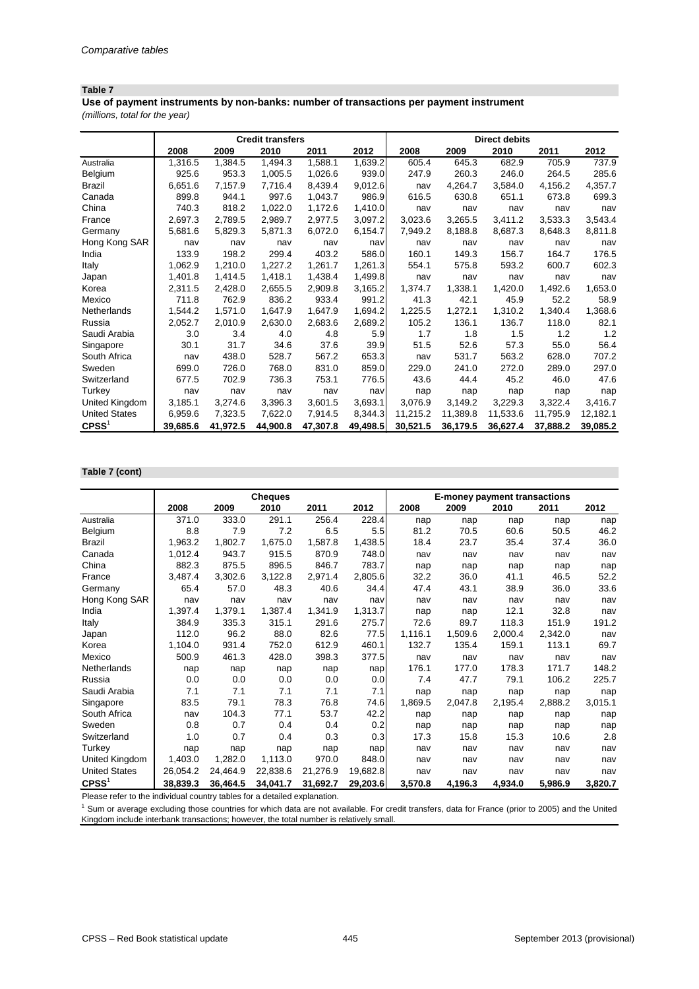*(millions, total for the year)* **Use of payment instruments by non-banks: number of transactions per payment instrument**

|                      |          |          | <b>Credit transfers</b> |          |          | <b>Direct debits</b> |          |          |          |          |  |
|----------------------|----------|----------|-------------------------|----------|----------|----------------------|----------|----------|----------|----------|--|
|                      | 2008     | 2009     | 2010                    | 2011     | 2012     | 2008                 | 2009     | 2010     | 2011     | 2012     |  |
| Australia            | 1,316.5  | 1,384.5  | 1,494.3                 | 1,588.1  | 1,639.2  | 605.4                | 645.3    | 682.9    | 705.9    | 737.9    |  |
| Belgium              | 925.6    | 953.3    | 1,005.5                 | 1,026.6  | 939.0    | 247.9                | 260.3    | 246.0    | 264.5    | 285.6    |  |
| <b>Brazil</b>        | 6,651.6  | 7,157.9  | 7,716.4                 | 8,439.4  | 9,012.6  | nav                  | 4,264.7  | 3,584.0  | 4,156.2  | 4,357.7  |  |
| Canada               | 899.8    | 944.1    | 997.6                   | 1,043.7  | 986.9    | 616.5                | 630.8    | 651.1    | 673.8    | 699.3    |  |
| China                | 740.3    | 818.2    | 1,022.0                 | 1,172.6  | 1,410.0  | nav                  | nav      | nav      | nav      | nav      |  |
| France               | 2,697.3  | 2,789.5  | 2,989.7                 | 2,977.5  | 3,097.2  | 3,023.6              | 3,265.5  | 3,411.2  | 3,533.3  | 3,543.4  |  |
| Germany              | 5,681.6  | 5,829.3  | 5,871.3                 | 6,072.0  | 6,154.7  | 7,949.2              | 8,188.8  | 8,687.3  | 8,648.3  | 8,811.8  |  |
| Hong Kong SAR        | nav      | nav      | nav                     | nav      | nav      | nav                  | nav      | nav      | nav      | nav      |  |
| India                | 133.9    | 198.2    | 299.4                   | 403.2    | 586.0    | 160.1                | 149.3    | 156.7    | 164.7    | 176.5    |  |
| Italy                | 1,062.9  | 1,210.0  | 1,227.2                 | 1,261.7  | 1,261.3  | 554.1                | 575.8    | 593.2    | 600.7    | 602.3    |  |
| Japan                | 1,401.8  | 1,414.5  | 1,418.1                 | 1,438.4  | 1,499.8  | nav                  | nav      | nav      | nav      | nav      |  |
| Korea                | 2,311.5  | 2,428.0  | 2,655.5                 | 2,909.8  | 3,165.2  | 1,374.7              | 1,338.1  | 1,420.0  | 1,492.6  | 1,653.0  |  |
| Mexico               | 711.8    | 762.9    | 836.2                   | 933.4    | 991.2    | 41.3                 | 42.1     | 45.9     | 52.2     | 58.9     |  |
| Netherlands          | 1,544.2  | 1,571.0  | 1,647.9                 | 1,647.9  | 1,694.2  | 1,225.5              | 1,272.1  | 1,310.2  | 1,340.4  | 1,368.6  |  |
| Russia               | 2,052.7  | 2,010.9  | 2,630.0                 | 2,683.6  | 2,689.2  | 105.2                | 136.1    | 136.7    | 118.0    | 82.1     |  |
| Saudi Arabia         | 3.0      | 3.4      | 4.0                     | 4.8      | 5.9      | 1.7                  | 1.8      | 1.5      | 1.2      | 1.2      |  |
| Singapore            | 30.1     | 31.7     | 34.6                    | 37.6     | 39.9     | 51.5                 | 52.6     | 57.3     | 55.0     | 56.4     |  |
| South Africa         | nav      | 438.0    | 528.7                   | 567.2    | 653.3    | nav                  | 531.7    | 563.2    | 628.0    | 707.2    |  |
| Sweden               | 699.0    | 726.0    | 768.0                   | 831.0    | 859.0    | 229.0                | 241.0    | 272.0    | 289.0    | 297.0    |  |
| Switzerland          | 677.5    | 702.9    | 736.3                   | 753.1    | 776.5    | 43.6                 | 44.4     | 45.2     | 46.0     | 47.6     |  |
| Turkey               | nav      | nav      | nav                     | nav      | nav      | nap                  | nap      | nap      | nap      | nap      |  |
| United Kingdom       | 3,185.1  | 3,274.6  | 3,396.3                 | 3,601.5  | 3,693.1  | 3,076.9              | 3,149.2  | 3,229.3  | 3,322.4  | 3,416.7  |  |
| <b>United States</b> | 6,959.6  | 7,323.5  | 7,622.0                 | 7,914.5  | 8,344.3  | 11,215.2             | 11,389.8 | 11,533.6 | 11,795.9 | 12,182.1 |  |
| CPSS <sup>1</sup>    | 39,685.6 | 41,972.5 | 44,900.8                | 47,307.8 | 49,498.5 | 30,521.5             | 36,179.5 | 36,627.4 | 37,888.2 | 39,085.2 |  |

#### **Table 7 (cont)**

|                      |          |          | <b>Cheques</b> |          |          | <b>E-money payment transactions</b> |         |         |         |         |
|----------------------|----------|----------|----------------|----------|----------|-------------------------------------|---------|---------|---------|---------|
|                      | 2008     | 2009     | 2010           | 2011     | 2012     | 2008                                | 2009    | 2010    | 2011    | 2012    |
| Australia            | 371.0    | 333.0    | 291.1          | 256.4    | 228.4    | nap                                 | nap     | nap     | nap     | nap     |
| Belgium              | 8.8      | 7.9      | 7.2            | 6.5      | 5.5      | 81.2                                | 70.5    | 60.6    | 50.5    | 46.2    |
| <b>Brazil</b>        | 1,963.2  | 1,802.7  | 1,675.0        | 1,587.8  | 1,438.5  | 18.4                                | 23.7    | 35.4    | 37.4    | 36.0    |
| Canada               | 1,012.4  | 943.7    | 915.5          | 870.9    | 748.0    | nav                                 | nav     | nav     | nav     | nav     |
| China                | 882.3    | 875.5    | 896.5          | 846.7    | 783.7    | nap                                 | nap     | nap     | nap     | nap     |
| France               | 3,487.4  | 3,302.6  | 3,122.8        | 2,971.4  | 2,805.6  | 32.2                                | 36.0    | 41.1    | 46.5    | 52.2    |
| Germany              | 65.4     | 57.0     | 48.3           | 40.6     | 34.4     | 47.4                                | 43.1    | 38.9    | 36.0    | 33.6    |
| Hong Kong SAR        | nav      | nav      | nav            | nav      | nav      | nav                                 | nav     | nav     | nav     | nav     |
| India                | 1,397.4  | 1,379.1  | 1,387.4        | 1,341.9  | 1,313.7  | nap                                 | nap     | 12.1    | 32.8    | nav     |
| Italy                | 384.9    | 335.3    | 315.1          | 291.6    | 275.7    | 72.6                                | 89.7    | 118.3   | 151.9   | 191.2   |
| Japan                | 112.0    | 96.2     | 88.0           | 82.6     | 77.5     | 1,116.1                             | 1,509.6 | 2,000.4 | 2,342.0 | nav     |
| Korea                | 1,104.0  | 931.4    | 752.0          | 612.9    | 460.1    | 132.7                               | 135.4   | 159.1   | 113.1   | 69.7    |
| Mexico               | 500.9    | 461.3    | 428.0          | 398.3    | 377.5    | nav                                 | nav     | nav     | nav     | nav     |
| Netherlands          | nap      | nap      | nap            | nap      | nap      | 176.1                               | 177.0   | 178.3   | 171.7   | 148.2   |
| Russia               | 0.0      | 0.0      | 0.0            | 0.0      | 0.0      | 7.4                                 | 47.7    | 79.1    | 106.2   | 225.7   |
| Saudi Arabia         | 7.1      | 7.1      | 7.1            | 7.1      | 7.1      | nap                                 | nap     | nap     | nap     | nap     |
| Singapore            | 83.5     | 79.1     | 78.3           | 76.8     | 74.6     | 1,869.5                             | 2,047.8 | 2,195.4 | 2,888.2 | 3,015.1 |
| South Africa         | nav      | 104.3    | 77.1           | 53.7     | 42.2     | nap                                 | nap     | nap     | nap     | nap     |
| Sweden               | 0.8      | 0.7      | 0.4            | 0.4      | 0.2      | nap                                 | nap     | nap     | nap     | nap     |
| Switzerland          | 1.0      | 0.7      | 0.4            | 0.3      | 0.3      | 17.3                                | 15.8    | 15.3    | 10.6    | 2.8     |
| Turkey               | nap      | nap      | nap            | nap      | nap      | nav                                 | nav     | nav     | nav     | nav     |
| United Kingdom       | 1,403.0  | 1,282.0  | 1,113.0        | 970.0    | 848.0    | nav                                 | nav     | nav     | nav     | nav     |
| <b>United States</b> | 26,054.2 | 24,464.9 | 22,838.6       | 21,276.9 | 19,682.8 | nav                                 | nav     | nav     | nav     | nav     |
| CPSS <sup>1</sup>    | 38,839.3 | 36,464.5 | 34,041.7       | 31,692.7 | 29,203.6 | 3,570.8                             | 4,196.3 | 4,934.0 | 5,986.9 | 3,820.7 |

Please refer to the individual country tables for a detailed explanation.

<sup>1</sup> Sum or average excluding those countries for which data are not available. For credit transfers, data for France (prior to 2005) and the United Kingdom include interbank transactions; however, the total number is relatively small.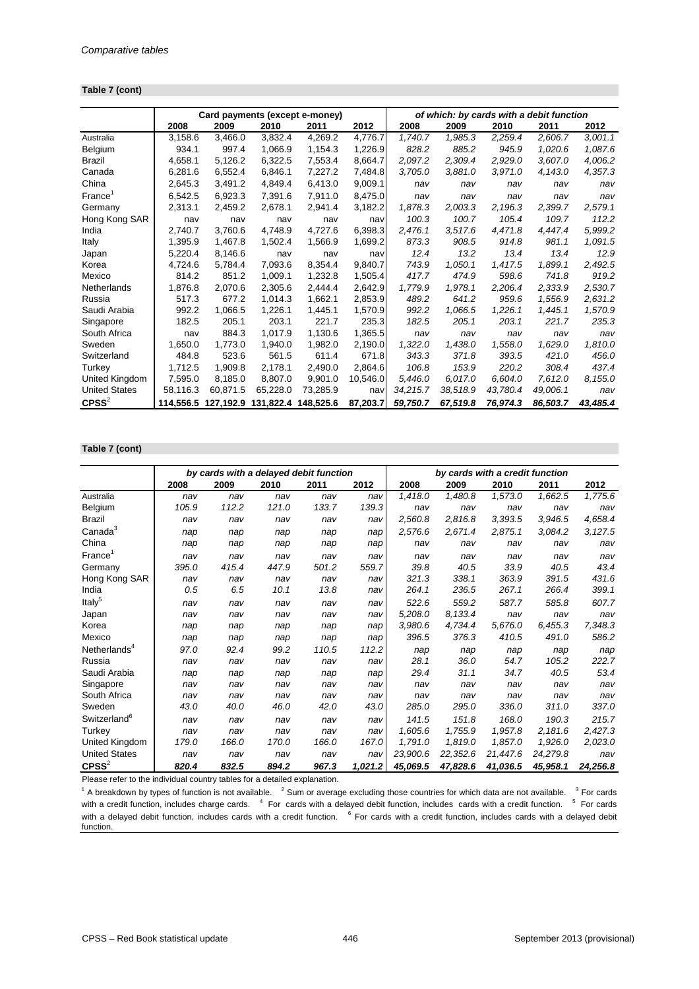#### **Table 7 (cont)**

|                      | Card payments (except e-money)<br>of which: by cards with a debit function |           |          |                     |          |          |          |          |          |          |
|----------------------|----------------------------------------------------------------------------|-----------|----------|---------------------|----------|----------|----------|----------|----------|----------|
|                      | 2008                                                                       | 2009      | 2010     | 2011                | 2012     | 2008     | 2009     | 2010     | 2011     | 2012     |
| Australia            | 3,158.6                                                                    | 3,466.0   | 3,832.4  | 4,269.2             | 4,776.7  | 1,740.7  | 1,985.3  | 2,259.4  | 2,606.7  | 3,001.1  |
| Belgium              | 934.1                                                                      | 997.4     | 1,066.9  | 1,154.3             | 1,226.9  | 828.2    | 885.2    | 945.9    | 1,020.6  | 1,087.6  |
| <b>Brazil</b>        | 4,658.1                                                                    | 5,126.2   | 6,322.5  | 7,553.4             | 8,664.7  | 2,097.2  | 2,309.4  | 2,929.0  | 3,607.0  | 4,006.2  |
| Canada               | 6,281.6                                                                    | 6,552.4   | 6,846.1  | 7,227.2             | 7,484.8  | 3,705.0  | 3,881.0  | 3,971.0  | 4,143.0  | 4,357.3  |
| China                | 2,645.3                                                                    | 3,491.2   | 4,849.4  | 6,413.0             | 9,009.1  | nav      | nav      | nav      | nav      | nav      |
| France <sup>1</sup>  | 6,542.5                                                                    | 6,923.3   | 7,391.6  | 7,911.0             | 8,475.0  | nav      | nav      | nav      | nav      | nav      |
| Germany              | 2,313.1                                                                    | 2,459.2   | 2,678.1  | 2,941.4             | 3,182.2  | 1,878.3  | 2,003.3  | 2,196.3  | 2,399.7  | 2,579.1  |
| Hong Kong SAR        | nav                                                                        | nav       | nav      | nav                 | nav      | 100.3    | 100.7    | 105.4    | 109.7    | 112.2    |
| India                | 2,740.7                                                                    | 3,760.6   | 4,748.9  | 4,727.6             | 6,398.3  | 2,476.1  | 3,517.6  | 4,471.8  | 4,447.4  | 5,999.2  |
| Italy                | 1,395.9                                                                    | 1,467.8   | 1,502.4  | 1,566.9             | 1,699.2  | 873.3    | 908.5    | 914.8    | 981.1    | 1,091.5  |
| Japan                | 5,220.4                                                                    | 8,146.6   | nav      | nav                 | nav      | 12.4     | 13.2     | 13.4     | 13.4     | 12.9     |
| Korea                | 4,724.6                                                                    | 5,784.4   | 7,093.6  | 8,354.4             | 9,840.7  | 743.9    | 1,050.1  | 1,417.5  | 1,899.1  | 2,492.5  |
| Mexico               | 814.2                                                                      | 851.2     | 1,009.1  | 1,232.8             | 1,505.4  | 417.7    | 474.9    | 598.6    | 741.8    | 919.2    |
| Netherlands          | 1,876.8                                                                    | 2,070.6   | 2,305.6  | 2,444.4             | 2,642.9  | 1,779.9  | 1,978.1  | 2,206.4  | 2,333.9  | 2,530.7  |
| Russia               | 517.3                                                                      | 677.2     | 1,014.3  | 1,662.1             | 2,853.9  | 489.2    | 641.2    | 959.6    | 1,556.9  | 2,631.2  |
| Saudi Arabia         | 992.2                                                                      | 1,066.5   | 1,226.1  | 1,445.1             | 1,570.9  | 992.2    | 1,066.5  | 1,226.1  | 1,445.1  | 1,570.9  |
| Singapore            | 182.5                                                                      | 205.1     | 203.1    | 221.7               | 235.3    | 182.5    | 205.1    | 203.1    | 221.7    | 235.3    |
| South Africa         | nav                                                                        | 884.3     | 1,017.9  | 1,130.6             | 1,365.5  | nav      | nav      | nav      | nav      | nav      |
| Sweden               | 1,650.0                                                                    | 1,773.0   | 1,940.0  | 1,982.0             | 2,190.0  | 1,322.0  | 1,438.0  | 1,558.0  | 1,629.0  | 1,810.0  |
| Switzerland          | 484.8                                                                      | 523.6     | 561.5    | 611.4               | 671.8    | 343.3    | 371.8    | 393.5    | 421.0    | 456.0    |
| Turkey               | 1,712.5                                                                    | 1,909.8   | 2,178.1  | 2,490.0             | 2,864.6  | 106.8    | 153.9    | 220.2    | 308.4    | 437.4    |
| United Kingdom       | 7,595.0                                                                    | 8,185.0   | 8,807.0  | 9,901.0             | 10,546.0 | 5,446.0  | 6.017.0  | 6,604.0  | 7,612.0  | 8,155.0  |
| <b>United States</b> | 58,116.3                                                                   | 60.871.5  | 65,228.0 | 73,285.9            | nav      | 34,215.7 | 38,518.9 | 43,780.4 | 49,006.1 | nav      |
| $C$ PSS $^{2}$       | 114.556.5                                                                  | 127,192.9 |          | 131,822.4 148,525.6 | 87,203.7 | 59,750.7 | 67,519.8 | 76,974.3 | 86,503.7 | 43,485.4 |

#### **Table 7 (cont)**

|                          | by cards with a delayed debit function<br>by cards with a credit function |       |       |       |         |          |          |          |          |          |
|--------------------------|---------------------------------------------------------------------------|-------|-------|-------|---------|----------|----------|----------|----------|----------|
|                          | 2008                                                                      | 2009  | 2010  | 2011  | 2012    | 2008     | 2009     | 2010     | 2011     | 2012     |
| Australia                | nav                                                                       | nav   | nav   | nav   | nav     | 1,418.0  | 1,480.8  | 1,573.0  | 1,662.5  | 1,775.6  |
| Belgium                  | 105.9                                                                     | 112.2 | 121.0 | 133.7 | 139.3   | nav      | nav      | nav      | nav      | nav      |
| <b>Brazil</b>            | nav                                                                       | nav   | nav   | nav   | nav     | 2,560.8  | 2,816.8  | 3,393.5  | 3,946.5  | 4,658.4  |
| Canada <sup>3</sup>      | nap                                                                       | nap   | nap   | nap   | nap     | 2,576.6  | 2,671.4  | 2,875.1  | 3,084.2  | 3,127.5  |
| China                    | nap                                                                       | nap   | nap   | nap   | nap     | nav      | nav      | nav      | nav      | nav      |
| France <sup>1</sup>      | nav                                                                       | nav   | nav   | nav   | nav     | nav      | nav      | nav      | nav      | nav      |
| Germany                  | 395.0                                                                     | 415.4 | 447.9 | 501.2 | 559.7   | 39.8     | 40.5     | 33.9     | 40.5     | 43.4     |
| Hong Kong SAR            | nav                                                                       | nav   | nav   | nav   | nav     | 321.3    | 338.1    | 363.9    | 391.5    | 431.6    |
| India                    | 0.5                                                                       | 6.5   | 10.1  | 13.8  | nav     | 264.1    | 236.5    | 267.1    | 266.4    | 399.1    |
| Italy <sup>5</sup>       | nav                                                                       | nav   | nav   | nav   | nav     | 522.6    | 559.2    | 587.7    | 585.8    | 607.7    |
| Japan                    | nav                                                                       | nav   | nav   | nav   | nav     | 5,208.0  | 8,133.4  | nav      | nav      | nav      |
| Korea                    | nap                                                                       | nap   | nap   | nap   | nap     | 3,980.6  | 4,734.4  | 5,676.0  | 6,455.3  | 7,348.3  |
| Mexico                   | nap                                                                       | nap   | nap   | nap   | nap     | 396.5    | 376.3    | 410.5    | 491.0    | 586.2    |
| Netherlands <sup>4</sup> | 97.0                                                                      | 92.4  | 99.2  | 110.5 | 112.2   | nap      | nap      | nap      | nap      | nap      |
| Russia                   | nav                                                                       | nav   | nav   | nav   | nav     | 28.1     | 36.0     | 54.7     | 105.2    | 222.7    |
| Saudi Arabia             | nap                                                                       | nap   | nap   | nap   | nap     | 29.4     | 31.1     | 34.7     | 40.5     | 53.4     |
| Singapore                | nav                                                                       | nav   | nav   | nav   | nav     | nav      | nav      | nav      | nav      | nav      |
| South Africa             | nav                                                                       | nav   | nav   | nav   | nav     | nav      | nav      | nav      | nav      | nav      |
| Sweden                   | 43.0                                                                      | 40.0  | 46.0  | 42.0  | 43.0    | 285.0    | 295.0    | 336.0    | 311.0    | 337.0    |
| Switzerland <sup>6</sup> | nav                                                                       | nav   | nav   | nav   | nav     | 141.5    | 151.8    | 168.0    | 190.3    | 215.7    |
| Turkey                   | nav                                                                       | nav   | nav   | nav   | nav     | 1,605.6  | 1,755.9  | 1,957.8  | 2,181.6  | 2,427.3  |
| United Kingdom           | 179.0                                                                     | 166.0 | 170.0 | 166.0 | 167.0   | 1,791.0  | 1,819.0  | 1,857.0  | 1,926.0  | 2,023.0  |
| <b>United States</b>     | nav                                                                       | nav   | nav   | nav   | nav     | 23,900.6 | 22,352.6 | 21,447.6 | 24,279.8 | nav      |
| $C$ PSS <sup>2</sup>     | 820.4                                                                     | 832.5 | 894.2 | 967.3 | 1,021.2 | 45,069.5 | 47,828.6 | 41,036.5 | 45,958.1 | 24,256.8 |

Please refer to the individual country tables for a detailed explanation.

 $1$  A breakdown by types of function is not available.  $2$  Sum or average excluding those countries for which data are not available.  $3$  For cards with a credit function, includes charge cards. <sup>4</sup> For cards with a delayed debit function, includes cards with a credit function. <sup>5</sup> For cards with a delayed debit function, includes cards with a credit function. <sup>6</sup> For cards with a credit function, includes cards with a delayed debit function.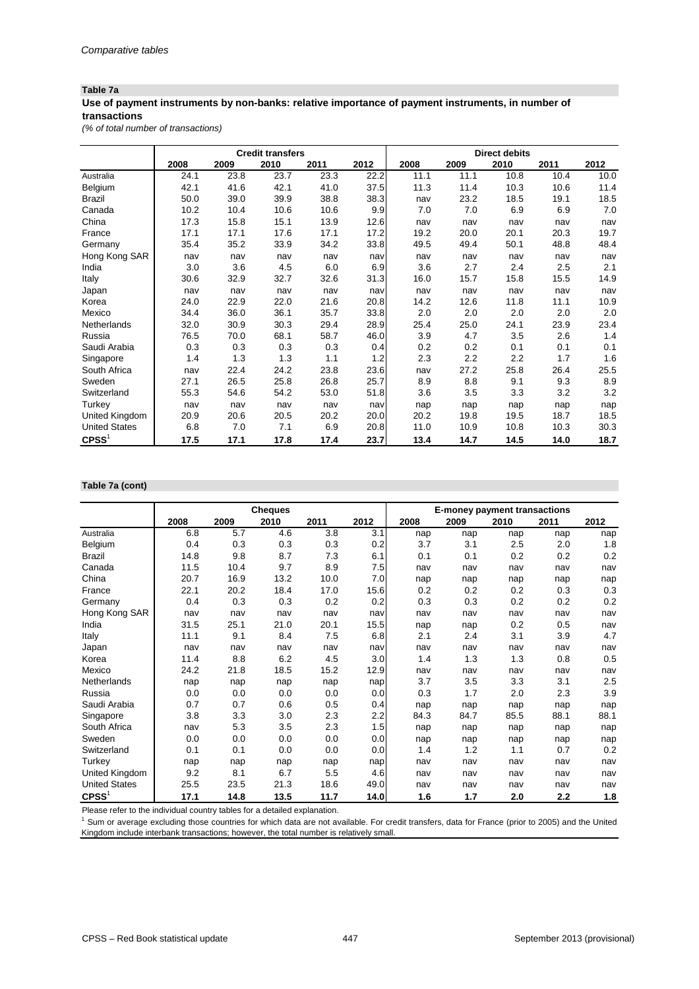## **Table 7a**

## **Use of payment instruments by non-banks: relative importance of payment instruments, in number of transactions**

*(% of total number of transactions)*

|                      |      |      | <b>Credit transfers</b> |      |      |      |      | <b>Direct debits</b> |      |      |
|----------------------|------|------|-------------------------|------|------|------|------|----------------------|------|------|
|                      | 2008 | 2009 | 2010                    | 2011 | 2012 | 2008 | 2009 | 2010                 | 2011 | 2012 |
| Australia            | 24.1 | 23.8 | 23.7                    | 23.3 | 22.2 | 11.1 | 11.1 | 10.8                 | 10.4 | 10.0 |
| Belgium              | 42.1 | 41.6 | 42.1                    | 41.0 | 37.5 | 11.3 | 11.4 | 10.3                 | 10.6 | 11.4 |
| <b>Brazil</b>        | 50.0 | 39.0 | 39.9                    | 38.8 | 38.3 | nav  | 23.2 | 18.5                 | 19.1 | 18.5 |
| Canada               | 10.2 | 10.4 | 10.6                    | 10.6 | 9.9  | 7.0  | 7.0  | 6.9                  | 6.9  | 7.0  |
| China                | 17.3 | 15.8 | 15.1                    | 13.9 | 12.6 | nav  | nav  | nav                  | nav  | nav  |
| France               | 17.1 | 17.1 | 17.6                    | 17.1 | 17.2 | 19.2 | 20.0 | 20.1                 | 20.3 | 19.7 |
| Germany              | 35.4 | 35.2 | 33.9                    | 34.2 | 33.8 | 49.5 | 49.4 | 50.1                 | 48.8 | 48.4 |
| Hong Kong SAR        | nav  | nav  | nav                     | nav  | nav  | nav  | nav  | nav                  | nav  | nav  |
| India                | 3.0  | 3.6  | 4.5                     | 6.0  | 6.9  | 3.6  | 2.7  | 2.4                  | 2.5  | 2.1  |
| Italy                | 30.6 | 32.9 | 32.7                    | 32.6 | 31.3 | 16.0 | 15.7 | 15.8                 | 15.5 | 14.9 |
| Japan                | nav  | nav  | nav                     | nav  | nav  | nav  | nav  | nav                  | nav  | nav  |
| Korea                | 24.0 | 22.9 | 22.0                    | 21.6 | 20.8 | 14.2 | 12.6 | 11.8                 | 11.1 | 10.9 |
| Mexico               | 34.4 | 36.0 | 36.1                    | 35.7 | 33.8 | 2.0  | 2.0  | 2.0                  | 2.0  | 2.0  |
| Netherlands          | 32.0 | 30.9 | 30.3                    | 29.4 | 28.9 | 25.4 | 25.0 | 24.1                 | 23.9 | 23.4 |
| Russia               | 76.5 | 70.0 | 68.1                    | 58.7 | 46.0 | 3.9  | 4.7  | 3.5                  | 2.6  | 1.4  |
| Saudi Arabia         | 0.3  | 0.3  | 0.3                     | 0.3  | 0.4  | 0.2  | 0.2  | 0.1                  | 0.1  | 0.1  |
| Singapore            | 1.4  | 1.3  | 1.3                     | 1.1  | 1.2  | 2.3  | 2.2  | 2.2                  | 1.7  | 1.6  |
| South Africa         | nav  | 22.4 | 24.2                    | 23.8 | 23.6 | nav  | 27.2 | 25.8                 | 26.4 | 25.5 |
| Sweden               | 27.1 | 26.5 | 25.8                    | 26.8 | 25.7 | 8.9  | 8.8  | 9.1                  | 9.3  | 8.9  |
| Switzerland          | 55.3 | 54.6 | 54.2                    | 53.0 | 51.8 | 3.6  | 3.5  | 3.3                  | 3.2  | 3.2  |
| Turkey               | nav  | nav  | nav                     | nav  | nav  | nap  | nap  | nap                  | nap  | nap  |
| United Kingdom       | 20.9 | 20.6 | 20.5                    | 20.2 | 20.0 | 20.2 | 19.8 | 19.5                 | 18.7 | 18.5 |
| <b>United States</b> | 6.8  | 7.0  | 7.1                     | 6.9  | 20.8 | 11.0 | 10.9 | 10.8                 | 10.3 | 30.3 |
| $C$ PSS <sup>1</sup> | 17.5 | 17.1 | 17.8                    | 17.4 | 23.7 | 13.4 | 14.7 | 14.5                 | 14.0 | 18.7 |

#### **Table 7a (cont)**

|                      |      |      | <b>Cheques</b> |      |      | <b>E-money payment transactions</b> |      |      |      |      |
|----------------------|------|------|----------------|------|------|-------------------------------------|------|------|------|------|
|                      | 2008 | 2009 | 2010           | 2011 | 2012 | 2008                                | 2009 | 2010 | 2011 | 2012 |
| Australia            | 6.8  | 5.7  | 4.6            | 3.8  | 3.1  | nap                                 | nap  | nap  | nap  | nap  |
| Belgium              | 0.4  | 0.3  | 0.3            | 0.3  | 0.2  | 3.7                                 | 3.1  | 2.5  | 2.0  | 1.8  |
| <b>Brazil</b>        | 14.8 | 9.8  | 8.7            | 7.3  | 6.1  | 0.1                                 | 0.1  | 0.2  | 0.2  | 0.2  |
| Canada               | 11.5 | 10.4 | 9.7            | 8.9  | 7.5  | nav                                 | nav  | nav  | nav  | nav  |
| China                | 20.7 | 16.9 | 13.2           | 10.0 | 7.0  | nap                                 | nap  | nap  | nap  | nap  |
| France               | 22.1 | 20.2 | 18.4           | 17.0 | 15.6 | 0.2                                 | 0.2  | 0.2  | 0.3  | 0.3  |
| Germany              | 0.4  | 0.3  | 0.3            | 0.2  | 0.2  | 0.3                                 | 0.3  | 0.2  | 0.2  | 0.2  |
| Hong Kong SAR        | nav  | nav  | nav            | nav  | nav  | nav                                 | nav  | nav  | nav  | nav  |
| India                | 31.5 | 25.1 | 21.0           | 20.1 | 15.5 | nap                                 | nap  | 0.2  | 0.5  | nav  |
| Italy                | 11.1 | 9.1  | 8.4            | 7.5  | 6.8  | 2.1                                 | 2.4  | 3.1  | 3.9  | 4.7  |
| Japan                | nav  | nav  | nav            | nav  | nav  | nav                                 | nav  | nav  | nav  | nav  |
| Korea                | 11.4 | 8.8  | 6.2            | 4.5  | 3.0  | 1.4                                 | 1.3  | 1.3  | 0.8  | 0.5  |
| Mexico               | 24.2 | 21.8 | 18.5           | 15.2 | 12.9 | nav                                 | nav  | nav  | nav  | nav  |
| Netherlands          | nap  | nap  | nap            | nap  | nap  | 3.7                                 | 3.5  | 3.3  | 3.1  | 2.5  |
| Russia               | 0.0  | 0.0  | 0.0            | 0.0  | 0.0  | 0.3                                 | 1.7  | 2.0  | 2.3  | 3.9  |
| Saudi Arabia         | 0.7  | 0.7  | 0.6            | 0.5  | 0.4  | nap                                 | nap  | nap  | nap  | nap  |
| Singapore            | 3.8  | 3.3  | 3.0            | 2.3  | 2.2  | 84.3                                | 84.7 | 85.5 | 88.1 | 88.1 |
| South Africa         | nav  | 5.3  | 3.5            | 2.3  | 1.5  | nap                                 | nap  | nap  | nap  | nap  |
| Sweden               | 0.0  | 0.0  | 0.0            | 0.0  | 0.0  | nap                                 | nap  | nap  | nap  | nap  |
| Switzerland          | 0.1  | 0.1  | 0.0            | 0.0  | 0.0  | 1.4                                 | 1.2  | 1.1  | 0.7  | 0.2  |
| Turkey               | nap  | nap  | nap            | nap  | nap  | nav                                 | nav  | nav  | nav  | nav  |
| United Kingdom       | 9.2  | 8.1  | 6.7            | 5.5  | 4.6  | nav                                 | nav  | nav  | nav  | nav  |
| <b>United States</b> | 25.5 | 23.5 | 21.3           | 18.6 | 49.0 | nav                                 | nav  | nav  | nav  | nav  |
| CPSS <sup>1</sup>    | 17.1 | 14.8 | 13.5           | 11.7 | 14.0 | 1.6                                 | 1.7  | 2.0  | 2.2  | 1.8  |

Please refer to the individual country tables for a detailed explanation.

 $1$  Sum or average excluding those countries for which data are not available. For credit transfers, data for France (prior to 2005) and the United Kingdom include interbank transactions; however, the total number is relatively small.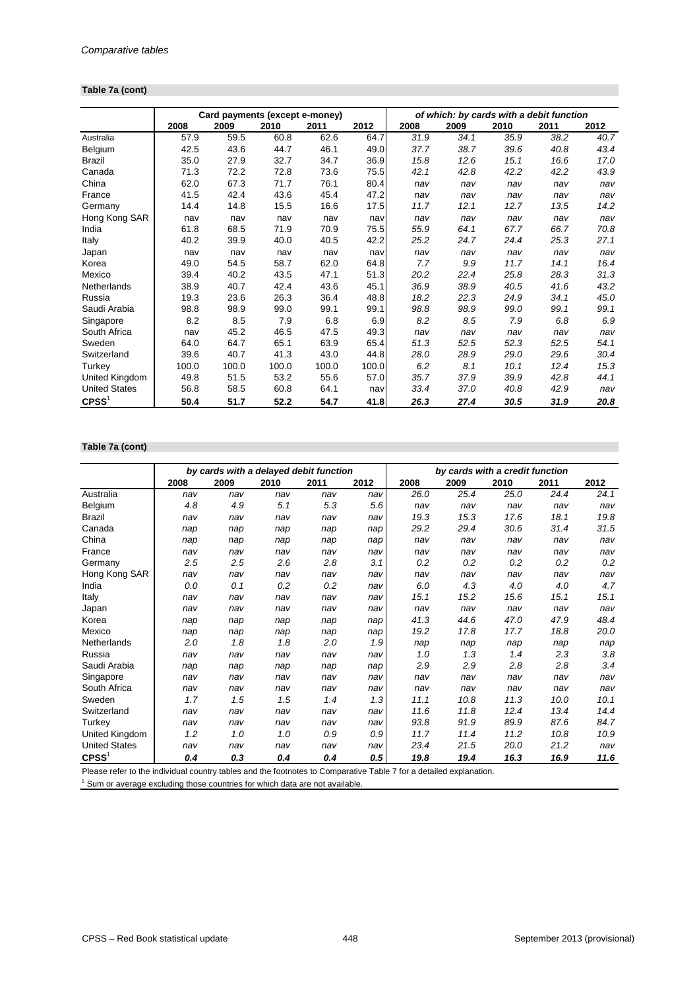#### **Table 7a (cont)**

|                      | Card payments (except e-money)<br>of which: by cards with a debit function |       |       |       |       |      |      |      |      |      |
|----------------------|----------------------------------------------------------------------------|-------|-------|-------|-------|------|------|------|------|------|
|                      | 2008                                                                       | 2009  | 2010  | 2011  | 2012  | 2008 | 2009 | 2010 | 2011 | 2012 |
| Australia            | 57.9                                                                       | 59.5  | 60.8  | 62.6  | 64.7  | 31.9 | 34.1 | 35.9 | 38.2 | 40.7 |
| Belgium              | 42.5                                                                       | 43.6  | 44.7  | 46.1  | 49.0  | 37.7 | 38.7 | 39.6 | 40.8 | 43.4 |
| <b>Brazil</b>        | 35.0                                                                       | 27.9  | 32.7  | 34.7  | 36.9  | 15.8 | 12.6 | 15.1 | 16.6 | 17.0 |
| Canada               | 71.3                                                                       | 72.2  | 72.8  | 73.6  | 75.5  | 42.1 | 42.8 | 42.2 | 42.2 | 43.9 |
| China                | 62.0                                                                       | 67.3  | 71.7  | 76.1  | 80.4  | nav  | nav  | nav  | nav  | nav  |
| France               | 41.5                                                                       | 42.4  | 43.6  | 45.4  | 47.2  | nav  | nav  | nav  | nav  | nav  |
| Germany              | 14.4                                                                       | 14.8  | 15.5  | 16.6  | 17.5  | 11.7 | 12.1 | 12.7 | 13.5 | 14.2 |
| Hong Kong SAR        | nav                                                                        | nav   | nav   | nav   | nav   | nav  | nav  | nav  | nav  | nav  |
| India                | 61.8                                                                       | 68.5  | 71.9  | 70.9  | 75.5  | 55.9 | 64.1 | 67.7 | 66.7 | 70.8 |
| Italy                | 40.2                                                                       | 39.9  | 40.0  | 40.5  | 42.2  | 25.2 | 24.7 | 24.4 | 25.3 | 27.1 |
| Japan                | nav                                                                        | nav   | nav   | nav   | nav   | nav  | nav  | nav  | nav  | nav  |
| Korea                | 49.0                                                                       | 54.5  | 58.7  | 62.0  | 64.8  | 7.7  | 9.9  | 11.7 | 14.1 | 16.4 |
| Mexico               | 39.4                                                                       | 40.2  | 43.5  | 47.1  | 51.3  | 20.2 | 22.4 | 25.8 | 28.3 | 31.3 |
| Netherlands          | 38.9                                                                       | 40.7  | 42.4  | 43.6  | 45.1  | 36.9 | 38.9 | 40.5 | 41.6 | 43.2 |
| Russia               | 19.3                                                                       | 23.6  | 26.3  | 36.4  | 48.8  | 18.2 | 22.3 | 24.9 | 34.1 | 45.0 |
| Saudi Arabia         | 98.8                                                                       | 98.9  | 99.0  | 99.1  | 99.1  | 98.8 | 98.9 | 99.0 | 99.1 | 99.1 |
| Singapore            | 8.2                                                                        | 8.5   | 7.9   | 6.8   | 6.9   | 8.2  | 8.5  | 7.9  | 6.8  | 6.9  |
| South Africa         | nav                                                                        | 45.2  | 46.5  | 47.5  | 49.3  | nav  | nav  | nav  | nav  | nav  |
| Sweden               | 64.0                                                                       | 64.7  | 65.1  | 63.9  | 65.4  | 51.3 | 52.5 | 52.3 | 52.5 | 54.1 |
| Switzerland          | 39.6                                                                       | 40.7  | 41.3  | 43.0  | 44.8  | 28.0 | 28.9 | 29.0 | 29.6 | 30.4 |
| Turkey               | 100.0                                                                      | 100.0 | 100.0 | 100.0 | 100.0 | 6.2  | 8.1  | 10.1 | 12.4 | 15.3 |
| United Kingdom       | 49.8                                                                       | 51.5  | 53.2  | 55.6  | 57.0  | 35.7 | 37.9 | 39.9 | 42.8 | 44.1 |
| <b>United States</b> | 56.8                                                                       | 58.5  | 60.8  | 64.1  | nav   | 33.4 | 37.0 | 40.8 | 42.9 | nav  |
| $C$ PSS $1$          | 50.4                                                                       | 51.7  | 52.2  | 54.7  | 41.8  | 26.3 | 27.4 | 30.5 | 31.9 | 20.8 |

#### **Table 7a (cont)**

|                      |      | by cards with a delayed debit function |      |      |      | by cards with a credit function |      |      |      |      |  |
|----------------------|------|----------------------------------------|------|------|------|---------------------------------|------|------|------|------|--|
|                      | 2008 | 2009                                   | 2010 | 2011 | 2012 | 2008                            | 2009 | 2010 | 2011 | 2012 |  |
| Australia            | nav  | nav                                    | nav  | nav  | nav  | 26.0                            | 25.4 | 25.0 | 24.4 | 24.1 |  |
| Belgium              | 4.8  | 4.9                                    | 5.1  | 5.3  | 5.6  | nav                             | nav  | nav  | nav  | nav  |  |
| <b>Brazil</b>        | nav  | nav                                    | nav  | nav  | nav  | 19.3                            | 15.3 | 17.6 | 18.1 | 19.8 |  |
| Canada               | nap  | nap                                    | nap  | nap  | nap  | 29.2                            | 29.4 | 30.6 | 31.4 | 31.5 |  |
| China                | nap  | nap                                    | nap  | nap  | nap  | nav                             | nav  | nav  | nav  | nav  |  |
| France               | nav  | nav                                    | nav  | nav  | nav  | nav                             | nav  | nav  | nav  | nav  |  |
| Germany              | 2.5  | 2.5                                    | 2.6  | 2.8  | 3.1  | 0.2                             | 0.2  | 0.2  | 0.2  | 0.2  |  |
| Hong Kong SAR        | nav  | nav                                    | nav  | nav  | nav  | nav                             | nav  | nav  | nav  | nav  |  |
| India                | 0.0  | 0.1                                    | 0.2  | 0.2  | nav  | 6.0                             | 4.3  | 4.0  | 4.0  | 4.7  |  |
| Italy                | nav  | nav                                    | nav  | nav  | nav  | 15.1                            | 15.2 | 15.6 | 15.1 | 15.1 |  |
| Japan                | nav  | nav                                    | nav  | nav  | nav  | nav                             | nav  | nav  | nav  | nav  |  |
| Korea                | nap  | nap                                    | nap  | nap  | nap  | 41.3                            | 44.6 | 47.0 | 47.9 | 48.4 |  |
| Mexico               | nap  | nap                                    | nap  | nap  | nap  | 19.2                            | 17.8 | 17.7 | 18.8 | 20.0 |  |
| Netherlands          | 2.0  | 1.8                                    | 1.8  | 2.0  | 1.9  | nap                             | nap  | nap  | nap  | nap  |  |
| Russia               | nav  | nav                                    | nav  | nav  | nav  | 1.0                             | 1.3  | 1.4  | 2.3  | 3.8  |  |
| Saudi Arabia         | nap  | nap                                    | nap  | nap  | nap  | 2.9                             | 2.9  | 2.8  | 2.8  | 3.4  |  |
| Singapore            | nav  | nav                                    | nav  | nav  | nav  | nav                             | nav  | nav  | nav  | nav  |  |
| South Africa         | nav  | nav                                    | nav  | nav  | nav  | nav                             | nav  | nav  | nav  | nav  |  |
| Sweden               | 1.7  | 1.5                                    | 1.5  | 1.4  | 1.3  | 11.1                            | 10.8 | 11.3 | 10.0 | 10.1 |  |
| Switzerland          | nav  | nav                                    | nav  | nav  | nav  | 11.6                            | 11.8 | 12.4 | 13.4 | 14.4 |  |
| Turkey               | nav  | nav                                    | nav  | nav  | nav  | 93.8                            | 91.9 | 89.9 | 87.6 | 84.7 |  |
| United Kingdom       | 1.2  | 1.0                                    | 1.0  | 0.9  | 0.9  | 11.7                            | 11.4 | 11.2 | 10.8 | 10.9 |  |
| <b>United States</b> | nav  | nav                                    | nav  | nav  | nav  | 23.4                            | 21.5 | 20.0 | 21.2 | nav  |  |
| $C$ PSS <sup>1</sup> | 0.4  | 0.3                                    | 0.4  | 0.4  | 0.5  | 19.8                            | 19.4 | 16.3 | 16.9 | 11.6 |  |

Please refer to the individual country tables and the footnotes to Comparative Table 7 for a detailed explanation.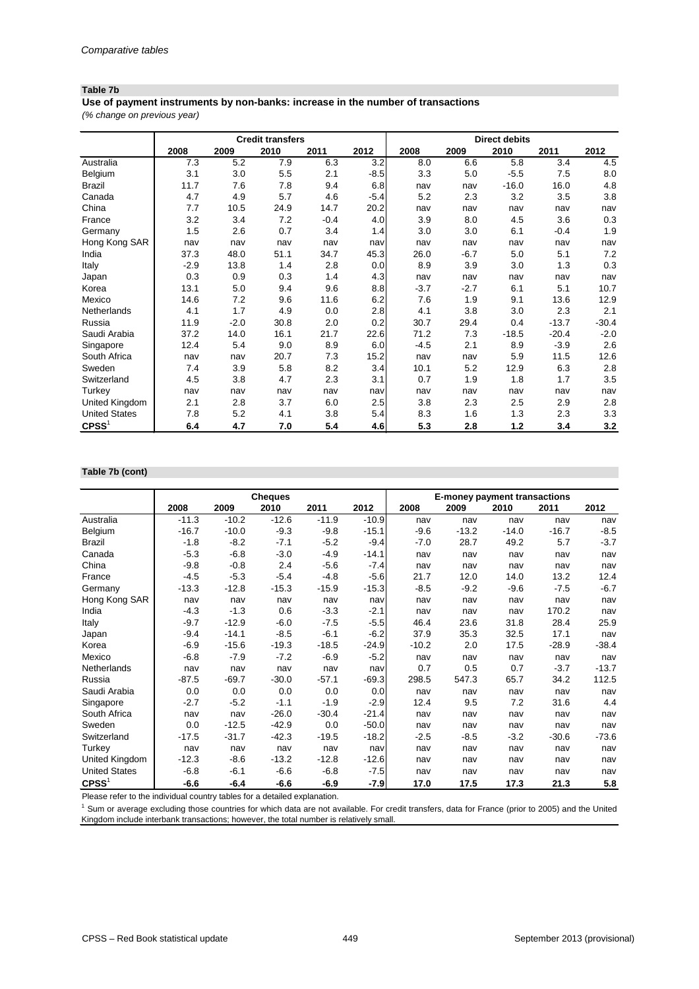## **Table 7b**

**Use of payment instruments by non-banks: increase in the number of transactions**

*(% change on previous year)*

|                      |        |        | <b>Credit transfers</b> |        |        | <b>Direct debits</b> |        |         |         |         |
|----------------------|--------|--------|-------------------------|--------|--------|----------------------|--------|---------|---------|---------|
|                      | 2008   | 2009   | 2010                    | 2011   | 2012   | 2008                 | 2009   | 2010    | 2011    | 2012    |
| Australia            | 7.3    | 5.2    | 7.9                     | 6.3    | 3.2    | 8.0                  | 6.6    | 5.8     | 3.4     | 4.5     |
| Belgium              | 3.1    | 3.0    | 5.5                     | 2.1    | $-8.5$ | 3.3                  | 5.0    | $-5.5$  | 7.5     | 8.0     |
| <b>Brazil</b>        | 11.7   | 7.6    | 7.8                     | 9.4    | 6.8    | nav                  | nav    | $-16.0$ | 16.0    | 4.8     |
| Canada               | 4.7    | 4.9    | 5.7                     | 4.6    | $-5.4$ | 5.2                  | 2.3    | 3.2     | 3.5     | 3.8     |
| China                | 7.7    | 10.5   | 24.9                    | 14.7   | 20.2   | nav                  | nav    | nav     | nav     | nav     |
| France               | 3.2    | 3.4    | 7.2                     | $-0.4$ | 4.0    | 3.9                  | 8.0    | 4.5     | 3.6     | 0.3     |
| Germany              | 1.5    | 2.6    | 0.7                     | 3.4    | 1.4    | 3.0                  | 3.0    | 6.1     | $-0.4$  | 1.9     |
| Hong Kong SAR        | nav    | nav    | nav                     | nav    | nav    | nav                  | nav    | nav     | nav     | nav     |
| India                | 37.3   | 48.0   | 51.1                    | 34.7   | 45.3   | 26.0                 | $-6.7$ | 5.0     | 5.1     | 7.2     |
| Italy                | $-2.9$ | 13.8   | 1.4                     | 2.8    | 0.0    | 8.9                  | 3.9    | 3.0     | 1.3     | 0.3     |
| Japan                | 0.3    | 0.9    | 0.3                     | 1.4    | 4.3    | nav                  | nav    | nav     | nav     | nav     |
| Korea                | 13.1   | 5.0    | 9.4                     | 9.6    | 8.8    | $-3.7$               | $-2.7$ | 6.1     | 5.1     | 10.7    |
| Mexico               | 14.6   | 7.2    | 9.6                     | 11.6   | 6.2    | 7.6                  | 1.9    | 9.1     | 13.6    | 12.9    |
| Netherlands          | 4.1    | 1.7    | 4.9                     | 0.0    | 2.8    | 4.1                  | 3.8    | 3.0     | 2.3     | 2.1     |
| Russia               | 11.9   | $-2.0$ | 30.8                    | 2.0    | 0.2    | 30.7                 | 29.4   | 0.4     | $-13.7$ | $-30.4$ |
| Saudi Arabia         | 37.2   | 14.0   | 16.1                    | 21.7   | 22.6   | 71.2                 | 7.3    | $-18.5$ | $-20.4$ | $-2.0$  |
| Singapore            | 12.4   | 5.4    | 9.0                     | 8.9    | 6.0    | $-4.5$               | 2.1    | 8.9     | $-3.9$  | 2.6     |
| South Africa         | nav    | nav    | 20.7                    | 7.3    | 15.2   | nav                  | nav    | 5.9     | 11.5    | 12.6    |
| Sweden               | 7.4    | 3.9    | 5.8                     | 8.2    | 3.4    | 10.1                 | 5.2    | 12.9    | 6.3     | 2.8     |
| Switzerland          | 4.5    | 3.8    | 4.7                     | 2.3    | 3.1    | 0.7                  | 1.9    | 1.8     | 1.7     | 3.5     |
| Turkey               | nav    | nav    | nav                     | nav    | nav    | nav                  | nav    | nav     | nav     | nav     |
| United Kingdom       | 2.1    | 2.8    | 3.7                     | 6.0    | 2.5    | 3.8                  | 2.3    | 2.5     | 2.9     | 2.8     |
| <b>United States</b> | 7.8    | 5.2    | 4.1                     | 3.8    | 5.4    | 8.3                  | 1.6    | 1.3     | 2.3     | 3.3     |
| CPSS <sup>1</sup>    | 6.4    | 4.7    | 7.0                     | 5.4    | 4.6    | 5.3                  | 2.8    | 1.2     | 3.4     | 3.2     |

## **Table 7b (cont)**

|                      |         |         | <b>Cheques</b> |         |         | <b>E-money payment transactions</b> |         |         |         |         |  |
|----------------------|---------|---------|----------------|---------|---------|-------------------------------------|---------|---------|---------|---------|--|
|                      | 2008    | 2009    | 2010           | 2011    | 2012    | 2008                                | 2009    | 2010    | 2011    | 2012    |  |
| Australia            | $-11.3$ | $-10.2$ | $-12.6$        | $-11.9$ | $-10.9$ | nav                                 | nav     | nav     | nav     | nav     |  |
| Belgium              | $-16.7$ | $-10.0$ | $-9.3$         | $-9.8$  | $-15.1$ | $-9.6$                              | $-13.2$ | $-14.0$ | $-16.7$ | $-8.5$  |  |
| <b>Brazil</b>        | $-1.8$  | $-8.2$  | $-7.1$         | $-5.2$  | $-9.4$  | $-7.0$                              | 28.7    | 49.2    | 5.7     | $-3.7$  |  |
| Canada               | $-5.3$  | $-6.8$  | $-3.0$         | $-4.9$  | $-14.1$ | nav                                 | nav     | nav     | nav     | nav     |  |
| China                | $-9.8$  | $-0.8$  | 2.4            | $-5.6$  | $-7.4$  | nav                                 | nav     | nav     | nav     | nav     |  |
| France               | $-4.5$  | $-5.3$  | $-5.4$         | $-4.8$  | $-5.6$  | 21.7                                | 12.0    | 14.0    | 13.2    | 12.4    |  |
| Germany              | $-13.3$ | $-12.8$ | $-15.3$        | $-15.9$ | $-15.3$ | $-8.5$                              | $-9.2$  | $-9.6$  | $-7.5$  | $-6.7$  |  |
| Hong Kong SAR        | nav     | nav     | nav            | nav     | nav     | nav                                 | nav     | nav     | nav     | nav     |  |
| India                | $-4.3$  | $-1.3$  | 0.6            | $-3.3$  | $-2.1$  | nav                                 | nav     | nav     | 170.2   | nav     |  |
| <b>Italy</b>         | $-9.7$  | $-12.9$ | $-6.0$         | $-7.5$  | $-5.5$  | 46.4                                | 23.6    | 31.8    | 28.4    | 25.9    |  |
| Japan                | $-9.4$  | $-14.1$ | $-8.5$         | $-6.1$  | $-6.2$  | 37.9                                | 35.3    | 32.5    | 17.1    | nav     |  |
| Korea                | $-6.9$  | $-15.6$ | $-19.3$        | $-18.5$ | $-24.9$ | $-10.2$                             | 2.0     | 17.5    | $-28.9$ | $-38.4$ |  |
| Mexico               | $-6.8$  | $-7.9$  | $-7.2$         | $-6.9$  | $-5.2$  | nav                                 | nav     | nav     | nav     | nav     |  |
| Netherlands          | nav     | nav     | nav            | nav     | nav     | 0.7                                 | 0.5     | 0.7     | $-3.7$  | $-13.7$ |  |
| Russia               | $-87.5$ | $-69.7$ | $-30.0$        | $-57.1$ | $-69.3$ | 298.5                               | 547.3   | 65.7    | 34.2    | 112.5   |  |
| Saudi Arabia         | 0.0     | 0.0     | 0.0            | 0.0     | 0.0     | nav                                 | nav     | nav     | nav     | nav     |  |
| Singapore            | $-2.7$  | $-5.2$  | $-1.1$         | $-1.9$  | $-2.9$  | 12.4                                | 9.5     | 7.2     | 31.6    | 4.4     |  |
| South Africa         | nav     | nav     | $-26.0$        | $-30.4$ | $-21.4$ | nav                                 | nav     | nav     | nav     | nav     |  |
| Sweden               | 0.0     | $-12.5$ | $-42.9$        | 0.0     | $-50.0$ | nav                                 | nav     | nav     | nav     | nav     |  |
| Switzerland          | $-17.5$ | $-31.7$ | $-42.3$        | $-19.5$ | $-18.2$ | $-2.5$                              | $-8.5$  | $-3.2$  | $-30.6$ | $-73.6$ |  |
| Turkey               | nav     | nav     | nav            | nav     | nav     | nav                                 | nav     | nav     | nav     | nav     |  |
| United Kingdom       | $-12.3$ | $-8.6$  | $-13.2$        | $-12.8$ | $-12.6$ | nav                                 | nav     | nav     | nav     | nav     |  |
| <b>United States</b> | $-6.8$  | $-6.1$  | $-6.6$         | $-6.8$  | $-7.5$  | nav                                 | nav     | nav     | nav     | nav     |  |
| CPSS <sup>1</sup>    | $-6.6$  | $-6.4$  | $-6.6$         | $-6.9$  | $-7.9$  | 17.0                                | 17.5    | 17.3    | 21.3    | 5.8     |  |

Please refer to the individual country tables for a detailed explanation.

<sup>1</sup> Sum or average excluding those countries for which data are not available. For credit transfers, data for France (prior to 2005) and the United Kingdom include interbank transactions; however, the total number is relatively small.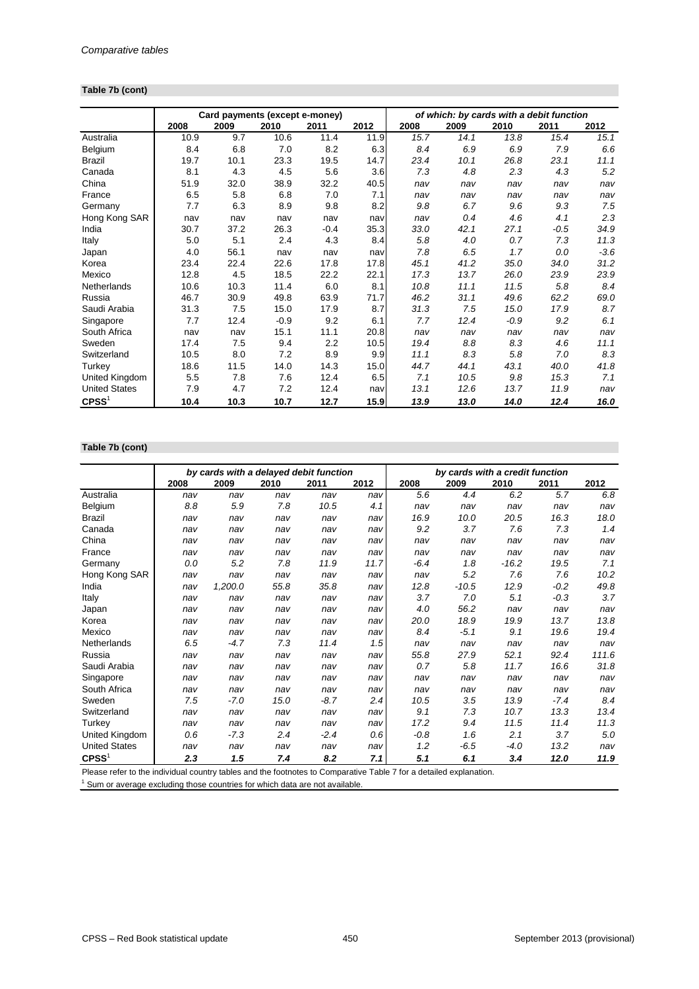#### **Table 7b (cont)**

|                      |      | Card payments (except e-money) |        |        |      | of which: by cards with a debit function |      |        |        |        |
|----------------------|------|--------------------------------|--------|--------|------|------------------------------------------|------|--------|--------|--------|
|                      | 2008 | 2009                           | 2010   | 2011   | 2012 | 2008                                     | 2009 | 2010   | 2011   | 2012   |
| Australia            | 10.9 | 9.7                            | 10.6   | 11.4   | 11.9 | 15.7                                     | 14.1 | 13.8   | 15.4   | 15.1   |
| Belgium              | 8.4  | 6.8                            | 7.0    | 8.2    | 6.3  | 8.4                                      | 6.9  | 6.9    | 7.9    | 6.6    |
| <b>Brazil</b>        | 19.7 | 10.1                           | 23.3   | 19.5   | 14.7 | 23.4                                     | 10.1 | 26.8   | 23.1   | 11.1   |
| Canada               | 8.1  | 4.3                            | 4.5    | 5.6    | 3.6  | 7.3                                      | 4.8  | 2.3    | 4.3    | 5.2    |
| China                | 51.9 | 32.0                           | 38.9   | 32.2   | 40.5 | nav                                      | nav  | nav    | nav    | nav    |
| France               | 6.5  | 5.8                            | 6.8    | 7.0    | 7.1  | nav                                      | nav  | nav    | nav    | nav    |
| Germany              | 7.7  | 6.3                            | 8.9    | 9.8    | 8.2  | 9.8                                      | 6.7  | 9.6    | 9.3    | 7.5    |
| Hong Kong SAR        | nav  | nav                            | nav    | nav    | nav  | nav                                      | 0.4  | 4.6    | 4.1    | 2.3    |
| India                | 30.7 | 37.2                           | 26.3   | $-0.4$ | 35.3 | 33.0                                     | 42.1 | 27.1   | $-0.5$ | 34.9   |
| Italy                | 5.0  | 5.1                            | 2.4    | 4.3    | 8.4  | 5.8                                      | 4.0  | 0.7    | 7.3    | 11.3   |
| Japan                | 4.0  | 56.1                           | nav    | nav    | nav  | 7.8                                      | 6.5  | 1.7    | 0.0    | $-3.6$ |
| Korea                | 23.4 | 22.4                           | 22.6   | 17.8   | 17.8 | 45.1                                     | 41.2 | 35.0   | 34.0   | 31.2   |
| Mexico               | 12.8 | 4.5                            | 18.5   | 22.2   | 22.1 | 17.3                                     | 13.7 | 26.0   | 23.9   | 23.9   |
| Netherlands          | 10.6 | 10.3                           | 11.4   | 6.0    | 8.1  | 10.8                                     | 11.1 | 11.5   | 5.8    | 8.4    |
| Russia               | 46.7 | 30.9                           | 49.8   | 63.9   | 71.7 | 46.2                                     | 31.1 | 49.6   | 62.2   | 69.0   |
| Saudi Arabia         | 31.3 | 7.5                            | 15.0   | 17.9   | 8.7  | 31.3                                     | 7.5  | 15.0   | 17.9   | 8.7    |
| Singapore            | 7.7  | 12.4                           | $-0.9$ | 9.2    | 6.1  | 7.7                                      | 12.4 | $-0.9$ | 9.2    | 6.1    |
| South Africa         | nav  | nav                            | 15.1   | 11.1   | 20.8 | nav                                      | nav  | nav    | nav    | nav    |
| Sweden               | 17.4 | 7.5                            | 9.4    | 2.2    | 10.5 | 19.4                                     | 8.8  | 8.3    | 4.6    | 11.1   |
| Switzerland          | 10.5 | 8.0                            | 7.2    | 8.9    | 9.9  | 11.1                                     | 8.3  | 5.8    | 7.0    | 8.3    |
| Turkey               | 18.6 | 11.5                           | 14.0   | 14.3   | 15.0 | 44.7                                     | 44.1 | 43.1   | 40.0   | 41.8   |
| United Kingdom       | 5.5  | 7.8                            | 7.6    | 12.4   | 6.5  | 7.1                                      | 10.5 | 9.8    | 15.3   | 7.1    |
| <b>United States</b> | 7.9  | 4.7                            | 7.2    | 12.4   | nav  | 13.1                                     | 12.6 | 13.7   | 11.9   | nav    |
| $C$ PSS <sup>1</sup> | 10.4 | 10.3                           | 10.7   | 12.7   | 15.9 | 13.9                                     | 13.0 | 14.0   | 12.4   | 16.0   |

#### **Table 7b (cont)**

|                      |      | by cards with a delayed debit function |      |        |      | by cards with a credit function |         |         |        |       |
|----------------------|------|----------------------------------------|------|--------|------|---------------------------------|---------|---------|--------|-------|
|                      | 2008 | 2009                                   | 2010 | 2011   | 2012 | 2008                            | 2009    | 2010    | 2011   | 2012  |
| Australia            | nav  | nav                                    | nav  | nav    | nav  | 5.6                             | 4.4     | 6.2     | 5.7    | 6.8   |
| Belgium              | 8.8  | 5.9                                    | 7.8  | 10.5   | 4.1  | nav                             | nav     | nav     | nav    | nav   |
| <b>Brazil</b>        | nav  | nav                                    | nav  | nav    | nav  | 16.9                            | 10.0    | 20.5    | 16.3   | 18.0  |
| Canada               | nav  | nav                                    | nav  | nav    | nav  | 9.2                             | 3.7     | 7.6     | 7.3    | 1.4   |
| China                | nav  | nav                                    | nav  | nav    | nav  | nav                             | nav     | nav     | nav    | nav   |
| France               | nav  | nav                                    | nav  | nav    | nav  | nav                             | nav     | nav     | nav    | nav   |
| Germany              | 0.0  | 5.2                                    | 7.8  | 11.9   | 11.7 | $-6.4$                          | 1.8     | $-16.2$ | 19.5   | 7.1   |
| Hong Kong SAR        | nav  | nav                                    | nav  | nav    | nav  | nav                             | 5.2     | 7.6     | 7.6    | 10.2  |
| India                | nav  | 1,200.0                                | 55.8 | 35.8   | nav  | 12.8                            | $-10.5$ | 12.9    | $-0.2$ | 49.8  |
| Italy                | nav  | nav                                    | nav  | nav    | nav  | 3.7                             | 7.0     | 5.1     | $-0.3$ | 3.7   |
| Japan                | nav  | nav                                    | nav  | nav    | nav  | 4.0                             | 56.2    | nav     | nav    | nav   |
| Korea                | nav  | nav                                    | nav  | nav    | nav  | 20.0                            | 18.9    | 19.9    | 13.7   | 13.8  |
| Mexico               | nav  | nav                                    | nav  | nav    | nav  | 8.4                             | $-5.1$  | 9.1     | 19.6   | 19.4  |
| Netherlands          | 6.5  | $-4.7$                                 | 7.3  | 11.4   | 1.5  | nav                             | nav     | nav     | nav    | nav   |
| Russia               | nav  | nav                                    | nav  | nav    | nav  | 55.8                            | 27.9    | 52.1    | 92.4   | 111.6 |
| Saudi Arabia         | nav  | nav                                    | nav  | nav    | nav  | 0.7                             | 5.8     | 11.7    | 16.6   | 31.8  |
| Singapore            | nav  | nav                                    | nav  | nav    | nav  | nav                             | nav     | nav     | nav    | nav   |
| South Africa         | nav  | nav                                    | nav  | nav    | nav  | nav                             | nav     | nav     | nav    | nav   |
| Sweden               | 7.5  | $-7.0$                                 | 15.0 | -8.7   | 2.4  | 10.5                            | 3.5     | 13.9    | $-7.4$ | 8.4   |
| Switzerland          | nav  | nav                                    | nav  | nav    | nav  | 9.1                             | 7.3     | 10.7    | 13.3   | 13.4  |
| Turkey               | nav  | nav                                    | nav  | nav    | nav  | 17.2                            | 9.4     | 11.5    | 11.4   | 11.3  |
| United Kingdom       | 0.6  | $-7.3$                                 | 2.4  | $-2.4$ | 0.6  | $-0.8$                          | 1.6     | 2.1     | 3.7    | 5.0   |
| <b>United States</b> | nav  | nav                                    | nav  | nav    | nav  | 1.2                             | $-6.5$  | -4.0    | 13.2   | nav   |
| CPSS <sup>1</sup>    | 2.3  | 1.5                                    | 7.4  | 8.2    | 7.1  | 5.1                             | 6.1     | 3.4     | 12.0   | 11.9  |

Please refer to the individual country tables and the footnotes to Comparative Table 7 for a detailed explanation.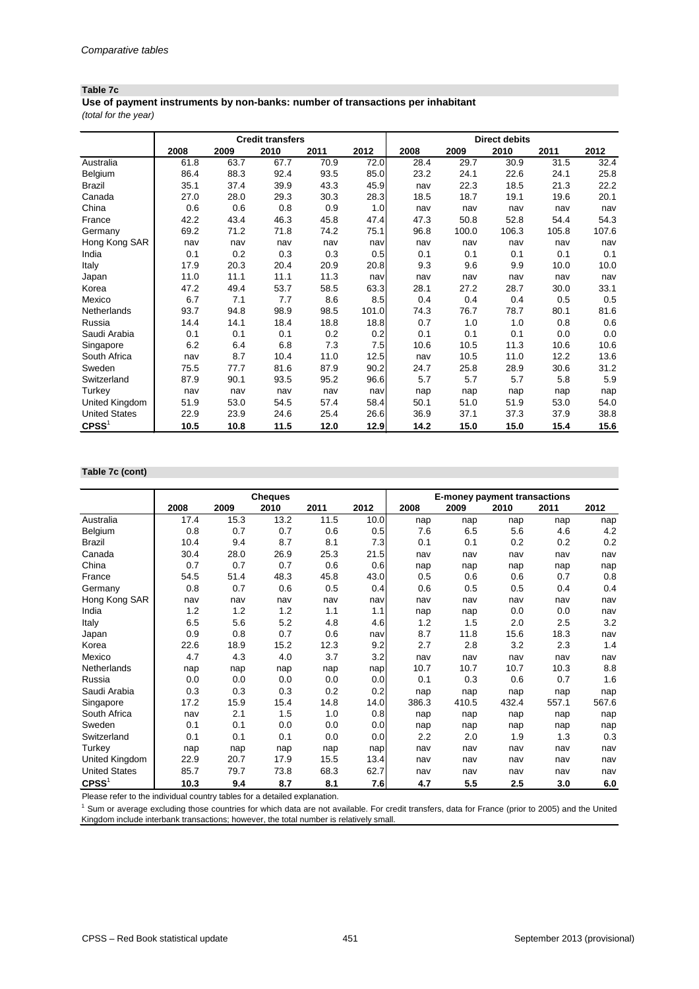#### **Table 7c**

*(total for the year)* **Use of payment instruments by non-banks: number of transactions per inhabitant**

|                      |      |      | <b>Credit transfers</b> |      |       |      |       | <b>Direct debits</b> |       |       |
|----------------------|------|------|-------------------------|------|-------|------|-------|----------------------|-------|-------|
|                      | 2008 | 2009 | 2010                    | 2011 | 2012  | 2008 | 2009  | 2010                 | 2011  | 2012  |
| Australia            | 61.8 | 63.7 | 67.7                    | 70.9 | 72.0  | 28.4 | 29.7  | 30.9                 | 31.5  | 32.4  |
| Belgium              | 86.4 | 88.3 | 92.4                    | 93.5 | 85.0  | 23.2 | 24.1  | 22.6                 | 24.1  | 25.8  |
| <b>Brazil</b>        | 35.1 | 37.4 | 39.9                    | 43.3 | 45.9  | nav  | 22.3  | 18.5                 | 21.3  | 22.2  |
| Canada               | 27.0 | 28.0 | 29.3                    | 30.3 | 28.3  | 18.5 | 18.7  | 19.1                 | 19.6  | 20.1  |
| China                | 0.6  | 0.6  | 0.8                     | 0.9  | 1.0   | nav  | nav   | nav                  | nav   | nav   |
| France               | 42.2 | 43.4 | 46.3                    | 45.8 | 47.4  | 47.3 | 50.8  | 52.8                 | 54.4  | 54.3  |
| Germany              | 69.2 | 71.2 | 71.8                    | 74.2 | 75.1  | 96.8 | 100.0 | 106.3                | 105.8 | 107.6 |
| Hong Kong SAR        | nav  | nav  | nav                     | nav  | nav   | nav  | nav   | nav                  | nav   | nav   |
| India                | 0.1  | 0.2  | 0.3                     | 0.3  | 0.5   | 0.1  | 0.1   | 0.1                  | 0.1   | 0.1   |
| Italy                | 17.9 | 20.3 | 20.4                    | 20.9 | 20.8  | 9.3  | 9.6   | 9.9                  | 10.0  | 10.0  |
| Japan                | 11.0 | 11.1 | 11.1                    | 11.3 | nav   | nav  | nav   | nav                  | nav   | nav   |
| Korea                | 47.2 | 49.4 | 53.7                    | 58.5 | 63.3  | 28.1 | 27.2  | 28.7                 | 30.0  | 33.1  |
| Mexico               | 6.7  | 7.1  | 7.7                     | 8.6  | 8.5   | 0.4  | 0.4   | 0.4                  | 0.5   | 0.5   |
| Netherlands          | 93.7 | 94.8 | 98.9                    | 98.5 | 101.0 | 74.3 | 76.7  | 78.7                 | 80.1  | 81.6  |
| Russia               | 14.4 | 14.1 | 18.4                    | 18.8 | 18.8  | 0.7  | 1.0   | 1.0                  | 0.8   | 0.6   |
| Saudi Arabia         | 0.1  | 0.1  | 0.1                     | 0.2  | 0.2   | 0.1  | 0.1   | 0.1                  | 0.0   | 0.0   |
| Singapore            | 6.2  | 6.4  | 6.8                     | 7.3  | 7.5   | 10.6 | 10.5  | 11.3                 | 10.6  | 10.6  |
| South Africa         | nav  | 8.7  | 10.4                    | 11.0 | 12.5  | nav  | 10.5  | 11.0                 | 12.2  | 13.6  |
| Sweden               | 75.5 | 77.7 | 81.6                    | 87.9 | 90.2  | 24.7 | 25.8  | 28.9                 | 30.6  | 31.2  |
| Switzerland          | 87.9 | 90.1 | 93.5                    | 95.2 | 96.6  | 5.7  | 5.7   | 5.7                  | 5.8   | 5.9   |
| Turkey               | nav  | nav  | nav                     | nav  | nav   | nap  | nap   | nap                  | nap   | nap   |
| United Kingdom       | 51.9 | 53.0 | 54.5                    | 57.4 | 58.4  | 50.1 | 51.0  | 51.9                 | 53.0  | 54.0  |
| <b>United States</b> | 22.9 | 23.9 | 24.6                    | 25.4 | 26.6  | 36.9 | 37.1  | 37.3                 | 37.9  | 38.8  |
| CPSS <sup>1</sup>    | 10.5 | 10.8 | 11.5                    | 12.0 | 12.9  | 14.2 | 15.0  | 15.0                 | 15.4  | 15.6  |

## **Table 7c (cont)**

|                       |      |      | <b>Cheques</b> |      |      | <b>E-money payment transactions</b> |       |       |       |       |
|-----------------------|------|------|----------------|------|------|-------------------------------------|-------|-------|-------|-------|
|                       | 2008 | 2009 | 2010           | 2011 | 2012 | 2008                                | 2009  | 2010  | 2011  | 2012  |
| Australia             | 17.4 | 15.3 | 13.2           | 11.5 | 10.0 | nap                                 | nap   | nap   | nap   | nap   |
| Belgium               | 0.8  | 0.7  | 0.7            | 0.6  | 0.5  | 7.6                                 | 6.5   | 5.6   | 4.6   | 4.2   |
| <b>Brazil</b>         | 10.4 | 9.4  | 8.7            | 8.1  | 7.3  | 0.1                                 | 0.1   | 0.2   | 0.2   | 0.2   |
| Canada                | 30.4 | 28.0 | 26.9           | 25.3 | 21.5 | nav                                 | nav   | nav   | nav   | nav   |
| China                 | 0.7  | 0.7  | 0.7            | 0.6  | 0.6  | nap                                 | nap   | nap   | nap   | nap   |
| France                | 54.5 | 51.4 | 48.3           | 45.8 | 43.0 | 0.5                                 | 0.6   | 0.6   | 0.7   | 0.8   |
| Germany               | 0.8  | 0.7  | 0.6            | 0.5  | 0.4  | 0.6                                 | 0.5   | 0.5   | 0.4   | 0.4   |
| Hong Kong SAR         | nav  | nav  | nav            | nav  | nav  | nav                                 | nav   | nav   | nav   | nav   |
| India                 | 1.2  | 1.2  | 1.2            | 1.1  | 1.1  | nap                                 | nap   | 0.0   | 0.0   | nav   |
| Italy                 | 6.5  | 5.6  | 5.2            | 4.8  | 4.6  | 1.2                                 | 1.5   | 2.0   | 2.5   | 3.2   |
| Japan                 | 0.9  | 0.8  | 0.7            | 0.6  | nav  | 8.7                                 | 11.8  | 15.6  | 18.3  | nav   |
| Korea                 | 22.6 | 18.9 | 15.2           | 12.3 | 9.2  | 2.7                                 | 2.8   | 3.2   | 2.3   | 1.4   |
| Mexico                | 4.7  | 4.3  | 4.0            | 3.7  | 3.2  | nav                                 | nav   | nav   | nav   | nav   |
| Netherlands           | nap  | nap  | nap            | nap  | nap  | 10.7                                | 10.7  | 10.7  | 10.3  | 8.8   |
| Russia                | 0.0  | 0.0  | 0.0            | 0.0  | 0.0  | 0.1                                 | 0.3   | 0.6   | 0.7   | 1.6   |
| Saudi Arabia          | 0.3  | 0.3  | 0.3            | 0.2  | 0.2  | nap                                 | nap   | nap   | nap   | nap   |
| Singapore             | 17.2 | 15.9 | 15.4           | 14.8 | 14.0 | 386.3                               | 410.5 | 432.4 | 557.1 | 567.6 |
| South Africa          | nav  | 2.1  | 1.5            | 1.0  | 0.8  | nap                                 | nap   | nap   | nap   | nap   |
| Sweden                | 0.1  | 0.1  | 0.0            | 0.0  | 0.0  | nap                                 | nap   | nap   | nap   | nap   |
| Switzerland           | 0.1  | 0.1  | 0.1            | 0.0  | 0.0  | 2.2                                 | 2.0   | 1.9   | 1.3   | 0.3   |
| Turkey                | nap  | nap  | nap            | nap  | nap  | nav                                 | nav   | nav   | nav   | nav   |
| <b>United Kingdom</b> | 22.9 | 20.7 | 17.9           | 15.5 | 13.4 | nav                                 | nav   | nav   | nav   | nav   |
| <b>United States</b>  | 85.7 | 79.7 | 73.8           | 68.3 | 62.7 | nav                                 | nav   | nav   | nav   | nav   |
| CPSS <sup>1</sup>     | 10.3 | 9.4  | 8.7            | 8.1  | 7.6  | 4.7                                 | 5.5   | 2.5   | 3.0   | 6.0   |

Please refer to the individual country tables for a detailed explanation.

<sup>1</sup> Sum or average excluding those countries for which data are not available. For credit transfers, data for France (prior to 2005) and the United Kingdom include interbank transactions; however, the total number is relatively small.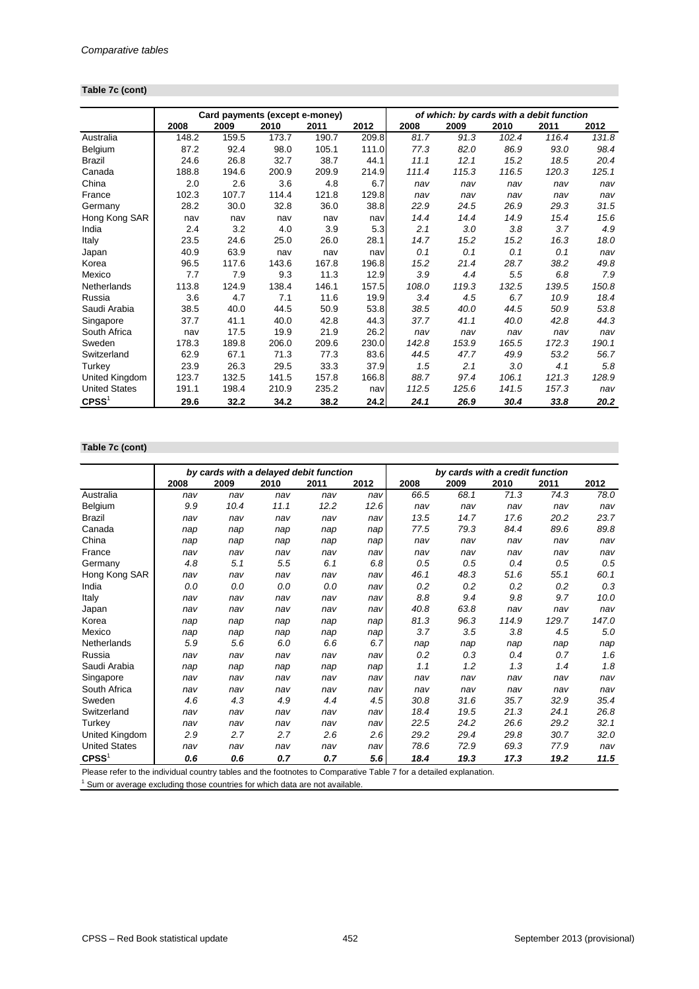# **Table 7c (cont)**

|                      |       | Card payments (except e-money) |       |       |       | of which: by cards with a debit function |       |       |       |       |
|----------------------|-------|--------------------------------|-------|-------|-------|------------------------------------------|-------|-------|-------|-------|
|                      | 2008  | 2009                           | 2010  | 2011  | 2012  | 2008                                     | 2009  | 2010  | 2011  | 2012  |
| Australia            | 148.2 | 159.5                          | 173.7 | 190.7 | 209.8 | 81.7                                     | 91.3  | 102.4 | 116.4 | 131.8 |
| Belgium              | 87.2  | 92.4                           | 98.0  | 105.1 | 111.0 | 77.3                                     | 82.0  | 86.9  | 93.0  | 98.4  |
| <b>Brazil</b>        | 24.6  | 26.8                           | 32.7  | 38.7  | 44.1  | 11.1                                     | 12.1  | 15.2  | 18.5  | 20.4  |
| Canada               | 188.8 | 194.6                          | 200.9 | 209.9 | 214.9 | 111.4                                    | 115.3 | 116.5 | 120.3 | 125.1 |
| China                | 2.0   | 2.6                            | 3.6   | 4.8   | 6.7   | nav                                      | nav   | nav   | nav   | nav   |
| France               | 102.3 | 107.7                          | 114.4 | 121.8 | 129.8 | nav                                      | nav   | nav   | nav   | nav   |
| Germany              | 28.2  | 30.0                           | 32.8  | 36.0  | 38.8  | 22.9                                     | 24.5  | 26.9  | 29.3  | 31.5  |
| Hong Kong SAR        | nav   | nav                            | nav   | nav   | nav   | 14.4                                     | 14.4  | 14.9  | 15.4  | 15.6  |
| India                | 2.4   | 3.2                            | 4.0   | 3.9   | 5.3   | 2.1                                      | 3.0   | 3.8   | 3.7   | 4.9   |
| Italy                | 23.5  | 24.6                           | 25.0  | 26.0  | 28.1  | 14.7                                     | 15.2  | 15.2  | 16.3  | 18.0  |
| Japan                | 40.9  | 63.9                           | nav   | nav   | nav   | 0.1                                      | 0.1   | 0.1   | 0.1   | nav   |
| Korea                | 96.5  | 117.6                          | 143.6 | 167.8 | 196.8 | 15.2                                     | 21.4  | 28.7  | 38.2  | 49.8  |
| Mexico               | 7.7   | 7.9                            | 9.3   | 11.3  | 12.9  | 3.9                                      | 4.4   | 5.5   | 6.8   | 7.9   |
| Netherlands          | 113.8 | 124.9                          | 138.4 | 146.1 | 157.5 | 108.0                                    | 119.3 | 132.5 | 139.5 | 150.8 |
| Russia               | 3.6   | 4.7                            | 7.1   | 11.6  | 19.9  | 3.4                                      | 4.5   | 6.7   | 10.9  | 18.4  |
| Saudi Arabia         | 38.5  | 40.0                           | 44.5  | 50.9  | 53.8  | 38.5                                     | 40.0  | 44.5  | 50.9  | 53.8  |
| Singapore            | 37.7  | 41.1                           | 40.0  | 42.8  | 44.3  | 37.7                                     | 41.1  | 40.0  | 42.8  | 44.3  |
| South Africa         | nav   | 17.5                           | 19.9  | 21.9  | 26.2  | nav                                      | nav   | nav   | nav   | nav   |
| Sweden               | 178.3 | 189.8                          | 206.0 | 209.6 | 230.0 | 142.8                                    | 153.9 | 165.5 | 172.3 | 190.1 |
| Switzerland          | 62.9  | 67.1                           | 71.3  | 77.3  | 83.6  | 44.5                                     | 47.7  | 49.9  | 53.2  | 56.7  |
| Turkey               | 23.9  | 26.3                           | 29.5  | 33.3  | 37.9  | 1.5                                      | 2.1   | 3.0   | 4.1   | 5.8   |
| United Kingdom       | 123.7 | 132.5                          | 141.5 | 157.8 | 166.8 | 88.7                                     | 97.4  | 106.1 | 121.3 | 128.9 |
| <b>United States</b> | 191.1 | 198.4                          | 210.9 | 235.2 | nav   | 112.5                                    | 125.6 | 141.5 | 157.3 | nav   |
| $C$ PSS <sup>1</sup> | 29.6  | 32.2                           | 34.2  | 38.2  | 24.2  | 24.1                                     | 26.9  | 30.4  | 33.8  | 20.2  |

#### **Table 7c (cont)**

|                      |      |      |      | by cards with a delayed debit function |      | by cards with a credit function |      |       |       |       |
|----------------------|------|------|------|----------------------------------------|------|---------------------------------|------|-------|-------|-------|
|                      | 2008 | 2009 | 2010 | 2011                                   | 2012 | 2008                            | 2009 | 2010  | 2011  | 2012  |
| Australia            | nav  | nav  | nav  | nav                                    | nav  | 66.5                            | 68.1 | 71.3  | 74.3  | 78.0  |
| Belgium              | 9.9  | 10.4 | 11.1 | 12.2                                   | 12.6 | nav                             | nav  | nav   | nav   | nav   |
| <b>Brazil</b>        | nav  | nav  | nav  | nav                                    | nav  | 13.5                            | 14.7 | 17.6  | 20.2  | 23.7  |
| Canada               | nap  | nap  | nap  | nap                                    | nap  | 77.5                            | 79.3 | 84.4  | 89.6  | 89.8  |
| China                | nap  | nap  | nap  | nap                                    | nap  | nav                             | nav  | nav   | nav   | nav   |
| France               | nav  | nav  | nav  | nav                                    | nav  | nav                             | nav  | nav   | nav   | nav   |
| Germany              | 4.8  | 5.1  | 5.5  | 6.1                                    | 6.8  | 0.5                             | 0.5  | 0.4   | 0.5   | 0.5   |
| Hong Kong SAR        | nav  | nav  | nav  | nav                                    | nav  | 46.1                            | 48.3 | 51.6  | 55.1  | 60.1  |
| India                | 0.0  | 0.0  | 0.0  | 0.0                                    | nav  | 0.2                             | 0.2  | 0.2   | 0.2   | 0.3   |
| Italy                | nav  | nav  | nav  | nav                                    | nav  | 8.8                             | 9.4  | 9.8   | 9.7   | 10.0  |
| Japan                | nav  | nav  | nav  | nav                                    | nav  | 40.8                            | 63.8 | nav   | nav   | nav   |
| Korea                | nap  | nap  | nap  | nap                                    | nap  | 81.3                            | 96.3 | 114.9 | 129.7 | 147.0 |
| Mexico               | nap  | nap  | nap  | nap                                    | nap  | 3.7                             | 3.5  | 3.8   | 4.5   | 5.0   |
| Netherlands          | 5.9  | 5.6  | 6.0  | 6.6                                    | 6.7  | nap                             | nap  | nap   | nap   | nap   |
| Russia               | nav  | nav  | nav  | nav                                    | nav  | 0.2                             | 0.3  | 0.4   | 0.7   | 1.6   |
| Saudi Arabia         | nap  | nap  | nap  | nap                                    | nap  | 1.1                             | 1.2  | 1.3   | 1.4   | 1.8   |
| Singapore            | nav  | nav  | nav  | nav                                    | nav  | nav                             | nav  | nav   | nav   | nav   |
| South Africa         | nav  | nav  | nav  | nav                                    | nav  | nav                             | nav  | nav   | nav   | nav   |
| Sweden               | 4.6  | 4.3  | 4.9  | 4.4                                    | 4.5  | 30.8                            | 31.6 | 35.7  | 32.9  | 35.4  |
| Switzerland          | nav  | nav  | nav  | nav                                    | nav  | 18.4                            | 19.5 | 21.3  | 24.1  | 26.8  |
| Turkey               | nav  | nav  | nav  | nav                                    | nav  | 22.5                            | 24.2 | 26.6  | 29.2  | 32.1  |
| United Kingdom       | 2.9  | 2.7  | 2.7  | 2.6                                    | 2.6  | 29.2                            | 29.4 | 29.8  | 30.7  | 32.0  |
| <b>United States</b> | nav  | nav  | nav  | nav                                    | nav  | 78.6                            | 72.9 | 69.3  | 77.9  | nav   |
| CPSS <sup>1</sup>    | 0.6  | 0.6  | 0.7  | 0.7                                    | 5.6  | 18.4                            | 19.3 | 17.3  | 19.2  | 11.5  |

Please refer to the individual country tables and the footnotes to Comparative Table 7 for a detailed explanation.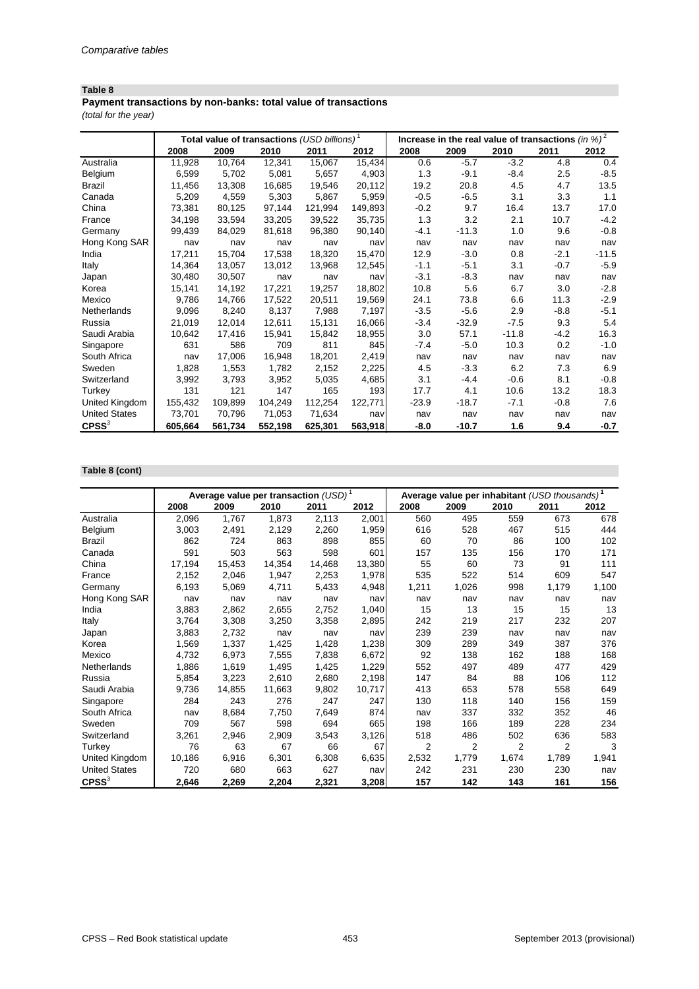*(total for the year)* **Payment transactions by non-banks: total value of transactions**

|                      | Increase in the real value of transactions $(in %)^2$<br>Total value of transactions (USD billions) <sup>1</sup> |         |         |         |         |         |         |         |        |         |
|----------------------|------------------------------------------------------------------------------------------------------------------|---------|---------|---------|---------|---------|---------|---------|--------|---------|
|                      | 2008                                                                                                             | 2009    | 2010    | 2011    | 2012    | 2008    | 2009    | 2010    | 2011   | 2012    |
| Australia            | 11,928                                                                                                           | 10,764  | 12,341  | 15,067  | 15,434  | 0.6     | $-5.7$  | $-3.2$  | 4.8    | 0.4     |
| Belgium              | 6,599                                                                                                            | 5,702   | 5,081   | 5,657   | 4,903   | 1.3     | $-9.1$  | $-8.4$  | 2.5    | $-8.5$  |
| <b>Brazil</b>        | 11,456                                                                                                           | 13,308  | 16,685  | 19,546  | 20,112  | 19.2    | 20.8    | 4.5     | 4.7    | 13.5    |
| Canada               | 5,209                                                                                                            | 4,559   | 5,303   | 5,867   | 5,959   | $-0.5$  | $-6.5$  | 3.1     | 3.3    | 1.1     |
| China                | 73,381                                                                                                           | 80,125  | 97,144  | 121,994 | 149,893 | $-0.2$  | 9.7     | 16.4    | 13.7   | 17.0    |
| France               | 34,198                                                                                                           | 33,594  | 33,205  | 39,522  | 35,735  | 1.3     | 3.2     | 2.1     | 10.7   | $-4.2$  |
| Germany              | 99,439                                                                                                           | 84,029  | 81,618  | 96,380  | 90,140  | $-4.1$  | $-11.3$ | 1.0     | 9.6    | $-0.8$  |
| Hong Kong SAR        | nav                                                                                                              | nav     | nav     | nav     | nav     | nav     | nav     | nav     | nav    | nav     |
| India                | 17,211                                                                                                           | 15,704  | 17,538  | 18,320  | 15,470  | 12.9    | $-3.0$  | 0.8     | $-2.1$ | $-11.5$ |
| Italy                | 14,364                                                                                                           | 13,057  | 13,012  | 13,968  | 12,545  | $-1.1$  | $-5.1$  | 3.1     | $-0.7$ | $-5.9$  |
| Japan                | 30,480                                                                                                           | 30,507  | nav     | nav     | nav     | $-3.1$  | $-8.3$  | nav     | nav    | nav     |
| Korea                | 15,141                                                                                                           | 14,192  | 17,221  | 19,257  | 18,802  | 10.8    | 5.6     | 6.7     | 3.0    | $-2.8$  |
| Mexico               | 9,786                                                                                                            | 14,766  | 17,522  | 20,511  | 19,569  | 24.1    | 73.8    | 6.6     | 11.3   | $-2.9$  |
| Netherlands          | 9,096                                                                                                            | 8,240   | 8,137   | 7,988   | 7,197   | $-3.5$  | $-5.6$  | 2.9     | -8.8   | $-5.1$  |
| Russia               | 21,019                                                                                                           | 12,014  | 12,611  | 15,131  | 16,066  | $-3.4$  | $-32.9$ | $-7.5$  | 9.3    | 5.4     |
| Saudi Arabia         | 10,642                                                                                                           | 17,416  | 15,941  | 15,842  | 18,955  | 3.0     | 57.1    | $-11.8$ | $-4.2$ | 16.3    |
| Singapore            | 631                                                                                                              | 586     | 709     | 811     | 845     | $-7.4$  | $-5.0$  | 10.3    | 0.2    | $-1.0$  |
| South Africa         | nav                                                                                                              | 17,006  | 16,948  | 18,201  | 2,419   | nav     | nav     | nav     | nav    | nav     |
| Sweden               | 1,828                                                                                                            | 1,553   | 1,782   | 2,152   | 2,225   | 4.5     | $-3.3$  | 6.2     | 7.3    | 6.9     |
| Switzerland          | 3,992                                                                                                            | 3,793   | 3,952   | 5,035   | 4,685   | 3.1     | $-4.4$  | $-0.6$  | 8.1    | $-0.8$  |
| Turkey               | 131                                                                                                              | 121     | 147     | 165     | 193     | 17.7    | 4.1     | 10.6    | 13.2   | 18.3    |
| United Kingdom       | 155,432                                                                                                          | 109,899 | 104,249 | 112,254 | 122,771 | $-23.9$ | $-18.7$ | $-7.1$  | $-0.8$ | 7.6     |
| <b>United States</b> | 73.701                                                                                                           | 70,796  | 71,053  | 71,634  | nav     | nav     | nav     | nav     | nav    | nav     |
| $C$ PSS $3$          | 605,664                                                                                                          | 561,734 | 552,198 | 625,301 | 563,918 | $-8.0$  | $-10.7$ | 1.6     | 9.4    | $-0.7$  |

#### **Table 8 (cont)**

|                      |        | Average value per transaction $(USD)^{1}$ |        |        |        | Average value per inhabitant (USD thousands) <sup>1</sup> |       |       |                |       |  |
|----------------------|--------|-------------------------------------------|--------|--------|--------|-----------------------------------------------------------|-------|-------|----------------|-------|--|
|                      | 2008   | 2009                                      | 2010   | 2011   | 2012   | 2008                                                      | 2009  | 2010  | 2011           | 2012  |  |
| Australia            | 2,096  | 1,767                                     | 1,873  | 2,113  | 2,001  | 560                                                       | 495   | 559   | 673            | 678   |  |
| Belgium              | 3,003  | 2,491                                     | 2,129  | 2,260  | 1,959  | 616                                                       | 528   | 467   | 515            | 444   |  |
| <b>Brazil</b>        | 862    | 724                                       | 863    | 898    | 855    | 60                                                        | 70    | 86    | 100            | 102   |  |
| Canada               | 591    | 503                                       | 563    | 598    | 601    | 157                                                       | 135   | 156   | 170            | 171   |  |
| China                | 17,194 | 15,453                                    | 14,354 | 14,468 | 13,380 | 55                                                        | 60    | 73    | 91             | 111   |  |
| France               | 2,152  | 2,046                                     | 1,947  | 2,253  | 1,978  | 535                                                       | 522   | 514   | 609            | 547   |  |
| Germany              | 6,193  | 5,069                                     | 4,711  | 5,433  | 4,948  | 1,211                                                     | 1,026 | 998   | 1,179          | 1,100 |  |
| Hong Kong SAR        | nav    | nav                                       | nav    | nav    | nav    | nav                                                       | nav   | nav   | nav            | nav   |  |
| India                | 3,883  | 2,862                                     | 2,655  | 2,752  | 1,040  | 15                                                        | 13    | 15    | 15             | 13    |  |
| Italy                | 3,764  | 3,308                                     | 3,250  | 3,358  | 2,895  | 242                                                       | 219   | 217   | 232            | 207   |  |
| Japan                | 3,883  | 2,732                                     | nav    | nav    | nav    | 239                                                       | 239   | nav   | nav            | nav   |  |
| Korea                | 1,569  | 1,337                                     | 1,425  | 1,428  | 1,238  | 309                                                       | 289   | 349   | 387            | 376   |  |
| Mexico               | 4,732  | 6,973                                     | 7,555  | 7,838  | 6,672  | 92                                                        | 138   | 162   | 188            | 168   |  |
| Netherlands          | 1,886  | 1,619                                     | 1,495  | 1,425  | 1,229  | 552                                                       | 497   | 489   | 477            | 429   |  |
| Russia               | 5,854  | 3,223                                     | 2,610  | 2,680  | 2,198  | 147                                                       | 84    | 88    | 106            | 112   |  |
| Saudi Arabia         | 9,736  | 14,855                                    | 11,663 | 9,802  | 10,717 | 413                                                       | 653   | 578   | 558            | 649   |  |
| Singapore            | 284    | 243                                       | 276    | 247    | 247    | 130                                                       | 118   | 140   | 156            | 159   |  |
| South Africa         | nav    | 8,684                                     | 7,750  | 7,649  | 874    | nav                                                       | 337   | 332   | 352            | 46    |  |
| Sweden               | 709    | 567                                       | 598    | 694    | 665    | 198                                                       | 166   | 189   | 228            | 234   |  |
| Switzerland          | 3,261  | 2,946                                     | 2,909  | 3,543  | 3,126  | 518                                                       | 486   | 502   | 636            | 583   |  |
| Turkey               | 76     | 63                                        | 67     | 66     | 67     | $\overline{2}$                                            | 2     | 2     | $\overline{2}$ | 3     |  |
| United Kingdom       | 10,186 | 6,916                                     | 6,301  | 6,308  | 6,635  | 2,532                                                     | 1,779 | 1,674 | 1,789          | 1,941 |  |
| <b>United States</b> | 720    | 680                                       | 663    | 627    | nav    | 242                                                       | 231   | 230   | 230            | nav   |  |
| $C$ PSS $3$          | 2,646  | 2,269                                     | 2,204  | 2,321  | 3,208  | 157                                                       | 142   | 143   | 161            | 156   |  |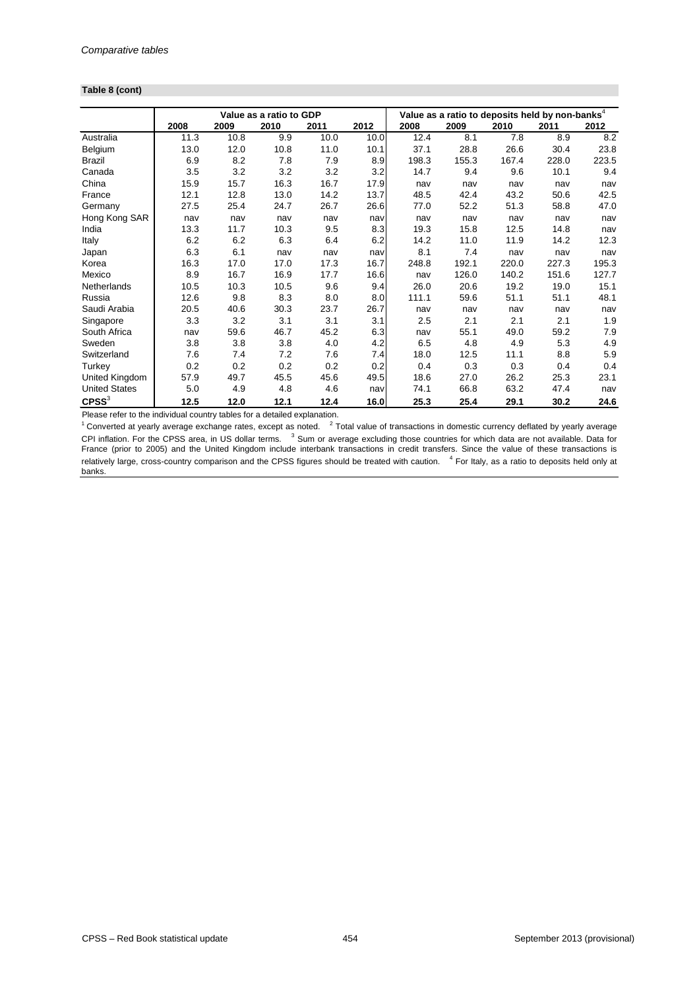#### **Table 8 (cont)**

|                      |      |      | Value as a ratio to GDP |      |      | Value as a ratio to deposits held by non-banks $^4$ |       |       |       |       |
|----------------------|------|------|-------------------------|------|------|-----------------------------------------------------|-------|-------|-------|-------|
|                      | 2008 | 2009 | 2010                    | 2011 | 2012 | 2008                                                | 2009  | 2010  | 2011  | 2012  |
| Australia            | 11.3 | 10.8 | 9.9                     | 10.0 | 10.0 | 12.4                                                | 8.1   | 7.8   | 8.9   | 8.2   |
| Belgium              | 13.0 | 12.0 | 10.8                    | 11.0 | 10.1 | 37.1                                                | 28.8  | 26.6  | 30.4  | 23.8  |
| <b>Brazil</b>        | 6.9  | 8.2  | 7.8                     | 7.9  | 8.9  | 198.3                                               | 155.3 | 167.4 | 228.0 | 223.5 |
| Canada               | 3.5  | 3.2  | 3.2                     | 3.2  | 3.2  | 14.7                                                | 9.4   | 9.6   | 10.1  | 9.4   |
| China                | 15.9 | 15.7 | 16.3                    | 16.7 | 17.9 | nav                                                 | nav   | nav   | nav   | nav   |
| France               | 12.1 | 12.8 | 13.0                    | 14.2 | 13.7 | 48.5                                                | 42.4  | 43.2  | 50.6  | 42.5  |
| Germany              | 27.5 | 25.4 | 24.7                    | 26.7 | 26.6 | 77.0                                                | 52.2  | 51.3  | 58.8  | 47.0  |
| Hong Kong SAR        | nav  | nav  | nav                     | nav  | nav  | nav                                                 | nav   | nav   | nav   | nav   |
| India                | 13.3 | 11.7 | 10.3                    | 9.5  | 8.3  | 19.3                                                | 15.8  | 12.5  | 14.8  | nav   |
| Italy                | 6.2  | 6.2  | 6.3                     | 6.4  | 6.2  | 14.2                                                | 11.0  | 11.9  | 14.2  | 12.3  |
| Japan                | 6.3  | 6.1  | nav                     | nav  | nav  | 8.1                                                 | 7.4   | nav   | nav   | nav   |
| Korea                | 16.3 | 17.0 | 17.0                    | 17.3 | 16.7 | 248.8                                               | 192.1 | 220.0 | 227.3 | 195.3 |
| Mexico               | 8.9  | 16.7 | 16.9                    | 17.7 | 16.6 | nav                                                 | 126.0 | 140.2 | 151.6 | 127.7 |
| Netherlands          | 10.5 | 10.3 | 10.5                    | 9.6  | 9.4  | 26.0                                                | 20.6  | 19.2  | 19.0  | 15.1  |
| Russia               | 12.6 | 9.8  | 8.3                     | 8.0  | 8.0  | 111.1                                               | 59.6  | 51.1  | 51.1  | 48.1  |
| Saudi Arabia         | 20.5 | 40.6 | 30.3                    | 23.7 | 26.7 | nav                                                 | nav   | nav   | nav   | nav   |
| Singapore            | 3.3  | 3.2  | 3.1                     | 3.1  | 3.1  | 2.5                                                 | 2.1   | 2.1   | 2.1   | 1.9   |
| South Africa         | nav  | 59.6 | 46.7                    | 45.2 | 6.3  | nav                                                 | 55.1  | 49.0  | 59.2  | 7.9   |
| Sweden               | 3.8  | 3.8  | 3.8                     | 4.0  | 4.2  | 6.5                                                 | 4.8   | 4.9   | 5.3   | 4.9   |
| Switzerland          | 7.6  | 7.4  | 7.2                     | 7.6  | 7.4  | 18.0                                                | 12.5  | 11.1  | 8.8   | 5.9   |
| Turkey               | 0.2  | 0.2  | 0.2                     | 0.2  | 0.2  | 0.4                                                 | 0.3   | 0.3   | 0.4   | 0.4   |
| United Kingdom       | 57.9 | 49.7 | 45.5                    | 45.6 | 49.5 | 18.6                                                | 27.0  | 26.2  | 25.3  | 23.1  |
| <b>United States</b> | 5.0  | 4.9  | 4.8                     | 4.6  | nav  | 74.1                                                | 66.8  | 63.2  | 47.4  | nav   |
| $C$ PSS $3$          | 12.5 | 12.0 | 12.1                    | 12.4 | 16.0 | 25.3                                                | 25.4  | 29.1  | 30.2  | 24.6  |

Please refer to the individual country tables for a detailed explanation.

 $1$  Converted at yearly average exchange rates, except as noted.  $2$  Total value of transactions in domestic currency deflated by yearly average CPI inflation. For the CPSS area, in US dollar terms. <sup>3</sup> Sum or average excluding those countries for which data are not available. Data for France (prior to 2005) and the United Kingdom include interbank transactions in credit transfers. Since the value of these transactions is relatively large, cross-country comparison and the CPSS figures should be treated with caution. <sup>4</sup> For Italy, as a ratio to deposits held only at banks.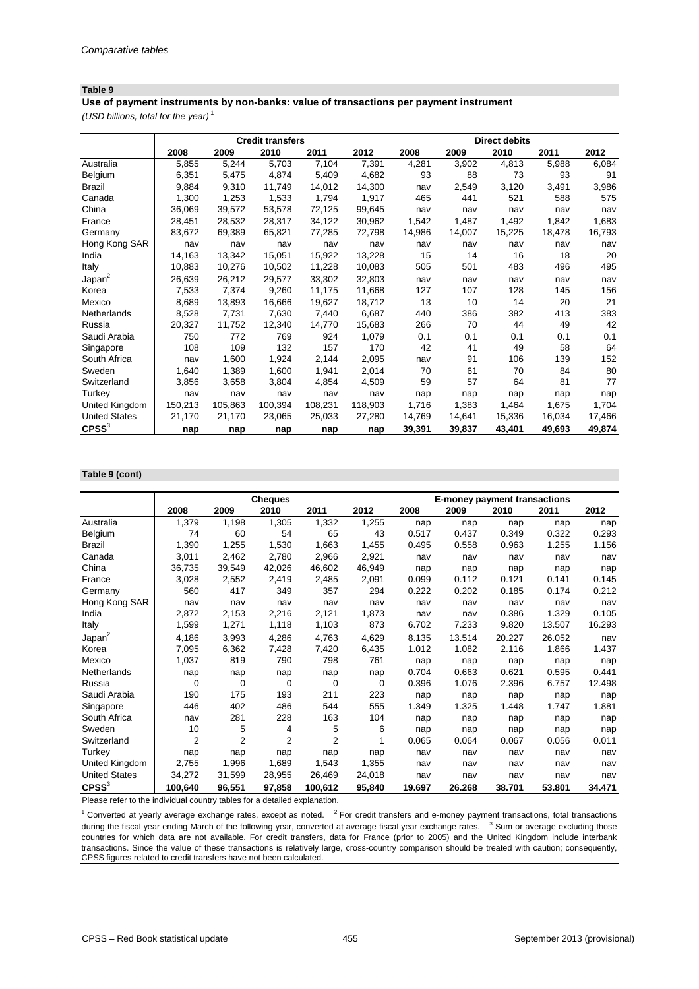*(USD billions, total for the year)* <sup>1</sup> **Use of payment instruments by non-banks: value of transactions per payment instrument**

|                      |         |         | <b>Credit transfers</b> |         |         |        |        | <b>Direct debits</b> |        |        |
|----------------------|---------|---------|-------------------------|---------|---------|--------|--------|----------------------|--------|--------|
|                      | 2008    | 2009    | 2010                    | 2011    | 2012    | 2008   | 2009   | 2010                 | 2011   | 2012   |
| Australia            | 5,855   | 5,244   | 5,703                   | 7,104   | 7,391   | 4,281  | 3,902  | 4,813                | 5,988  | 6,084  |
| Belgium              | 6,351   | 5,475   | 4,874                   | 5,409   | 4,682   | 93     | 88     | 73                   | 93     | 91     |
| <b>Brazil</b>        | 9,884   | 9,310   | 11,749                  | 14,012  | 14,300  | nav    | 2,549  | 3,120                | 3,491  | 3,986  |
| Canada               | 1,300   | 1,253   | 1,533                   | 1,794   | 1,917   | 465    | 441    | 521                  | 588    | 575    |
| China                | 36,069  | 39,572  | 53,578                  | 72,125  | 99,645  | nav    | nav    | nav                  | nav    | nav    |
| France               | 28,451  | 28,532  | 28,317                  | 34,122  | 30,962  | 1,542  | 1,487  | 1,492                | 1,842  | 1,683  |
| Germany              | 83,672  | 69,389  | 65,821                  | 77,285  | 72,798  | 14,986 | 14,007 | 15,225               | 18,478 | 16,793 |
| Hong Kong SAR        | nav     | nav     | nav                     | nav     | nav     | nav    | nav    | nav                  | nav    | nav    |
| India                | 14,163  | 13,342  | 15,051                  | 15,922  | 13,228  | 15     | 14     | 16                   | 18     | 20     |
| Italy                | 10,883  | 10,276  | 10,502                  | 11,228  | 10,083  | 505    | 501    | 483                  | 496    | 495    |
| Japan <sup>2</sup>   | 26,639  | 26,212  | 29,577                  | 33,302  | 32,803  | nav    | nav    | nav                  | nav    | nav    |
| Korea                | 7,533   | 7,374   | 9,260                   | 11,175  | 11,668  | 127    | 107    | 128                  | 145    | 156    |
| Mexico               | 8,689   | 13,893  | 16,666                  | 19,627  | 18,712  | 13     | 10     | 14                   | 20     | 21     |
| <b>Netherlands</b>   | 8,528   | 7,731   | 7,630                   | 7,440   | 6,687   | 440    | 386    | 382                  | 413    | 383    |
| Russia               | 20,327  | 11,752  | 12,340                  | 14,770  | 15,683  | 266    | 70     | 44                   | 49     | 42     |
| Saudi Arabia         | 750     | 772     | 769                     | 924     | 1,079   | 0.1    | 0.1    | 0.1                  | 0.1    | 0.1    |
| Singapore            | 108     | 109     | 132                     | 157     | 170     | 42     | 41     | 49                   | 58     | 64     |
| South Africa         | nav     | 1,600   | 1,924                   | 2,144   | 2,095   | nav    | 91     | 106                  | 139    | 152    |
| Sweden               | 1,640   | 1,389   | 1,600                   | 1,941   | 2,014   | 70     | 61     | 70                   | 84     | 80     |
| Switzerland          | 3,856   | 3,658   | 3,804                   | 4,854   | 4,509   | 59     | 57     | 64                   | 81     | 77     |
| Turkey               | nav     | nav     | nav                     | nav     | nav     | nap    | nap    | nap                  | nap    | nap    |
| United Kingdom       | 150,213 | 105,863 | 100,394                 | 108,231 | 118,903 | 1,716  | 1,383  | 1,464                | 1,675  | 1,704  |
| <b>United States</b> | 21,170  | 21,170  | 23,065                  | 25,033  | 27,280  | 14,769 | 14,641 | 15,336               | 16,034 | 17,466 |
| $C$ PSS $3$          | nap     | nap     | nap                     | nap     | nap     | 39,391 | 39,837 | 43,401               | 49,693 | 49,874 |

#### **Table 9 (cont)**

|                      |                |                | <b>Cheques</b> |                |        |        |        | <b>E-money payment transactions</b> |        |        |
|----------------------|----------------|----------------|----------------|----------------|--------|--------|--------|-------------------------------------|--------|--------|
|                      | 2008           | 2009           | 2010           | 2011           | 2012   | 2008   | 2009   | 2010                                | 2011   | 2012   |
| Australia            | 1,379          | 1,198          | 1,305          | 1,332          | 1,255  | nap    | nap    | nap                                 | nap    | nap    |
| Belgium              | 74             | 60             | 54             | 65             | 43     | 0.517  | 0.437  | 0.349                               | 0.322  | 0.293  |
| <b>Brazil</b>        | 1,390          | 1,255          | 1,530          | 1,663          | 1,455  | 0.495  | 0.558  | 0.963                               | 1.255  | 1.156  |
| Canada               | 3,011          | 2,462          | 2,780          | 2,966          | 2,921  | nav    | nav    | nav                                 | nav    | nav    |
| China                | 36,735         | 39,549         | 42,026         | 46,602         | 46,949 | nap    | nap    | nap                                 | nap    | nap    |
| France               | 3,028          | 2,552          | 2,419          | 2,485          | 2,091  | 0.099  | 0.112  | 0.121                               | 0.141  | 0.145  |
| Germany              | 560            | 417            | 349            | 357            | 294    | 0.222  | 0.202  | 0.185                               | 0.174  | 0.212  |
| Hong Kong SAR        | nav            | nav            | nav            | nav            | nav    | nav    | nav    | nav                                 | nav    | nav    |
| India                | 2,872          | 2,153          | 2,216          | 2,121          | 1,873  | nav    | nav    | 0.386                               | 1.329  | 0.105  |
| Italy                | 1,599          | 1,271          | 1,118          | 1,103          | 873    | 6.702  | 7.233  | 9.820                               | 13.507 | 16.293 |
| Japan <sup>2</sup>   | 4,186          | 3,993          | 4,286          | 4,763          | 4,629  | 8.135  | 13.514 | 20.227                              | 26.052 | nav    |
| Korea                | 7,095          | 6,362          | 7,428          | 7,420          | 6,435  | 1.012  | 1.082  | 2.116                               | 1.866  | 1.437  |
| Mexico               | 1,037          | 819            | 790            | 798            | 761    | nap    | nap    | nap                                 | nap    | nap    |
| Netherlands          | nap            | nap            | nap            | nap            | nap    | 0.704  | 0.663  | 0.621                               | 0.595  | 0.441  |
| Russia               | 0              | 0              | 0              | 0              | 0      | 0.396  | 1.076  | 2.396                               | 6.757  | 12.498 |
| Saudi Arabia         | 190            | 175            | 193            | 211            | 223    | nap    | nap    | nap                                 | nap    | nap    |
| Singapore            | 446            | 402            | 486            | 544            | 555    | 1.349  | 1.325  | 1.448                               | 1.747  | 1.881  |
| South Africa         | nav            | 281            | 228            | 163            | 104    | nap    | nap    | nap                                 | nap    | nap    |
| Sweden               | 10             | 5              | 4              | 5              | 6      | nap    | nap    | nap                                 | nap    | nap    |
| Switzerland          | $\overline{2}$ | $\overline{2}$ | $\overline{2}$ | $\overline{2}$ |        | 0.065  | 0.064  | 0.067                               | 0.056  | 0.011  |
| Turkey               | nap            | nap            | nap            | nap            | nap    | nav    | nav    | nav                                 | nav    | nav    |
| United Kingdom       | 2,755          | 1,996          | 1,689          | 1,543          | 1,355  | nav    | nav    | nav                                 | nav    | nav    |
| <b>United States</b> | 34,272         | 31,599         | 28,955         | 26,469         | 24,018 | nav    | nav    | nav                                 | nav    | nav    |
| $C$ PSS $3$          | 100,640        | 96,551         | 97,858         | 100,612        | 95,840 | 19.697 | 26.268 | 38.701                              | 53.801 | 34.471 |

Please refer to the individual country tables for a detailed explanation.

 $1$  Converted at yearly average exchange rates, except as noted.  $2$  For credit transfers and e-money payment transactions, total transactions during the fiscal year ending March of the following year, converted at average fiscal year exchange rates. <sup>3</sup> Sum or average excluding those countries for which data are not available. For credit transfers, data for France (prior to 2005) and the United Kingdom include interbank transactions. Since the value of these transactions is relatively large, cross-country comparison should be treated with caution; consequently, CPSS figures related to credit transfers have not been calculated.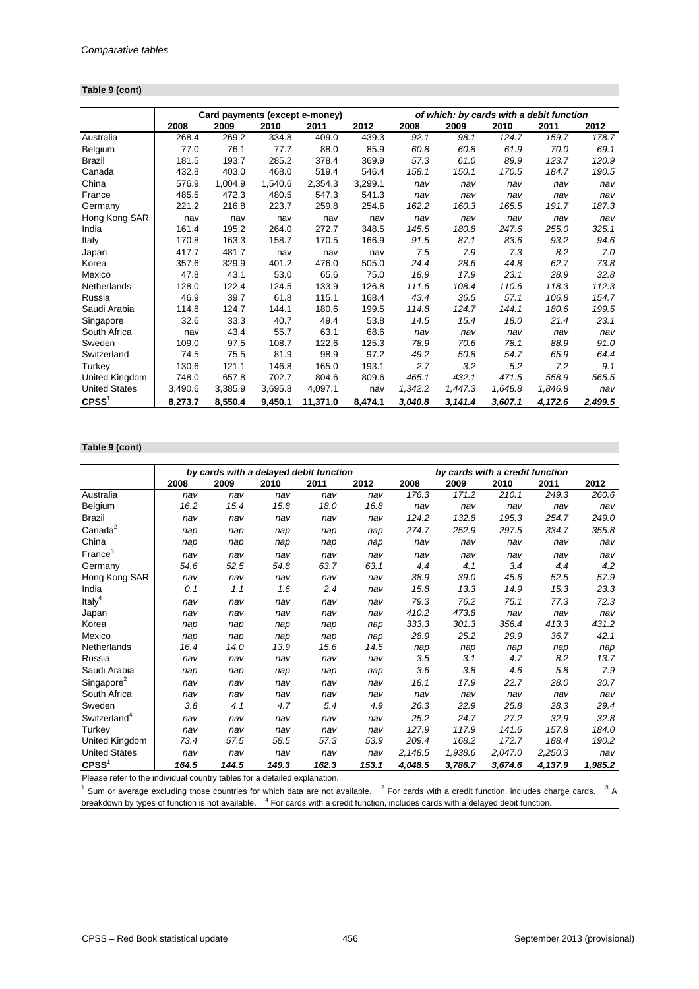#### **Table 9 (cont)**

|                      | Card payments (except e-money)<br>of which: by cards with a debit function |         |         |          |         |         |         |         |         |         |
|----------------------|----------------------------------------------------------------------------|---------|---------|----------|---------|---------|---------|---------|---------|---------|
|                      | 2008                                                                       | 2009    | 2010    | 2011     | 2012    | 2008    | 2009    | 2010    | 2011    | 2012    |
| Australia            | 268.4                                                                      | 269.2   | 334.8   | 409.0    | 439.3   | 92.1    | 98.1    | 124.7   | 159.7   | 178.7   |
| Belgium              | 77.0                                                                       | 76.1    | 77.7    | 88.0     | 85.9    | 60.8    | 60.8    | 61.9    | 70.0    | 69.1    |
| <b>Brazil</b>        | 181.5                                                                      | 193.7   | 285.2   | 378.4    | 369.9   | 57.3    | 61.0    | 89.9    | 123.7   | 120.9   |
| Canada               | 432.8                                                                      | 403.0   | 468.0   | 519.4    | 546.4   | 158.1   | 150.1   | 170.5   | 184.7   | 190.5   |
| China                | 576.9                                                                      | 1,004.9 | 1,540.6 | 2,354.3  | 3,299.1 | nav     | nav     | nav     | nav     | nav     |
| France               | 485.5                                                                      | 472.3   | 480.5   | 547.3    | 541.3   | nav     | nav     | nav     | nav     | nav     |
| Germany              | 221.2                                                                      | 216.8   | 223.7   | 259.8    | 254.6   | 162.2   | 160.3   | 165.5   | 191.7   | 187.3   |
| Hong Kong SAR        | nav                                                                        | nav     | nav     | nav      | nav     | nav     | nav     | nav     | nav     | nav     |
| India                | 161.4                                                                      | 195.2   | 264.0   | 272.7    | 348.5   | 145.5   | 180.8   | 247.6   | 255.0   | 325.1   |
| Italy                | 170.8                                                                      | 163.3   | 158.7   | 170.5    | 166.9   | 91.5    | 87.1    | 83.6    | 93.2    | 94.6    |
| Japan                | 417.7                                                                      | 481.7   | nav     | nav      | nav     | 7.5     | 7.9     | 7.3     | 8.2     | 7.0     |
| Korea                | 357.6                                                                      | 329.9   | 401.2   | 476.0    | 505.0   | 24.4    | 28.6    | 44.8    | 62.7    | 73.8    |
| Mexico               | 47.8                                                                       | 43.1    | 53.0    | 65.6     | 75.0    | 18.9    | 17.9    | 23.1    | 28.9    | 32.8    |
| Netherlands          | 128.0                                                                      | 122.4   | 124.5   | 133.9    | 126.8   | 111.6   | 108.4   | 110.6   | 118.3   | 112.3   |
| Russia               | 46.9                                                                       | 39.7    | 61.8    | 115.1    | 168.4   | 43.4    | 36.5    | 57.1    | 106.8   | 154.7   |
| Saudi Arabia         | 114.8                                                                      | 124.7   | 144.1   | 180.6    | 199.5   | 114.8   | 124.7   | 144.1   | 180.6   | 199.5   |
| Singapore            | 32.6                                                                       | 33.3    | 40.7    | 49.4     | 53.8    | 14.5    | 15.4    | 18.0    | 21.4    | 23.1    |
| South Africa         | nav                                                                        | 43.4    | 55.7    | 63.1     | 68.6    | nav     | nav     | nav     | nav     | nav     |
| Sweden               | 109.0                                                                      | 97.5    | 108.7   | 122.6    | 125.3   | 78.9    | 70.6    | 78.1    | 88.9    | 91.0    |
| Switzerland          | 74.5                                                                       | 75.5    | 81.9    | 98.9     | 97.2    | 49.2    | 50.8    | 54.7    | 65.9    | 64.4    |
| Turkey               | 130.6                                                                      | 121.1   | 146.8   | 165.0    | 193.1   | 2.7     | 3.2     | 5.2     | 7.2     | 9.1     |
| United Kingdom       | 748.0                                                                      | 657.8   | 702.7   | 804.6    | 809.6   | 465.1   | 432.1   | 471.5   | 558.9   | 565.5   |
| <b>United States</b> | 3,490.6                                                                    | 3,385.9 | 3,695.8 | 4,097.1  | nav     | 1,342.2 | 1,447.3 | 1,648.8 | 1,846.8 | nav     |
| CPSS <sup>1</sup>    | 8,273.7                                                                    | 8,550.4 | 9,450.1 | 11,371.0 | 8,474.1 | 3,040.8 | 3,141.4 | 3,607.1 | 4,172.6 | 2,499.5 |

#### **Table 9 (cont)**

|                          |       | by cards with a delayed debit function |       |       |       | by cards with a credit function |         |         |         |         |
|--------------------------|-------|----------------------------------------|-------|-------|-------|---------------------------------|---------|---------|---------|---------|
|                          | 2008  | 2009                                   | 2010  | 2011  | 2012  | 2008                            | 2009    | 2010    | 2011    | 2012    |
| Australia                | nav   | nav                                    | nav   | nav   | nav   | 176.3                           | 171.2   | 210.1   | 249.3   | 260.6   |
| Belgium                  | 16.2  | 15.4                                   | 15.8  | 18.0  | 16.8  | nav                             | nav     | nav     | nav     | nav     |
| <b>Brazil</b>            | nav   | nav                                    | nav   | nav   | nav   | 124.2                           | 132.8   | 195.3   | 254.7   | 249.0   |
| Canada <sup>2</sup>      | nap   | nap                                    | nap   | nap   | nap   | 274.7                           | 252.9   | 297.5   | 334.7   | 355.8   |
| China                    | nap   | nap                                    | nap   | nap   | nap   | nav                             | nav     | nav     | nav     | nav     |
| France <sup>3</sup>      | nav   | nav                                    | nav   | nav   | nav   | nav                             | nav     | nav     | nav     | nav     |
| Germany                  | 54.6  | 52.5                                   | 54.8  | 63.7  | 63.1  | 4.4                             | 4.1     | 3.4     | 4.4     | 4.2     |
| Hong Kong SAR            | nav   | nav                                    | nav   | nav   | nav   | 38.9                            | 39.0    | 45.6    | 52.5    | 57.9    |
| India                    | 0.1   | 1.1                                    | 1.6   | 2.4   | nav   | 15.8                            | 13.3    | 14.9    | 15.3    | 23.3    |
| Italy <sup>4</sup>       | nav   | nav                                    | nav   | nav   | nav   | 79.3                            | 76.2    | 75.1    | 77.3    | 72.3    |
| Japan                    | nav   | nav                                    | nav   | nav   | nav   | 410.2                           | 473.8   | nav     | nav     | nav     |
| Korea                    | nap   | nap                                    | nap   | nap   | nap   | 333.3                           | 301.3   | 356.4   | 413.3   | 431.2   |
| Mexico                   | nap   | nap                                    | nap   | nap   | nap   | 28.9                            | 25.2    | 29.9    | 36.7    | 42.1    |
| Netherlands              | 16.4  | 14.0                                   | 13.9  | 15.6  | 14.5  | nap                             | nap     | nap     | nap     | nap     |
| Russia                   | nav   | nav                                    | nav   | nav   | nav   | 3.5                             | 3.1     | 4.7     | 8.2     | 13.7    |
| Saudi Arabia             | nap   | nap                                    | nap   | nap   | nap   | 3.6                             | 3.8     | 4.6     | 5.8     | 7.9     |
| Singapore <sup>2</sup>   | nav   | nav                                    | nav   | nav   | nav   | 18.1                            | 17.9    | 22.7    | 28.0    | 30.7    |
| South Africa             | nav   | nav                                    | nav   | nav   | nav   | nav                             | nav     | nav     | nav     | nav     |
| Sweden                   | 3.8   | 4.1                                    | 4.7   | 5.4   | 4.9   | 26.3                            | 22.9    | 25.8    | 28.3    | 29.4    |
| Switzerland <sup>4</sup> | nav   | nav                                    | nav   | nav   | nav   | 25.2                            | 24.7    | 27.2    | 32.9    | 32.8    |
| Turkey                   | nav   | nav                                    | nav   | nav   | nav   | 127.9                           | 117.9   | 141.6   | 157.8   | 184.0   |
| United Kingdom           | 73.4  | 57.5                                   | 58.5  | 57.3  | 53.9  | 209.4                           | 168.2   | 172.7   | 188.4   | 190.2   |
| <b>United States</b>     | nav   | nav                                    | nav   | nav   | nav   | 2,148.5                         | 1,938.6 | 2,047.0 | 2,250.3 | nav     |
| CPSS <sup>1</sup>        | 164.5 | 144.5                                  | 149.3 | 162.3 | 153.1 | 4,048.5                         | 3,786.7 | 3,674.6 | 4,137.9 | 1,985.2 |

Please refer to the individual country tables for a detailed explanation.

<sup>1</sup> Sum or average excluding those countries for which data are not available.  $12$  For cards with a credit function, includes charge cards.  $13$  A breakdown by types of function is not available. <sup>4</sup> For cards with a credit function, includes cards with a delayed debit function.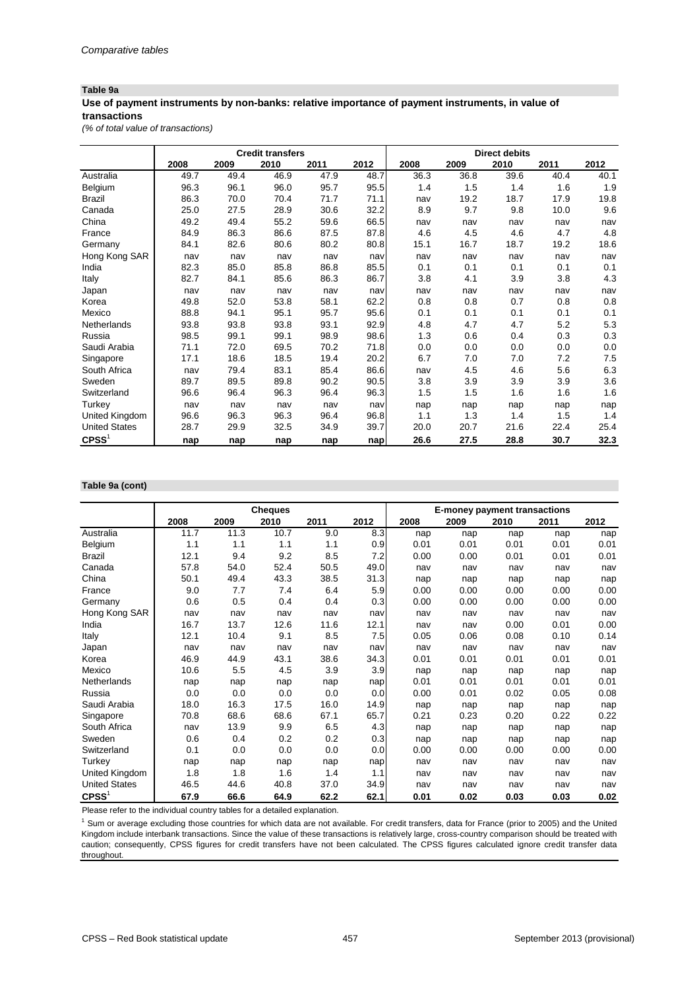#### **Table 9a**

## **Use of payment instruments by non-banks: relative importance of payment instruments, in value of transactions**

*(% of total value of transactions)*

|                      |      |      | <b>Credit transfers</b> |      |      | <b>Direct debits</b> |      |      |      |      |
|----------------------|------|------|-------------------------|------|------|----------------------|------|------|------|------|
|                      | 2008 | 2009 | 2010                    | 2011 | 2012 | 2008                 | 2009 | 2010 | 2011 | 2012 |
| Australia            | 49.7 | 49.4 | 46.9                    | 47.9 | 48.7 | 36.3                 | 36.8 | 39.6 | 40.4 | 40.1 |
| Belgium              | 96.3 | 96.1 | 96.0                    | 95.7 | 95.5 | 1.4                  | 1.5  | 1.4  | 1.6  | 1.9  |
| <b>Brazil</b>        | 86.3 | 70.0 | 70.4                    | 71.7 | 71.1 | nav                  | 19.2 | 18.7 | 17.9 | 19.8 |
| Canada               | 25.0 | 27.5 | 28.9                    | 30.6 | 32.2 | 8.9                  | 9.7  | 9.8  | 10.0 | 9.6  |
| China                | 49.2 | 49.4 | 55.2                    | 59.6 | 66.5 | nav                  | nav  | nav  | nav  | nav  |
| France               | 84.9 | 86.3 | 86.6                    | 87.5 | 87.8 | 4.6                  | 4.5  | 4.6  | 4.7  | 4.8  |
| Germany              | 84.1 | 82.6 | 80.6                    | 80.2 | 80.8 | 15.1                 | 16.7 | 18.7 | 19.2 | 18.6 |
| Hong Kong SAR        | nav  | nav  | nav                     | nav  | nav  | nav                  | nav  | nav  | nav  | nav  |
| India                | 82.3 | 85.0 | 85.8                    | 86.8 | 85.5 | 0.1                  | 0.1  | 0.1  | 0.1  | 0.1  |
| Italy                | 82.7 | 84.1 | 85.6                    | 86.3 | 86.7 | 3.8                  | 4.1  | 3.9  | 3.8  | 4.3  |
| Japan                | nav  | nav  | nav                     | nav  | nav  | nav                  | nav  | nav  | nav  | nav  |
| Korea                | 49.8 | 52.0 | 53.8                    | 58.1 | 62.2 | 0.8                  | 0.8  | 0.7  | 0.8  | 0.8  |
| Mexico               | 88.8 | 94.1 | 95.1                    | 95.7 | 95.6 | 0.1                  | 0.1  | 0.1  | 0.1  | 0.1  |
| Netherlands          | 93.8 | 93.8 | 93.8                    | 93.1 | 92.9 | 4.8                  | 4.7  | 4.7  | 5.2  | 5.3  |
| Russia               | 98.5 | 99.1 | 99.1                    | 98.9 | 98.6 | 1.3                  | 0.6  | 0.4  | 0.3  | 0.3  |
| Saudi Arabia         | 71.1 | 72.0 | 69.5                    | 70.2 | 71.8 | 0.0                  | 0.0  | 0.0  | 0.0  | 0.0  |
| Singapore            | 17.1 | 18.6 | 18.5                    | 19.4 | 20.2 | 6.7                  | 7.0  | 7.0  | 7.2  | 7.5  |
| South Africa         | nav  | 79.4 | 83.1                    | 85.4 | 86.6 | nav                  | 4.5  | 4.6  | 5.6  | 6.3  |
| Sweden               | 89.7 | 89.5 | 89.8                    | 90.2 | 90.5 | 3.8                  | 3.9  | 3.9  | 3.9  | 3.6  |
| Switzerland          | 96.6 | 96.4 | 96.3                    | 96.4 | 96.3 | 1.5                  | 1.5  | 1.6  | 1.6  | 1.6  |
| Turkey               | nav  | nav  | nav                     | nav  | nav  | nap                  | nap  | nap  | nap  | nap  |
| United Kingdom       | 96.6 | 96.3 | 96.3                    | 96.4 | 96.8 | 1.1                  | 1.3  | 1.4  | 1.5  | 1.4  |
| <b>United States</b> | 28.7 | 29.9 | 32.5                    | 34.9 | 39.7 | 20.0                 | 20.7 | 21.6 | 22.4 | 25.4 |
| $C$ PSS <sup>1</sup> | nap  | nap  | nap                     | nap  | nap  | 26.6                 | 27.5 | 28.8 | 30.7 | 32.3 |

#### **Table 9a (cont)**

|                      |      |       | <b>Cheques</b> |      |      |      | <b>E-money payment transactions</b> |      |      |      |
|----------------------|------|-------|----------------|------|------|------|-------------------------------------|------|------|------|
|                      | 2008 | 2009  | 2010           | 2011 | 2012 | 2008 | 2009                                | 2010 | 2011 | 2012 |
| Australia            | 11.7 | 11.3  | 10.7           | 9.0  | 8.3  | nap  | nap                                 | nap  | nap  | nap  |
| Belgium              | 1.1  | $1.1$ | 1.1            | 1.1  | 0.9  | 0.01 | 0.01                                | 0.01 | 0.01 | 0.01 |
| <b>Brazil</b>        | 12.1 | 9.4   | 9.2            | 8.5  | 7.2  | 0.00 | 0.00                                | 0.01 | 0.01 | 0.01 |
| Canada               | 57.8 | 54.0  | 52.4           | 50.5 | 49.0 | nav  | nav                                 | nav  | nav  | nav  |
| China                | 50.1 | 49.4  | 43.3           | 38.5 | 31.3 | nap  | nap                                 | nap  | nap  | nap  |
| France               | 9.0  | 7.7   | 7.4            | 6.4  | 5.9  | 0.00 | 0.00                                | 0.00 | 0.00 | 0.00 |
| Germany              | 0.6  | 0.5   | 0.4            | 0.4  | 0.3  | 0.00 | 0.00                                | 0.00 | 0.00 | 0.00 |
| Hong Kong SAR        | nav  | nav   | nav            | nav  | nav  | nav  | nav                                 | nav  | nav  | nav  |
| India                | 16.7 | 13.7  | 12.6           | 11.6 | 12.1 | nav  | nav                                 | 0.00 | 0.01 | 0.00 |
| Italy                | 12.1 | 10.4  | 9.1            | 8.5  | 7.5  | 0.05 | 0.06                                | 0.08 | 0.10 | 0.14 |
| Japan                | nav  | nav   | nav            | nav  | nav  | nav  | nav                                 | nav  | nav  | nav  |
| Korea                | 46.9 | 44.9  | 43.1           | 38.6 | 34.3 | 0.01 | 0.01                                | 0.01 | 0.01 | 0.01 |
| Mexico               | 10.6 | 5.5   | 4.5            | 3.9  | 3.9  | nap  | nap                                 | nap  | nap  | nap  |
| Netherlands          | nap  | nap   | nap            | nap  | nap  | 0.01 | 0.01                                | 0.01 | 0.01 | 0.01 |
| Russia               | 0.0  | 0.0   | 0.0            | 0.0  | 0.0  | 0.00 | 0.01                                | 0.02 | 0.05 | 0.08 |
| Saudi Arabia         | 18.0 | 16.3  | 17.5           | 16.0 | 14.9 | nap  | nap                                 | nap  | nap  | nap  |
| Singapore            | 70.8 | 68.6  | 68.6           | 67.1 | 65.7 | 0.21 | 0.23                                | 0.20 | 0.22 | 0.22 |
| South Africa         | nav  | 13.9  | 9.9            | 6.5  | 4.3  | nap  | nap                                 | nap  | nap  | nap  |
| Sweden               | 0.6  | 0.4   | 0.2            | 0.2  | 0.3  | nap  | nap                                 | nap  | nap  | nap  |
| Switzerland          | 0.1  | 0.0   | 0.0            | 0.0  | 0.0  | 0.00 | 0.00                                | 0.00 | 0.00 | 0.00 |
| Turkey               | nap  | nap   | nap            | nap  | nap  | nav  | nav                                 | nav  | nav  | nav  |
| United Kingdom       | 1.8  | 1.8   | 1.6            | 1.4  | 1.1  | nav  | nav                                 | nav  | nav  | nav  |
| <b>United States</b> | 46.5 | 44.6  | 40.8           | 37.0 | 34.9 | nav  | nav                                 | nav  | nav  | nav  |
| CPSS <sup>1</sup>    | 67.9 | 66.6  | 64.9           | 62.2 | 62.1 | 0.01 | 0.02                                | 0.03 | 0.03 | 0.02 |

Please refer to the individual country tables for a detailed explanation.

<sup>1</sup> Sum or average excluding those countries for which data are not available. For credit transfers, data for France (prior to 2005) and the United Kingdom include interbank transactions. Since the value of these transactions is relatively large, cross-country comparison should be treated with caution; consequently, CPSS figures for credit transfers have not been calculated. The CPSS figures calculated ignore credit transfer data throughout.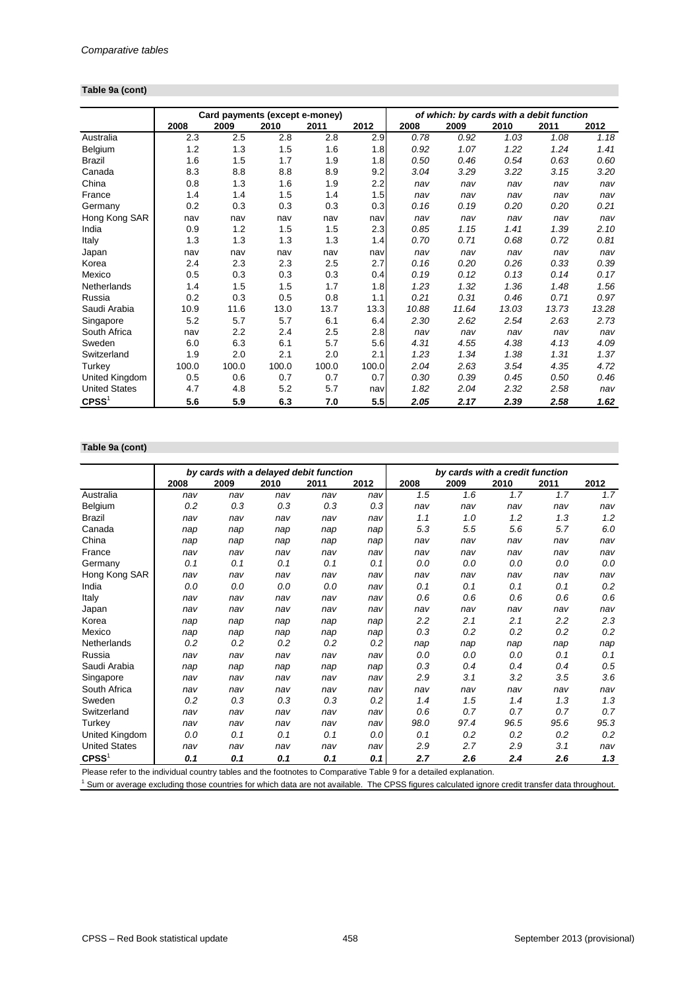#### **Table 9a (cont)**

|                      |       | Card payments (except e-money) |       |       |       | of which: by cards with a debit function |       |       |       |       |  |
|----------------------|-------|--------------------------------|-------|-------|-------|------------------------------------------|-------|-------|-------|-------|--|
|                      | 2008  | 2009                           | 2010  | 2011  | 2012  | 2008                                     | 2009  | 2010  | 2011  | 2012  |  |
| Australia            | 2.3   | 2.5                            | 2.8   | 2.8   | 2.9   | 0.78                                     | 0.92  | 1.03  | 1.08  | 1.18  |  |
| Belgium              | 1.2   | 1.3                            | 1.5   | 1.6   | 1.8   | 0.92                                     | 1.07  | 1.22  | 1.24  | 1.41  |  |
| <b>Brazil</b>        | 1.6   | 1.5                            | 1.7   | 1.9   | 1.8   | 0.50                                     | 0.46  | 0.54  | 0.63  | 0.60  |  |
| Canada               | 8.3   | 8.8                            | 8.8   | 8.9   | 9.2   | 3.04                                     | 3.29  | 3.22  | 3.15  | 3.20  |  |
| China                | 0.8   | 1.3                            | 1.6   | 1.9   | 2.2   | nav                                      | nav   | nav   | nav   | nav   |  |
| France               | 1.4   | 1.4                            | 1.5   | 1.4   | 1.5   | nav                                      | nav   | nav   | nav   | nav   |  |
| Germany              | 0.2   | 0.3                            | 0.3   | 0.3   | 0.3   | 0.16                                     | 0.19  | 0.20  | 0.20  | 0.21  |  |
| Hong Kong SAR        | nav   | nav                            | nav   | nav   | nav   | nav                                      | nav   | nav   | nav   | nav   |  |
| India                | 0.9   | 1.2                            | 1.5   | 1.5   | 2.3   | 0.85                                     | 1.15  | 1.41  | 1.39  | 2.10  |  |
| Italy                | 1.3   | 1.3                            | 1.3   | 1.3   | 1.4   | 0.70                                     | 0.71  | 0.68  | 0.72  | 0.81  |  |
| Japan                | nav   | nav                            | nav   | nav   | nav   | nav                                      | nav   | nav   | nav   | nav   |  |
| Korea                | 2.4   | 2.3                            | 2.3   | 2.5   | 2.7   | 0.16                                     | 0.20  | 0.26  | 0.33  | 0.39  |  |
| Mexico               | 0.5   | 0.3                            | 0.3   | 0.3   | 0.4   | 0.19                                     | 0.12  | 0.13  | 0.14  | 0.17  |  |
| Netherlands          | 1.4   | 1.5                            | 1.5   | 1.7   | 1.8   | 1.23                                     | 1.32  | 1.36  | 1.48  | 1.56  |  |
| Russia               | 0.2   | 0.3                            | 0.5   | 0.8   | 1.1   | 0.21                                     | 0.31  | 0.46  | 0.71  | 0.97  |  |
| Saudi Arabia         | 10.9  | 11.6                           | 13.0  | 13.7  | 13.3  | 10.88                                    | 11.64 | 13.03 | 13.73 | 13.28 |  |
| Singapore            | 5.2   | 5.7                            | 5.7   | 6.1   | 6.4   | 2.30                                     | 2.62  | 2.54  | 2.63  | 2.73  |  |
| South Africa         | nav   | 2.2                            | 2.4   | 2.5   | 2.8   | nav                                      | nav   | nav   | nav   | nav   |  |
| Sweden               | 6.0   | 6.3                            | 6.1   | 5.7   | 5.6   | 4.31                                     | 4.55  | 4.38  | 4.13  | 4.09  |  |
| Switzerland          | 1.9   | 2.0                            | 2.1   | 2.0   | 2.1   | 1.23                                     | 1.34  | 1.38  | 1.31  | 1.37  |  |
| Turkey               | 100.0 | 100.0                          | 100.0 | 100.0 | 100.0 | 2.04                                     | 2.63  | 3.54  | 4.35  | 4.72  |  |
| United Kingdom       | 0.5   | 0.6                            | 0.7   | 0.7   | 0.7   | 0.30                                     | 0.39  | 0.45  | 0.50  | 0.46  |  |
| <b>United States</b> | 4.7   | 4.8                            | 5.2   | 5.7   | nav   | 1.82                                     | 2.04  | 2.32  | 2.58  | nav   |  |
| $C$ PSS <sup>1</sup> | 5.6   | 5.9                            | 6.3   | 7.0   | 5.5   | 2.05                                     | 2.17  | 2.39  | 2.58  | 1.62  |  |

# **Table 9a (cont)**

|                      |      | by cards with a delayed debit function |      |      |      | by cards with a credit function |      |      |      |         |
|----------------------|------|----------------------------------------|------|------|------|---------------------------------|------|------|------|---------|
|                      | 2008 | 2009                                   | 2010 | 2011 | 2012 | 2008                            | 2009 | 2010 | 2011 | 2012    |
| Australia            | nav  | nav                                    | nav  | nav  | nav  | 1.5                             | 1.6  | 1.7  | 1.7  | 1.7     |
| Belgium              | 0.2  | 0.3                                    | 0.3  | 0.3  | 0.3  | nav                             | nav  | nav  | nav  | nav     |
| <b>Brazil</b>        | nav  | nav                                    | nav  | nav  | nav  | 1.1                             | 1.0  | 1.2  | 1.3  | 1.2     |
| Canada               | nap  | nap                                    | nap  | nap  | nap  | 5.3                             | 5.5  | 5.6  | 5.7  | $6.0\,$ |
| China                | nap  | nap                                    | nap  | nap  | nap  | nav                             | nav  | nav  | nav  | nav     |
| France               | nav  | nav                                    | nav  | nav  | nav  | nav                             | nav  | nav  | nav  | nav     |
| Germany              | 0.1  | 0.1                                    | 0.1  | 0.1  | 0.1  | 0.0                             | 0.0  | 0.0  | 0.0  | 0.0     |
| Hong Kong SAR        | nav  | nav                                    | nav  | nav  | nav  | nav                             | nav  | nav  | nav  | nav     |
| India                | 0.0  | 0.0                                    | 0.0  | 0.0  | nav  | 0.1                             | 0.1  | 0.1  | 0.1  | 0.2     |
| Italy                | nav  | nav                                    | nav  | nav  | nav  | 0.6                             | 0.6  | 0.6  | 0.6  | 0.6     |
| Japan                | nav  | nav                                    | nav  | nav  | nav  | nav                             | nav  | nav  | nav  | nav     |
| Korea                | nap  | nap                                    | nap  | nap  | nap  | 2.2                             | 2.1  | 2.1  | 2.2  | 2.3     |
| Mexico               | nap  | nap                                    | nap  | nap  | nap  | 0.3                             | 0.2  | 0.2  | 0.2  | 0.2     |
| Netherlands          | 0.2  | 0.2                                    | 0.2  | 0.2  | 0.2  | nap                             | nap  | nap  | nap  | nap     |
| Russia               | nav  | nav                                    | nav  | nav  | nav  | 0.0                             | 0.0  | 0.0  | 0.1  | 0.1     |
| Saudi Arabia         | nap  | nap                                    | nap  | nap  | nap  | 0.3                             | 0.4  | 0.4  | 0.4  | 0.5     |
| Singapore            | nav  | nav                                    | nav  | nav  | nav  | 2.9                             | 3.1  | 3.2  | 3.5  | 3.6     |
| South Africa         | nav  | nav                                    | nav  | nav  | nav  | nav                             | nav  | nav  | nav  | nav     |
| Sweden               | 0.2  | 0.3                                    | 0.3  | 0.3  | 0.2  | 1.4                             | 1.5  | 1.4  | 1.3  | 1.3     |
| Switzerland          | nav  | nav                                    | nav  | nav  | nav  | 0.6                             | 0.7  | 0.7  | 0.7  | 0.7     |
| Turkey               | nav  | nav                                    | nav  | nav  | nav  | 98.0                            | 97.4 | 96.5 | 95.6 | 95.3    |
| United Kingdom       | 0.0  | 0.1                                    | 0.1  | 0.1  | 0.0  | 0.1                             | 0.2  | 0.2  | 0.2  | 0.2     |
| <b>United States</b> | nav  | nav                                    | nav  | nav  | nav  | 2.9                             | 2.7  | 2.9  | 3.1  | nav     |
| CPSS <sup>1</sup>    | 0.1  | 0.1                                    | 0.1  | 0.1  | 0.1  | 2.7                             | 2.6  | 2.4  | 2.6  | 1.3     |

Please refer to the individual country tables and the footnotes to Comparative Table 9 for a detailed explanation.

<sup>1</sup> Sum or average excluding those countries for which data are not available. The CPSS figures calculated ignore credit transfer data throughout.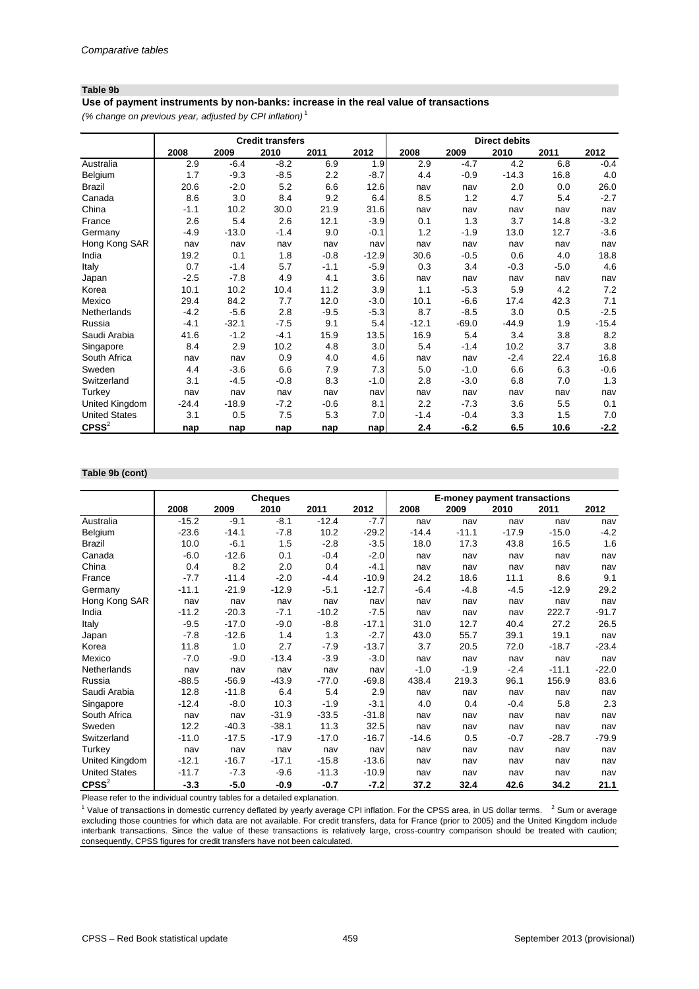#### **Table 9b**

*(% change on previous year, adjusted by CPI inflation)* <sup>1</sup> **Use of payment instruments by non-banks: increase in the real value of transactions**

|                      | <b>Credit transfers</b> |         |        |        |         |         |         | <b>Direct debits</b> |        |         |
|----------------------|-------------------------|---------|--------|--------|---------|---------|---------|----------------------|--------|---------|
|                      | 2008                    | 2009    | 2010   | 2011   | 2012    | 2008    | 2009    | 2010                 | 2011   | 2012    |
| Australia            | 2.9                     | $-6.4$  | $-8.2$ | 6.9    | 1.9     | 2.9     | $-4.7$  | 4.2                  | 6.8    | $-0.4$  |
| Belgium              | 1.7                     | $-9.3$  | $-8.5$ | 2.2    | $-8.7$  | 4.4     | $-0.9$  | $-14.3$              | 16.8   | 4.0     |
| <b>Brazil</b>        | 20.6                    | $-2.0$  | 5.2    | 6.6    | 12.6    | nav     | nav     | 2.0                  | 0.0    | 26.0    |
| Canada               | 8.6                     | 3.0     | 8.4    | 9.2    | 6.4     | 8.5     | 1.2     | 4.7                  | 5.4    | $-2.7$  |
| China                | $-1.1$                  | 10.2    | 30.0   | 21.9   | 31.6    | nav     | nav     | nav                  | nav    | nav     |
| France               | 2.6                     | 5.4     | 2.6    | 12.1   | $-3.9$  | 0.1     | 1.3     | 3.7                  | 14.8   | $-3.2$  |
| Germany              | $-4.9$                  | $-13.0$ | $-1.4$ | 9.0    | $-0.1$  | 1.2     | $-1.9$  | 13.0                 | 12.7   | $-3.6$  |
| Hong Kong SAR        | nav                     | nav     | nav    | nav    | nav     | nav     | nav     | nav                  | nav    | nav     |
| India                | 19.2                    | 0.1     | 1.8    | $-0.8$ | $-12.9$ | 30.6    | $-0.5$  | 0.6                  | 4.0    | 18.8    |
| Italy                | 0.7                     | $-1.4$  | 5.7    | $-1.1$ | $-5.9$  | 0.3     | 3.4     | $-0.3$               | $-5.0$ | 4.6     |
| Japan                | $-2.5$                  | $-7.8$  | 4.9    | 4.1    | 3.6     | nav     | nav     | nav                  | nav    | nav     |
| Korea                | 10.1                    | 10.2    | 10.4   | 11.2   | 3.9     | 1.1     | $-5.3$  | 5.9                  | 4.2    | 7.2     |
| Mexico               | 29.4                    | 84.2    | 7.7    | 12.0   | $-3.0$  | 10.1    | $-6.6$  | 17.4                 | 42.3   | 7.1     |
| Netherlands          | $-4.2$                  | $-5.6$  | 2.8    | $-9.5$ | $-5.3$  | 8.7     | $-8.5$  | 3.0                  | 0.5    | $-2.5$  |
| Russia               | $-4.1$                  | $-32.1$ | $-7.5$ | 9.1    | 5.4     | $-12.1$ | $-69.0$ | $-44.9$              | 1.9    | $-15.4$ |
| Saudi Arabia         | 41.6                    | $-1.2$  | $-4.1$ | 15.9   | 13.5    | 16.9    | 5.4     | 3.4                  | 3.8    | 8.2     |
| Singapore            | 8.4                     | 2.9     | 10.2   | 4.8    | 3.0     | 5.4     | $-1.4$  | 10.2                 | 3.7    | 3.8     |
| South Africa         | nav                     | nav     | 0.9    | 4.0    | 4.6     | nav     | nav     | $-2.4$               | 22.4   | 16.8    |
| Sweden               | 4.4                     | $-3.6$  | 6.6    | 7.9    | 7.3     | 5.0     | $-1.0$  | 6.6                  | 6.3    | $-0.6$  |
| Switzerland          | 3.1                     | $-4.5$  | $-0.8$ | 8.3    | $-1.0$  | 2.8     | $-3.0$  | 6.8                  | 7.0    | 1.3     |
| Turkey               | nav                     | nav     | nav    | nav    | nav     | nav     | nav     | nav                  | nav    | nav     |
| United Kingdom       | $-24.4$                 | $-18.9$ | $-7.2$ | $-0.6$ | 8.1     | 2.2     | $-7.3$  | 3.6                  | 5.5    | 0.1     |
| <b>United States</b> | 3.1                     | 0.5     | 7.5    | 5.3    | 7.0     | $-1.4$  | $-0.4$  | 3.3                  | 1.5    | 7.0     |
| $C$ PSS $2$          | nap                     | nap     | nap    | nap    | nap     | 2.4     | $-6.2$  | 6.5                  | 10.6   | $-2.2$  |

#### **Table 9b (cont)**

|                      |         |         | <b>Cheques</b> |         |         | <b>E-money payment transactions</b> |         |         |         |         |
|----------------------|---------|---------|----------------|---------|---------|-------------------------------------|---------|---------|---------|---------|
|                      | 2008    | 2009    | 2010           | 2011    | 2012    | 2008                                | 2009    | 2010    | 2011    | 2012    |
| Australia            | $-15.2$ | $-9.1$  | $-8.1$         | $-12.4$ | $-7.7$  | nav                                 | nav     | nav     | nav     | nav     |
| Belgium              | $-23.6$ | $-14.1$ | $-7.8$         | 10.2    | $-29.2$ | $-14.4$                             | $-11.1$ | $-17.9$ | $-15.0$ | $-4.2$  |
| <b>Brazil</b>        | 10.0    | $-6.1$  | 1.5            | $-2.8$  | $-3.5$  | 18.0                                | 17.3    | 43.8    | 16.5    | 1.6     |
| Canada               | $-6.0$  | $-12.6$ | 0.1            | $-0.4$  | $-2.0$  | nav                                 | nav     | nav     | nav     | nav     |
| China                | 0.4     | 8.2     | 2.0            | 0.4     | $-4.1$  | nav                                 | nav     | nav     | nav     | nav     |
| France               | $-7.7$  | $-11.4$ | $-2.0$         | $-4.4$  | $-10.9$ | 24.2                                | 18.6    | 11.1    | 8.6     | 9.1     |
| Germany              | $-11.1$ | $-21.9$ | $-12.9$        | $-5.1$  | $-12.7$ | $-6.4$                              | $-4.8$  | $-4.5$  | $-12.9$ | 29.2    |
| Hong Kong SAR        | nav     | nav     | nav            | nav     | nav     | nav                                 | nav     | nav     | nav     | nav     |
| India                | $-11.2$ | $-20.3$ | $-7.1$         | $-10.2$ | $-7.5$  | nav                                 | nav     | nav     | 222.7   | $-91.7$ |
| Italy                | $-9.5$  | $-17.0$ | $-9.0$         | $-8.8$  | $-17.1$ | 31.0                                | 12.7    | 40.4    | 27.2    | 26.5    |
| Japan                | $-7.8$  | $-12.6$ | 1.4            | 1.3     | $-2.7$  | 43.0                                | 55.7    | 39.1    | 19.1    | nav     |
| Korea                | 11.8    | 1.0     | 2.7            | $-7.9$  | $-13.7$ | 3.7                                 | 20.5    | 72.0    | $-18.7$ | $-23.4$ |
| Mexico               | $-7.0$  | $-9.0$  | $-13.4$        | $-3.9$  | $-3.0$  | nav                                 | nav     | nav     | nav     | nav     |
| Netherlands          | nav     | nav     | nav            | nav     | nav     | $-1.0$                              | $-1.9$  | $-2.4$  | $-11.1$ | $-22.0$ |
| Russia               | $-88.5$ | $-56.9$ | $-43.9$        | $-77.0$ | $-69.8$ | 438.4                               | 219.3   | 96.1    | 156.9   | 83.6    |
| Saudi Arabia         | 12.8    | $-11.8$ | 6.4            | 5.4     | 2.9     | nav                                 | nav     | nav     | nav     | nav     |
| Singapore            | $-12.4$ | $-8.0$  | 10.3           | $-1.9$  | $-3.1$  | 4.0                                 | 0.4     | $-0.4$  | 5.8     | 2.3     |
| South Africa         | nav     | nav     | $-31.9$        | $-33.5$ | $-31.8$ | nav                                 | nav     | nav     | nav     | nav     |
| Sweden               | 12.2    | $-40.3$ | $-38.1$        | 11.3    | 32.5    | nav                                 | nav     | nav     | nav     | nav     |
| Switzerland          | $-11.0$ | $-17.5$ | $-17.9$        | $-17.0$ | $-16.7$ | $-14.6$                             | 0.5     | $-0.7$  | $-28.7$ | $-79.9$ |
| Turkey               | nav     | nav     | nav            | nav     | nav     | nav                                 | nav     | nav     | nav     | nav     |
| United Kingdom       | $-12.1$ | $-16.7$ | $-17.1$        | $-15.8$ | $-13.6$ | nav                                 | nav     | nav     | nav     | nav     |
| <b>United States</b> | $-11.7$ | $-7.3$  | $-9.6$         | $-11.3$ | $-10.9$ | nav                                 | nav     | nav     | nav     | nav     |
| $C$ PSS $^{2}$       | $-3.3$  | $-5.0$  | $-0.9$         | $-0.7$  | $-7.2$  | 37.2                                | 32.4    | 42.6    | 34.2    | 21.1    |

Please refer to the individual country tables for a detailed explanation.

<sup>1</sup> Value of transactions in domestic currency deflated by yearly average CPI inflation. For the CPSS area, in US dollar terms.  $2$  Sum or average excluding those countries for which data are not available. For credit transfers, data for France (prior to 2005) and the United Kingdom include interbank transactions. Since the value of these transactions is relatively large, cross-country comparison should be treated with caution; consequently, CPSS figures for credit transfers have not been calculated.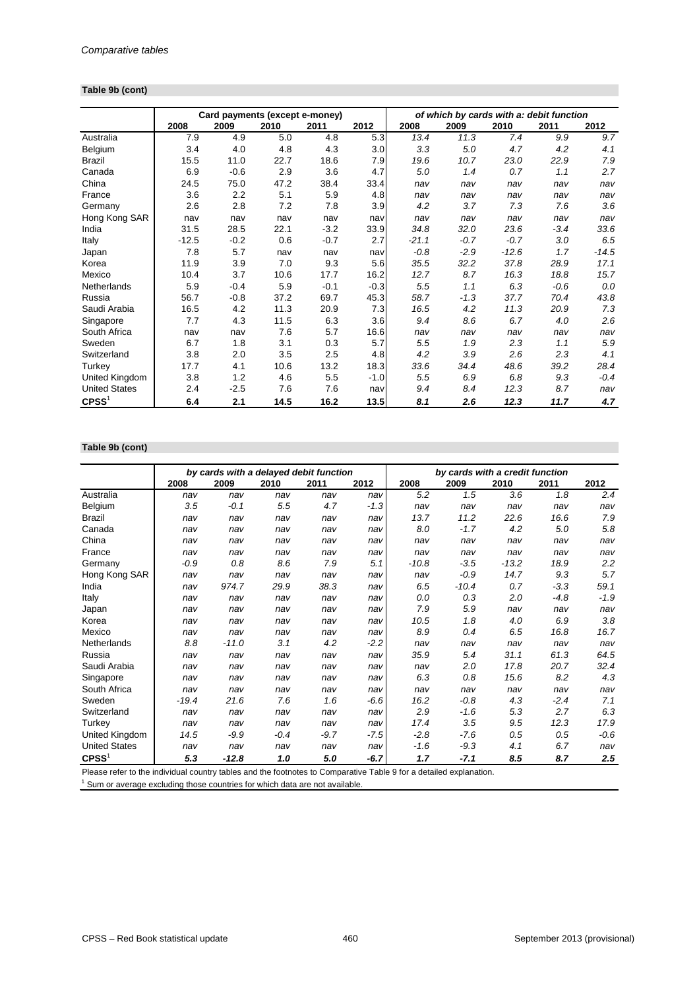#### **Table 9b (cont)**

|                      |         | Card payments (except e-money) |      |        |        | of which by cards with a: debit function |        |         |        |         |  |
|----------------------|---------|--------------------------------|------|--------|--------|------------------------------------------|--------|---------|--------|---------|--|
|                      | 2008    | 2009                           | 2010 | 2011   | 2012   | 2008                                     | 2009   | 2010    | 2011   | 2012    |  |
| Australia            | 7.9     | 4.9                            | 5.0  | 4.8    | 5.3    | 13.4                                     | 11.3   | 7.4     | 9.9    | 9.7     |  |
| Belgium              | 3.4     | 4.0                            | 4.8  | 4.3    | 3.0    | 3.3                                      | 5.0    | 4.7     | 4.2    | 4.1     |  |
| <b>Brazil</b>        | 15.5    | 11.0                           | 22.7 | 18.6   | 7.9    | 19.6                                     | 10.7   | 23.0    | 22.9   | 7.9     |  |
| Canada               | 6.9     | $-0.6$                         | 2.9  | 3.6    | 4.7    | 5.0                                      | 1.4    | 0.7     | 1.1    | 2.7     |  |
| China                | 24.5    | 75.0                           | 47.2 | 38.4   | 33.4   | nav                                      | nav    | nav     | nav    | nav     |  |
| France               | 3.6     | 2.2                            | 5.1  | 5.9    | 4.8    | nav                                      | nav    | nav     | nav    | nav     |  |
| Germany              | 2.6     | 2.8                            | 7.2  | 7.8    | 3.9    | 4.2                                      | 3.7    | 7.3     | 7.6    | 3.6     |  |
| Hong Kong SAR        | nav     | nav                            | nav  | nav    | nav    | nav                                      | nav    | nav     | nav    | nav     |  |
| India                | 31.5    | 28.5                           | 22.1 | $-3.2$ | 33.9   | 34.8                                     | 32.0   | 23.6    | $-3.4$ | 33.6    |  |
| Italy                | $-12.5$ | $-0.2$                         | 0.6  | $-0.7$ | 2.7    | $-21.1$                                  | $-0.7$ | $-0.7$  | 3.0    | 6.5     |  |
| Japan                | 7.8     | 5.7                            | nav  | nav    | nav    | $-0.8$                                   | $-2.9$ | $-12.6$ | 1.7    | $-14.5$ |  |
| Korea                | 11.9    | 3.9                            | 7.0  | 9.3    | 5.6    | 35.5                                     | 32.2   | 37.8    | 28.9   | 17.1    |  |
| Mexico               | 10.4    | 3.7                            | 10.6 | 17.7   | 16.2   | 12.7                                     | 8.7    | 16.3    | 18.8   | 15.7    |  |
| Netherlands          | 5.9     | $-0.4$                         | 5.9  | $-0.1$ | $-0.3$ | 5.5                                      | 1.1    | 6.3     | $-0.6$ | 0.0     |  |
| Russia               | 56.7    | $-0.8$                         | 37.2 | 69.7   | 45.3   | 58.7                                     | $-1.3$ | 37.7    | 70.4   | 43.8    |  |
| Saudi Arabia         | 16.5    | 4.2                            | 11.3 | 20.9   | 7.3    | 16.5                                     | 4.2    | 11.3    | 20.9   | 7.3     |  |
| Singapore            | 7.7     | 4.3                            | 11.5 | 6.3    | 3.6    | 9.4                                      | 8.6    | 6.7     | 4.0    | 2.6     |  |
| South Africa         | nav     | nav                            | 7.6  | 5.7    | 16.6   | nav                                      | nav    | nav     | nav    | nav     |  |
| Sweden               | 6.7     | 1.8                            | 3.1  | 0.3    | 5.7    | 5.5                                      | 1.9    | 2.3     | 1.1    | 5.9     |  |
| Switzerland          | 3.8     | 2.0                            | 3.5  | 2.5    | 4.8    | 4.2                                      | 3.9    | 2.6     | 2.3    | 4.1     |  |
| Turkey               | 17.7    | 4.1                            | 10.6 | 13.2   | 18.3   | 33.6                                     | 34.4   | 48.6    | 39.2   | 28.4    |  |
| United Kingdom       | 3.8     | 1.2                            | 4.6  | 5.5    | $-1.0$ | 5.5                                      | 6.9    | 6.8     | 9.3    | $-0.4$  |  |
| <b>United States</b> | 2.4     | $-2.5$                         | 7.6  | 7.6    | nav    | 9.4                                      | 8.4    | 12.3    | 8.7    | nav     |  |
| $C$ PSS <sup>1</sup> | 6.4     | 2.1                            | 14.5 | 16.2   | 13.5   | 8.1                                      | 2.6    | 12.3    | 11.7   | 4.7     |  |

## **Table 9b (cont)**

|                      |         |         | by cards with a delayed debit function |        |        | by cards with a credit function |         |         |        |        |
|----------------------|---------|---------|----------------------------------------|--------|--------|---------------------------------|---------|---------|--------|--------|
|                      | 2008    | 2009    | 2010                                   | 2011   | 2012   | 2008                            | 2009    | 2010    | 2011   | 2012   |
| Australia            | nav     | nav     | nav                                    | nav    | nav    | 5.2                             | 1.5     | 3.6     | 1.8    | 2.4    |
| Belgium              | 3.5     | $-0.1$  | 5.5                                    | 4.7    | $-1.3$ | nav                             | nav     | nav     | nav    | nav    |
| <b>Brazil</b>        | nav     | nav     | nav                                    | nav    | nav    | 13.7                            | 11.2    | 22.6    | 16.6   | 7.9    |
| Canada               | nav     | nav     | nav                                    | nav    | nav    | 8.0                             | $-1.7$  | 4.2     | 5.0    | 5.8    |
| China                | nav     | nav     | nav                                    | nav    | nav    | nav                             | nav     | nav     | nav    | nav    |
| France               | nav     | nav     | nav                                    | nav    | nav    | nav                             | nav     | nav     | nav    | nav    |
| Germany              | $-0.9$  | 0.8     | 8.6                                    | 7.9    | 5.1    | $-10.8$                         | $-3.5$  | $-13.2$ | 18.9   | 2.2    |
| Hong Kong SAR        | nav     | nav     | nav                                    | nav    | nav    | nav                             | $-0.9$  | 14.7    | 9.3    | 5.7    |
| India                | nav     | 974.7   | 29.9                                   | 38.3   | nav    | 6.5                             | $-10.4$ | 0.7     | $-3.3$ | 59.1   |
| Italy                | nav     | nav     | nav                                    | nav    | nav    | 0.0                             | 0.3     | 2.0     | $-4.8$ | $-1.9$ |
| Japan                | nav     | nav     | nav                                    | nav    | nav    | 7.9                             | 5.9     | nav     | nav    | nav    |
| Korea                | nav     | nav     | nav                                    | nav    | nav    | 10.5                            | 1.8     | 4.0     | 6.9    | 3.8    |
| Mexico               | nav     | nav     | nav                                    | nav    | nav    | 8.9                             | 0.4     | 6.5     | 16.8   | 16.7   |
| Netherlands          | 8.8     | $-11.0$ | 3.1                                    | 4.2    | $-2.2$ | nav                             | nav     | nav     | nav    | nav    |
| Russia               | nav     | nav     | nav                                    | nav    | nav    | 35.9                            | 5.4     | 31.1    | 61.3   | 64.5   |
| Saudi Arabia         | nav     | nav     | nav                                    | nav    | nav    | nav                             | 2.0     | 17.8    | 20.7   | 32.4   |
| Singapore            | nav     | nav     | nav                                    | nav    | nav    | 6.3                             | 0.8     | 15.6    | 8.2    | 4.3    |
| South Africa         | nav     | nav     | nav                                    | nav    | nav    | nav                             | nav     | nav     | nav    | nav    |
| Sweden               | $-19.4$ | 21.6    | 7.6                                    | 1.6    | $-6.6$ | 16.2                            | $-0.8$  | 4.3     | $-2.4$ | 7.1    |
| Switzerland          | nav     | nav     | nav                                    | nav    | nav    | 2.9                             | $-1.6$  | 5.3     | 2.7    | 6.3    |
| Turkey               | nav     | nav     | nav                                    | nav    | nav    | 17.4                            | 3.5     | 9.5     | 12.3   | 17.9   |
| United Kingdom       | 14.5    | $-9.9$  | $-0.4$                                 | $-9.7$ | $-7.5$ | $-2.8$                          | $-7.6$  | 0.5     | 0.5    | $-0.6$ |
| <b>United States</b> | nav     | nav     | nav                                    | nav    | nav    | $-1.6$                          | $-9.3$  | 4.1     | 6.7    | nav    |
| CPSS <sup>1</sup>    | 5.3     | $-12.8$ | 1.0                                    | 5.0    | $-6.7$ | 1.7                             | $-7.1$  | 8.5     | 8.7    | 2.5    |

Please refer to the individual country tables and the footnotes to Comparative Table 9 for a detailed explanation.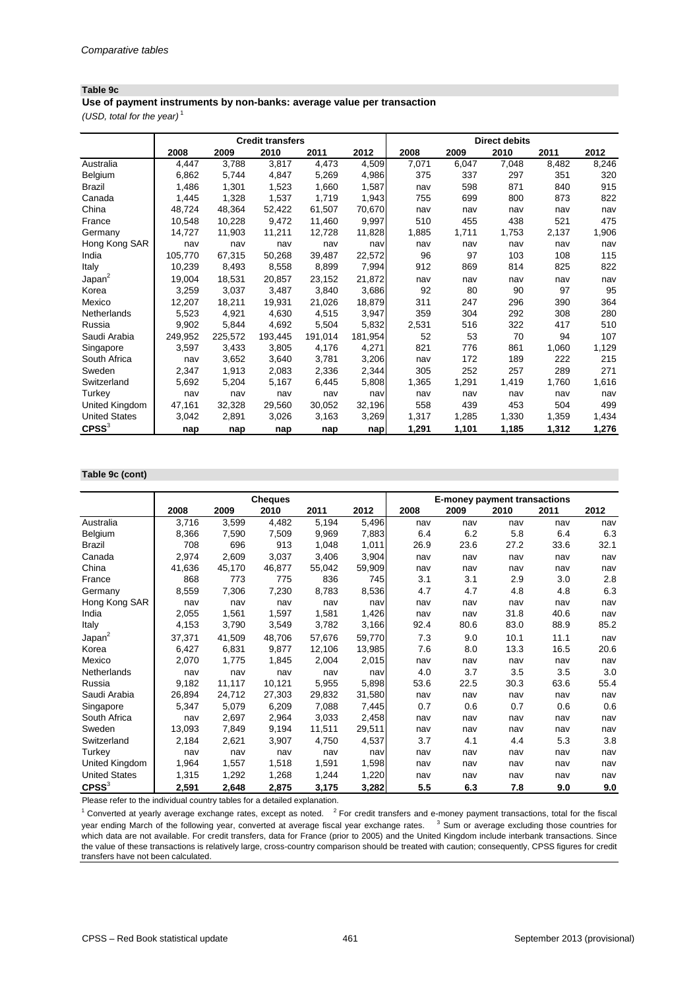#### **Table 9c**

**Use of payment instruments by non-banks: average value per transaction**

*(USD, total for the year)* <sup>1</sup>

|                      |         |         | <b>Credit transfers</b> |         |         |       |       | <b>Direct debits</b> |       |       |
|----------------------|---------|---------|-------------------------|---------|---------|-------|-------|----------------------|-------|-------|
|                      | 2008    | 2009    | 2010                    | 2011    | 2012    | 2008  | 2009  | 2010                 | 2011  | 2012  |
| Australia            | 4,447   | 3,788   | 3,817                   | 4,473   | 4,509   | 7,071 | 6,047 | 7,048                | 8,482 | 8,246 |
| Belgium              | 6,862   | 5,744   | 4,847                   | 5,269   | 4,986   | 375   | 337   | 297                  | 351   | 320   |
| <b>Brazil</b>        | 1,486   | 1,301   | 1,523                   | 1,660   | 1,587   | nav   | 598   | 871                  | 840   | 915   |
| Canada               | 1,445   | 1,328   | 1,537                   | 1,719   | 1,943   | 755   | 699   | 800                  | 873   | 822   |
| China                | 48,724  | 48,364  | 52.422                  | 61.507  | 70,670  | nav   | nav   | nav                  | nav   | nav   |
| France               | 10,548  | 10,228  | 9,472                   | 11,460  | 9,997   | 510   | 455   | 438                  | 521   | 475   |
| Germany              | 14,727  | 11,903  | 11,211                  | 12,728  | 11,828  | 1,885 | 1,711 | 1,753                | 2,137 | 1,906 |
| Hong Kong SAR        | nav     | nav     | nav                     | nav     | nav     | nav   | nav   | nav                  | nav   | nav   |
| India                | 105,770 | 67,315  | 50,268                  | 39,487  | 22,572  | 96    | 97    | 103                  | 108   | 115   |
| Italy                | 10,239  | 8,493   | 8,558                   | 8,899   | 7,994   | 912   | 869   | 814                  | 825   | 822   |
| Japan <sup>2</sup>   | 19,004  | 18,531  | 20,857                  | 23,152  | 21,872  | nav   | nav   | nav                  | nav   | nav   |
| Korea                | 3,259   | 3,037   | 3,487                   | 3,840   | 3,686   | 92    | 80    | 90                   | 97    | 95    |
| Mexico               | 12,207  | 18,211  | 19,931                  | 21,026  | 18,879  | 311   | 247   | 296                  | 390   | 364   |
| Netherlands          | 5,523   | 4,921   | 4,630                   | 4,515   | 3,947   | 359   | 304   | 292                  | 308   | 280   |
| Russia               | 9,902   | 5,844   | 4,692                   | 5,504   | 5,832   | 2,531 | 516   | 322                  | 417   | 510   |
| Saudi Arabia         | 249,952 | 225,572 | 193,445                 | 191,014 | 181,954 | 52    | 53    | 70                   | 94    | 107   |
| Singapore            | 3,597   | 3,433   | 3,805                   | 4,176   | 4,271   | 821   | 776   | 861                  | 1,060 | 1,129 |
| South Africa         | nav     | 3,652   | 3,640                   | 3,781   | 3,206   | nav   | 172   | 189                  | 222   | 215   |
| Sweden               | 2,347   | 1,913   | 2,083                   | 2,336   | 2,344   | 305   | 252   | 257                  | 289   | 271   |
| Switzerland          | 5,692   | 5,204   | 5,167                   | 6,445   | 5,808   | 1,365 | 1,291 | 1,419                | 1,760 | 1,616 |
| Turkey               | nav     | nav     | nav                     | nav     | nav     | nav   | nav   | nav                  | nav   | nav   |
| United Kingdom       | 47,161  | 32,328  | 29,560                  | 30,052  | 32,196  | 558   | 439   | 453                  | 504   | 499   |
| <b>United States</b> | 3,042   | 2,891   | 3,026                   | 3,163   | 3,269   | 1,317 | 1,285 | 1,330                | 1,359 | 1,434 |
| $C$ PSS $3$          | nap     | nap     | nap                     | nap     | nap     | 1,291 | 1,101 | 1,185                | 1,312 | 1,276 |

#### **Table 9c (cont)**

|                      |        |        | <b>Cheques</b> |        |        | <b>E-money payment transactions</b> |      |      |      |      |
|----------------------|--------|--------|----------------|--------|--------|-------------------------------------|------|------|------|------|
|                      | 2008   | 2009   | 2010           | 2011   | 2012   | 2008                                | 2009 | 2010 | 2011 | 2012 |
| Australia            | 3,716  | 3,599  | 4,482          | 5,194  | 5,496  | nav                                 | nav  | nav  | nav  | nav  |
| Belgium              | 8,366  | 7,590  | 7,509          | 9,969  | 7,883  | 6.4                                 | 6.2  | 5.8  | 6.4  | 6.3  |
| Brazil               | 708    | 696    | 913            | 1,048  | 1,011  | 26.9                                | 23.6 | 27.2 | 33.6 | 32.1 |
| Canada               | 2,974  | 2,609  | 3,037          | 3,406  | 3,904  | nav                                 | nav  | nav  | nav  | nav  |
| China                | 41,636 | 45,170 | 46,877         | 55,042 | 59,909 | nav                                 | nav  | nav  | nav  | nav  |
| France               | 868    | 773    | 775            | 836    | 745    | 3.1                                 | 3.1  | 2.9  | 3.0  | 2.8  |
| Germany              | 8,559  | 7,306  | 7,230          | 8,783  | 8,536  | 4.7                                 | 4.7  | 4.8  | 4.8  | 6.3  |
| Hong Kong SAR        | nav    | nav    | nav            | nav    | nav    | nav                                 | nav  | nav  | nav  | nav  |
| India                | 2,055  | 1,561  | 1,597          | 1,581  | 1,426  | nav                                 | nav  | 31.8 | 40.6 | nav  |
| Italy                | 4,153  | 3,790  | 3,549          | 3,782  | 3,166  | 92.4                                | 80.6 | 83.0 | 88.9 | 85.2 |
| Japan <sup>2</sup>   | 37,371 | 41,509 | 48,706         | 57,676 | 59,770 | 7.3                                 | 9.0  | 10.1 | 11.1 | nav  |
| Korea                | 6,427  | 6,831  | 9,877          | 12,106 | 13,985 | 7.6                                 | 8.0  | 13.3 | 16.5 | 20.6 |
| Mexico               | 2,070  | 1,775  | 1,845          | 2,004  | 2,015  | nav                                 | nav  | nav  | nav  | nav  |
| Netherlands          | nav    | nav    | nav            | nav    | nav    | 4.0                                 | 3.7  | 3.5  | 3.5  | 3.0  |
| Russia               | 9,182  | 11,117 | 10,121         | 5,955  | 5,898  | 53.6                                | 22.5 | 30.3 | 63.6 | 55.4 |
| Saudi Arabia         | 26,894 | 24,712 | 27,303         | 29,832 | 31,580 | nav                                 | nav  | nav  | nav  | nav  |
| Singapore            | 5,347  | 5,079  | 6,209          | 7,088  | 7,445  | 0.7                                 | 0.6  | 0.7  | 0.6  | 0.6  |
| South Africa         | nav    | 2,697  | 2,964          | 3,033  | 2,458  | nav                                 | nav  | nav  | nav  | nav  |
| Sweden               | 13,093 | 7,849  | 9,194          | 11,511 | 29,511 | nav                                 | nav  | nav  | nav  | nav  |
| Switzerland          | 2,184  | 2,621  | 3,907          | 4,750  | 4,537  | 3.7                                 | 4.1  | 4.4  | 5.3  | 3.8  |
| Turkey               | nav    | nav    | nav            | nav    | nav    | nav                                 | nav  | nav  | nav  | nav  |
| United Kingdom       | 1,964  | 1,557  | 1,518          | 1,591  | 1,598  | nav                                 | nav  | nav  | nav  | nav  |
| <b>United States</b> | 1,315  | 1,292  | 1,268          | 1,244  | 1,220  | nav                                 | nav  | nav  | nav  | nav  |
| $C$ PSS $3$          | 2,591  | 2,648  | 2,875          | 3,175  | 3,282  | 5.5                                 | 6.3  | 7.8  | 9.0  | 9.0  |

Please refer to the individual country tables for a detailed explanation.

 $1$  Converted at yearly average exchange rates, except as noted.  $2$  For credit transfers and e-money payment transactions, total for the fiscal year ending March of the following year, converted at average fiscal year exchange rates. <sup>3</sup> Sum or average excluding those countries for which data are not available. For credit transfers, data for France (prior to 2005) and the United Kingdom include interbank transactions. Since the value of these transactions is relatively large, cross-country comparison should be treated with caution; consequently, CPSS figures for credit transfers have not been calculated.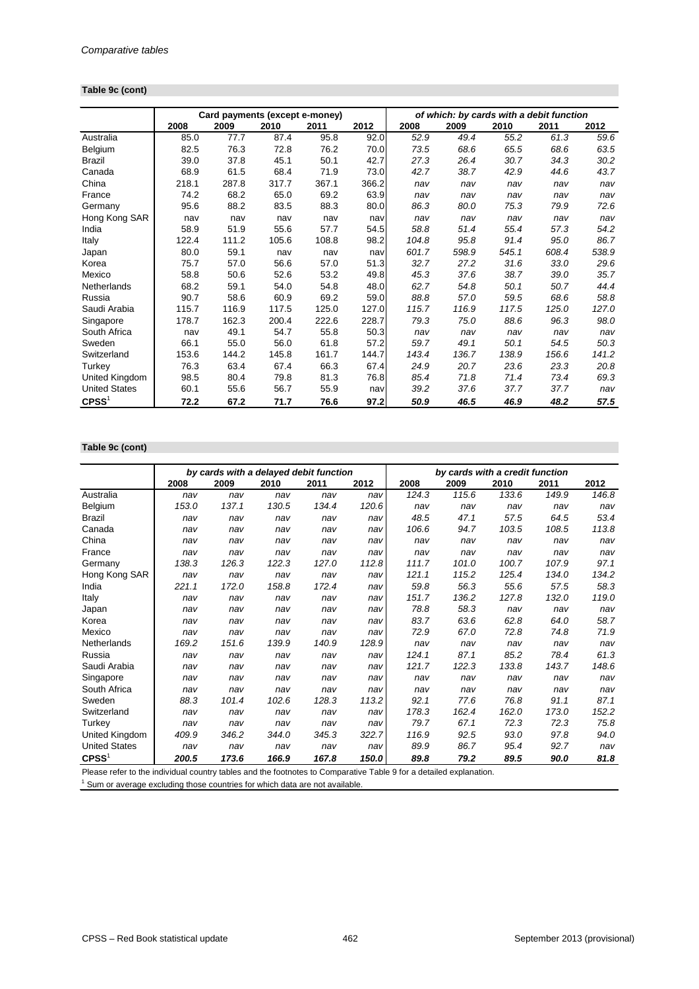#### **Table 9c (cont)**

|                      |       | Card payments (except e-money) |       |       |       |       | of which: by cards with a debit function |       |       |       |
|----------------------|-------|--------------------------------|-------|-------|-------|-------|------------------------------------------|-------|-------|-------|
|                      | 2008  | 2009                           | 2010  | 2011  | 2012  | 2008  | 2009                                     | 2010  | 2011  | 2012  |
| Australia            | 85.0  | 77.7                           | 87.4  | 95.8  | 92.0  | 52.9  | 49.4                                     | 55.2  | 61.3  | 59.6  |
| Belgium              | 82.5  | 76.3                           | 72.8  | 76.2  | 70.0  | 73.5  | 68.6                                     | 65.5  | 68.6  | 63.5  |
| <b>Brazil</b>        | 39.0  | 37.8                           | 45.1  | 50.1  | 42.7  | 27.3  | 26.4                                     | 30.7  | 34.3  | 30.2  |
| Canada               | 68.9  | 61.5                           | 68.4  | 71.9  | 73.0  | 42.7  | 38.7                                     | 42.9  | 44.6  | 43.7  |
| China                | 218.1 | 287.8                          | 317.7 | 367.1 | 366.2 | nav   | nav                                      | nav   | nav   | nav   |
| France               | 74.2  | 68.2                           | 65.0  | 69.2  | 63.9  | nav   | nav                                      | nav   | nav   | nav   |
| Germany              | 95.6  | 88.2                           | 83.5  | 88.3  | 80.0  | 86.3  | 80.0                                     | 75.3  | 79.9  | 72.6  |
| Hong Kong SAR        | nav   | nav                            | nav   | nav   | nav   | nav   | nav                                      | nav   | nav   | nav   |
| India                | 58.9  | 51.9                           | 55.6  | 57.7  | 54.5  | 58.8  | 51.4                                     | 55.4  | 57.3  | 54.2  |
| Italy                | 122.4 | 111.2                          | 105.6 | 108.8 | 98.2  | 104.8 | 95.8                                     | 91.4  | 95.0  | 86.7  |
| Japan                | 80.0  | 59.1                           | nav   | nav   | nav   | 601.7 | 598.9                                    | 545.1 | 608.4 | 538.9 |
| Korea                | 75.7  | 57.0                           | 56.6  | 57.0  | 51.3  | 32.7  | 27.2                                     | 31.6  | 33.0  | 29.6  |
| Mexico               | 58.8  | 50.6                           | 52.6  | 53.2  | 49.8  | 45.3  | 37.6                                     | 38.7  | 39.0  | 35.7  |
| Netherlands          | 68.2  | 59.1                           | 54.0  | 54.8  | 48.0  | 62.7  | 54.8                                     | 50.1  | 50.7  | 44.4  |
| Russia               | 90.7  | 58.6                           | 60.9  | 69.2  | 59.0  | 88.8  | 57.0                                     | 59.5  | 68.6  | 58.8  |
| Saudi Arabia         | 115.7 | 116.9                          | 117.5 | 125.0 | 127.0 | 115.7 | 116.9                                    | 117.5 | 125.0 | 127.0 |
| Singapore            | 178.7 | 162.3                          | 200.4 | 222.6 | 228.7 | 79.3  | 75.0                                     | 88.6  | 96.3  | 98.0  |
| South Africa         | nav   | 49.1                           | 54.7  | 55.8  | 50.3  | nav   | nav                                      | nav   | nav   | nav   |
| Sweden               | 66.1  | 55.0                           | 56.0  | 61.8  | 57.2  | 59.7  | 49.1                                     | 50.1  | 54.5  | 50.3  |
| Switzerland          | 153.6 | 144.2                          | 145.8 | 161.7 | 144.7 | 143.4 | 136.7                                    | 138.9 | 156.6 | 141.2 |
| Turkey               | 76.3  | 63.4                           | 67.4  | 66.3  | 67.4  | 24.9  | 20.7                                     | 23.6  | 23.3  | 20.8  |
| United Kingdom       | 98.5  | 80.4                           | 79.8  | 81.3  | 76.8  | 85.4  | 71.8                                     | 71.4  | 73.4  | 69.3  |
| <b>United States</b> | 60.1  | 55.6                           | 56.7  | 55.9  | nav   | 39.2  | 37.6                                     | 37.7  | 37.7  | nav   |
| $C$ PSS $1$          | 72.2  | 67.2                           | 71.7  | 76.6  | 97.2  | 50.9  | 46.5                                     | 46.9  | 48.2  | 57.5  |

## **Table 9c (cont)**

|                      |       |       |       | by cards with a delayed debit function |       | by cards with a credit function |       |       |       |       |
|----------------------|-------|-------|-------|----------------------------------------|-------|---------------------------------|-------|-------|-------|-------|
|                      | 2008  | 2009  | 2010  | 2011                                   | 2012  | 2008                            | 2009  | 2010  | 2011  | 2012  |
| Australia            | nav   | nav   | nav   | nav                                    | nav   | 124.3                           | 115.6 | 133.6 | 149.9 | 146.8 |
| Belgium              | 153.0 | 137.1 | 130.5 | 134.4                                  | 120.6 | nav                             | nav   | nav   | nav   | nav   |
| <b>Brazil</b>        | nav   | nav   | nav   | nav                                    | nav   | 48.5                            | 47.1  | 57.5  | 64.5  | 53.4  |
| Canada               | nav   | nav   | nav   | nav                                    | nav   | 106.6                           | 94.7  | 103.5 | 108.5 | 113.8 |
| China                | nav   | nav   | nav   | nav                                    | nav   | nav                             | nav   | nav   | nav   | nav   |
| France               | nav   | nav   | nav   | nav                                    | nav   | nav                             | nav   | nav   | nav   | nav   |
| Germany              | 138.3 | 126.3 | 122.3 | 127.0                                  | 112.8 | 111.7                           | 101.0 | 100.7 | 107.9 | 97.1  |
| Hong Kong SAR        | nav   | nav   | nav   | nav                                    | nav   | 121.1                           | 115.2 | 125.4 | 134.0 | 134.2 |
| India                | 221.1 | 172.0 | 158.8 | 172.4                                  | nav   | 59.8                            | 56.3  | 55.6  | 57.5  | 58.3  |
| Italy                | nav   | nav   | nav   | nav                                    | nav   | 151.7                           | 136.2 | 127.8 | 132.0 | 119.0 |
| Japan                | nav   | nav   | nav   | nav                                    | nav   | 78.8                            | 58.3  | nav   | nav   | nav   |
| Korea                | nav   | nav   | nav   | nav                                    | nav   | 83.7                            | 63.6  | 62.8  | 64.0  | 58.7  |
| Mexico               | nav   | nav   | nav   | nav                                    | nav   | 72.9                            | 67.0  | 72.8  | 74.8  | 71.9  |
| Netherlands          | 169.2 | 151.6 | 139.9 | 140.9                                  | 128.9 | nav                             | nav   | nav   | nav   | nav   |
| Russia               | nav   | nav   | nav   | nav                                    | nav   | 124.1                           | 87.1  | 85.2  | 78.4  | 61.3  |
| Saudi Arabia         | nav   | nav   | nav   | nav                                    | nav   | 121.7                           | 122.3 | 133.8 | 143.7 | 148.6 |
| Singapore            | nav   | nav   | nav   | nav                                    | nav   | nav                             | nav   | nav   | nav   | nav   |
| South Africa         | nav   | nav   | nav   | nav                                    | nav   | nav                             | nav   | nav   | nav   | nav   |
| Sweden               | 88.3  | 101.4 | 102.6 | 128.3                                  | 113.2 | 92.1                            | 77.6  | 76.8  | 91.1  | 87.1  |
| Switzerland          | nav   | nav   | nav   | nav                                    | nav   | 178.3                           | 162.4 | 162.0 | 173.0 | 152.2 |
| Turkey               | nav   | nav   | nav   | nav                                    | nav   | 79.7                            | 67.1  | 72.3  | 72.3  | 75.8  |
| United Kingdom       | 409.9 | 346.2 | 344.0 | 345.3                                  | 322.7 | 116.9                           | 92.5  | 93.0  | 97.8  | 94.0  |
| <b>United States</b> | nav   | nav   | nav   | nav                                    | nav   | 89.9                            | 86.7  | 95.4  | 92.7  | nav   |
| $C$ PSS <sup>1</sup> | 200.5 | 173.6 | 166.9 | 167.8                                  | 150.0 | 89.8                            | 79.2  | 89.5  | 90.0  | 81.8  |

Please refer to the individual country tables and the footnotes to Comparative Table 9 for a detailed explanation.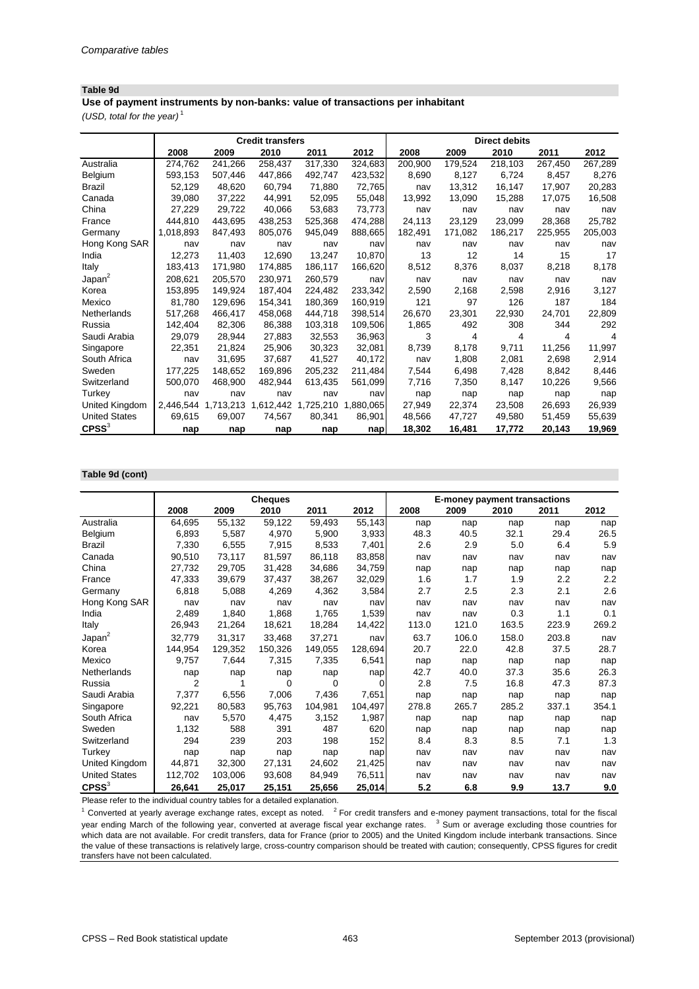#### **Table 9d**

**Use of payment instruments by non-banks: value of transactions per inhabitant**

*(USD, total for the year)* <sup>1</sup>

|                      |           |                     | <b>Credit transfers</b> |                     |           |         |         | <b>Direct debits</b> |         |         |
|----------------------|-----------|---------------------|-------------------------|---------------------|-----------|---------|---------|----------------------|---------|---------|
|                      | 2008      | 2009                | 2010                    | 2011                | 2012      | 2008    | 2009    | 2010                 | 2011    | 2012    |
| Australia            | 274,762   | 241,266             | 258,437                 | 317,330             | 324,683   | 200,900 | 179,524 | 218,103              | 267,450 | 267,289 |
| Belgium              | 593,153   | 507,446             | 447,866                 | 492,747             | 423,532   | 8,690   | 8,127   | 6,724                | 8,457   | 8,276   |
| <b>Brazil</b>        | 52,129    | 48,620              | 60,794                  | 71,880              | 72,765    | nav     | 13,312  | 16,147               | 17,907  | 20,283  |
| Canada               | 39,080    | 37,222              | 44,991                  | 52,095              | 55,048    | 13,992  | 13,090  | 15,288               | 17,075  | 16,508  |
| China                | 27,229    | 29,722              | 40,066                  | 53,683              | 73,773    | nav     | nav     | nav                  | nav     | nav     |
| France               | 444,810   | 443,695             | 438,253                 | 525,368             | 474,288   | 24,113  | 23,129  | 23,099               | 28,368  | 25,782  |
| Germany              | 1,018,893 | 847,493             | 805,076                 | 945,049             | 888,665   | 182,491 | 171,082 | 186,217              | 225,955 | 205,003 |
| Hong Kong SAR        | nav       | nav                 | nav                     | nav                 | nav       | nav     | nav     | nav                  | nav     | nav     |
| India                | 12,273    | 11,403              | 12,690                  | 13,247              | 10,870    | 13      | 12      | 14                   | 15      | 17      |
| <b>Italy</b>         | 183,413   | 171,980             | 174,885                 | 186,117             | 166,620   | 8,512   | 8,376   | 8,037                | 8,218   | 8,178   |
| Japan <sup>2</sup>   | 208,621   | 205,570             | 230,971                 | 260,579             | nav       | nav     | nav     | nav                  | nav     | nav     |
| Korea                | 153,895   | 149,924             | 187,404                 | 224,482             | 233,342   | 2,590   | 2,168   | 2,598                | 2,916   | 3,127   |
| Mexico               | 81,780    | 129,696             | 154,341                 | 180,369             | 160,919   | 121     | 97      | 126                  | 187     | 184     |
| Netherlands          | 517,268   | 466,417             | 458,068                 | 444,718             | 398,514   | 26,670  | 23,301  | 22,930               | 24,701  | 22,809  |
| Russia               | 142,404   | 82,306              | 86,388                  | 103,318             | 109,506   | 1,865   | 492     | 308                  | 344     | 292     |
| Saudi Arabia         | 29,079    | 28,944              | 27,883                  | 32,553              | 36,963    | 3       | 4       | 4                    | 4       | 4       |
| Singapore            | 22,351    | 21,824              | 25,906                  | 30,323              | 32,081    | 8,739   | 8,178   | 9,711                | 11,256  | 11,997  |
| South Africa         | nav       | 31,695              | 37,687                  | 41,527              | 40,172    | nav     | 1,808   | 2,081                | 2,698   | 2,914   |
| Sweden               | 177,225   | 148,652             | 169,896                 | 205,232             | 211,484   | 7,544   | 6,498   | 7,428                | 8,842   | 8,446   |
| Switzerland          | 500,070   | 468,900             | 482,944                 | 613,435             | 561,099   | 7,716   | 7,350   | 8,147                | 10,226  | 9,566   |
| Turkey               | nav       | nav                 | nav                     | nav                 | nav       | nap     | nap     | nap                  | nap     | nap     |
| United Kingdom       |           | 2,446,544 1,713,213 |                         | 1,612,442 1,725,210 | 1,880,065 | 27,949  | 22,374  | 23,508               | 26,693  | 26,939  |
| <b>United States</b> | 69,615    | 69,007              | 74,567                  | 80,341              | 86,901    | 48,566  | 47,727  | 49,580               | 51,459  | 55,639  |
| $C$ PSS $3$          | nap       | nap                 | nap                     | nap                 | nap       | 18,302  | 16,481  | 17,772               | 20,143  | 19,969  |

#### **Table 9d (cont)**

|                      |                |         | <b>Cheques</b> |         |             |       | <b>E-money payment transactions</b> |       |       |       |
|----------------------|----------------|---------|----------------|---------|-------------|-------|-------------------------------------|-------|-------|-------|
|                      | 2008           | 2009    | 2010           | 2011    | 2012        | 2008  | 2009                                | 2010  | 2011  | 2012  |
| Australia            | 64,695         | 55,132  | 59,122         | 59,493  | 55,143      | nap   | nap                                 | nap   | nap   | nap   |
| Belgium              | 6,893          | 5,587   | 4,970          | 5,900   | 3,933       | 48.3  | 40.5                                | 32.1  | 29.4  | 26.5  |
| <b>Brazil</b>        | 7,330          | 6,555   | 7,915          | 8,533   | 7,401       | 2.6   | 2.9                                 | 5.0   | 6.4   | 5.9   |
| Canada               | 90,510         | 73,117  | 81,597         | 86,118  | 83,858      | nav   | nav                                 | nav   | nav   | nav   |
| China                | 27,732         | 29,705  | 31,428         | 34,686  | 34,759      | nap   | nap                                 | nap   | nap   | nap   |
| France               | 47,333         | 39,679  | 37,437         | 38,267  | 32,029      | 1.6   | 1.7                                 | 1.9   | 2.2   | 2.2   |
| Germany              | 6,818          | 5,088   | 4,269          | 4,362   | 3,584       | 2.7   | 2.5                                 | 2.3   | 2.1   | 2.6   |
| Hong Kong SAR        | nav            | nav     | nav            | nav     | nav         | nav   | nav                                 | nav   | nav   | nav   |
| India                | 2,489          | 1,840   | 1,868          | 1,765   | 1,539       | nav   | nav                                 | 0.3   | 1.1   | 0.1   |
| Italy                | 26,943         | 21,264  | 18,621         | 18,284  | 14,422      | 113.0 | 121.0                               | 163.5 | 223.9 | 269.2 |
| Japan <sup>2</sup>   | 32,779         | 31,317  | 33,468         | 37,271  | nav         | 63.7  | 106.0                               | 158.0 | 203.8 | nav   |
| Korea                | 144,954        | 129,352 | 150,326        | 149,055 | 128,694     | 20.7  | 22.0                                | 42.8  | 37.5  | 28.7  |
| Mexico               | 9,757          | 7,644   | 7,315          | 7,335   | 6,541       | nap   | nap                                 | nap   | nap   | nap   |
| Netherlands          | nap            | nap     | nap            | nap     | nap         | 42.7  | 40.0                                | 37.3  | 35.6  | 26.3  |
| Russia               | $\overline{2}$ |         | 0              | 0       | $\mathbf 0$ | 2.8   | 7.5                                 | 16.8  | 47.3  | 87.3  |
| Saudi Arabia         | 7,377          | 6,556   | 7,006          | 7,436   | 7,651       | nap   | nap                                 | nap   | nap   | nap   |
| Singapore            | 92,221         | 80,583  | 95,763         | 104,981 | 104,497     | 278.8 | 265.7                               | 285.2 | 337.1 | 354.1 |
| South Africa         | nav            | 5,570   | 4,475          | 3,152   | 1,987       | nap   | nap                                 | nap   | nap   | nap   |
| Sweden               | 1,132          | 588     | 391            | 487     | 620         | nap   | nap                                 | nap   | nap   | nap   |
| Switzerland          | 294            | 239     | 203            | 198     | 152         | 8.4   | 8.3                                 | 8.5   | 7.1   | 1.3   |
| Turkey               | nap            | nap     | nap            | nap     | nap         | nav   | nav                                 | nav   | nav   | nav   |
| United Kingdom       | 44,871         | 32,300  | 27,131         | 24,602  | 21,425      | nav   | nav                                 | nav   | nav   | nav   |
| <b>United States</b> | 112,702        | 103,006 | 93,608         | 84,949  | 76,511      | nav   | nav                                 | nav   | nav   | nav   |
| $C$ PSS $3$          | 26,641         | 25,017  | 25,151         | 25,656  | 25,014      | 5.2   | 6.8                                 | 9.9   | 13.7  | 9.0   |

Please refer to the individual country tables for a detailed explanation.

 $1$  Converted at yearly average exchange rates, except as noted.  $2$  For credit transfers and e-money payment transactions, total for the fiscal year ending March of the following year, converted at average fiscal year exchange rates. <sup>3</sup> Sum or average excluding those countries for which data are not available. For credit transfers, data for France (prior to 2005) and the United Kingdom include interbank transactions. Since the value of these transactions is relatively large, cross-country comparison should be treated with caution; consequently, CPSS figures for credit transfers have not been calculated.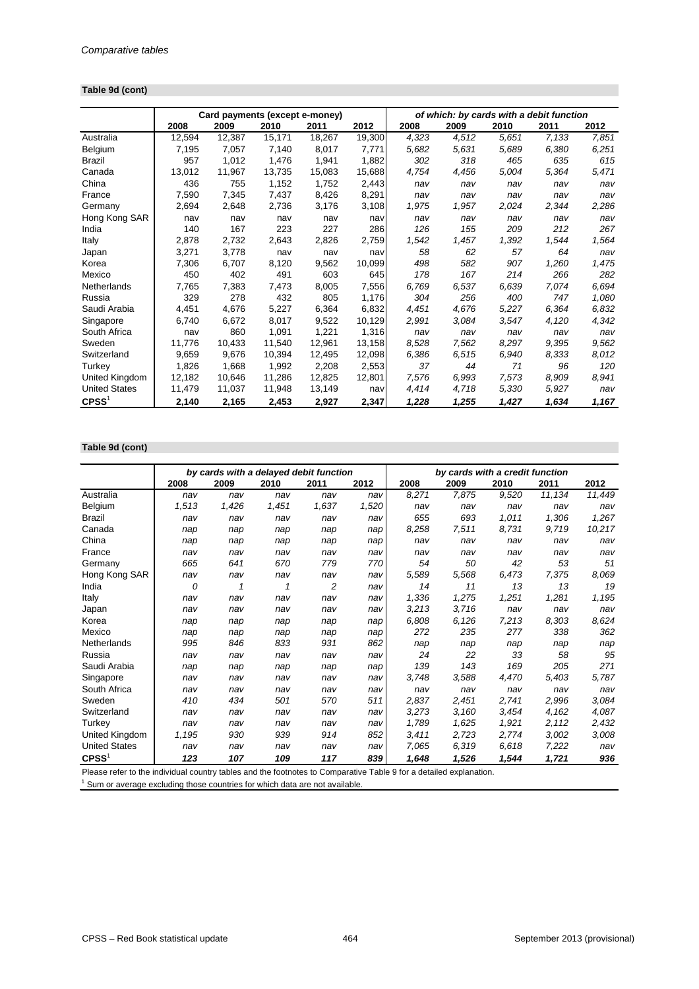#### **Table 9d (cont)**

|                      |        | Card payments (except e-money) |        |        |        |       | of which: by cards with a debit function |       |       |       |
|----------------------|--------|--------------------------------|--------|--------|--------|-------|------------------------------------------|-------|-------|-------|
|                      | 2008   | 2009                           | 2010   | 2011   | 2012   | 2008  | 2009                                     | 2010  | 2011  | 2012  |
| Australia            | 12,594 | 12,387                         | 15,171 | 18,267 | 19,300 | 4,323 | 4,512                                    | 5.651 | 7,133 | 7,851 |
| Belgium              | 7,195  | 7,057                          | 7,140  | 8,017  | 7,771  | 5,682 | 5,631                                    | 5,689 | 6,380 | 6,251 |
| <b>Brazil</b>        | 957    | 1,012                          | 1,476  | 1,941  | 1,882  | 302   | 318                                      | 465   | 635   | 615   |
| Canada               | 13,012 | 11,967                         | 13,735 | 15,083 | 15,688 | 4,754 | 4,456                                    | 5,004 | 5,364 | 5,471 |
| China                | 436    | 755                            | 1,152  | 1,752  | 2,443  | nav   | nav                                      | nav   | nav   | nav   |
| France               | 7,590  | 7,345                          | 7,437  | 8,426  | 8,291  | nav   | nav                                      | nav   | nav   | nav   |
| Germany              | 2,694  | 2,648                          | 2,736  | 3,176  | 3,108  | 1,975 | 1,957                                    | 2,024 | 2,344 | 2,286 |
| Hong Kong SAR        | nav    | nav                            | nav    | nav    | nav    | nav   | nav                                      | nav   | nav   | nav   |
| India                | 140    | 167                            | 223    | 227    | 286    | 126   | 155                                      | 209   | 212   | 267   |
| Italy                | 2,878  | 2,732                          | 2,643  | 2,826  | 2,759  | 1,542 | 1,457                                    | 1,392 | 1,544 | 1,564 |
| Japan                | 3,271  | 3,778                          | nav    | nav    | nav    | 58    | 62                                       | 57    | 64    | nav   |
| Korea                | 7,306  | 6.707                          | 8,120  | 9,562  | 10,099 | 498   | 582                                      | 907   | 1,260 | 1.475 |
| Mexico               | 450    | 402                            | 491    | 603    | 645    | 178   | 167                                      | 214   | 266   | 282   |
| Netherlands          | 7,765  | 7,383                          | 7,473  | 8,005  | 7,556  | 6,769 | 6,537                                    | 6,639 | 7,074 | 6,694 |
| Russia               | 329    | 278                            | 432    | 805    | 1,176  | 304   | 256                                      | 400   | 747   | 1,080 |
| Saudi Arabia         | 4,451  | 4,676                          | 5,227  | 6,364  | 6,832  | 4,451 | 4,676                                    | 5,227 | 6.364 | 6,832 |
| Singapore            | 6,740  | 6,672                          | 8,017  | 9,522  | 10,129 | 2,991 | 3,084                                    | 3.547 | 4,120 | 4,342 |
| South Africa         | nav    | 860                            | 1,091  | 1,221  | 1,316  | nav   | nav                                      | nav   | nav   | nav   |
| Sweden               | 11,776 | 10.433                         | 11.540 | 12.961 | 13,158 | 8,528 | 7,562                                    | 8.297 | 9,395 | 9,562 |
| Switzerland          | 9,659  | 9,676                          | 10,394 | 12,495 | 12,098 | 6,386 | 6,515                                    | 6,940 | 8,333 | 8,012 |
| Turkey               | 1,826  | 1,668                          | 1,992  | 2,208  | 2,553  | 37    | 44                                       | 71    | 96    | 120   |
| United Kingdom       | 12,182 | 10,646                         | 11,286 | 12,825 | 12,801 | 7,576 | 6.993                                    | 7,573 | 8,909 | 8,941 |
| <b>United States</b> | 11,479 | 11,037                         | 11,948 | 13,149 | nav    | 4,414 | 4,718                                    | 5,330 | 5,927 | nav   |
| $C$ PSS $1$          | 2,140  | 2,165                          | 2,453  | 2,927  | 2,347  | 1,228 | 1,255                                    | 1,427 | 1,634 | 1,167 |

## **Table 9d (cont)**

|                      |       | by cards with a delayed debit function |       |       |       |       | by cards with a credit function |       |        |        |
|----------------------|-------|----------------------------------------|-------|-------|-------|-------|---------------------------------|-------|--------|--------|
|                      | 2008  | 2009                                   | 2010  | 2011  | 2012  | 2008  | 2009                            | 2010  | 2011   | 2012   |
| Australia            | nav   | nav                                    | nav   | nav   | nav   | 8,271 | 7,875                           | 9,520 | 11,134 | 11,449 |
| Belgium              | 1,513 | 1,426                                  | 1,451 | 1,637 | 1,520 | nav   | nav                             | nav   | nav    | nav    |
| <b>Brazil</b>        | nav   | nav                                    | nav   | nav   | nav   | 655   | 693                             | 1,011 | 1,306  | 1,267  |
| Canada               | nap   | nap                                    | nap   | nap   | nap   | 8,258 | 7,511                           | 8,731 | 9,719  | 10,217 |
| China                | nap   | nap                                    | nap   | nap   | nap   | nav   | nav                             | nav   | nav    | nav    |
| France               | nav   | nav                                    | nav   | nav   | nav   | nav   | nav                             | nav   | nav    | nav    |
| Germany              | 665   | 641                                    | 670   | 779   | 770   | 54    | 50                              | 42    | 53     | 51     |
| Hong Kong SAR        | nav   | nav                                    | nav   | nav   | nav   | 5,589 | 5,568                           | 6,473 | 7,375  | 8,069  |
| India                | 0     | 1                                      | 1     | 2     | nav   | 14    | 11                              | 13    | 13     | 19     |
| Italy                | nav   | nav                                    | nav   | nav   | nav   | 1,336 | 1,275                           | 1,251 | 1,281  | 1,195  |
| Japan                | nav   | nav                                    | nav   | nav   | nav   | 3,213 | 3,716                           | nav   | nav    | nav    |
| Korea                | nap   | nap                                    | nap   | nap   | nap   | 6,808 | 6,126                           | 7,213 | 8,303  | 8,624  |
| Mexico               | nap   | nap                                    | nap   | nap   | nap   | 272   | 235                             | 277   | 338    | 362    |
| Netherlands          | 995   | 846                                    | 833   | 931   | 862   | nap   | nap                             | nap   | nap    | nap    |
| Russia               | nav   | nav                                    | nav   | nav   | nav   | 24    | 22                              | 33    | 58     | 95     |
| Saudi Arabia         | nap   | nap                                    | nap   | nap   | nap   | 139   | 143                             | 169   | 205    | 271    |
| Singapore            | nav   | nav                                    | nav   | nav   | nav   | 3,748 | 3,588                           | 4,470 | 5,403  | 5,787  |
| South Africa         | nav   | nav                                    | nav   | nav   | nav   | nav   | nav                             | nav   | nav    | nav    |
| Sweden               | 410   | 434                                    | 501   | 570   | 511   | 2,837 | 2,451                           | 2,741 | 2,996  | 3,084  |
| Switzerland          | nav   | nav                                    | nav   | nav   | nav   | 3,273 | 3,160                           | 3,454 | 4,162  | 4,087  |
| Turkey               | nav   | nav                                    | nav   | nav   | nav   | 1,789 | 1,625                           | 1,921 | 2,112  | 2,432  |
| United Kingdom       | 1,195 | 930                                    | 939   | 914   | 852   | 3,411 | 2,723                           | 2,774 | 3,002  | 3,008  |
| <b>United States</b> | nav   | nav                                    | nav   | nav   | nav   | 7,065 | 6,319                           | 6,618 | 7,222  | nav    |
| $C$ PSS <sup>1</sup> | 123   | 107                                    | 109   | 117   | 839   | 1,648 | 1,526                           | 1,544 | 1,721  | 936    |

Please refer to the individual country tables and the footnotes to Comparative Table 9 for a detailed explanation.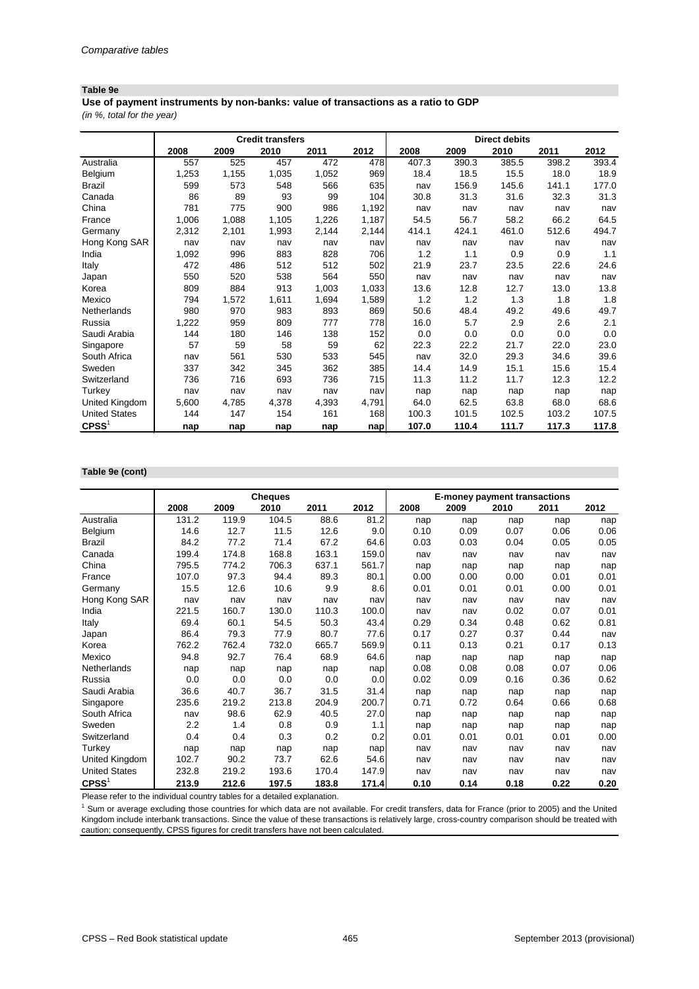#### **Table 9e**

*(in %, total for the year)* **Use of payment instruments by non-banks: value of transactions as a ratio to GDP**

|                      | <b>Credit transfers</b><br><b>Direct debits</b> |       |       |       |       |       |       |       |       |       |
|----------------------|-------------------------------------------------|-------|-------|-------|-------|-------|-------|-------|-------|-------|
|                      | 2008                                            | 2009  | 2010  | 2011  | 2012  | 2008  | 2009  | 2010  | 2011  | 2012  |
| Australia            | 557                                             | 525   | 457   | 472   | 478   | 407.3 | 390.3 | 385.5 | 398.2 | 393.4 |
| Belgium              | 1,253                                           | 1,155 | 1,035 | 1,052 | 969   | 18.4  | 18.5  | 15.5  | 18.0  | 18.9  |
| <b>Brazil</b>        | 599                                             | 573   | 548   | 566   | 635   | nav   | 156.9 | 145.6 | 141.1 | 177.0 |
| Canada               | 86                                              | 89    | 93    | 99    | 104   | 30.8  | 31.3  | 31.6  | 32.3  | 31.3  |
| China                | 781                                             | 775   | 900   | 986   | 1,192 | nav   | nav   | nav   | nav   | nav   |
| France               | 1,006                                           | 1,088 | 1,105 | 1,226 | 1,187 | 54.5  | 56.7  | 58.2  | 66.2  | 64.5  |
| Germany              | 2,312                                           | 2,101 | 1,993 | 2,144 | 2,144 | 414.1 | 424.1 | 461.0 | 512.6 | 494.7 |
| Hong Kong SAR        | nav                                             | nav   | nav   | nav   | nav   | nav   | nav   | nav   | nav   | nav   |
| India                | 1,092                                           | 996   | 883   | 828   | 706   | 1.2   | 1.1   | 0.9   | 0.9   | 1.1   |
| Italy                | 472                                             | 486   | 512   | 512   | 502   | 21.9  | 23.7  | 23.5  | 22.6  | 24.6  |
| Japan                | 550                                             | 520   | 538   | 564   | 550   | nav   | nav   | nav   | nav   | nav   |
| Korea                | 809                                             | 884   | 913   | 1,003 | 1,033 | 13.6  | 12.8  | 12.7  | 13.0  | 13.8  |
| Mexico               | 794                                             | 1,572 | 1,611 | 1,694 | 1,589 | 1.2   | 1.2   | 1.3   | 1.8   | 1.8   |
| Netherlands          | 980                                             | 970   | 983   | 893   | 869   | 50.6  | 48.4  | 49.2  | 49.6  | 49.7  |
| Russia               | 1,222                                           | 959   | 809   | 777   | 778   | 16.0  | 5.7   | 2.9   | 2.6   | 2.1   |
| Saudi Arabia         | 144                                             | 180   | 146   | 138   | 152   | 0.0   | 0.0   | 0.0   | 0.0   | 0.0   |
| Singapore            | 57                                              | 59    | 58    | 59    | 62    | 22.3  | 22.2  | 21.7  | 22.0  | 23.0  |
| South Africa         | nav                                             | 561   | 530   | 533   | 545   | nav   | 32.0  | 29.3  | 34.6  | 39.6  |
| Sweden               | 337                                             | 342   | 345   | 362   | 385   | 14.4  | 14.9  | 15.1  | 15.6  | 15.4  |
| Switzerland          | 736                                             | 716   | 693   | 736   | 715   | 11.3  | 11.2  | 11.7  | 12.3  | 12.2  |
| Turkey               | nav                                             | nav   | nav   | nav   | nav   | nap   | nap   | nap   | nap   | nap   |
| United Kingdom       | 5,600                                           | 4,785 | 4,378 | 4,393 | 4,791 | 64.0  | 62.5  | 63.8  | 68.0  | 68.6  |
| <b>United States</b> | 144                                             | 147   | 154   | 161   | 168   | 100.3 | 101.5 | 102.5 | 103.2 | 107.5 |
| CPSS <sup>1</sup>    | nap                                             | nap   | nap   | nap   | nap   | 107.0 | 110.4 | 111.7 | 117.3 | 117.8 |

#### **Table 9e (cont)**

|                      |       |       | <b>Cheques</b> |       |       | <b>E-money payment transactions</b> |      |      |      |      |
|----------------------|-------|-------|----------------|-------|-------|-------------------------------------|------|------|------|------|
|                      | 2008  | 2009  | 2010           | 2011  | 2012  | 2008                                | 2009 | 2010 | 2011 | 2012 |
| Australia            | 131.2 | 119.9 | 104.5          | 88.6  | 81.2  | nap                                 | nap  | nap  | nap  | nap  |
| Belgium              | 14.6  | 12.7  | 11.5           | 12.6  | 9.0   | 0.10                                | 0.09 | 0.07 | 0.06 | 0.06 |
| <b>Brazil</b>        | 84.2  | 77.2  | 71.4           | 67.2  | 64.6  | 0.03                                | 0.03 | 0.04 | 0.05 | 0.05 |
| Canada               | 199.4 | 174.8 | 168.8          | 163.1 | 159.0 | nav                                 | nav  | nav  | nav  | nav  |
| China                | 795.5 | 774.2 | 706.3          | 637.1 | 561.7 | nap                                 | nap  | nap  | nap  | nap  |
| France               | 107.0 | 97.3  | 94.4           | 89.3  | 80.1  | 0.00                                | 0.00 | 0.00 | 0.01 | 0.01 |
| Germany              | 15.5  | 12.6  | 10.6           | 9.9   | 8.6   | 0.01                                | 0.01 | 0.01 | 0.00 | 0.01 |
| Hong Kong SAR        | nav   | nav   | nav            | nav   | nav   | nav                                 | nav  | nav  | nav  | nav  |
| India                | 221.5 | 160.7 | 130.0          | 110.3 | 100.0 | nav                                 | nav  | 0.02 | 0.07 | 0.01 |
| Italy                | 69.4  | 60.1  | 54.5           | 50.3  | 43.4  | 0.29                                | 0.34 | 0.48 | 0.62 | 0.81 |
| Japan                | 86.4  | 79.3  | 77.9           | 80.7  | 77.6  | 0.17                                | 0.27 | 0.37 | 0.44 | nav  |
| Korea                | 762.2 | 762.4 | 732.0          | 665.7 | 569.9 | 0.11                                | 0.13 | 0.21 | 0.17 | 0.13 |
| Mexico               | 94.8  | 92.7  | 76.4           | 68.9  | 64.6  | nap                                 | nap  | nap  | nap  | nap  |
| Netherlands          | nap   | nap   | nap            | nap   | nap   | 0.08                                | 0.08 | 0.08 | 0.07 | 0.06 |
| Russia               | 0.0   | 0.0   | 0.0            | 0.0   | 0.0   | 0.02                                | 0.09 | 0.16 | 0.36 | 0.62 |
| Saudi Arabia         | 36.6  | 40.7  | 36.7           | 31.5  | 31.4  | nap                                 | nap  | nap  | nap  | nap  |
| Singapore            | 235.6 | 219.2 | 213.8          | 204.9 | 200.7 | 0.71                                | 0.72 | 0.64 | 0.66 | 0.68 |
| South Africa         | nav   | 98.6  | 62.9           | 40.5  | 27.0  | nap                                 | nap  | nap  | nap  | nap  |
| Sweden               | 2.2   | 1.4   | 0.8            | 0.9   | 1.1   | nap                                 | nap  | nap  | nap  | nap  |
| Switzerland          | 0.4   | 0.4   | 0.3            | 0.2   | 0.2   | 0.01                                | 0.01 | 0.01 | 0.01 | 0.00 |
| Turkey               | nap   | nap   | nap            | nap   | nap   | nav                                 | nav  | nav  | nav  | nav  |
| United Kingdom       | 102.7 | 90.2  | 73.7           | 62.6  | 54.6  | nav                                 | nav  | nav  | nav  | nav  |
| <b>United States</b> | 232.8 | 219.2 | 193.6          | 170.4 | 147.9 | nav                                 | nav  | nav  | nav  | nav  |
| CPSS <sup>1</sup>    | 213.9 | 212.6 | 197.5          | 183.8 | 171.4 | 0.10                                | 0.14 | 0.18 | 0.22 | 0.20 |

Please refer to the individual country tables for a detailed explanation.

<sup>1</sup> Sum or average excluding those countries for which data are not available. For credit transfers, data for France (prior to 2005) and the United Kingdom include interbank transactions. Since the value of these transactions is relatively large, cross-country comparison should be treated with caution; consequently, CPSS figures for credit transfers have not been calculated.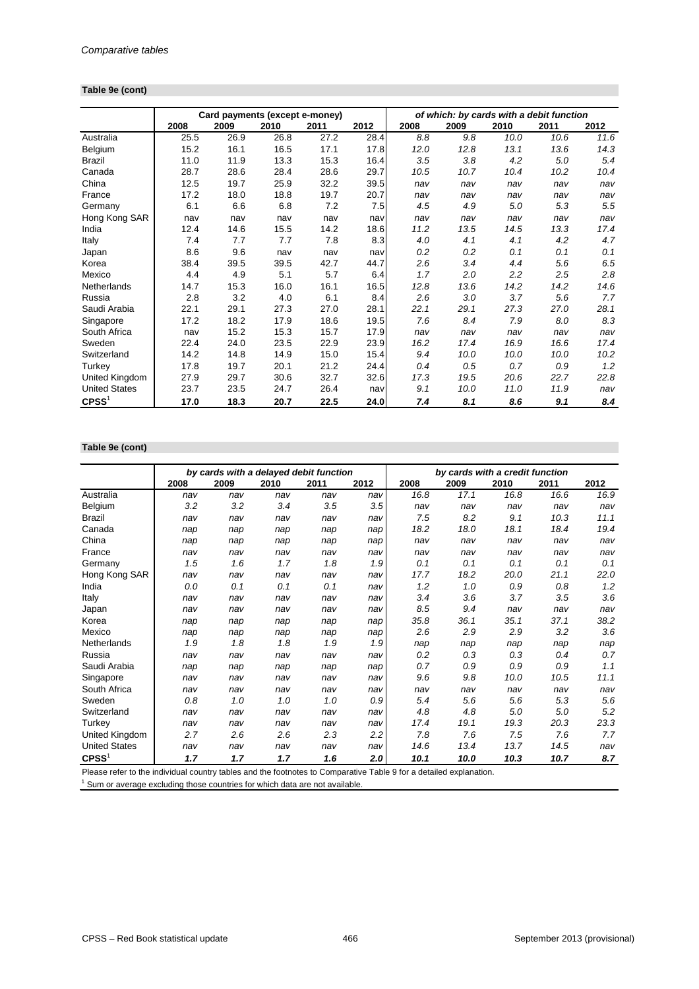#### **Table 9e (cont)**

|                      |      | Card payments (except e-money) |      |      |      |      | of which: by cards with a debit function |      |      |      |
|----------------------|------|--------------------------------|------|------|------|------|------------------------------------------|------|------|------|
|                      | 2008 | 2009                           | 2010 | 2011 | 2012 | 2008 | 2009                                     | 2010 | 2011 | 2012 |
| Australia            | 25.5 | 26.9                           | 26.8 | 27.2 | 28.4 | 8.8  | 9.8                                      | 10.0 | 10.6 | 11.6 |
| Belgium              | 15.2 | 16.1                           | 16.5 | 17.1 | 17.8 | 12.0 | 12.8                                     | 13.1 | 13.6 | 14.3 |
| <b>Brazil</b>        | 11.0 | 11.9                           | 13.3 | 15.3 | 16.4 | 3.5  | 3.8                                      | 4.2  | 5.0  | 5.4  |
| Canada               | 28.7 | 28.6                           | 28.4 | 28.6 | 29.7 | 10.5 | 10.7                                     | 10.4 | 10.2 | 10.4 |
| China                | 12.5 | 19.7                           | 25.9 | 32.2 | 39.5 | nav  | nav                                      | nav  | nav  | nav  |
| France               | 17.2 | 18.0                           | 18.8 | 19.7 | 20.7 | nav  | nav                                      | nav  | nav  | nav  |
| Germany              | 6.1  | 6.6                            | 6.8  | 7.2  | 7.5  | 4.5  | 4.9                                      | 5.0  | 5.3  | 5.5  |
| Hong Kong SAR        | nav  | nav                            | nav  | nav  | nav  | nav  | nav                                      | nav  | nav  | nav  |
| India                | 12.4 | 14.6                           | 15.5 | 14.2 | 18.6 | 11.2 | 13.5                                     | 14.5 | 13.3 | 17.4 |
| Italy                | 7.4  | 7.7                            | 7.7  | 7.8  | 8.3  | 4.0  | 4.1                                      | 4.1  | 4.2  | 4.7  |
| Japan                | 8.6  | 9.6                            | nav  | nav  | nav  | 0.2  | 0.2                                      | 0.1  | 0.1  | 0.1  |
| Korea                | 38.4 | 39.5                           | 39.5 | 42.7 | 44.7 | 2.6  | 3.4                                      | 4.4  | 5.6  | 6.5  |
| Mexico               | 4.4  | 4.9                            | 5.1  | 5.7  | 6.4  | 1.7  | 2.0                                      | 2.2  | 2.5  | 2.8  |
| Netherlands          | 14.7 | 15.3                           | 16.0 | 16.1 | 16.5 | 12.8 | 13.6                                     | 14.2 | 14.2 | 14.6 |
| Russia               | 2.8  | 3.2                            | 4.0  | 6.1  | 8.4  | 2.6  | 3.0                                      | 3.7  | 5.6  | 7.7  |
| Saudi Arabia         | 22.1 | 29.1                           | 27.3 | 27.0 | 28.1 | 22.1 | 29.1                                     | 27.3 | 27.0 | 28.1 |
| Singapore            | 17.2 | 18.2                           | 17.9 | 18.6 | 19.5 | 7.6  | 8.4                                      | 7.9  | 8.0  | 8.3  |
| South Africa         | nav  | 15.2                           | 15.3 | 15.7 | 17.9 | nav  | nav                                      | nav  | nav  | nav  |
| Sweden               | 22.4 | 24.0                           | 23.5 | 22.9 | 23.9 | 16.2 | 17.4                                     | 16.9 | 16.6 | 17.4 |
| Switzerland          | 14.2 | 14.8                           | 14.9 | 15.0 | 15.4 | 9.4  | 10.0                                     | 10.0 | 10.0 | 10.2 |
| Turkey               | 17.8 | 19.7                           | 20.1 | 21.2 | 24.4 | 0.4  | 0.5                                      | 0.7  | 0.9  | 1.2  |
| United Kingdom       | 27.9 | 29.7                           | 30.6 | 32.7 | 32.6 | 17.3 | 19.5                                     | 20.6 | 22.7 | 22.8 |
| <b>United States</b> | 23.7 | 23.5                           | 24.7 | 26.4 | nav  | 9.1  | 10.0                                     | 11.0 | 11.9 | nav  |
| CPSS <sup>1</sup>    | 17.0 | 18.3                           | 20.7 | 22.5 | 24.0 | 7.4  | 8.1                                      | 8.6  | 9.1  | 8.4  |

#### **Table 9e (cont)**

|                      |      |      |      | by cards with a delayed debit function |      | by cards with a credit function |      |      |      |      |
|----------------------|------|------|------|----------------------------------------|------|---------------------------------|------|------|------|------|
|                      | 2008 | 2009 | 2010 | 2011                                   | 2012 | 2008                            | 2009 | 2010 | 2011 | 2012 |
| Australia            | nav  | nav  | nav  | nav                                    | nav  | 16.8                            | 17.1 | 16.8 | 16.6 | 16.9 |
| Belgium              | 3.2  | 3.2  | 3.4  | 3.5                                    | 3.5  | nav                             | nav  | nav  | nav  | nav  |
| <b>Brazil</b>        | nav  | nav  | nav  | nav                                    | nav  | 7.5                             | 8.2  | 9.1  | 10.3 | 11.1 |
| Canada               | nap  | nap  | nap  | nap                                    | nap  | 18.2                            | 18.0 | 18.1 | 18.4 | 19.4 |
| China                | nap  | nap  | nap  | nap                                    | nap  | nav                             | nav  | nav  | nav  | nav  |
| France               | nav  | nav  | nav  | nav                                    | nav  | nav                             | nav  | nav  | nav  | nav  |
| Germany              | 1.5  | 1.6  | 1.7  | 1.8                                    | 1.9  | 0.1                             | 0.1  | 0.1  | 0.1  | 0.1  |
| Hong Kong SAR        | nav  | nav  | nav  | nav                                    | nav  | 17.7                            | 18.2 | 20.0 | 21.1 | 22.0 |
| India                | 0.0  | 0.1  | 0.1  | 0.1                                    | nav  | 1.2                             | 1.0  | 0.9  | 0.8  | 1.2  |
| Italy                | nav  | nav  | nav  | nav                                    | nav  | 3.4                             | 3.6  | 3.7  | 3.5  | 3.6  |
| Japan                | nav  | nav  | nav  | nav                                    | nav  | 8.5                             | 9.4  | nav  | nav  | nav  |
| Korea                | nap  | nap  | nap  | nap                                    | nap  | 35.8                            | 36.1 | 35.1 | 37.1 | 38.2 |
| Mexico               | nap  | nap  | nap  | nap                                    | nap  | 2.6                             | 2.9  | 2.9  | 3.2  | 3.6  |
| Netherlands          | 1.9  | 1.8  | 1.8  | 1.9                                    | 1.9  | nap                             | nap  | nap  | nap  | nap  |
| Russia               | nav  | nav  | nav  | nav                                    | nav  | 0.2                             | 0.3  | 0.3  | 0.4  | 0.7  |
| Saudi Arabia         | nap  | nap  | nap  | nap                                    | nap  | 0.7                             | 0.9  | 0.9  | 0.9  | 1.1  |
| Singapore            | nav  | nav  | nav  | nav                                    | nav  | 9.6                             | 9.8  | 10.0 | 10.5 | 11.1 |
| South Africa         | nav  | nav  | nav  | nav                                    | nav  | nav                             | nav  | nav  | nav  | nav  |
| Sweden               | 0.8  | 1.0  | 1.0  | 1.0                                    | 0.9  | 5.4                             | 5.6  | 5.6  | 5.3  | 5.6  |
| Switzerland          | nav  | nav  | nav  | nav                                    | nav  | 4.8                             | 4.8  | 5.0  | 5.0  | 5.2  |
| Turkey               | nav  | nav  | nav  | nav                                    | nav  | 17.4                            | 19.1 | 19.3 | 20.3 | 23.3 |
| United Kingdom       | 2.7  | 2.6  | 2.6  | 2.3                                    | 2.2  | 7.8                             | 7.6  | 7.5  | 7.6  | 7.7  |
| <b>United States</b> | nav  | nav  | nav  | nav                                    | nav  | 14.6                            | 13.4 | 13.7 | 14.5 | nav  |
| CPSS <sup>1</sup>    | 1.7  | 1.7  | 1.7  | 1.6                                    | 2.0  | 10.1                            | 10.0 | 10.3 | 10.7 | 8.7  |

Please refer to the individual country tables and the footnotes to Comparative Table 9 for a detailed explanation.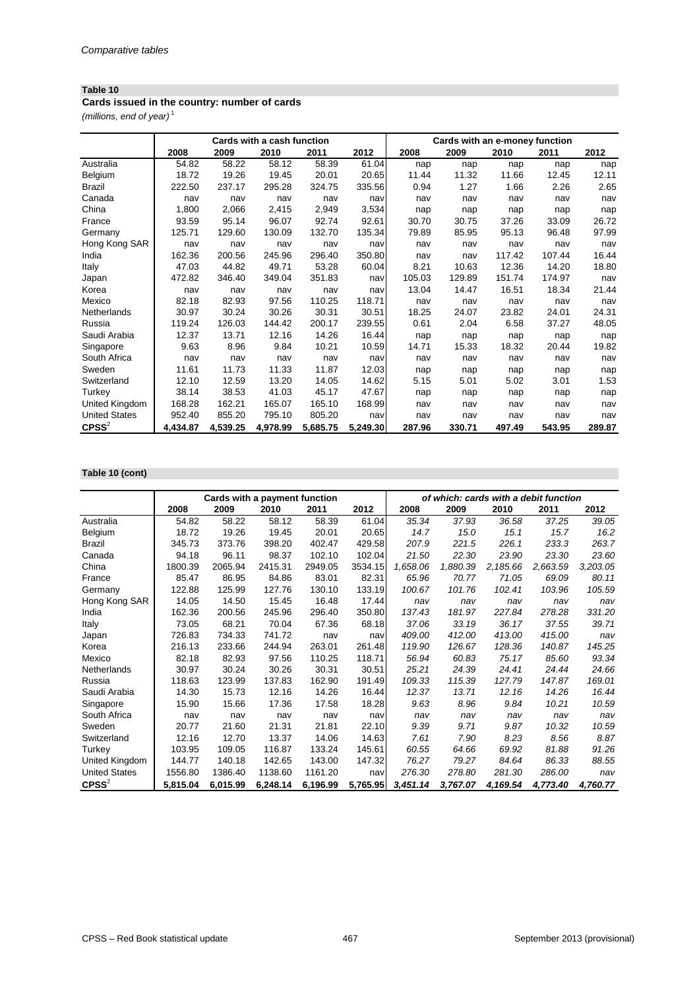#### **Cards issued in the country: number of cards**

*(millions, end of year)* <sup>1</sup>

|                      |          |          | Cards with a cash function |          |          | Cards with an e-money function |        |        |        |        |  |
|----------------------|----------|----------|----------------------------|----------|----------|--------------------------------|--------|--------|--------|--------|--|
|                      | 2008     | 2009     | 2010                       | 2011     | 2012     | 2008                           | 2009   | 2010   | 2011   | 2012   |  |
| Australia            | 54.82    | 58.22    | 58.12                      | 58.39    | 61.04    | nap                            | nap    | nap    | nap    | nap    |  |
| Belgium              | 18.72    | 19.26    | 19.45                      | 20.01    | 20.65    | 11.44                          | 11.32  | 11.66  | 12.45  | 12.11  |  |
| <b>Brazil</b>        | 222.50   | 237.17   | 295.28                     | 324.75   | 335.56   | 0.94                           | 1.27   | 1.66   | 2.26   | 2.65   |  |
| Canada               | nav      | nav      | nav                        | nav      | nav      | nav                            | nav    | nav    | nav    | nav    |  |
| China                | 1,800    | 2,066    | 2,415                      | 2,949    | 3,534    | nap                            | nap    | nap    | nap    | nap    |  |
| France               | 93.59    | 95.14    | 96.07                      | 92.74    | 92.61    | 30.70                          | 30.75  | 37.26  | 33.09  | 26.72  |  |
| Germany              | 125.71   | 129.60   | 130.09                     | 132.70   | 135.34   | 79.89                          | 85.95  | 95.13  | 96.48  | 97.99  |  |
| Hong Kong SAR        | nav      | nav      | nav                        | nav      | nav      | nav                            | nav    | nav    | nav    | nav    |  |
| India                | 162.36   | 200.56   | 245.96                     | 296.40   | 350.80   | nav                            | nav    | 117.42 | 107.44 | 16.44  |  |
| Italy                | 47.03    | 44.82    | 49.71                      | 53.28    | 60.04    | 8.21                           | 10.63  | 12.36  | 14.20  | 18.80  |  |
| Japan                | 472.82   | 346.40   | 349.04                     | 351.83   | nav      | 105.03                         | 129.89 | 151.74 | 174.97 | nav    |  |
| Korea                | nav      | nav      | nav                        | nav      | nav      | 13.04                          | 14.47  | 16.51  | 18.34  | 21.44  |  |
| Mexico               | 82.18    | 82.93    | 97.56                      | 110.25   | 118.71   | nav                            | nav    | nav    | nav    | nav    |  |
| Netherlands          | 30.97    | 30.24    | 30.26                      | 30.31    | 30.51    | 18.25                          | 24.07  | 23.82  | 24.01  | 24.31  |  |
| Russia               | 119.24   | 126.03   | 144.42                     | 200.17   | 239.55   | 0.61                           | 2.04   | 6.58   | 37.27  | 48.05  |  |
| Saudi Arabia         | 12.37    | 13.71    | 12.16                      | 14.26    | 16.44    | nap                            | nap    | nap    | nap    | nap    |  |
| Singapore            | 9.63     | 8.96     | 9.84                       | 10.21    | 10.59    | 14.71                          | 15.33  | 18.32  | 20.44  | 19.82  |  |
| South Africa         | nav      | nav      | nav                        | nav      | nav      | nav                            | nav    | nav    | nav    | nav    |  |
| Sweden               | 11.61    | 11.73    | 11.33                      | 11.87    | 12.03    | nap                            | nap    | nap    | nap    | nap    |  |
| Switzerland          | 12.10    | 12.59    | 13.20                      | 14.05    | 14.62    | 5.15                           | 5.01   | 5.02   | 3.01   | 1.53   |  |
| Turkey               | 38.14    | 38.53    | 41.03                      | 45.17    | 47.67    | nap                            | nap    | nap    | nap    | nap    |  |
| United Kingdom       | 168.28   | 162.21   | 165.07                     | 165.10   | 168.99   | nav                            | nav    | nav    | nav    | nav    |  |
| <b>United States</b> | 952.40   | 855.20   | 795.10                     | 805.20   | nav      | nav                            | nav    | nav    | nav    | nav    |  |
| $C$ PSS $2$          | 4,434.87 | 4,539.25 | 4,978.99                   | 5,685.75 | 5,249.30 | 287.96                         | 330.71 | 497.49 | 543.95 | 289.87 |  |

#### **Table 10 (cont)**

|                      |          |          | <b>Cards with a payment function</b> |          |          |          |          | of which: cards with a debit function |          |          |
|----------------------|----------|----------|--------------------------------------|----------|----------|----------|----------|---------------------------------------|----------|----------|
|                      | 2008     | 2009     | 2010                                 | 2011     | 2012     | 2008     | 2009     | 2010                                  | 2011     | 2012     |
| Australia            | 54.82    | 58.22    | 58.12                                | 58.39    | 61.04    | 35.34    | 37.93    | 36.58                                 | 37.25    | 39.05    |
| <b>Belgium</b>       | 18.72    | 19.26    | 19.45                                | 20.01    | 20.65    | 14.7     | 15.0     | 15.1                                  | 15.7     | 16.2     |
| <b>Brazil</b>        | 345.73   | 373.76   | 398.20                               | 402.47   | 429.58   | 207.9    | 221.5    | 226.1                                 | 233.3    | 263.7    |
| Canada               | 94.18    | 96.11    | 98.37                                | 102.10   | 102.04   | 21.50    | 22.30    | 23.90                                 | 23.30    | 23.60    |
| China                | 1800.39  | 2065.94  | 2415.31                              | 2949.05  | 3534.15  | 1,658.06 | 1,880.39 | 2,185.66                              | 2,663.59 | 3,203.05 |
| France               | 85.47    | 86.95    | 84.86                                | 83.01    | 82.31    | 65.96    | 70.77    | 71.05                                 | 69.09    | 80.11    |
| Germany              | 122.88   | 125.99   | 127.76                               | 130.10   | 133.19   | 100.67   | 101.76   | 102.41                                | 103.96   | 105.59   |
| Hong Kong SAR        | 14.05    | 14.50    | 15.45                                | 16.48    | 17.44    | nav      | nav      | nav                                   | nav      | nav      |
| India                | 162.36   | 200.56   | 245.96                               | 296.40   | 350.80   | 137.43   | 181.97   | 227.84                                | 278.28   | 331.20   |
| Italy                | 73.05    | 68.21    | 70.04                                | 67.36    | 68.18    | 37.06    | 33.19    | 36.17                                 | 37.55    | 39.71    |
| Japan                | 726.83   | 734.33   | 741.72                               | nav      | nav      | 409.00   | 412.00   | 413.00                                | 415.00   | nav      |
| Korea                | 216.13   | 233.66   | 244.94                               | 263.01   | 261.48   | 119.90   | 126.67   | 128.36                                | 140.87   | 145.25   |
| Mexico               | 82.18    | 82.93    | 97.56                                | 110.25   | 118.71   | 56.94    | 60.83    | 75.17                                 | 85.60    | 93.34    |
| Netherlands          | 30.97    | 30.24    | 30.26                                | 30.31    | 30.51    | 25.21    | 24.39    | 24.41                                 | 24.44    | 24.66    |
| Russia               | 118.63   | 123.99   | 137.83                               | 162.90   | 191.49   | 109.33   | 115.39   | 127.79                                | 147.87   | 169.01   |
| Saudi Arabia         | 14.30    | 15.73    | 12.16                                | 14.26    | 16.44    | 12.37    | 13.71    | 12.16                                 | 14.26    | 16.44    |
| Singapore            | 15.90    | 15.66    | 17.36                                | 17.58    | 18.28    | 9.63     | 8.96     | 9.84                                  | 10.21    | 10.59    |
| South Africa         | nav      | nav      | nav                                  | nav      | nav      | nav      | nav      | nav                                   | nav      | nav      |
| Sweden               | 20.77    | 21.60    | 21.31                                | 21.81    | 22.10    | 9.39     | 9.71     | 9.87                                  | 10.32    | 10.59    |
| Switzerland          | 12.16    | 12.70    | 13.37                                | 14.06    | 14.63    | 7.61     | 7.90     | 8.23                                  | 8.56     | 8.87     |
| Turkey               | 103.95   | 109.05   | 116.87                               | 133.24   | 145.61   | 60.55    | 64.66    | 69.92                                 | 81.88    | 91.26    |
| United Kingdom       | 144.77   | 140.18   | 142.65                               | 143.00   | 147.32   | 76.27    | 79.27    | 84.64                                 | 86.33    | 88.55    |
| <b>United States</b> | 1556.80  | 1386.40  | 1138.60                              | 1161.20  | nav      | 276.30   | 278.80   | 281.30                                | 286.00   | nav      |
| $C$ PSS $^{2}$       | 5,815.04 | 6,015.99 | 6,248.14                             | 6,196.99 | 5,765.95 | 3,451.14 | 3,767.07 | 4,169.54                              | 4,773.40 | 4,760.77 |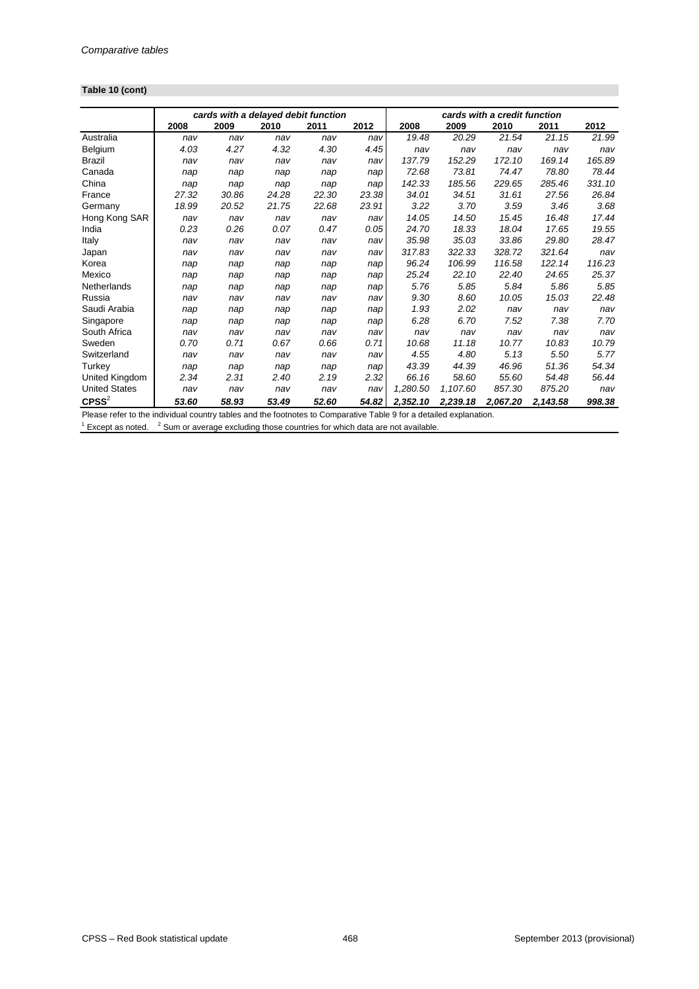# **Table 10 (cont)**

|                                                             |       |       |       | cards with a delayed debit function |       |          |                                                                        | cards with a credit function |          |        |
|-------------------------------------------------------------|-------|-------|-------|-------------------------------------|-------|----------|------------------------------------------------------------------------|------------------------------|----------|--------|
|                                                             | 2008  | 2009  | 2010  | 2011                                | 2012  | 2008     | 2009                                                                   | 2010                         | 2011     | 2012   |
| Australia                                                   | nav   | nav   | nav   | nav                                 | nav   | 19.48    | 20.29                                                                  | 21.54                        | 21.15    | 21.99  |
| Belgium                                                     | 4.03  | 4.27  | 4.32  | 4.30                                | 4.45  | nav      | nav                                                                    | nav                          | nav      | nav    |
| Brazil                                                      | nav   | nav   | nav   | nav                                 | nav   | 137.79   | 152.29                                                                 | 172.10                       | 169.14   | 165.89 |
| Canada                                                      | nap   | nap   | nap   | nap                                 | nap   | 72.68    | 73.81                                                                  | 74.47                        | 78.80    | 78.44  |
| China                                                       | nap   | nap   | nap   | nap                                 | nap   | 142.33   | 185.56                                                                 | 229.65                       | 285.46   | 331.10 |
| France                                                      | 27.32 | 30.86 | 24.28 | 22.30                               | 23.38 | 34.01    | 34.51                                                                  | 31.61                        | 27.56    | 26.84  |
| Germany                                                     | 18.99 | 20.52 | 21.75 | 22.68                               | 23.91 | 3.22     | 3.70                                                                   | 3.59                         | 3.46     | 3.68   |
| Hong Kong SAR                                               | nav   | nav   | nav   | nav                                 | nav   | 14.05    | 14.50                                                                  | 15.45                        | 16.48    | 17.44  |
| India                                                       | 0.23  | 0.26  | 0.07  | 0.47                                | 0.05  | 24.70    | 18.33                                                                  | 18.04                        | 17.65    | 19.55  |
| Italy                                                       | nav   | nav   | nav   | nav                                 | nav   | 35.98    | 35.03                                                                  | 33.86                        | 29.80    | 28.47  |
| Japan                                                       | nav   | nav   | nav   | nav                                 | nav   | 317.83   | 322.33                                                                 | 328.72                       | 321.64   | nav    |
| Korea                                                       | nap   | nap   | nap   | nap                                 | nap   | 96.24    | 106.99                                                                 | 116.58                       | 122.14   | 116.23 |
| Mexico                                                      | nap   | nap   | nap   | nap                                 | nap   | 25.24    | 22.10                                                                  | 22.40                        | 24.65    | 25.37  |
| Netherlands                                                 | nap   | nap   | nap   | nap                                 | nap   | 5.76     | 5.85                                                                   | 5.84                         | 5.86     | 5.85   |
| Russia                                                      | nav   | nav   | nav   | nav                                 | nav   | 9.30     | 8.60                                                                   | 10.05                        | 15.03    | 22.48  |
| Saudi Arabia                                                | nap   | nap   | nap   | nap                                 | nap   | 1.93     | 2.02                                                                   | nav                          | nav      | nav    |
| Singapore                                                   | nap   | nap   | nap   | nap                                 | nap   | 6.28     | 6.70                                                                   | 7.52                         | 7.38     | 7.70   |
| South Africa                                                | nav   | nav   | nav   | nav                                 | nav   | nav      | nav                                                                    | nav                          | nav      | nav    |
| Sweden                                                      | 0.70  | 0.71  | 0.67  | 0.66                                | 0.71  | 10.68    | 11.18                                                                  | 10.77                        | 10.83    | 10.79  |
| Switzerland                                                 | nav   | nav   | nav   | nav                                 | nav   | 4.55     | 4.80                                                                   | 5.13                         | 5.50     | 5.77   |
| Turkey                                                      | nap   | nap   | nap   | nap                                 | nap   | 43.39    | 44.39                                                                  | 46.96                        | 51.36    | 54.34  |
| United Kingdom                                              | 2.34  | 2.31  | 2.40  | 2.19                                | 2.32  | 66.16    | 58.60                                                                  | 55.60                        | 54.48    | 56.44  |
| <b>United States</b>                                        | nav   | nav   | nav   | nav                                 | nav   | 1,280.50 | 1,107.60                                                               | 857.30                       | 875.20   | nav    |
| $C$ PSS $^{2}$<br>Distances and some set the standard state | 53.60 | 58.93 | 53.49 | 52.60                               | 54.82 | 2,352.10 | 2,239.18<br>المجامع المستحا والمائحة والمحامل والمتحال والملح المحاملة | 2,067.20                     | 2,143.58 | 998.38 |

Please refer to the individual country tables and the footnotes to Comparative Table 9 for a detailed explanation.

 $1$  Except as noted.  $2$  Sum or average excluding those countries for which data are not available.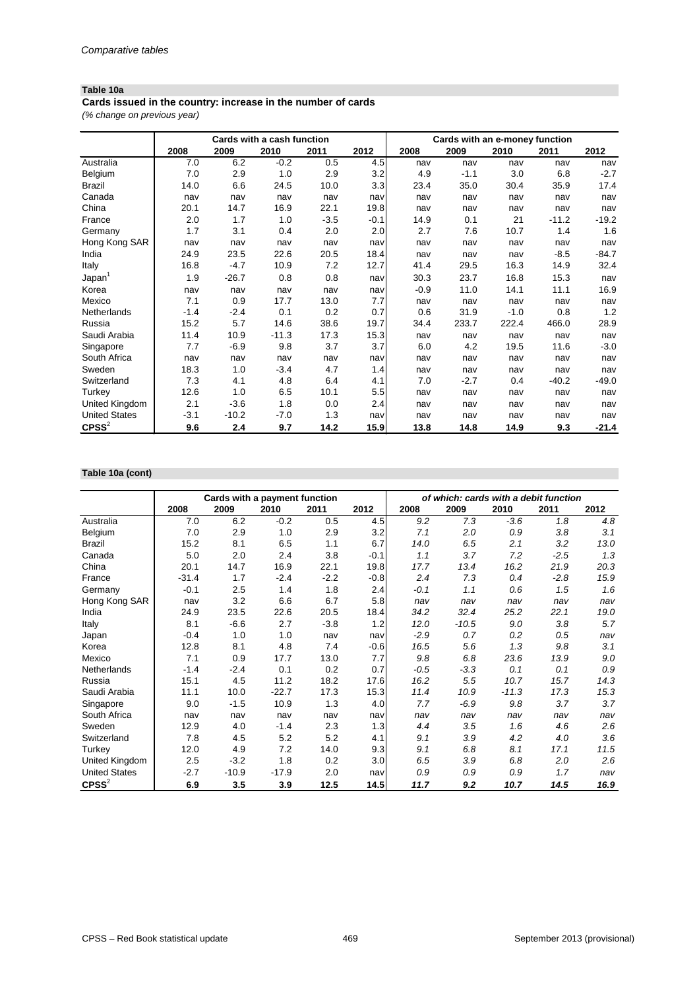## **Table 10a**

*(% change on previous year)* **Cards issued in the country: increase in the number of cards**

|                      | Cards with a cash function |         |         |        | Cards with an e-money function |        |        |        |         |         |
|----------------------|----------------------------|---------|---------|--------|--------------------------------|--------|--------|--------|---------|---------|
|                      | 2008                       | 2009    | 2010    | 2011   | 2012                           | 2008   | 2009   | 2010   | 2011    | 2012    |
| Australia            | 7.0                        | 6.2     | $-0.2$  | 0.5    | 4.5                            | nav    | nav    | nav    | nav     | nav     |
| Belgium              | 7.0                        | 2.9     | 1.0     | 2.9    | 3.2                            | 4.9    | $-1.1$ | 3.0    | 6.8     | $-2.7$  |
| <b>Brazil</b>        | 14.0                       | 6.6     | 24.5    | 10.0   | 3.3                            | 23.4   | 35.0   | 30.4   | 35.9    | 17.4    |
| Canada               | nav                        | nav     | nav     | nav    | nav                            | nav    | nav    | nav    | nav     | nav     |
| China                | 20.1                       | 14.7    | 16.9    | 22.1   | 19.8                           | nav    | nav    | nav    | nav     | nav     |
| France               | 2.0                        | 1.7     | 1.0     | $-3.5$ | $-0.1$                         | 14.9   | 0.1    | 21     | $-11.2$ | $-19.2$ |
| Germany              | 1.7                        | 3.1     | 0.4     | 2.0    | 2.0                            | 2.7    | 7.6    | 10.7   | 1.4     | 1.6     |
| Hong Kong SAR        | nav                        | nav     | nav     | nav    | nav                            | nav    | nav    | nav    | nav     | nav     |
| India                | 24.9                       | 23.5    | 22.6    | 20.5   | 18.4                           | nav    | nav    | nav    | $-8.5$  | $-84.7$ |
| Italy                | 16.8                       | $-4.7$  | 10.9    | 7.2    | 12.7                           | 41.4   | 29.5   | 16.3   | 14.9    | 32.4    |
| Japan <sup>1</sup>   | 1.9                        | $-26.7$ | 0.8     | 0.8    | nav                            | 30.3   | 23.7   | 16.8   | 15.3    | nav     |
| Korea                | nav                        | nav     | nav     | nav    | nav                            | $-0.9$ | 11.0   | 14.1   | 11.1    | 16.9    |
| Mexico               | 7.1                        | 0.9     | 17.7    | 13.0   | 7.7                            | nav    | nav    | nav    | nav     | nav     |
| Netherlands          | $-1.4$                     | $-2.4$  | 0.1     | 0.2    | 0.7                            | 0.6    | 31.9   | $-1.0$ | 0.8     | 1.2     |
| Russia               | 15.2                       | 5.7     | 14.6    | 38.6   | 19.7                           | 34.4   | 233.7  | 222.4  | 466.0   | 28.9    |
| Saudi Arabia         | 11.4                       | 10.9    | $-11.3$ | 17.3   | 15.3                           | nav    | nav    | nav    | nav     | nav     |
| Singapore            | 7.7                        | $-6.9$  | 9.8     | 3.7    | 3.7                            | 6.0    | 4.2    | 19.5   | 11.6    | $-3.0$  |
| South Africa         | nav                        | nav     | nav     | nav    | nav                            | nav    | nav    | nav    | nav     | nav     |
| Sweden               | 18.3                       | 1.0     | $-3.4$  | 4.7    | 1.4                            | nav    | nav    | nav    | nav     | nav     |
| Switzerland          | 7.3                        | 4.1     | 4.8     | 6.4    | 4.1                            | 7.0    | $-2.7$ | 0.4    | $-40.2$ | $-49.0$ |
| Turkey               | 12.6                       | 1.0     | 6.5     | 10.1   | 5.5                            | nav    | nav    | nav    | nav     | nav     |
| United Kingdom       | 2.1                        | $-3.6$  | 1.8     | 0.0    | 2.4                            | nav    | nav    | nav    | nav     | nav     |
| <b>United States</b> | $-3.1$                     | $-10.2$ | $-7.0$  | 1.3    | nav                            | nav    | nav    | nav    | nav     | nav     |
| $C$ PSS $2$          | 9.6                        | 2.4     | 9.7     | 14.2   | 15.9                           | 13.8   | 14.8   | 14.9   | 9.3     | $-21.4$ |

#### **Table 10a (cont)**

|                      | Cards with a payment function |         |         |        |        | of which: cards with a debit function |         |         |        |      |
|----------------------|-------------------------------|---------|---------|--------|--------|---------------------------------------|---------|---------|--------|------|
|                      | 2008                          | 2009    | 2010    | 2011   | 2012   | 2008                                  | 2009    | 2010    | 2011   | 2012 |
| Australia            | 7.0                           | 6.2     | $-0.2$  | 0.5    | 4.5    | 9.2                                   | 7.3     | $-3.6$  | 1.8    | 4.8  |
| Belgium              | 7.0                           | 2.9     | 1.0     | 2.9    | 3.2    | 7.1                                   | 2.0     | 0.9     | 3.8    | 3.1  |
| <b>Brazil</b>        | 15.2                          | 8.1     | 6.5     | 1.1    | 6.7    | 14.0                                  | 6.5     | 2.1     | 3.2    | 13.0 |
| Canada               | 5.0                           | 2.0     | 2.4     | 3.8    | $-0.1$ | 1.1                                   | 3.7     | 7.2     | $-2.5$ | 1.3  |
| China                | 20.1                          | 14.7    | 16.9    | 22.1   | 19.8   | 17.7                                  | 13.4    | 16.2    | 21.9   | 20.3 |
| France               | $-31.4$                       | 1.7     | $-2.4$  | $-2.2$ | $-0.8$ | 2.4                                   | 7.3     | 0.4     | $-2.8$ | 15.9 |
| Germany              | $-0.1$                        | 2.5     | 1.4     | 1.8    | 2.4    | $-0.1$                                | 1.1     | 0.6     | 1.5    | 1.6  |
| Hong Kong SAR        | nav                           | 3.2     | 6.6     | 6.7    | 5.8    | nav                                   | nav     | nav     | nav    | nav  |
| India                | 24.9                          | 23.5    | 22.6    | 20.5   | 18.4   | 34.2                                  | 32.4    | 25.2    | 22.1   | 19.0 |
| Italy                | 8.1                           | $-6.6$  | 2.7     | $-3.8$ | 1.2    | 12.0                                  | $-10.5$ | 9.0     | 3.8    | 5.7  |
| Japan                | $-0.4$                        | 1.0     | 1.0     | nav    | nav    | $-2.9$                                | 0.7     | 0.2     | 0.5    | nav  |
| Korea                | 12.8                          | 8.1     | 4.8     | 7.4    | $-0.6$ | 16.5                                  | 5.6     | 1.3     | 9.8    | 3.1  |
| Mexico               | 7.1                           | 0.9     | 17.7    | 13.0   | 7.7    | 9.8                                   | 6.8     | 23.6    | 13.9   | 9.0  |
| <b>Netherlands</b>   | $-1.4$                        | $-2.4$  | 0.1     | 0.2    | 0.7    | $-0.5$                                | $-3.3$  | 0.1     | 0.1    | 0.9  |
| Russia               | 15.1                          | 4.5     | 11.2    | 18.2   | 17.6   | 16.2                                  | 5.5     | 10.7    | 15.7   | 14.3 |
| Saudi Arabia         | 11.1                          | 10.0    | $-22.7$ | 17.3   | 15.3   | 11.4                                  | 10.9    | $-11.3$ | 17.3   | 15.3 |
| Singapore            | 9.0                           | $-1.5$  | 10.9    | 1.3    | 4.0    | 7.7                                   | $-6.9$  | 9.8     | 3.7    | 3.7  |
| South Africa         | nav                           | nav     | nav     | nav    | nav    | nav                                   | nav     | nav     | nav    | nav  |
| Sweden               | 12.9                          | 4.0     | $-1.4$  | 2.3    | 1.3    | 4.4                                   | 3.5     | 1.6     | 4.6    | 2.6  |
| Switzerland          | 7.8                           | 4.5     | 5.2     | 5.2    | 4.1    | 9.1                                   | 3.9     | 4.2     | 4.0    | 3.6  |
| Turkey               | 12.0                          | 4.9     | 7.2     | 14.0   | 9.3    | 9.1                                   | 6.8     | 8.1     | 17.1   | 11.5 |
| United Kingdom       | 2.5                           | $-3.2$  | 1.8     | 0.2    | 3.0    | 6.5                                   | 3.9     | 6.8     | 2.0    | 2.6  |
| <b>United States</b> | $-2.7$                        | $-10.9$ | $-17.9$ | 2.0    | nav    | 0.9                                   | 0.9     | 0.9     | 1.7    | nav  |
| $C$ PSS $2$          | 6.9                           | 3.5     | 3.9     | 12.5   | 14.5   | 11.7                                  | 9.2     | 10.7    | 14.5   | 16.9 |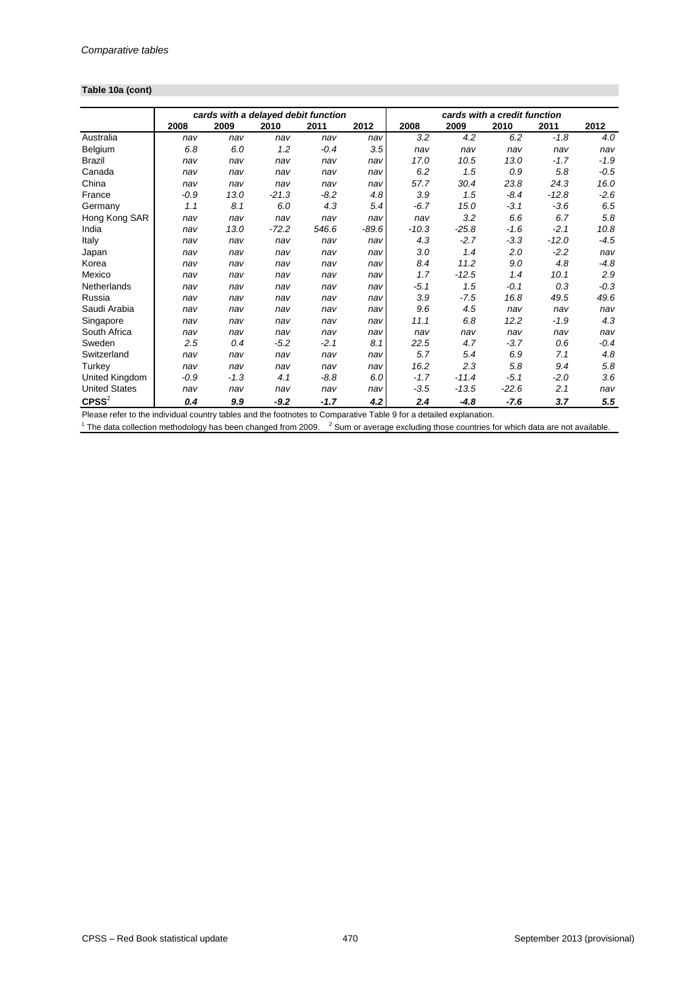#### **Table 10a (cont)**

|                      | cards with a delayed debit function |        |         |        |         | cards with a credit function |         |         |         |        |
|----------------------|-------------------------------------|--------|---------|--------|---------|------------------------------|---------|---------|---------|--------|
|                      | 2008                                | 2009   | 2010    | 2011   | 2012    | 2008                         | 2009    | 2010    | 2011    | 2012   |
| Australia            | nav                                 | nav    | nav     | nav    | nav     | 3.2                          | 4.2     | 6.2     | $-1.8$  | 4.0    |
| Belgium              | 6.8                                 | 6.0    | 1.2     | $-0.4$ | 3.5     | nav                          | nav     | nav     | nav     | nav    |
| <b>Brazil</b>        | nav                                 | nav    | nav     | nav    | nav     | 17.0                         | 10.5    | 13.0    | $-1.7$  | $-1.9$ |
| Canada               | nav                                 | nav    | nav     | nav    | nav     | 6.2                          | 1.5     | 0.9     | 5.8     | $-0.5$ |
| China                | nav                                 | nav    | nav     | nav    | nav     | 57.7                         | 30.4    | 23.8    | 24.3    | 16.0   |
| France               | $-0.9$                              | 13.0   | $-21.3$ | $-8.2$ | 4.8     | 3.9                          | 1.5     | $-8.4$  | $-12.8$ | $-2.6$ |
| Germany              | 1.1                                 | 8.1    | 6.0     | 4.3    | 5.4     | $-6.7$                       | 15.0    | $-3.1$  | $-3.6$  | 6.5    |
| Hong Kong SAR        | nav                                 | nav    | nav     | nav    | nav     | nav                          | 3.2     | 6.6     | 6.7     | 5.8    |
| India                | nav                                 | 13.0   | $-72.2$ | 546.6  | $-89.6$ | $-10.3$                      | $-25.8$ | $-1.6$  | $-2.1$  | 10.8   |
| Italy                | nav                                 | nav    | nav     | nav    | nav     | 4.3                          | $-2.7$  | $-3.3$  | $-12.0$ | $-4.5$ |
| Japan                | nav                                 | nav    | nav     | nav    | nav     | 3.0                          | 1.4     | 2.0     | $-2.2$  | nav    |
| Korea                | nav                                 | nav    | nav     | nav    | nav     | 8.4                          | 11.2    | 9.0     | 4.8     | $-4.8$ |
| Mexico               | nav                                 | nav    | nav     | nav    | nav     | 1.7                          | $-12.5$ | 1.4     | 10.1    | 2.9    |
| Netherlands          | nav                                 | nav    | nav     | nav    | nav     | $-5.1$                       | 1.5     | $-0.1$  | 0.3     | $-0.3$ |
| Russia               | nav                                 | nav    | nav     | nav    | nav     | 3.9                          | $-7.5$  | 16.8    | 49.5    | 49.6   |
| Saudi Arabia         | nav                                 | nav    | nav     | nav    | nav     | 9.6                          | 4.5     | nav     | nav     | nav    |
| Singapore            | nav                                 | nav    | nav     | nav    | nav     | 11.1                         | 6.8     | 12.2    | $-1.9$  | 4.3    |
| South Africa         | nav                                 | nav    | nav     | nav    | nav     | nav                          | nav     | nav     | nav     | nav    |
| Sweden               | 2.5                                 | 0.4    | $-5.2$  | $-2.1$ | 8.1     | 22.5                         | 4.7     | $-3.7$  | 0.6     | $-0.4$ |
| Switzerland          | nav                                 | nav    | nav     | nav    | nav     | 5.7                          | 5.4     | 6.9     | 7.1     | 4.8    |
| Turkey               | nav                                 | nav    | nav     | nav    | nav     | 16.2                         | 2.3     | 5.8     | 9.4     | 5.8    |
| United Kingdom       | $-0.9$                              | $-1.3$ | 4.1     | $-8.8$ | 6.0     | $-1.7$                       | $-11.4$ | $-5.1$  | $-2.0$  | 3.6    |
| <b>United States</b> | nav                                 | nav    | nav     | nav    | nav     | $-3.5$                       | $-13.5$ | $-22.6$ | 2.1     | nav    |
| $C$ PSS $2$          | 0.4                                 | 9.9    | $-9.2$  | $-1.7$ | 4.2     | 2.4                          | $-4.8$  | $-7.6$  | 3.7     | 5.5    |

Please refer to the individual country tables and the footnotes to Comparative Table 9 for a detailed explanation.

 $1$  The data collection methodology has been changed from 2009.  $2$  Sum or average excluding those countries for which data are not available.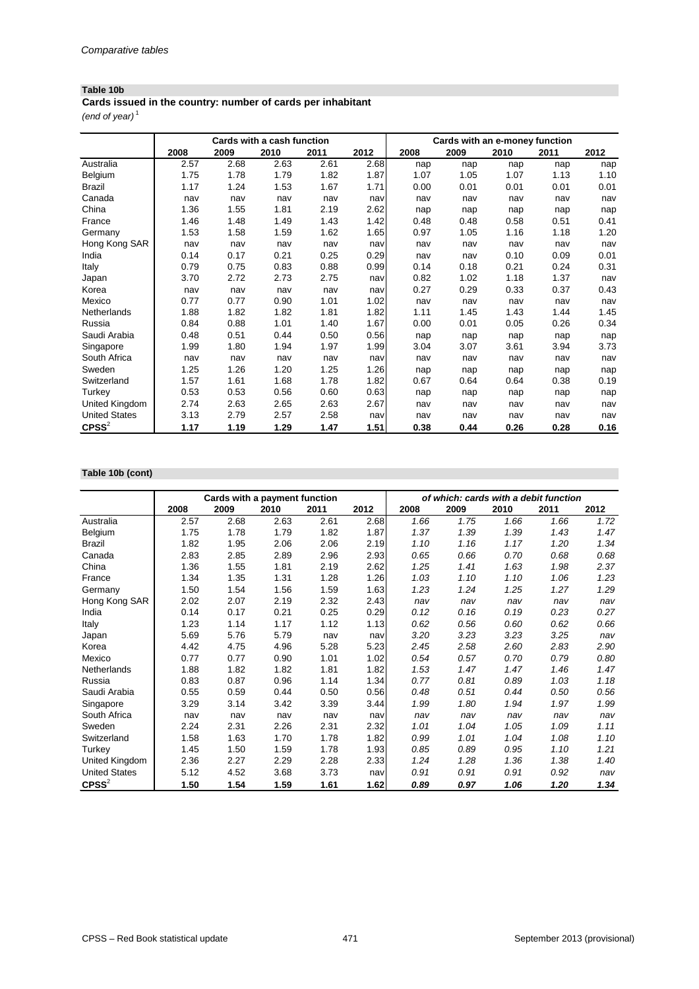### **Table 10b**

*(end of year)* <sup>1</sup> **Cards issued in the country: number of cards per inhabitant**

|                      |      |      | Cards with a cash function |      |      |      | Cards with an e-money function |      |      |      |
|----------------------|------|------|----------------------------|------|------|------|--------------------------------|------|------|------|
|                      | 2008 | 2009 | 2010                       | 2011 | 2012 | 2008 | 2009                           | 2010 | 2011 | 2012 |
| Australia            | 2.57 | 2.68 | 2.63                       | 2.61 | 2.68 | nap  | nap                            | nap  | nap  | nap  |
| Belgium              | 1.75 | 1.78 | 1.79                       | 1.82 | 1.87 | 1.07 | 1.05                           | 1.07 | 1.13 | 1.10 |
| <b>Brazil</b>        | 1.17 | 1.24 | 1.53                       | 1.67 | 1.71 | 0.00 | 0.01                           | 0.01 | 0.01 | 0.01 |
| Canada               | nav  | nav  | nav                        | nav  | nav  | nav  | nav                            | nav  | nav  | nav  |
| China                | 1.36 | 1.55 | 1.81                       | 2.19 | 2.62 | nap  | nap                            | nap  | nap  | nap  |
| France               | 1.46 | 1.48 | 1.49                       | 1.43 | 1.42 | 0.48 | 0.48                           | 0.58 | 0.51 | 0.41 |
| Germany              | 1.53 | 1.58 | 1.59                       | 1.62 | 1.65 | 0.97 | 1.05                           | 1.16 | 1.18 | 1.20 |
| Hong Kong SAR        | nav  | nav  | nav                        | nav  | nav  | nav  | nav                            | nav  | nav  | nav  |
| India                | 0.14 | 0.17 | 0.21                       | 0.25 | 0.29 | nav  | nav                            | 0.10 | 0.09 | 0.01 |
| Italy                | 0.79 | 0.75 | 0.83                       | 0.88 | 0.99 | 0.14 | 0.18                           | 0.21 | 0.24 | 0.31 |
| Japan                | 3.70 | 2.72 | 2.73                       | 2.75 | nav  | 0.82 | 1.02                           | 1.18 | 1.37 | nav  |
| Korea                | nav  | nav  | nav                        | nav  | nav  | 0.27 | 0.29                           | 0.33 | 0.37 | 0.43 |
| Mexico               | 0.77 | 0.77 | 0.90                       | 1.01 | 1.02 | nav  | nav                            | nav  | nav  | nav  |
| Netherlands          | 1.88 | 1.82 | 1.82                       | 1.81 | 1.82 | 1.11 | 1.45                           | 1.43 | 1.44 | 1.45 |
| Russia               | 0.84 | 0.88 | 1.01                       | 1.40 | 1.67 | 0.00 | 0.01                           | 0.05 | 0.26 | 0.34 |
| Saudi Arabia         | 0.48 | 0.51 | 0.44                       | 0.50 | 0.56 | nap  | nap                            | nap  | nap  | nap  |
| Singapore            | 1.99 | 1.80 | 1.94                       | 1.97 | 1.99 | 3.04 | 3.07                           | 3.61 | 3.94 | 3.73 |
| South Africa         | nav  | nav  | nav                        | nav  | nav  | nav  | nav                            | nav  | nav  | nav  |
| Sweden               | 1.25 | 1.26 | 1.20                       | 1.25 | 1.26 | nap  | nap                            | nap  | nap  | nap  |
| Switzerland          | 1.57 | 1.61 | 1.68                       | 1.78 | 1.82 | 0.67 | 0.64                           | 0.64 | 0.38 | 0.19 |
| Turkey               | 0.53 | 0.53 | 0.56                       | 0.60 | 0.63 | nap  | nap                            | nap  | nap  | nap  |
| United Kingdom       | 2.74 | 2.63 | 2.65                       | 2.63 | 2.67 | nav  | nav                            | nav  | nav  | nav  |
| <b>United States</b> | 3.13 | 2.79 | 2.57                       | 2.58 | nav  | nav  | nav                            | nav  | nav  | nav  |
| $C$ PSS $2$          | 1.17 | 1.19 | 1.29                       | 1.47 | 1.51 | 0.38 | 0.44                           | 0.26 | 0.28 | 0.16 |

# **Table 10b (cont)**

|                      |      | Cards with a payment function |      |      |      | of which: cards with a debit function |      |      |      |      |
|----------------------|------|-------------------------------|------|------|------|---------------------------------------|------|------|------|------|
|                      | 2008 | 2009                          | 2010 | 2011 | 2012 | 2008                                  | 2009 | 2010 | 2011 | 2012 |
| Australia            | 2.57 | 2.68                          | 2.63 | 2.61 | 2.68 | 1.66                                  | 1.75 | 1.66 | 1.66 | 1.72 |
| Belgium              | 1.75 | 1.78                          | 1.79 | 1.82 | 1.87 | 1.37                                  | 1.39 | 1.39 | 1.43 | 1.47 |
| <b>Brazil</b>        | 1.82 | 1.95                          | 2.06 | 2.06 | 2.19 | 1.10                                  | 1.16 | 1.17 | 1.20 | 1.34 |
| Canada               | 2.83 | 2.85                          | 2.89 | 2.96 | 2.93 | 0.65                                  | 0.66 | 0.70 | 0.68 | 0.68 |
| China                | 1.36 | 1.55                          | 1.81 | 2.19 | 2.62 | 1.25                                  | 1.41 | 1.63 | 1.98 | 2.37 |
| France               | 1.34 | 1.35                          | 1.31 | 1.28 | 1.26 | 1.03                                  | 1.10 | 1.10 | 1.06 | 1.23 |
| Germany              | 1.50 | 1.54                          | 1.56 | 1.59 | 1.63 | 1.23                                  | 1.24 | 1.25 | 1.27 | 1.29 |
| Hong Kong SAR        | 2.02 | 2.07                          | 2.19 | 2.32 | 2.43 | nav                                   | nav  | nav  | nav  | nav  |
| India                | 0.14 | 0.17                          | 0.21 | 0.25 | 0.29 | 0.12                                  | 0.16 | 0.19 | 0.23 | 0.27 |
| Italy                | 1.23 | 1.14                          | 1.17 | 1.12 | 1.13 | 0.62                                  | 0.56 | 0.60 | 0.62 | 0.66 |
| Japan                | 5.69 | 5.76                          | 5.79 | nav  | nav  | 3.20                                  | 3.23 | 3.23 | 3.25 | nav  |
| Korea                | 4.42 | 4.75                          | 4.96 | 5.28 | 5.23 | 2.45                                  | 2.58 | 2.60 | 2.83 | 2.90 |
| Mexico               | 0.77 | 0.77                          | 0.90 | 1.01 | 1.02 | 0.54                                  | 0.57 | 0.70 | 0.79 | 0.80 |
| <b>Netherlands</b>   | 1.88 | 1.82                          | 1.82 | 1.81 | 1.82 | 1.53                                  | 1.47 | 1.47 | 1.46 | 1.47 |
| Russia               | 0.83 | 0.87                          | 0.96 | 1.14 | 1.34 | 0.77                                  | 0.81 | 0.89 | 1.03 | 1.18 |
| Saudi Arabia         | 0.55 | 0.59                          | 0.44 | 0.50 | 0.56 | 0.48                                  | 0.51 | 0.44 | 0.50 | 0.56 |
| Singapore            | 3.29 | 3.14                          | 3.42 | 3.39 | 3.44 | 1.99                                  | 1.80 | 1.94 | 1.97 | 1.99 |
| South Africa         | nav  | nav                           | nav  | nav  | nav  | nav                                   | nav  | nav  | nav  | nav  |
| Sweden               | 2.24 | 2.31                          | 2.26 | 2.31 | 2.32 | 1.01                                  | 1.04 | 1.05 | 1.09 | 1.11 |
| Switzerland          | 1.58 | 1.63                          | 1.70 | 1.78 | 1.82 | 0.99                                  | 1.01 | 1.04 | 1.08 | 1.10 |
| Turkey               | 1.45 | 1.50                          | 1.59 | 1.78 | 1.93 | 0.85                                  | 0.89 | 0.95 | 1.10 | 1.21 |
| United Kingdom       | 2.36 | 2.27                          | 2.29 | 2.28 | 2.33 | 1.24                                  | 1.28 | 1.36 | 1.38 | 1.40 |
| <b>United States</b> | 5.12 | 4.52                          | 3.68 | 3.73 | nav  | 0.91                                  | 0.91 | 0.91 | 0.92 | nav  |
| $C$ PSS $2$          | 1.50 | 1.54                          | 1.59 | 1.61 | 1.62 | 0.89                                  | 0.97 | 1.06 | 1.20 | 1.34 |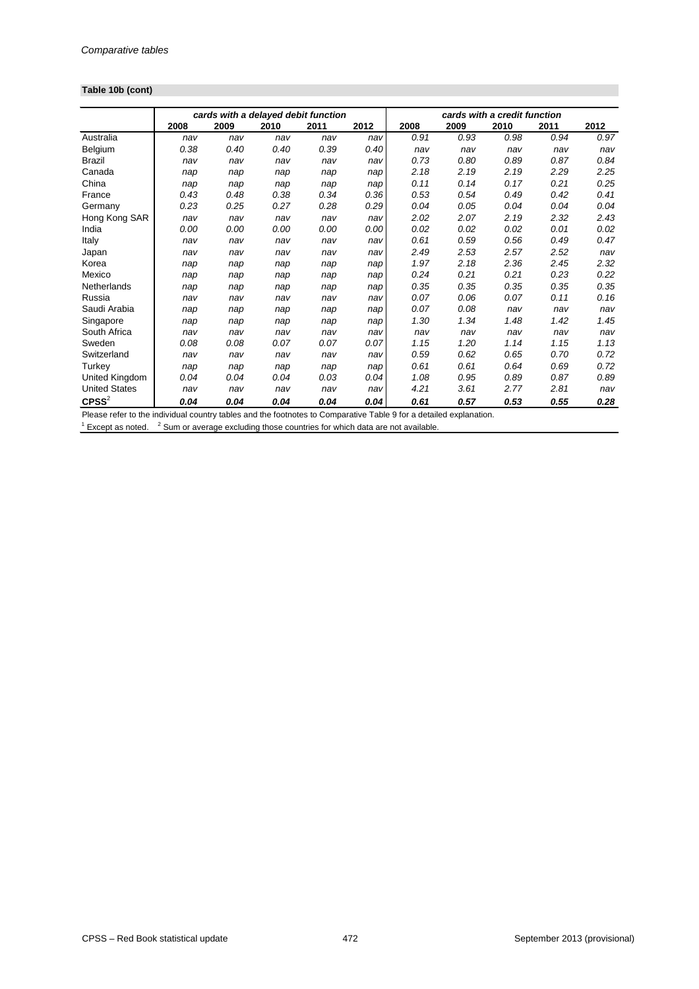# **Table 10b (cont)**

|                               |      | cards with a delayed debit function |      |      |      |                     |      | cards with a credit function |      |      |
|-------------------------------|------|-------------------------------------|------|------|------|---------------------|------|------------------------------|------|------|
|                               | 2008 | 2009                                | 2010 | 2011 | 2012 | 2008                | 2009 | 2010                         | 2011 | 2012 |
| Australia                     | nav  | nav                                 | nav  | nav  | nav  | 0.91                | 0.93 | 0.98                         | 0.94 | 0.97 |
| Belgium                       | 0.38 | 0.40                                | 0.40 | 0.39 | 0.40 | nav                 | nav  | nav                          | nav  | nav  |
| <b>Brazil</b>                 | nav  | nav                                 | nav  | nav  | nav  | 0.73                | 0.80 | 0.89                         | 0.87 | 0.84 |
| Canada                        | nap  | nap                                 | nap  | nap  | nap  | 2.18                | 2.19 | 2.19                         | 2.29 | 2.25 |
| China                         | nap  | nap                                 | nap  | nap  | nap  | 0.11                | 0.14 | 0.17                         | 0.21 | 0.25 |
| France                        | 0.43 | 0.48                                | 0.38 | 0.34 | 0.36 | 0.53                | 0.54 | 0.49                         | 0.42 | 0.41 |
| Germany                       | 0.23 | 0.25                                | 0.27 | 0.28 | 0.29 | 0.04                | 0.05 | 0.04                         | 0.04 | 0.04 |
| Hong Kong SAR                 | nav  | nav                                 | nav  | nav  | nav  | 2.02                | 2.07 | 2.19                         | 2.32 | 2.43 |
| India                         | 0.00 | 0.00                                | 0.00 | 0.00 | 0.00 | 0.02                | 0.02 | 0.02                         | 0.01 | 0.02 |
| Italy                         | nav  | nav                                 | nav  | nav  | nav  | 0.61                | 0.59 | 0.56                         | 0.49 | 0.47 |
| Japan                         | nav  | nav                                 | nav  | nav  | nav  | 2.49                | 2.53 | 2.57                         | 2.52 | nav  |
| Korea                         | nap  | nap                                 | nap  | nap  | nap  | 1.97                | 2.18 | 2.36                         | 2.45 | 2.32 |
| Mexico                        | nap  | nap                                 | nap  | nap  | nap  | 0.24                | 0.21 | 0.21                         | 0.23 | 0.22 |
| Netherlands                   | nap  | nap                                 | nap  | nap  | nap  | 0.35                | 0.35 | 0.35                         | 0.35 | 0.35 |
| Russia                        | nav  | nav                                 | nav  | nav  | nav  | 0.07                | 0.06 | 0.07                         | 0.11 | 0.16 |
| Saudi Arabia                  | nap  | nap                                 | nap  | nap  | nap  | 0.07                | 0.08 | nav                          | nav  | nav  |
| Singapore                     | nap  | nap                                 | nap  | nap  | nap  | 1.30                | 1.34 | 1.48                         | 1.42 | 1.45 |
| South Africa                  | nav  | nav                                 | nav  | nav  | nav  | nav                 | nav  | nav                          | nav  | nav  |
| Sweden                        | 0.08 | 0.08                                | 0.07 | 0.07 | 0.07 | 1.15                | 1.20 | 1.14                         | 1.15 | 1.13 |
| Switzerland                   | nav  | nav                                 | nav  | nav  | nav  | 0.59                | 0.62 | 0.65                         | 0.70 | 0.72 |
| Turkey                        | nap  | nap                                 | nap  | nap  | nap  | 0.61                | 0.61 | 0.64                         | 0.69 | 0.72 |
| United Kingdom                | 0.04 | 0.04                                | 0.04 | 0.03 | 0.04 | 1.08                | 0.95 | 0.89                         | 0.87 | 0.89 |
| <b>United States</b>          | nav  | nav                                 | nav  | nav  | nav  | 4.21                | 3.61 | 2.77                         | 2.81 | nav  |
| $C$ PSS ${}^{2}$<br>.<br>DI L | 0.04 | 0.04                                | 0.04 | 0.04 | 0.04 | 0.61<br>$\tau$<br>. | 0.57 | 0.53                         | 0.55 | 0.28 |

Please refer to the individual country tables and the footnotes to Comparative Table 9 for a detailed explanation.

 $1$  Except as noted.  $2$  Sum or average excluding those countries for which data are not available.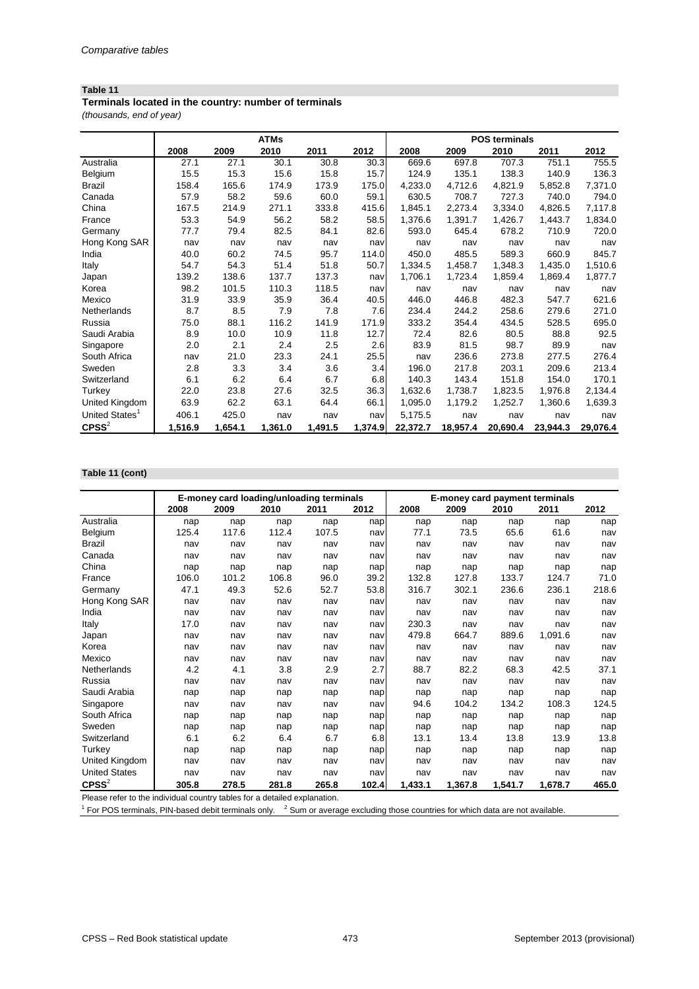#### **Table 11**

*(thousands, end of year)* **Terminals located in the country: number of terminals**

|                            |         |         | <b>ATMs</b> |         |         | <b>POS terminals</b> |          |          |          |          |
|----------------------------|---------|---------|-------------|---------|---------|----------------------|----------|----------|----------|----------|
|                            | 2008    | 2009    | 2010        | 2011    | 2012    | 2008                 | 2009     | 2010     | 2011     | 2012     |
| Australia                  | 27.1    | 27.1    | 30.1        | 30.8    | 30.3    | 669.6                | 697.8    | 707.3    | 751.1    | 755.5    |
| Belgium                    | 15.5    | 15.3    | 15.6        | 15.8    | 15.7    | 124.9                | 135.1    | 138.3    | 140.9    | 136.3    |
| <b>Brazil</b>              | 158.4   | 165.6   | 174.9       | 173.9   | 175.0   | 4,233.0              | 4,712.6  | 4,821.9  | 5,852.8  | 7,371.0  |
| Canada                     | 57.9    | 58.2    | 59.6        | 60.0    | 59.1    | 630.5                | 708.7    | 727.3    | 740.0    | 794.0    |
| China                      | 167.5   | 214.9   | 271.1       | 333.8   | 415.6   | 1,845.1              | 2,273.4  | 3,334.0  | 4,826.5  | 7,117.8  |
| France                     | 53.3    | 54.9    | 56.2        | 58.2    | 58.5    | 1,376.6              | 1,391.7  | 1,426.7  | 1,443.7  | 1,834.0  |
| Germany                    | 77.7    | 79.4    | 82.5        | 84.1    | 82.6    | 593.0                | 645.4    | 678.2    | 710.9    | 720.0    |
| Hong Kong SAR              | nav     | nav     | nav         | nav     | nav     | nav                  | nav      | nav      | nav      | nav      |
| India                      | 40.0    | 60.2    | 74.5        | 95.7    | 114.0   | 450.0                | 485.5    | 589.3    | 660.9    | 845.7    |
| <b>Italy</b>               | 54.7    | 54.3    | 51.4        | 51.8    | 50.7    | 1,334.5              | 1,458.7  | 1,348.3  | 1,435.0  | 1,510.6  |
| Japan                      | 139.2   | 138.6   | 137.7       | 137.3   | nav     | 1,706.1              | 1,723.4  | 1,859.4  | 1,869.4  | 1,877.7  |
| Korea                      | 98.2    | 101.5   | 110.3       | 118.5   | nav     | nav                  | nav      | nav      | nav      | nav      |
| Mexico                     | 31.9    | 33.9    | 35.9        | 36.4    | 40.5    | 446.0                | 446.8    | 482.3    | 547.7    | 621.6    |
| Netherlands                | 8.7     | 8.5     | 7.9         | 7.8     | 7.6     | 234.4                | 244.2    | 258.6    | 279.6    | 271.0    |
| Russia                     | 75.0    | 88.1    | 116.2       | 141.9   | 171.9   | 333.2                | 354.4    | 434.5    | 528.5    | 695.0    |
| Saudi Arabia               | 8.9     | 10.0    | 10.9        | 11.8    | 12.7    | 72.4                 | 82.6     | 80.5     | 88.8     | 92.5     |
| Singapore                  | 2.0     | 2.1     | 2.4         | 2.5     | 2.6     | 83.9                 | 81.5     | 98.7     | 89.9     | nav      |
| South Africa               | nav     | 21.0    | 23.3        | 24.1    | 25.5    | nav                  | 236.6    | 273.8    | 277.5    | 276.4    |
| Sweden                     | 2.8     | 3.3     | 3.4         | 3.6     | 3.4     | 196.0                | 217.8    | 203.1    | 209.6    | 213.4    |
| Switzerland                | 6.1     | 6.2     | 6.4         | 6.7     | 6.8     | 140.3                | 143.4    | 151.8    | 154.0    | 170.1    |
| Turkey                     | 22.0    | 23.8    | 27.6        | 32.5    | 36.3    | 1,632.6              | 1,738.7  | 1,823.5  | 1,976.8  | 2,134.4  |
| United Kingdom             | 63.9    | 62.2    | 63.1        | 64.4    | 66.1    | 1,095.0              | 1,179.2  | 1,252.7  | 1,360.6  | 1,639.3  |
| United States <sup>1</sup> | 406.1   | 425.0   | nav         | nav     | nav     | 5,175.5              | nav      | nav      | nav      | nav      |
| $C$ PSS $2$                | 1,516.9 | 1,654.1 | 1,361.0     | 1,491.5 | 1,374.9 | 22,372.7             | 18,957.4 | 20,690.4 | 23,944.3 | 29,076.4 |

#### **Table 11 (cont)**

|                      |       | E-money card loading/unloading terminals |       |       | <b>E-money card payment terminals</b> |         |         |         |         |       |
|----------------------|-------|------------------------------------------|-------|-------|---------------------------------------|---------|---------|---------|---------|-------|
|                      | 2008  | 2009                                     | 2010  | 2011  | 2012                                  | 2008    | 2009    | 2010    | 2011    | 2012  |
| Australia            | nap   | nap                                      | nap   | nap   | nap                                   | nap     | nap     | nap     | nap     | nap   |
| Belgium              | 125.4 | 117.6                                    | 112.4 | 107.5 | nav                                   | 77.1    | 73.5    | 65.6    | 61.6    | nav   |
| <b>Brazil</b>        | nav   | nav                                      | nav   | nav   | nav                                   | nav     | nav     | nav     | nav     | nav   |
| Canada               | nav   | nav                                      | nav   | nav   | nav                                   | nav     | nav     | nav     | nav     | nav   |
| China                | nap   | nap                                      | nap   | nap   | nap                                   | nap     | nap     | nap     | nap     | nap   |
| France               | 106.0 | 101.2                                    | 106.8 | 96.0  | 39.2                                  | 132.8   | 127.8   | 133.7   | 124.7   | 71.0  |
| Germany              | 47.1  | 49.3                                     | 52.6  | 52.7  | 53.8                                  | 316.7   | 302.1   | 236.6   | 236.1   | 218.6 |
| Hong Kong SAR        | nav   | nav                                      | nav   | nav   | nav                                   | nav     | nav     | nav     | nav     | nav   |
| India                | nav   | nav                                      | nav   | nav   | nav                                   | nav     | nav     | nav     | nav     | nav   |
| Italy                | 17.0  | nav                                      | nav   | nav   | nav                                   | 230.3   | nav     | nav     | nav     | nav   |
| Japan                | nav   | nav                                      | nav   | nav   | nav                                   | 479.8   | 664.7   | 889.6   | 1,091.6 | nav   |
| Korea                | nav   | nav                                      | nav   | nav   | nav                                   | nav     | nav     | nav     | nav     | nav   |
| Mexico               | nav   | nav                                      | nav   | nav   | nav                                   | nav     | nav     | nav     | nav     | nav   |
| Netherlands          | 4.2   | 4.1                                      | 3.8   | 2.9   | 2.7                                   | 88.7    | 82.2    | 68.3    | 42.5    | 37.1  |
| Russia               | nav   | nav                                      | nav   | nav   | nav                                   | nav     | nav     | nav     | nav     | nav   |
| Saudi Arabia         | nap   | nap                                      | nap   | nap   | nap                                   | nap     | nap     | nap     | nap     | nap   |
| Singapore            | nav   | nav                                      | nav   | nav   | nav                                   | 94.6    | 104.2   | 134.2   | 108.3   | 124.5 |
| South Africa         | nap   | nap                                      | nap   | nap   | nap                                   | nap     | nap     | nap     | nap     | nap   |
| Sweden               | nap   | nap                                      | nap   | nap   | nap                                   | nap     | nap     | nap     | nap     | nap   |
| Switzerland          | 6.1   | 6.2                                      | 6.4   | 6.7   | 6.8                                   | 13.1    | 13.4    | 13.8    | 13.9    | 13.8  |
| Turkey               | nap   | nap                                      | nap   | nap   | nap                                   | nap     | nap     | nap     | nap     | nap   |
| United Kingdom       | nav   | nav                                      | nav   | nav   | nav                                   | nav     | nav     | nav     | nav     | nav   |
| <b>United States</b> | nav   | nav                                      | nav   | nav   | nav                                   | nav     | nav     | nav     | nav     | nav   |
| $C$ PSS $^{2}$       | 305.8 | 278.5                                    | 281.8 | 265.8 | 102.4                                 | 1,433.1 | 1,367.8 | 1,541.7 | 1,678.7 | 465.0 |

Please refer to the individual country tables for a detailed explanation.

 $1$  For POS terminals, PIN-based debit terminals only.  $2$  Sum or average excluding those countries for which data are not available.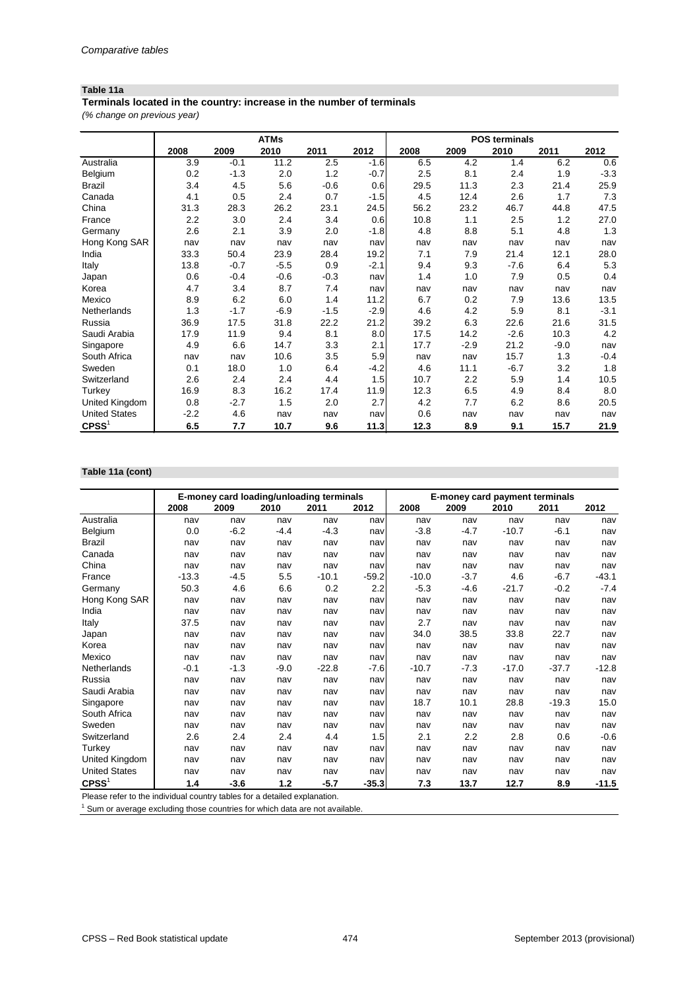### **Table 11a**

**Terminals located in the country: increase in the number of terminals**

*(% change on previous year)*

|                      |        |        | <b>ATMs</b> |        |        | <b>POS terminals</b> |        |        |        |        |  |
|----------------------|--------|--------|-------------|--------|--------|----------------------|--------|--------|--------|--------|--|
|                      | 2008   | 2009   | 2010        | 2011   | 2012   | 2008                 | 2009   | 2010   | 2011   | 2012   |  |
| Australia            | 3.9    | $-0.1$ | 11.2        | 2.5    | $-1.6$ | 6.5                  | 4.2    | 1.4    | 6.2    | 0.6    |  |
| Belgium              | 0.2    | $-1.3$ | 2.0         | 1.2    | $-0.7$ | 2.5                  | 8.1    | 2.4    | 1.9    | $-3.3$ |  |
| <b>Brazil</b>        | 3.4    | 4.5    | 5.6         | $-0.6$ | 0.6    | 29.5                 | 11.3   | 2.3    | 21.4   | 25.9   |  |
| Canada               | 4.1    | 0.5    | 2.4         | 0.7    | $-1.5$ | 4.5                  | 12.4   | 2.6    | 1.7    | 7.3    |  |
| China                | 31.3   | 28.3   | 26.2        | 23.1   | 24.5   | 56.2                 | 23.2   | 46.7   | 44.8   | 47.5   |  |
| France               | 2.2    | 3.0    | 2.4         | 3.4    | 0.6    | 10.8                 | 1.1    | 2.5    | 1.2    | 27.0   |  |
| Germany              | 2.6    | 2.1    | 3.9         | 2.0    | $-1.8$ | 4.8                  | 8.8    | 5.1    | 4.8    | 1.3    |  |
| Hong Kong SAR        | nav    | nav    | nav         | nav    | nav    | nav                  | nav    | nav    | nav    | nav    |  |
| India                | 33.3   | 50.4   | 23.9        | 28.4   | 19.2   | 7.1                  | 7.9    | 21.4   | 12.1   | 28.0   |  |
| Italy                | 13.8   | $-0.7$ | $-5.5$      | 0.9    | $-2.1$ | 9.4                  | 9.3    | $-7.6$ | 6.4    | 5.3    |  |
| Japan                | 0.6    | $-0.4$ | $-0.6$      | $-0.3$ | nav    | 1.4                  | 1.0    | 7.9    | 0.5    | 0.4    |  |
| Korea                | 4.7    | 3.4    | 8.7         | 7.4    | nav    | nav                  | nav    | nav    | nav    | nav    |  |
| Mexico               | 8.9    | 6.2    | 6.0         | 1.4    | 11.2   | 6.7                  | 0.2    | 7.9    | 13.6   | 13.5   |  |
| Netherlands          | 1.3    | $-1.7$ | $-6.9$      | $-1.5$ | $-2.9$ | 4.6                  | 4.2    | 5.9    | 8.1    | $-3.1$ |  |
| Russia               | 36.9   | 17.5   | 31.8        | 22.2   | 21.2   | 39.2                 | 6.3    | 22.6   | 21.6   | 31.5   |  |
| Saudi Arabia         | 17.9   | 11.9   | 9.4         | 8.1    | 8.0    | 17.5                 | 14.2   | $-2.6$ | 10.3   | 4.2    |  |
| Singapore            | 4.9    | 6.6    | 14.7        | 3.3    | 2.1    | 17.7                 | $-2.9$ | 21.2   | $-9.0$ | nav    |  |
| South Africa         | nav    | nav    | 10.6        | 3.5    | 5.9    | nav                  | nav    | 15.7   | 1.3    | $-0.4$ |  |
| Sweden               | 0.1    | 18.0   | 1.0         | 6.4    | $-4.2$ | 4.6                  | 11.1   | $-6.7$ | 3.2    | 1.8    |  |
| Switzerland          | 2.6    | 2.4    | 2.4         | 4.4    | 1.5    | 10.7                 | 2.2    | 5.9    | 1.4    | 10.5   |  |
| Turkey               | 16.9   | 8.3    | 16.2        | 17.4   | 11.9   | 12.3                 | 6.5    | 4.9    | 8.4    | 8.0    |  |
| United Kingdom       | 0.8    | $-2.7$ | 1.5         | 2.0    | 2.7    | 4.2                  | 7.7    | 6.2    | 8.6    | 20.5   |  |
| <b>United States</b> | $-2.2$ | 4.6    | nav         | nav    | nav    | 0.6                  | nav    | nav    | nav    | nav    |  |
| $C$ PSS <sup>1</sup> | 6.5    | 7.7    | 10.7        | 9.6    | 11.3   | 12.3                 | 8.9    | 9.1    | 15.7   | 21.9   |  |

#### **Table 11a (cont)**

|                      |         | E-money card loading/unloading terminals |        |         |         |         | <b>E-money card payment terminals</b> |         |         |         |
|----------------------|---------|------------------------------------------|--------|---------|---------|---------|---------------------------------------|---------|---------|---------|
|                      | 2008    | 2009                                     | 2010   | 2011    | 2012    | 2008    | 2009                                  | 2010    | 2011    | 2012    |
| Australia            | nav     | nav                                      | nav    | nav     | nav     | nav     | nav                                   | nav     | nav     | nav     |
| Belgium              | 0.0     | $-6.2$                                   | $-4.4$ | $-4.3$  | nav     | $-3.8$  | $-4.7$                                | $-10.7$ | $-6.1$  | nav     |
| <b>Brazil</b>        | nav     | nav                                      | nav    | nav     | nav     | nav     | nav                                   | nav     | nav     | nav     |
| Canada               | nav     | nav                                      | nav    | nav     | nav     | nav     | nav                                   | nav     | nav     | nav     |
| China                | nav     | nav                                      | nav    | nav     | nav     | nav     | nav                                   | nav     | nav     | nav     |
| France               | $-13.3$ | $-4.5$                                   | 5.5    | $-10.1$ | $-59.2$ | $-10.0$ | $-3.7$                                | 4.6     | $-6.7$  | $-43.1$ |
| Germany              | 50.3    | 4.6                                      | 6.6    | 0.2     | 2.2     | $-5.3$  | $-4.6$                                | $-21.7$ | $-0.2$  | $-7.4$  |
| Hong Kong SAR        | nav     | nav                                      | nav    | nav     | nav     | nav     | nav                                   | nav     | nav     | nav     |
| India                | nav     | nav                                      | nav    | nav     | nav     | nav     | nav                                   | nav     | nav     | nav     |
| Italy                | 37.5    | nav                                      | nav    | nav     | nav     | 2.7     | nav                                   | nav     | nav     | nav     |
| Japan                | nav     | nav                                      | nav    | nav     | nav     | 34.0    | 38.5                                  | 33.8    | 22.7    | nav     |
| Korea                | nav     | nav                                      | nav    | nav     | nav     | nav     | nav                                   | nav     | nav     | nav     |
| Mexico               | nav     | nav                                      | nav    | nav     | nav     | nav     | nav                                   | nav     | nav     | nav     |
| Netherlands          | $-0.1$  | $-1.3$                                   | $-9.0$ | $-22.8$ | $-7.6$  | $-10.7$ | $-7.3$                                | $-17.0$ | $-37.7$ | $-12.8$ |
| Russia               | nav     | nav                                      | nav    | nav     | nav     | nav     | nav                                   | nav     | nav     | nav     |
| Saudi Arabia         | nav     | nav                                      | nav    | nav     | nav     | nav     | nav                                   | nav     | nav     | nav     |
| Singapore            | nav     | nav                                      | nav    | nav     | nav     | 18.7    | 10.1                                  | 28.8    | $-19.3$ | 15.0    |
| South Africa         | nav     | nav                                      | nav    | nav     | nav     | nav     | nav                                   | nav     | nav     | nav     |
| Sweden               | nav     | nav                                      | nav    | nav     | nav     | nav     | nav                                   | nav     | nav     | nav     |
| Switzerland          | 2.6     | 2.4                                      | 2.4    | 4.4     | 1.5     | 2.1     | 2.2                                   | 2.8     | 0.6     | $-0.6$  |
| Turkey               | nav     | nav                                      | nav    | nav     | nav     | nav     | nav                                   | nav     | nav     | nav     |
| United Kingdom       | nav     | nav                                      | nav    | nav     | nav     | nav     | nav                                   | nav     | nav     | nav     |
| <b>United States</b> | nav     | nav                                      | nav    | nav     | nav     | nav     | nav                                   | nav     | nav     | nav     |
| $C$ PSS $1$          | 1.4     | $-3.6$                                   | $1.2$  | $-5.7$  | $-35.3$ | 7.3     | 13.7                                  | 12.7    | 8.9     | $-11.5$ |

Please refer to the individual country tables for a detailed explanation.

 $1$  Sum or average excluding those countries for which data are not available.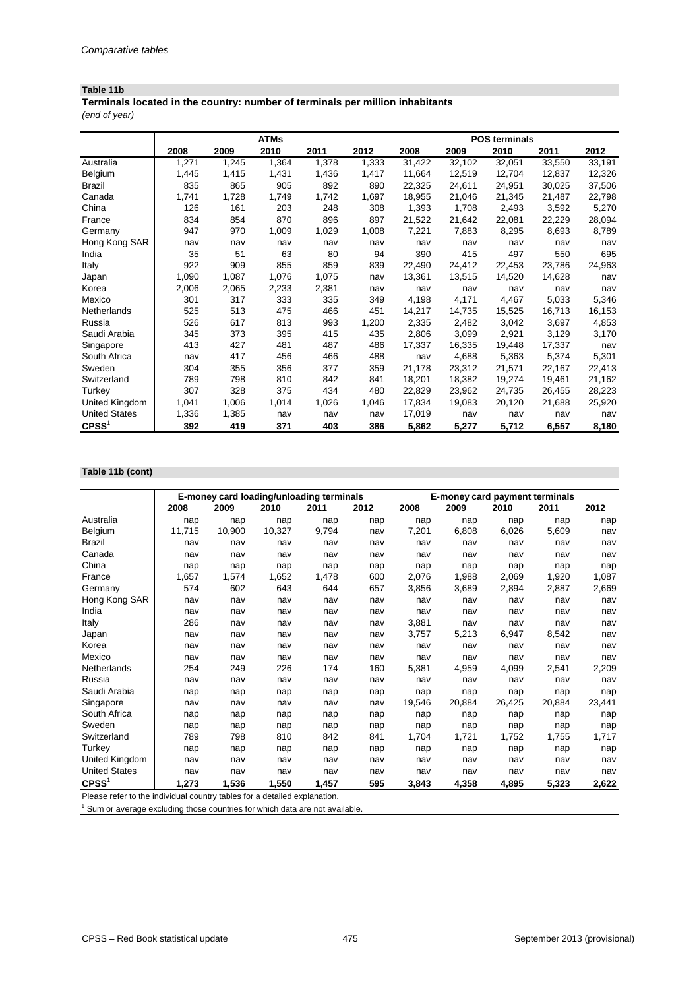### **Table 11b**

*(end of year)* **Terminals located in the country: number of terminals per million inhabitants**

|                      |       |       | <b>ATMs</b> |       |       | <b>POS terminals</b> |        |        |        |        |  |
|----------------------|-------|-------|-------------|-------|-------|----------------------|--------|--------|--------|--------|--|
|                      | 2008  | 2009  | 2010        | 2011  | 2012  | 2008                 | 2009   | 2010   | 2011   | 2012   |  |
| Australia            | 1,271 | 1,245 | 1,364       | 1,378 | 1,333 | 31,422               | 32,102 | 32,051 | 33,550 | 33,191 |  |
| Belgium              | 1,445 | 1,415 | 1,431       | 1,436 | 1,417 | 11,664               | 12,519 | 12,704 | 12,837 | 12,326 |  |
| <b>Brazil</b>        | 835   | 865   | 905         | 892   | 890   | 22,325               | 24,611 | 24,951 | 30,025 | 37,506 |  |
| Canada               | 1,741 | 1,728 | 1,749       | 1,742 | 1,697 | 18,955               | 21,046 | 21,345 | 21,487 | 22,798 |  |
| China                | 126   | 161   | 203         | 248   | 308   | 1,393                | 1,708  | 2,493  | 3,592  | 5,270  |  |
| France               | 834   | 854   | 870         | 896   | 897   | 21,522               | 21,642 | 22,081 | 22,229 | 28,094 |  |
| Germany              | 947   | 970   | 1,009       | 1,029 | 1,008 | 7,221                | 7,883  | 8,295  | 8,693  | 8,789  |  |
| Hong Kong SAR        | nav   | nav   | nav         | nav   | nav   | nav                  | nav    | nav    | nav    | nav    |  |
| India                | 35    | 51    | 63          | 80    | 94    | 390                  | 415    | 497    | 550    | 695    |  |
| <b>Italy</b>         | 922   | 909   | 855         | 859   | 839   | 22,490               | 24,412 | 22,453 | 23,786 | 24,963 |  |
| Japan                | 1,090 | 1,087 | 1,076       | 1,075 | nav   | 13,361               | 13,515 | 14,520 | 14,628 | nav    |  |
| Korea                | 2,006 | 2,065 | 2,233       | 2,381 | nav   | nav                  | nav    | nav    | nav    | nav    |  |
| Mexico               | 301   | 317   | 333         | 335   | 349   | 4,198                | 4,171  | 4,467  | 5,033  | 5,346  |  |
| Netherlands          | 525   | 513   | 475         | 466   | 451   | 14,217               | 14,735 | 15,525 | 16,713 | 16,153 |  |
| Russia               | 526   | 617   | 813         | 993   | 1,200 | 2,335                | 2,482  | 3,042  | 3,697  | 4,853  |  |
| Saudi Arabia         | 345   | 373   | 395         | 415   | 435   | 2,806                | 3,099  | 2,921  | 3,129  | 3,170  |  |
| Singapore            | 413   | 427   | 481         | 487   | 486   | 17,337               | 16,335 | 19,448 | 17,337 | nav    |  |
| South Africa         | nav   | 417   | 456         | 466   | 488   | nav                  | 4,688  | 5,363  | 5,374  | 5,301  |  |
| Sweden               | 304   | 355   | 356         | 377   | 359   | 21,178               | 23,312 | 21,571 | 22,167 | 22,413 |  |
| Switzerland          | 789   | 798   | 810         | 842   | 841   | 18,201               | 18,382 | 19,274 | 19,461 | 21,162 |  |
| Turkey               | 307   | 328   | 375         | 434   | 480   | 22,829               | 23,962 | 24,735 | 26,455 | 28,223 |  |
| United Kingdom       | 1,041 | 1,006 | 1,014       | 1,026 | 1,046 | 17,834               | 19,083 | 20,120 | 21,688 | 25,920 |  |
| <b>United States</b> | 1,336 | 1,385 | nav         | nav   | nav   | 17,019               | nav    | nav    | nav    | nav    |  |
| $C$ PSS <sup>1</sup> | 392   | 419   | 371         | 403   | 386   | 5,862                | 5,277  | 5,712  | 6,557  | 8,180  |  |

# **Table 11b (cont)**

|                      |        | E-money card loading/unloading terminals |        |       |      |        |        | <b>E-money card payment terminals</b> |        |        |
|----------------------|--------|------------------------------------------|--------|-------|------|--------|--------|---------------------------------------|--------|--------|
|                      | 2008   | 2009                                     | 2010   | 2011  | 2012 | 2008   | 2009   | 2010                                  | 2011   | 2012   |
| Australia            | nap    | nap                                      | nap    | nap   | nap  | nap    | nap    | nap                                   | nap    | nap    |
| Belgium              | 11,715 | 10,900                                   | 10,327 | 9,794 | nav  | 7,201  | 6,808  | 6,026                                 | 5,609  | nav    |
| <b>Brazil</b>        | nav    | nav                                      | nav    | nav   | nav  | nav    | nav    | nav                                   | nav    | nav    |
| Canada               | nav    | nav                                      | nav    | nav   | nav  | nav    | nav    | nav                                   | nav    | nav    |
| China                | nap    | nap                                      | nap    | nap   | nap  | nap    | nap    | nap                                   | nap    | nap    |
| France               | 1,657  | 1,574                                    | 1,652  | 1,478 | 600  | 2,076  | 1,988  | 2,069                                 | 1,920  | 1,087  |
| Germany              | 574    | 602                                      | 643    | 644   | 657  | 3,856  | 3,689  | 2,894                                 | 2,887  | 2,669  |
| Hong Kong SAR        | nav    | nav                                      | nav    | nav   | nav  | nav    | nav    | nav                                   | nav    | nav    |
| India                | nav    | nav                                      | nav    | nav   | nav  | nav    | nav    | nav                                   | nav    | nav    |
| Italy                | 286    | nav                                      | nav    | nav   | nav  | 3,881  | nav    | nav                                   | nav    | nav    |
| Japan                | nav    | nav                                      | nav    | nav   | nav  | 3,757  | 5,213  | 6,947                                 | 8,542  | nav    |
| Korea                | nav    | nav                                      | nav    | nav   | nav  | nav    | nav    | nav                                   | nav    | nav    |
| Mexico               | nav    | nav                                      | nav    | nav   | nav  | nav    | nav    | nav                                   | nav    | nav    |
| Netherlands          | 254    | 249                                      | 226    | 174   | 160  | 5,381  | 4,959  | 4,099                                 | 2,541  | 2,209  |
| Russia               | nav    | nav                                      | nav    | nav   | nav  | nav    | nav    | nav                                   | nav    | nav    |
| Saudi Arabia         | nap    | nap                                      | nap    | nap   | nap  | nap    | nap    | nap                                   | nap    | nap    |
| Singapore            | nav    | nav                                      | nav    | nav   | nav  | 19,546 | 20,884 | 26,425                                | 20,884 | 23,441 |
| South Africa         | nap    | nap                                      | nap    | nap   | nap  | nap    | nap    | nap                                   | nap    | nap    |
| Sweden               | nap    | nap                                      | nap    | nap   | nap  | nap    | nap    | nap                                   | nap    | nap    |
| Switzerland          | 789    | 798                                      | 810    | 842   | 841  | 1,704  | 1,721  | 1,752                                 | 1,755  | 1,717  |
| Turkey               | nap    | nap                                      | nap    | nap   | nap  | nap    | nap    | nap                                   | nap    | nap    |
| United Kingdom       | nav    | nav                                      | nav    | nav   | nav  | nav    | nav    | nav                                   | nav    | nav    |
| <b>United States</b> | nav    | nav                                      | nav    | nav   | nav  | nav    | nav    | nav                                   | nav    | nav    |
| $C$ PSS $1$          | 1,273  | 1,536                                    | 1,550  | 1,457 | 595  | 3,843  | 4,358  | 4,895                                 | 5,323  | 2,622  |

Please refer to the individual country tables for a detailed explanation.

 $1$  Sum or average excluding those countries for which data are not available.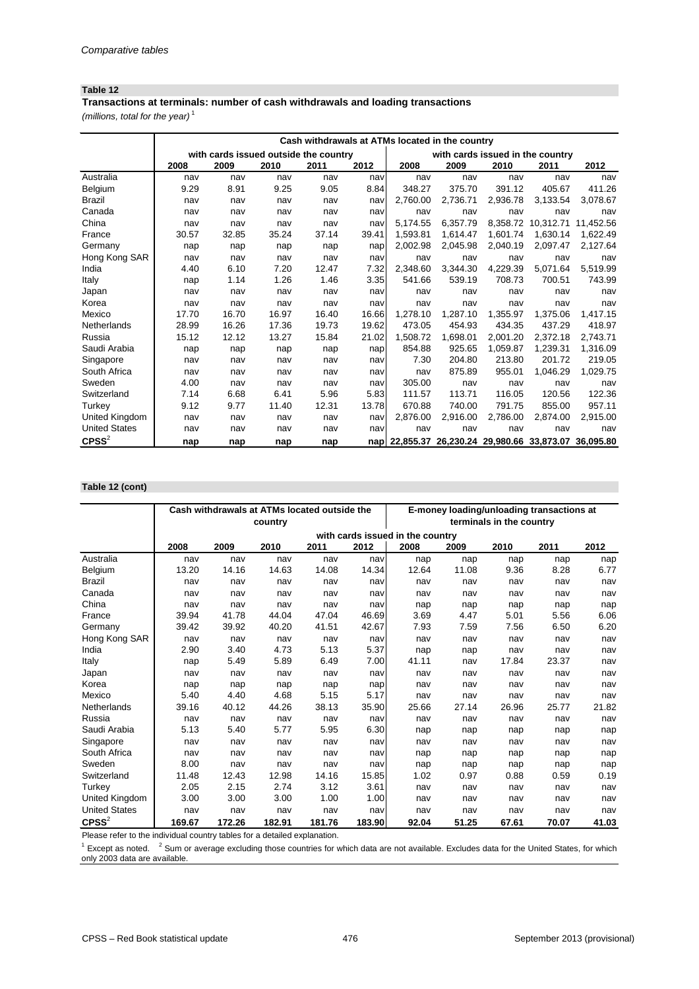### **Table 12**

*(millions, total for the year)* <sup>1</sup> **Transactions at terminals: number of cash withdrawals and loading transactions**

|                      |       | Cash withdrawals at ATMs located in the country |       |       |       |                                                       |                                  |          |           |           |  |  |
|----------------------|-------|-------------------------------------------------|-------|-------|-------|-------------------------------------------------------|----------------------------------|----------|-----------|-----------|--|--|
|                      |       | with cards issued outside the country           |       |       |       |                                                       | with cards issued in the country |          |           |           |  |  |
|                      | 2008  | 2009                                            | 2010  | 2011  | 2012  | 2008                                                  | 2009                             | 2010     | 2011      | 2012      |  |  |
| Australia            | nav   | nav                                             | nav   | nav   | nav   | nav                                                   | nav                              | nav      | nav       | nav       |  |  |
| Belgium              | 9.29  | 8.91                                            | 9.25  | 9.05  | 8.84  | 348.27                                                | 375.70                           | 391.12   | 405.67    | 411.26    |  |  |
| <b>Brazil</b>        | nav   | nav                                             | nav   | nav   | nav   | 2,760.00                                              | 2,736.71                         | 2,936.78 | 3,133.54  | 3,078.67  |  |  |
| Canada               | nav   | nav                                             | nav   | nav   | nav   | nav                                                   | nav                              | nav      | nav       | nav       |  |  |
| China                | nav   | nav                                             | nav   | nav   | nav   | 5,174.55                                              | 6,357.79                         | 8,358.72 | 10,312.71 | 11,452.56 |  |  |
| France               | 30.57 | 32.85                                           | 35.24 | 37.14 | 39.41 | 1,593.81                                              | 1,614.47                         | 1,601.74 | 1,630.14  | 1,622.49  |  |  |
| Germany              | nap   | nap                                             | nap   | nap   | nap   | 2,002.98                                              | 2,045.98                         | 2,040.19 | 2,097.47  | 2,127.64  |  |  |
| Hong Kong SAR        | nav   | nav                                             | nav   | nav   | nav   | nav                                                   | nav                              | nav      | nav       | nav       |  |  |
| India                | 4.40  | 6.10                                            | 7.20  | 12.47 | 7.32  | 2,348.60                                              | 3,344.30                         | 4,229.39 | 5,071.64  | 5,519.99  |  |  |
| Italy                | nap   | 1.14                                            | 1.26  | 1.46  | 3.35  | 541.66                                                | 539.19                           | 708.73   | 700.51    | 743.99    |  |  |
| Japan                | nav   | nav                                             | nav   | nav   | nav   | nav                                                   | nav                              | nav      | nav       | nav       |  |  |
| Korea                | nav   | nav                                             | nav   | nav   | navl  | nav                                                   | nav                              | nav      | nav       | nav       |  |  |
| Mexico               | 17.70 | 16.70                                           | 16.97 | 16.40 | 16.66 | 1,278.10                                              | 1,287.10                         | 1,355.97 | 1,375.06  | 1,417.15  |  |  |
| Netherlands          | 28.99 | 16.26                                           | 17.36 | 19.73 | 19.62 | 473.05                                                | 454.93                           | 434.35   | 437.29    | 418.97    |  |  |
| Russia               | 15.12 | 12.12                                           | 13.27 | 15.84 | 21.02 | 1,508.72                                              | 1,698.01                         | 2,001.20 | 2,372.18  | 2,743.71  |  |  |
| Saudi Arabia         | nap   | nap                                             | nap   | nap   | nap   | 854.88                                                | 925.65                           | 1,059.87 | 1,239.31  | 1,316.09  |  |  |
| Singapore            | nav   | nav                                             | nav   | nav   | nav   | 7.30                                                  | 204.80                           | 213.80   | 201.72    | 219.05    |  |  |
| South Africa         | nav   | nav                                             | nav   | nav   | nav   | nav                                                   | 875.89                           | 955.01   | 1,046.29  | 1,029.75  |  |  |
| Sweden               | 4.00  | nav                                             | nav   | nav   | nav   | 305.00                                                | nav                              | nav      | nav       | nav       |  |  |
| Switzerland          | 7.14  | 6.68                                            | 6.41  | 5.96  | 5.83  | 111.57                                                | 113.71                           | 116.05   | 120.56    | 122.36    |  |  |
| Turkey               | 9.12  | 9.77                                            | 11.40 | 12.31 | 13.78 | 670.88                                                | 740.00                           | 791.75   | 855.00    | 957.11    |  |  |
| United Kingdom       | nav   | nav                                             | nav   | nav   | nav   | 2,876.00                                              | 2,916.00                         | 2,786.00 | 2,874.00  | 2,915.00  |  |  |
| <b>United States</b> | nav   | nav                                             | nav   | nav   | nav   | nav                                                   | nav                              | nav      | nav       | nav       |  |  |
| $C$ PSS $^{2}$       | nap   | nap                                             | nap   | nap   |       | nap 22,855.37 26,230.24 29,980.66 33,873.07 36,095.80 |                                  |          |           |           |  |  |

#### **Table 12 (cont)**

|                      |        | Cash withdrawals at ATMs located outside the |         |        |        |                                  | E-money loading/unloading transactions at |                          |       |       |
|----------------------|--------|----------------------------------------------|---------|--------|--------|----------------------------------|-------------------------------------------|--------------------------|-------|-------|
|                      |        |                                              | country |        |        |                                  |                                           | terminals in the country |       |       |
|                      |        |                                              |         |        |        | with cards issued in the country |                                           |                          |       |       |
|                      | 2008   | 2009                                         | 2010    | 2011   | 2012   | 2008                             | 2009                                      | 2010                     | 2011  | 2012  |
| Australia            | nav    | nav                                          | nav     | nav    | nav    | nap                              | nap                                       | nap                      | nap   | nap   |
| Belgium              | 13.20  | 14.16                                        | 14.63   | 14.08  | 14.34  | 12.64                            | 11.08                                     | 9.36                     | 8.28  | 6.77  |
| <b>Brazil</b>        | nav    | nav                                          | nav     | nav    | nav    | nav                              | nav                                       | nav                      | nav   | nav   |
| Canada               | nav    | nav                                          | nav     | nav    | nav    | nav                              | nav                                       | nav                      | nav   | nav   |
| China                | nav    | nav                                          | nav     | nav    | nav    | nap                              | nap                                       | nap                      | nap   | nap   |
| France               | 39.94  | 41.78                                        | 44.04   | 47.04  | 46.69  | 3.69                             | 4.47                                      | 5.01                     | 5.56  | 6.06  |
| Germany              | 39.42  | 39.92                                        | 40.20   | 41.51  | 42.67  | 7.93                             | 7.59                                      | 7.56                     | 6.50  | 6.20  |
| Hong Kong SAR        | nav    | nav                                          | nav     | nav    | nav    | nav                              | nav                                       | nav                      | nav   | nav   |
| India                | 2.90   | 3.40                                         | 4.73    | 5.13   | 5.37   | nap                              | nap                                       | nav                      | nav   | nav   |
| Italy                | nap    | 5.49                                         | 5.89    | 6.49   | 7.00   | 41.11                            | nav                                       | 17.84                    | 23.37 | nav   |
| Japan                | nav    | nav                                          | nav     | nav    | nav    | nav                              | nav                                       | nav                      | nav   | nav   |
| Korea                | nap    | nap                                          | nap     | nap    | nap    | nav                              | nav                                       | nav                      | nav   | nav   |
| Mexico               | 5.40   | 4.40                                         | 4.68    | 5.15   | 5.17   | nav                              | nav                                       | nav                      | nav   | nav   |
| Netherlands          | 39.16  | 40.12                                        | 44.26   | 38.13  | 35.90  | 25.66                            | 27.14                                     | 26.96                    | 25.77 | 21.82 |
| Russia               | nav    | nav                                          | nav     | nav    | nav    | nav                              | nav                                       | nav                      | nav   | nav   |
| Saudi Arabia         | 5.13   | 5.40                                         | 5.77    | 5.95   | 6.30   | nap                              | nap                                       | nap                      | nap   | nap   |
| Singapore            | nav    | nav                                          | nav     | nav    | nav    | nav                              | nav                                       | nav                      | nav   | nav   |
| South Africa         | nav    | nav                                          | nav     | nav    | nav    | nap                              | nap                                       | nap                      | nap   | nap   |
| Sweden               | 8.00   | nav                                          | nav     | nav    | nav    | nap                              | nap                                       | nap                      | nap   | nap   |
| Switzerland          | 11.48  | 12.43                                        | 12.98   | 14.16  | 15.85  | 1.02                             | 0.97                                      | 0.88                     | 0.59  | 0.19  |
| Turkey               | 2.05   | 2.15                                         | 2.74    | 3.12   | 3.61   | nav                              | nav                                       | nav                      | nav   | nav   |
| United Kingdom       | 3.00   | 3.00                                         | 3.00    | 1.00   | 1.00   | nav                              | nav                                       | nav                      | nav   | nav   |
| <b>United States</b> | nav    | nav                                          | nav     | nav    | nav    | nav                              | nav                                       | nav                      | nav   | nav   |
| $C$ PSS $^{2}$       | 169.67 | 172.26                                       | 182.91  | 181.76 | 183.90 | 92.04                            | 51.25                                     | 67.61                    | 70.07 | 41.03 |

Please refer to the individual country tables for a detailed explanation.

 $1$  Except as noted.  $2$  Sum or average excluding those countries for which data are not available. Excludes data for the United States, for which only 2003 data are available.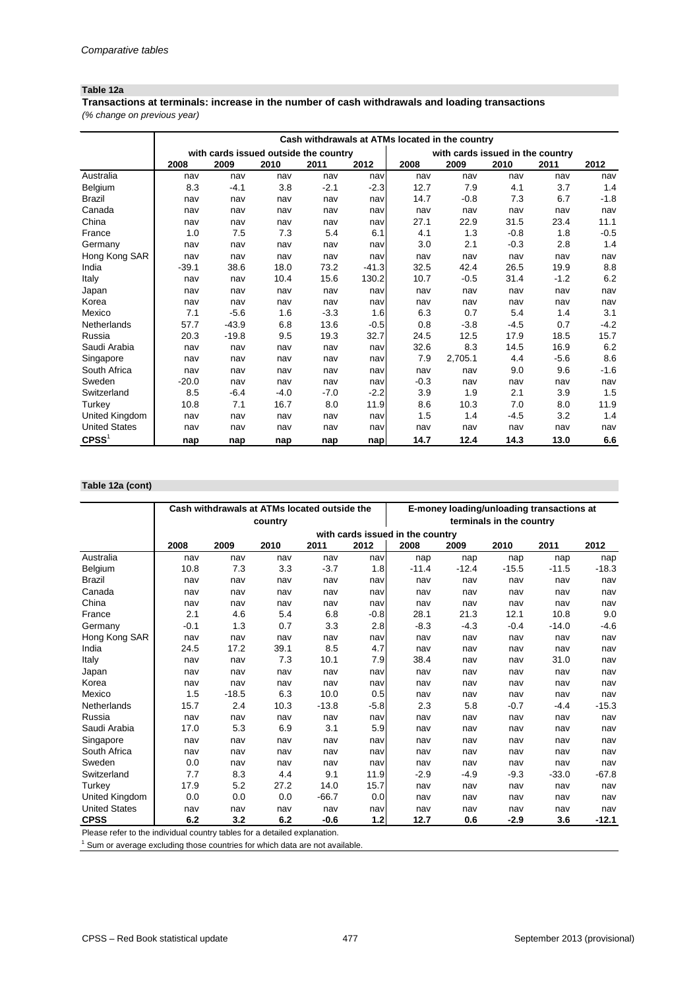### **Table 12a**

*(% change on previous year)* **Transactions at terminals: increase in the number of cash withdrawals and loading transactions**

|                      |         |                                       |        |        |         | Cash withdrawals at ATMs located in the country |                                  |        |        |        |
|----------------------|---------|---------------------------------------|--------|--------|---------|-------------------------------------------------|----------------------------------|--------|--------|--------|
|                      |         | with cards issued outside the country |        |        |         |                                                 | with cards issued in the country |        |        |        |
|                      | 2008    | 2009                                  | 2010   | 2011   | 2012    | 2008                                            | 2009                             | 2010   | 2011   | 2012   |
| Australia            | nav     | nav                                   | nav    | nav    | nav     | nav                                             | nav                              | nav    | nav    | nav    |
| Belgium              | 8.3     | $-4.1$                                | 3.8    | $-2.1$ | $-2.3$  | 12.7                                            | 7.9                              | 4.1    | 3.7    | 1.4    |
| <b>Brazil</b>        | nav     | nav                                   | nav    | nav    | nav     | 14.7                                            | $-0.8$                           | 7.3    | 6.7    | $-1.8$ |
| Canada               | nav     | nav                                   | nav    | nav    | nav     | nav                                             | nav                              | nav    | nav    | nav    |
| China                | nav     | nav                                   | nav    | nav    | nav     | 27.1                                            | 22.9                             | 31.5   | 23.4   | 11.1   |
| France               | 1.0     | 7.5                                   | 7.3    | 5.4    | 6.1     | 4.1                                             | 1.3                              | $-0.8$ | 1.8    | $-0.5$ |
| Germany              | nav     | nav                                   | nav    | nav    | nav     | 3.0                                             | 2.1                              | $-0.3$ | 2.8    | 1.4    |
| Hong Kong SAR        | nav     | nav                                   | nav    | nav    | nav     | nav                                             | nav                              | nav    | nav    | nav    |
| India                | $-39.1$ | 38.6                                  | 18.0   | 73.2   | $-41.3$ | 32.5                                            | 42.4                             | 26.5   | 19.9   | 8.8    |
| Italy                | nav     | nav                                   | 10.4   | 15.6   | 130.2   | 10.7                                            | $-0.5$                           | 31.4   | $-1.2$ | 6.2    |
| Japan                | nav     | nav                                   | nav    | nav    | nav     | nav                                             | nav                              | nav    | nav    | nav    |
| Korea                | nav     | nav                                   | nav    | nav    | nav     | nav                                             | nav                              | nav    | nav    | nav    |
| Mexico               | 7.1     | $-5.6$                                | 1.6    | $-3.3$ | 1.6     | 6.3                                             | 0.7                              | 5.4    | 1.4    | 3.1    |
| Netherlands          | 57.7    | $-43.9$                               | 6.8    | 13.6   | $-0.5$  | 0.8                                             | $-3.8$                           | $-4.5$ | 0.7    | $-4.2$ |
| Russia               | 20.3    | $-19.8$                               | 9.5    | 19.3   | 32.7    | 24.5                                            | 12.5                             | 17.9   | 18.5   | 15.7   |
| Saudi Arabia         | nav     | nav                                   | nav    | nav    | nav     | 32.6                                            | 8.3                              | 14.5   | 16.9   | 6.2    |
| Singapore            | nav     | nav                                   | nav    | nav    | nav     | 7.9                                             | 2,705.1                          | 4.4    | $-5.6$ | 8.6    |
| South Africa         | nav     | nav                                   | nav    | nav    | nav     | nav                                             | nav                              | 9.0    | 9.6    | $-1.6$ |
| Sweden               | $-20.0$ | nav                                   | nav    | nav    | nav     | $-0.3$                                          | nav                              | nav    | nav    | nav    |
| Switzerland          | 8.5     | $-6.4$                                | $-4.0$ | $-7.0$ | $-2.2$  | 3.9                                             | 1.9                              | 2.1    | 3.9    | 1.5    |
| Turkey               | 10.8    | 7.1                                   | 16.7   | 8.0    | 11.9    | 8.6                                             | 10.3                             | 7.0    | 8.0    | 11.9   |
| United Kingdom       | nav     | nav                                   | nav    | nav    | nav     | 1.5                                             | 1.4                              | $-4.5$ | 3.2    | 1.4    |
| <b>United States</b> | nav     | nav                                   | nav    | nav    | nav     | nav                                             | nav                              | nav    | nav    | nav    |
| CPSS <sup>1</sup>    | nap     | nap                                   | nap    | nap    | nap     | 14.7                                            | 12.4                             | 14.3   | 13.0   | 6.6    |

#### **Table 12a (cont)**

|                                                                           |        | Cash withdrawals at ATMs located outside the |         |         |        |                                  |         | E-money loading/unloading transactions at |         |         |
|---------------------------------------------------------------------------|--------|----------------------------------------------|---------|---------|--------|----------------------------------|---------|-------------------------------------------|---------|---------|
|                                                                           |        |                                              | country |         |        |                                  |         | terminals in the country                  |         |         |
|                                                                           |        |                                              |         |         |        | with cards issued in the country |         |                                           |         |         |
|                                                                           | 2008   | 2009                                         | 2010    | 2011    | 2012   | 2008                             | 2009    | 2010                                      | 2011    | 2012    |
| Australia                                                                 | nav    | nav                                          | nav     | nav     | nav    | nap                              | nap     | nap                                       | nap     | nap     |
| Belgium                                                                   | 10.8   | 7.3                                          | 3.3     | $-3.7$  | 1.8    | $-11.4$                          | $-12.4$ | $-15.5$                                   | $-11.5$ | $-18.3$ |
| <b>Brazil</b>                                                             | nav    | nav                                          | nav     | nav     | nav    | nav                              | nav     | nav                                       | nav     | nav     |
| Canada                                                                    | nav    | nav                                          | nav     | nav     | nav    | nav                              | nav     | nav                                       | nav     | nav     |
| China                                                                     | nav    | nav                                          | nav     | nav     | nav    | nav                              | nav     | nav                                       | nav     | nav     |
| France                                                                    | 2.1    | 4.6                                          | 5.4     | 6.8     | $-0.8$ | 28.1                             | 21.3    | 12.1                                      | 10.8    | 9.0     |
| Germany                                                                   | $-0.1$ | 1.3                                          | 0.7     | 3.3     | 2.8    | $-8.3$                           | $-4.3$  | $-0.4$                                    | $-14.0$ | $-4.6$  |
| Hong Kong SAR                                                             | nav    | nav                                          | nav     | nav     | nav    | nav                              | nav     | nav                                       | nav     | nav     |
| India                                                                     | 24.5   | 17.2                                         | 39.1    | 8.5     | 4.7    | nav                              | nav     | nav                                       | nav     | nav     |
| Italy                                                                     | nav    | nav                                          | 7.3     | 10.1    | 7.9    | 38.4                             | nav     | nav                                       | 31.0    | nav     |
| Japan                                                                     | nav    | nav                                          | nav     | nav     | nav    | nav                              | nav     | nav                                       | nav     | nav     |
| Korea                                                                     | nav    | nav                                          | nav     | nav     | nav    | nav                              | nav     | nav                                       | nav     | nav     |
| Mexico                                                                    | 1.5    | $-18.5$                                      | 6.3     | 10.0    | 0.5    | nav                              | nav     | nav                                       | nav     | nav     |
| Netherlands                                                               | 15.7   | 2.4                                          | 10.3    | $-13.8$ | $-5.8$ | 2.3                              | 5.8     | $-0.7$                                    | $-4.4$  | $-15.3$ |
| Russia                                                                    | nav    | nav                                          | nav     | nav     | nav    | nav                              | nav     | nav                                       | nav     | nav     |
| Saudi Arabia                                                              | 17.0   | 5.3                                          | 6.9     | 3.1     | 5.9    | nav                              | nav     | nav                                       | nav     | nav     |
| Singapore                                                                 | nav    | nav                                          | nav     | nav     | nav    | nav                              | nav     | nav                                       | nav     | nav     |
| South Africa                                                              | nav    | nav                                          | nav     | nav     | nav    | nav                              | nav     | nav                                       | nav     | nav     |
| Sweden                                                                    | 0.0    | nav                                          | nav     | nav     | nav    | nav                              | nav     | nav                                       | nav     | nav     |
| Switzerland                                                               | 7.7    | 8.3                                          | 4.4     | 9.1     | 11.9   | $-2.9$                           | $-4.9$  | $-9.3$                                    | $-33.0$ | $-67.8$ |
| Turkey                                                                    | 17.9   | 5.2                                          | 27.2    | 14.0    | 15.7   | nav                              | nav     | nav                                       | nav     | nav     |
| United Kingdom                                                            | 0.0    | 0.0                                          | 0.0     | $-66.7$ | 0.0    | nav                              | nav     | nav                                       | nav     | nav     |
| <b>United States</b>                                                      | nav    | nav                                          | nav     | nav     | nav    | nav                              | nav     | nav                                       | nav     | nav     |
| <b>CPSS</b>                                                               | 6.2    | 3.2                                          | 6.2     | $-0.6$  | $1.2$  | 12.7                             | 0.6     | $-2.9$                                    | 3.6     | $-12.1$ |
| Please refer to the individual country tables for a detailed explanation. |        |                                              |         |         |        |                                  |         |                                           |         |         |

 $1$  Sum or average excluding those countries for which data are not available.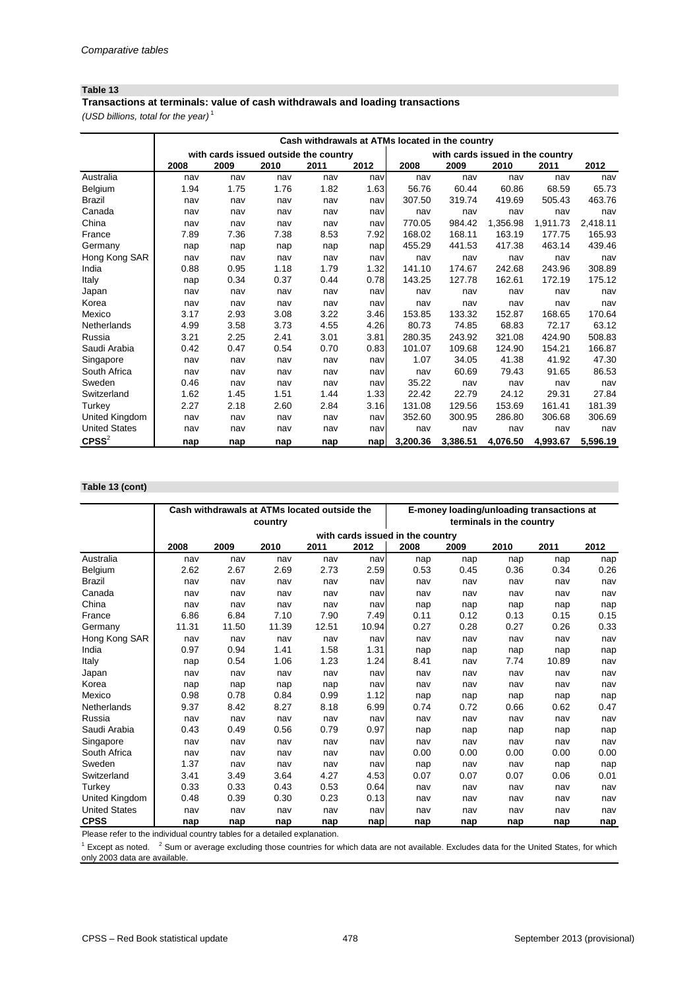### **Table 13**

*(USD billions, total for the year)* <sup>1</sup> **Transactions at terminals: value of cash withdrawals and loading transactions**

|                      | Cash withdrawals at ATMs located in the country |                                       |      |      |      |          |          |                                  |          |          |  |
|----------------------|-------------------------------------------------|---------------------------------------|------|------|------|----------|----------|----------------------------------|----------|----------|--|
|                      |                                                 | with cards issued outside the country |      |      |      |          |          | with cards issued in the country |          |          |  |
|                      | 2008                                            | 2009                                  | 2010 | 2011 | 2012 | 2008     | 2009     | 2010                             | 2011     | 2012     |  |
| Australia            | nav                                             | nav                                   | nav  | nav  | nav  | nav      | nav      | nav                              | nav      | nav      |  |
| Belgium              | 1.94                                            | 1.75                                  | 1.76 | 1.82 | 1.63 | 56.76    | 60.44    | 60.86                            | 68.59    | 65.73    |  |
| <b>Brazil</b>        | nav                                             | nav                                   | nav  | nav  | nav  | 307.50   | 319.74   | 419.69                           | 505.43   | 463.76   |  |
| Canada               | nav                                             | nav                                   | nav  | nav  | nav  | nav      | nav      | nav                              | nav      | nav      |  |
| China                | nav                                             | nav                                   | nav  | nav  | nav  | 770.05   | 984.42   | 1,356.98                         | 1,911.73 | 2,418.11 |  |
| France               | 7.89                                            | 7.36                                  | 7.38 | 8.53 | 7.92 | 168.02   | 168.11   | 163.19                           | 177.75   | 165.93   |  |
| Germany              | nap                                             | nap                                   | nap  | nap  | nap  | 455.29   | 441.53   | 417.38                           | 463.14   | 439.46   |  |
| Hong Kong SAR        | nav                                             | nav                                   | nav  | nav  | nav  | nav      | nav      | nav                              | nav      | nav      |  |
| India                | 0.88                                            | 0.95                                  | 1.18 | 1.79 | 1.32 | 141.10   | 174.67   | 242.68                           | 243.96   | 308.89   |  |
| Italy                | nap                                             | 0.34                                  | 0.37 | 0.44 | 0.78 | 143.25   | 127.78   | 162.61                           | 172.19   | 175.12   |  |
| Japan                | nav                                             | nav                                   | nav  | nav  | nav  | nav      | nav      | nav                              | nav      | nav      |  |
| Korea                | nav                                             | nav                                   | nav  | nav  | nav  | nav      | nav      | nav                              | nav      | nav      |  |
| Mexico               | 3.17                                            | 2.93                                  | 3.08 | 3.22 | 3.46 | 153.85   | 133.32   | 152.87                           | 168.65   | 170.64   |  |
| Netherlands          | 4.99                                            | 3.58                                  | 3.73 | 4.55 | 4.26 | 80.73    | 74.85    | 68.83                            | 72.17    | 63.12    |  |
| Russia               | 3.21                                            | 2.25                                  | 2.41 | 3.01 | 3.81 | 280.35   | 243.92   | 321.08                           | 424.90   | 508.83   |  |
| Saudi Arabia         | 0.42                                            | 0.47                                  | 0.54 | 0.70 | 0.83 | 101.07   | 109.68   | 124.90                           | 154.21   | 166.87   |  |
| Singapore            | nav                                             | nav                                   | nav  | nav  | nav  | 1.07     | 34.05    | 41.38                            | 41.92    | 47.30    |  |
| South Africa         | nav                                             | nav                                   | nav  | nav  | nav  | nav      | 60.69    | 79.43                            | 91.65    | 86.53    |  |
| Sweden               | 0.46                                            | nav                                   | nav  | nav  | nav  | 35.22    | nav      | nav                              | nav      | nav      |  |
| Switzerland          | 1.62                                            | 1.45                                  | 1.51 | 1.44 | 1.33 | 22.42    | 22.79    | 24.12                            | 29.31    | 27.84    |  |
| Turkey               | 2.27                                            | 2.18                                  | 2.60 | 2.84 | 3.16 | 131.08   | 129.56   | 153.69                           | 161.41   | 181.39   |  |
| United Kingdom       | nav                                             | nav                                   | nav  | nav  | nav  | 352.60   | 300.95   | 286.80                           | 306.68   | 306.69   |  |
| <b>United States</b> | nav                                             | nav                                   | nav  | nav  | nav  | nav      | nav      | nav                              | nav      | nav      |  |
| $C$ PSS $2$          | nap                                             | nap                                   | nap  | nap  | nap  | 3,200.36 | 3,386.51 | 4,076.50                         | 4,993.67 | 5,596.19 |  |

#### **Table 13 (cont)**

|                      |       | Cash withdrawals at ATMs located outside the |         |       |       |                                  | E-money loading/unloading transactions at |                          |       |      |
|----------------------|-------|----------------------------------------------|---------|-------|-------|----------------------------------|-------------------------------------------|--------------------------|-------|------|
|                      |       |                                              | country |       |       |                                  |                                           | terminals in the country |       |      |
|                      |       |                                              |         |       |       | with cards issued in the country |                                           |                          |       |      |
|                      | 2008  | 2009                                         | 2010    | 2011  | 2012  | 2008                             | 2009                                      | 2010                     | 2011  | 2012 |
| Australia            | nav   | nav                                          | nav     | nav   | nav   | nap                              | nap                                       | nap                      | nap   | nap  |
| Belgium              | 2.62  | 2.67                                         | 2.69    | 2.73  | 2.59  | 0.53                             | 0.45                                      | 0.36                     | 0.34  | 0.26 |
| <b>Brazil</b>        | nav   | nav                                          | nav     | nav   | nav   | nav                              | nav                                       | nav                      | nav   | nav  |
| Canada               | nav   | nav                                          | nav     | nav   | nav   | nav                              | nav                                       | nav                      | nav   | nav  |
| China                | nav   | nav                                          | nav     | nav   | nav   | nap                              | nap                                       | nap                      | nap   | nap  |
| France               | 6.86  | 6.84                                         | 7.10    | 7.90  | 7.49  | 0.11                             | 0.12                                      | 0.13                     | 0.15  | 0.15 |
| Germany              | 11.31 | 11.50                                        | 11.39   | 12.51 | 10.94 | 0.27                             | 0.28                                      | 0.27                     | 0.26  | 0.33 |
| Hong Kong SAR        | nav   | nav                                          | nav     | nav   | nav   | nav                              | nav                                       | nav                      | nav   | nav  |
| India                | 0.97  | 0.94                                         | 1.41    | 1.58  | 1.31  | nap                              | nap                                       | nap                      | nap   | nap  |
| Italy                | nap   | 0.54                                         | 1.06    | 1.23  | 1.24  | 8.41                             | nav                                       | 7.74                     | 10.89 | nav  |
| Japan                | nav   | nav                                          | nav     | nav   | nav   | nav                              | nav                                       | nav                      | nav   | nav  |
| Korea                | nap   | nap                                          | nap     | nap   | nav   | nav                              | nav                                       | nav                      | nav   | nav  |
| Mexico               | 0.98  | 0.78                                         | 0.84    | 0.99  | 1.12  | nap                              | nap                                       | nap                      | nap   | nap  |
| Netherlands          | 9.37  | 8.42                                         | 8.27    | 8.18  | 6.99  | 0.74                             | 0.72                                      | 0.66                     | 0.62  | 0.47 |
| Russia               | nav   | nav                                          | nav     | nav   | nav   | nav                              | nav                                       | nav                      | nav   | nav  |
| Saudi Arabia         | 0.43  | 0.49                                         | 0.56    | 0.79  | 0.97  | nap                              | nap                                       | nap                      | nap   | nap  |
| Singapore            | nav   | nav                                          | nav     | nav   | nav   | nav                              | nav                                       | nav                      | nav   | nav  |
| South Africa         | nav   | nav                                          | nav     | nav   | nav   | 0.00                             | 0.00                                      | 0.00                     | 0.00  | 0.00 |
| Sweden               | 1.37  | nav                                          | nav     | nav   | nav   | nap                              | nav                                       | nav                      | nap   | nap  |
| Switzerland          | 3.41  | 3.49                                         | 3.64    | 4.27  | 4.53  | 0.07                             | 0.07                                      | 0.07                     | 0.06  | 0.01 |
| <b>Turkey</b>        | 0.33  | 0.33                                         | 0.43    | 0.53  | 0.64  | nav                              | nav                                       | nav                      | nav   | nav  |
| United Kingdom       | 0.48  | 0.39                                         | 0.30    | 0.23  | 0.13  | nav                              | nav                                       | nav                      | nav   | nav  |
| <b>United States</b> | nav   | nav                                          | nav     | nav   | nav   | nav                              | nav                                       | nav                      | nav   | nav  |
| <b>CPSS</b>          | nap   | nap                                          | nap     | nap   | nap   | nap                              | nap                                       | nap                      | nap   | nap  |

Please refer to the individual country tables for a detailed explanation.

 $1$  Except as noted.  $2$  Sum or average excluding those countries for which data are not available. Excludes data for the United States, for which only 2003 data are available.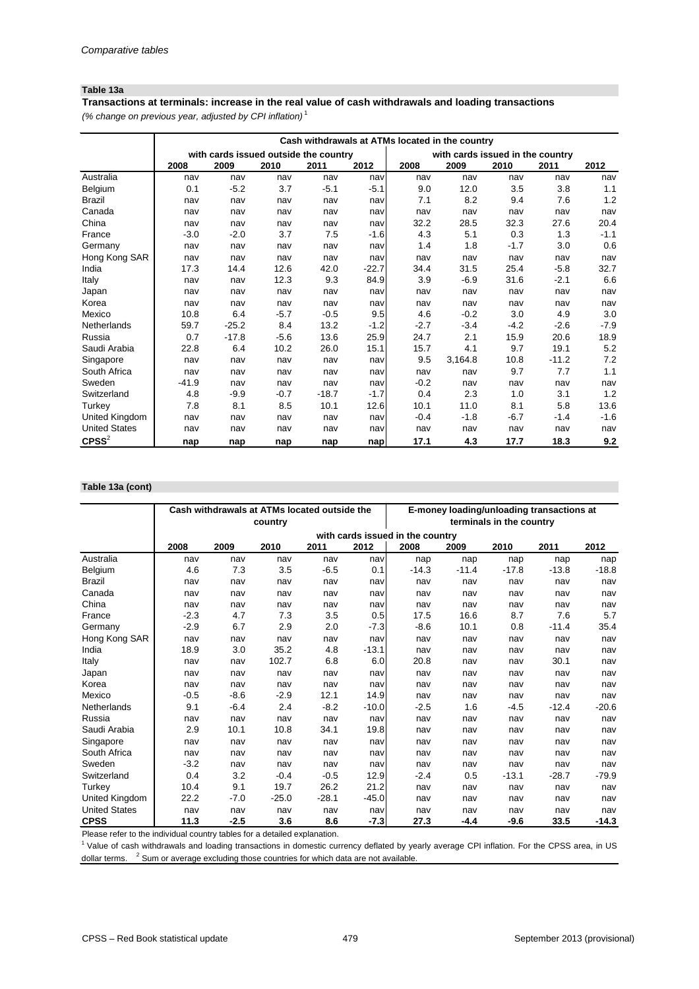### **Table 13a**

*(% change on previous year, adjusted by CPI inflation)* <sup>1</sup> **Transactions at terminals: increase in the real value of cash withdrawals and loading transactions**

|                      | Cash withdrawals at ATMs located in the country |         |        |                                       |         |        |                                  |        |         |        |  |
|----------------------|-------------------------------------------------|---------|--------|---------------------------------------|---------|--------|----------------------------------|--------|---------|--------|--|
|                      |                                                 |         |        | with cards issued outside the country |         |        | with cards issued in the country |        |         |        |  |
|                      | 2008                                            | 2009    | 2010   | 2011                                  | 2012    | 2008   | 2009                             | 2010   | 2011    | 2012   |  |
| Australia            | nav                                             | nav     | nav    | nav                                   | nav     | nav    | nav                              | nav    | nav     | nav    |  |
| Belgium              | 0.1                                             | $-5.2$  | 3.7    | $-5.1$                                | $-5.1$  | 9.0    | 12.0                             | 3.5    | 3.8     | 1.1    |  |
| <b>Brazil</b>        | nav                                             | nav     | nav    | nav                                   | nav     | 7.1    | 8.2                              | 9.4    | 7.6     | 1.2    |  |
| Canada               | nav                                             | nav     | nav    | nav                                   | nav     | nav    | nav                              | nav    | nav     | nav    |  |
| China                | nav                                             | nav     | nav    | nav                                   | nav     | 32.2   | 28.5                             | 32.3   | 27.6    | 20.4   |  |
| France               | $-3.0$                                          | $-2.0$  | 3.7    | 7.5                                   | $-1.6$  | 4.3    | 5.1                              | 0.3    | 1.3     | $-1.1$ |  |
| Germany              | nav                                             | nav     | nav    | nav                                   | nav     | 1.4    | 1.8                              | $-1.7$ | 3.0     | 0.6    |  |
| Hong Kong SAR        | nav                                             | nav     | nav    | nav                                   | nav     | nav    | nav                              | nav    | nav     | nav    |  |
| India                | 17.3                                            | 14.4    | 12.6   | 42.0                                  | $-22.7$ | 34.4   | 31.5                             | 25.4   | $-5.8$  | 32.7   |  |
| Italy                | nav                                             | nav     | 12.3   | 9.3                                   | 84.9    | 3.9    | $-6.9$                           | 31.6   | $-2.1$  | 6.6    |  |
| Japan                | nav                                             | nav     | nav    | nav                                   | nav     | nav    | nav                              | nav    | nav     | nav    |  |
| Korea                | nav                                             | nav     | nav    | nav                                   | nav     | nav    | nav                              | nav    | nav     | nav    |  |
| Mexico               | 10.8                                            | 6.4     | $-5.7$ | $-0.5$                                | 9.5     | 4.6    | $-0.2$                           | 3.0    | 4.9     | 3.0    |  |
| Netherlands          | 59.7                                            | $-25.2$ | 8.4    | 13.2                                  | $-1.2$  | $-2.7$ | $-3.4$                           | $-4.2$ | $-2.6$  | $-7.9$ |  |
| Russia               | 0.7                                             | $-17.8$ | $-5.6$ | 13.6                                  | 25.9    | 24.7   | 2.1                              | 15.9   | 20.6    | 18.9   |  |
| Saudi Arabia         | 22.8                                            | 6.4     | 10.2   | 26.0                                  | 15.1    | 15.7   | 4.1                              | 9.7    | 19.1    | 5.2    |  |
| Singapore            | nav                                             | nav     | nav    | nav                                   | nav     | 9.5    | 3,164.8                          | 10.8   | $-11.2$ | 7.2    |  |
| South Africa         | nav                                             | nav     | nav    | nav                                   | nav     | nav    | nav                              | 9.7    | 7.7     | 1.1    |  |
| Sweden               | $-41.9$                                         | nav     | nav    | nav                                   | nav     | $-0.2$ | nav                              | nav    | nav     | nav    |  |
| Switzerland          | 4.8                                             | $-9.9$  | $-0.7$ | $-18.7$                               | $-1.7$  | 0.4    | 2.3                              | 1.0    | 3.1     | 1.2    |  |
| Turkey               | 7.8                                             | 8.1     | 8.5    | 10.1                                  | 12.6    | 10.1   | 11.0                             | 8.1    | 5.8     | 13.6   |  |
| United Kingdom       | nav                                             | nav     | nav    | nav                                   | nav     | $-0.4$ | $-1.8$                           | $-6.7$ | -1.4    | $-1.6$ |  |
| <b>United States</b> | nav                                             | nav     | nav    | nav                                   | nav     | nav    | nav                              | nav    | nav     | nav    |  |
| $C$ PSS $^{2}$       | nap                                             | nap     | nap    | nap                                   | nap     | 17.1   | 4.3                              | 17.7   | 18.3    | 9.2    |  |

#### **Table 13a (cont)**

|                      |        | Cash withdrawals at ATMs located outside the |         |         |         | E-money loading/unloading transactions at |         |                          |         |         |  |
|----------------------|--------|----------------------------------------------|---------|---------|---------|-------------------------------------------|---------|--------------------------|---------|---------|--|
|                      |        |                                              | country |         |         |                                           |         | terminals in the country |         |         |  |
|                      |        |                                              |         |         |         | with cards issued in the country          |         |                          |         |         |  |
|                      | 2008   | 2009                                         | 2010    | 2011    | 2012    | 2008                                      | 2009    | 2010                     | 2011    | 2012    |  |
| Australia            | nav    | nav                                          | nav     | nav     | nav     | nap                                       | nap     | nap                      | nap     | nap     |  |
| Belgium              | 4.6    | 7.3                                          | 3.5     | $-6.5$  | 0.1     | $-14.3$                                   | $-11.4$ | $-17.8$                  | $-13.8$ | $-18.8$ |  |
| <b>Brazil</b>        | nav    | nav                                          | nav     | nav     | nav     | nav                                       | nav     | nav                      | nav     | nav     |  |
| Canada               | nav    | nav                                          | nav     | nav     | nav     | nav                                       | nav     | nav                      | nav     | nav     |  |
| China                | nav    | nav                                          | nav     | nav     | nav     | nav                                       | nav     | nav                      | nav     | nav     |  |
| France               | $-2.3$ | 4.7                                          | 7.3     | 3.5     | 0.5     | 17.5                                      | 16.6    | 8.7                      | 7.6     | 5.7     |  |
| Germany              | $-2.9$ | 6.7                                          | 2.9     | 2.0     | $-7.3$  | $-8.6$                                    | 10.1    | 0.8                      | $-11.4$ | 35.4    |  |
| Hong Kong SAR        | nav    | nav                                          | nav     | nav     | nav     | nav                                       | nav     | nav                      | nav     | nav     |  |
| India                | 18.9   | 3.0                                          | 35.2    | 4.8     | $-13.1$ | nav                                       | nav     | nav                      | nav     | nav     |  |
| Italy                | nav    | nav                                          | 102.7   | 6.8     | 6.0     | 20.8                                      | nav     | nav                      | 30.1    | nav     |  |
| Japan                | nav    | nav                                          | nav     | nav     | nav     | nav                                       | nav     | nav                      | nav     | nav     |  |
| Korea                | nav    | nav                                          | nav     | nav     | nav     | nav                                       | nav     | nav                      | nav     | nav     |  |
| Mexico               | $-0.5$ | $-8.6$                                       | $-2.9$  | 12.1    | 14.9    | nav                                       | nav     | nav                      | nav     | nav     |  |
| Netherlands          | 9.1    | $-6.4$                                       | 2.4     | $-8.2$  | $-10.0$ | $-2.5$                                    | 1.6     | $-4.5$                   | $-12.4$ | $-20.6$ |  |
| Russia               | nav    | nav                                          | nav     | nav     | nav     | nav                                       | nav     | nav                      | nav     | nav     |  |
| Saudi Arabia         | 2.9    | 10.1                                         | 10.8    | 34.1    | 19.8    | nav                                       | nav     | nav                      | nav     | nav     |  |
| Singapore            | nav    | nav                                          | nav     | nav     | nav     | nav                                       | nav     | nav                      | nav     | nav     |  |
| South Africa         | nav    | nav                                          | nav     | nav     | nav     | nav                                       | nav     | nav                      | nav     | nav     |  |
| Sweden               | $-3.2$ | nav                                          | nav     | nav     | nav     | nav                                       | nav     | nav                      | nav     | nav     |  |
| Switzerland          | 0.4    | 3.2                                          | $-0.4$  | $-0.5$  | 12.9    | $-2.4$                                    | 0.5     | $-13.1$                  | $-28.7$ | $-79.9$ |  |
| Turkey               | 10.4   | 9.1                                          | 19.7    | 26.2    | 21.2    | nav                                       | nav     | nav                      | nav     | nav     |  |
| United Kingdom       | 22.2   | $-7.0$                                       | $-25.0$ | $-28.1$ | $-45.0$ | nav                                       | nav     | nav                      | nav     | nav     |  |
| <b>United States</b> | nav    | nav                                          | nav     | nav     | nav     | nav                                       | nav     | nav                      | nav     | nav     |  |
| <b>CPSS</b>          | 11.3   | $-2.5$                                       | 3.6     | 8.6     | $-7.3$  | 27.3                                      | $-4.4$  | $-9.6$                   | 33.5    | $-14.3$ |  |

Please refer to the individual country tables for a detailed explanation.

<sup>1</sup> Value of cash withdrawals and loading transactions in domestic currency deflated by yearly average CPI inflation. For the CPSS area, in US dollar terms.  $^{-2}$  Sum or average excluding those countries for which data are not available.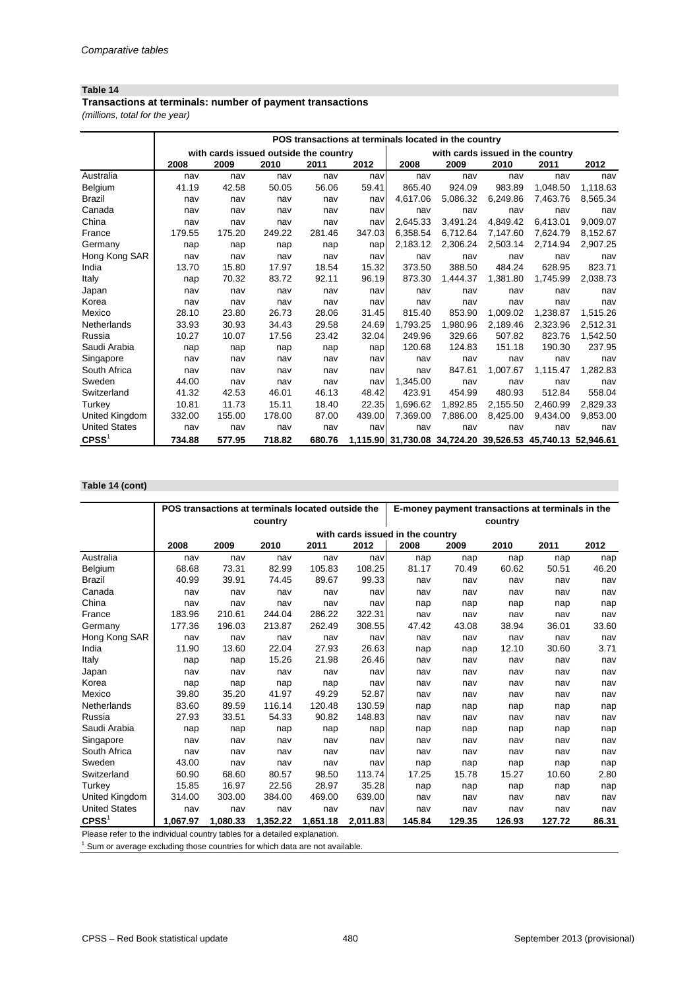### **Table 14**

*(millions, total for the year)* **Transactions at terminals: number of payment transactions**

|                      | POS transactions at terminals located in the country |                                       |        |        |        |                                                            |          |                                  |          |          |  |
|----------------------|------------------------------------------------------|---------------------------------------|--------|--------|--------|------------------------------------------------------------|----------|----------------------------------|----------|----------|--|
|                      |                                                      | with cards issued outside the country |        |        |        |                                                            |          | with cards issued in the country |          |          |  |
|                      | 2008                                                 | 2009                                  | 2010   | 2011   | 2012   | 2008                                                       | 2009     | 2010                             | 2011     | 2012     |  |
| Australia            | nav                                                  | nav                                   | nav    | nav    | nav    | nav                                                        | nav      | nav                              | nav      | nav      |  |
| Belgium              | 41.19                                                | 42.58                                 | 50.05  | 56.06  | 59.41  | 865.40                                                     | 924.09   | 983.89                           | 1,048.50 | 1,118.63 |  |
| <b>Brazil</b>        | nav                                                  | nav                                   | nav    | nav    | nav    | 4,617.06                                                   | 5,086.32 | 6,249.86                         | 7,463.76 | 8,565.34 |  |
| Canada               | nav                                                  | nav                                   | nav    | nav    | nav    | nav                                                        | nav      | nav                              | nav      | nav      |  |
| China                | nav                                                  | nav                                   | nav    | nav    | nav    | 2,645.33                                                   | 3,491.24 | 4,849.42                         | 6,413.01 | 9,009.07 |  |
| France               | 179.55                                               | 175.20                                | 249.22 | 281.46 | 347.03 | 6,358.54                                                   | 6,712.64 | 7,147.60                         | 7,624.79 | 8,152.67 |  |
| Germany              | nap                                                  | nap                                   | nap    | nap    | nap    | 2,183.12                                                   | 2,306.24 | 2,503.14                         | 2,714.94 | 2,907.25 |  |
| Hong Kong SAR        | nav                                                  | nav                                   | nav    | nav    | nav    | nav                                                        | nav      | nav                              | nav      | nav      |  |
| India                | 13.70                                                | 15.80                                 | 17.97  | 18.54  | 15.32  | 373.50                                                     | 388.50   | 484.24                           | 628.95   | 823.71   |  |
| Italy                | nap                                                  | 70.32                                 | 83.72  | 92.11  | 96.19  | 873.30                                                     | 1,444.37 | 1,381.80                         | 1,745.99 | 2,038.73 |  |
| Japan                | nav                                                  | nav                                   | nav    | nav    | nav    | nav                                                        | nav      | nav                              | nav      | nav      |  |
| Korea                | nav                                                  | nav                                   | nav    | nav    | nav    | nav                                                        | nav      | nav                              | nav      | nav      |  |
| Mexico               | 28.10                                                | 23.80                                 | 26.73  | 28.06  | 31.45  | 815.40                                                     | 853.90   | 1,009.02                         | 1,238.87 | 1,515.26 |  |
| Netherlands          | 33.93                                                | 30.93                                 | 34.43  | 29.58  | 24.69  | 1,793.25                                                   | 1,980.96 | 2,189.46                         | 2,323.96 | 2,512.31 |  |
| Russia               | 10.27                                                | 10.07                                 | 17.56  | 23.42  | 32.04  | 249.96                                                     | 329.66   | 507.82                           | 823.76   | 1,542.50 |  |
| Saudi Arabia         | nap                                                  | nap                                   | nap    | nap    | nap    | 120.68                                                     | 124.83   | 151.18                           | 190.30   | 237.95   |  |
| Singapore            | nav                                                  | nav                                   | nav    | nav    | nav    | nav                                                        | nav      | nav                              | nav      | nav      |  |
| South Africa         | nav                                                  | nav                                   | nav    | nav    | nav    | nav                                                        | 847.61   | 1,007.67                         | 1,115.47 | 1,282.83 |  |
| Sweden               | 44.00                                                | nav                                   | nav    | nav    | nav    | 1,345.00                                                   | nav      | nav                              | nav      | nav      |  |
| Switzerland          | 41.32                                                | 42.53                                 | 46.01  | 46.13  | 48.42  | 423.91                                                     | 454.99   | 480.93                           | 512.84   | 558.04   |  |
| Turkey               | 10.81                                                | 11.73                                 | 15.11  | 18.40  | 22.35  | 1,696.62                                                   | 1,892.85 | 2,155.50                         | 2,460.99 | 2,829.33 |  |
| United Kingdom       | 332.00                                               | 155.00                                | 178.00 | 87.00  | 439.00 | 7,369.00                                                   | 7,886.00 | 8,425.00                         | 9,434.00 | 9,853.00 |  |
| <b>United States</b> | nav                                                  | nav                                   | nav    | nav    | nav    | nav                                                        | nav      | nav                              | nav      | nav      |  |
| $C$ PSS <sup>1</sup> | 734.88                                               | 577.95                                | 718.82 | 680.76 |        | 1,115.90 31,730.08 34,724.20 39,526.53 45,740.13 52,946.61 |          |                                  |          |          |  |

#### **Table 14 (cont)**

|                                                                           |          | POS transactions at terminals located outside the |          |          |          |                                  |        | E-money payment transactions at terminals in the |        |       |
|---------------------------------------------------------------------------|----------|---------------------------------------------------|----------|----------|----------|----------------------------------|--------|--------------------------------------------------|--------|-------|
|                                                                           |          |                                                   | country  |          |          |                                  |        | country                                          |        |       |
|                                                                           |          |                                                   |          |          |          | with cards issued in the country |        |                                                  |        |       |
|                                                                           | 2008     | 2009                                              | 2010     | 2011     | 2012     | 2008                             | 2009   | 2010                                             | 2011   | 2012  |
| Australia                                                                 | nav      | nav                                               | nav      | nav      | nav      | nap                              | nap    | nap                                              | nap    | nap   |
| Belgium                                                                   | 68.68    | 73.31                                             | 82.99    | 105.83   | 108.25   | 81.17                            | 70.49  | 60.62                                            | 50.51  | 46.20 |
| <b>Brazil</b>                                                             | 40.99    | 39.91                                             | 74.45    | 89.67    | 99.33    | nav                              | nav    | nav                                              | nav    | nav   |
| Canada                                                                    | nav      | nav                                               | nav      | nav      | nav      | nav                              | nav    | nav                                              | nav    | nav   |
| China                                                                     | nav      | nav                                               | nav      | nav      | nav      | nap                              | nap    | nap                                              | nap    | nap   |
| France                                                                    | 183.96   | 210.61                                            | 244.04   | 286.22   | 322.31   | nav                              | nav    | nav                                              | nav    | nav   |
| Germany                                                                   | 177.36   | 196.03                                            | 213.87   | 262.49   | 308.55   | 47.42                            | 43.08  | 38.94                                            | 36.01  | 33.60 |
| Hong Kong SAR                                                             | nav      | nav                                               | nav      | nav      | nav      | nav                              | nav    | nav                                              | nav    | nav   |
| India                                                                     | 11.90    | 13.60                                             | 22.04    | 27.93    | 26.63    | nap                              | nap    | 12.10                                            | 30.60  | 3.71  |
| Italy                                                                     | nap      | nap                                               | 15.26    | 21.98    | 26.46    | nav                              | nav    | nav                                              | nav    | nav   |
| Japan                                                                     | nav      | nav                                               | nav      | nav      | nav      | nav                              | nav    | nav                                              | nav    | nav   |
| Korea                                                                     | nap      | nap                                               | nap      | nap      | nav      | nav                              | nav    | nav                                              | nav    | nav   |
| Mexico                                                                    | 39.80    | 35.20                                             | 41.97    | 49.29    | 52.87    | nav                              | nav    | nav                                              | nav    | nav   |
| Netherlands                                                               | 83.60    | 89.59                                             | 116.14   | 120.48   | 130.59   | nap                              | nap    | nap                                              | nap    | nap   |
| Russia                                                                    | 27.93    | 33.51                                             | 54.33    | 90.82    | 148.83   | nav                              | nav    | nav                                              | nav    | nav   |
| Saudi Arabia                                                              | nap      | nap                                               | nap      | nap      | nap      | nap                              | nap    | nap                                              | nap    | nap   |
| Singapore                                                                 | nav      | nav                                               | nav      | nav      | nav      | nav                              | nav    | nav                                              | nav    | nav   |
| South Africa                                                              | nav      | nav                                               | nav      | nav      | nav      | nav                              | nav    | nav                                              | nav    | nav   |
| Sweden                                                                    | 43.00    | nav                                               | nav      | nav      | nav      | nap                              | nap    | nap                                              | nap    | nap   |
| Switzerland                                                               | 60.90    | 68.60                                             | 80.57    | 98.50    | 113.74   | 17.25                            | 15.78  | 15.27                                            | 10.60  | 2.80  |
| Turkey                                                                    | 15.85    | 16.97                                             | 22.56    | 28.97    | 35.28    | nap                              | nap    | nap                                              | nap    | nap   |
| United Kingdom                                                            | 314.00   | 303.00                                            | 384.00   | 469.00   | 639.00   | nav                              | nav    | nav                                              | nav    | nav   |
| <b>United States</b>                                                      | nav      | nav                                               | nav      | nav      | nav      | nav                              | nav    | nav                                              | nav    | nav   |
| $C$ PSS $1$                                                               | 1,067.97 | 1,080.33                                          | 1,352.22 | 1,651.18 | 2,011.83 | 145.84                           | 129.35 | 126.93                                           | 127.72 | 86.31 |
| Please refer to the individual country tables for a detailed explanation. |          |                                                   |          |          |          |                                  |        |                                                  |        |       |
|                                                                           |          |                                                   |          |          |          |                                  |        |                                                  |        |       |

 $1$  Sum or average excluding those countries for which data are not available.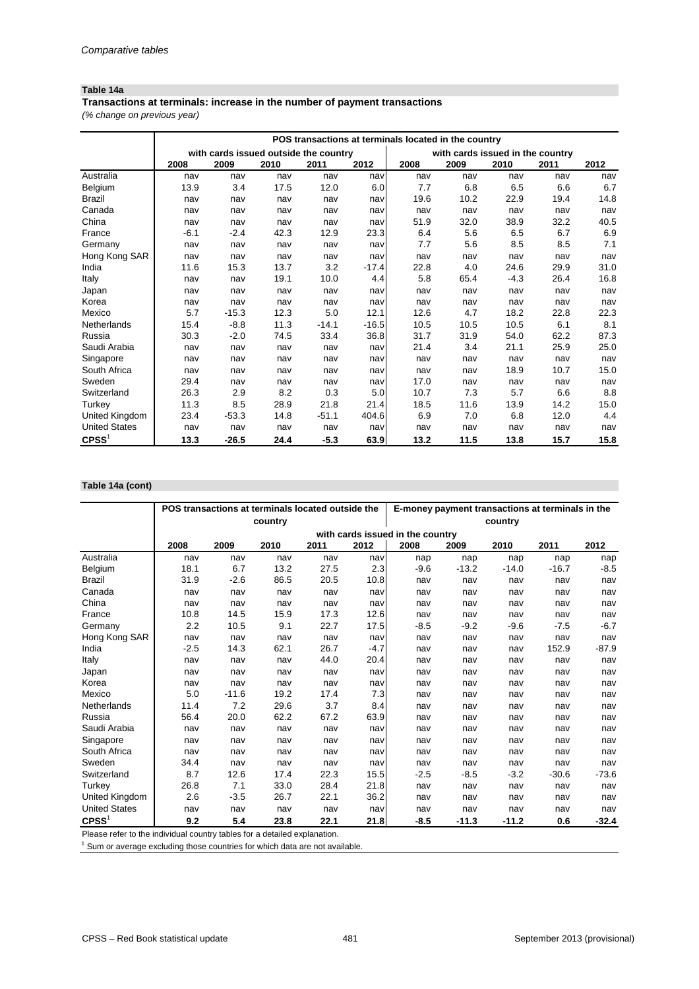### **Table 14a**

*(% change on previous year)* **Transactions at terminals: increase in the number of payment transactions**

|                      |        | POS transactions at terminals located in the country |      |         |         |      |                                  |        |      |      |  |  |  |
|----------------------|--------|------------------------------------------------------|------|---------|---------|------|----------------------------------|--------|------|------|--|--|--|
|                      |        | with cards issued outside the country                |      |         |         |      | with cards issued in the country |        |      |      |  |  |  |
|                      | 2008   | 2009                                                 | 2010 | 2011    | 2012    | 2008 | 2009                             | 2010   | 2011 | 2012 |  |  |  |
| Australia            | nav    | nav                                                  | nav  | nav     | nav     | nav  | nav                              | nav    | nav  | nav  |  |  |  |
| Belgium              | 13.9   | 3.4                                                  | 17.5 | 12.0    | 6.0     | 7.7  | 6.8                              | 6.5    | 6.6  | 6.7  |  |  |  |
| <b>Brazil</b>        | nav    | nav                                                  | nav  | nav     | nav     | 19.6 | 10.2                             | 22.9   | 19.4 | 14.8 |  |  |  |
| Canada               | nav    | nav                                                  | nav  | nav     | nav     | nav  | nav                              | nav    | nav  | nav  |  |  |  |
| China                | nav    | nav                                                  | nav  | nav     | nav     | 51.9 | 32.0                             | 38.9   | 32.2 | 40.5 |  |  |  |
| France               | $-6.1$ | $-2.4$                                               | 42.3 | 12.9    | 23.3    | 6.4  | 5.6                              | 6.5    | 6.7  | 6.9  |  |  |  |
| Germany              | nav    | nav                                                  | nav  | nav     | nav     | 7.7  | 5.6                              | 8.5    | 8.5  | 7.1  |  |  |  |
| Hong Kong SAR        | nav    | nav                                                  | nav  | nav     | nav     | nav  | nav                              | nav    | nav  | nav  |  |  |  |
| India                | 11.6   | 15.3                                                 | 13.7 | 3.2     | $-17.4$ | 22.8 | 4.0                              | 24.6   | 29.9 | 31.0 |  |  |  |
| Italy                | nav    | nav                                                  | 19.1 | 10.0    | 4.4     | 5.8  | 65.4                             | $-4.3$ | 26.4 | 16.8 |  |  |  |
| Japan                | nav    | nav                                                  | nav  | nav     | nav     | nav  | nav                              | nav    | nav  | nav  |  |  |  |
| Korea                | nav    | nav                                                  | nav  | nav     | nav     | nav  | nav                              | nav    | nav  | nav  |  |  |  |
| Mexico               | 5.7    | $-15.3$                                              | 12.3 | 5.0     | 12.1    | 12.6 | 4.7                              | 18.2   | 22.8 | 22.3 |  |  |  |
| Netherlands          | 15.4   | $-8.8$                                               | 11.3 | $-14.1$ | $-16.5$ | 10.5 | 10.5                             | 10.5   | 6.1  | 8.1  |  |  |  |
| Russia               | 30.3   | $-2.0$                                               | 74.5 | 33.4    | 36.8    | 31.7 | 31.9                             | 54.0   | 62.2 | 87.3 |  |  |  |
| Saudi Arabia         | nav    | nav                                                  | nav  | nav     | nav     | 21.4 | 3.4                              | 21.1   | 25.9 | 25.0 |  |  |  |
| Singapore            | nav    | nav                                                  | nav  | nav     | nav     | nav  | nav                              | nav    | nav  | nav  |  |  |  |
| South Africa         | nav    | nav                                                  | nav  | nav     | nav     | nav  | nav                              | 18.9   | 10.7 | 15.0 |  |  |  |
| Sweden               | 29.4   | nav                                                  | nav  | nav     | nav     | 17.0 | nav                              | nav    | nav  | nav  |  |  |  |
| Switzerland          | 26.3   | 2.9                                                  | 8.2  | 0.3     | 5.0     | 10.7 | 7.3                              | 5.7    | 6.6  | 8.8  |  |  |  |
| Turkey               | 11.3   | 8.5                                                  | 28.9 | 21.8    | 21.4    | 18.5 | 11.6                             | 13.9   | 14.2 | 15.0 |  |  |  |
| United Kingdom       | 23.4   | $-53.3$                                              | 14.8 | $-51.1$ | 404.6   | 6.9  | 7.0                              | 6.8    | 12.0 | 4.4  |  |  |  |
| <b>United States</b> | nav    | nav                                                  | nav  | nav     | nav     | nav  | nav                              | nav    | nav  | nav  |  |  |  |
| $C$ PSS $1$          | 13.3   | $-26.5$                                              | 24.4 | $-5.3$  | 63.9    | 13.2 | 11.5                             | 13.8   | 15.7 | 15.8 |  |  |  |

#### **Table 14a (cont)**

|                                                                           |        | POS transactions at terminals located outside the |         |      |        |                                  |         |         | E-money payment transactions at terminals in the |         |
|---------------------------------------------------------------------------|--------|---------------------------------------------------|---------|------|--------|----------------------------------|---------|---------|--------------------------------------------------|---------|
|                                                                           |        |                                                   | country |      |        |                                  |         | country |                                                  |         |
|                                                                           |        |                                                   |         |      |        | with cards issued in the country |         |         |                                                  |         |
|                                                                           | 2008   | 2009                                              | 2010    | 2011 | 2012   | 2008                             | 2009    | 2010    | 2011                                             | 2012    |
| Australia                                                                 | nav    | nav                                               | nav     | nav  | nav    | nap                              | nap     | nap     | nap                                              | nap     |
| Belgium                                                                   | 18.1   | 6.7                                               | 13.2    | 27.5 | 2.3    | $-9.6$                           | $-13.2$ | $-14.0$ | $-16.7$                                          | $-8.5$  |
| <b>Brazil</b>                                                             | 31.9   | $-2.6$                                            | 86.5    | 20.5 | 10.8   | nav                              | nav     | nav     | nav                                              | nav     |
| Canada                                                                    | nav    | nav                                               | nav     | nav  | nav    | nav                              | nav     | nav     | nav                                              | nav     |
| China                                                                     | nav    | nav                                               | nav     | nav  | nav    | nav                              | nav     | nav     | nav                                              | nav     |
| France                                                                    | 10.8   | 14.5                                              | 15.9    | 17.3 | 12.6   | nav                              | nav     | nav     | nav                                              | nav     |
| Germany                                                                   | 2.2    | 10.5                                              | 9.1     | 22.7 | 17.5   | $-8.5$                           | $-9.2$  | $-9.6$  | $-7.5$                                           | $-6.7$  |
| Hong Kong SAR                                                             | nav    | nav                                               | nav     | nav  | nav    | nav                              | nav     | nav     | nav                                              | nav     |
| India                                                                     | $-2.5$ | 14.3                                              | 62.1    | 26.7 | $-4.7$ | nav                              | nav     | nav     | 152.9                                            | $-87.9$ |
| Italy                                                                     | nav    | nav                                               | nav     | 44.0 | 20.4   | nav                              | nav     | nav     | nav                                              | nav     |
| Japan                                                                     | nav    | nav                                               | nav     | nav  | nav    | nav                              | nav     | nav     | nav                                              | nav     |
| Korea                                                                     | nav    | nav                                               | nav     | nav  | nav    | nav                              | nav     | nav     | nav                                              | nav     |
| Mexico                                                                    | 5.0    | $-11.6$                                           | 19.2    | 17.4 | 7.3    | nav                              | nav     | nav     | nav                                              | nav     |
| Netherlands                                                               | 11.4   | 7.2                                               | 29.6    | 3.7  | 8.4    | nav                              | nav     | nav     | nav                                              | nav     |
| Russia                                                                    | 56.4   | 20.0                                              | 62.2    | 67.2 | 63.9   | nav                              | nav     | nav     | nav                                              | nav     |
| Saudi Arabia                                                              | nav    | nav                                               | nav     | nav  | nav    | nav                              | nav     | nav     | nav                                              | nav     |
| Singapore                                                                 | nav    | nav                                               | nav     | nav  | nav    | nav                              | nav     | nav     | nav                                              | nav     |
| South Africa                                                              | nav    | nav                                               | nav     | nav  | nav    | nav                              | nav     | nav     | nav                                              | nav     |
| Sweden                                                                    | 34.4   | nav                                               | nav     | nav  | nav    | nav                              | nav     | nav     | nav                                              | nav     |
| Switzerland                                                               | 8.7    | 12.6                                              | 17.4    | 22.3 | 15.5   | $-2.5$                           | $-8.5$  | $-3.2$  | $-30.6$                                          | $-73.6$ |
| Turkey                                                                    | 26.8   | 7.1                                               | 33.0    | 28.4 | 21.8   | nav                              | nav     | nav     | nav                                              | nav     |
| United Kingdom                                                            | 2.6    | $-3.5$                                            | 26.7    | 22.1 | 36.2   | nav                              | nav     | nav     | nav                                              | nav     |
| <b>United States</b>                                                      | nav    | nav                                               | nav     | nav  | nav    | nav                              | nav     | nav     | nav                                              | nav     |
| CPSS <sup>1</sup>                                                         | 9.2    | 5.4                                               | 23.8    | 22.1 | 21.8   | $-8.5$                           | $-11.3$ | $-11.2$ | 0.6                                              | $-32.4$ |
| Please refer to the individual country tables for a detailed explanation. |        |                                                   |         |      |        |                                  |         |         |                                                  |         |

 $1$  Sum or average excluding those countries for which data are not available.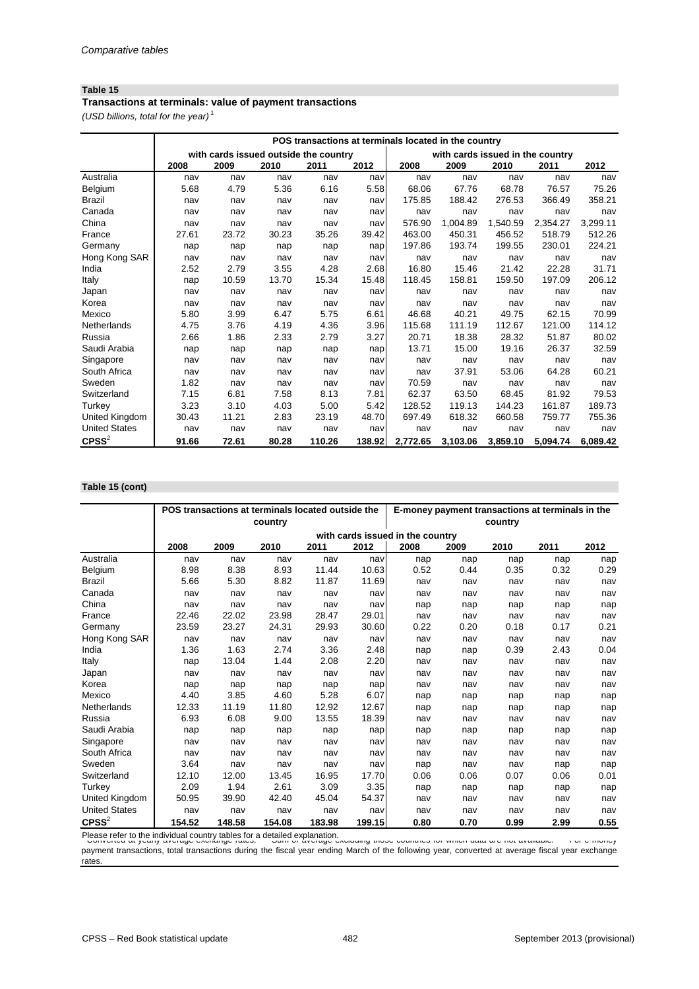### **Table 15**

*(USD billions, total for the year)* <sup>1</sup> **Transactions at terminals: value of payment transactions**

|                      | POS transactions at terminals located in the country |                                       |       |        |        |          |          |                                  |          |          |  |
|----------------------|------------------------------------------------------|---------------------------------------|-------|--------|--------|----------|----------|----------------------------------|----------|----------|--|
|                      |                                                      | with cards issued outside the country |       |        |        |          |          | with cards issued in the country |          |          |  |
|                      | 2008                                                 | 2009                                  | 2010  | 2011   | 2012   | 2008     | 2009     | 2010                             | 2011     | 2012     |  |
| Australia            | nav                                                  | nav                                   | nav   | nav    | nav    | nav      | nav      | nav                              | nav      | nav      |  |
| Belgium              | 5.68                                                 | 4.79                                  | 5.36  | 6.16   | 5.58   | 68.06    | 67.76    | 68.78                            | 76.57    | 75.26    |  |
| <b>Brazil</b>        | nav                                                  | nav                                   | nav   | nav    | nav    | 175.85   | 188.42   | 276.53                           | 366.49   | 358.21   |  |
| Canada               | nav                                                  | nav                                   | nav   | nav    | nav    | nav      | nav      | nav                              | nav      | nav      |  |
| China                | nav                                                  | nav                                   | nav   | nav    | nav    | 576.90   | 1,004.89 | 1,540.59                         | 2,354.27 | 3,299.11 |  |
| France               | 27.61                                                | 23.72                                 | 30.23 | 35.26  | 39.42  | 463.00   | 450.31   | 456.52                           | 518.79   | 512.26   |  |
| Germany              | nap                                                  | nap                                   | nap   | nap    | nap    | 197.86   | 193.74   | 199.55                           | 230.01   | 224.21   |  |
| Hong Kong SAR        | nav                                                  | nav                                   | nav   | nav    | nav    | nav      | nav      | nav                              | nav      | nav      |  |
| India                | 2.52                                                 | 2.79                                  | 3.55  | 4.28   | 2.68   | 16.80    | 15.46    | 21.42                            | 22.28    | 31.71    |  |
| Italy                | nap                                                  | 10.59                                 | 13.70 | 15.34  | 15.48  | 118.45   | 158.81   | 159.50                           | 197.09   | 206.12   |  |
| Japan                | nav                                                  | nav                                   | nav   | nav    | nav    | nav      | nav      | nav                              | nav      | nav      |  |
| Korea                | nav                                                  | nav                                   | nav   | nav    | nav    | nav      | nav      | nav                              | nav      | nav      |  |
| Mexico               | 5.80                                                 | 3.99                                  | 6.47  | 5.75   | 6.61   | 46.68    | 40.21    | 49.75                            | 62.15    | 70.99    |  |
| Netherlands          | 4.75                                                 | 3.76                                  | 4.19  | 4.36   | 3.96   | 115.68   | 111.19   | 112.67                           | 121.00   | 114.12   |  |
| Russia               | 2.66                                                 | 1.86                                  | 2.33  | 2.79   | 3.27   | 20.71    | 18.38    | 28.32                            | 51.87    | 80.02    |  |
| Saudi Arabia         | nap                                                  | nap                                   | nap   | nap    | nap    | 13.71    | 15.00    | 19.16                            | 26.37    | 32.59    |  |
| Singapore            | nav                                                  | nav                                   | nav   | nav    | nav    | nav      | nav      | nav                              | nav      | nav      |  |
| South Africa         | nav                                                  | nav                                   | nav   | nav    | nav    | nav      | 37.91    | 53.06                            | 64.28    | 60.21    |  |
| Sweden               | 1.82                                                 | nav                                   | nav   | nav    | nav    | 70.59    | nav      | nav                              | nav      | nav      |  |
| Switzerland          | 7.15                                                 | 6.81                                  | 7.58  | 8.13   | 7.81   | 62.37    | 63.50    | 68.45                            | 81.92    | 79.53    |  |
| Turkey               | 3.23                                                 | 3.10                                  | 4.03  | 5.00   | 5.42   | 128.52   | 119.13   | 144.23                           | 161.87   | 189.73   |  |
| United Kingdom       | 30.43                                                | 11.21                                 | 2.83  | 23.19  | 48.70  | 697.49   | 618.32   | 660.58                           | 759.77   | 755.36   |  |
| <b>United States</b> | nav                                                  | nav                                   | nav   | nav    | nav    | nav      | nav      | nav                              | nav      | nav      |  |
| $C$ PSS $2$          | 91.66                                                | 72.61                                 | 80.28 | 110.26 | 138.92 | 2,772.65 | 3,103.06 | 3,859.10                         | 5,094.74 | 6,089.42 |  |

#### **Table 15 (cont)**

|                      |        | POS transactions at terminals located outside the |         |        |        |                                  | E-money payment transactions at terminals in the |         |      |      |
|----------------------|--------|---------------------------------------------------|---------|--------|--------|----------------------------------|--------------------------------------------------|---------|------|------|
|                      |        |                                                   | country |        |        |                                  |                                                  | country |      |      |
|                      |        |                                                   |         |        |        | with cards issued in the country |                                                  |         |      |      |
|                      | 2008   | 2009                                              | 2010    | 2011   | 2012   | 2008                             | 2009                                             | 2010    | 2011 | 2012 |
| Australia            | nav    | nav                                               | nav     | nav    | nav    | nap                              | nap                                              | nap     | nap  | nap  |
| Belgium              | 8.98   | 8.38                                              | 8.93    | 11.44  | 10.63  | 0.52                             | 0.44                                             | 0.35    | 0.32 | 0.29 |
| <b>Brazil</b>        | 5.66   | 5.30                                              | 8.82    | 11.87  | 11.69  | nav                              | nav                                              | nav     | nav  | nav  |
| Canada               | nav    | nav                                               | nav     | nav    | nav    | nav                              | nav                                              | nav     | nav  | nav  |
| China                | nav    | nav                                               | nav     | nav    | nav    | nap                              | nap                                              | nap     | nap  | nap  |
| France               | 22.46  | 22.02                                             | 23.98   | 28.47  | 29.01  | nav                              | nav                                              | nav     | nav  | nav  |
| Germany              | 23.59  | 23.27                                             | 24.31   | 29.93  | 30.60  | 0.22                             | 0.20                                             | 0.18    | 0.17 | 0.21 |
| Hong Kong SAR        | nav    | nav                                               | nav     | nav    | nav    | nav                              | nav                                              | nav     | nav  | nav  |
| India                | 1.36   | 1.63                                              | 2.74    | 3.36   | 2.48   | nap                              | nap                                              | 0.39    | 2.43 | 0.04 |
| Italy                | nap    | 13.04                                             | 1.44    | 2.08   | 2.20   | nav                              | nav                                              | nav     | nav  | nav  |
| Japan                | nav    | nav                                               | nav     | nav    | nav    | nav                              | nav                                              | nav     | nav  | nav  |
| Korea                | nap    | nap                                               | nap     | nap    | nap    | nav                              | nav                                              | nav     | nav  | nav  |
| Mexico               | 4.40   | 3.85                                              | 4.60    | 5.28   | 6.07   | nap                              | nap                                              | nap     | nap  | nap  |
| Netherlands          | 12.33  | 11.19                                             | 11.80   | 12.92  | 12.67  | nap                              | nap                                              | nap     | nap  | nap  |
| Russia               | 6.93   | 6.08                                              | 9.00    | 13.55  | 18.39  | nav                              | nav                                              | nav     | nav  | nav  |
| Saudi Arabia         | nap    | nap                                               | nap     | nap    | nap    | nap                              | nap                                              | nap     | nap  | nap  |
| Singapore            | nav    | nav                                               | nav     | nav    | nav    | nav                              | nav                                              | nav     | nav  | nav  |
| South Africa         | nav    | nav                                               | nav     | nav    | nav    | nav                              | nav                                              | nav     | nav  | nav  |
| Sweden               | 3.64   | nav                                               | nav     | nav    | nav    | nap                              | nav                                              | nav     | nap  | nap  |
| Switzerland          | 12.10  | 12.00                                             | 13.45   | 16.95  | 17.70  | 0.06                             | 0.06                                             | 0.07    | 0.06 | 0.01 |
| <b>Turkey</b>        | 2.09   | 1.94                                              | 2.61    | 3.09   | 3.35   | nap                              | nap                                              | nap     | nap  | nap  |
| United Kingdom       | 50.95  | 39.90                                             | 42.40   | 45.04  | 54.37  | nav                              | nav                                              | nav     | nav  | nav  |
| <b>United States</b> | nav    | nav                                               | nav     | nav    | nav    | nav                              | nav                                              | nav     | nav  | nav  |
| $C P S S^2$          | 154.52 | 148.58                                            | 154.08  | 183.98 | 199.15 | 0.80                             | 0.70                                             | 0.99    | 2.99 | 0.55 |

Please refer to the individual country tables for a detailed explanation.<br>Converted at yearly average exchange rates. Summon average excluding those countries for which data are not available. For e-money

payment transactions, total transactions during the fiscal year ending March of the following year, converted at average fiscal year exchange rates.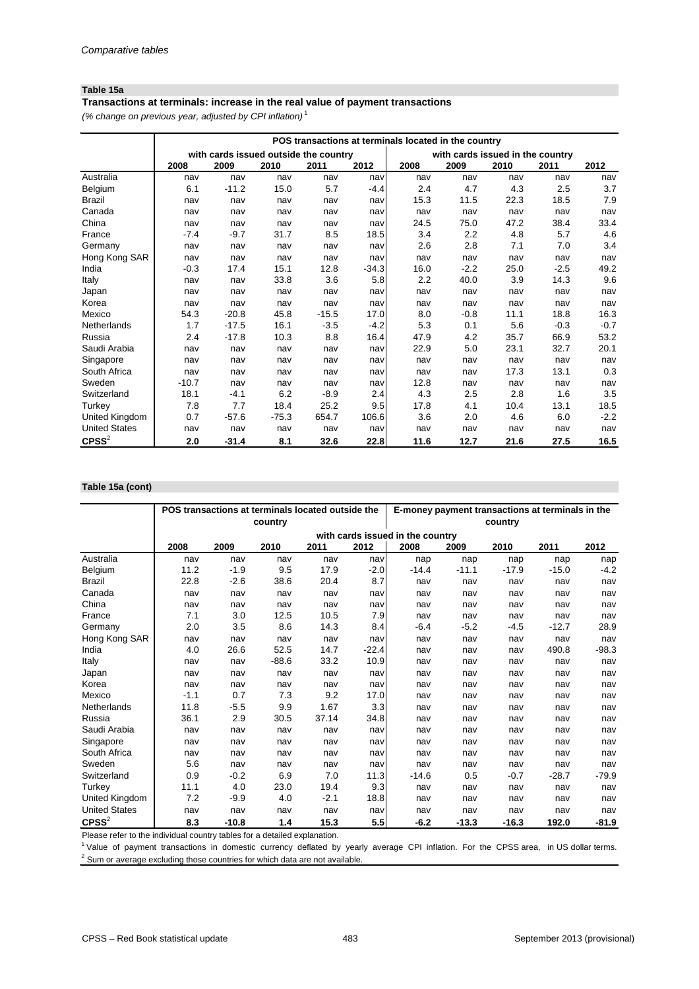### **Table 15a**

*(% change on previous year, adjusted by CPI inflation)* <sup>1</sup> **Transactions at terminals: increase in the real value of payment transactions**

|                      |         | POS transactions at terminals located in the country |         |         |         |      |                                  |      |        |        |  |  |  |
|----------------------|---------|------------------------------------------------------|---------|---------|---------|------|----------------------------------|------|--------|--------|--|--|--|
|                      |         | with cards issued outside the country                |         |         |         |      | with cards issued in the country |      |        |        |  |  |  |
|                      | 2008    | 2009                                                 | 2010    | 2011    | 2012    | 2008 | 2009                             | 2010 | 2011   | 2012   |  |  |  |
| Australia            | nav     | nav                                                  | nav     | nav     | nav     | nav  | nav                              | nav  | nav    | nav    |  |  |  |
| Belgium              | 6.1     | $-11.2$                                              | 15.0    | 5.7     | $-4.4$  | 2.4  | 4.7                              | 4.3  | 2.5    | 3.7    |  |  |  |
| <b>Brazil</b>        | nav     | nav                                                  | nav     | nav     | nav     | 15.3 | 11.5                             | 22.3 | 18.5   | 7.9    |  |  |  |
| Canada               | nav     | nav                                                  | nav     | nav     | navl    | nav  | nav                              | nav  | nav    | nav    |  |  |  |
| China                | nav     | nav                                                  | nav     | nav     | nav     | 24.5 | 75.0                             | 47.2 | 38.4   | 33.4   |  |  |  |
| France               | $-7.4$  | $-9.7$                                               | 31.7    | 8.5     | 18.5    | 3.4  | 2.2                              | 4.8  | 5.7    | 4.6    |  |  |  |
| Germany              | nav     | nav                                                  | nav     | nav     | nav     | 2.6  | 2.8                              | 7.1  | 7.0    | 3.4    |  |  |  |
| Hong Kong SAR        | nav     | nav                                                  | nav     | nav     | nav     | nav  | nav                              | nav  | nav    | nav    |  |  |  |
| India                | $-0.3$  | 17.4                                                 | 15.1    | 12.8    | $-34.3$ | 16.0 | $-2.2$                           | 25.0 | $-2.5$ | 49.2   |  |  |  |
| Italy                | nav     | nav                                                  | 33.8    | 3.6     | 5.8     | 2.2  | 40.0                             | 3.9  | 14.3   | 9.6    |  |  |  |
| Japan                | nav     | nav                                                  | nav     | nav     | nav     | nav  | nav                              | nav  | nav    | nav    |  |  |  |
| Korea                | nav     | nav                                                  | nav     | nav     | nav     | nav  | nav                              | nav  | nav    | nav    |  |  |  |
| Mexico               | 54.3    | $-20.8$                                              | 45.8    | $-15.5$ | 17.0    | 8.0  | $-0.8$                           | 11.1 | 18.8   | 16.3   |  |  |  |
| Netherlands          | 1.7     | $-17.5$                                              | 16.1    | $-3.5$  | $-4.2$  | 5.3  | 0.1                              | 5.6  | $-0.3$ | $-0.7$ |  |  |  |
| Russia               | 2.4     | $-17.8$                                              | 10.3    | 8.8     | 16.4    | 47.9 | 4.2                              | 35.7 | 66.9   | 53.2   |  |  |  |
| Saudi Arabia         | nav     | nav                                                  | nav     | nav     | nav     | 22.9 | 5.0                              | 23.1 | 32.7   | 20.1   |  |  |  |
| Singapore            | nav     | nav                                                  | nav     | nav     | nav     | nav  | nav                              | nav  | nav    | nav    |  |  |  |
| South Africa         | nav     | nav                                                  | nav     | nav     | nav     | nav  | nav                              | 17.3 | 13.1   | 0.3    |  |  |  |
| Sweden               | $-10.7$ | nav                                                  | nav     | nav     | nav     | 12.8 | nav                              | nav  | nav    | nav    |  |  |  |
| Switzerland          | 18.1    | $-4.1$                                               | 6.2     | $-8.9$  | 2.4     | 4.3  | 2.5                              | 2.8  | 1.6    | 3.5    |  |  |  |
| Turkey               | 7.8     | 7.7                                                  | 18.4    | 25.2    | 9.5     | 17.8 | 4.1                              | 10.4 | 13.1   | 18.5   |  |  |  |
| United Kingdom       | 0.7     | $-57.6$                                              | $-75.3$ | 654.7   | 106.6   | 3.6  | 2.0                              | 4.6  | 6.0    | $-2.2$ |  |  |  |
| <b>United States</b> | nav     | nav                                                  | nav     | nav     | nav     | nav  | nav                              | nav  | nav    | nav    |  |  |  |
| $C$ PSS $^{2}$       | 2.0     | $-31.4$                                              | 8.1     | 32.6    | 22.8    | 11.6 | 12.7                             | 21.6 | 27.5   | 16.5   |  |  |  |

#### **Table 15a (cont)**

|                      |        | POS transactions at terminals located outside the |         |        |         |                                  | E-money payment transactions at terminals in the |         |         |         |
|----------------------|--------|---------------------------------------------------|---------|--------|---------|----------------------------------|--------------------------------------------------|---------|---------|---------|
|                      |        |                                                   | country |        |         |                                  |                                                  | country |         |         |
|                      |        |                                                   |         |        |         | with cards issued in the country |                                                  |         |         |         |
|                      | 2008   | 2009                                              | 2010    | 2011   | 2012    | 2008                             | 2009                                             | 2010    | 2011    | 2012    |
| Australia            | nav    | nav                                               | nav     | nav    | nav     | nap                              | nap                                              | nap     | nap     | nap     |
| Belgium              | 11.2   | $-1.9$                                            | 9.5     | 17.9   | $-2.0$  | $-14.4$                          | $-11.1$                                          | $-17.9$ | $-15.0$ | $-4.2$  |
| <b>Brazil</b>        | 22.8   | $-2.6$                                            | 38.6    | 20.4   | 8.7     | nav                              | nav                                              | nav     | nav     | nav     |
| Canada               | nav    | nav                                               | nav     | nav    | nav     | nav                              | nav                                              | nav     | nav     | nav     |
| China                | nav    | nav                                               | nav     | nav    | nav     | nav                              | nav                                              | nav     | nav     | nav     |
| France               | 7.1    | 3.0                                               | 12.5    | 10.5   | 7.9     | nav                              | nav                                              | nav     | nav     | nav     |
| Germany              | 2.0    | 3.5                                               | 8.6     | 14.3   | 8.4     | $-6.4$                           | $-5.2$                                           | $-4.5$  | $-12.7$ | 28.9    |
| Hong Kong SAR        | nav    | nav                                               | nav     | nav    | nav     | nav                              | nav                                              | nav     | nav     | nav     |
| India                | 4.0    | 26.6                                              | 52.5    | 14.7   | $-22.4$ | nav                              | nav                                              | nav     | 490.8   | $-98.3$ |
| Italy                | nav    | nav                                               | $-88.6$ | 33.2   | 10.9    | nav                              | nav                                              | nav     | nav     | nav     |
| Japan                | nav    | nav                                               | nav     | nav    | nav     | nav                              | nav                                              | nav     | nav     | nav     |
| Korea                | nav    | nav                                               | nav     | nav    | nav     | nav                              | nav                                              | nav     | nav     | nav     |
| Mexico               | $-1.1$ | 0.7                                               | 7.3     | 9.2    | 17.0    | nav                              | nav                                              | nav     | nav     | nav     |
| Netherlands          | 11.8   | $-5.5$                                            | 9.9     | 1.67   | 3.3     | nav                              | nav                                              | nav     | nav     | nav     |
| Russia               | 36.1   | 2.9                                               | 30.5    | 37.14  | 34.8    | nav                              | nav                                              | nav     | nav     | nav     |
| Saudi Arabia         | nav    | nav                                               | nav     | nav    | nav     | nav                              | nav                                              | nav     | nav     | nav     |
| Singapore            | nav    | nav                                               | nav     | nav    | nav     | nav                              | nav                                              | nav     | nav     | nav     |
| South Africa         | nav    | nav                                               | nav     | nav    | nav     | nav                              | nav                                              | nav     | nav     | nav     |
| Sweden               | 5.6    | nav                                               | nav     | nav    | nav     | nav                              | nav                                              | nav     | nav     | nav     |
| Switzerland          | 0.9    | $-0.2$                                            | 6.9     | 7.0    | 11.3    | $-14.6$                          | 0.5                                              | $-0.7$  | $-28.7$ | $-79.9$ |
| Turkey               | 11.1   | 4.0                                               | 23.0    | 19.4   | 9.3     | nav                              | nav                                              | nav     | nav     | nav     |
| United Kingdom       | 7.2    | $-9.9$                                            | 4.0     | $-2.1$ | 18.8    | nav                              | nav                                              | nav     | nav     | nav     |
| <b>United States</b> | nav    | nav                                               | nav     | nav    | nav     | nav                              | nav                                              | nav     | nav     | nav     |
| $C$ PSS $2$          | 8.3    | $-10.8$                                           | 1.4     | 15.3   | 5.5     | $-6.2$                           | $-13.3$                                          | $-16.3$ | 192.0   | $-81.9$ |

Please refer to the individual country tables for a detailed explanation.

<sup>1</sup> Value of payment transactions in domestic currency deflated by yearly average CPI inflation. For the CPSS area, in US dollar terms.

 $2$  Sum or average excluding those countries for which data are not available.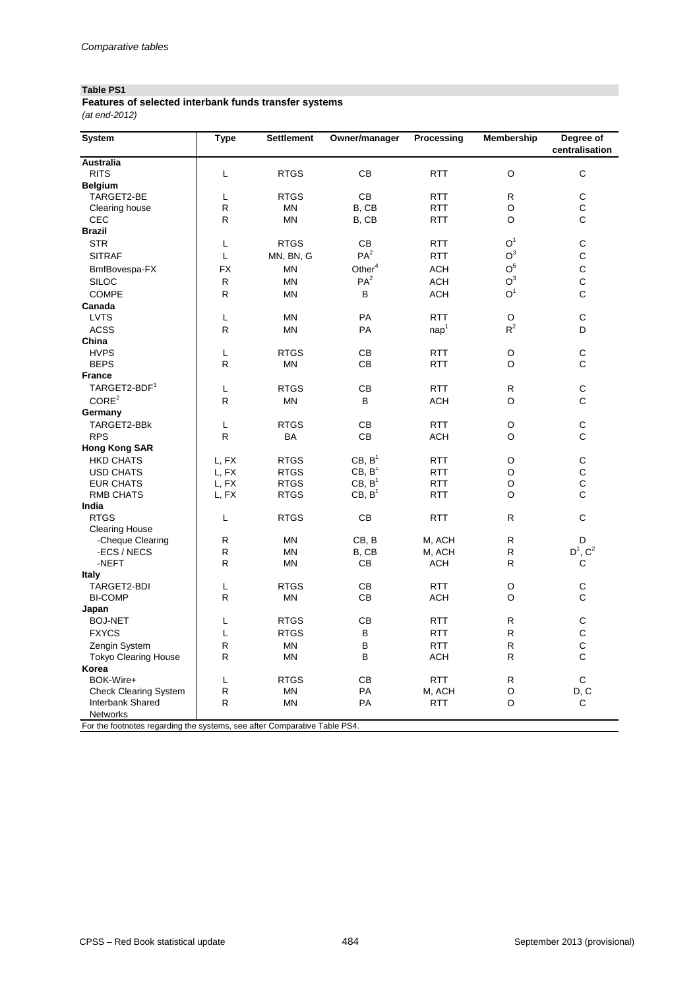# **Table PS1**

| Features of selected interbank funds transfer systems |  |
|-------------------------------------------------------|--|
| (at end-2012)                                         |  |

| <b>System</b>                                                             | <b>Type</b> | <b>Settlement</b> | Owner/manager      | Processing       | <b>Membership</b> | Degree of                                  |
|---------------------------------------------------------------------------|-------------|-------------------|--------------------|------------------|-------------------|--------------------------------------------|
|                                                                           |             |                   |                    |                  |                   | centralisation                             |
| <b>Australia</b>                                                          |             |                   |                    |                  |                   |                                            |
| <b>RITS</b>                                                               | L           | <b>RTGS</b>       | CB                 | <b>RTT</b>       | $\mathsf O$       | $\mathsf C$                                |
| <b>Belgium</b>                                                            |             |                   |                    |                  |                   |                                            |
| TARGET2-BE                                                                | L           | <b>RTGS</b>       | CB                 | <b>RTT</b>       | $\mathsf{R}$      | $\begin{array}{c} C \\ C \\ C \end{array}$ |
| Clearing house                                                            | ${\sf R}$   | <b>MN</b>         | B, CB              | <b>RTT</b>       | $\mathsf O$       |                                            |
| <b>CEC</b>                                                                | ${\sf R}$   | <b>MN</b>         | B, CB              | <b>RTT</b>       | $\circ$           |                                            |
| <b>Brazil</b>                                                             |             |                   |                    |                  |                   |                                            |
| <b>STR</b>                                                                | L           | <b>RTGS</b>       | CB                 | <b>RTT</b>       | O <sup>1</sup>    | ${\mathsf C}$                              |
| <b>SITRAF</b>                                                             | L           | MN, BN, G         | PA <sup>2</sup>    | <b>RTT</b>       | O <sup>3</sup>    | $\mathsf C$                                |
| BmfBovespa-FX                                                             | <b>FX</b>   | <b>MN</b>         | Other $4$          | <b>ACH</b>       | $\mathsf{O}^5$    | $\frac{C}{C}$                              |
| <b>SILOC</b>                                                              | ${\sf R}$   | <b>MN</b>         | PA <sup>2</sup>    | <b>ACH</b>       | O <sup>3</sup>    |                                            |
| <b>COMPE</b>                                                              | ${\sf R}$   | <b>MN</b>         | B                  | <b>ACH</b>       | O <sup>1</sup>    | $\mathsf C$                                |
| Canada                                                                    |             |                   |                    |                  |                   |                                            |
| <b>LVTS</b>                                                               | L           | <b>MN</b>         | PA                 | <b>RTT</b>       | $\mathsf O$       | $\mathsf C$                                |
| <b>ACSS</b>                                                               | ${\sf R}$   | <b>MN</b>         | PA                 | nap <sup>1</sup> | $R^2$             | D                                          |
| China                                                                     |             |                   |                    |                  |                   |                                            |
| <b>HVPS</b>                                                               | L           | <b>RTGS</b>       | CB                 | <b>RTT</b>       | $\mathsf O$       | $\frac{C}{C}$                              |
| <b>BEPS</b>                                                               | ${\sf R}$   | <b>MN</b>         | CB                 | <b>RTT</b>       | $\mathsf O$       |                                            |
| <b>France</b>                                                             |             |                   |                    |                  |                   |                                            |
| TARGET2-BDF <sup>1</sup>                                                  | L           | <b>RTGS</b>       | CB                 | <b>RTT</b>       | $\mathsf{R}$      | $\mathsf C$                                |
| CORE <sup>2</sup>                                                         | ${\sf R}$   | <b>MN</b>         | B                  | <b>ACH</b>       | $\mathsf O$       | $\mathsf C$                                |
| Germany                                                                   |             |                   |                    |                  |                   |                                            |
| TARGET2-BBk                                                               | L           | <b>RTGS</b>       | CB                 | <b>RTT</b>       | O                 | ${\mathsf C}$                              |
| <b>RPS</b>                                                                | ${\sf R}$   | BA                | CB                 | <b>ACH</b>       | $\mathsf O$       | $\mathsf C$                                |
| <b>Hong Kong SAR</b>                                                      |             |                   |                    |                  |                   |                                            |
| <b>HKD CHATS</b>                                                          | L, FX       | <b>RTGS</b>       | CB, B <sup>1</sup> | <b>RTT</b>       | O                 |                                            |
| <b>USD CHATS</b>                                                          | L, FX       | <b>RTGS</b>       | CB, B <sup>1</sup> | <b>RTT</b>       | O                 |                                            |
| <b>EUR CHATS</b>                                                          | L, FX       | <b>RTGS</b>       | CB, B <sup>1</sup> | <b>RTT</b>       | $\mathsf O$       | C<br>C<br>C<br>C                           |
| <b>RMB CHATS</b>                                                          | L, FX       | <b>RTGS</b>       | CB, B <sup>1</sup> | <b>RTT</b>       | $\circ$           |                                            |
| India                                                                     |             |                   |                    |                  |                   |                                            |
| <b>RTGS</b>                                                               | L           | <b>RTGS</b>       | CB                 | <b>RTT</b>       | $\mathsf{R}$      | $\mathsf C$                                |
| <b>Clearing House</b>                                                     |             |                   |                    |                  |                   |                                            |
| -Cheque Clearing                                                          | ${\sf R}$   | MN                | CB, B              | M, ACH           | $\mathsf{R}$      | D                                          |
| -ECS / NECS                                                               | ${\sf R}$   | <b>MN</b>         | B, CB              | M, ACH           | ${\sf R}$         | $D^1$ , $C^2$                              |
| -NEFT                                                                     | ${\sf R}$   | <b>MN</b>         | CB                 | <b>ACH</b>       | $\mathsf{R}$      | C                                          |
| <b>Italy</b>                                                              |             |                   |                    |                  |                   |                                            |
| TARGET2-BDI                                                               | L           | <b>RTGS</b>       | CB                 | <b>RTT</b>       | O                 | $\mathsf C$                                |
| <b>BI-COMP</b>                                                            | ${\sf R}$   | <b>MN</b>         | CB                 | <b>ACH</b>       | O                 | $\mathsf C$                                |
| Japan                                                                     |             |                   |                    |                  |                   |                                            |
| <b>BOJ-NET</b>                                                            | L           | <b>RTGS</b>       | CB                 | <b>RTT</b>       | $\mathsf{R}$      | $\mathsf C$                                |
| <b>FXYCS</b>                                                              | L           | <b>RTGS</b>       | B                  | <b>RTT</b>       | $\mathsf{R}$      | $\mathsf{C}$                               |
| Zengin System                                                             | ${\sf R}$   | <b>MN</b>         | B                  | <b>RTT</b>       | ${\sf R}$         | $\mathsf C$                                |
| <b>Tokyo Clearing House</b>                                               | ${\sf R}$   | <b>MN</b>         | B                  | <b>ACH</b>       | ${\sf R}$         | $\mathsf C$                                |
| Korea                                                                     |             |                   |                    |                  |                   |                                            |
| BOK-Wire+                                                                 | L           | <b>RTGS</b>       | CB                 | <b>RTT</b>       | $\mathsf{R}$      | ${\bf C}$                                  |
| <b>Check Clearing System</b>                                              | ${\sf R}$   | <b>MN</b>         | PA                 | M, ACH           | O                 | D, C                                       |
| Interbank Shared                                                          | ${\sf R}$   | <b>MN</b>         | PA                 | <b>RTT</b>       | $\circ$           | $\mathsf{C}$                               |
| Networks                                                                  |             |                   |                    |                  |                   |                                            |
| For the footnotes regarding the systems, see after Comparative Table PS4. |             |                   |                    |                  |                   |                                            |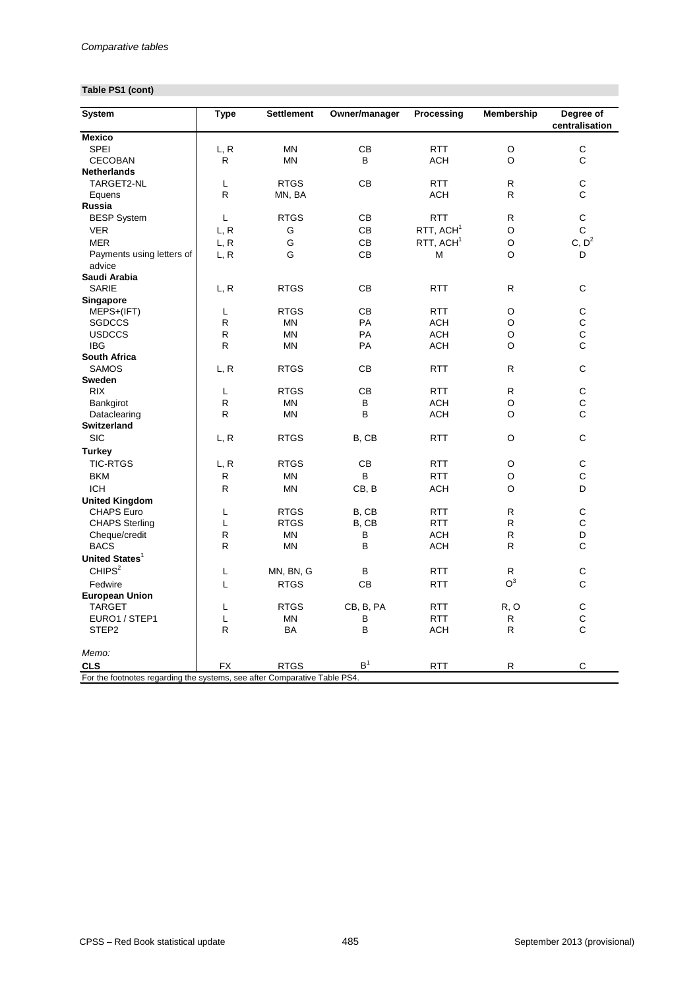# **Table PS1 (cont)**

| <b>System</b>                                                             | <b>Type</b>  | <b>Settlement</b> | Owner/manager  | Processing            | <b>Membership</b> | Degree of<br>centralisation                |
|---------------------------------------------------------------------------|--------------|-------------------|----------------|-----------------------|-------------------|--------------------------------------------|
| <b>Mexico</b>                                                             |              |                   |                |                       |                   |                                            |
| <b>SPEI</b>                                                               | L, R         | <b>MN</b>         | CB             | <b>RTT</b>            | $\circ$           | $\mathsf C$                                |
| <b>CECOBAN</b>                                                            | $\mathsf{R}$ | <b>MN</b>         | B              | <b>ACH</b>            | $\circ$           | $\mathsf C$                                |
| <b>Netherlands</b>                                                        |              |                   |                |                       |                   |                                            |
| TARGET2-NL                                                                | L            | <b>RTGS</b>       | CB             | <b>RTT</b>            | $\mathsf R$       | $\mathsf{C}$                               |
| Equens                                                                    | ${\sf R}$    | MN, BA            |                | <b>ACH</b>            | $\mathsf{R}$      | $\mathsf{C}$                               |
| <b>Russia</b>                                                             |              |                   |                |                       |                   |                                            |
| <b>BESP System</b>                                                        | L            | <b>RTGS</b>       | CB             | <b>RTT</b>            | R                 | $\mathsf C$                                |
| <b>VER</b>                                                                | L, R         | G                 | CB             | RTT, ACH <sup>1</sup> | O                 | $\mathsf C$                                |
| <b>MER</b>                                                                | L, R         | G                 | CB             | $RTT$ , $ACH1$        | $\circ$           | C, D <sup>2</sup>                          |
| Payments using letters of                                                 | L, R         | G                 | CB             | M                     | $\circ$           | $\mathsf D$                                |
| advice                                                                    |              |                   |                |                       |                   |                                            |
| Saudi Arabia                                                              |              |                   |                |                       |                   |                                            |
| <b>SARIE</b>                                                              | L, R         | <b>RTGS</b>       | CB             | <b>RTT</b>            | $\mathsf{R}$      | $\mathsf C$                                |
| <b>Singapore</b>                                                          |              |                   |                |                       |                   |                                            |
| MEPS+(IFT)                                                                | L            | <b>RTGS</b>       | CB             | <b>RTT</b>            | $\circ$           | ${\bf C}$                                  |
| <b>SGDCCS</b>                                                             | $\mathsf{R}$ | <b>MN</b>         | PA             | <b>ACH</b>            | O                 |                                            |
| <b>USDCCS</b>                                                             | $\mathsf{R}$ | <b>MN</b>         | PA             | <b>ACH</b>            | O                 | $\frac{C}{C}$                              |
| <b>IBG</b>                                                                | $\mathsf{R}$ | <b>MN</b>         | PA             | <b>ACH</b>            | $\circ$           | $\mathsf C$                                |
| <b>South Africa</b>                                                       |              |                   |                |                       |                   |                                            |
| <b>SAMOS</b>                                                              | L, R         | <b>RTGS</b>       | CB             | <b>RTT</b>            | $\mathsf{R}$      | $\mathsf C$                                |
| <b>Sweden</b>                                                             |              |                   |                |                       |                   |                                            |
| <b>RIX</b>                                                                | L            | <b>RTGS</b>       | CB             | <b>RTT</b>            | ${\sf R}$         | $\mathsf C$                                |
| Bankgirot                                                                 | ${\sf R}$    | <b>MN</b>         | $\sf B$        | <b>ACH</b>            | O                 |                                            |
| Dataclearing                                                              | ${\sf R}$    | <b>MN</b>         | $\overline{B}$ | <b>ACH</b>            | $\circ$           | $\frac{C}{C}$                              |
| <b>Switzerland</b>                                                        |              |                   |                |                       |                   |                                            |
| <b>SIC</b>                                                                | L, R         | <b>RTGS</b>       | B, CB          | <b>RTT</b>            | $\mathsf O$       | $\mathsf C$                                |
| <b>Turkey</b>                                                             |              |                   |                |                       |                   |                                            |
| <b>TIC-RTGS</b>                                                           | L, R         | <b>RTGS</b>       | CB             | <b>RTT</b>            | $\circ$           | $\mathsf C$                                |
|                                                                           |              |                   |                |                       |                   |                                            |
| <b>BKM</b>                                                                | $\mathsf{R}$ | <b>MN</b>         | B              | <b>RTT</b>            | $\circ$           | $\mathsf C$                                |
| <b>ICH</b>                                                                | $\mathsf{R}$ | <b>MN</b>         | CB, B          | <b>ACH</b>            | $\circ$           | D                                          |
| <b>United Kingdom</b>                                                     |              |                   |                |                       |                   |                                            |
| CHAPS Euro                                                                | L            | <b>RTGS</b>       | B, CB          | <b>RTT</b>            | R                 | $\mathsf C$                                |
| <b>CHAPS Sterling</b>                                                     | L            | <b>RTGS</b>       | B, CB          | <b>RTT</b>            | ${\sf R}$         | $\mathsf C$                                |
| Cheque/credit                                                             | ${\sf R}$    | <b>MN</b>         | B              | <b>ACH</b>            | ${\sf R}$         | $\mathsf D$                                |
| <b>BACS</b>                                                               | ${\sf R}$    | <b>MN</b>         | $\sf B$        | <b>ACH</b>            | ${\sf R}$         | $\mathsf C$                                |
| United States <sup>1</sup>                                                |              |                   |                |                       |                   |                                            |
| CHIPS <sup>2</sup>                                                        | L            | MN, BN, G         | B              | <b>RTT</b>            | R                 | $\mathsf C$                                |
| Fedwire                                                                   |              | <b>RTGS</b>       | CB             | <b>RTT</b>            | O <sup>3</sup>    | $\mathsf C$                                |
| <b>European Union</b>                                                     |              |                   |                |                       |                   |                                            |
| <b>TARGET</b>                                                             |              | <b>RTGS</b>       | CB, B, PA      | <b>RTT</b>            | R, O              | $\begin{array}{c} C \\ C \\ C \end{array}$ |
| EURO1 / STEP1                                                             | L            | <b>MN</b>         | В              | <b>RTT</b>            | R                 |                                            |
| STEP2                                                                     | $\mathsf{R}$ | BA                | B              | <b>ACH</b>            | $\mathsf R$       |                                            |
| Memo:                                                                     |              |                   |                |                       |                   |                                            |
| <b>CLS</b>                                                                | <b>FX</b>    | <b>RTGS</b>       | B <sup>1</sup> | <b>RTT</b>            | $\mathsf{R}$      | $\mathsf C$                                |
| For the footnotes regarding the systems, see after Comparative Table PS4. |              |                   |                |                       |                   |                                            |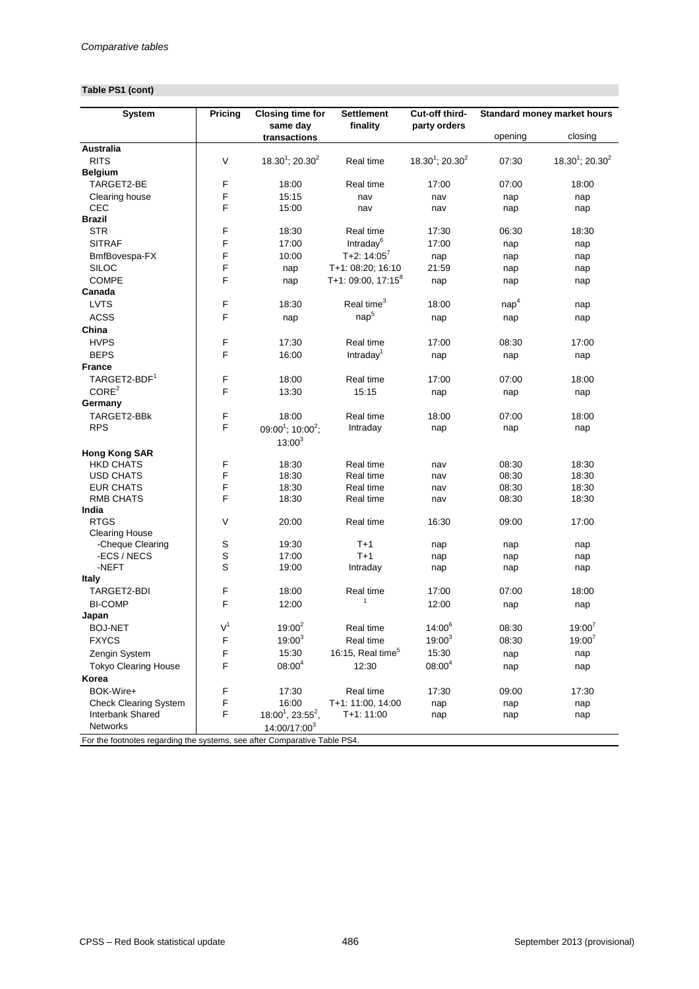# **Table PS1 (cont)**

| <b>System</b>                                                             | <b>Pricing</b> | <b>Closing time for</b>                   | <b>Settlement</b>             | Cut-off third-                 |                  | <b>Standard money market hours</b> |
|---------------------------------------------------------------------------|----------------|-------------------------------------------|-------------------------------|--------------------------------|------------------|------------------------------------|
|                                                                           |                | same day<br>transactions                  | finality                      | party orders                   | opening          | closing                            |
| <b>Australia</b>                                                          |                |                                           |                               |                                |                  |                                    |
| <b>RITS</b>                                                               | V              | $18.30^1$ ; 20.30 <sup>2</sup>            | Real time                     | $18.30^1$ ; 20.30 <sup>2</sup> | 07:30            | $18.30^1$ ; 20.30 <sup>2</sup>     |
| <b>Belgium</b>                                                            |                |                                           |                               |                                |                  |                                    |
| TARGET2-BE                                                                | F              | 18:00                                     | Real time                     | 17:00                          | 07:00            | 18:00                              |
| Clearing house                                                            | F              | 15:15                                     | nav                           | nav                            | nap              | nap                                |
| <b>CEC</b>                                                                | F              | 15:00                                     | nav                           | nav                            | nap              | nap                                |
| <b>Brazil</b>                                                             |                |                                           |                               |                                |                  |                                    |
| <b>STR</b>                                                                | F              | 18:30                                     | Real time                     | 17:30                          | 06:30            | 18:30                              |
| <b>SITRAF</b>                                                             | F              | 17:00                                     | Intraday <sup>6</sup>         | 17:00                          | nap              | nap                                |
| BmfBovespa-FX                                                             | F              | 10:00                                     | T+2: $14:05^7$                | nap                            | nap              | nap                                |
| <b>SILOC</b>                                                              | F              | nap                                       | T+1: 08:20; 16:10             | 21:59                          | nap              | nap                                |
| <b>COMPE</b>                                                              | F              | nap                                       | T+1: 09:00, $17:15^8$         | nap                            | nap              | nap                                |
| Canada                                                                    |                |                                           |                               |                                |                  |                                    |
| <b>LVTS</b>                                                               | F              | 18:30                                     | Real time <sup>3</sup>        | 18:00                          | nap <sup>4</sup> | nap                                |
| <b>ACSS</b>                                                               | F              | nap                                       | nap <sup>5</sup>              | nap                            | nap              | nap                                |
| China                                                                     |                |                                           |                               |                                |                  |                                    |
| <b>HVPS</b>                                                               | F              | 17:30                                     | Real time                     | 17:00                          | 08:30            | 17:00                              |
| <b>BEPS</b>                                                               | F              | 16:00                                     | Intraday <sup>1</sup>         | nap                            | nap              | nap                                |
| <b>France</b>                                                             |                |                                           |                               |                                |                  |                                    |
| TARGET2-BDF <sup>1</sup>                                                  | F              | 18:00                                     | Real time                     | 17:00                          | 07:00            | 18:00                              |
| CORE <sup>2</sup>                                                         | F              | 13:30                                     | 15:15                         | nap                            | nap              | nap                                |
| Germany                                                                   |                |                                           |                               |                                |                  |                                    |
| TARGET2-BBk                                                               | F              | 18:00                                     | Real time                     | 18:00                          | 07:00            | 18:00                              |
| <b>RPS</b>                                                                | $\mathsf F$    | 09:00 <sup>1</sup> ; 10:00 <sup>2</sup> ; | Intraday                      | nap                            | nap              | nap                                |
|                                                                           |                | $13:00^{3}$                               |                               |                                |                  |                                    |
| <b>Hong Kong SAR</b>                                                      |                |                                           |                               |                                |                  |                                    |
| <b>HKD CHATS</b>                                                          | F              | 18:30                                     | Real time                     | nav                            | 08:30            | 18:30                              |
| <b>USD CHATS</b>                                                          | $\mathsf F$    | 18:30                                     | Real time                     | nav                            | 08:30            | 18:30                              |
| <b>EUR CHATS</b>                                                          | F              | 18:30                                     | Real time                     | nav                            | 08:30            | 18:30                              |
| <b>RMB CHATS</b>                                                          | F              | 18:30                                     | Real time                     | nav                            | 08:30            | 18:30                              |
| India                                                                     |                |                                           |                               |                                |                  |                                    |
| <b>RTGS</b>                                                               | V              | 20:00                                     | Real time                     | 16:30                          | 09:00            | 17:00                              |
| <b>Clearing House</b>                                                     |                |                                           |                               |                                |                  |                                    |
| -Cheque Clearing                                                          | S              | 19:30                                     | $T+1$                         | nap                            | nap              | nap                                |
| -ECS / NECS                                                               | S              | 17:00                                     | $T+1$                         | nap                            | nap              | nap                                |
| -NEFT                                                                     | $\mathsf S$    | 19:00                                     | Intraday                      | nap                            | nap              | nap                                |
| <b>Italy</b>                                                              |                |                                           |                               |                                |                  |                                    |
| TARGET2-BDI                                                               | F              | 18:00                                     | Real time<br>$\mathbf{1}$     | 17:00                          | 07:00            | 18:00                              |
| <b>BI-COMP</b>                                                            | F              | 12:00                                     |                               | 12:00                          | nap              | nap                                |
| Japan                                                                     |                |                                           |                               |                                |                  |                                    |
| <b>BOJ-NET</b>                                                            | V <sup>1</sup> | $19:00^{2}$                               | Real time                     | $14:00^{6}$                    | 08:30            | $19:00^{7}$                        |
| <b>FXYCS</b>                                                              | F              | $19:00^{3}$                               | Real time                     | $19:00^{3}$                    | 08:30            | $19:00^7$                          |
| Zengin System                                                             | F              | 15:30                                     | 16:15, Real time <sup>5</sup> | 15:30                          | nap              | nap                                |
| <b>Tokyo Clearing House</b>                                               | F              | $08:00^{4}$                               | 12:30                         | $08:00^{4}$                    | nap              | nap                                |
| Korea                                                                     |                |                                           |                               |                                |                  |                                    |
| BOK-Wire+                                                                 | F              | 17:30                                     | Real time                     | 17:30                          | 09:00            | 17:30                              |
| <b>Check Clearing System</b>                                              | F              | 16:00                                     | T+1: 11:00, 14:00             | nap                            | nap              | nap                                |
| Interbank Shared                                                          | F              | $18:00^1$ , 23:55 <sup>2</sup> ,          | $T+1:11:00$                   | nap                            | nap              | nap                                |
| Networks                                                                  |                | 14:00/17:00 <sup>3</sup>                  |                               |                                |                  |                                    |
| For the footnotes regarding the systems, see after Comparative Table PS4. |                |                                           |                               |                                |                  |                                    |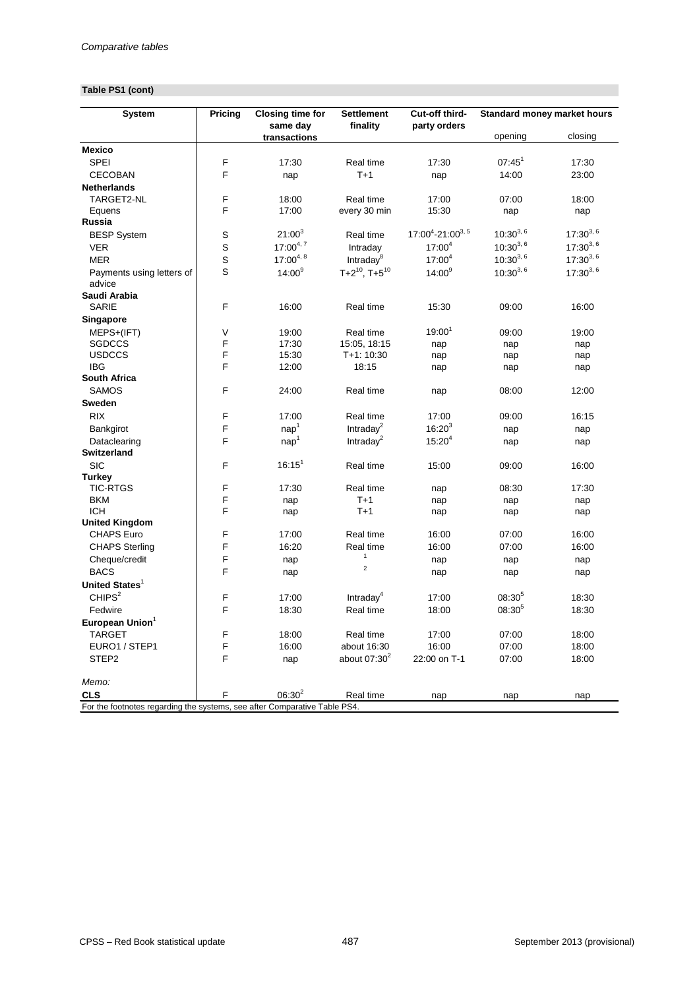# **Table PS1 (cont)**

| <b>System</b>                                                             | <b>Pricing</b> | <b>Closing time for</b><br>same day | <b>Settlement</b><br>finality  | Cut-off third-<br>party orders |               | <b>Standard money market hours</b> |
|---------------------------------------------------------------------------|----------------|-------------------------------------|--------------------------------|--------------------------------|---------------|------------------------------------|
|                                                                           |                | transactions                        |                                |                                | opening       | closing                            |
| <b>Mexico</b>                                                             |                |                                     |                                |                                |               |                                    |
| <b>SPEI</b>                                                               | F              | 17:30                               | Real time                      | 17:30                          | $07:45^{1}$   | 17:30                              |
| <b>CECOBAN</b>                                                            | F              | nap                                 | $T+1$                          | nap                            | 14:00         | 23:00                              |
| <b>Netherlands</b>                                                        |                |                                     |                                |                                |               |                                    |
| TARGET2-NL                                                                | F              | 18:00                               | Real time                      | 17:00                          | 07:00         | 18:00                              |
| Equens                                                                    | F              | 17:00                               | every 30 min                   | 15:30                          | nap           | nap                                |
| Russia                                                                    |                |                                     |                                |                                |               |                                    |
| <b>BESP System</b>                                                        | $\mathsf S$    | $21:00^{3}$                         | Real time                      | $17:00^4 - 21:00^{3,5}$        | $10:30^{3,6}$ | $17:30^{3,6}$                      |
| <b>VER</b>                                                                | S              | $17:00^{4,7}$                       | Intraday                       | $17:00^4$                      | $10:30^{3,6}$ | $17:30^{3,6}$                      |
| <b>MER</b>                                                                | $\mathsf{S}$   | $17:00^{4,8}$                       | Intraday <sup>8</sup>          | $17:00^4$                      | $10:30^{3,6}$ | $17:30^{3,6}$                      |
| Payments using letters of                                                 | S              | $14:00^{9}$                         | $T+2^{10}$ , T+5 <sup>10</sup> | $14:00^{9}$                    | $10:30^{3,6}$ | $17:30^{3,6}$                      |
| advice                                                                    |                |                                     |                                |                                |               |                                    |
| Saudi Arabia                                                              |                |                                     |                                |                                |               |                                    |
| <b>SARIE</b>                                                              | F              | 16:00                               | Real time                      | 15:30                          | 09:00         | 16:00                              |
| Singapore                                                                 |                |                                     |                                |                                |               |                                    |
| MEPS+(IFT)                                                                | $\sf V$        | 19:00                               | Real time                      | $19:00^{1}$                    | 09:00         | 19:00                              |
| <b>SGDCCS</b>                                                             | F              | 17:30                               | 15:05, 18:15                   | nap                            | nap           | nap                                |
| <b>USDCCS</b>                                                             | F              | 15:30                               | T+1: 10:30                     | nap                            | nap           | nap                                |
| <b>IBG</b>                                                                | F              | 12:00                               | 18:15                          | nap                            | nap           | nap                                |
| <b>South Africa</b>                                                       |                |                                     |                                |                                |               |                                    |
| <b>SAMOS</b>                                                              | F              | 24:00                               | Real time                      | nap                            | 08:00         | 12:00                              |
| <b>Sweden</b>                                                             |                |                                     |                                |                                |               |                                    |
| <b>RIX</b>                                                                | F              | 17:00                               | Real time                      | 17:00                          | 09:00         | 16:15                              |
| Bankgirot                                                                 | F              | nap <sup>1</sup>                    | Intraday $^2$                  | $16:20^{3}$                    | nap           | nap                                |
| Dataclearing                                                              | F              | nap <sup>1</sup>                    | Intraday $^2$                  | $15:20^{4}$                    | nap           | nap                                |
| Switzerland                                                               |                |                                     |                                |                                |               |                                    |
| <b>SIC</b>                                                                | F              | $16:15^{1}$                         | Real time                      | 15:00                          | 09:00         | 16:00                              |
| <b>Turkey</b>                                                             |                |                                     |                                |                                |               |                                    |
| <b>TIC-RTGS</b>                                                           | F              | 17:30                               | Real time                      | nap                            | 08:30         | 17:30                              |
| <b>BKM</b>                                                                | F              | nap                                 | $T+1$                          | nap                            | nap           | nap                                |
| <b>ICH</b>                                                                | F              | nap                                 | $T+1$                          | nap                            | nap           | nap                                |
| <b>United Kingdom</b>                                                     |                |                                     |                                |                                |               |                                    |
| <b>CHAPS Euro</b>                                                         | F              | 17:00                               | Real time                      | 16:00                          | 07:00         | 16:00                              |
| <b>CHAPS Sterling</b>                                                     | F              | 16:20                               | Real time                      | 16:00                          | 07:00         | 16:00                              |
| Cheque/credit                                                             | F              | nap                                 | $\mathbf{1}$                   | nap                            | nap           | nap                                |
| <b>BACS</b>                                                               | F              | nap                                 | $\overline{2}$                 | nap                            | nap           | nap                                |
| United States <sup>1</sup>                                                |                |                                     |                                |                                |               |                                    |
| CHIPS <sup>2</sup>                                                        | F              | 17:00                               | Intraday <sup>4</sup>          | 17:00                          | $08:30^{5}$   | 18:30                              |
| Fedwire                                                                   | F              | 18:30                               | Real time                      | 18:00                          | $08:30^{5}$   | 18:30                              |
| European Union <sup>1</sup>                                               |                |                                     |                                |                                |               |                                    |
| <b>TARGET</b>                                                             | F              | 18:00                               | Real time                      | 17:00                          | 07:00         | 18:00                              |
| EURO1 / STEP1                                                             | F              | 16:00                               | about 16:30                    | 16:00                          | 07:00         | 18:00                              |
| STEP2                                                                     | F              | nap                                 | about $07:30^2$                | 22:00 on T-1                   | 07:00         | 18:00                              |
| Memo:                                                                     |                |                                     |                                |                                |               |                                    |
| <b>CLS</b>                                                                | F              | $06:30^{2}$                         | Real time                      | nap                            | nap           | nap                                |
| For the footnotes regarding the systems, see after Comparative Table PS4. |                |                                     |                                |                                |               |                                    |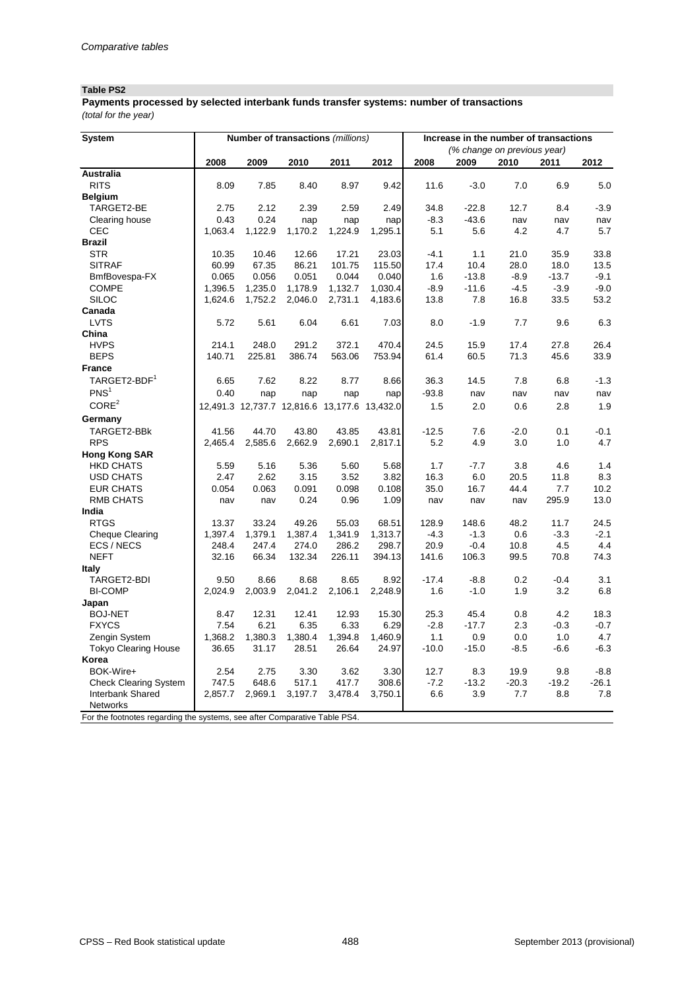### **Table PS2**

*(total for the year)* **Payments processed by selected interbank funds transfer systems: number of transactions** 

| <b>System</b>                                                             |         |         |         | Number of transactions (millions)            |         | Increase in the number of transactions |                             |         |               |         |
|---------------------------------------------------------------------------|---------|---------|---------|----------------------------------------------|---------|----------------------------------------|-----------------------------|---------|---------------|---------|
|                                                                           |         |         |         |                                              |         |                                        | (% change on previous year) |         |               |         |
|                                                                           | 2008    | 2009    | 2010    | 2011                                         | 2012    | 2008                                   | 2009                        | 2010    | 2011          | 2012    |
| <b>Australia</b>                                                          |         |         |         |                                              |         |                                        |                             |         |               |         |
| <b>RITS</b>                                                               | 8.09    | 7.85    | 8.40    | 8.97                                         | 9.42    | 11.6                                   | $-3.0$                      | 7.0     | 6.9           | 5.0     |
| <b>Belgium</b>                                                            |         |         |         |                                              |         |                                        |                             |         |               |         |
| TARGET2-BE                                                                | 2.75    | 2.12    | 2.39    | 2.59                                         | 2.49    | 34.8                                   | $-22.8$                     | 12.7    | 8.4           | $-3.9$  |
| Clearing house                                                            | 0.43    | 0.24    | nap     | nap                                          | nap     | $-8.3$                                 | $-43.6$                     | nav     | nav           | nav     |
| <b>CEC</b>                                                                | 1,063.4 | 1,122.9 | 1,170.2 | 1,224.9                                      | 1,295.1 | 5.1                                    | 5.6                         | 4.2     | 4.7           | 5.7     |
| <b>Brazil</b>                                                             |         |         |         |                                              |         |                                        |                             |         |               |         |
| <b>STR</b>                                                                | 10.35   | 10.46   | 12.66   | 17.21                                        | 23.03   | $-4.1$                                 | 1.1                         | 21.0    | 35.9          | 33.8    |
| <b>SITRAF</b>                                                             | 60.99   | 67.35   | 86.21   | 101.75                                       | 115.50  | 17.4                                   | 10.4                        | 28.0    | 18.0          | 13.5    |
| BmfBovespa-FX                                                             | 0.065   | 0.056   | 0.051   | 0.044                                        | 0.040   | 1.6                                    | $-13.8$                     | $-8.9$  | $-13.7$       | $-9.1$  |
| <b>COMPE</b>                                                              | 1,396.5 | 1,235.0 | 1,178.9 | 1,132.7                                      | 1,030.4 | $-8.9$                                 | $-11.6$                     | $-4.5$  | $-3.9$        | $-9.0$  |
| <b>SILOC</b>                                                              | 1,624.6 | 1,752.2 | 2,046.0 | 2,731.1                                      | 4,183.6 | 13.8                                   | 7.8                         | 16.8    | 33.5          | 53.2    |
| Canada                                                                    |         |         |         |                                              |         |                                        |                             |         |               |         |
| <b>LVTS</b>                                                               | 5.72    | 5.61    | 6.04    | 6.61                                         | 7.03    | 8.0                                    | $-1.9$                      | 7.7     | 9.6           | 6.3     |
| China                                                                     |         |         |         |                                              |         |                                        |                             |         |               |         |
| <b>HVPS</b>                                                               | 214.1   | 248.0   | 291.2   | 372.1                                        | 470.4   | 24.5                                   | 15.9                        | 17.4    | 27.8          | 26.4    |
| <b>BEPS</b>                                                               | 140.71  | 225.81  | 386.74  | 563.06                                       | 753.94  | 61.4                                   | 60.5                        | 71.3    | 45.6          | 33.9    |
| <b>France</b>                                                             |         |         |         |                                              |         |                                        |                             |         |               |         |
| TARGET2-BDF <sup>1</sup>                                                  | 6.65    | 7.62    | 8.22    | 8.77                                         | 8.66    | 36.3                                   | 14.5                        | 7.8     | 6.8           | $-1.3$  |
| PNS <sup>1</sup>                                                          | 0.40    | nap     | nap     | nap                                          | nap     | $-93.8$                                | nav                         | nav     | nav           | nav     |
| CORE <sup>2</sup>                                                         |         |         |         | 12,491.3 12,737.7 12,816.6 13,177.6 13,432.0 |         | 1.5                                    | 2.0                         | 0.6     | 2.8           | 1.9     |
| Germany                                                                   |         |         |         |                                              |         |                                        |                             |         |               |         |
| TARGET2-BBK                                                               | 41.56   | 44.70   | 43.80   | 43.85                                        | 43.81   | $-12.5$                                | 7.6                         | $-2.0$  | 0.1           | $-0.1$  |
| <b>RPS</b>                                                                | 2,465.4 | 2,585.6 | 2,662.9 | 2,690.1                                      | 2,817.1 | 5.2                                    | 4.9                         | 3.0     | 1.0           | 4.7     |
| <b>Hong Kong SAR</b>                                                      |         |         |         |                                              |         |                                        |                             |         |               |         |
| <b>HKD CHATS</b>                                                          | 5.59    | 5.16    | 5.36    | 5.60                                         | 5.68    | 1.7                                    | $-7.7$                      | 3.8     | 4.6           | 1.4     |
| <b>USD CHATS</b>                                                          | 2.47    | 2.62    | 3.15    | 3.52                                         | 3.82    | 16.3                                   | 6.0                         | 20.5    | 11.8          | 8.3     |
| <b>EUR CHATS</b>                                                          | 0.054   | 0.063   | 0.091   | 0.098                                        | 0.108   | 35.0                                   | 16.7                        | 44.4    | 7.7           | 10.2    |
| <b>RMB CHATS</b>                                                          | nav     | nav     | 0.24    | 0.96                                         | 1.09    | nav                                    | nav                         | nav     | 295.9         | 13.0    |
| India                                                                     |         |         |         |                                              |         |                                        |                             |         |               |         |
| <b>RTGS</b>                                                               | 13.37   | 33.24   | 49.26   | 55.03                                        | 68.51   | 128.9                                  | 148.6                       | 48.2    | 11.7          | 24.5    |
| <b>Cheque Clearing</b>                                                    | 1,397.4 | 1,379.1 | 1,387.4 | 1,341.9                                      | 1,313.7 | $-4.3$                                 | $-1.3$                      | 0.6     | $-3.3$        | $-2.1$  |
| ECS / NECS                                                                | 248.4   | 247.4   | 274.0   | 286.2                                        | 298.7   | 20.9                                   | $-0.4$                      | 10.8    | 4.5           | 4.4     |
| <b>NEFT</b>                                                               | 32.16   | 66.34   | 132.34  | 226.11                                       | 394.13  | 141.6                                  | 106.3                       | 99.5    | 70.8          | 74.3    |
|                                                                           |         |         |         |                                              |         |                                        |                             |         |               |         |
| <b>Italy</b><br>TARGET2-BDI                                               | 9.50    | 8.66    | 8.68    | 8.65                                         | 8.92    | $-17.4$                                | $-8.8$                      | 0.2     |               | 3.1     |
| <b>BI-COMP</b>                                                            | 2,024.9 | 2,003.9 | 2,041.2 | 2,106.1                                      |         | 1.6                                    | $-1.0$                      | 1.9     | $-0.4$<br>3.2 | 6.8     |
|                                                                           |         |         |         |                                              | 2,248.9 |                                        |                             |         |               |         |
| Japan<br><b>BOJ-NET</b>                                                   |         |         |         |                                              | 15.30   |                                        |                             |         |               |         |
| <b>FXYCS</b>                                                              | 8.47    | 12.31   | 12.41   | 12.93                                        |         | 25.3                                   | 45.4                        | 0.8     | 4.2           | 18.3    |
|                                                                           | 7.54    | 6.21    | 6.35    | 6.33                                         | 6.29    | $-2.8$                                 | $-17.7$                     | 2.3     | $-0.3$        | $-0.7$  |
| Zengin System                                                             | 1,368.2 | 1,380.3 | 1,380.4 | 1,394.8                                      | 1,460.9 | $1.1$                                  | 0.9                         | 0.0     | 1.0           | 4.7     |
| <b>Tokyo Clearing House</b>                                               | 36.65   | 31.17   | 28.51   | 26.64                                        | 24.97   | $-10.0$                                | $-15.0$                     | $-8.5$  | $-6.6$        | $-6.3$  |
| Korea                                                                     |         |         |         |                                              |         |                                        |                             |         |               |         |
| BOK-Wire+                                                                 | 2.54    | 2.75    | 3.30    | 3.62                                         | 3.30    | 12.7                                   | 8.3                         | 19.9    | 9.8           | $-8.8$  |
| <b>Check Clearing System</b>                                              | 747.5   | 648.6   | 517.1   | 417.7                                        | 308.6   | $-7.2$                                 | $-13.2$                     | $-20.3$ | $-19.2$       | $-26.1$ |
| Interbank Shared                                                          | 2,857.7 | 2,969.1 | 3,197.7 | 3,478.4                                      | 3,750.1 | 6.6                                    | 3.9                         | 7.7     | 8.8           | 7.8     |
| Networks                                                                  |         |         |         |                                              |         |                                        |                             |         |               |         |
| For the footnotes regarding the systems, see after Comparative Table PS4. |         |         |         |                                              |         |                                        |                             |         |               |         |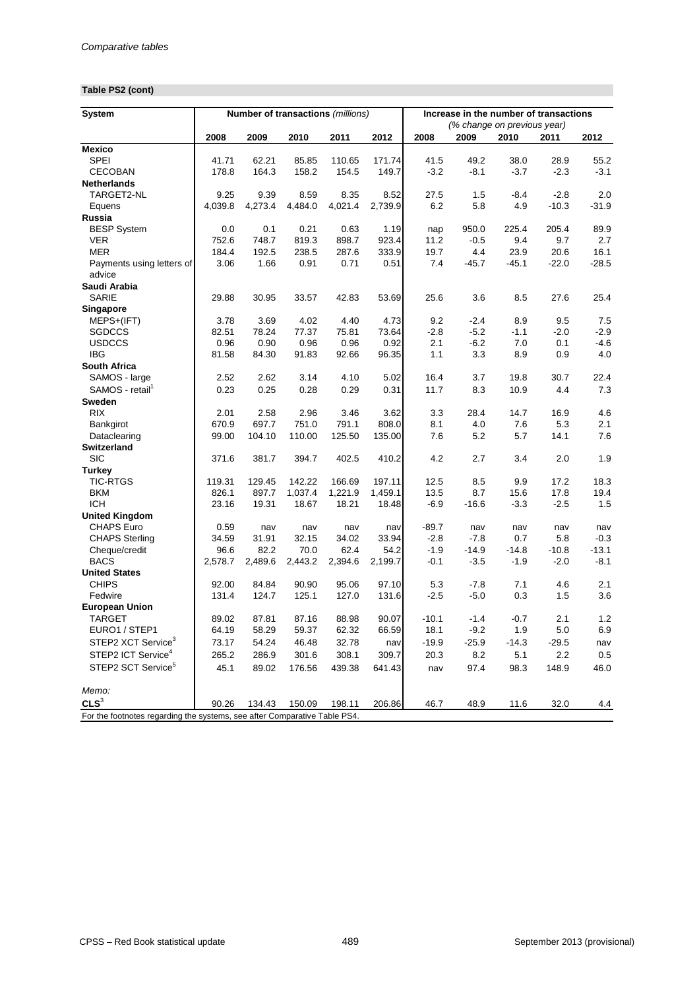# **Table PS2 (cont)**

| <b>System</b>                                                             |         |         |         | Number of transactions (millions) |         |         |                             |         | Increase in the number of transactions |         |  |  |
|---------------------------------------------------------------------------|---------|---------|---------|-----------------------------------|---------|---------|-----------------------------|---------|----------------------------------------|---------|--|--|
|                                                                           |         |         |         |                                   |         |         | (% change on previous year) |         |                                        |         |  |  |
| <b>Mexico</b>                                                             | 2008    | 2009    | 2010    | 2011                              | 2012    | 2008    | 2009                        | 2010    | 2011                                   | 2012    |  |  |
| <b>SPEI</b>                                                               | 41.71   | 62.21   | 85.85   | 110.65                            | 171.74  | 41.5    | 49.2                        | 38.0    | 28.9                                   | 55.2    |  |  |
| <b>CECOBAN</b>                                                            | 178.8   | 164.3   | 158.2   | 154.5                             | 149.7   | $-3.2$  | $-8.1$                      | $-3.7$  | $-2.3$                                 | $-3.1$  |  |  |
| <b>Netherlands</b>                                                        |         |         |         |                                   |         |         |                             |         |                                        |         |  |  |
| TARGET2-NL                                                                | 9.25    | 9.39    | 8.59    | 8.35                              | 8.52    | 27.5    | 1.5                         | $-8.4$  | $-2.8$                                 | 2.0     |  |  |
| Equens                                                                    | 4,039.8 | 4,273.4 | 4,484.0 | 4,021.4                           | 2,739.9 | 6.2     | 5.8                         | 4.9     | $-10.3$                                | $-31.9$ |  |  |
| <b>Russia</b>                                                             |         |         |         |                                   |         |         |                             |         |                                        |         |  |  |
| <b>BESP System</b>                                                        | 0.0     | 0.1     | 0.21    | 0.63                              | 1.19    | nap     | 950.0                       | 225.4   | 205.4                                  | 89.9    |  |  |
| <b>VER</b>                                                                | 752.6   | 748.7   | 819.3   | 898.7                             | 923.4   | 11.2    | $-0.5$                      | 9.4     | 9.7                                    | 2.7     |  |  |
| <b>MER</b>                                                                | 184.4   | 192.5   | 238.5   | 287.6                             | 333.9   | 19.7    | 4.4                         | 23.9    | 20.6                                   | 16.1    |  |  |
| Payments using letters of                                                 | 3.06    | 1.66    | 0.91    | 0.71                              | 0.51    | 7.4     | $-45.7$                     | $-45.1$ | $-22.0$                                | $-28.5$ |  |  |
| advice                                                                    |         |         |         |                                   |         |         |                             |         |                                        |         |  |  |
| Saudi Arabia                                                              |         |         |         |                                   |         |         |                             |         |                                        |         |  |  |
| <b>SARIE</b>                                                              | 29.88   | 30.95   | 33.57   | 42.83                             | 53.69   | 25.6    | 3.6                         | 8.5     | 27.6                                   | 25.4    |  |  |
| Singapore                                                                 |         |         |         |                                   |         |         |                             |         |                                        |         |  |  |
| MEPS+(IFT)                                                                | 3.78    | 3.69    | 4.02    | 4.40                              | 4.73    | 9.2     | $-2.4$                      | 8.9     | 9.5                                    | 7.5     |  |  |
| <b>SGDCCS</b>                                                             | 82.51   | 78.24   | 77.37   | 75.81                             | 73.64   | $-2.8$  | $-5.2$                      | $-1.1$  | $-2.0$                                 | $-2.9$  |  |  |
| <b>USDCCS</b>                                                             | 0.96    | 0.90    | 0.96    | 0.96                              | 0.92    | 2.1     | $-6.2$                      | 7.0     | 0.1                                    | $-4.6$  |  |  |
| <b>IBG</b>                                                                | 81.58   | 84.30   | 91.83   | 92.66                             | 96.35   | 1.1     | 3.3                         | 8.9     | 0.9                                    | 4.0     |  |  |
| <b>South Africa</b>                                                       |         |         |         |                                   |         |         |                             |         |                                        |         |  |  |
| SAMOS - large                                                             | 2.52    | 2.62    | 3.14    | 4.10                              | 5.02    | 16.4    | 3.7                         | 19.8    | 30.7                                   | 22.4    |  |  |
| SAMOS - retail <sup>1</sup>                                               | 0.23    | 0.25    | 0.28    | 0.29                              | 0.31    | 11.7    | 8.3                         | 10.9    | 4.4                                    | 7.3     |  |  |
| <b>Sweden</b>                                                             |         |         |         |                                   |         |         |                             |         |                                        |         |  |  |
| <b>RIX</b>                                                                | 2.01    | 2.58    | 2.96    | 3.46                              | 3.62    | 3.3     | 28.4                        | 14.7    | 16.9                                   | 4.6     |  |  |
| Bankgirot                                                                 | 670.9   | 697.7   | 751.0   | 791.1                             | 808.0   | 8.1     | 4.0                         | 7.6     | 5.3                                    | 2.1     |  |  |
| Dataclearing                                                              | 99.00   | 104.10  | 110.00  | 125.50                            | 135.00  | 7.6     | 5.2                         | 5.7     | 14.1                                   | 7.6     |  |  |
| <b>Switzerland</b>                                                        |         |         |         |                                   |         |         |                             |         |                                        |         |  |  |
| <b>SIC</b>                                                                | 371.6   | 381.7   | 394.7   | 402.5                             | 410.2   | 4.2     | 2.7                         | 3.4     | 2.0                                    | 1.9     |  |  |
| <b>Turkey</b>                                                             |         |         |         |                                   |         |         |                             |         |                                        |         |  |  |
| <b>TIC-RTGS</b>                                                           | 119.31  | 129.45  | 142.22  | 166.69                            | 197.11  | 12.5    | 8.5                         | 9.9     | 17.2                                   | 18.3    |  |  |
| <b>BKM</b>                                                                | 826.1   | 897.7   | 1,037.4 | 1,221.9                           | 1,459.1 | 13.5    | 8.7                         | 15.6    | 17.8                                   | 19.4    |  |  |
| <b>ICH</b>                                                                | 23.16   | 19.31   | 18.67   | 18.21                             | 18.48   | $-6.9$  | $-16.6$                     | $-3.3$  | $-2.5$                                 | 1.5     |  |  |
| <b>United Kingdom</b>                                                     |         |         |         |                                   |         |         |                             |         |                                        |         |  |  |
| <b>CHAPS Euro</b>                                                         | 0.59    | nav     | nav     | nav                               | nav     | $-89.7$ | nav                         | nav     | nav                                    | nav     |  |  |
| <b>CHAPS Sterling</b>                                                     | 34.59   | 31.91   | 32.15   | 34.02                             | 33.94   | $-2.8$  | $-7.8$                      | 0.7     | 5.8                                    | $-0.3$  |  |  |
| Cheque/credit                                                             | 96.6    | 82.2    | 70.0    | 62.4                              | 54.2    | $-1.9$  | $-14.9$                     | $-14.8$ | $-10.8$                                | $-13.1$ |  |  |
| <b>BACS</b>                                                               | 2,578.7 | 2,489.6 | 2,443.2 | 2,394.6                           | 2,199.7 | $-0.1$  | $-3.5$                      | $-1.9$  | $-2.0$                                 | $-8.1$  |  |  |
| <b>United States</b>                                                      |         |         |         |                                   |         |         |                             |         |                                        |         |  |  |
| <b>CHIPS</b>                                                              | 92.00   | 84.84   | 90.90   | 95.06                             | 97.10   | 5.3     | $-7.8$                      | 7.1     | 4.6                                    | 2.1     |  |  |
| Fedwire                                                                   | 131.4   | 124.7   | 125.1   | 127.0                             | 131.6   | $-2.5$  | $-5.0$                      | 0.3     | 1.5                                    | 3.6     |  |  |
| <b>European Union</b>                                                     |         |         |         |                                   |         |         |                             |         |                                        |         |  |  |
| <b>TARGET</b>                                                             | 89.02   | 87.81   | 87.16   | 88.98                             | 90.07   | $-10.1$ | $-1.4$                      | $-0.7$  | 2.1                                    | 1.2     |  |  |
| EURO1 / STEP1                                                             | 64.19   | 58.29   | 59.37   | 62.32                             | 66.59   | 18.1    | $-9.2$                      | 1.9     | 5.0                                    | 6.9     |  |  |
| STEP2 XCT Service <sup>3</sup>                                            | 73.17   | 54.24   | 46.48   | 32.78                             | nav     | $-19.9$ | $-25.9$                     | $-14.3$ | $-29.5$                                | nav     |  |  |
| STEP2 ICT Service <sup>4</sup>                                            | 265.2   | 286.9   | 301.6   | 308.1                             | 309.7   | 20.3    | 8.2                         | 5.1     | 2.2                                    | 0.5     |  |  |
| STEP2 SCT Service <sup>5</sup>                                            | 45.1    | 89.02   | 176.56  | 439.38                            | 641.43  | nav     | 97.4                        | 98.3    | 148.9                                  | 46.0    |  |  |
| Memo:                                                                     |         |         |         |                                   |         |         |                             |         |                                        |         |  |  |
| CLS <sup>3</sup>                                                          | 90.26   | 134.43  | 150.09  | 198.11                            | 206.86  | 46.7    | 48.9                        | 11.6    | 32.0                                   | 4.4     |  |  |
| For the footnotes regarding the systems, see after Comparative Table PS4. |         |         |         |                                   |         |         |                             |         |                                        |         |  |  |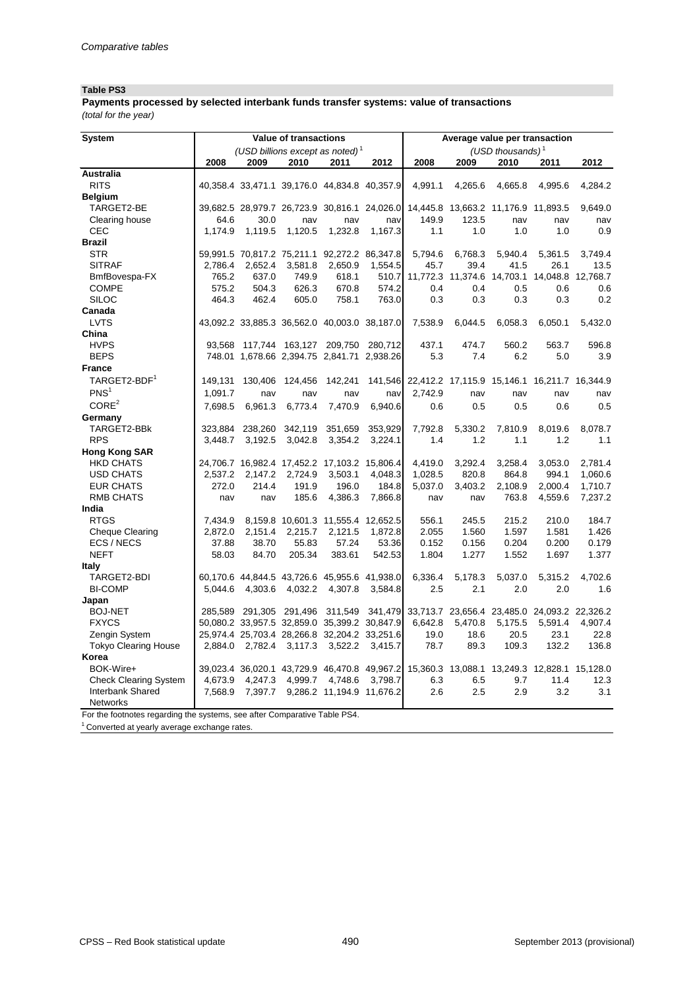### **Table PS3**

*(total for the year)* **Payments processed by selected interbank funds transfer systems: value of transactions**

| <b>System</b>                                                             |         |         | <b>Value of transactions</b> |                                              |         |                                                                                           | Average value per transaction |                     |          |          |
|---------------------------------------------------------------------------|---------|---------|------------------------------|----------------------------------------------|---------|-------------------------------------------------------------------------------------------|-------------------------------|---------------------|----------|----------|
|                                                                           |         |         |                              | (USD billions except as noted) <sup>1</sup>  |         |                                                                                           |                               | (USD thousands) $1$ |          |          |
|                                                                           | 2008    | 2009    | 2010                         | 2011                                         | 2012    | 2008                                                                                      | 2009                          | 2010                | 2011     | 2012     |
| <b>Australia</b>                                                          |         |         |                              |                                              |         |                                                                                           |                               |                     |          |          |
| <b>RITS</b>                                                               |         |         |                              | 40,358.4 33,471.1 39,176.0 44,834.8 40,357.9 |         | 4,991.1                                                                                   | 4,265.6                       | 4,665.8             | 4,995.6  | 4,284.2  |
| <b>Belgium</b>                                                            |         |         |                              |                                              |         |                                                                                           |                               |                     |          |          |
| TARGET2-BE                                                                |         |         |                              |                                              |         | 39,682.5 28,979.7 26,723.9 30,816.1 24,026.0 14,445.8 13,663.2 11,176.9 11,893.5          |                               |                     |          | 9,649.0  |
| Clearing house                                                            | 64.6    | 30.0    | nav                          | nav                                          | navl    | 149.9                                                                                     | 123.5                         | nav                 | nav      | nav      |
| <b>CEC</b>                                                                | 1,174.9 | 1,119.5 | 1,120.5                      | 1,232.8                                      | 1,167.3 | 1.1                                                                                       | 1.0                           | 1.0                 | 1.0      | 0.9      |
| <b>Brazil</b>                                                             |         |         |                              |                                              |         |                                                                                           |                               |                     |          |          |
| <b>STR</b>                                                                |         |         |                              | 59,991.5 70,817.2 75,211.1 92,272.2 86,347.8 |         | 5,794.6                                                                                   | 6,768.3                       | 5,940.4             | 5,361.5  | 3,749.4  |
| <b>SITRAF</b>                                                             | 2,786.4 | 2,652.4 | 3,581.8                      | 2,650.9                                      | 1,554.5 | 45.7                                                                                      | 39.4                          | 41.5                | 26.1     | 13.5     |
| BmfBovespa-FX                                                             | 765.2   | 637.0   | 749.9                        | 618.1                                        | 510.7   |                                                                                           | 11,772.3 11,374.6             | 14,703.1            | 14,048.8 | 12,768.7 |
| <b>COMPE</b>                                                              | 575.2   | 504.3   | 626.3                        | 670.8                                        | 574.2   | 0.4                                                                                       | 0.4                           | 0.5                 | 0.6      | 0.6      |
| <b>SILOC</b>                                                              | 464.3   | 462.4   | 605.0                        | 758.1                                        | 763.0   | 0.3                                                                                       | 0.3                           | 0.3                 | 0.3      | 0.2      |
| Canada                                                                    |         |         |                              |                                              |         |                                                                                           |                               |                     |          |          |
| <b>LVTS</b>                                                               |         |         |                              |                                              |         | 43,092.2 33,885.3 36,562.0 40,003.0 38,187.0 7,538.9                                      | 6,044.5                       | 6,058.3             | 6,050.1  | 5,432.0  |
| China                                                                     |         |         |                              |                                              |         |                                                                                           |                               |                     |          |          |
| <b>HVPS</b>                                                               |         |         |                              | 93,568 117,744 163,127 209,750 280,712       |         | 437.1                                                                                     | 474.7                         | 560.2               | 563.7    | 596.8    |
| <b>BEPS</b>                                                               |         |         |                              | 748.01 1,678.66 2,394.75 2,841.71 2,938.26   |         | 5.3                                                                                       | 7.4                           | 6.2                 | 5.0      | 3.9      |
| <b>France</b>                                                             |         |         |                              |                                              |         |                                                                                           |                               |                     |          |          |
| TARGET2-BDF <sup>1</sup>                                                  | 149,131 |         |                              |                                              |         | 130,406 124,456 142,241 141,546 22,412.2 17,115.9 15,146.1 16,211.7 16,344.9              |                               |                     |          |          |
| PNS <sup>1</sup>                                                          | 1,091.7 | nav     | nav                          | nav                                          | navl    | 2,742.9                                                                                   | nav                           | nav                 | nav      | nav      |
| CORE <sup>2</sup>                                                         | 7,698.5 | 6,961.3 | 6,773.4                      | 7,470.9                                      | 6,940.6 | 0.6                                                                                       | 0.5                           | 0.5                 | 0.6      | 0.5      |
| Germany                                                                   |         |         |                              |                                              |         |                                                                                           |                               |                     |          |          |
| TARGET2-BBk                                                               | 323,884 |         |                              | 238,260 342,119 351,659 353,929              |         | 7,792.8                                                                                   | 5,330.2                       | 7,810.9             | 8,019.6  | 8,078.7  |
| <b>RPS</b>                                                                | 3,448.7 | 3,192.5 | 3,042.8                      | 3,354.2                                      | 3,224.1 | 1.4                                                                                       | 1.2                           | 1.1                 | 1.2      | 1.1      |
| <b>Hong Kong SAR</b>                                                      |         |         |                              |                                              |         |                                                                                           |                               |                     |          |          |
| <b>HKD CHATS</b>                                                          |         |         |                              | 24,706.7 16,982.4 17,452.2 17,103.2 15,806.4 |         | 4,419.0                                                                                   | 3,292.4                       | 3,258.4             | 3,053.0  | 2,781.4  |
| <b>USD CHATS</b>                                                          | 2,537.2 |         | 2,147.2 2,724.9              | 3,503.1                                      | 4,048.3 | 1,028.5                                                                                   | 820.8                         | 864.8               | 994.1    | 1,060.6  |
| <b>EUR CHATS</b>                                                          | 272.0   | 214.4   | 191.9                        | 196.0                                        | 184.8   | 5,037.0                                                                                   | 3,403.2                       | 2,108.9             | 2,000.4  | 1,710.7  |
| <b>RMB CHATS</b>                                                          | nav     | nav     | 185.6                        | 4,386.3                                      | 7,866.8 | nav                                                                                       | nav                           | 763.8               | 4,559.6  | 7,237.2  |
| India                                                                     |         |         |                              |                                              |         |                                                                                           |                               |                     |          |          |
| <b>RTGS</b>                                                               |         |         |                              | 7,434.9 8,159.8 10,601.3 11,555.4 12,652.5   |         | 556.1                                                                                     | 245.5                         | 215.2               | 210.0    | 184.7    |
| <b>Cheque Clearing</b>                                                    |         |         |                              | 2,872.0 2,151.4 2,215.7 2,121.5              | 1,872.8 | 2.055                                                                                     | 1.560                         | 1.597               | 1.581    | 1.426    |
| ECS / NECS                                                                |         |         |                              | 37.88 38.70 55.83 57.24 53.36                |         | 0.152                                                                                     | 0.156                         | 0.204               | 0.200    | 0.179    |
| <b>NEFT</b>                                                               | 58.03   | 84.70   | 205.34                       | 383.61                                       | 542.53  | 1.804                                                                                     | 1.277                         | 1.552               | 1.697    | 1.377    |
| <b>Italy</b>                                                              |         |         |                              |                                              |         |                                                                                           |                               |                     |          |          |
| TARGET2-BDI                                                               |         |         |                              | 60,170.6 44,844.5 43,726.6 45,955.6 41,938.0 |         | 6,336.4                                                                                   | 5,178.3                       | 5,037.0             | 5,315.2  | 4,702.6  |
| <b>BI-COMP</b>                                                            |         |         |                              | 5,044.6 4,303.6 4,032.2 4,307.8              | 3,584.8 | 2.5                                                                                       | 2.1                           | 2.0                 | 2.0      | 1.6      |
| Japan                                                                     |         |         |                              |                                              |         |                                                                                           |                               |                     |          |          |
| <b>BOJ-NET</b>                                                            |         |         |                              |                                              |         | 285,589 291,305 291,496 311,549 341,479 33,713.7 23,656.4 23,485.0 24,093.2 22,326.2      |                               |                     |          |          |
| <b>FXYCS</b>                                                              |         |         |                              |                                              |         | 50,080.2 33,957.5 32,859.0 35,399.2 30,847.9 6,642.8                                      | 5,470.8                       | 5,175.5             | 5,591.4  | 4,907.4  |
| Zengin System                                                             |         |         |                              | 25,974.4 25,703.4 28,266.8 32,204.2 33,251.6 |         | 19.0                                                                                      | 18.6                          | 20.5                | 23.1     | 22.8     |
| <b>Tokyo Clearing House</b>                                               |         |         |                              | 2,884.0 2,782.4 3,117.3 3,522.2 3,415.7      |         | 78.7                                                                                      | 89.3                          | 109.3               | 132.2    | 136.8    |
| Korea                                                                     |         |         |                              |                                              |         |                                                                                           |                               |                     |          |          |
| BOK-Wire+                                                                 |         |         |                              |                                              |         | 39,023.4 36,020.1 43,729.9 46,470.8 49,967.2 15,360.3 13,088.1 13,249.3 12,828.1 15,128.0 |                               |                     |          |          |
| <b>Check Clearing System</b>                                              |         |         |                              | 4,673.9 4,247.3 4,999.7 4,748.6 3,798.7      |         | 6.3                                                                                       | 6.5                           | 9.7                 | 11.4     | 12.3     |
| Interbank Shared                                                          |         |         |                              | 7,568.9 7,397.7 9,286.2 11,194.9 11,676.2    |         | 2.6                                                                                       | 2.5                           | 2.9                 | 3.2      | 3.1      |
| Networks                                                                  |         |         |                              |                                              |         |                                                                                           |                               |                     |          |          |
| For the footnotes regarding the systems, see after Comparative Table PS4. |         |         |                              |                                              |         |                                                                                           |                               |                     |          |          |

 $1$  Converted at yearly average exchange rates.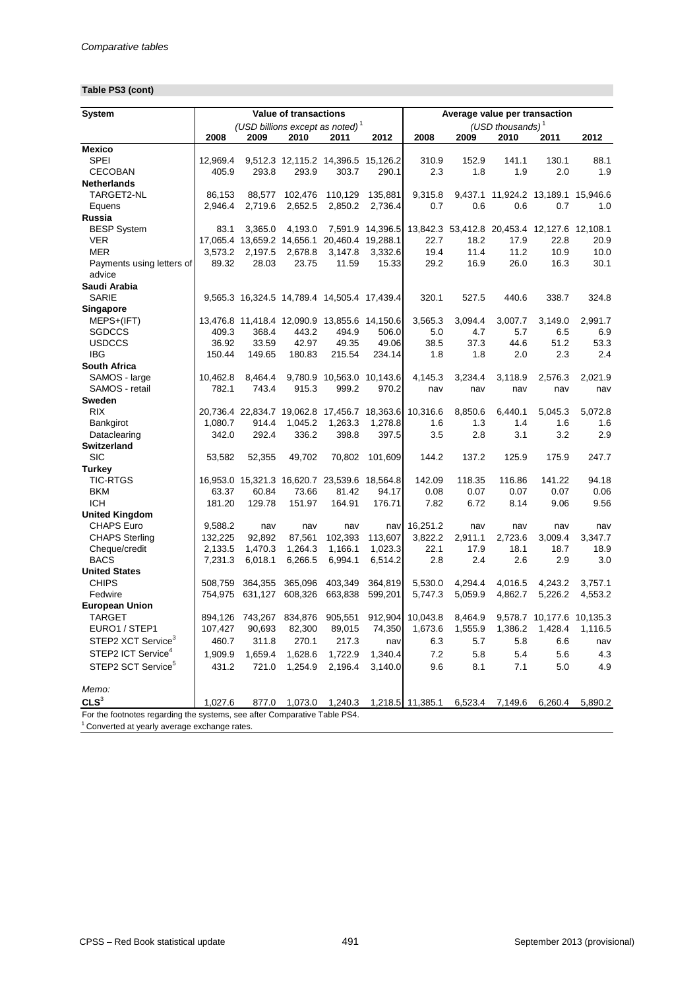# **Table PS3 (cont)**

| <b>System</b>                                                             |                    |                    | <b>Value of transactions</b> |                                                       |                    | Average value per transaction |                                              |                                    |                           |             |
|---------------------------------------------------------------------------|--------------------|--------------------|------------------------------|-------------------------------------------------------|--------------------|-------------------------------|----------------------------------------------|------------------------------------|---------------------------|-------------|
|                                                                           |                    |                    |                              | (USD billions except as noted) <sup>1</sup>           |                    |                               |                                              | (USD thousands) $1$                |                           |             |
|                                                                           | 2008               | 2009               | 2010                         | 2011                                                  | 2012               | 2008                          | 2009                                         | 2010                               | 2011                      | 2012        |
| <b>Mexico</b>                                                             |                    |                    |                              |                                                       |                    |                               |                                              |                                    |                           |             |
| <b>SPEI</b>                                                               | 12,969.4           |                    |                              | 9,512.3 12,115.2 14,396.5 15,126.2                    |                    | 310.9                         | 152.9                                        | 141.1                              | 130.1                     | 88.1        |
| <b>CECOBAN</b>                                                            | 405.9              | 293.8              | 293.9                        | 303.7                                                 | 290.1              | 2.3                           | 1.8                                          | 1.9                                | 2.0                       | 1.9         |
| <b>Netherlands</b>                                                        |                    |                    |                              |                                                       |                    |                               |                                              |                                    |                           |             |
| TARGET2-NL                                                                | 86,153             | 88,577             | 102,476                      | 110,129                                               | 135,881            | 9,315.8                       |                                              | 9,437.1 11,924.2 13,189.1 15,946.6 |                           |             |
| Equens                                                                    | 2,946.4            | 2,719.6            | 2,652.5                      | 2,850.2                                               | 2,736.4            | 0.7                           | 0.6                                          | 0.6                                | 0.7                       | 1.0         |
| Russia                                                                    |                    |                    |                              |                                                       |                    |                               |                                              |                                    |                           |             |
| <b>BESP System</b>                                                        | 83.1               | 3,365.0            | 4,193.0                      |                                                       | 7,591.9 14,396.5   |                               | 13,842.3 53,412.8 20,453.4 12,127.6 12,108.1 |                                    |                           |             |
| <b>VER</b>                                                                | 17,065.4           |                    |                              | 13,659.2 14,656.1 20,460.4                            | 19,288.1           | 22.7                          | 18.2                                         | 17.9                               | 22.8                      | 20.9        |
| <b>MER</b>                                                                | 3,573.2            | 2,197.5            | 2,678.8                      | 3,147.8                                               | 3,332.6            | 19.4                          | 11.4                                         | 11.2                               | 10.9                      | 10.0        |
| Payments using letters of<br>advice                                       | 89.32              | 28.03              | 23.75                        | 11.59                                                 | 15.33              | 29.2                          | 16.9                                         | 26.0                               | 16.3                      | 30.1        |
| Saudi Arabia                                                              |                    |                    |                              |                                                       |                    |                               |                                              |                                    |                           |             |
| <b>SARIE</b>                                                              |                    |                    |                              | 9,565.3 16,324.5 14,789.4 14,505.4 17,439.4           |                    | 320.1                         | 527.5                                        | 440.6                              | 338.7                     | 324.8       |
| <b>Singapore</b>                                                          |                    |                    |                              |                                                       |                    |                               |                                              |                                    |                           |             |
| MEPS+(IFT)                                                                |                    |                    |                              | 13,476.8 11,418.4 12,090.9 13,855.6 14,150.6          |                    | 3,565.3                       | 3,094.4                                      | 3,007.7                            | 3,149.0                   | 2,991.7     |
| <b>SGDCCS</b>                                                             | 409.3              | 368.4              | 443.2                        | 494.9                                                 | 506.0              | 5.0                           | 4.7                                          | 5.7                                | 6.5                       | 6.9         |
| <b>USDCCS</b>                                                             | 36.92              | 33.59              | 42.97                        | 49.35                                                 | 49.06              | 38.5                          | 37.3                                         | 44.6                               | 51.2                      | 53.3        |
| <b>IBG</b>                                                                | 150.44             | 149.65             | 180.83                       | 215.54                                                | 234.14             | 1.8                           | 1.8                                          | 2.0                                | 2.3                       | 2.4         |
| <b>South Africa</b>                                                       |                    |                    |                              |                                                       |                    |                               |                                              |                                    |                           |             |
| SAMOS - large                                                             | 10,462.8           | 8,464.4            |                              | 9,780.9 10,563.0 10,143.6                             |                    | 4,145.3                       | 3,234.4                                      | 3,118.9                            | 2,576.3                   | 2,021.9     |
| SAMOS - retail                                                            | 782.1              | 743.4              | 915.3                        | 999.2                                                 | 970.2              | nav                           | nav                                          | nav                                | nav                       | nav         |
| <b>Sweden</b>                                                             |                    |                    |                              |                                                       |                    |                               |                                              |                                    |                           |             |
| <b>RIX</b>                                                                |                    |                    |                              | 20,736.4 22,834.7 19,062.8 17,456.7 18,363.6 10,316.6 |                    |                               | 8,850.6                                      | 6,440.1                            | 5,045.3                   | 5,072.8     |
| Bankgirot                                                                 | 1,080.7            | 914.4              | 1,045.2                      | 1,263.3                                               | 1,278.8            | 1.6                           | 1.3                                          | 1.4                                | 1.6                       | 1.6         |
| Dataclearing                                                              | 342.0              | 292.4              | 336.2                        | 398.8                                                 | 397.5              | 3.5                           | 2.8                                          | 3.1                                | 3.2                       | 2.9         |
| <b>Switzerland</b>                                                        |                    |                    |                              |                                                       |                    |                               |                                              |                                    |                           |             |
| <b>SIC</b>                                                                | 53,582             | 52,355             | 49,702                       | 70,802                                                | 101,609            | 144.2                         | 137.2                                        | 125.9                              | 175.9                     | 247.7       |
| <b>Turkey</b>                                                             |                    |                    |                              |                                                       |                    |                               |                                              |                                    |                           |             |
| <b>TIC-RTGS</b>                                                           |                    |                    |                              | 16,953.0 15,321.3 16,620.7 23,539.6 18,564.8          |                    | 142.09                        | 118.35                                       | 116.86                             | 141.22                    | 94.18       |
| <b>BKM</b>                                                                | 63.37              | 60.84              | 73.66                        | 81.42                                                 | 94.17              | 0.08                          | 0.07                                         | 0.07                               | 0.07                      | 0.06        |
| <b>ICH</b>                                                                | 181.20             | 129.78             | 151.97                       | 164.91                                                | 176.71             | 7.82                          | 6.72                                         | 8.14                               | 9.06                      | 9.56        |
| <b>United Kingdom</b>                                                     |                    |                    |                              |                                                       |                    |                               |                                              |                                    |                           |             |
| <b>CHAPS Euro</b>                                                         | 9,588.2            | nav                | nav                          | nav                                                   | navl               | 16,251.2                      | nav                                          | nav                                | nav<br>3,009.4            | nav         |
| <b>CHAPS Sterling</b>                                                     | 132,225            | 92,892             | 87,561                       | 102,393                                               | 113,607            | 3,822.2                       | 2,911.1<br>17.9                              | 2,723.6                            |                           | 3,347.7     |
| Cheque/credit<br><b>BACS</b>                                              | 2,133.5<br>7,231.3 | 1,470.3<br>6,018.1 | 1,264.3<br>6,266.5           | 1,166.1<br>6,994.1                                    | 1,023.3<br>6,514.2 | 22.1<br>2.8                   | 2.4                                          | 18.1<br>2.6                        | 18.7<br>2.9               | 18.9<br>3.0 |
| <b>United States</b>                                                      |                    |                    |                              |                                                       |                    |                               |                                              |                                    |                           |             |
| <b>CHIPS</b>                                                              | 508,759            | 364,355            | 365,096                      | 403,349                                               | 364,819            | 5,530.0                       | 4,294.4                                      | 4,016.5                            | 4,243.2                   | 3,757.1     |
| Fedwire                                                                   | 754,975            | 631,127            | 608,326                      | 663,838                                               | 599,201            | 5,747.3                       | 5,059.9                                      | 4,862.7                            | 5,226.2                   | 4,553.2     |
| <b>European Union</b>                                                     |                    |                    |                              |                                                       |                    |                               |                                              |                                    |                           |             |
| <b>TARGET</b>                                                             | 894,126            |                    | 743,267 834,876              | 905,551                                               | 912,904            | 10,043.8                      | 8,464.9                                      |                                    | 9,578.7 10,177.6 10,135.3 |             |
| EURO1 / STEP1                                                             | 107,427            | 90,693             | 82,300                       | 89,015                                                | 74,350             | 1,673.6                       | 1,555.9                                      | 1,386.2                            | 1,428.4                   | 1,116.5     |
| STEP2 XCT Service <sup>3</sup>                                            | 460.7              | 311.8              | 270.1                        | 217.3                                                 |                    | 6.3                           | 5.7                                          | 5.8                                | 6.6                       |             |
|                                                                           |                    |                    |                              |                                                       | nav                |                               |                                              |                                    |                           | nav         |
| STEP2 ICT Service <sup>4</sup>                                            | 1,909.9            | 1,659.4            | 1,628.6                      | 1,722.9                                               | 1,340.4            | 7.2                           | 5.8                                          | 5.4                                | 5.6                       | 4.3         |
| STEP2 SCT Service <sup>5</sup>                                            | 431.2              | 721.0              | 1,254.9                      | 2,196.4                                               | 3,140.0            | 9.6                           | 8.1                                          | 7.1                                | 5.0                       | 4.9         |
| Memo:                                                                     |                    |                    |                              |                                                       |                    |                               |                                              |                                    |                           |             |
| CLS <sup>3</sup>                                                          | 1,027.6            | 877.0              | 1,073.0                      | 1,240.3                                               |                    | 1,218.5 11,385.1              | 6,523.4                                      | 7,149.6                            | 6,260.4                   | 5,890.2     |
| For the footnotes regarding the systems, see after Comparative Table PS4. |                    |                    |                              |                                                       |                    |                               |                                              |                                    |                           |             |

<sup>1</sup> Converted at yearly average exchange rates.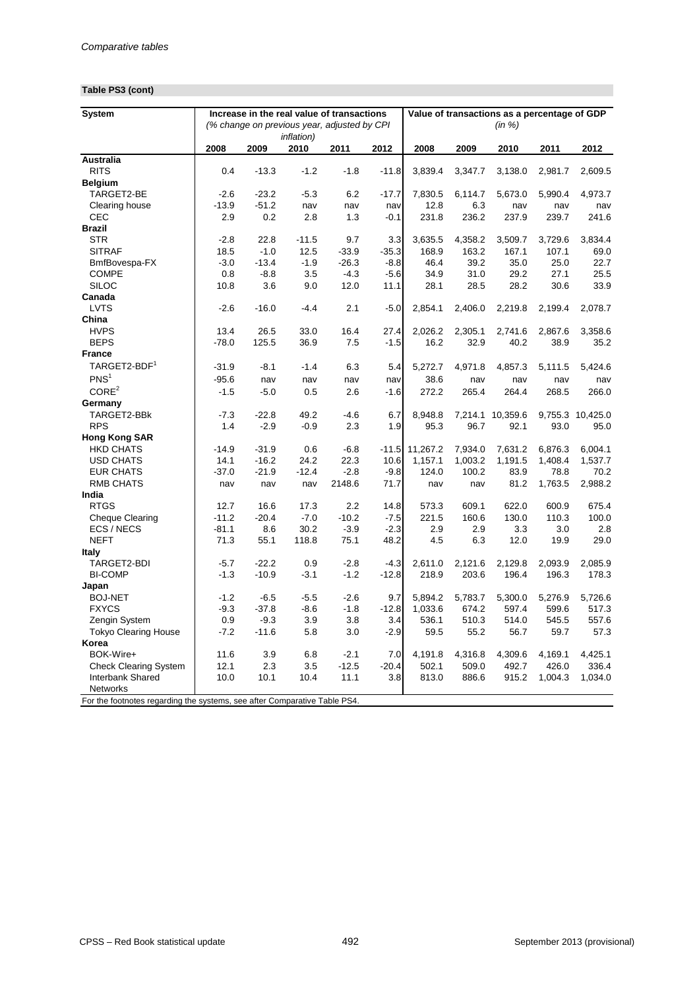# **Table PS3 (cont)**

| <b>System</b>                                                             |         | Increase in the real value of transactions  |                    |         |         | Value of transactions as a percentage of GDP |         |                  |         |                  |
|---------------------------------------------------------------------------|---------|---------------------------------------------|--------------------|---------|---------|----------------------------------------------|---------|------------------|---------|------------------|
|                                                                           |         | (% change on previous year, adjusted by CPI |                    |         |         |                                              |         | (in %)           |         |                  |
|                                                                           |         |                                             | <i>inflation</i> ) |         |         |                                              |         |                  |         |                  |
|                                                                           | 2008    | 2009                                        | 2010               | 2011    | 2012    | 2008                                         | 2009    | 2010             | 2011    | 2012             |
| <b>Australia</b>                                                          |         |                                             |                    |         |         |                                              |         |                  |         |                  |
| <b>RITS</b>                                                               | 0.4     | $-13.3$                                     | $-1.2$             | $-1.8$  | $-11.8$ | 3,839.4                                      | 3,347.7 | 3,138.0          | 2,981.7 | 2,609.5          |
| <b>Belgium</b>                                                            |         |                                             |                    |         |         |                                              |         |                  |         |                  |
| TARGET2-BE                                                                | $-2.6$  | $-23.2$                                     | $-5.3$             | 6.2     | $-17.7$ | 7,830.5                                      | 6,114.7 | 5,673.0          | 5,990.4 | 4,973.7          |
| Clearing house                                                            | $-13.9$ | $-51.2$                                     | nav                | nav     | nav     | 12.8                                         | 6.3     | nav              | nav     | nav              |
| <b>CEC</b>                                                                | 2.9     | 0.2                                         | 2.8                | 1.3     | $-0.1$  | 231.8                                        | 236.2   | 237.9            | 239.7   | 241.6            |
| <b>Brazil</b>                                                             |         |                                             |                    |         |         |                                              |         |                  |         |                  |
| <b>STR</b>                                                                | $-2.8$  | 22.8                                        | $-11.5$            | 9.7     | 3.3     | 3,635.5                                      | 4,358.2 | 3,509.7          | 3,729.6 | 3,834.4          |
| <b>SITRAF</b>                                                             | 18.5    | $-1.0$                                      | 12.5               | $-33.9$ | $-35.3$ | 168.9                                        | 163.2   | 167.1            | 107.1   | 69.0             |
| BmfBovespa-FX                                                             | $-3.0$  | $-13.4$                                     | $-1.9$             | $-26.3$ | $-8.8$  | 46.4                                         | 39.2    | 35.0             | 25.0    | 22.7             |
| <b>COMPE</b>                                                              | 0.8     | $-8.8$                                      | 3.5                | $-4.3$  | $-5.6$  | 34.9                                         | 31.0    | 29.2             | 27.1    | 25.5             |
| <b>SILOC</b>                                                              | 10.8    | 3.6                                         | 9.0                | 12.0    | 11.1    | 28.1                                         | 28.5    | 28.2             | 30.6    | 33.9             |
| Canada                                                                    |         |                                             |                    |         |         |                                              |         |                  |         |                  |
| <b>LVTS</b>                                                               | $-2.6$  | $-16.0$                                     | $-4.4$             | 2.1     | $-5.0$  | 2,854.1                                      | 2,406.0 | 2,219.8          | 2,199.4 | 2,078.7          |
| China                                                                     |         |                                             |                    |         |         |                                              |         |                  |         |                  |
| <b>HVPS</b>                                                               | 13.4    | 26.5                                        | 33.0               | 16.4    | 27.4    | 2,026.2                                      | 2,305.1 | 2,741.6          | 2,867.6 | 3,358.6          |
| <b>BEPS</b>                                                               | $-78.0$ | 125.5                                       | 36.9               | 7.5     | $-1.5$  | 16.2                                         | 32.9    | 40.2             | 38.9    | 35.2             |
| <b>France</b>                                                             |         |                                             |                    |         |         |                                              |         |                  |         |                  |
| TARGET2-BDF <sup>1</sup>                                                  | $-31.9$ | $-8.1$                                      | $-1.4$             | 6.3     | 5.4     | 5,272.7                                      | 4,971.8 | 4,857.3          | 5,111.5 | 5,424.6          |
| PNS <sup>1</sup>                                                          | $-95.6$ | nav                                         | nav                | nav     | nav     | 38.6                                         | nav     | nav              | nav     | nav              |
| CORE <sup>2</sup>                                                         | $-1.5$  | $-5.0$                                      | 0.5                | 2.6     | $-1.6$  | 272.2                                        | 265.4   | 264.4            | 268.5   | 266.0            |
| Germany                                                                   |         |                                             |                    |         |         |                                              |         |                  |         |                  |
| TARGET2-BBK                                                               | $-7.3$  | $-22.8$                                     | 49.2               | $-4.6$  | 6.7     | 8,948.8                                      |         | 7,214.1 10,359.6 |         | 9,755.3 10,425.0 |
| <b>RPS</b>                                                                | 1.4     | $-2.9$                                      | $-0.9$             | 2.3     | 1.9     | 95.3                                         | 96.7    | 92.1             | 93.0    | 95.0             |
| <b>Hong Kong SAR</b>                                                      |         |                                             |                    |         |         |                                              |         |                  |         |                  |
| <b>HKD CHATS</b>                                                          | $-14.9$ | $-31.9$                                     | 0.6                | $-6.8$  | $-11.5$ | 11,267.2                                     | 7,934.0 | 7,631.2          | 6,876.3 | 6,004.1          |
| <b>USD CHATS</b>                                                          | 14.1    | $-16.2$                                     | 24.2               | 22.3    | 10.6    | 1,157.1                                      | 1,003.2 | 1,191.5          | 1,408.4 | 1,537.7          |
| <b>EUR CHATS</b>                                                          | $-37.0$ | $-21.9$                                     | $-12.4$            | $-2.8$  | $-9.8$  | 124.0                                        | 100.2   | 83.9             | 78.8    | 70.2             |
| <b>RMB CHATS</b>                                                          | nav     | nav                                         | nav                | 2148.6  | 71.7    | nav                                          | nav     | 81.2             | 1,763.5 | 2,988.2          |
| India                                                                     |         |                                             |                    |         |         |                                              |         |                  |         |                  |
| <b>RTGS</b>                                                               | 12.7    | 16.6                                        | 17.3               | 2.2     | 14.8    | 573.3                                        | 609.1   | 622.0            | 600.9   | 675.4            |
| <b>Cheque Clearing</b>                                                    | $-11.2$ | $-20.4$                                     | $-7.0$             | $-10.2$ | $-7.5$  | 221.5                                        | 160.6   | 130.0            | 110.3   | 100.0            |
| ECS / NECS                                                                | $-81.1$ | 8.6                                         | 30.2               | $-3.9$  | $-2.3$  | 2.9                                          | 2.9     | 3.3              | 3.0     | 2.8              |
| <b>NEFT</b>                                                               | 71.3    | 55.1                                        | 118.8              | 75.1    | 48.2    | 4.5                                          | 6.3     | 12.0             | 19.9    | 29.0             |
| <b>Italy</b>                                                              |         |                                             |                    |         |         |                                              |         |                  |         |                  |
| TARGET2-BDI                                                               | $-5.7$  | $-22.2$                                     | 0.9                | $-2.8$  | $-4.3$  | 2,611.0                                      | 2,121.6 | 2,129.8          | 2,093.9 | 2,085.9          |
| <b>BI-COMP</b>                                                            | $-1.3$  | $-10.9$                                     | $-3.1$             | $-1.2$  | $-12.8$ | 218.9                                        | 203.6   | 196.4            | 196.3   | 178.3            |
| Japan                                                                     |         |                                             |                    |         |         |                                              |         |                  |         |                  |
| <b>BOJ-NET</b>                                                            | $-1.2$  | $-6.5$                                      | $-5.5$             | $-2.6$  | 9.7     | 5,894.2                                      | 5,783.7 | 5,300.0          | 5,276.9 | 5,726.6          |
| <b>FXYCS</b>                                                              | $-9.3$  | $-37.8$                                     | $-8.6$             | $-1.8$  | $-12.8$ | 1,033.6                                      | 674.2   | 597.4            | 599.6   | 517.3            |
| Zengin System                                                             | 0.9     | $-9.3$                                      | 3.9                | 3.8     | 3.4     | 536.1                                        | 510.3   | 514.0            | 545.5   | 557.6            |
| <b>Tokyo Clearing House</b>                                               | $-7.2$  | $-11.6$                                     | 5.8                | 3.0     | $-2.9$  | 59.5                                         | 55.2    | 56.7             | 59.7    | 57.3             |
| Korea                                                                     |         |                                             |                    |         |         |                                              |         |                  |         |                  |
| BOK-Wire+                                                                 | 11.6    | 3.9                                         | 6.8                | $-2.1$  | 7.0     | 4,191.8                                      | 4,316.8 | 4,309.6          | 4,169.1 | 4,425.1          |
| <b>Check Clearing System</b>                                              | 12.1    | 2.3                                         | 3.5                | $-12.5$ | $-20.4$ | 502.1                                        | 509.0   | 492.7            | 426.0   | 336.4            |
| Interbank Shared                                                          | 10.0    | 10.1                                        | 10.4               | 11.1    | 3.8     | 813.0                                        | 886.6   | 915.2            | 1,004.3 | 1,034.0          |
| Networks                                                                  |         |                                             |                    |         |         |                                              |         |                  |         |                  |
| For the footnotes regarding the systems, see after Comparative Table PS4. |         |                                             |                    |         |         |                                              |         |                  |         |                  |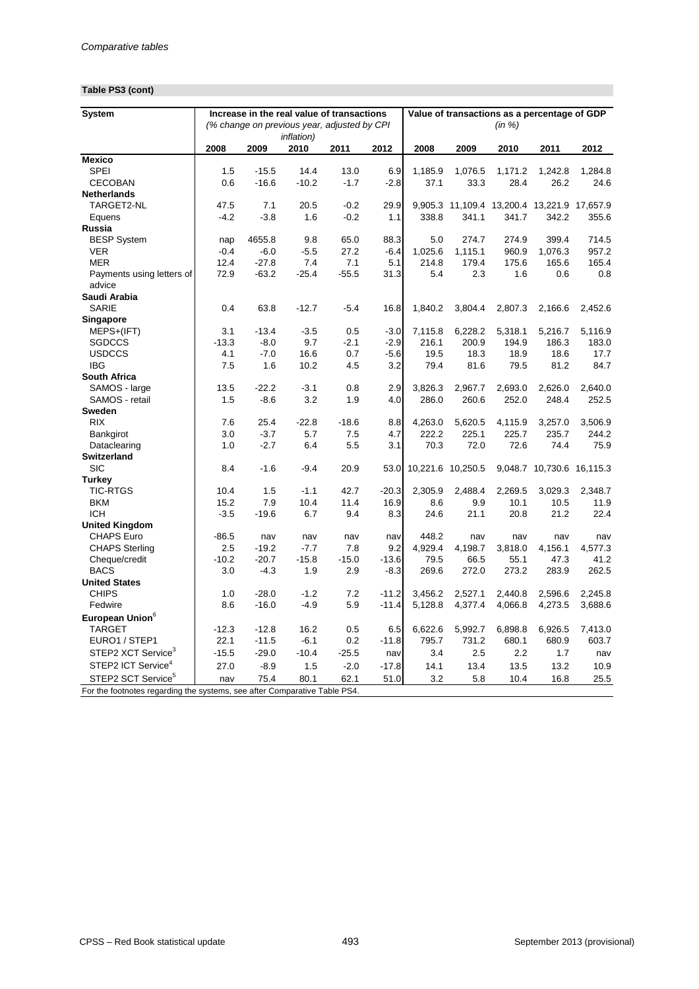# **Table PS3 (cont)**

| <b>System</b>                   |             |         |                    | Increase in the real value of transactions                                |            |                        | Value of transactions as a percentage of GDP |                  |                           |                  |
|---------------------------------|-------------|---------|--------------------|---------------------------------------------------------------------------|------------|------------------------|----------------------------------------------|------------------|---------------------------|------------------|
|                                 |             |         |                    | (% change on previous year, adjusted by CPI                               |            |                        |                                              | (in %)           |                           |                  |
|                                 |             |         | <i>inflation</i> ) |                                                                           |            |                        |                                              |                  |                           |                  |
|                                 | 2008        | 2009    | 2010               | 2011                                                                      | 2012       | 2008                   | 2009                                         | 2010             | 2011                      | 2012             |
| <b>Mexico</b>                   |             |         |                    |                                                                           |            |                        |                                              |                  |                           |                  |
| <b>SPEI</b>                     | 1.5         | $-15.5$ | 14.4               | 13.0                                                                      | 6.9        | 1,185.9                | 1,076.5                                      | 1,171.2          | 1,242.8                   | 1,284.8          |
| <b>CECOBAN</b>                  | 0.6         | $-16.6$ | $-10.2$            | $-1.7$                                                                    | $-2.8$     | 37.1                   | 33.3                                         | 28.4             | 26.2                      | 24.6             |
| <b>Netherlands</b>              |             |         |                    |                                                                           |            |                        |                                              |                  |                           |                  |
| TARGET2-NL                      | 47.5        | 7.1     | 20.5               | $-0.2$                                                                    | 29.9       |                        | 9,905.3 11,109.4 13,200.4 13,221.9 17,657.9  |                  |                           |                  |
| Equens                          | $-4.2$      | $-3.8$  | 1.6                | $-0.2$                                                                    | 1.1        | 338.8                  | 341.1                                        | 341.7            | 342.2                     | 355.6            |
| Russia                          |             |         |                    |                                                                           |            |                        |                                              |                  |                           |                  |
| <b>BESP System</b>              | nap         | 4655.8  | 9.8                | 65.0                                                                      | 88.3       | 5.0                    | 274.7                                        | 274.9            | 399.4                     | 714.5            |
| <b>VER</b>                      | $-0.4$      | $-6.0$  | $-5.5$             | 27.2                                                                      | $-6.4$     | 1,025.6                | 1,115.1                                      | 960.9            | 1,076.3                   | 957.2            |
| <b>MER</b>                      | 12.4        | $-27.8$ | 7.4                | 7.1                                                                       | 5.1        | 214.8                  | 179.4                                        | 175.6            | 165.6                     | 165.4            |
| Payments using letters of       | 72.9        | $-63.2$ | $-25.4$            | $-55.5$                                                                   | 31.3       | 5.4                    | 2.3                                          | 1.6              | 0.6                       | 0.8              |
| advice                          |             |         |                    |                                                                           |            |                        |                                              |                  |                           |                  |
| Saudi Arabia                    |             |         |                    |                                                                           |            |                        |                                              |                  |                           |                  |
| <b>SARIE</b>                    | 0.4         | 63.8    | $-12.7$            | $-5.4$                                                                    | 16.8       | 1,840.2                | 3,804.4                                      | 2,807.3          | 2,166.6                   | 2,452.6          |
| <b>Singapore</b>                |             |         |                    |                                                                           |            |                        |                                              |                  |                           |                  |
| MEPS+(IFT)<br><b>SGDCCS</b>     | 3.1         | $-13.4$ | $-3.5$<br>9.7      | 0.5                                                                       | $-3.0$     | 7,115.8                | 6,228.2                                      | 5,318.1          | 5,216.7                   | 5,116.9          |
|                                 | $-13.3$     | $-8.0$  |                    | $-2.1$                                                                    | $-2.9$     | 216.1                  | 200.9                                        | 194.9            | 186.3                     | 183.0            |
| <b>USDCCS</b><br><b>IBG</b>     | 4.1         | $-7.0$  | 16.6               | 0.7                                                                       | $-5.6$     | 19.5                   | 18.3                                         | 18.9             | 18.6                      | 17.7             |
|                                 | 7.5         | 1.6     | 10.2               | 4.5                                                                       | 3.2        | 79.4                   | 81.6                                         | 79.5             | 81.2                      | 84.7             |
| <b>South Africa</b>             |             | $-22.2$ | $-3.1$             |                                                                           |            |                        |                                              |                  |                           |                  |
| SAMOS - large<br>SAMOS - retail | 13.5<br>1.5 | $-8.6$  | 3.2                | 0.8<br>1.9                                                                | 2.9<br>4.0 | 3,826.3<br>286.0       | 2,967.7<br>260.6                             | 2,693.0<br>252.0 | 2,626.0<br>248.4          | 2,640.0<br>252.5 |
| <b>Sweden</b>                   |             |         |                    |                                                                           |            |                        |                                              |                  |                           |                  |
| <b>RIX</b>                      | 7.6         | 25.4    | $-22.8$            | $-18.6$                                                                   | 8.8        | 4,263.0                | 5,620.5                                      | 4,115.9          | 3,257.0                   | 3,506.9          |
| Bankgirot                       | 3.0         | $-3.7$  | 5.7                | 7.5                                                                       | 4.7        | 222.2                  | 225.1                                        | 225.7            | 235.7                     | 244.2            |
| Dataclearing                    | 1.0         | $-2.7$  | 6.4                | 5.5                                                                       | 3.1        | 70.3                   | 72.0                                         | 72.6             | 74.4                      | 75.9             |
| <b>Switzerland</b>              |             |         |                    |                                                                           |            |                        |                                              |                  |                           |                  |
| <b>SIC</b>                      | 8.4         | $-1.6$  | $-9.4$             | 20.9                                                                      |            | 53.0 10,221.6 10,250.5 |                                              |                  | 9,048.7 10,730.6 16,115.3 |                  |
| <b>Turkey</b>                   |             |         |                    |                                                                           |            |                        |                                              |                  |                           |                  |
| <b>TIC-RTGS</b>                 | 10.4        | 1.5     | $-1.1$             | 42.7                                                                      | $-20.3$    | 2,305.9                | 2,488.4                                      | 2,269.5          | 3,029.3                   | 2,348.7          |
| <b>BKM</b>                      | 15.2        | 7.9     | 10.4               | 11.4                                                                      | 16.9       | 8.6                    | 9.9                                          | 10.1             | 10.5                      | 11.9             |
| <b>ICH</b>                      | $-3.5$      | $-19.6$ | 6.7                | 9.4                                                                       | 8.3        | 24.6                   | 21.1                                         | 20.8             | 21.2                      | 22.4             |
| <b>United Kingdom</b>           |             |         |                    |                                                                           |            |                        |                                              |                  |                           |                  |
| <b>CHAPS Euro</b>               | $-86.5$     | nav     | nav                | nav                                                                       | nav        | 448.2                  | nav                                          | nav              | nav                       | nav              |
| <b>CHAPS Sterling</b>           | 2.5         | $-19.2$ | $-7.7$             | 7.8                                                                       | 9.2        | 4,929.4                | 4,198.7                                      | 3,818.0          | 4,156.1                   | 4,577.3          |
| Cheque/credit                   | $-10.2$     | $-20.7$ | $-15.8$            | $-15.0$                                                                   | $-13.6$    | 79.5                   | 66.5                                         | 55.1             | 47.3                      | 41.2             |
| <b>BACS</b>                     | 3.0         | $-4.3$  | 1.9                | 2.9                                                                       | $-8.3$     | 269.6                  | 272.0                                        | 273.2            | 283.9                     | 262.5            |
| <b>United States</b>            |             |         |                    |                                                                           |            |                        |                                              |                  |                           |                  |
| <b>CHIPS</b>                    | 1.0         | $-28.0$ | $-1.2$             | 7.2                                                                       | $-11.2$    | 3,456.2                | 2,527.1                                      | 2,440.8          | 2,596.6                   | 2,245.8          |
| Fedwire                         | 8.6         | $-16.0$ | $-4.9$             | 5.9                                                                       | $-11.4$    | 5,128.8                | 4,377.4                                      | 4,066.8          | 4,273.5                   | 3,688.6          |
| European Union <sup>6</sup>     |             |         |                    |                                                                           |            |                        |                                              |                  |                           |                  |
| <b>TARGET</b>                   | $-12.3$     | $-12.8$ | 16.2               | 0.5                                                                       | 6.5        | 6,622.6                | 5,992.7                                      | 6,898.8          | 6,926.5                   | 7,413.0          |
| EURO1 / STEP1                   | 22.1        | $-11.5$ | $-6.1$             | 0.2                                                                       | $-11.8$    | 795.7                  | 731.2                                        | 680.1            | 680.9                     | 603.7            |
| STEP2 XCT Service <sup>3</sup>  | $-15.5$     | $-29.0$ | $-10.4$            | $-25.5$                                                                   | nav        | 3.4                    | 2.5                                          | 2.2              | 1.7                       | nav              |
| STEP2 ICT Service <sup>4</sup>  | 27.0        | $-8.9$  | 1.5                | $-2.0$                                                                    | $-17.8$    | 14.1                   | 13.4                                         | 13.5             | 13.2                      | 10.9             |
| STEP2 SCT Service <sup>5</sup>  | nav         | 75.4    | 80.1               | 62.1                                                                      | 51.0       | 3.2                    | 5.8                                          | 10.4             | 16.8                      | 25.5             |
|                                 |             |         |                    | For the footnotes regarding the systems, see after Comparative Table PS4. |            |                        |                                              |                  |                           |                  |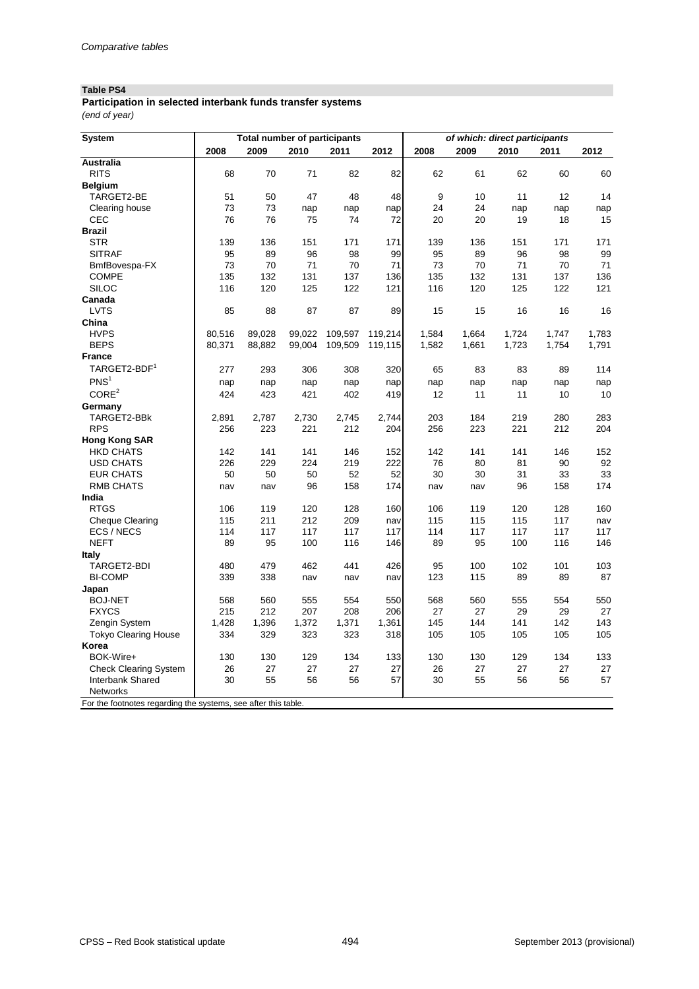## **Table PS4**

| Participation in selected interbank funds transfer systems |  |
|------------------------------------------------------------|--|
| (end of year)                                              |  |

| <b>System</b>                                                  |        | <b>Total number of participants</b> |        |         |         | of which: direct participants |       |       |       |       |  |
|----------------------------------------------------------------|--------|-------------------------------------|--------|---------|---------|-------------------------------|-------|-------|-------|-------|--|
|                                                                | 2008   | 2009                                | 2010   | 2011    | 2012    | 2008                          | 2009  | 2010  | 2011  | 2012  |  |
| <b>Australia</b>                                               |        |                                     |        |         |         |                               |       |       |       |       |  |
| <b>RITS</b>                                                    | 68     | 70                                  | 71     | 82      | 82      | 62                            | 61    | 62    | 60    | 60    |  |
| <b>Belgium</b>                                                 |        |                                     |        |         |         |                               |       |       |       |       |  |
| TARGET2-BE                                                     | 51     | 50                                  | 47     | 48      | 48      | 9                             | 10    | 11    | 12    | 14    |  |
| Clearing house                                                 | 73     | 73                                  | nap    | nap     | nap     | 24                            | 24    | nap   | nap   | nap   |  |
| <b>CEC</b>                                                     | 76     | 76                                  | 75     | 74      | 72      | 20                            | 20    | 19    | 18    | 15    |  |
| <b>Brazil</b>                                                  |        |                                     |        |         |         |                               |       |       |       |       |  |
| <b>STR</b>                                                     | 139    | 136                                 | 151    | 171     | 171     | 139                           | 136   | 151   | 171   | 171   |  |
| <b>SITRAF</b>                                                  | 95     | 89                                  | 96     | 98      | 99      | 95                            | 89    | 96    | 98    | 99    |  |
| BmfBovespa-FX                                                  | 73     | 70                                  | 71     | 70      | 71      | 73                            | 70    | 71    | 70    | 71    |  |
| <b>COMPE</b>                                                   | 135    | 132                                 | 131    | 137     | 136     | 135                           | 132   | 131   | 137   | 136   |  |
| <b>SILOC</b>                                                   | 116    | 120                                 | 125    | 122     | 121     | 116                           | 120   | 125   | 122   | 121   |  |
| Canada                                                         |        |                                     |        |         |         |                               |       |       |       |       |  |
| <b>LVTS</b>                                                    | 85     | 88                                  | 87     | 87      | 89      | 15                            | 15    | 16    | 16    | 16    |  |
| China                                                          |        |                                     |        |         |         |                               |       |       |       |       |  |
| <b>HVPS</b>                                                    | 80,516 | 89,028                              | 99,022 | 109,597 | 119,214 | 1,584                         | 1,664 | 1,724 | 1,747 | 1,783 |  |
| <b>BEPS</b>                                                    | 80,371 | 88,882                              | 99,004 | 109,509 | 119,115 | 1,582                         | 1,661 | 1,723 | 1,754 | 1,791 |  |
| <b>France</b>                                                  |        |                                     |        |         |         |                               |       |       |       |       |  |
| TARGET2-BDF <sup>1</sup>                                       | 277    | 293                                 | 306    | 308     | 320     | 65                            | 83    | 83    | 89    | 114   |  |
| PNS <sup>1</sup>                                               |        |                                     |        |         |         |                               |       |       |       |       |  |
| CORE <sup>2</sup>                                              | nap    | nap                                 | nap    | nap     | nap     | nap                           | nap   | nap   | nap   | nap   |  |
|                                                                | 424    | 423                                 | 421    | 402     | 419     | 12                            | 11    | 11    | 10    | 10    |  |
| Germany                                                        |        |                                     |        |         |         |                               |       |       |       |       |  |
| TARGET2-BBk                                                    | 2,891  | 2,787                               | 2,730  | 2,745   | 2,744   | 203                           | 184   | 219   | 280   | 283   |  |
| <b>RPS</b>                                                     | 256    | 223                                 | 221    | 212     | 204     | 256                           | 223   | 221   | 212   | 204   |  |
| <b>Hong Kong SAR</b>                                           |        |                                     |        |         |         |                               |       |       |       |       |  |
| <b>HKD CHATS</b>                                               | 142    | 141                                 | 141    | 146     | 152     | 142                           | 141   | 141   | 146   | 152   |  |
| <b>USD CHATS</b>                                               | 226    | 229                                 | 224    | 219     | 222     | 76                            | 80    | 81    | 90    | 92    |  |
| <b>EUR CHATS</b>                                               | 50     | 50                                  | 50     | 52      | 52      | 30                            | 30    | 31    | 33    | 33    |  |
| <b>RMB CHATS</b>                                               | nav    | nav                                 | 96     | 158     | 174     | nav                           | nav   | 96    | 158   | 174   |  |
| India                                                          |        |                                     |        |         |         |                               |       |       |       |       |  |
| <b>RTGS</b>                                                    | 106    | 119                                 | 120    | 128     | 160     | 106                           | 119   | 120   | 128   | 160   |  |
| <b>Cheque Clearing</b>                                         | 115    | 211                                 | 212    | 209     | nav     | 115                           | 115   | 115   | 117   | nav   |  |
| ECS / NECS                                                     | 114    | 117                                 | 117    | 117     | 117     | 114                           | 117   | 117   | 117   | 117   |  |
| <b>NEFT</b>                                                    | 89     | 95                                  | 100    | 116     | 146     | 89                            | 95    | 100   | 116   | 146   |  |
| <b>Italy</b>                                                   |        |                                     |        |         |         |                               |       |       |       |       |  |
| TARGET2-BDI                                                    | 480    | 479                                 | 462    | 441     | 426     | 95                            | 100   | 102   | 101   | 103   |  |
| <b>BI-COMP</b>                                                 | 339    | 338                                 | nav    | nav     | nav     | 123                           | 115   | 89    | 89    | 87    |  |
| Japan                                                          |        |                                     |        |         |         |                               |       |       |       |       |  |
| <b>BOJ-NET</b>                                                 | 568    | 560                                 | 555    | 554     | 550     | 568                           | 560   | 555   | 554   | 550   |  |
| <b>FXYCS</b>                                                   | 215    | 212                                 | 207    | 208     | 206     | 27                            | 27    | 29    | 29    | 27    |  |
| Zengin System                                                  | 1,428  | 1,396                               | 1,372  | 1,371   | 1,361   | 145                           | 144   | 141   | 142   | 143   |  |
| <b>Tokyo Clearing House</b>                                    | 334    | 329                                 | 323    | 323     | 318     | 105                           | 105   | 105   | 105   | 105   |  |
| Korea                                                          |        |                                     |        |         |         |                               |       |       |       |       |  |
| BOK-Wire+                                                      | 130    | 130                                 | 129    | 134     | 133     | 130                           | 130   | 129   | 134   | 133   |  |
| <b>Check Clearing System</b>                                   | 26     | 27                                  | 27     | 27      | 27      | 26                            | 27    | 27    | 27    | 27    |  |
| Interbank Shared                                               | 30     | 55                                  | 56     | 56      | 57      | 30                            | 55    | 56    | 56    | 57    |  |
| <b>Networks</b>                                                |        |                                     |        |         |         |                               |       |       |       |       |  |
| For the footnotes regarding the systems, see after this table. |        |                                     |        |         |         |                               |       |       |       |       |  |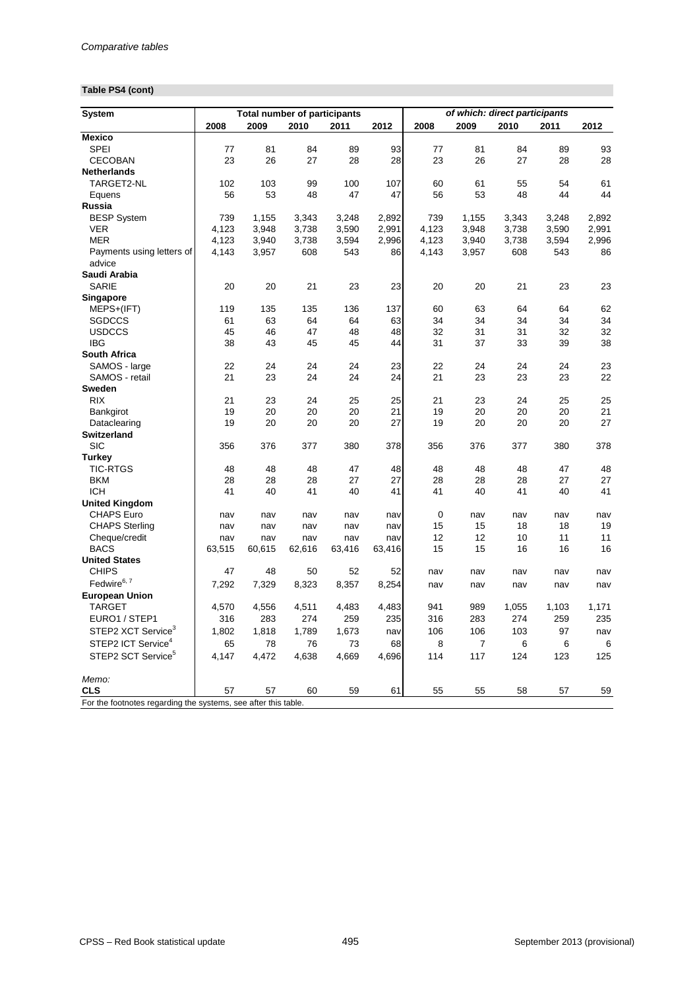# **Table PS4 (cont)**

| of which: direct participants<br><b>Total number of participants</b><br><b>System</b><br>2009<br>2012<br>2008<br>2009<br>2008<br>2010<br>2011<br>2010<br>2011 | 2012  |
|---------------------------------------------------------------------------------------------------------------------------------------------------------------|-------|
|                                                                                                                                                               |       |
| <b>Mexico</b>                                                                                                                                                 |       |
| <b>SPEI</b><br>81<br>89<br>77<br>84<br>93<br>77<br>81<br>84<br>89                                                                                             | 93    |
| 28<br><b>CECOBAN</b><br>23<br>26<br>27<br>28<br>23<br>26<br>27<br>28                                                                                          | 28    |
| <b>Netherlands</b>                                                                                                                                            |       |
| 103<br>100<br>107<br>60<br>TARGET2-NL<br>102<br>99<br>61<br>55<br>54                                                                                          | 61    |
| 56<br>53<br>48<br>47<br>47<br>56<br>53<br>48<br>44<br>Equens                                                                                                  | 44    |
| <b>Russia</b>                                                                                                                                                 |       |
| <b>BESP System</b><br>739<br>1,155<br>3,343<br>2,892<br>739<br>1,155<br>3,248<br>3,248<br>3,343                                                               | 2,892 |
| 4,123<br>4,123<br><b>VER</b><br>3,948<br>3,738<br>3,948<br>3,738<br>3,590<br>2,991<br>3,590                                                                   | 2,991 |
| <b>MER</b><br>4,123<br>3,940<br>3,738<br>3,594<br>2,996<br>4,123<br>3,940<br>3,738<br>3,594                                                                   | 2,996 |
| 608<br>4,143<br>3,957<br>543<br>86<br>4,143<br>3,957<br>608<br>543<br>Payments using letters of                                                               | 86    |
| advice                                                                                                                                                        |       |
| Saudi Arabia                                                                                                                                                  |       |
| <b>SARIE</b><br>20<br>20<br>21<br>23<br>23<br>20<br>20<br>21<br>23                                                                                            | 23    |
| <b>Singapore</b>                                                                                                                                              |       |
| 135<br>136<br>137<br>60<br>63<br>MEPS+(IFT)<br>119<br>135<br>64<br>64                                                                                         | 62    |
| 63<br>64<br>64<br>63<br>34<br>34<br>34<br>34<br><b>SGDCCS</b><br>61                                                                                           | 34    |
| <b>USDCCS</b><br>45<br>46<br>47<br>48<br>48<br>32<br>31<br>31<br>32                                                                                           | 32    |
| <b>IBG</b><br>38<br>45<br>45<br>31<br>37<br>43<br>44<br>33<br>39                                                                                              | 38    |
| <b>South Africa</b>                                                                                                                                           |       |
| SAMOS - large<br>23<br>22<br>24<br>24<br>22<br>24<br>24<br>24<br>24                                                                                           | 23    |
| SAMOS - retail<br>21<br>23<br>24<br>24<br>24<br>21<br>23<br>23<br>23                                                                                          | 22    |
| <b>Sweden</b>                                                                                                                                                 |       |
| <b>RIX</b><br>23<br>21<br>23<br>24<br>25<br>25<br>21<br>24<br>25                                                                                              | 25    |
| 19<br>20<br>20<br>20<br>21<br>19<br>20<br>20<br>20                                                                                                            | 21    |
| Bankgirot                                                                                                                                                     |       |
| 19<br>20<br>20<br>20<br>27<br>19<br>20<br>20<br>20<br>Dataclearing                                                                                            | 27    |
| <b>Switzerland</b>                                                                                                                                            |       |
| <b>SIC</b><br>356<br>377<br>380<br>378<br>356<br>376<br>377<br>380<br>376                                                                                     | 378   |
| <b>Turkey</b><br><b>TIC-RTGS</b>                                                                                                                              |       |
| 48<br>48<br>48<br>47<br>48<br>48<br>48<br>48<br>47                                                                                                            | 48    |
| <b>BKM</b><br>28<br>27<br>27<br>27<br>28<br>28<br>28<br>28<br>28                                                                                              | 27    |
| <b>ICH</b><br>41<br>40<br>41<br>40<br>41<br>41<br>40<br>41<br>40                                                                                              | 41    |
| <b>United Kingdom</b>                                                                                                                                         |       |
| $\pmb{0}$<br><b>CHAPS Euro</b><br>nav<br>nav<br>nav<br>nav<br>nav<br>nav<br>nav<br>nav                                                                        | nav   |
| <b>CHAPS Sterling</b><br>18<br>15<br>15<br>18<br>nav<br>nav<br>nav<br>nav<br>nav                                                                              | 19    |
| 12<br>12<br>10<br>11<br>Cheque/credit<br>nav<br>nav<br>nav<br>nav<br>nav                                                                                      | 11    |
| <b>BACS</b><br>63,515<br>60,615<br>15<br>62,616<br>63,416<br>63,416<br>15<br>16<br>16                                                                         | 16    |
| <b>United States</b>                                                                                                                                          |       |
| <b>CHIPS</b><br>47<br>48<br>50<br>52<br>52<br>nav<br>nav<br>nav<br>nav                                                                                        | nav   |
| Fedwire <sup>6, 7</sup><br>7,292<br>7,329<br>8,323<br>8,357<br>8,254<br>nav<br>nav<br>nav<br>nav                                                              | nav   |
| <b>European Union</b>                                                                                                                                         |       |
| <b>TARGET</b><br>4,483<br>4,570<br>4,556<br>4,511<br>4,483<br>941<br>989<br>1,055<br>1,103                                                                    | 1,171 |
| EURO1 / STEP1<br>316<br>283<br>274<br>316<br>283<br>274<br>259<br>259<br>235                                                                                  | 235   |
| STEP2 XCT Service <sup>3</sup><br>1,802<br>1,818<br>1,673<br>103<br>97<br>1,789<br>106<br>106<br>nav                                                          | nav   |
| STEP2 ICT Service <sup>4</sup><br>8<br>$\overline{7}$<br>65<br>78<br>76<br>73<br>68<br>6<br>6                                                                 | 6     |
| STEP2 SCT Service <sup>5</sup><br>114<br>117<br>124<br>123<br>4,147<br>4,472<br>4,638<br>4,669<br>4,696                                                       | 125   |
| Memo:                                                                                                                                                         |       |
| <b>CLS</b><br>57<br>57<br>60<br>59<br>61<br>55<br>55<br>58<br>57                                                                                              | 59    |
| For the footnotes regarding the systems, see after this table.                                                                                                |       |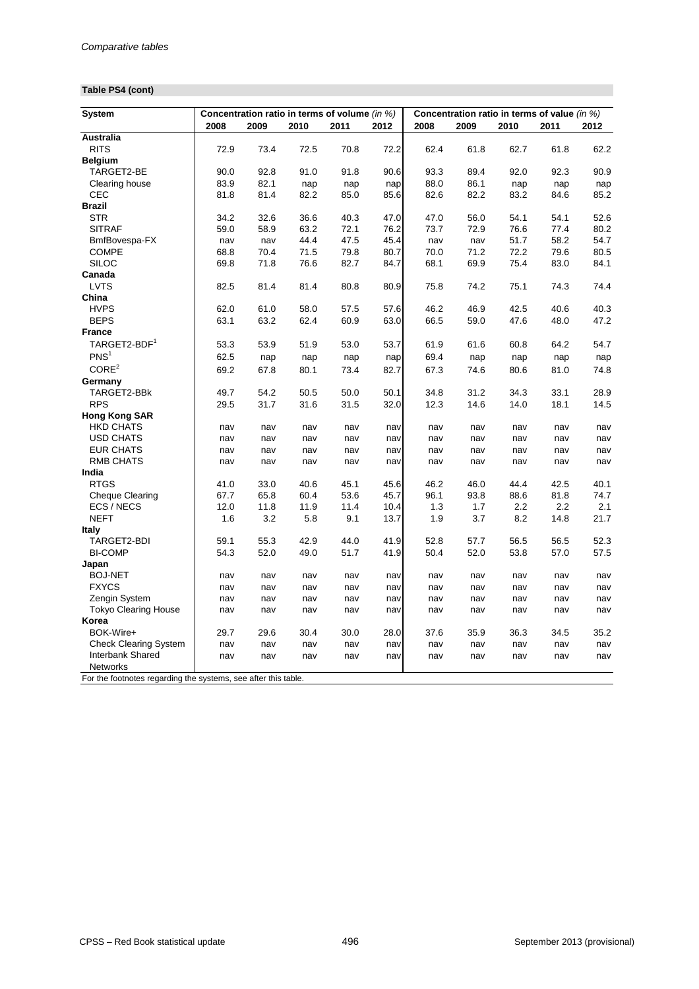# **Table PS4 (cont)**

| <b>System</b>                                                  |      |      |      | Concentration ratio in terms of volume (in %) |      | Concentration ratio in terms of value (in %) |      |      |      |      |  |
|----------------------------------------------------------------|------|------|------|-----------------------------------------------|------|----------------------------------------------|------|------|------|------|--|
|                                                                | 2008 | 2009 | 2010 | 2011                                          | 2012 | 2008                                         | 2009 | 2010 | 2011 | 2012 |  |
| <b>Australia</b>                                               |      |      |      |                                               |      |                                              |      |      |      |      |  |
| <b>RITS</b>                                                    | 72.9 | 73.4 | 72.5 | 70.8                                          | 72.2 | 62.4                                         | 61.8 | 62.7 | 61.8 | 62.2 |  |
| <b>Belgium</b>                                                 |      |      |      |                                               |      |                                              |      |      |      |      |  |
| TARGET2-BE                                                     | 90.0 | 92.8 | 91.0 | 91.8                                          | 90.6 | 93.3                                         | 89.4 | 92.0 | 92.3 | 90.9 |  |
| Clearing house                                                 | 83.9 | 82.1 | nap  | nap                                           | nap  | 88.0                                         | 86.1 | nap  | nap  | nap  |  |
| <b>CEC</b>                                                     | 81.8 | 81.4 | 82.2 | 85.0                                          | 85.6 | 82.6                                         | 82.2 | 83.2 | 84.6 | 85.2 |  |
| <b>Brazil</b>                                                  |      |      |      |                                               |      |                                              |      |      |      |      |  |
| <b>STR</b>                                                     | 34.2 | 32.6 | 36.6 | 40.3                                          | 47.0 | 47.0                                         | 56.0 | 54.1 | 54.1 | 52.6 |  |
| <b>SITRAF</b>                                                  | 59.0 | 58.9 | 63.2 | 72.1                                          | 76.2 | 73.7                                         | 72.9 | 76.6 | 77.4 | 80.2 |  |
| BmfBovespa-FX                                                  | nav  | nav  | 44.4 | 47.5                                          | 45.4 | nav                                          | nav  | 51.7 | 58.2 | 54.7 |  |
| <b>COMPE</b>                                                   | 68.8 | 70.4 | 71.5 | 79.8                                          | 80.7 | 70.0                                         | 71.2 | 72.2 | 79.6 | 80.5 |  |
| <b>SILOC</b>                                                   | 69.8 | 71.8 | 76.6 | 82.7                                          | 84.7 | 68.1                                         | 69.9 | 75.4 | 83.0 | 84.1 |  |
| Canada                                                         |      |      |      |                                               |      |                                              |      |      |      |      |  |
| <b>LVTS</b>                                                    | 82.5 | 81.4 | 81.4 | 80.8                                          | 80.9 | 75.8                                         | 74.2 | 75.1 | 74.3 | 74.4 |  |
| China                                                          |      |      |      |                                               |      |                                              |      |      |      |      |  |
| <b>HVPS</b>                                                    | 62.0 | 61.0 | 58.0 | 57.5                                          | 57.6 | 46.2                                         | 46.9 | 42.5 | 40.6 | 40.3 |  |
| <b>BEPS</b>                                                    | 63.1 | 63.2 | 62.4 | 60.9                                          | 63.0 | 66.5                                         | 59.0 | 47.6 | 48.0 | 47.2 |  |
| <b>France</b>                                                  |      |      |      |                                               |      |                                              |      |      |      |      |  |
| TARGET2-BDF <sup>1</sup>                                       | 53.3 | 53.9 | 51.9 | 53.0                                          | 53.7 | 61.9                                         | 61.6 | 60.8 | 64.2 | 54.7 |  |
| PNS <sup>1</sup>                                               |      |      |      |                                               |      |                                              |      |      |      |      |  |
|                                                                | 62.5 | nap  | nap  | nap                                           | nap  | 69.4                                         | nap  | nap  | nap  | nap  |  |
| CORE <sup>2</sup>                                              | 69.2 | 67.8 | 80.1 | 73.4                                          | 82.7 | 67.3                                         | 74.6 | 80.6 | 81.0 | 74.8 |  |
| Germany                                                        |      |      |      |                                               |      |                                              |      |      |      |      |  |
| TARGET2-BBk                                                    | 49.7 | 54.2 | 50.5 | 50.0                                          | 50.1 | 34.8                                         | 31.2 | 34.3 | 33.1 | 28.9 |  |
| <b>RPS</b>                                                     | 29.5 | 31.7 | 31.6 | 31.5                                          | 32.0 | 12.3                                         | 14.6 | 14.0 | 18.1 | 14.5 |  |
| <b>Hong Kong SAR</b>                                           |      |      |      |                                               |      |                                              |      |      |      |      |  |
| <b>HKD CHATS</b>                                               | nav  | nav  | nav  | nav                                           | nav  | nav                                          | nav  | nav  | nav  | nav  |  |
| <b>USD CHATS</b>                                               | nav  | nav  | nav  | nav                                           | nav  | nav                                          | nav  | nav  | nav  | nav  |  |
| <b>EUR CHATS</b>                                               | nav  | nav  | nav  | nav                                           | nav  | nav                                          | nav  | nav  | nav  | nav  |  |
| <b>RMB CHATS</b>                                               | nav  | nav  | nav  | nav                                           | nav  | nav                                          | nav  | nav  | nav  | nav  |  |
| India                                                          |      |      |      |                                               |      |                                              |      |      |      |      |  |
| <b>RTGS</b>                                                    | 41.0 | 33.0 | 40.6 | 45.1                                          | 45.6 | 46.2                                         | 46.0 | 44.4 | 42.5 | 40.1 |  |
| <b>Cheque Clearing</b>                                         | 67.7 | 65.8 | 60.4 | 53.6                                          | 45.7 | 96.1                                         | 93.8 | 88.6 | 81.8 | 74.7 |  |
| ECS / NECS                                                     | 12.0 | 11.8 | 11.9 | 11.4                                          | 10.4 | 1.3                                          | 1.7  | 2.2  | 2.2  | 2.1  |  |
| <b>NEFT</b>                                                    | 1.6  | 3.2  | 5.8  | 9.1                                           | 13.7 | 1.9                                          | 3.7  | 8.2  | 14.8 | 21.7 |  |
| <b>Italy</b>                                                   |      |      |      |                                               |      |                                              |      |      |      |      |  |
| TARGET2-BDI                                                    | 59.1 | 55.3 | 42.9 | 44.0                                          | 41.9 | 52.8                                         | 57.7 | 56.5 | 56.5 | 52.3 |  |
| <b>BI-COMP</b>                                                 | 54.3 | 52.0 | 49.0 | 51.7                                          | 41.9 | 50.4                                         | 52.0 | 53.8 | 57.0 | 57.5 |  |
| Japan                                                          |      |      |      |                                               |      |                                              |      |      |      |      |  |
| <b>BOJ-NET</b>                                                 | nav  | nav  | nav  | nav                                           | nav  | nav                                          | nav  | nav  | nav  | nav  |  |
| <b>FXYCS</b>                                                   | nav  | nav  | nav  | nav                                           | nav  | nav                                          | nav  | nav  | nav  | nav  |  |
| Zengin System                                                  | nav  | nav  | nav  | nav                                           | nav  | nav                                          | nav  | nav  | nav  | nav  |  |
| <b>Tokyo Clearing House</b>                                    | nav  | nav  | nav  | nav                                           | nav  | nav                                          | nav  | nav  | nav  | nav  |  |
| Korea                                                          |      |      |      |                                               |      |                                              |      |      |      |      |  |
| BOK-Wire+                                                      | 29.7 | 29.6 | 30.4 | 30.0                                          | 28.0 | 37.6                                         | 35.9 | 36.3 | 34.5 | 35.2 |  |
| <b>Check Clearing System</b>                                   | nav  | nav  | nav  | nav                                           | nav  | nav                                          | nav  | nav  | nav  | nav  |  |
| Interbank Shared                                               | nav  | nav  | nav  | nav                                           | nav  | nav                                          | nav  | nav  | nav  | nav  |  |
| Networks                                                       |      |      |      |                                               |      |                                              |      |      |      |      |  |
| For the footnotes regarding the systems, see after this table. |      |      |      |                                               |      |                                              |      |      |      |      |  |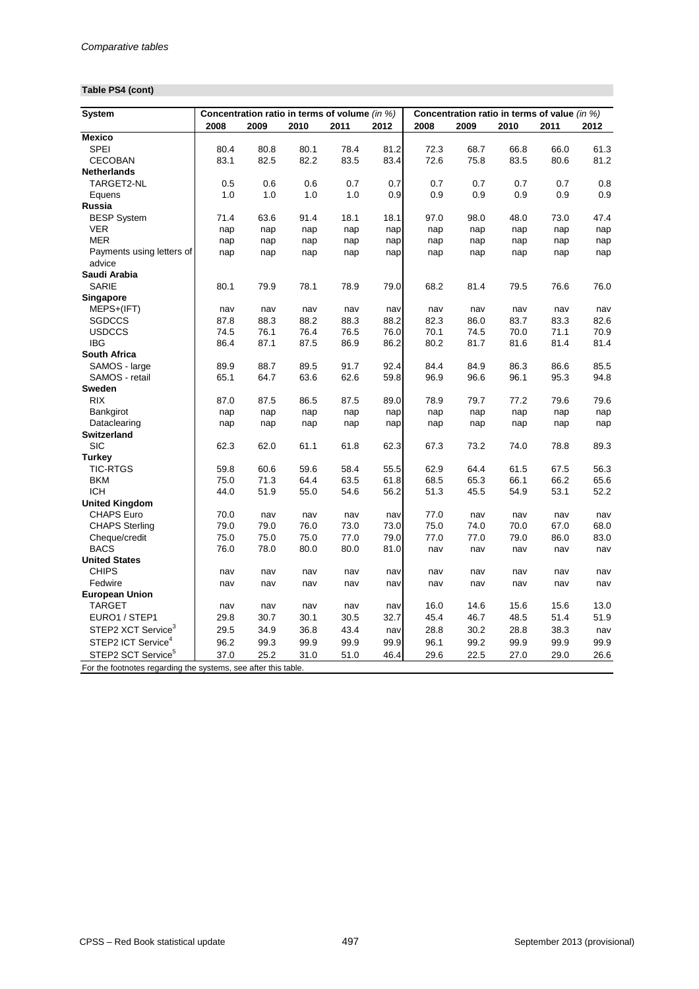# **Table PS4 (cont)**

| <b>System</b>                                                  |      |      |      | Concentration ratio in terms of volume (in %) |      | Concentration ratio in terms of value (in %) |      |      |      |      |  |
|----------------------------------------------------------------|------|------|------|-----------------------------------------------|------|----------------------------------------------|------|------|------|------|--|
|                                                                | 2008 | 2009 | 2010 | 2011                                          | 2012 | 2008                                         | 2009 | 2010 | 2011 | 2012 |  |
| <b>Mexico</b>                                                  |      |      |      |                                               |      |                                              |      |      |      |      |  |
| <b>SPEI</b>                                                    | 80.4 | 80.8 | 80.1 | 78.4                                          | 81.2 | 72.3                                         | 68.7 | 66.8 | 66.0 | 61.3 |  |
| <b>CECOBAN</b>                                                 | 83.1 | 82.5 | 82.2 | 83.5                                          | 83.4 | 72.6                                         | 75.8 | 83.5 | 80.6 | 81.2 |  |
| <b>Netherlands</b>                                             |      |      |      |                                               |      |                                              |      |      |      |      |  |
| TARGET2-NL                                                     | 0.5  | 0.6  | 0.6  | 0.7                                           | 0.7  | 0.7                                          | 0.7  | 0.7  | 0.7  | 0.8  |  |
| Equens                                                         | 1.0  | 1.0  | 1.0  | 1.0                                           | 0.9  | 0.9                                          | 0.9  | 0.9  | 0.9  | 0.9  |  |
| <b>Russia</b>                                                  |      |      |      |                                               |      |                                              |      |      |      |      |  |
| <b>BESP System</b>                                             | 71.4 | 63.6 | 91.4 | 18.1                                          | 18.1 | 97.0                                         | 98.0 | 48.0 | 73.0 | 47.4 |  |
| <b>VER</b>                                                     | nap  | nap  | nap  | nap                                           | nap  | nap                                          | nap  | nap  | nap  | nap  |  |
| <b>MER</b>                                                     | nap  | nap  | nap  | nap                                           | nap  | nap                                          | nap  | nap  | nap  | nap  |  |
| Payments using letters of<br>advice                            | nap  | nap  | nap  | nap                                           | nap  | nap                                          | nap  | nap  | nap  | nap  |  |
| Saudi Arabia                                                   |      |      |      |                                               |      |                                              |      |      |      |      |  |
| <b>SARIE</b>                                                   | 80.1 | 79.9 | 78.1 | 78.9                                          | 79.0 | 68.2                                         | 81.4 | 79.5 | 76.6 | 76.0 |  |
| <b>Singapore</b>                                               |      |      |      |                                               |      |                                              |      |      |      |      |  |
| MEPS+(IFT)                                                     | nav  | nav  | nav  | nav                                           | nav  | nav                                          | nav  | nav  | nav  | nav  |  |
| <b>SGDCCS</b>                                                  | 87.8 | 88.3 | 88.2 | 88.3                                          | 88.2 | 82.3                                         | 86.0 | 83.7 | 83.3 | 82.6 |  |
| <b>USDCCS</b>                                                  | 74.5 | 76.1 | 76.4 | 76.5                                          | 76.0 | 70.1                                         | 74.5 | 70.0 | 71.1 | 70.9 |  |
| <b>IBG</b>                                                     | 86.4 | 87.1 | 87.5 | 86.9                                          | 86.2 | 80.2                                         | 81.7 | 81.6 | 81.4 | 81.4 |  |
| <b>South Africa</b>                                            |      |      |      |                                               |      |                                              |      |      |      |      |  |
| SAMOS - large                                                  | 89.9 | 88.7 | 89.5 | 91.7                                          | 92.4 | 84.4                                         | 84.9 | 86.3 | 86.6 | 85.5 |  |
| SAMOS - retail                                                 | 65.1 | 64.7 | 63.6 | 62.6                                          | 59.8 | 96.9                                         | 96.6 | 96.1 | 95.3 | 94.8 |  |
| <b>Sweden</b>                                                  |      |      |      |                                               |      |                                              |      |      |      |      |  |
| <b>RIX</b>                                                     | 87.0 | 87.5 | 86.5 | 87.5                                          | 89.0 | 78.9                                         | 79.7 | 77.2 | 79.6 | 79.6 |  |
| Bankgirot                                                      | nap  | nap  | nap  | nap                                           | nap  | nap                                          | nap  | nap  | nap  | nap  |  |
| Dataclearing                                                   | nap  | nap  | nap  | nap                                           | nap  | nap                                          | nap  | nap  | nap  | nap  |  |
| <b>Switzerland</b>                                             |      |      |      |                                               |      |                                              |      |      |      |      |  |
| <b>SIC</b>                                                     | 62.3 | 62.0 | 61.1 | 61.8                                          | 62.3 | 67.3                                         | 73.2 | 74.0 | 78.8 | 89.3 |  |
| <b>Turkey</b>                                                  |      |      |      |                                               |      |                                              |      |      |      |      |  |
| <b>TIC-RTGS</b>                                                | 59.8 | 60.6 | 59.6 | 58.4                                          | 55.5 | 62.9                                         | 64.4 | 61.5 | 67.5 | 56.3 |  |
| <b>BKM</b>                                                     | 75.0 | 71.3 | 64.4 | 63.5                                          | 61.8 | 68.5                                         | 65.3 | 66.1 | 66.2 | 65.6 |  |
| <b>ICH</b>                                                     | 44.0 | 51.9 | 55.0 | 54.6                                          | 56.2 | 51.3                                         | 45.5 | 54.9 | 53.1 | 52.2 |  |
| <b>United Kingdom</b>                                          |      |      |      |                                               |      |                                              |      |      |      |      |  |
| <b>CHAPS Euro</b>                                              | 70.0 | nav  | nav  | nav                                           | nav  | 77.0                                         | nav  | nav  | nav  | nav  |  |
| <b>CHAPS Sterling</b>                                          | 79.0 | 79.0 | 76.0 | 73.0                                          | 73.0 | 75.0                                         | 74.0 | 70.0 | 67.0 | 68.0 |  |
| Cheque/credit                                                  | 75.0 | 75.0 | 75.0 | 77.0                                          | 79.0 | 77.0                                         | 77.0 | 79.0 | 86.0 | 83.0 |  |
| <b>BACS</b>                                                    | 76.0 | 78.0 | 80.0 | 80.0                                          | 81.0 | nav                                          | nav  | nav  | nav  | nav  |  |
| <b>United States</b>                                           |      |      |      |                                               |      |                                              |      |      |      |      |  |
| <b>CHIPS</b>                                                   | nav  | nav  | nav  | nav                                           | nav  | nav                                          | nav  | nav  | nav  | nav  |  |
| Fedwire                                                        | nav  | nav  | nav  | nav                                           | nav  | nav                                          | nav  | nav  | nav  | nav  |  |
| <b>European Union</b>                                          |      |      |      |                                               |      |                                              |      |      |      |      |  |
| <b>TARGET</b>                                                  | nav  | nav  | nav  | nav                                           | nav  | 16.0                                         | 14.6 | 15.6 | 15.6 | 13.0 |  |
| EURO1 / STEP1                                                  | 29.8 | 30.7 | 30.1 | 30.5                                          | 32.7 | 45.4                                         | 46.7 | 48.5 | 51.4 | 51.9 |  |
| STEP2 XCT Service <sup>3</sup>                                 | 29.5 | 34.9 | 36.8 | 43.4                                          | nav  | 28.8                                         | 30.2 | 28.8 | 38.3 | nav  |  |
| STEP2 ICT Service <sup>4</sup>                                 | 96.2 | 99.3 | 99.9 | 99.9                                          | 99.9 | 96.1                                         | 99.2 | 99.9 | 99.9 | 99.9 |  |
| STEP2 SCT Service <sup>5</sup>                                 | 37.0 | 25.2 | 31.0 | 51.0                                          | 46.4 | 29.6                                         | 22.5 | 27.0 | 29.0 | 26.6 |  |
| For the footnotes regarding the systems, see after this table. |      |      |      |                                               |      |                                              |      |      |      |      |  |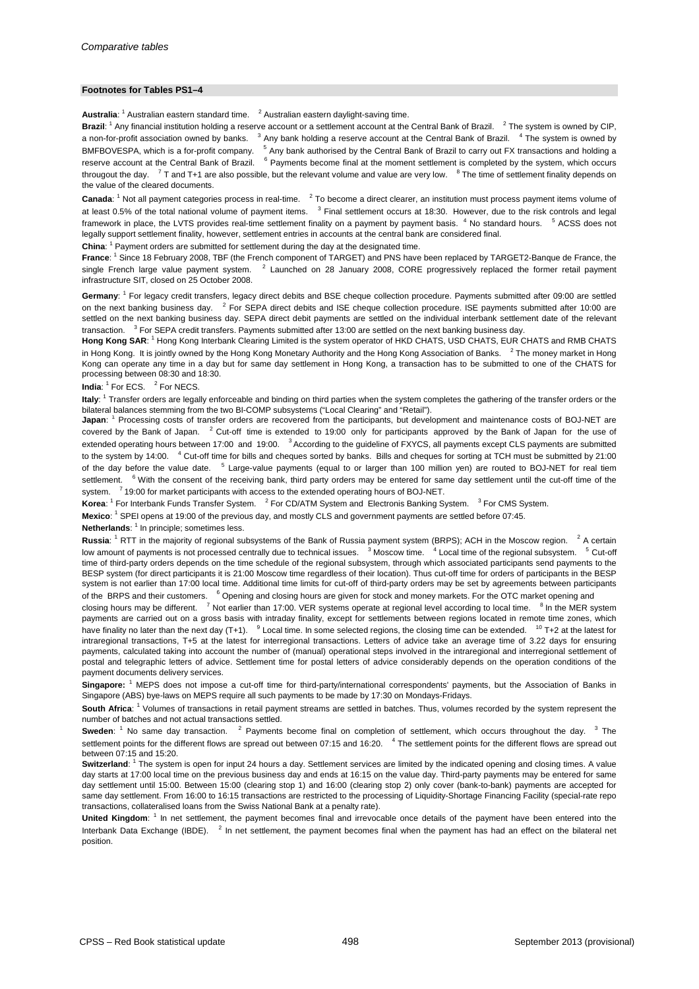#### **Footnotes for Tables PS1–4**

Australia: <sup>1</sup> Australian eastern standard time. <sup>2</sup> Australian eastern daylight-saving time.

**Brazil:** <sup>1</sup> Any financial institution holding a reserve account or a settlement account at the Central Bank of Brazil. <sup>2</sup> The system is owned by CIP, a non-for-profit association owned by banks. <sup>3</sup> Any bank holding a reserve account at the Central Bank of Brazil. <sup>4</sup> The system is owned by BMFBOVESPA, which is a for-profit company. <sup>5</sup> Any bank authorised by the Central Bank of Brazil to carry out FX transactions and holding a reserve account at the Central Bank of Brazil. <sup>6</sup> Payments become final at the moment settlement is completed by the system, which occurs througout the day.  $7$  T and T+1 are also possible, but the relevant volume and value are very low.  $8$  The time of settlement finality depends on the value of the cleared documents.

Canada: <sup>1</sup> Not all payment categories process in real-time. <sup>2</sup> To become a direct clearer, an institution must process payment items volume of at least 0.5% of the total national volume of payment items. <sup>3</sup> Final settlement occurs at 18:30. However, due to the risk controls and legal framework in place, the LVTS provides real-time settlement finality on a payment by payment basis. <sup>4</sup> No standard hours. <sup>5</sup> ACSS does not legally support settlement finality, however, settlement entries in accounts at the central bank are considered final.

China: <sup>1</sup> Payment orders are submitted for settlement during the day at the designated time.

France: <sup>1</sup> Since 18 February 2008, TBF (the French component of TARGET) and PNS have been replaced by TARGET2-Banque de France, the single French large value payment system. <sup>2</sup> Launched on 28 January 2008, CORE progressively replaced the former retail payment infrastructure SIT, closed on 25 October 2008.

Germany: <sup>1</sup> For legacy credit transfers, legacy direct debits and BSE cheque collection procedure. Payments submitted after 09:00 are settled on the next banking business day. <sup>2</sup> For SEPA direct debits and ISE cheque collection procedure. ISE payments submitted after 10:00 are settled on the next banking business day. SEPA direct debit payments are settled on the individual interbank settlement date of the relevant transaction. <sup>3</sup> For SEPA credit transfers. Payments submitted after 13:00 are settled on the next banking business day.

**Hong Kong SAR**: <sup>1</sup> Hong Kong Interbank Clearing Limited is the system operator of HKD CHATS, USD CHATS, EUR CHATS and RMB CHATS in Hong Kong. It is jointly owned by the Hong Kong Monetary Authority and the Hong Kong Association of Banks. <sup>2</sup> The money market in Hong Kong can operate any time in a day but for same day settlement in Hong Kong, a transaction has to be submitted to one of the CHATS for processing between 08:30 and 18:30.

**India:** <sup>1</sup> For ECS. <sup>2</sup> For NECS.

**Italy**: <sup>1</sup> Transfer orders are legally enforceable and binding on third parties when the system completes the gathering of the transfer orders or the bilateral balances stemming from the two BI-COMP subsystems ("Local Clearing" and "Retail").

**Japan**: <sup>1</sup> Processing costs of transfer orders are recovered from the participants, but development and maintenance costs of BOJ-NET are covered by the Bank of Japan. <sup>2</sup> Cut-off time is extended to 19:00 only for participants approved by the Bank of Japan for the use of extended operating hours between 17:00 and 19:00. <sup>3</sup> According to the guideline of FXYCS, all payments except CLS payments are submitted to the system by 14:00. <sup>4</sup> Cut-off time for bills and cheques sorted by banks. Bills and cheques for sorting at TCH must be submitted by 21:00 of the day before the value date. <sup>5</sup> Large-value payments (equal to or larger than 100 million yen) are routed to BOJ-NET for real tiem settlement. <sup>6</sup> With the consent of the receiving bank, third party orders may be entered for same day settlement until the cut-off time of the system. <sup>7</sup> 19:00 for market participants with access to the extended operating hours of BOJ-NET.

Korea: <sup>1</sup> For Interbank Funds Transfer System. <sup>2</sup> For CD/ATM System and Electronis Banking System. <sup>3</sup> For CMS System.

Mexico: <sup>1</sup> SPEI opens at 19:00 of the previous day, and mostly CLS and government payments are settled before 07:45.

Netherlands: <sup>1</sup> In principle; sometimes less.

**Russia**: <sup>1</sup> RTT in the majority of regional subsystems of the Bank of Russia payment system (BRPS); ACH in the Moscow region. <sup>2</sup> A certain low amount of payments is not processed centrally due to technical issues. <sup>3</sup> Moscow time. <sup>4</sup> Local time of the regional subsystem. <sup>5</sup> Cut-off time of third-party orders depends on the time schedule of the regional subsystem, through which associated participants send payments to the BESP system (for direct participants it is 21:00 Moscow time regardless of their location). Thus cut-off time for orders of participants in the BESP system is not earlier than 17:00 local time. Additional time limits for cut-off of third-party orders may be set by agreements between participants of the BRPS and their customers. <sup>6</sup> Opening and closing hours are given for stock and money markets. For the OTC market opening and

closing hours may be different. <sup>7</sup> Not earlier than 17:00. VER systems operate at regional level according to local time. <sup>8</sup> In the MER system payments are carried out on a gross basis with intraday finality, except for settlements between regions located in remote time zones, which have finality no later than the next day  $(T+1)$ . <sup>9</sup> Local time. In some selected regions, the closing time can be extended. <sup>10</sup> T+2 at the latest for intraregional transactions, T+5 at the latest for interregional transactions. Letters of advice take an average time of 3.22 days for ensuring payments, calculated taking into account the number of (manual) operational steps involved in the intraregional and interregional settlement of postal and telegraphic letters of advice. Settlement time for postal letters of advice considerably depends on the operation conditions of the payment documents delivery services.

**Singapore:** <sup>1</sup> MEPS does not impose a cut-off time for third-party/international correspondents' payments, but the Association of Banks in Singapore (ABS) bye-laws on MEPS require all such payments to be made by 17:30 on Mondays-Fridays.

**South Africa**: <sup>1</sup> Volumes of transactions in retail payment streams are settled in batches. Thus, volumes recorded by the system represent the number of batches and not actual transactions settled.

**Sweden**: <sup>1</sup> No same day transaction. <sup>2</sup> Payments become final on completion of settlement, which occurs throughout the day. <sup>3</sup> The settlement points for the different flows are spread out between 07:15 and 16:20. <sup>4</sup> The settlement points for the different flows are spread out between 07:15 and 15:20.

**Switzerland:** <sup>1</sup> The system is open for input 24 hours a day. Settlement services are limited by the indicated opening and closing times. A value day starts at 17:00 local time on the previous business day and ends at 16:15 on the value day. Third-party payments may be entered for same day settlement until 15:00. Between 15:00 (clearing stop 1) and 16:00 (clearing stop 2) only cover (bank-to-bank) payments are accepted for same day settlement. From 16:00 to 16:15 transactions are restricted to the processing of Liquidity-Shortage Financing Facility (special-rate repo transactions, collateralised loans from the Swiss National Bank at a penalty rate).

United Kingdom: <sup>1</sup> In net settlement, the payment becomes final and irrevocable once details of the payment have been entered into the Interbank Data Exchange (IBDE). <sup>2</sup> In net settlement, the payment becomes final when the payment has had an effect on the bilateral net position.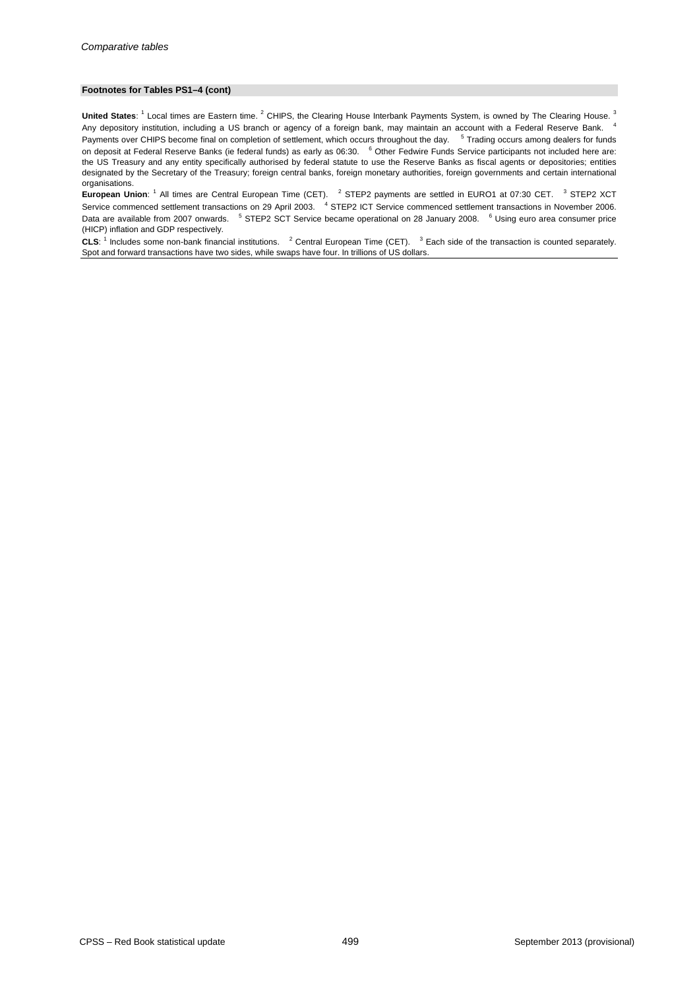#### **Footnotes for Tables PS1–4 (cont)**

United States: <sup>1</sup> Local times are Eastern time. <sup>2</sup> CHIPS, the Clearing House Interbank Payments System, is owned by The Clearing House. <sup>3</sup> Any depository institution, including a US branch or agency of a foreign bank, may maintain an account with a Federal Reserve Bank.<sup>4</sup> Payments over CHIPS become final on completion of settlement, which occurs throughout the day. <sup>5</sup> Trading occurs among dealers for funds on deposit at Federal Reserve Banks (ie federal funds) as early as 06:30. <sup>6</sup> Other Fedwire Funds Service participants not included here are: the US Treasury and any entity specifically authorised by federal statute to use the Reserve Banks as fiscal agents or depositories; entities designated by the Secretary of the Treasury; foreign central banks, foreign monetary authorities, foreign governments and certain international organisations.

**European Union**: <sup>1</sup> All times are Central European Time (CET). <sup>2</sup> STEP2 payments are settled in EURO1 at 07:30 CET. <sup>3</sup> STEP2 XCT Service commenced settlement transactions on 29 April 2003. <sup>4</sup> STEP2 ICT Service commenced settlement transactions in November 2006. Data are available from 2007 onwards. <sup>5</sup> STEP2 SCT Service became operational on 28 January 2008. <sup>6</sup> Using euro area consumer price (HICP) inflation and GDP respectively.

**CLS**: <sup>1</sup> Includes some non-bank financial institutions. <sup>2</sup> Central European Time (CET). <sup>3</sup> Each side of the transaction is counted separately. Spot and forward transactions have two sides, while swaps have four. In trillions of US dollars.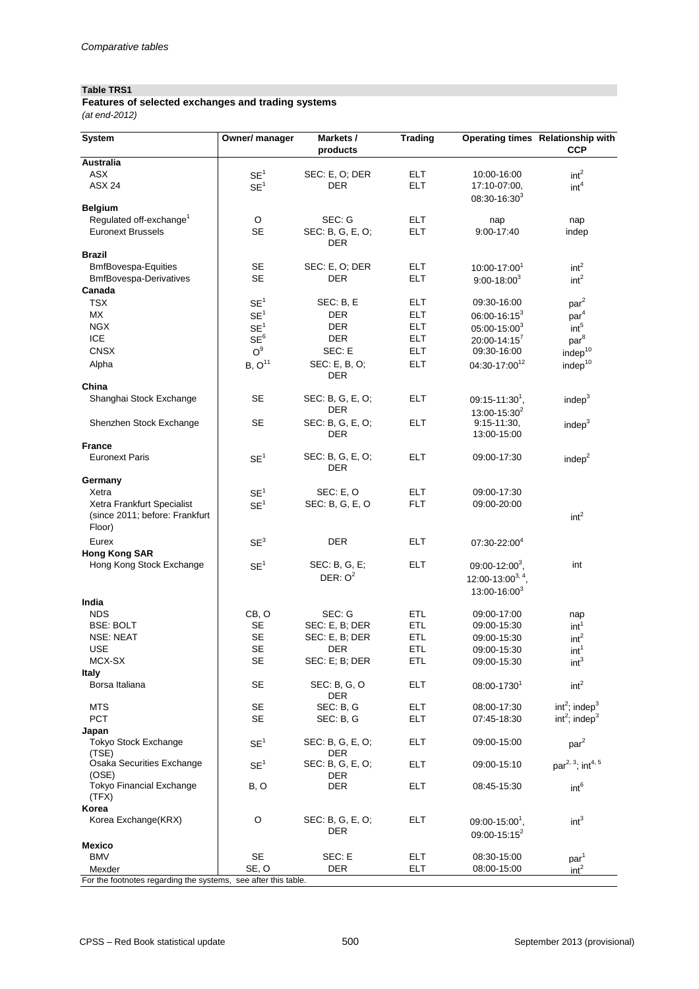### **Table TRS1**

*(at end-2012)* **Features of selected exchanges and trading systems**

| <b>System</b>                                                          | Owner/ manager     | Markets /<br>products          | <b>Trading</b> |                                                 | Operating times Relationship with<br><b>CCP</b> |
|------------------------------------------------------------------------|--------------------|--------------------------------|----------------|-------------------------------------------------|-------------------------------------------------|
| <b>Australia</b>                                                       |                    |                                |                |                                                 |                                                 |
| <b>ASX</b>                                                             | SE <sup>1</sup>    | SEC: E, O; DER                 | <b>ELT</b>     | 10:00-16:00                                     | int <sup>2</sup>                                |
| <b>ASX 24</b>                                                          | SE <sup>1</sup>    | <b>DER</b>                     | <b>ELT</b>     | 17:10-07:00,<br>$08:30 - 16:30^3$               | int <sup>4</sup>                                |
| <b>Belgium</b>                                                         |                    |                                |                |                                                 |                                                 |
| Regulated off-exchange <sup>1</sup>                                    | $\circ$            | SEC: G                         | <b>ELT</b>     | nap                                             | nap                                             |
| <b>Euronext Brussels</b>                                               | <b>SE</b>          | SEC: B, G, E, O;<br><b>DER</b> | <b>ELT</b>     | 9:00-17:40                                      | indep                                           |
| <b>Brazil</b>                                                          |                    |                                |                |                                                 |                                                 |
| <b>BmfBovespa-Equities</b>                                             | <b>SE</b>          | SEC: E, O; DER                 | <b>ELT</b>     | 10:00-17:001                                    | int <sup>2</sup>                                |
| <b>BmfBovespa-Derivatives</b>                                          | <b>SE</b>          | <b>DER</b>                     | <b>ELT</b>     | $9:00 - 18:00^3$                                | int <sup>2</sup>                                |
| Canada                                                                 |                    |                                |                |                                                 |                                                 |
| <b>TSX</b>                                                             | SE <sup>1</sup>    | SEC: B, E                      | <b>ELT</b>     | 09:30-16:00                                     | par <sup>2</sup>                                |
| MX                                                                     | SE <sup>1</sup>    | <b>DER</b>                     | <b>ELT</b>     | $06:00 - 16:15^3$                               | par <sup>4</sup>                                |
| <b>NGX</b>                                                             | SE <sup>1</sup>    | <b>DER</b>                     | <b>ELT</b>     | $05:00-15:00^3$                                 | int <sup>5</sup>                                |
| <b>ICE</b>                                                             | SE <sup>6</sup>    | <b>DER</b>                     | <b>ELT</b>     | $20:00 - 14:15^7$                               | par <sup>8</sup>                                |
| <b>CNSX</b>                                                            | $\mathsf{O}^9$     | SEC: E                         | <b>ELT</b>     | 09:30-16:00                                     | indep $10$                                      |
| Alpha                                                                  | B, O <sup>11</sup> | SEC: E, B, O;<br><b>DER</b>    | <b>ELT</b>     | 04:30-17:00 <sup>12</sup>                       | indep <sup>10</sup>                             |
| China                                                                  |                    |                                |                |                                                 |                                                 |
| Shanghai Stock Exchange                                                | <b>SE</b>          | SEC: B, G, E, O;<br><b>DER</b> | <b>ELT</b>     | $09:15 - 11:301$ ,<br>$13:00 - 15:30^2$         | indep <sup>3</sup>                              |
| Shenzhen Stock Exchange                                                | <b>SE</b>          | SEC: B, G, E, O;               | <b>ELT</b>     | $9:15 - 11:30,$                                 | indep $3$                                       |
| <b>France</b>                                                          |                    | <b>DER</b>                     |                | 13:00-15:00                                     |                                                 |
| <b>Euronext Paris</b>                                                  | SE <sup>1</sup>    | SEC: B, G, E, O;<br><b>DER</b> | <b>ELT</b>     | 09:00-17:30                                     | indep $2$                                       |
| Germany                                                                |                    |                                |                |                                                 |                                                 |
| Xetra                                                                  | SE <sup>1</sup>    | SEC: E, O                      | <b>ELT</b>     | 09:00-17:30                                     |                                                 |
| Xetra Frankfurt Specialist<br>(since 2011; before: Frankfurt<br>Floor) | SE <sup>1</sup>    | SEC: B, G, E, O                | <b>FLT</b>     | 09:00-20:00                                     | int <sup>2</sup>                                |
| Eurex                                                                  | SE <sup>3</sup>    | <b>DER</b>                     | <b>ELT</b>     | 07:30-22:004                                    |                                                 |
| <b>Hong Kong SAR</b>                                                   |                    |                                |                |                                                 |                                                 |
| Hong Kong Stock Exchange                                               | SE <sup>1</sup>    | SEC: B, G, E;                  | <b>ELT</b>     | 09:00-12:00 <sup>3</sup> ,                      | int                                             |
|                                                                        |                    | DER: $O^2$                     |                | 12:00-13:00 <sup>3, 4</sup> ,                   |                                                 |
|                                                                        |                    |                                |                | $13:00 - 16:00^3$                               |                                                 |
| India                                                                  |                    |                                |                |                                                 |                                                 |
| <b>NDS</b>                                                             | CB, O              | SEC: G                         | <b>ETL</b>     | 09:00-17:00                                     | nap                                             |
| <b>BSE: BOLT</b>                                                       | <b>SE</b>          | SEC: E, B; DER                 | <b>ETL</b>     | 09:00-15:30                                     | int <sup>1</sup>                                |
| <b>NSE: NEAT</b>                                                       | <b>SE</b>          | SEC: E, B; DER                 | <b>ETL</b>     | 09:00-15:30                                     | int <sup>2</sup>                                |
| <b>USE</b>                                                             | <b>SE</b>          | <b>DER</b>                     | <b>ETL</b>     | 09:00-15:30                                     | int <sup>1</sup>                                |
| MCX-SX                                                                 | <b>SE</b>          | SEC: E; B; DER                 | <b>ETL</b>     | 09:00-15:30                                     | int <sup>3</sup>                                |
| <b>Italy</b><br>Borsa Italiana                                         | <b>SE</b>          | SEC: B, G, O                   | <b>ELT</b>     | 08:00-1730                                      | int <sup>2</sup>                                |
| <b>MTS</b>                                                             | <b>SE</b>          | <b>DER</b><br>SEC: B, G        | <b>ELT</b>     | 08:00-17:30                                     | int <sup>2</sup> ; indep <sup>3</sup>           |
| <b>PCT</b>                                                             | <b>SE</b>          | SEC: B, G                      | <b>ELT</b>     | 07:45-18:30                                     | int <sup>2</sup> ; indep <sup>3</sup>           |
| Japan                                                                  |                    |                                |                |                                                 |                                                 |
| <b>Tokyo Stock Exchange</b><br>(TSE)                                   | SE <sup>1</sup>    | SEC: B, G, E, O;<br><b>DER</b> | <b>ELT</b>     | 09:00-15:00                                     | par <sup>2</sup>                                |
| Osaka Securities Exchange                                              | SE <sup>1</sup>    | SEC: B, G, E, O;               | <b>ELT</b>     | 09:00-15:10                                     | par <sup>2, 3</sup> ; int <sup>4, 5</sup>       |
| (OSE)<br><b>Tokyo Financial Exchange</b><br>(TFX)                      | B, O               | <b>DER</b><br><b>DER</b>       | <b>ELT</b>     | 08:45-15:30                                     | int <sup>6</sup>                                |
| Korea                                                                  |                    |                                |                |                                                 |                                                 |
| Korea Exchange(KRX)                                                    | $\circ$            | SEC: B, G, E, O;<br><b>DER</b> | <b>ELT</b>     | $09:00 - 15:00^1$ ,<br>09:00-15:15 <sup>2</sup> | int <sup>3</sup>                                |
| <b>Mexico</b>                                                          |                    |                                |                |                                                 |                                                 |
| <b>BMV</b>                                                             | <b>SE</b>          | SEC: E                         | <b>ELT</b>     | 08:30-15:00                                     | par <sup>1</sup>                                |
| Mexder                                                                 | SE, O              | <b>DER</b>                     | <b>ELT</b>     | 08:00-15:00                                     | int <sup>2</sup>                                |
| For the footnotes regarding the systems, see after this table.         |                    |                                |                |                                                 |                                                 |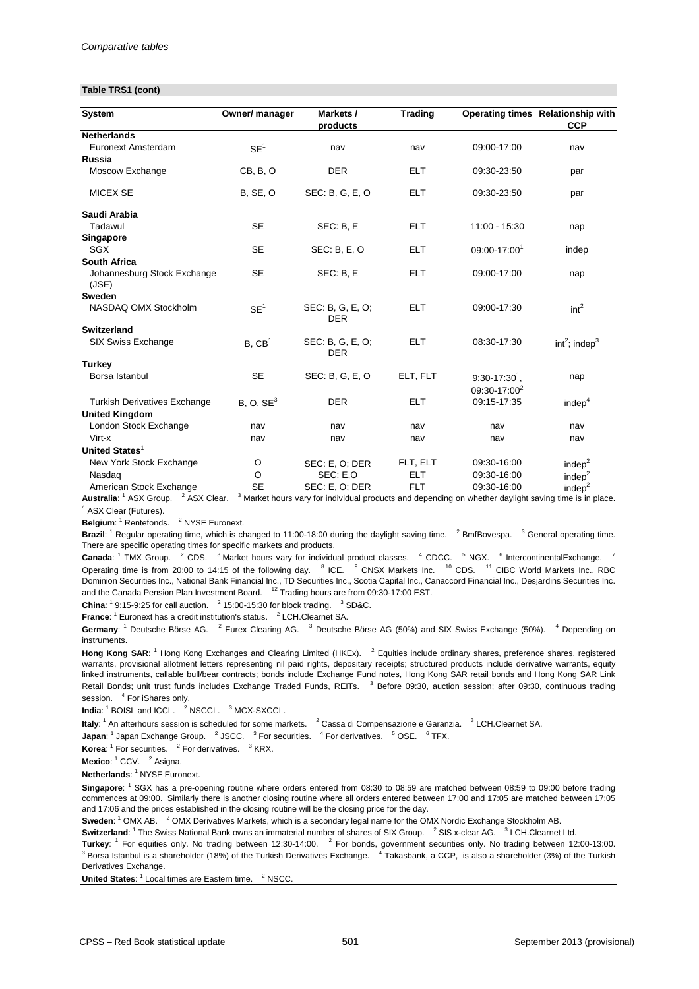#### **Table TRS1 (cont)**

| <b>System</b>                        | Owner/ manager        | Markets /                      | <b>Trading</b> |                          | Operating times Relationship with     |
|--------------------------------------|-----------------------|--------------------------------|----------------|--------------------------|---------------------------------------|
| <b>Netherlands</b>                   |                       | products                       |                |                          | <b>CCP</b>                            |
| Euronext Amsterdam                   | SE <sup>1</sup>       | nav                            | nav            | 09:00-17:00              | nav                                   |
| <b>Russia</b>                        |                       |                                |                |                          |                                       |
| Moscow Exchange                      | CB, B, O              | <b>DER</b>                     | <b>ELT</b>     | 09:30-23:50              | par                                   |
| <b>MICEX SE</b>                      | <b>B, SE, O</b>       | SEC: B, G, E, O                | <b>ELT</b>     | 09:30-23:50              | par                                   |
| Saudi Arabia                         |                       |                                |                |                          |                                       |
| Tadawul                              | <b>SE</b>             | SEC: B, E                      | <b>ELT</b>     | 11:00 - 15:30            | nap                                   |
| Singapore                            |                       |                                |                |                          |                                       |
| <b>SGX</b>                           | <b>SE</b>             | <b>SEC: B, E, O</b>            | <b>ELT</b>     | 09:00-17:001             | indep                                 |
| <b>South Africa</b>                  |                       |                                |                |                          |                                       |
| Johannesburg Stock Exchange<br>(JSE) | <b>SE</b>             | SEC: B, E                      | <b>ELT</b>     | 09:00-17:00              | nap                                   |
| <b>Sweden</b>                        |                       |                                |                |                          |                                       |
| NASDAQ OMX Stockholm                 | SE <sup>1</sup>       | SEC: B, G, E, O;<br><b>DER</b> | <b>ELT</b>     | 09:00-17:30              | int <sup>2</sup>                      |
| <b>Switzerland</b>                   |                       |                                |                |                          |                                       |
| <b>SIX Swiss Exchange</b>            | B, CB <sup>1</sup>    | SEC: B, G, E, O;<br><b>DER</b> | <b>ELT</b>     | 08:30-17:30              | int <sup>2</sup> ; indep <sup>3</sup> |
| <b>Turkey</b>                        |                       |                                |                |                          |                                       |
| Borsa Istanbul                       | <b>SE</b>             | SEC: B, G, E, O                | ELT, FLT       | $9:30-17:30^1$ ,         | nap                                   |
|                                      |                       |                                |                | 09:30-17:00 <sup>2</sup> |                                       |
| <b>Turkish Derivatives Exchange</b>  | B, O, SE <sup>3</sup> | <b>DER</b>                     | <b>ELT</b>     | 09:15-17:35              | indep <sup>4</sup>                    |
| <b>United Kingdom</b>                |                       |                                |                |                          |                                       |
| London Stock Exchange                | nav                   | nav                            | nav            | nav                      | nav                                   |
| Virt-x                               | nav                   | nav                            | nav            | nav                      | nav                                   |
| United States <sup>1</sup>           |                       |                                |                |                          |                                       |
| New York Stock Exchange              | O                     | SEC: E, O; DER                 | FLT, ELT       | 09:30-16:00              | indep $2$                             |
| Nasdag                               | O                     | SEC: E,O                       | <b>ELT</b>     | 09:30-16:00              | indep <sup>2</sup>                    |
| American Stock Exchange              | <b>SE</b>             | SEC: E, O; DER                 | <b>FLT</b>     | 09:30-16:00              | indep <sup>2</sup>                    |

Australia: <sup>1</sup> ASX Group. <sup>2</sup> ASX Clear. <sup>3</sup> Market hours vary for individual products and depending on whether daylight saving time is in place. <sup>4</sup> ASX Clear (Futures).

Belgium: <sup>1</sup> Rentefonds. <sup>2</sup> NYSE Euronext.

**Brazil:** <sup>1</sup> Regular operating time, which is changed to 11:00-18:00 during the daylight saving time. <sup>2</sup> BmfBovespa. <sup>3</sup> General operating time. There are specific operating times for specific markets and products.

**Canada**: <sup>1</sup> TMX Group. <sup>2</sup> CDS. <sup>3</sup> Market hours vary for individual product classes. <sup>4</sup> CDCC. <sup>5</sup> NGX. <sup>6</sup> IntercontinentalExchange. <sup>7</sup> Operating time is from 20:00 to 14:15 of the following day. <sup>8</sup> ICE. <sup>9</sup> CNSX Markets Inc. <sup>10</sup> CDS. <sup>11</sup> CIBC World Markets Inc., RBC Dominion Securities Inc., National Bank Financial Inc., TD Securities Inc., Scotia Capital Inc., Canaccord Financial Inc., Desjardins Securities Inc. and the Canada Pension Plan Investment Board.  $12$  Trading hours are from 09:30-17:00 EST.

**China**:  $1\,9:15-9:25$  for call auction.  $2\,15:00-15:30$  for block trading.  $3\,$  SD&C.

**France**: <sup>1</sup> Euronext has a credit institution's status. <sup>2</sup> LCH.Clearnet SA.

Germany: <sup>1</sup> Deutsche Börse AG. <sup>2</sup> Eurex Clearing AG. <sup>3</sup> Deutsche Börse AG (50%) and SIX Swiss Exchange (50%). <sup>4</sup> Depending on instruments.

Hong Kong SAR: <sup>1</sup> Hong Kong Exchanges and Clearing Limited (HKEx). <sup>2</sup> Equities include ordinary shares, preference shares, registered warrants, provisional allotment letters representing nil paid rights, depositary receipts; structured products include derivative warrants, equity linked instruments, callable bull/bear contracts; bonds include Exchange Fund notes, Hong Kong SAR retail bonds and Hong Kong SAR Link Retail Bonds; unit trust funds includes Exchange Traded Funds, REITs. <sup>3</sup> Before 09:30, auction session; after 09:30, continuous trading session. <sup>4</sup> For iShares only.

India: <sup>1</sup> BOISL and ICCL. <sup>2</sup> NSCCL. <sup>3</sup> MCX-SXCCL.

Italy: <sup>1</sup> An afterhours session is scheduled for some markets. <sup>2</sup> Cassa di Compensazione e Garanzia. <sup>3</sup> LCH.Clearnet SA.

**Japan**: <sup>1</sup> Japan Exchange Group. <sup>2</sup> JSCC. <sup>3</sup> For securities. <sup>4</sup> For derivatives. <sup>5</sup> OSE. <sup>6</sup> TFX.

**Korea**: <sup>1</sup> For securities. <sup>2</sup> For derivatives. <sup>3</sup> KRX.

**Mexico:** <sup>1</sup> CCV. <sup>2</sup> Asigna.

Netherlands: <sup>1</sup> NYSE Euronext.

**Singapore**: <sup>1</sup> SGX has a pre-opening routine where orders entered from 08:30 to 08:59 are matched between 08:59 to 09:00 before trading commences at 09:00. Similarly there is another closing routine where all orders entered between 17:00 and 17:05 are matched between 17:05 and 17:06 and the prices established in the closing routine will be the closing price for the day.

Sweden: <sup>1</sup> OMX AB. <sup>2</sup> OMX Derivatives Markets, which is a secondary legal name for the OMX Nordic Exchange Stockholm AB.

Switzerland: <sup>1</sup> The Swiss National Bank owns an immaterial number of shares of SIX Group. <sup>2</sup> SIS x-clear AG. <sup>3</sup> LCH.Clearnet Ltd.

Turkey: <sup>1</sup> For equities only. No trading between 12:30-14:00. <sup>2</sup> For bonds, government securities only. No trading between 12:00-13:00.  $3$  Borsa Istanbul is a shareholder (18%) of the Turkish Derivatives Exchange.  $4$  Takasbank, a CCP, is also a shareholder (3%) of the Turkish Derivatives Exchange.

**United States:** <sup>1</sup> Local times are Eastern time. <sup>2</sup> <sup>2</sup> NSCC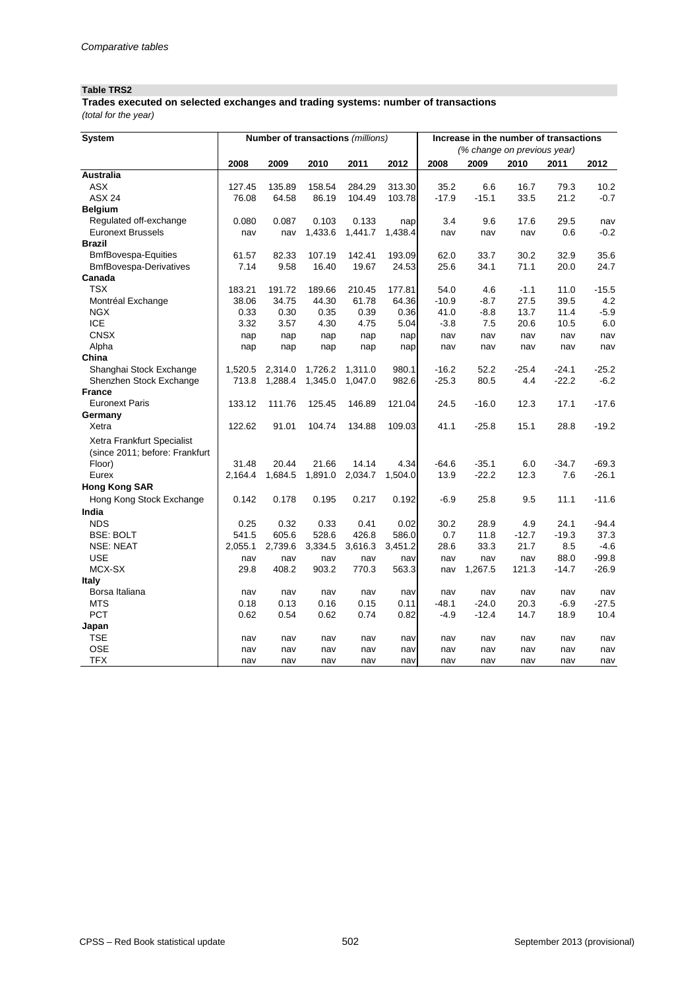### **Table TRS2**

*(total for the year)* **Trades executed on selected exchanges and trading systems: number of transactions**

| <b>System</b>                  |            |         |         | Number of transactions (millions) |         | Increase in the number of transactions |                             |            |         |            |  |
|--------------------------------|------------|---------|---------|-----------------------------------|---------|----------------------------------------|-----------------------------|------------|---------|------------|--|
|                                |            |         |         |                                   |         |                                        | (% change on previous year) |            |         |            |  |
|                                | 2008       | 2009    | 2010    | 2011                              | 2012    | 2008                                   | 2009                        | 2010       | 2011    | 2012       |  |
| <b>Australia</b>               |            |         |         |                                   |         |                                        |                             |            |         |            |  |
| <b>ASX</b>                     | 127.45     | 135.89  | 158.54  | 284.29                            | 313.30  | 35.2                                   | 6.6                         | 16.7       | 79.3    | 10.2       |  |
| <b>ASX 24</b>                  | 76.08      | 64.58   | 86.19   | 104.49                            | 103.78  | $-17.9$                                | $-15.1$                     | 33.5       | 21.2    | $-0.7$     |  |
| <b>Belgium</b>                 |            |         |         |                                   |         |                                        |                             |            |         |            |  |
| Regulated off-exchange         | 0.080      | 0.087   | 0.103   | 0.133                             | nap     | 3.4                                    | 9.6                         | 17.6       | 29.5    | nav        |  |
| <b>Euronext Brussels</b>       | nav        | nav     | 1,433.6 | 1,441.7                           | 1,438.4 | nav                                    | nav                         | nav        | 0.6     | $-0.2$     |  |
| <b>Brazil</b>                  |            |         |         |                                   |         |                                        |                             |            |         |            |  |
| <b>BmfBovespa-Equities</b>     | 61.57      | 82.33   | 107.19  | 142.41                            | 193.09  | 62.0                                   | 33.7                        | 30.2       | 32.9    | 35.6       |  |
| <b>BmfBovespa-Derivatives</b>  | 7.14       | 9.58    | 16.40   | 19.67                             | 24.53   | 25.6                                   | 34.1                        | 71.1       | 20.0    | 24.7       |  |
| Canada                         |            |         |         |                                   |         |                                        |                             |            |         |            |  |
| <b>TSX</b>                     | 183.21     | 191.72  | 189.66  | 210.45                            | 177.81  | 54.0                                   | 4.6                         | $-1.1$     | 11.0    | $-15.5$    |  |
| Montréal Exchange              | 38.06      | 34.75   | 44.30   | 61.78                             | 64.36   | $-10.9$                                | $-8.7$                      | 27.5       | 39.5    | 4.2        |  |
| <b>NGX</b>                     | 0.33       | 0.30    | 0.35    | 0.39                              | 0.36    | 41.0                                   | $-8.8$                      | 13.7       | 11.4    | $-5.9$     |  |
| <b>ICE</b>                     | 3.32       | 3.57    | 4.30    | 4.75                              | 5.04    | $-3.8$                                 | 7.5                         | 20.6       | 10.5    | 6.0        |  |
| <b>CNSX</b>                    | nap        | nap     | nap     | nap                               | nap     | nav                                    | nav                         | nav        | nav     | nav        |  |
| Alpha                          | nap        | nap     | nap     | nap                               | nap     | nav                                    | nav                         | nav        | nav     | nav        |  |
| China                          |            |         |         |                                   |         |                                        |                             |            |         |            |  |
| Shanghai Stock Exchange        | 1,520.5    | 2,314.0 | 1,726.2 | 1,311.0                           | 980.1   | $-16.2$                                | 52.2                        | $-25.4$    | $-24.1$ | $-25.2$    |  |
| Shenzhen Stock Exchange        | 713.8      | 1,288.4 | 1,345.0 | 1,047.0                           | 982.6   | $-25.3$                                | 80.5                        | 4.4        | $-22.2$ | $-6.2$     |  |
| <b>France</b>                  |            |         |         |                                   |         |                                        |                             |            |         |            |  |
| <b>Euronext Paris</b>          | 133.12     | 111.76  | 125.45  | 146.89                            | 121.04  | 24.5                                   | $-16.0$                     | 12.3       | 17.1    | $-17.6$    |  |
| Germany                        |            |         |         |                                   |         |                                        |                             |            |         |            |  |
| Xetra                          | 122.62     | 91.01   | 104.74  | 134.88                            | 109.03  | 41.1                                   | $-25.8$                     | 15.1       | 28.8    | $-19.2$    |  |
| Xetra Frankfurt Specialist     |            |         |         |                                   |         |                                        |                             |            |         |            |  |
| (since 2011; before: Frankfurt |            |         |         |                                   |         |                                        |                             |            |         |            |  |
| Floor)                         | 31.48      | 20.44   | 21.66   | 14.14                             | 4.34    | $-64.6$                                | $-35.1$                     | 6.0        | $-34.7$ | $-69.3$    |  |
| Eurex                          | 2,164.4    | 1,684.5 | 1,891.0 | 2,034.7                           | 1,504.0 | 13.9                                   | $-22.2$                     | 12.3       | 7.6     | $-26.1$    |  |
| <b>Hong Kong SAR</b>           |            |         |         |                                   |         |                                        |                             |            |         |            |  |
| Hong Kong Stock Exchange       | 0.142      | 0.178   | 0.195   | 0.217                             | 0.192   | $-6.9$                                 | 25.8                        | 9.5        | 11.1    | $-11.6$    |  |
| India                          |            |         |         |                                   |         |                                        |                             |            |         |            |  |
| <b>NDS</b>                     | 0.25       | 0.32    | 0.33    | 0.41                              | 0.02    | 30.2                                   | 28.9                        | 4.9        | 24.1    | $-94.4$    |  |
| <b>BSE: BOLT</b>               | 541.5      | 605.6   | 528.6   | 426.8                             | 586.0   | 0.7                                    | 11.8                        | $-12.7$    | $-19.3$ | 37.3       |  |
| <b>NSE: NEAT</b>               | 2,055.1    | 2,739.6 | 3,334.5 | 3,616.3                           | 3,451.2 | 28.6                                   | 33.3                        | 21.7       | 8.5     | $-4.6$     |  |
| <b>USE</b>                     | nav        | nav     | nav     | nav                               | nav     | nav                                    | nav                         | nav        | 88.0    | $-99.8$    |  |
| MCX-SX                         | 29.8       | 408.2   | 903.2   | 770.3                             | 563.3   | nav                                    | 1,267.5                     | 121.3      | $-14.7$ | $-26.9$    |  |
| <b>Italy</b>                   |            |         |         |                                   |         |                                        |                             |            |         |            |  |
| Borsa Italiana                 | nav        | nav     | nav     | nav                               | nav     | nav                                    | nav                         | nav        | nav     | nav        |  |
| <b>MTS</b>                     | 0.18       | 0.13    | 0.16    | 0.15                              | 0.11    | $-48.1$                                | $-24.0$                     | 20.3       | $-6.9$  | $-27.5$    |  |
| <b>PCT</b>                     | 0.62       | 0.54    | 0.62    | 0.74                              | 0.82    | $-4.9$                                 | $-12.4$                     | 14.7       | 18.9    | 10.4       |  |
| Japan                          |            |         |         |                                   |         |                                        |                             |            |         |            |  |
| <b>TSE</b>                     |            |         |         |                                   |         |                                        |                             |            | nav     |            |  |
| <b>OSE</b>                     | nav<br>nav | nav     | nav     | nav                               | nav     | nav<br>nav                             | nav                         | nav<br>nav | nav     | nav<br>nav |  |
| <b>TFX</b>                     |            | nav     | nav     | nav                               | nav     |                                        | nav                         |            |         |            |  |
|                                | nav        | nav     | nav     | nav                               | nav     | nav                                    | nav                         | nav        | nav     | nav        |  |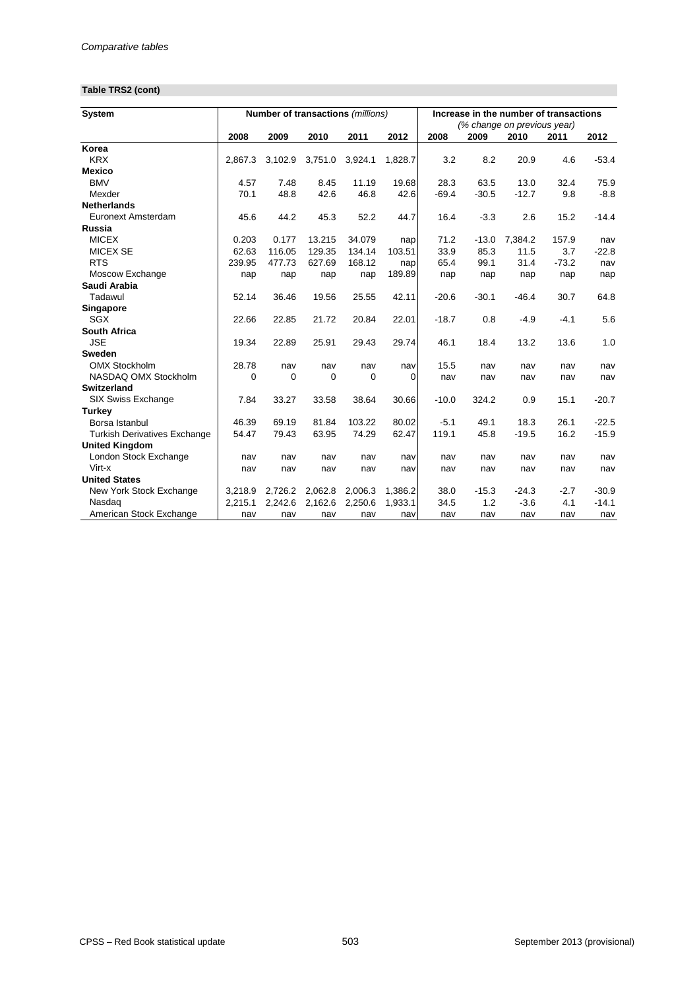# **Table TRS2 (cont)**

| <b>System</b>                       |         |          | Number of transactions (millions) |         |         |         |         | Increase in the number of transactions |         |         |
|-------------------------------------|---------|----------|-----------------------------------|---------|---------|---------|---------|----------------------------------------|---------|---------|
|                                     |         |          |                                   |         |         |         |         | (% change on previous year)            |         |         |
|                                     | 2008    | 2009     | 2010                              | 2011    | 2012    | 2008    | 2009    | 2010                                   | 2011    | 2012    |
| Korea                               |         |          |                                   |         |         |         |         |                                        |         |         |
| <b>KRX</b>                          | 2,867.3 | 3,102.9  | 3,751.0                           | 3,924.1 | 1,828.7 | 3.2     | 8.2     | 20.9                                   | 4.6     | $-53.4$ |
| <b>Mexico</b>                       |         |          |                                   |         |         |         |         |                                        |         |         |
| <b>BMV</b>                          | 4.57    | 7.48     | 8.45                              | 11.19   | 19.68   | 28.3    | 63.5    | 13.0                                   | 32.4    | 75.9    |
| Mexder                              | 70.1    | 48.8     | 42.6                              | 46.8    | 42.6    | $-69.4$ | $-30.5$ | $-12.7$                                | 9.8     | $-8.8$  |
| <b>Netherlands</b>                  |         |          |                                   |         |         |         |         |                                        |         |         |
| <b>Euronext Amsterdam</b>           | 45.6    | 44.2     | 45.3                              | 52.2    | 44.7    | 16.4    | $-3.3$  | 2.6                                    | 15.2    | $-14.4$ |
| <b>Russia</b>                       |         |          |                                   |         |         |         |         |                                        |         |         |
| <b>MICEX</b>                        | 0.203   | 0.177    | 13.215                            | 34.079  | nap     | 71.2    | $-13.0$ | 7,384.2                                | 157.9   | nav     |
| <b>MICEX SE</b>                     | 62.63   | 116.05   | 129.35                            | 134.14  | 103.51  | 33.9    | 85.3    | 11.5                                   | 3.7     | $-22.8$ |
| <b>RTS</b>                          | 239.95  | 477.73   | 627.69                            | 168.12  | nap     | 65.4    | 99.1    | 31.4                                   | $-73.2$ | nav     |
| Moscow Exchange                     | nap     | nap      | nap                               | nap     | 189.89  | nap     | nap     | nap                                    | nap     | nap     |
| Saudi Arabia                        |         |          |                                   |         |         |         |         |                                        |         |         |
| Tadawul                             | 52.14   | 36.46    | 19.56                             | 25.55   | 42.11   | $-20.6$ | $-30.1$ | $-46.4$                                | 30.7    | 64.8    |
| <b>Singapore</b>                    |         |          |                                   |         |         |         |         |                                        |         |         |
| <b>SGX</b>                          | 22.66   | 22.85    | 21.72                             | 20.84   | 22.01   | $-18.7$ | 0.8     | $-4.9$                                 | $-4.1$  | 5.6     |
| <b>South Africa</b>                 |         |          |                                   |         |         |         |         |                                        |         |         |
| <b>JSE</b>                          | 19.34   | 22.89    | 25.91                             | 29.43   | 29.74   | 46.1    | 18.4    | 13.2                                   | 13.6    | 1.0     |
| <b>Sweden</b>                       |         |          |                                   |         |         |         |         |                                        |         |         |
| <b>OMX Stockholm</b>                | 28.78   | nav      | nav                               | nav     | nav     | 15.5    | nav     | nav                                    | nav     | nav     |
| NASDAQ OMX Stockholm                | 0       | $\Omega$ | $\Omega$                          | 0       | 0       | nav     | nav     | nav                                    | nav     | nav     |
| <b>Switzerland</b>                  |         |          |                                   |         |         |         |         |                                        |         |         |
| SIX Swiss Exchange                  | 7.84    | 33.27    | 33.58                             | 38.64   | 30.66   | $-10.0$ | 324.2   | 0.9                                    | 15.1    | $-20.7$ |
| <b>Turkey</b>                       |         |          |                                   |         |         |         |         |                                        |         |         |
| Borsa Istanbul                      | 46.39   | 69.19    | 81.84                             | 103.22  | 80.02   | $-5.1$  | 49.1    | 18.3                                   | 26.1    | $-22.5$ |
| <b>Turkish Derivatives Exchange</b> | 54.47   | 79.43    | 63.95                             | 74.29   | 62.47   | 119.1   | 45.8    | $-19.5$                                | 16.2    | $-15.9$ |
| <b>United Kingdom</b>               |         |          |                                   |         |         |         |         |                                        |         |         |
| London Stock Exchange               | nav     | nav      | nav                               | nav     | nav     | nav     | nav     | nav                                    | nav     | nav     |
| Virt-x                              | nav     | nav      | nav                               | nav     | nav     | nav     | nav     | nav                                    | nav     | nav     |
| <b>United States</b>                |         |          |                                   |         |         |         |         |                                        |         |         |
| New York Stock Exchange             | 3,218.9 | 2,726.2  | 2,062.8                           | 2,006.3 | 1,386.2 | 38.0    | $-15.3$ | $-24.3$                                | $-2.7$  | $-30.9$ |
| Nasdaq                              | 2,215.1 | 2,242.6  | 2,162.6                           | 2,250.6 | 1,933.1 | 34.5    | 1.2     | $-3.6$                                 | 4.1     | $-14.1$ |
| American Stock Exchange             | nav     | nav      | nav                               | nav     | nav     | nav     | nav     | nav                                    | nav     | nav     |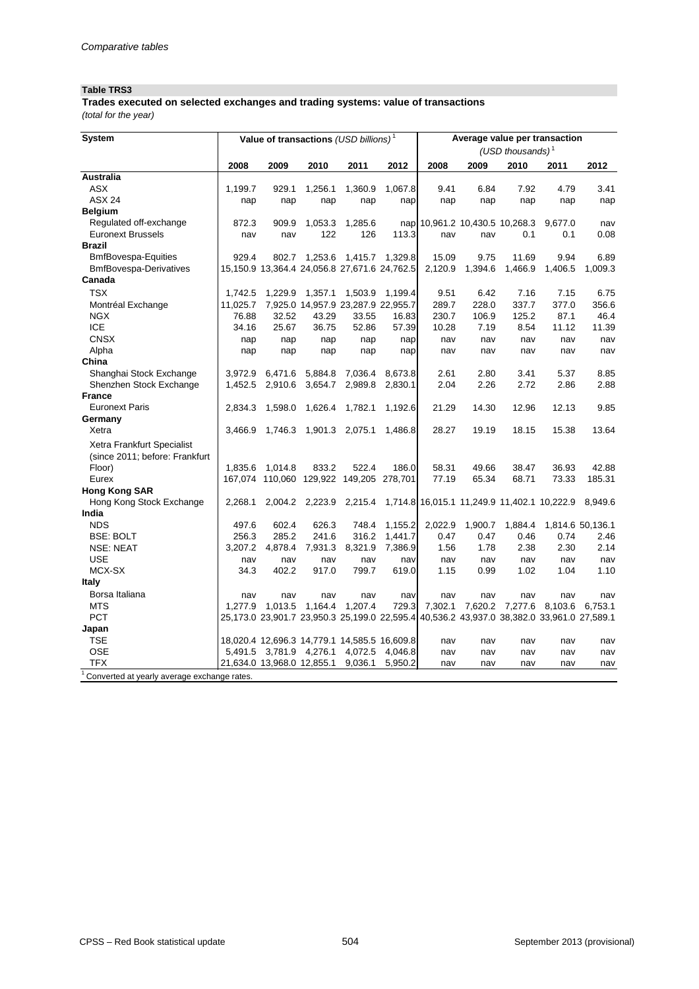### **Table TRS3**

*(total for the year)* **Trades executed on selected exchanges and trading systems: value of transactions** 

| <b>System</b>                               |          |                            |                         | Value of transactions (USD billions) <sup>1</sup> |         | Average value per transaction  |                 |                                                                                           |                 |                  |
|---------------------------------------------|----------|----------------------------|-------------------------|---------------------------------------------------|---------|--------------------------------|-----------------|-------------------------------------------------------------------------------------------|-----------------|------------------|
|                                             |          |                            |                         |                                                   |         |                                |                 | (USD thousands) $1$                                                                       |                 |                  |
|                                             | 2008     | 2009                       | 2010                    | 2011                                              | 2012    | 2008                           | 2009            | 2010                                                                                      | 2011            | 2012             |
| <b>Australia</b>                            |          |                            |                         |                                                   |         |                                |                 |                                                                                           |                 |                  |
| <b>ASX</b>                                  | 1,199.7  | 929.1                      | 1,256.1                 | 1,360.9                                           | 1,067.8 | 9.41                           | 6.84            | 7.92                                                                                      | 4.79            | 3.41             |
| <b>ASX 24</b>                               | nap      | nap                        | nap                     | nap                                               | nap     | nap                            | nap             | nap                                                                                       | nap             | nap              |
| <b>Belgium</b>                              |          |                            |                         |                                                   |         |                                |                 |                                                                                           |                 |                  |
| Regulated off-exchange                      | 872.3    | 909.9                      | 1,053.3                 | 1,285.6                                           |         | nap 10,961.2 10,430.5 10,268.3 |                 |                                                                                           | 9,677.0         | nav              |
| <b>Euronext Brussels</b>                    | nav      | nav                        | 122                     | 126                                               | 113.3   | nav                            | nav             | 0.1                                                                                       | 0.1             | 0.08             |
| <b>Brazil</b>                               |          |                            |                         |                                                   |         |                                |                 |                                                                                           |                 |                  |
| <b>BmfBovespa-Equities</b>                  | 929.4    |                            |                         | 802.7 1,253.6 1,415.7 1,329.8                     |         | 15.09                          | 9.75            | 11.69                                                                                     | 9.94            | 6.89             |
| <b>BmfBovespa-Derivatives</b>               |          |                            |                         | 15,150.9 13,364.4 24,056.8 27,671.6 24,762.5      |         | 2,120.9                        | 1,394.6         | 1,466.9                                                                                   | 1,406.5         | 1,009.3          |
| Canada                                      |          |                            |                         |                                                   |         |                                |                 |                                                                                           |                 |                  |
| <b>TSX</b>                                  | 1,742.5  | 1,229.9                    | 1,357.1                 | 1,503.9                                           | 1,199.4 | 9.51                           | 6.42            | 7.16                                                                                      | 7.15            | 6.75             |
| Montréal Exchange                           | 11,025.7 |                            |                         | 7,925.0 14,957.9 23,287.9 22,955.7                |         | 289.7                          | 228.0           | 337.7                                                                                     | 377.0           | 356.6            |
| <b>NGX</b>                                  | 76.88    | 32.52                      | 43.29                   | 33.55                                             | 16.83   | 230.7                          | 106.9           | 125.2                                                                                     | 87.1            | 46.4             |
| <b>ICE</b>                                  | 34.16    | 25.67                      | 36.75                   | 52.86                                             | 57.39   | 10.28                          | 7.19            | 8.54                                                                                      | 11.12           | 11.39            |
| <b>CNSX</b>                                 | nap      | nap                        | nap                     | nap                                               | nap     | nav                            | nav             | nav                                                                                       | nav             | nav              |
| Alpha                                       | nap      | nap                        | nap                     | nap                                               | nap     | nav                            | nav             | nav                                                                                       | nav             | nav              |
| China                                       |          |                            |                         |                                                   |         |                                |                 |                                                                                           |                 |                  |
| Shanghai Stock Exchange                     | 3,972.9  | 6,471.6                    | 5,884.8                 | 7,036.4                                           | 8,673.8 | 2.61                           | 2.80            | 3.41                                                                                      | 5.37            | 8.85             |
| Shenzhen Stock Exchange                     | 1,452.5  | 2,910.6                    | 3,654.7                 | 2,989.8                                           | 2,830.1 | 2.04                           | 2.26            | 2.72                                                                                      | 2.86            | 2.88             |
| <b>France</b>                               |          |                            |                         |                                                   |         |                                |                 |                                                                                           |                 |                  |
| <b>Euronext Paris</b>                       | 2,834.3  | 1,598.0                    | 1,626.4                 | 1,782.1                                           | 1,192.6 | 21.29                          | 14.30           | 12.96                                                                                     | 12.13           | 9.85             |
| Germany                                     |          |                            |                         |                                                   |         |                                |                 |                                                                                           |                 |                  |
| Xetra                                       | 3,466.9  | 1,746.3                    |                         | 1,901.3 2,075.1                                   | 1,486.8 | 28.27                          | 19.19           | 18.15                                                                                     | 15.38           | 13.64            |
| Xetra Frankfurt Specialist                  |          |                            |                         |                                                   |         |                                |                 |                                                                                           |                 |                  |
| (since 2011; before: Frankfurt              |          |                            |                         |                                                   |         |                                |                 |                                                                                           |                 |                  |
| Floor)                                      | 1,835.6  | 1,014.8                    | 833.2                   | 522.4                                             | 186.0   | 58.31                          | 49.66           | 38.47                                                                                     | 36.93           | 42.88            |
| Eurex                                       | 167,074  | 110,060                    |                         | 129,922 149,205 278,701                           |         | 77.19                          | 65.34           | 68.71                                                                                     | 73.33           | 185.31           |
| <b>Hong Kong SAR</b>                        |          |                            |                         |                                                   |         |                                |                 |                                                                                           |                 |                  |
| Hong Kong Stock Exchange                    | 2,268.1  |                            |                         |                                                   |         |                                |                 | 2,004.2 2,223.9 2,215.4 1,714.8 16,015.1 11,249.9 11,402.1 10,222.9 8,949.6               |                 |                  |
| India                                       |          |                            |                         |                                                   |         |                                |                 |                                                                                           |                 |                  |
| <b>NDS</b>                                  | 497.6    | 602.4                      | 626.3                   | 748.4                                             | 1,155.2 | 2,022.9                        | 1,900.7         | 1,884.4                                                                                   |                 | 1,814.6 50,136.1 |
| <b>BSE: BOLT</b>                            | 256.3    | 285.2                      | 241.6                   | 316.2                                             | 1,441.7 | 0.47                           | 0.47            | 0.46                                                                                      | 0.74            | 2.46             |
| <b>NSE: NEAT</b>                            | 3,207.2  |                            | 4,878.4 7,931.3 8,321.9 |                                                   | 7,386.9 | 1.56                           | 1.78            | 2.38                                                                                      | 2.30            | 2.14             |
| <b>USE</b>                                  | nav      | nav                        | nav                     | nav                                               | nav     | nav                            | nav             | nav                                                                                       | nav             | nav              |
| MCX-SX                                      | 34.3     | 402.2                      | 917.0                   | 799.7                                             | 619.0   | 1.15                           | 0.99            | 1.02                                                                                      | 1.04            | 1.10             |
| <b>Italy</b>                                |          |                            |                         |                                                   |         |                                |                 |                                                                                           |                 |                  |
| Borsa Italiana                              | nav      | nav                        | nav                     | nav                                               | nav     | nav                            | nav             | nav                                                                                       | nav             | nav              |
| <b>MTS</b>                                  |          | 1,277.9 1,013.5 1,164.4    |                         | 1,207.4                                           | 729.3   |                                | 7,302.1 7,620.2 |                                                                                           | 7,277.6 8,103.6 | 6,753.1          |
| <b>PCT</b>                                  |          |                            |                         |                                                   |         |                                |                 | 25,173.0 23,901.7 23,950.3 25,199.0 22,595.4 40,536.2 43,937.0 38,382.0 33,961.0 27,589.1 |                 |                  |
| Japan                                       |          |                            |                         |                                                   |         |                                |                 |                                                                                           |                 |                  |
| <b>TSE</b>                                  |          |                            |                         | 18,020.4 12,696.3 14,779.1 14,585.5 16,609.8      |         | nav                            | nav             | nav                                                                                       | nav             | nav              |
| <b>OSE</b>                                  |          |                            |                         | 5,491.5 3,781.9 4,276.1 4,072.5                   | 4,046.8 | nav                            | nav             | nav                                                                                       | nav             | nav              |
| <b>TFX</b>                                  |          | 21,634.0 13,968.0 12,855.1 |                         | 9,036.1                                           | 5,950.2 | nav                            | nav             | nav                                                                                       | nav             | nav              |
| Converted at yearly average exchange rates. |          |                            |                         |                                                   |         |                                |                 |                                                                                           |                 |                  |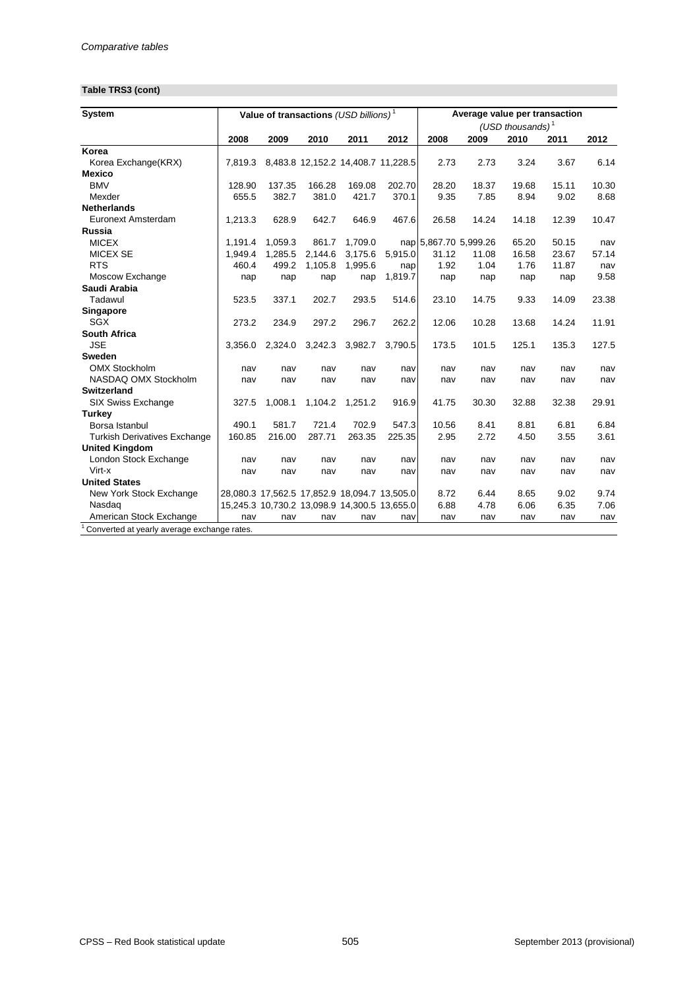# **Table TRS3 (cont)**

| <b>System</b>                                   |         |         |         | Value of transactions (USD billions) <sup>1</sup> |         | Average value per transaction |       |                     |       |       |
|-------------------------------------------------|---------|---------|---------|---------------------------------------------------|---------|-------------------------------|-------|---------------------|-------|-------|
|                                                 |         |         |         |                                                   |         |                               |       | (USD thousands) $1$ |       |       |
|                                                 | 2008    | 2009    | 2010    | 2011                                              | 2012    | 2008                          | 2009  | 2010                | 2011  | 2012  |
| Korea                                           |         |         |         |                                                   |         |                               |       |                     |       |       |
| Korea Exchange(KRX)                             | 7,819.3 |         |         | 8,483.8 12,152.2 14,408.7 11,228.5                |         | 2.73                          | 2.73  | 3.24                | 3.67  | 6.14  |
| <b>Mexico</b>                                   |         |         |         |                                                   |         |                               |       |                     |       |       |
| <b>BMV</b>                                      | 128.90  | 137.35  | 166.28  | 169.08                                            | 202.70  | 28.20                         | 18.37 | 19.68               | 15.11 | 10.30 |
| Mexder                                          | 655.5   | 382.7   | 381.0   | 421.7                                             | 370.1   | 9.35                          | 7.85  | 8.94                | 9.02  | 8.68  |
| <b>Netherlands</b>                              |         |         |         |                                                   |         |                               |       |                     |       |       |
| Euronext Amsterdam                              | 1,213.3 | 628.9   | 642.7   | 646.9                                             | 467.6   | 26.58                         | 14.24 | 14.18               | 12.39 | 10.47 |
| <b>Russia</b>                                   |         |         |         |                                                   |         |                               |       |                     |       |       |
| <b>MICEX</b>                                    | 1,191.4 | 1,059.3 | 861.7   | 1,709.0                                           |         | nap 5,867.70 5,999.26         |       | 65.20               | 50.15 | nav   |
| <b>MICEX SE</b>                                 | 1,949.4 | 1,285.5 | 2,144.6 | 3,175.6                                           | 5,915.0 | 31.12                         | 11.08 | 16.58               | 23.67 | 57.14 |
| <b>RTS</b>                                      | 460.4   | 499.2   | 1,105.8 | 1,995.6                                           | nap     | 1.92                          | 1.04  | 1.76                | 11.87 | nav   |
| Moscow Exchange                                 | nap     | nap     | nap     | nap                                               | 1,819.7 | nap                           | nap   | nap                 | nap   | 9.58  |
| Saudi Arabia                                    |         |         |         |                                                   |         |                               |       |                     |       |       |
| Tadawul                                         | 523.5   | 337.1   | 202.7   | 293.5                                             | 514.6   | 23.10                         | 14.75 | 9.33                | 14.09 | 23.38 |
| <b>Singapore</b>                                |         |         |         |                                                   |         |                               |       |                     |       |       |
| <b>SGX</b>                                      | 273.2   | 234.9   | 297.2   | 296.7                                             | 262.2   | 12.06                         | 10.28 | 13.68               | 14.24 | 11.91 |
| <b>South Africa</b>                             |         |         |         |                                                   |         |                               |       |                     |       |       |
| <b>JSE</b>                                      | 3,356.0 | 2,324.0 | 3,242.3 | 3,982.7                                           | 3,790.5 | 173.5                         | 101.5 | 125.1               | 135.3 | 127.5 |
| <b>Sweden</b>                                   |         |         |         |                                                   |         |                               |       |                     |       |       |
| <b>OMX Stockholm</b>                            | nav     | nav     | nav     | nav                                               | nav     | nav                           | nav   | nav                 | nav   | nav   |
| NASDAQ OMX Stockholm                            | nav     | nav     | nav     | nav                                               | nav     | nav                           | nav   | nav                 | nav   | nav   |
| <b>Switzerland</b>                              |         |         |         |                                                   |         |                               |       |                     |       |       |
| <b>SIX Swiss Exchange</b>                       | 327.5   | 1,008.1 | 1,104.2 | 1,251.2                                           | 916.9   | 41.75                         | 30.30 | 32.88               | 32.38 | 29.91 |
| <b>Turkey</b>                                   |         |         |         |                                                   |         |                               |       |                     |       |       |
| Borsa Istanbul                                  | 490.1   | 581.7   | 721.4   | 702.9                                             | 547.3   | 10.56                         | 8.41  | 8.81                | 6.81  | 6.84  |
| <b>Turkish Derivatives Exchange</b>             | 160.85  | 216.00  | 287.71  | 263.35                                            | 225.35  | 2.95                          | 2.72  | 4.50                | 3.55  | 3.61  |
| <b>United Kingdom</b>                           |         |         |         |                                                   |         |                               |       |                     |       |       |
| London Stock Exchange                           | nav     | nav     | nav     | nav                                               | nav     | nav                           | nav   | nav                 | nav   | nav   |
| Virt-x                                          | nav     | nav     | nav     | nav                                               | nav     | nav                           | nav   | nav                 | nav   | nav   |
| <b>United States</b>                            |         |         |         |                                                   |         |                               |       |                     |       |       |
| New York Stock Exchange                         |         |         |         | 28,080.3 17,562.5 17,852.9 18,094.7 13,505.0      |         | 8.72                          | 6.44  | 8.65                | 9.02  | 9.74  |
| Nasdag                                          |         |         |         | 15,245.3 10,730.2 13,098.9 14,300.5 13,655.0      |         | 6.88                          | 4.78  | 6.06                | 6.35  | 7.06  |
| American Stock Exchange                         | nav     | nav     | nav     | nav                                               | nav     | nav                           | nav   | nav                 | nav   | nav   |
| $1$ Converted at vearly average exchange rates. |         |         |         |                                                   |         |                               |       |                     |       |       |

 $1$  Converted at yearly average exchange rates.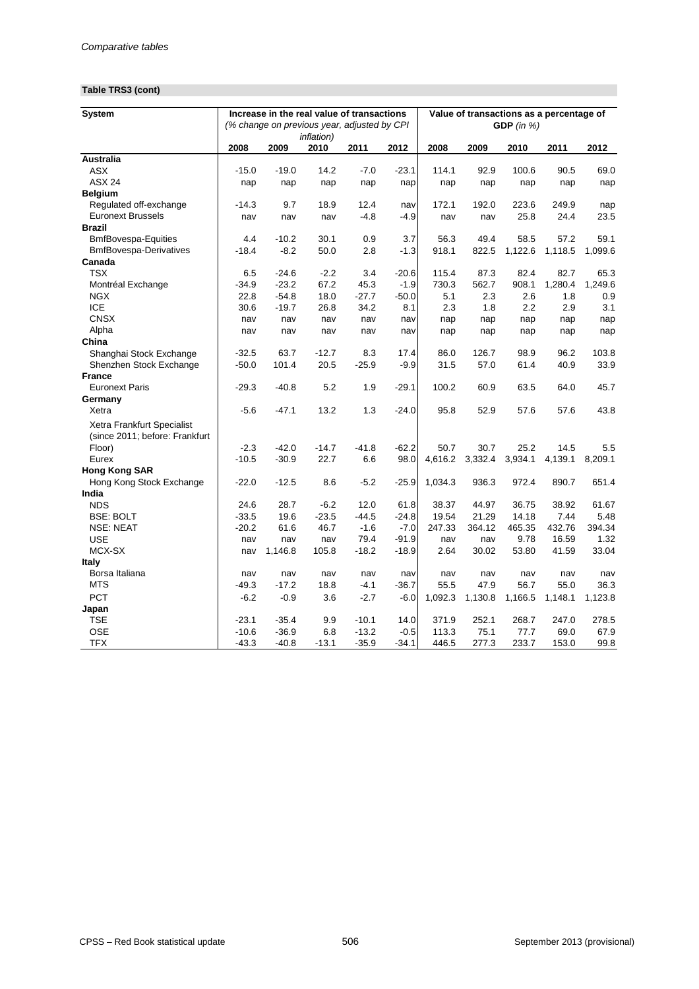# **Table TRS3 (cont)**

| <b>System</b>                  | Increase in the real value of transactions<br>(% change on previous year, adjusted by CPI |         |                            |         |         |         | Value of transactions as a percentage of<br>GDP $(in %)$ |         |         |         |  |  |
|--------------------------------|-------------------------------------------------------------------------------------------|---------|----------------------------|---------|---------|---------|----------------------------------------------------------|---------|---------|---------|--|--|
|                                | 2008                                                                                      | 2009    | <i>inflation</i> )<br>2010 | 2011    | 2012    | 2008    | 2009                                                     | 2010    | 2011    | 2012    |  |  |
| <b>Australia</b>               |                                                                                           |         |                            |         |         |         |                                                          |         |         |         |  |  |
| <b>ASX</b>                     | $-15.0$                                                                                   | $-19.0$ | 14.2                       | $-7.0$  | $-23.1$ | 114.1   | 92.9                                                     | 100.6   | 90.5    | 69.0    |  |  |
| <b>ASX 24</b>                  | nap                                                                                       | nap     | nap                        | nap     | nap     | nap     | nap                                                      | nap     | nap     | nap     |  |  |
| <b>Belgium</b>                 |                                                                                           |         |                            |         |         |         |                                                          |         |         |         |  |  |
| Regulated off-exchange         | $-14.3$                                                                                   | 9.7     | 18.9                       | 12.4    | nav     | 172.1   | 192.0                                                    | 223.6   | 249.9   | nap     |  |  |
| <b>Euronext Brussels</b>       | nav                                                                                       | nav     | nav                        | $-4.8$  | $-4.9$  | nav     | nav                                                      | 25.8    | 24.4    | 23.5    |  |  |
| <b>Brazil</b>                  |                                                                                           |         |                            |         |         |         |                                                          |         |         |         |  |  |
| <b>BmfBovespa-Equities</b>     | 4.4                                                                                       | $-10.2$ | 30.1                       | 0.9     | 3.7     | 56.3    | 49.4                                                     | 58.5    | 57.2    | 59.1    |  |  |
| <b>BmfBovespa-Derivatives</b>  | $-18.4$                                                                                   | $-8.2$  | 50.0                       | 2.8     | $-1.3$  | 918.1   | 822.5                                                    | 1,122.6 | 1,118.5 | 1,099.6 |  |  |
| Canada                         |                                                                                           |         |                            |         |         |         |                                                          |         |         |         |  |  |
| <b>TSX</b>                     | 6.5                                                                                       | $-24.6$ | $-2.2$                     | 3.4     | $-20.6$ | 115.4   | 87.3                                                     | 82.4    | 82.7    | 65.3    |  |  |
| Montréal Exchange              | $-34.9$                                                                                   | $-23.2$ | 67.2                       | 45.3    | $-1.9$  | 730.3   | 562.7                                                    | 908.1   | 1,280.4 | 1,249.6 |  |  |
| <b>NGX</b>                     | 22.8                                                                                      | $-54.8$ | 18.0                       | $-27.7$ | $-50.0$ | 5.1     | 2.3                                                      | 2.6     | 1.8     | 0.9     |  |  |
| <b>ICE</b>                     | 30.6                                                                                      | $-19.7$ | 26.8                       | 34.2    | 8.1     | 2.3     | 1.8                                                      | 2.2     | 2.9     | 3.1     |  |  |
| <b>CNSX</b>                    | nav                                                                                       | nav     | nav                        | nav     | nav     | nap     | nap                                                      | nap     | nap     | nap     |  |  |
| Alpha                          | nav                                                                                       | nav     | nav                        | nav     | nav     | nap     | nap                                                      | nap     | nap     | nap     |  |  |
| China                          |                                                                                           |         |                            |         |         |         |                                                          |         |         |         |  |  |
| Shanghai Stock Exchange        | $-32.5$                                                                                   | 63.7    | $-12.7$                    | 8.3     | 17.4    | 86.0    | 126.7                                                    | 98.9    | 96.2    | 103.8   |  |  |
| Shenzhen Stock Exchange        | $-50.0$                                                                                   | 101.4   | 20.5                       | $-25.9$ | $-9.9$  | 31.5    | 57.0                                                     | 61.4    | 40.9    | 33.9    |  |  |
| <b>France</b>                  |                                                                                           |         |                            |         |         |         |                                                          |         |         |         |  |  |
| <b>Euronext Paris</b>          | $-29.3$                                                                                   | $-40.8$ | 5.2                        | 1.9     | $-29.1$ | 100.2   | 60.9                                                     | 63.5    | 64.0    | 45.7    |  |  |
| Germany                        |                                                                                           |         |                            |         |         |         |                                                          |         |         |         |  |  |
| Xetra                          | $-5.6$                                                                                    | $-47.1$ | 13.2                       | 1.3     | $-24.0$ | 95.8    | 52.9                                                     | 57.6    | 57.6    | 43.8    |  |  |
| Xetra Frankfurt Specialist     |                                                                                           |         |                            |         |         |         |                                                          |         |         |         |  |  |
| (since 2011; before: Frankfurt |                                                                                           |         |                            |         |         |         |                                                          |         |         |         |  |  |
| Floor)                         | $-2.3$                                                                                    | $-42.0$ | $-14.7$                    | $-41.8$ | $-62.2$ | 50.7    | 30.7                                                     | 25.2    | 14.5    | 5.5     |  |  |
| Eurex                          | $-10.5$                                                                                   | $-30.9$ | 22.7                       | 6.6     | 98.0    | 4,616.2 | 3,332.4                                                  | 3,934.1 | 4,139.1 | 8,209.1 |  |  |
| <b>Hong Kong SAR</b>           |                                                                                           |         |                            |         |         |         |                                                          |         |         |         |  |  |
| Hong Kong Stock Exchange       | $-22.0$                                                                                   | $-12.5$ | 8.6                        | $-5.2$  | $-25.9$ | 1,034.3 | 936.3                                                    | 972.4   | 890.7   | 651.4   |  |  |
| India                          |                                                                                           |         |                            |         |         |         |                                                          |         |         |         |  |  |
| <b>NDS</b>                     | 24.6                                                                                      | 28.7    | $-6.2$                     | 12.0    | 61.8    | 38.37   | 44.97                                                    | 36.75   | 38.92   | 61.67   |  |  |
| <b>BSE: BOLT</b>               | $-33.5$                                                                                   | 19.6    | $-23.5$                    | $-44.5$ | $-24.8$ | 19.54   | 21.29                                                    | 14.18   | 7.44    | 5.48    |  |  |
| <b>NSE: NEAT</b>               | $-20.2$                                                                                   | 61.6    | 46.7                       | $-1.6$  | $-7.0$  | 247.33  | 364.12                                                   | 465.35  | 432.76  | 394.34  |  |  |
| <b>USE</b>                     | nav                                                                                       | nav     | nav                        | 79.4    | $-91.9$ | nav     | nav                                                      | 9.78    | 16.59   | 1.32    |  |  |
| MCX-SX                         | nav                                                                                       | 1,146.8 | 105.8                      | $-18.2$ | $-18.9$ | 2.64    | 30.02                                                    | 53.80   | 41.59   | 33.04   |  |  |
| <b>Italy</b>                   |                                                                                           |         |                            |         |         |         |                                                          |         |         |         |  |  |
| Borsa Italiana                 | nav                                                                                       | nav     | nav                        | nav     | nav     | nav     | nav                                                      | nav     | nav     | nav     |  |  |
| <b>MTS</b>                     | $-49.3$                                                                                   | $-17.2$ | 18.8                       | $-4.1$  | $-36.7$ | 55.5    | 47.9                                                     | 56.7    | 55.0    | 36.3    |  |  |
| <b>PCT</b>                     | $-6.2$                                                                                    | $-0.9$  | 3.6                        | $-2.7$  | $-6.0$  | 1,092.3 | 1,130.8                                                  | 1,166.5 | 1,148.1 | 1,123.8 |  |  |
| Japan                          |                                                                                           |         |                            |         |         |         |                                                          |         |         |         |  |  |
| <b>TSE</b>                     | $-23.1$                                                                                   | $-35.4$ | 9.9                        | $-10.1$ | 14.0    | 371.9   | 252.1                                                    | 268.7   | 247.0   | 278.5   |  |  |
| <b>OSE</b>                     | $-10.6$                                                                                   | $-36.9$ | 6.8                        | $-13.2$ | $-0.5$  | 113.3   | 75.1                                                     | 77.7    | 69.0    | 67.9    |  |  |
| <b>TFX</b>                     | $-43.3$                                                                                   | $-40.8$ | $-13.1$                    | $-35.9$ | $-34.1$ | 446.5   | 277.3                                                    | 233.7   | 153.0   | 99.8    |  |  |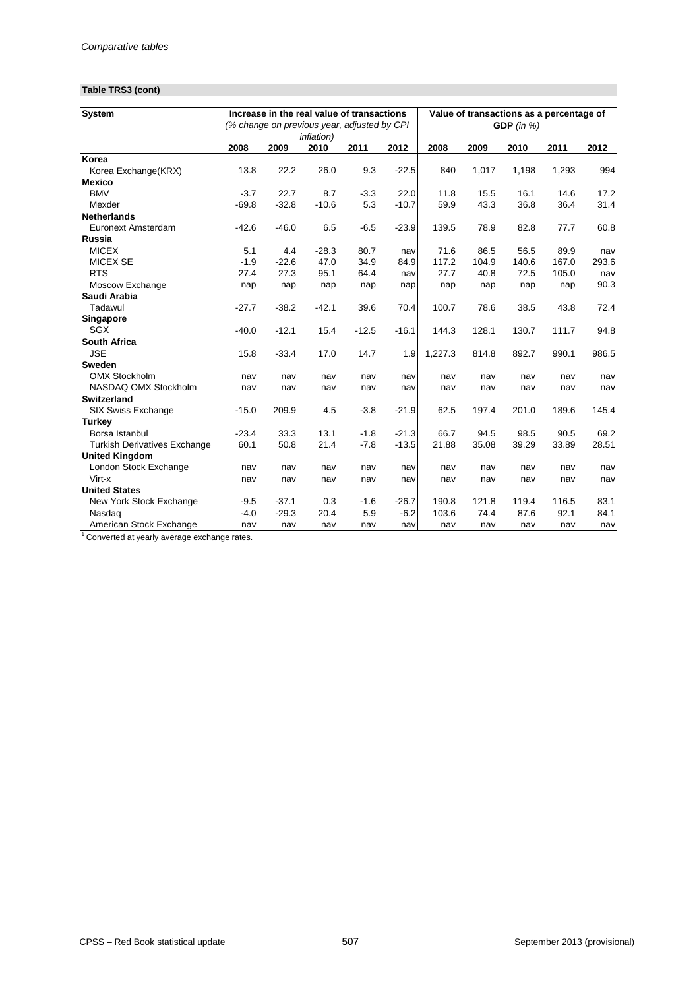## **Table TRS3 (cont)**

| <b>System</b>                       | Increase in the real value of transactions<br>(% change on previous year, adjusted by CPI |         |                    |         |         | Value of transactions as a percentage of<br>GDP $(in %)$ |       |       |       |       |
|-------------------------------------|-------------------------------------------------------------------------------------------|---------|--------------------|---------|---------|----------------------------------------------------------|-------|-------|-------|-------|
|                                     |                                                                                           |         | <i>inflation</i> ) |         |         |                                                          |       |       |       |       |
|                                     | 2008                                                                                      | 2009    | 2010               | 2011    | 2012    | 2008                                                     | 2009  | 2010  | 2011  | 2012  |
| Korea                               |                                                                                           |         |                    |         |         |                                                          |       |       |       |       |
| Korea Exchange(KRX)                 | 13.8                                                                                      | 22.2    | 26.0               | 9.3     | $-22.5$ | 840                                                      | 1,017 | 1,198 | 1,293 | 994   |
| <b>Mexico</b>                       |                                                                                           |         |                    |         |         |                                                          |       |       |       |       |
| <b>BMV</b>                          | $-3.7$                                                                                    | 22.7    | 8.7                | $-3.3$  | 22.0    | 11.8                                                     | 15.5  | 16.1  | 14.6  | 17.2  |
| Mexder                              | $-69.8$                                                                                   | $-32.8$ | $-10.6$            | 5.3     | $-10.7$ | 59.9                                                     | 43.3  | 36.8  | 36.4  | 31.4  |
| <b>Netherlands</b>                  |                                                                                           |         |                    |         |         |                                                          |       |       |       |       |
| Euronext Amsterdam                  | $-42.6$                                                                                   | $-46.0$ | 6.5                | $-6.5$  | $-23.9$ | 139.5                                                    | 78.9  | 82.8  | 77.7  | 60.8  |
| Russia                              |                                                                                           |         |                    |         |         |                                                          |       |       |       |       |
| <b>MICEX</b>                        | 5.1                                                                                       | 4.4     | $-28.3$            | 80.7    | nav     | 71.6                                                     | 86.5  | 56.5  | 89.9  | nav   |
| <b>MICEX SE</b>                     | $-1.9$                                                                                    | $-22.6$ | 47.0               | 34.9    | 84.9    | 117.2                                                    | 104.9 | 140.6 | 167.0 | 293.6 |
| <b>RTS</b>                          | 27.4                                                                                      | 27.3    | 95.1               | 64.4    | nav     | 27.7                                                     | 40.8  | 72.5  | 105.0 | nav   |
| Moscow Exchange                     | nap                                                                                       | nap     | nap                | nap     | nap     | nap                                                      | nap   | nap   | nap   | 90.3  |
| Saudi Arabia                        |                                                                                           |         |                    |         |         |                                                          |       |       |       |       |
| Tadawul                             | $-27.7$                                                                                   | $-38.2$ | $-42.1$            | 39.6    | 70.4    | 100.7                                                    | 78.6  | 38.5  | 43.8  | 72.4  |
| <b>Singapore</b>                    |                                                                                           |         |                    |         |         |                                                          |       |       |       |       |
| <b>SGX</b>                          | $-40.0$                                                                                   | $-12.1$ | 15.4               | $-12.5$ | $-16.1$ | 144.3                                                    | 128.1 | 130.7 | 111.7 | 94.8  |
| <b>South Africa</b>                 |                                                                                           |         |                    |         |         |                                                          |       |       |       |       |
| <b>JSE</b>                          | 15.8                                                                                      | $-33.4$ | 17.0               | 14.7    | 1.9     | 1,227.3                                                  | 814.8 | 892.7 | 990.1 | 986.5 |
| <b>Sweden</b>                       |                                                                                           |         |                    |         |         |                                                          |       |       |       |       |
| <b>OMX Stockholm</b>                | nav                                                                                       | nav     | nav                | nav     | nav     | nav                                                      | nav   | nav   | nav   | nav   |
| NASDAQ OMX Stockholm                | nav                                                                                       | nav     | nav                | nav     | nav     | nav                                                      | nav   | nav   | nav   | nav   |
| <b>Switzerland</b>                  |                                                                                           |         |                    |         |         |                                                          |       |       |       |       |
| SIX Swiss Exchange                  | $-15.0$                                                                                   | 209.9   | 4.5                | $-3.8$  | $-21.9$ | 62.5                                                     | 197.4 | 201.0 | 189.6 | 145.4 |
| <b>Turkey</b>                       |                                                                                           |         |                    |         |         |                                                          |       |       |       |       |
| Borsa Istanbul                      | $-23.4$                                                                                   | 33.3    | 13.1               | $-1.8$  | $-21.3$ | 66.7                                                     | 94.5  | 98.5  | 90.5  | 69.2  |
| <b>Turkish Derivatives Exchange</b> | 60.1                                                                                      | 50.8    | 21.4               | $-7.8$  | $-13.5$ | 21.88                                                    | 35.08 | 39.29 | 33.89 | 28.51 |
| <b>United Kingdom</b>               |                                                                                           |         |                    |         |         |                                                          |       |       |       |       |
| London Stock Exchange               | nav                                                                                       | nav     | nav                | nav     | nav     | nav                                                      | nav   | nav   | nav   | nav   |
| Virt-x                              | nav                                                                                       | nav     | nav                | nav     | nav     | nav                                                      | nav   | nav   | nav   | nav   |
| <b>United States</b>                |                                                                                           |         |                    |         |         |                                                          |       |       |       |       |
| New York Stock Exchange             | $-9.5$                                                                                    | $-37.1$ | 0.3                | $-1.6$  | $-26.7$ | 190.8                                                    | 121.8 | 119.4 | 116.5 | 83.1  |
| Nasdaq                              | $-4.0$                                                                                    | $-29.3$ | 20.4               | 5.9     | $-6.2$  | 103.6                                                    | 74.4  | 87.6  | 92.1  | 84.1  |
| American Stock Exchange             | nav                                                                                       | nav     | nav                | nav     | nav     | nav                                                      | nav   | nav   | nav   | nav   |

<sup>1</sup> Converted at yearly average exchange rates.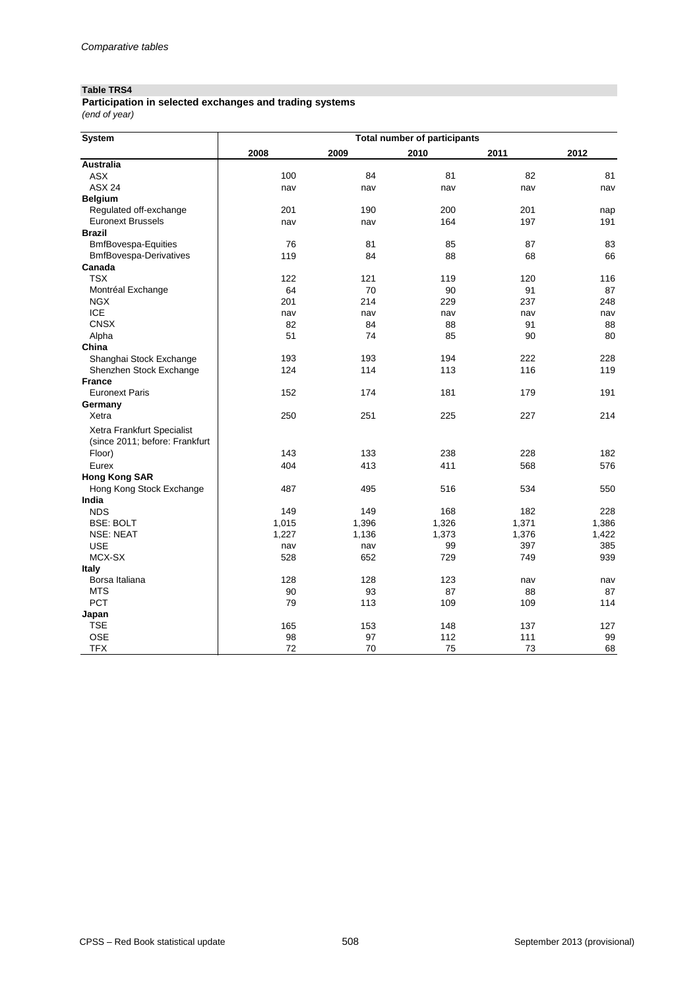#### **Table TRS4**

*(end of year)* **Participation in selected exchanges and trading systems**

| <b>System</b>                  | <b>Total number of participants</b> |        |       |       |       |  |  |  |  |  |
|--------------------------------|-------------------------------------|--------|-------|-------|-------|--|--|--|--|--|
|                                | 2008                                | 2009   | 2010  | 2011  | 2012  |  |  |  |  |  |
| <b>Australia</b>               |                                     |        |       |       |       |  |  |  |  |  |
| <b>ASX</b>                     | 100                                 | 84     | 81    | 82    | 81    |  |  |  |  |  |
| <b>ASX 24</b>                  | nav                                 | nav    | nav   | nav   | nav   |  |  |  |  |  |
| <b>Belgium</b>                 |                                     |        |       |       |       |  |  |  |  |  |
| Regulated off-exchange         | 201                                 | 190    | 200   | 201   | nap   |  |  |  |  |  |
| <b>Euronext Brussels</b>       | nav                                 | nav    | 164   | 197   | 191   |  |  |  |  |  |
| <b>Brazil</b>                  |                                     |        |       |       |       |  |  |  |  |  |
| <b>BmfBovespa-Equities</b>     | 76                                  | 81     | 85    | 87    | 83    |  |  |  |  |  |
| <b>BmfBovespa-Derivatives</b>  | 119                                 | 84     | 88    | 68    | 66    |  |  |  |  |  |
| Canada                         |                                     |        |       |       |       |  |  |  |  |  |
| <b>TSX</b>                     | 122                                 | 121    | 119   | 120   | 116   |  |  |  |  |  |
| Montréal Exchange              | 64                                  | 70     | 90    | 91    | 87    |  |  |  |  |  |
| <b>NGX</b>                     | 201                                 | 214    | 229   | 237   | 248   |  |  |  |  |  |
| <b>ICE</b>                     | nav                                 | nav    | nav   | nav   | nav   |  |  |  |  |  |
| <b>CNSX</b>                    | 82                                  | 84     | 88    | 91    | 88    |  |  |  |  |  |
| Alpha                          | 51                                  | 74     | 85    | 90    | 80    |  |  |  |  |  |
| China                          |                                     |        |       |       |       |  |  |  |  |  |
| Shanghai Stock Exchange        | 193                                 | 193    | 194   | 222   | 228   |  |  |  |  |  |
| Shenzhen Stock Exchange        | 124                                 | 114    | 113   | 116   | 119   |  |  |  |  |  |
| <b>France</b>                  |                                     |        |       |       |       |  |  |  |  |  |
| <b>Euronext Paris</b>          | 152                                 | 174    | 181   | 179   | 191   |  |  |  |  |  |
| Germany                        |                                     |        |       |       |       |  |  |  |  |  |
| Xetra                          | 250                                 | 251    | 225   | 227   | 214   |  |  |  |  |  |
| Xetra Frankfurt Specialist     |                                     |        |       |       |       |  |  |  |  |  |
| (since 2011; before: Frankfurt |                                     |        |       |       |       |  |  |  |  |  |
| Floor)                         | 143                                 | 133    | 238   | 228   | 182   |  |  |  |  |  |
| Eurex                          | 404                                 | 413    | 411   | 568   | 576   |  |  |  |  |  |
| <b>Hong Kong SAR</b>           |                                     |        |       |       |       |  |  |  |  |  |
| Hong Kong Stock Exchange       | 487                                 | 495    | 516   | 534   | 550   |  |  |  |  |  |
| India                          |                                     |        |       |       |       |  |  |  |  |  |
| <b>NDS</b>                     | 149                                 | 149    | 168   | 182   | 228   |  |  |  |  |  |
| <b>BSE: BOLT</b>               | 1,015                               | 1,396  | 1,326 | 1,371 | 1,386 |  |  |  |  |  |
| <b>NSE: NEAT</b>               | 1,227                               | 1,136  | 1,373 | 1,376 | 1,422 |  |  |  |  |  |
| <b>USE</b>                     | nav                                 | nav    | 99    | 397   | 385   |  |  |  |  |  |
| MCX-SX                         | 528                                 | 652    | 729   | 749   | 939   |  |  |  |  |  |
| <b>Italy</b>                   |                                     |        |       |       |       |  |  |  |  |  |
| Borsa Italiana                 | 128                                 | 128    | 123   | nav   | nav   |  |  |  |  |  |
| <b>MTS</b>                     | 90                                  | 93     | 87    | 88    | 87    |  |  |  |  |  |
| PCT                            | 79                                  | 113    | 109   | 109   | 114   |  |  |  |  |  |
| Japan                          |                                     |        |       |       |       |  |  |  |  |  |
| <b>TSE</b>                     | 165                                 | 153    | 148   | 137   | 127   |  |  |  |  |  |
| <b>OSE</b>                     | 98                                  | 97     | 112   | 111   | 99    |  |  |  |  |  |
| <b>TFX</b>                     | 72                                  | $70\,$ | 75    | 73    | 68    |  |  |  |  |  |
|                                |                                     |        |       |       |       |  |  |  |  |  |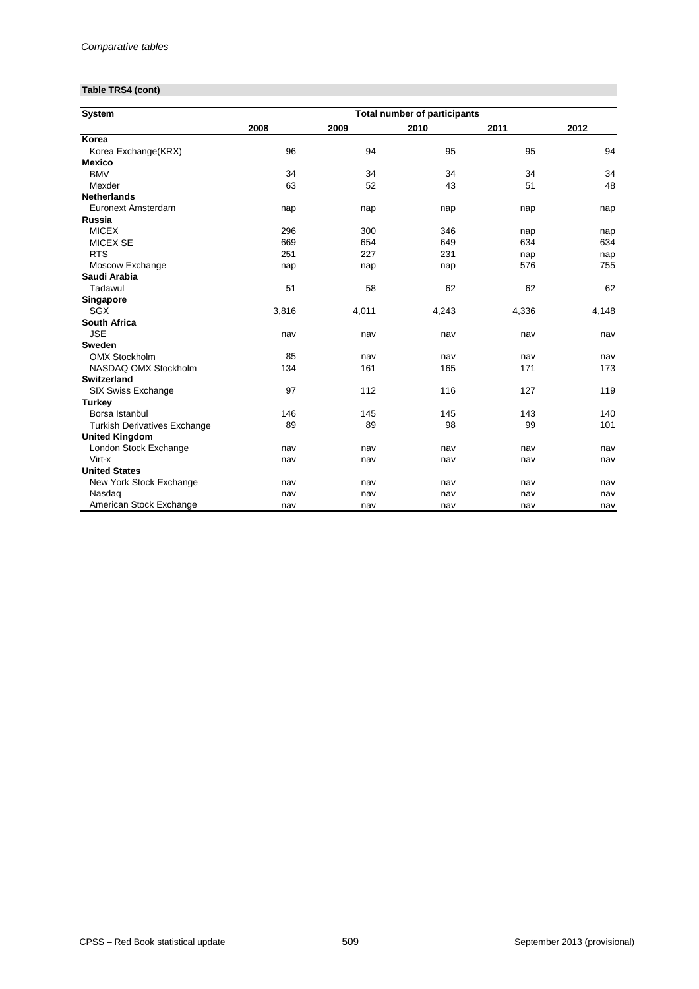## **Table TRS4 (cont)**

| <b>System</b>                       |       |       | <b>Total number of participants</b> |       |       |
|-------------------------------------|-------|-------|-------------------------------------|-------|-------|
|                                     | 2008  | 2009  | 2010                                | 2011  | 2012  |
| Korea                               |       |       |                                     |       |       |
| Korea Exchange(KRX)                 | 96    | 94    | 95                                  | 95    | 94    |
| <b>Mexico</b>                       |       |       |                                     |       |       |
| <b>BMV</b>                          | 34    | 34    | 34                                  | 34    | 34    |
| Mexder                              | 63    | 52    | 43                                  | 51    | 48    |
| <b>Netherlands</b>                  |       |       |                                     |       |       |
| Euronext Amsterdam                  | nap   | nap   | nap                                 | nap   | nap   |
| <b>Russia</b>                       |       |       |                                     |       |       |
| <b>MICEX</b>                        | 296   | 300   | 346                                 | nap   | nap   |
| <b>MICEX SE</b>                     | 669   | 654   | 649                                 | 634   | 634   |
| <b>RTS</b>                          | 251   | 227   | 231                                 | nap   | nap   |
| Moscow Exchange                     | nap   | nap   | nap                                 | 576   | 755   |
| Saudi Arabia                        |       |       |                                     |       |       |
| Tadawul                             | 51    | 58    | 62                                  | 62    | 62    |
| <b>Singapore</b>                    |       |       |                                     |       |       |
| <b>SGX</b>                          | 3,816 | 4,011 | 4,243                               | 4,336 | 4,148 |
| <b>South Africa</b>                 |       |       |                                     |       |       |
| <b>JSE</b>                          | nav   | nav   | nav                                 | nav   | nav   |
| <b>Sweden</b>                       |       |       |                                     |       |       |
| <b>OMX Stockholm</b>                | 85    | nav   | nav                                 | nav   | nav   |
| NASDAQ OMX Stockholm                | 134   | 161   | 165                                 | 171   | 173   |
| <b>Switzerland</b>                  |       |       |                                     |       |       |
| <b>SIX Swiss Exchange</b>           | 97    | 112   | 116                                 | 127   | 119   |
| <b>Turkey</b>                       |       |       |                                     |       |       |
| Borsa Istanbul                      | 146   | 145   | 145                                 | 143   | 140   |
| <b>Turkish Derivatives Exchange</b> | 89    | 89    | 98                                  | 99    | 101   |
| <b>United Kingdom</b>               |       |       |                                     |       |       |
| London Stock Exchange               | nav   | nav   | nav                                 | nav   | nav   |
| Virt-x                              | nav   | nav   | nav                                 | nav   | nav   |
| <b>United States</b>                |       |       |                                     |       |       |
| New York Stock Exchange             | nav   | nav   | nav                                 | nav   | nav   |
| Nasdaq                              | nav   | nav   | nav                                 | nav   | nav   |
| American Stock Exchange             | nav   | nav   | nav                                 | nav   | nav   |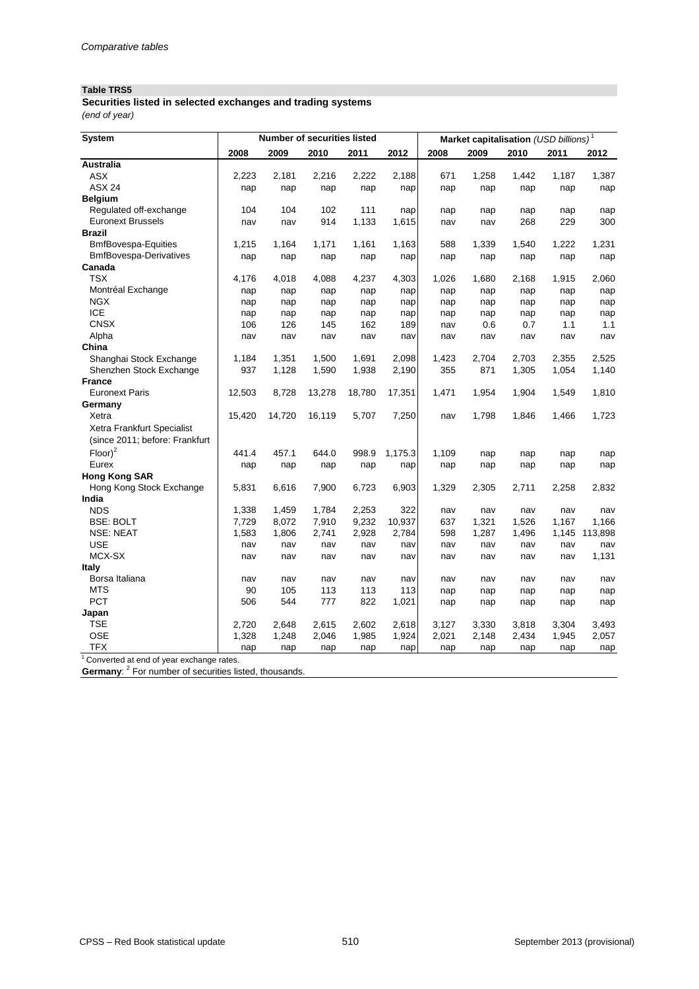## **Table TRS5**

| Securities listed in selected exchanges and trading systems |  |  |
|-------------------------------------------------------------|--|--|
| (end of year)                                               |  |  |

| <b>System</b>                            |        |        | <b>Number of securities listed</b> |        |         |            |              | Market capitalisation (USD billions) <sup>1</sup> |              |              |
|------------------------------------------|--------|--------|------------------------------------|--------|---------|------------|--------------|---------------------------------------------------|--------------|--------------|
|                                          | 2008   | 2009   | 2010                               | 2011   | 2012    | 2008       | 2009         | 2010                                              | 2011         | 2012         |
| <b>Australia</b>                         |        |        |                                    |        |         |            |              |                                                   |              |              |
| <b>ASX</b>                               | 2,223  | 2,181  | 2,216                              | 2,222  | 2,188   | 671        | 1,258        | 1,442                                             | 1,187        | 1,387        |
| <b>ASX 24</b>                            | nap    | nap    | nap                                | nap    | nap     | nap        | nap          | nap                                               | nap          | nap          |
| <b>Belgium</b>                           |        |        |                                    |        |         |            |              |                                                   |              |              |
| Regulated off-exchange                   | 104    | 104    | 102                                | 111    | nap     | nap        | nap          | nap                                               | nap          | nap          |
| <b>Euronext Brussels</b>                 | nav    | nav    | 914                                | 1,133  | 1,615   | nav        | nav          | 268                                               | 229          | 300          |
| <b>Brazil</b>                            |        |        |                                    |        |         |            |              |                                                   |              |              |
| <b>BmfBovespa-Equities</b>               | 1,215  | 1,164  | 1,171                              | 1,161  | 1,163   | 588        | 1,339        | 1,540                                             | 1,222        | 1,231        |
| <b>BmfBovespa-Derivatives</b>            | nap    | nap    | nap                                | nap    | nap     | nap        | nap          | nap                                               | nap          | nap          |
| Canada                                   |        |        |                                    |        |         |            |              |                                                   |              |              |
| <b>TSX</b>                               | 4,176  | 4,018  | 4,088                              | 4,237  | 4,303   | 1,026      | 1,680        | 2,168                                             | 1,915        | 2,060        |
| Montréal Exchange                        | nap    | nap    | nap                                | nap    | nap     | nap        | nap          | nap                                               | nap          | nap          |
| <b>NGX</b>                               | nap    | nap    | nap                                | nap    | nap     | nap        | nap          | nap                                               | nap          | nap          |
| <b>ICE</b>                               | nap    | nap    | nap                                | nap    | nap     | nap        | nap          | nap                                               | nap          | nap          |
| <b>CNSX</b>                              | 106    | 126    | 145                                | 162    | 189     | nav        | 0.6          | 0.7                                               | 1.1          | 1.1          |
| Alpha                                    | nav    | nav    | nav                                | nav    | nav     | nav        | nav          | nav                                               | nav          | nav          |
| China                                    |        |        |                                    |        |         |            |              |                                                   |              |              |
| Shanghai Stock Exchange                  | 1,184  | 1,351  | 1,500                              | 1,691  | 2,098   | 1,423      | 2,704        | 2,703                                             | 2,355        | 2,525        |
| Shenzhen Stock Exchange                  | 937    | 1,128  | 1,590                              | 1,938  | 2,190   | 355        | 871          | 1,305                                             | 1,054        | 1,140        |
| <b>France</b>                            |        |        |                                    |        |         |            |              |                                                   |              |              |
| <b>Euronext Paris</b>                    | 12,503 | 8,728  | 13,278                             | 18,780 | 17,351  | 1,471      | 1,954        | 1,904                                             | 1,549        | 1,810        |
| Germany                                  |        |        |                                    |        |         |            |              |                                                   |              |              |
| Xetra                                    | 15,420 | 14,720 | 16,119                             | 5,707  | 7,250   | nav        | 1,798        | 1,846                                             | 1,466        | 1,723        |
| Xetra Frankfurt Specialist               |        |        |                                    |        |         |            |              |                                                   |              |              |
| (since 2011; before: Frankfurt           |        |        |                                    |        |         |            |              |                                                   |              |              |
| $Floor^2$                                | 441.4  | 457.1  | 644.0                              | 998.9  | 1,175.3 | 1,109      |              | nap                                               |              |              |
| Eurex                                    |        |        |                                    |        |         |            | nap          |                                                   | nap          | nap          |
| <b>Hong Kong SAR</b>                     | nap    | nap    | nap                                | nap    | nap     | nap        | nap          | nap                                               | nap          | nap          |
| Hong Kong Stock Exchange                 | 5,831  | 6,616  | 7,900                              | 6,723  | 6,903   | 1,329      | 2,305        | 2,711                                             | 2,258        | 2,832        |
| India                                    |        |        |                                    |        |         |            |              |                                                   |              |              |
| <b>NDS</b>                               | 1,338  | 1,459  | 1,784                              | 2,253  | 322     |            |              |                                                   |              |              |
| <b>BSE: BOLT</b>                         | 7,729  | 8,072  | 7,910                              | 9,232  | 10,937  | nav<br>637 | nav<br>1,321 | nav<br>1,526                                      | nav<br>1,167 | nav<br>1,166 |
| <b>NSE: NEAT</b>                         | 1,583  |        |                                    |        |         | 598        |              | 1,496                                             |              |              |
|                                          |        | 1,806  | 2,741                              | 2,928  | 2,784   |            | 1,287        |                                                   | 1,145        | 113,898      |
| <b>USE</b><br>MCX-SX                     | nav    | nav    | nav                                | nav    | nav     | nav        | nav          | nav                                               | nav          | nav<br>1,131 |
| <b>Italy</b>                             | nav    | nav    | nav                                | nav    | nav     | nav        | nav          | nav                                               | nav          |              |
| Borsa Italiana                           |        |        |                                    |        |         |            |              |                                                   |              |              |
| <b>MTS</b>                               | nav    | nav    | nav                                | nav    | nav     | nav        | nav          | nav                                               | nav          | nav          |
|                                          | 90     | 105    | 113                                | 113    | 113     | nap        | nap          | nap                                               | nap          | nap          |
| <b>PCT</b>                               | 506    | 544    | 777                                | 822    | 1,021   | nap        | nap          | nap                                               | nap          | nap          |
| Japan                                    |        |        |                                    |        |         |            |              |                                                   |              |              |
| <b>TSE</b>                               | 2,720  | 2,648  | 2,615                              | 2,602  | 2,618   | 3,127      | 3,330        | 3,818                                             | 3,304        | 3,493        |
| <b>OSE</b>                               | 1,328  | 1,248  | 2,046                              | 1,985  | 1,924   | 2,021      | 2,148        | 2,434                                             | 1,945        | 2,057        |
| <b>TFX</b>                               | nap    | nap    | nap                                | nap    | nap     | nap        | nap          | nap                                               | nap          | nap          |
| Converted at end of year exchange rates. |        |        |                                    |        |         |            |              |                                                   |              |              |

Germany: <sup>2</sup> For number of securities listed, thousands.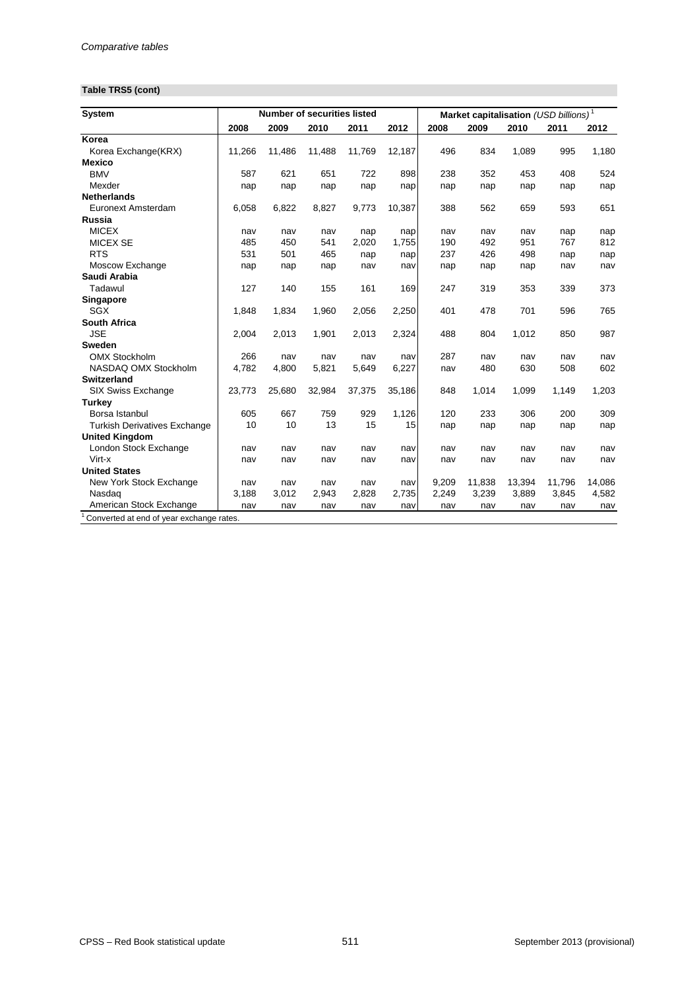## **Table TRS5 (cont)**

| <b>System</b>                            |        |        | <b>Number of securities listed</b> |        |        |       | Market capitalisation (USD billions) <sup>1</sup> |        |        |        |
|------------------------------------------|--------|--------|------------------------------------|--------|--------|-------|---------------------------------------------------|--------|--------|--------|
|                                          | 2008   | 2009   | 2010                               | 2011   | 2012   | 2008  | 2009                                              | 2010   | 2011   | 2012   |
| Korea                                    |        |        |                                    |        |        |       |                                                   |        |        |        |
| Korea Exchange(KRX)                      | 11,266 | 11,486 | 11,488                             | 11,769 | 12,187 | 496   | 834                                               | 1,089  | 995    | 1,180  |
| <b>Mexico</b>                            |        |        |                                    |        |        |       |                                                   |        |        |        |
| <b>BMV</b>                               | 587    | 621    | 651                                | 722    | 898    | 238   | 352                                               | 453    | 408    | 524    |
| Mexder                                   | nap    | nap    | nap                                | nap    | nap    | nap   | nap                                               | nap    | nap    | nap    |
| <b>Netherlands</b>                       |        |        |                                    |        |        |       |                                                   |        |        |        |
| <b>Euronext Amsterdam</b>                | 6,058  | 6,822  | 8,827                              | 9,773  | 10,387 | 388   | 562                                               | 659    | 593    | 651    |
| <b>Russia</b>                            |        |        |                                    |        |        |       |                                                   |        |        |        |
| <b>MICEX</b>                             | nav    | nav    | nav                                | nap    | nap    | nav   | nav                                               | nav    | nap    | nap    |
| <b>MICEX SE</b>                          | 485    | 450    | 541                                | 2,020  | 1,755  | 190   | 492                                               | 951    | 767    | 812    |
| <b>RTS</b>                               | 531    | 501    | 465                                | nap    | nap    | 237   | 426                                               | 498    | nap    | nap    |
| Moscow Exchange                          | nap    | nap    | nap                                | nav    | nav    | nap   | nap                                               | nap    | nav    | nav    |
| Saudi Arabia                             |        |        |                                    |        |        |       |                                                   |        |        |        |
| Tadawul                                  | 127    | 140    | 155                                | 161    | 169    | 247   | 319                                               | 353    | 339    | 373    |
| Singapore                                |        |        |                                    |        |        |       |                                                   |        |        |        |
| <b>SGX</b>                               | 1,848  | 1,834  | 1,960                              | 2,056  | 2,250  | 401   | 478                                               | 701    | 596    | 765    |
| <b>South Africa</b>                      |        |        |                                    |        |        |       |                                                   |        |        |        |
| <b>JSE</b>                               | 2,004  | 2,013  | 1,901                              | 2,013  | 2,324  | 488   | 804                                               | 1,012  | 850    | 987    |
| <b>Sweden</b>                            |        |        |                                    |        |        |       |                                                   |        |        |        |
| <b>OMX Stockholm</b>                     | 266    | nav    | nav                                | nav    | nav    | 287   | nav                                               | nav    | nav    | nav    |
| NASDAQ OMX Stockholm                     | 4,782  | 4,800  | 5,821                              | 5,649  | 6,227  | nav   | 480                                               | 630    | 508    | 602    |
| <b>Switzerland</b>                       |        |        |                                    |        |        |       |                                                   |        |        |        |
| SIX Swiss Exchange                       | 23,773 | 25,680 | 32,984                             | 37,375 | 35,186 | 848   | 1,014                                             | 1,099  | 1,149  | 1,203  |
| <b>Turkey</b>                            |        |        |                                    |        |        |       |                                                   |        |        |        |
| Borsa Istanbul                           | 605    | 667    | 759                                | 929    | 1,126  | 120   | 233                                               | 306    | 200    | 309    |
| <b>Turkish Derivatives Exchange</b>      | 10     | 10     | 13                                 | 15     | 15     | nap   | nap                                               | nap    | nap    | nap    |
| <b>United Kingdom</b>                    |        |        |                                    |        |        |       |                                                   |        |        |        |
| London Stock Exchange                    | nav    | nav    | nav                                | nav    | nav    | nav   | nav                                               | nav    | nav    | nav    |
| Virt-x                                   | nav    | nav    | nav                                | nav    | nav    | nav   | nav                                               | nav    | nav    | nav    |
| <b>United States</b>                     |        |        |                                    |        |        |       |                                                   |        |        |        |
| New York Stock Exchange                  | nav    | nav    | nav                                | nav    | nav    | 9,209 | 11,838                                            | 13,394 | 11,796 | 14,086 |
| Nasdaq                                   | 3,188  | 3,012  | 2,943                              | 2,828  | 2,735  | 2,249 | 3,239                                             | 3,889  | 3,845  | 4,582  |
| American Stock Exchange                  | nav    | nav    | nav                                | nav    | nav    | nav   | nav                                               | nav    | nav    | nav    |
| Converted at end of year exchange rates. |        |        |                                    |        |        |       |                                                   |        |        |        |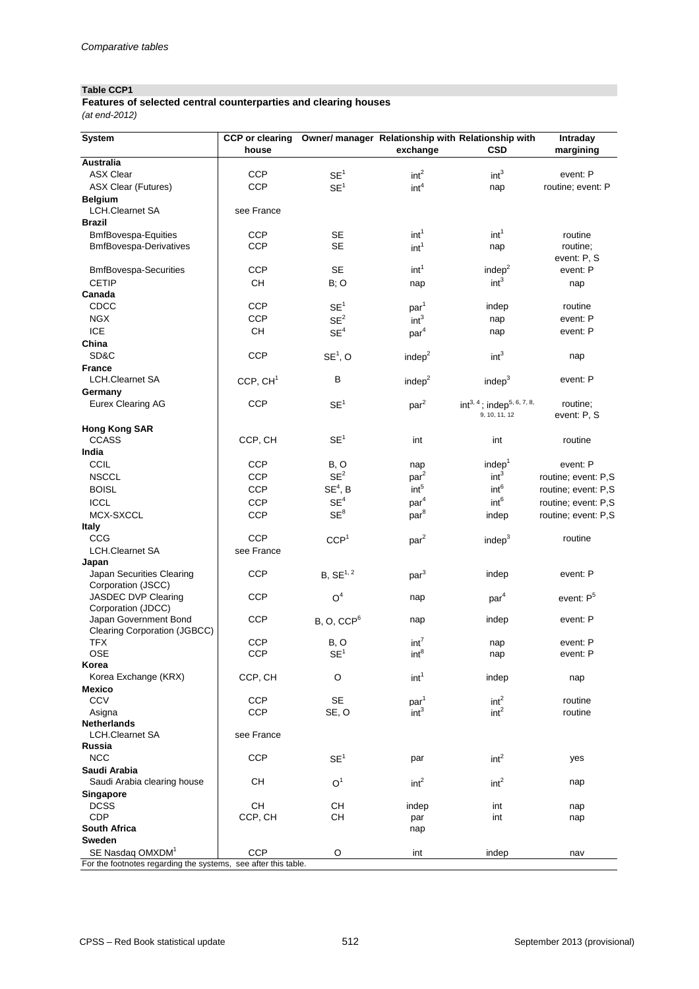### **Table CCP1**

### *(at end-2012)* **Features of selected central counterparties and clearing houses**

| <b>CSD</b><br>exchange<br>margining<br>house<br><b>Australia</b><br><b>ASX Clear</b><br><b>CCP</b><br>int <sup>3</sup><br>SE <sup>1</sup><br>int <sup>2</sup><br>event: P<br><b>CCP</b><br><b>ASX Clear (Futures)</b><br>int <sup>4</sup><br>SE <sup>1</sup><br>routine; event: P<br>nap<br><b>Belgium</b><br><b>LCH.Clearnet SA</b><br>see France<br><b>Brazil</b><br>int <sup>1</sup><br>int <sup>1</sup><br><b>CCP</b><br><b>SE</b><br><b>BmfBovespa-Equities</b><br>routine<br><b>CCP</b><br><b>SE</b><br><b>BmfBovespa-Derivatives</b><br>routine;<br>int <sup>1</sup><br>nap<br>event: P, S<br>int <sup>1</sup><br><b>SE</b><br>indep $2$<br><b>CCP</b><br><b>BmfBovespa-Securities</b><br>event: P<br>int <sup>3</sup><br><b>CH</b><br><b>CETIP</b><br>B; O<br>nap<br>nap<br>Canada<br>CDCC<br><b>CCP</b><br>SE <sup>1</sup><br>indep<br>routine<br>par <sup>1</sup><br><b>CCP</b><br>SE <sup>2</sup><br>int <sup>3</sup><br><b>NGX</b><br>event: P<br>nap<br><b>ICE</b><br><b>CH</b><br>SE <sup>4</sup><br>event: P<br>par <sup>4</sup><br>nap<br>China<br>SD&C<br><b>CCP</b><br>$SE1$ , O<br>int <sup>3</sup><br>indep <sup>2</sup><br>nap<br><b>France</b><br><b>LCH.Clearnet SA</b><br>$\sf B$<br>event: P<br>CCP, CH <sup>1</sup><br>indep <sup>2</sup><br>indep $3$<br>Germany<br><b>CCP</b><br>$int^{3, 4}$ ; indep <sup>5, 6, 7, 8,</sup><br><b>Eurex Clearing AG</b><br>SE <sup>1</sup><br>routine;<br>par <sup>2</sup><br>event: P, S<br>9, 10, 11, 12<br><b>Hong Kong SAR</b><br>SE <sup>1</sup><br><b>CCASS</b><br>CCP, CH<br>int<br>int<br>routine<br>India<br><b>CCIL</b><br>indep <sup>1</sup><br><b>CCP</b><br>B, O<br>event: P<br>nap<br>SE <sup>2</sup><br>int <sup>3</sup><br><b>CCP</b><br><b>NSCCL</b><br>par <sup>2</sup><br>routine; event: P,S<br>$SE4$ , B<br>int <sup>6</sup><br>int <sup>5</sup><br><b>CCP</b><br><b>BOISL</b><br>routine; event: P,S<br>SE <sup>4</sup><br>int <sup>6</sup><br>par <sup>4</sup><br><b>ICCL</b><br><b>CCP</b><br>routine; event: P,S<br>$SE^8$<br>par <sup>8</sup><br>MCX-SXCCL<br><b>CCP</b><br>routine; event: P,S<br>indep<br><b>Italy</b><br><b>CCG</b><br><b>CCP</b><br>par <sup>2</sup><br>CCP <sup>1</sup><br>indep <sup>3</sup><br>routine<br><b>LCH.Clearnet SA</b><br>see France<br>Japan<br><b>CCP</b><br>$B, SE^{1, 2}$<br>Japan Securities Clearing<br>indep<br>par <sup>3</sup><br>event: P<br>Corporation (JSCC)<br><b>JASDEC DVP Clearing</b><br><b>CCP</b><br>O <sup>4</sup><br>par <sup>4</sup><br>event: P <sup>5</sup><br>nap<br>Corporation (JDCC)<br><b>CCP</b><br>Japan Government Bond<br>indep<br>B, O, CCP <sup>6</sup><br>event: P<br>nap<br><b>Clearing Corporation (JGBCC)</b><br><b>CCP</b><br>int <sup>7</sup><br><b>TFX</b><br>B, O<br>event: P<br>nap<br><b>OSE</b><br><b>CCP</b><br>SE <sup>1</sup><br>int <sup>8</sup><br>event: P<br>nap<br>Korea<br>Korea Exchange (KRX)<br>CCP, CH<br>$\circ$<br>int <sup>1</sup><br>indep<br>nap<br><b>Mexico</b><br><b>SE</b><br>int <sup>2</sup><br><b>CCV</b><br><b>CCP</b><br>par <sup>1</sup><br>routine<br>int <sup>2</sup><br>SE, O<br><b>CCP</b><br>int <sup>3</sup><br>Asigna<br>routine<br><b>Netherlands</b><br><b>LCH.Clearnet SA</b><br>see France<br>Russia<br><b>NCC</b><br><b>CCP</b><br>SE <sup>1</sup><br>int <sup>2</sup><br>par<br>yes<br>Saudi Arabia<br><b>CH</b><br>O <sup>1</sup><br>int <sup>2</sup><br>Saudi Arabia clearing house<br>int <sup>2</sup><br>nap<br><b>Singapore</b><br><b>CH</b><br>CH<br><b>DCSS</b><br>indep<br>int<br>nap<br>CCP, CH<br><b>CH</b><br><b>CDP</b><br>int<br>par<br>nap<br><b>South Africa</b><br>nap<br><b>Sweden</b><br>SE Nasdaq OMXDM <sup>1</sup><br><b>CCP</b><br>$\circ$<br>int<br>indep<br>nav<br>For the footnotes regarding the systems, see after this table. | <b>System</b> | <b>CCP</b> or clearing | Owner/ manager Relationship with Relationship with |  | Intraday |
|---------------------------------------------------------------------------------------------------------------------------------------------------------------------------------------------------------------------------------------------------------------------------------------------------------------------------------------------------------------------------------------------------------------------------------------------------------------------------------------------------------------------------------------------------------------------------------------------------------------------------------------------------------------------------------------------------------------------------------------------------------------------------------------------------------------------------------------------------------------------------------------------------------------------------------------------------------------------------------------------------------------------------------------------------------------------------------------------------------------------------------------------------------------------------------------------------------------------------------------------------------------------------------------------------------------------------------------------------------------------------------------------------------------------------------------------------------------------------------------------------------------------------------------------------------------------------------------------------------------------------------------------------------------------------------------------------------------------------------------------------------------------------------------------------------------------------------------------------------------------------------------------------------------------------------------------------------------------------------------------------------------------------------------------------------------------------------------------------------------------------------------------------------------------------------------------------------------------------------------------------------------------------------------------------------------------------------------------------------------------------------------------------------------------------------------------------------------------------------------------------------------------------------------------------------------------------------------------------------------------------------------------------------------------------------------------------------------------------------------------------------------------------------------------------------------------------------------------------------------------------------------------------------------------------------------------------------------------------------------------------------------------------------------------------------------------------------------------------------------------------------------------------------------------------------------------------------------------------------------------------------------------------------------------------------------------------------------------------------------------------------------------------------------------------------------------------------------------------------------------------------------------------------------------------------------------------------------------------------------------------------------------------------------------------------------------------------------------------------------------------------------------------|---------------|------------------------|----------------------------------------------------|--|----------|
|                                                                                                                                                                                                                                                                                                                                                                                                                                                                                                                                                                                                                                                                                                                                                                                                                                                                                                                                                                                                                                                                                                                                                                                                                                                                                                                                                                                                                                                                                                                                                                                                                                                                                                                                                                                                                                                                                                                                                                                                                                                                                                                                                                                                                                                                                                                                                                                                                                                                                                                                                                                                                                                                                                                                                                                                                                                                                                                                                                                                                                                                                                                                                                                                                                                                                                                                                                                                                                                                                                                                                                                                                                                                                                                                                                           |               |                        |                                                    |  |          |
|                                                                                                                                                                                                                                                                                                                                                                                                                                                                                                                                                                                                                                                                                                                                                                                                                                                                                                                                                                                                                                                                                                                                                                                                                                                                                                                                                                                                                                                                                                                                                                                                                                                                                                                                                                                                                                                                                                                                                                                                                                                                                                                                                                                                                                                                                                                                                                                                                                                                                                                                                                                                                                                                                                                                                                                                                                                                                                                                                                                                                                                                                                                                                                                                                                                                                                                                                                                                                                                                                                                                                                                                                                                                                                                                                                           |               |                        |                                                    |  |          |
|                                                                                                                                                                                                                                                                                                                                                                                                                                                                                                                                                                                                                                                                                                                                                                                                                                                                                                                                                                                                                                                                                                                                                                                                                                                                                                                                                                                                                                                                                                                                                                                                                                                                                                                                                                                                                                                                                                                                                                                                                                                                                                                                                                                                                                                                                                                                                                                                                                                                                                                                                                                                                                                                                                                                                                                                                                                                                                                                                                                                                                                                                                                                                                                                                                                                                                                                                                                                                                                                                                                                                                                                                                                                                                                                                                           |               |                        |                                                    |  |          |
|                                                                                                                                                                                                                                                                                                                                                                                                                                                                                                                                                                                                                                                                                                                                                                                                                                                                                                                                                                                                                                                                                                                                                                                                                                                                                                                                                                                                                                                                                                                                                                                                                                                                                                                                                                                                                                                                                                                                                                                                                                                                                                                                                                                                                                                                                                                                                                                                                                                                                                                                                                                                                                                                                                                                                                                                                                                                                                                                                                                                                                                                                                                                                                                                                                                                                                                                                                                                                                                                                                                                                                                                                                                                                                                                                                           |               |                        |                                                    |  |          |
|                                                                                                                                                                                                                                                                                                                                                                                                                                                                                                                                                                                                                                                                                                                                                                                                                                                                                                                                                                                                                                                                                                                                                                                                                                                                                                                                                                                                                                                                                                                                                                                                                                                                                                                                                                                                                                                                                                                                                                                                                                                                                                                                                                                                                                                                                                                                                                                                                                                                                                                                                                                                                                                                                                                                                                                                                                                                                                                                                                                                                                                                                                                                                                                                                                                                                                                                                                                                                                                                                                                                                                                                                                                                                                                                                                           |               |                        |                                                    |  |          |
|                                                                                                                                                                                                                                                                                                                                                                                                                                                                                                                                                                                                                                                                                                                                                                                                                                                                                                                                                                                                                                                                                                                                                                                                                                                                                                                                                                                                                                                                                                                                                                                                                                                                                                                                                                                                                                                                                                                                                                                                                                                                                                                                                                                                                                                                                                                                                                                                                                                                                                                                                                                                                                                                                                                                                                                                                                                                                                                                                                                                                                                                                                                                                                                                                                                                                                                                                                                                                                                                                                                                                                                                                                                                                                                                                                           |               |                        |                                                    |  |          |
|                                                                                                                                                                                                                                                                                                                                                                                                                                                                                                                                                                                                                                                                                                                                                                                                                                                                                                                                                                                                                                                                                                                                                                                                                                                                                                                                                                                                                                                                                                                                                                                                                                                                                                                                                                                                                                                                                                                                                                                                                                                                                                                                                                                                                                                                                                                                                                                                                                                                                                                                                                                                                                                                                                                                                                                                                                                                                                                                                                                                                                                                                                                                                                                                                                                                                                                                                                                                                                                                                                                                                                                                                                                                                                                                                                           |               |                        |                                                    |  |          |
|                                                                                                                                                                                                                                                                                                                                                                                                                                                                                                                                                                                                                                                                                                                                                                                                                                                                                                                                                                                                                                                                                                                                                                                                                                                                                                                                                                                                                                                                                                                                                                                                                                                                                                                                                                                                                                                                                                                                                                                                                                                                                                                                                                                                                                                                                                                                                                                                                                                                                                                                                                                                                                                                                                                                                                                                                                                                                                                                                                                                                                                                                                                                                                                                                                                                                                                                                                                                                                                                                                                                                                                                                                                                                                                                                                           |               |                        |                                                    |  |          |
|                                                                                                                                                                                                                                                                                                                                                                                                                                                                                                                                                                                                                                                                                                                                                                                                                                                                                                                                                                                                                                                                                                                                                                                                                                                                                                                                                                                                                                                                                                                                                                                                                                                                                                                                                                                                                                                                                                                                                                                                                                                                                                                                                                                                                                                                                                                                                                                                                                                                                                                                                                                                                                                                                                                                                                                                                                                                                                                                                                                                                                                                                                                                                                                                                                                                                                                                                                                                                                                                                                                                                                                                                                                                                                                                                                           |               |                        |                                                    |  |          |
|                                                                                                                                                                                                                                                                                                                                                                                                                                                                                                                                                                                                                                                                                                                                                                                                                                                                                                                                                                                                                                                                                                                                                                                                                                                                                                                                                                                                                                                                                                                                                                                                                                                                                                                                                                                                                                                                                                                                                                                                                                                                                                                                                                                                                                                                                                                                                                                                                                                                                                                                                                                                                                                                                                                                                                                                                                                                                                                                                                                                                                                                                                                                                                                                                                                                                                                                                                                                                                                                                                                                                                                                                                                                                                                                                                           |               |                        |                                                    |  |          |
|                                                                                                                                                                                                                                                                                                                                                                                                                                                                                                                                                                                                                                                                                                                                                                                                                                                                                                                                                                                                                                                                                                                                                                                                                                                                                                                                                                                                                                                                                                                                                                                                                                                                                                                                                                                                                                                                                                                                                                                                                                                                                                                                                                                                                                                                                                                                                                                                                                                                                                                                                                                                                                                                                                                                                                                                                                                                                                                                                                                                                                                                                                                                                                                                                                                                                                                                                                                                                                                                                                                                                                                                                                                                                                                                                                           |               |                        |                                                    |  |          |
|                                                                                                                                                                                                                                                                                                                                                                                                                                                                                                                                                                                                                                                                                                                                                                                                                                                                                                                                                                                                                                                                                                                                                                                                                                                                                                                                                                                                                                                                                                                                                                                                                                                                                                                                                                                                                                                                                                                                                                                                                                                                                                                                                                                                                                                                                                                                                                                                                                                                                                                                                                                                                                                                                                                                                                                                                                                                                                                                                                                                                                                                                                                                                                                                                                                                                                                                                                                                                                                                                                                                                                                                                                                                                                                                                                           |               |                        |                                                    |  |          |
|                                                                                                                                                                                                                                                                                                                                                                                                                                                                                                                                                                                                                                                                                                                                                                                                                                                                                                                                                                                                                                                                                                                                                                                                                                                                                                                                                                                                                                                                                                                                                                                                                                                                                                                                                                                                                                                                                                                                                                                                                                                                                                                                                                                                                                                                                                                                                                                                                                                                                                                                                                                                                                                                                                                                                                                                                                                                                                                                                                                                                                                                                                                                                                                                                                                                                                                                                                                                                                                                                                                                                                                                                                                                                                                                                                           |               |                        |                                                    |  |          |
|                                                                                                                                                                                                                                                                                                                                                                                                                                                                                                                                                                                                                                                                                                                                                                                                                                                                                                                                                                                                                                                                                                                                                                                                                                                                                                                                                                                                                                                                                                                                                                                                                                                                                                                                                                                                                                                                                                                                                                                                                                                                                                                                                                                                                                                                                                                                                                                                                                                                                                                                                                                                                                                                                                                                                                                                                                                                                                                                                                                                                                                                                                                                                                                                                                                                                                                                                                                                                                                                                                                                                                                                                                                                                                                                                                           |               |                        |                                                    |  |          |
|                                                                                                                                                                                                                                                                                                                                                                                                                                                                                                                                                                                                                                                                                                                                                                                                                                                                                                                                                                                                                                                                                                                                                                                                                                                                                                                                                                                                                                                                                                                                                                                                                                                                                                                                                                                                                                                                                                                                                                                                                                                                                                                                                                                                                                                                                                                                                                                                                                                                                                                                                                                                                                                                                                                                                                                                                                                                                                                                                                                                                                                                                                                                                                                                                                                                                                                                                                                                                                                                                                                                                                                                                                                                                                                                                                           |               |                        |                                                    |  |          |
|                                                                                                                                                                                                                                                                                                                                                                                                                                                                                                                                                                                                                                                                                                                                                                                                                                                                                                                                                                                                                                                                                                                                                                                                                                                                                                                                                                                                                                                                                                                                                                                                                                                                                                                                                                                                                                                                                                                                                                                                                                                                                                                                                                                                                                                                                                                                                                                                                                                                                                                                                                                                                                                                                                                                                                                                                                                                                                                                                                                                                                                                                                                                                                                                                                                                                                                                                                                                                                                                                                                                                                                                                                                                                                                                                                           |               |                        |                                                    |  |          |
|                                                                                                                                                                                                                                                                                                                                                                                                                                                                                                                                                                                                                                                                                                                                                                                                                                                                                                                                                                                                                                                                                                                                                                                                                                                                                                                                                                                                                                                                                                                                                                                                                                                                                                                                                                                                                                                                                                                                                                                                                                                                                                                                                                                                                                                                                                                                                                                                                                                                                                                                                                                                                                                                                                                                                                                                                                                                                                                                                                                                                                                                                                                                                                                                                                                                                                                                                                                                                                                                                                                                                                                                                                                                                                                                                                           |               |                        |                                                    |  |          |
|                                                                                                                                                                                                                                                                                                                                                                                                                                                                                                                                                                                                                                                                                                                                                                                                                                                                                                                                                                                                                                                                                                                                                                                                                                                                                                                                                                                                                                                                                                                                                                                                                                                                                                                                                                                                                                                                                                                                                                                                                                                                                                                                                                                                                                                                                                                                                                                                                                                                                                                                                                                                                                                                                                                                                                                                                                                                                                                                                                                                                                                                                                                                                                                                                                                                                                                                                                                                                                                                                                                                                                                                                                                                                                                                                                           |               |                        |                                                    |  |          |
|                                                                                                                                                                                                                                                                                                                                                                                                                                                                                                                                                                                                                                                                                                                                                                                                                                                                                                                                                                                                                                                                                                                                                                                                                                                                                                                                                                                                                                                                                                                                                                                                                                                                                                                                                                                                                                                                                                                                                                                                                                                                                                                                                                                                                                                                                                                                                                                                                                                                                                                                                                                                                                                                                                                                                                                                                                                                                                                                                                                                                                                                                                                                                                                                                                                                                                                                                                                                                                                                                                                                                                                                                                                                                                                                                                           |               |                        |                                                    |  |          |
|                                                                                                                                                                                                                                                                                                                                                                                                                                                                                                                                                                                                                                                                                                                                                                                                                                                                                                                                                                                                                                                                                                                                                                                                                                                                                                                                                                                                                                                                                                                                                                                                                                                                                                                                                                                                                                                                                                                                                                                                                                                                                                                                                                                                                                                                                                                                                                                                                                                                                                                                                                                                                                                                                                                                                                                                                                                                                                                                                                                                                                                                                                                                                                                                                                                                                                                                                                                                                                                                                                                                                                                                                                                                                                                                                                           |               |                        |                                                    |  |          |
|                                                                                                                                                                                                                                                                                                                                                                                                                                                                                                                                                                                                                                                                                                                                                                                                                                                                                                                                                                                                                                                                                                                                                                                                                                                                                                                                                                                                                                                                                                                                                                                                                                                                                                                                                                                                                                                                                                                                                                                                                                                                                                                                                                                                                                                                                                                                                                                                                                                                                                                                                                                                                                                                                                                                                                                                                                                                                                                                                                                                                                                                                                                                                                                                                                                                                                                                                                                                                                                                                                                                                                                                                                                                                                                                                                           |               |                        |                                                    |  |          |
|                                                                                                                                                                                                                                                                                                                                                                                                                                                                                                                                                                                                                                                                                                                                                                                                                                                                                                                                                                                                                                                                                                                                                                                                                                                                                                                                                                                                                                                                                                                                                                                                                                                                                                                                                                                                                                                                                                                                                                                                                                                                                                                                                                                                                                                                                                                                                                                                                                                                                                                                                                                                                                                                                                                                                                                                                                                                                                                                                                                                                                                                                                                                                                                                                                                                                                                                                                                                                                                                                                                                                                                                                                                                                                                                                                           |               |                        |                                                    |  |          |
|                                                                                                                                                                                                                                                                                                                                                                                                                                                                                                                                                                                                                                                                                                                                                                                                                                                                                                                                                                                                                                                                                                                                                                                                                                                                                                                                                                                                                                                                                                                                                                                                                                                                                                                                                                                                                                                                                                                                                                                                                                                                                                                                                                                                                                                                                                                                                                                                                                                                                                                                                                                                                                                                                                                                                                                                                                                                                                                                                                                                                                                                                                                                                                                                                                                                                                                                                                                                                                                                                                                                                                                                                                                                                                                                                                           |               |                        |                                                    |  |          |
|                                                                                                                                                                                                                                                                                                                                                                                                                                                                                                                                                                                                                                                                                                                                                                                                                                                                                                                                                                                                                                                                                                                                                                                                                                                                                                                                                                                                                                                                                                                                                                                                                                                                                                                                                                                                                                                                                                                                                                                                                                                                                                                                                                                                                                                                                                                                                                                                                                                                                                                                                                                                                                                                                                                                                                                                                                                                                                                                                                                                                                                                                                                                                                                                                                                                                                                                                                                                                                                                                                                                                                                                                                                                                                                                                                           |               |                        |                                                    |  |          |
|                                                                                                                                                                                                                                                                                                                                                                                                                                                                                                                                                                                                                                                                                                                                                                                                                                                                                                                                                                                                                                                                                                                                                                                                                                                                                                                                                                                                                                                                                                                                                                                                                                                                                                                                                                                                                                                                                                                                                                                                                                                                                                                                                                                                                                                                                                                                                                                                                                                                                                                                                                                                                                                                                                                                                                                                                                                                                                                                                                                                                                                                                                                                                                                                                                                                                                                                                                                                                                                                                                                                                                                                                                                                                                                                                                           |               |                        |                                                    |  |          |
|                                                                                                                                                                                                                                                                                                                                                                                                                                                                                                                                                                                                                                                                                                                                                                                                                                                                                                                                                                                                                                                                                                                                                                                                                                                                                                                                                                                                                                                                                                                                                                                                                                                                                                                                                                                                                                                                                                                                                                                                                                                                                                                                                                                                                                                                                                                                                                                                                                                                                                                                                                                                                                                                                                                                                                                                                                                                                                                                                                                                                                                                                                                                                                                                                                                                                                                                                                                                                                                                                                                                                                                                                                                                                                                                                                           |               |                        |                                                    |  |          |
|                                                                                                                                                                                                                                                                                                                                                                                                                                                                                                                                                                                                                                                                                                                                                                                                                                                                                                                                                                                                                                                                                                                                                                                                                                                                                                                                                                                                                                                                                                                                                                                                                                                                                                                                                                                                                                                                                                                                                                                                                                                                                                                                                                                                                                                                                                                                                                                                                                                                                                                                                                                                                                                                                                                                                                                                                                                                                                                                                                                                                                                                                                                                                                                                                                                                                                                                                                                                                                                                                                                                                                                                                                                                                                                                                                           |               |                        |                                                    |  |          |
|                                                                                                                                                                                                                                                                                                                                                                                                                                                                                                                                                                                                                                                                                                                                                                                                                                                                                                                                                                                                                                                                                                                                                                                                                                                                                                                                                                                                                                                                                                                                                                                                                                                                                                                                                                                                                                                                                                                                                                                                                                                                                                                                                                                                                                                                                                                                                                                                                                                                                                                                                                                                                                                                                                                                                                                                                                                                                                                                                                                                                                                                                                                                                                                                                                                                                                                                                                                                                                                                                                                                                                                                                                                                                                                                                                           |               |                        |                                                    |  |          |
|                                                                                                                                                                                                                                                                                                                                                                                                                                                                                                                                                                                                                                                                                                                                                                                                                                                                                                                                                                                                                                                                                                                                                                                                                                                                                                                                                                                                                                                                                                                                                                                                                                                                                                                                                                                                                                                                                                                                                                                                                                                                                                                                                                                                                                                                                                                                                                                                                                                                                                                                                                                                                                                                                                                                                                                                                                                                                                                                                                                                                                                                                                                                                                                                                                                                                                                                                                                                                                                                                                                                                                                                                                                                                                                                                                           |               |                        |                                                    |  |          |
|                                                                                                                                                                                                                                                                                                                                                                                                                                                                                                                                                                                                                                                                                                                                                                                                                                                                                                                                                                                                                                                                                                                                                                                                                                                                                                                                                                                                                                                                                                                                                                                                                                                                                                                                                                                                                                                                                                                                                                                                                                                                                                                                                                                                                                                                                                                                                                                                                                                                                                                                                                                                                                                                                                                                                                                                                                                                                                                                                                                                                                                                                                                                                                                                                                                                                                                                                                                                                                                                                                                                                                                                                                                                                                                                                                           |               |                        |                                                    |  |          |
|                                                                                                                                                                                                                                                                                                                                                                                                                                                                                                                                                                                                                                                                                                                                                                                                                                                                                                                                                                                                                                                                                                                                                                                                                                                                                                                                                                                                                                                                                                                                                                                                                                                                                                                                                                                                                                                                                                                                                                                                                                                                                                                                                                                                                                                                                                                                                                                                                                                                                                                                                                                                                                                                                                                                                                                                                                                                                                                                                                                                                                                                                                                                                                                                                                                                                                                                                                                                                                                                                                                                                                                                                                                                                                                                                                           |               |                        |                                                    |  |          |
|                                                                                                                                                                                                                                                                                                                                                                                                                                                                                                                                                                                                                                                                                                                                                                                                                                                                                                                                                                                                                                                                                                                                                                                                                                                                                                                                                                                                                                                                                                                                                                                                                                                                                                                                                                                                                                                                                                                                                                                                                                                                                                                                                                                                                                                                                                                                                                                                                                                                                                                                                                                                                                                                                                                                                                                                                                                                                                                                                                                                                                                                                                                                                                                                                                                                                                                                                                                                                                                                                                                                                                                                                                                                                                                                                                           |               |                        |                                                    |  |          |
|                                                                                                                                                                                                                                                                                                                                                                                                                                                                                                                                                                                                                                                                                                                                                                                                                                                                                                                                                                                                                                                                                                                                                                                                                                                                                                                                                                                                                                                                                                                                                                                                                                                                                                                                                                                                                                                                                                                                                                                                                                                                                                                                                                                                                                                                                                                                                                                                                                                                                                                                                                                                                                                                                                                                                                                                                                                                                                                                                                                                                                                                                                                                                                                                                                                                                                                                                                                                                                                                                                                                                                                                                                                                                                                                                                           |               |                        |                                                    |  |          |
|                                                                                                                                                                                                                                                                                                                                                                                                                                                                                                                                                                                                                                                                                                                                                                                                                                                                                                                                                                                                                                                                                                                                                                                                                                                                                                                                                                                                                                                                                                                                                                                                                                                                                                                                                                                                                                                                                                                                                                                                                                                                                                                                                                                                                                                                                                                                                                                                                                                                                                                                                                                                                                                                                                                                                                                                                                                                                                                                                                                                                                                                                                                                                                                                                                                                                                                                                                                                                                                                                                                                                                                                                                                                                                                                                                           |               |                        |                                                    |  |          |
|                                                                                                                                                                                                                                                                                                                                                                                                                                                                                                                                                                                                                                                                                                                                                                                                                                                                                                                                                                                                                                                                                                                                                                                                                                                                                                                                                                                                                                                                                                                                                                                                                                                                                                                                                                                                                                                                                                                                                                                                                                                                                                                                                                                                                                                                                                                                                                                                                                                                                                                                                                                                                                                                                                                                                                                                                                                                                                                                                                                                                                                                                                                                                                                                                                                                                                                                                                                                                                                                                                                                                                                                                                                                                                                                                                           |               |                        |                                                    |  |          |
|                                                                                                                                                                                                                                                                                                                                                                                                                                                                                                                                                                                                                                                                                                                                                                                                                                                                                                                                                                                                                                                                                                                                                                                                                                                                                                                                                                                                                                                                                                                                                                                                                                                                                                                                                                                                                                                                                                                                                                                                                                                                                                                                                                                                                                                                                                                                                                                                                                                                                                                                                                                                                                                                                                                                                                                                                                                                                                                                                                                                                                                                                                                                                                                                                                                                                                                                                                                                                                                                                                                                                                                                                                                                                                                                                                           |               |                        |                                                    |  |          |
|                                                                                                                                                                                                                                                                                                                                                                                                                                                                                                                                                                                                                                                                                                                                                                                                                                                                                                                                                                                                                                                                                                                                                                                                                                                                                                                                                                                                                                                                                                                                                                                                                                                                                                                                                                                                                                                                                                                                                                                                                                                                                                                                                                                                                                                                                                                                                                                                                                                                                                                                                                                                                                                                                                                                                                                                                                                                                                                                                                                                                                                                                                                                                                                                                                                                                                                                                                                                                                                                                                                                                                                                                                                                                                                                                                           |               |                        |                                                    |  |          |
|                                                                                                                                                                                                                                                                                                                                                                                                                                                                                                                                                                                                                                                                                                                                                                                                                                                                                                                                                                                                                                                                                                                                                                                                                                                                                                                                                                                                                                                                                                                                                                                                                                                                                                                                                                                                                                                                                                                                                                                                                                                                                                                                                                                                                                                                                                                                                                                                                                                                                                                                                                                                                                                                                                                                                                                                                                                                                                                                                                                                                                                                                                                                                                                                                                                                                                                                                                                                                                                                                                                                                                                                                                                                                                                                                                           |               |                        |                                                    |  |          |
|                                                                                                                                                                                                                                                                                                                                                                                                                                                                                                                                                                                                                                                                                                                                                                                                                                                                                                                                                                                                                                                                                                                                                                                                                                                                                                                                                                                                                                                                                                                                                                                                                                                                                                                                                                                                                                                                                                                                                                                                                                                                                                                                                                                                                                                                                                                                                                                                                                                                                                                                                                                                                                                                                                                                                                                                                                                                                                                                                                                                                                                                                                                                                                                                                                                                                                                                                                                                                                                                                                                                                                                                                                                                                                                                                                           |               |                        |                                                    |  |          |
|                                                                                                                                                                                                                                                                                                                                                                                                                                                                                                                                                                                                                                                                                                                                                                                                                                                                                                                                                                                                                                                                                                                                                                                                                                                                                                                                                                                                                                                                                                                                                                                                                                                                                                                                                                                                                                                                                                                                                                                                                                                                                                                                                                                                                                                                                                                                                                                                                                                                                                                                                                                                                                                                                                                                                                                                                                                                                                                                                                                                                                                                                                                                                                                                                                                                                                                                                                                                                                                                                                                                                                                                                                                                                                                                                                           |               |                        |                                                    |  |          |
|                                                                                                                                                                                                                                                                                                                                                                                                                                                                                                                                                                                                                                                                                                                                                                                                                                                                                                                                                                                                                                                                                                                                                                                                                                                                                                                                                                                                                                                                                                                                                                                                                                                                                                                                                                                                                                                                                                                                                                                                                                                                                                                                                                                                                                                                                                                                                                                                                                                                                                                                                                                                                                                                                                                                                                                                                                                                                                                                                                                                                                                                                                                                                                                                                                                                                                                                                                                                                                                                                                                                                                                                                                                                                                                                                                           |               |                        |                                                    |  |          |
|                                                                                                                                                                                                                                                                                                                                                                                                                                                                                                                                                                                                                                                                                                                                                                                                                                                                                                                                                                                                                                                                                                                                                                                                                                                                                                                                                                                                                                                                                                                                                                                                                                                                                                                                                                                                                                                                                                                                                                                                                                                                                                                                                                                                                                                                                                                                                                                                                                                                                                                                                                                                                                                                                                                                                                                                                                                                                                                                                                                                                                                                                                                                                                                                                                                                                                                                                                                                                                                                                                                                                                                                                                                                                                                                                                           |               |                        |                                                    |  |          |
|                                                                                                                                                                                                                                                                                                                                                                                                                                                                                                                                                                                                                                                                                                                                                                                                                                                                                                                                                                                                                                                                                                                                                                                                                                                                                                                                                                                                                                                                                                                                                                                                                                                                                                                                                                                                                                                                                                                                                                                                                                                                                                                                                                                                                                                                                                                                                                                                                                                                                                                                                                                                                                                                                                                                                                                                                                                                                                                                                                                                                                                                                                                                                                                                                                                                                                                                                                                                                                                                                                                                                                                                                                                                                                                                                                           |               |                        |                                                    |  |          |
|                                                                                                                                                                                                                                                                                                                                                                                                                                                                                                                                                                                                                                                                                                                                                                                                                                                                                                                                                                                                                                                                                                                                                                                                                                                                                                                                                                                                                                                                                                                                                                                                                                                                                                                                                                                                                                                                                                                                                                                                                                                                                                                                                                                                                                                                                                                                                                                                                                                                                                                                                                                                                                                                                                                                                                                                                                                                                                                                                                                                                                                                                                                                                                                                                                                                                                                                                                                                                                                                                                                                                                                                                                                                                                                                                                           |               |                        |                                                    |  |          |
|                                                                                                                                                                                                                                                                                                                                                                                                                                                                                                                                                                                                                                                                                                                                                                                                                                                                                                                                                                                                                                                                                                                                                                                                                                                                                                                                                                                                                                                                                                                                                                                                                                                                                                                                                                                                                                                                                                                                                                                                                                                                                                                                                                                                                                                                                                                                                                                                                                                                                                                                                                                                                                                                                                                                                                                                                                                                                                                                                                                                                                                                                                                                                                                                                                                                                                                                                                                                                                                                                                                                                                                                                                                                                                                                                                           |               |                        |                                                    |  |          |
|                                                                                                                                                                                                                                                                                                                                                                                                                                                                                                                                                                                                                                                                                                                                                                                                                                                                                                                                                                                                                                                                                                                                                                                                                                                                                                                                                                                                                                                                                                                                                                                                                                                                                                                                                                                                                                                                                                                                                                                                                                                                                                                                                                                                                                                                                                                                                                                                                                                                                                                                                                                                                                                                                                                                                                                                                                                                                                                                                                                                                                                                                                                                                                                                                                                                                                                                                                                                                                                                                                                                                                                                                                                                                                                                                                           |               |                        |                                                    |  |          |
|                                                                                                                                                                                                                                                                                                                                                                                                                                                                                                                                                                                                                                                                                                                                                                                                                                                                                                                                                                                                                                                                                                                                                                                                                                                                                                                                                                                                                                                                                                                                                                                                                                                                                                                                                                                                                                                                                                                                                                                                                                                                                                                                                                                                                                                                                                                                                                                                                                                                                                                                                                                                                                                                                                                                                                                                                                                                                                                                                                                                                                                                                                                                                                                                                                                                                                                                                                                                                                                                                                                                                                                                                                                                                                                                                                           |               |                        |                                                    |  |          |
|                                                                                                                                                                                                                                                                                                                                                                                                                                                                                                                                                                                                                                                                                                                                                                                                                                                                                                                                                                                                                                                                                                                                                                                                                                                                                                                                                                                                                                                                                                                                                                                                                                                                                                                                                                                                                                                                                                                                                                                                                                                                                                                                                                                                                                                                                                                                                                                                                                                                                                                                                                                                                                                                                                                                                                                                                                                                                                                                                                                                                                                                                                                                                                                                                                                                                                                                                                                                                                                                                                                                                                                                                                                                                                                                                                           |               |                        |                                                    |  |          |
|                                                                                                                                                                                                                                                                                                                                                                                                                                                                                                                                                                                                                                                                                                                                                                                                                                                                                                                                                                                                                                                                                                                                                                                                                                                                                                                                                                                                                                                                                                                                                                                                                                                                                                                                                                                                                                                                                                                                                                                                                                                                                                                                                                                                                                                                                                                                                                                                                                                                                                                                                                                                                                                                                                                                                                                                                                                                                                                                                                                                                                                                                                                                                                                                                                                                                                                                                                                                                                                                                                                                                                                                                                                                                                                                                                           |               |                        |                                                    |  |          |
|                                                                                                                                                                                                                                                                                                                                                                                                                                                                                                                                                                                                                                                                                                                                                                                                                                                                                                                                                                                                                                                                                                                                                                                                                                                                                                                                                                                                                                                                                                                                                                                                                                                                                                                                                                                                                                                                                                                                                                                                                                                                                                                                                                                                                                                                                                                                                                                                                                                                                                                                                                                                                                                                                                                                                                                                                                                                                                                                                                                                                                                                                                                                                                                                                                                                                                                                                                                                                                                                                                                                                                                                                                                                                                                                                                           |               |                        |                                                    |  |          |
|                                                                                                                                                                                                                                                                                                                                                                                                                                                                                                                                                                                                                                                                                                                                                                                                                                                                                                                                                                                                                                                                                                                                                                                                                                                                                                                                                                                                                                                                                                                                                                                                                                                                                                                                                                                                                                                                                                                                                                                                                                                                                                                                                                                                                                                                                                                                                                                                                                                                                                                                                                                                                                                                                                                                                                                                                                                                                                                                                                                                                                                                                                                                                                                                                                                                                                                                                                                                                                                                                                                                                                                                                                                                                                                                                                           |               |                        |                                                    |  |          |
|                                                                                                                                                                                                                                                                                                                                                                                                                                                                                                                                                                                                                                                                                                                                                                                                                                                                                                                                                                                                                                                                                                                                                                                                                                                                                                                                                                                                                                                                                                                                                                                                                                                                                                                                                                                                                                                                                                                                                                                                                                                                                                                                                                                                                                                                                                                                                                                                                                                                                                                                                                                                                                                                                                                                                                                                                                                                                                                                                                                                                                                                                                                                                                                                                                                                                                                                                                                                                                                                                                                                                                                                                                                                                                                                                                           |               |                        |                                                    |  |          |
|                                                                                                                                                                                                                                                                                                                                                                                                                                                                                                                                                                                                                                                                                                                                                                                                                                                                                                                                                                                                                                                                                                                                                                                                                                                                                                                                                                                                                                                                                                                                                                                                                                                                                                                                                                                                                                                                                                                                                                                                                                                                                                                                                                                                                                                                                                                                                                                                                                                                                                                                                                                                                                                                                                                                                                                                                                                                                                                                                                                                                                                                                                                                                                                                                                                                                                                                                                                                                                                                                                                                                                                                                                                                                                                                                                           |               |                        |                                                    |  |          |
|                                                                                                                                                                                                                                                                                                                                                                                                                                                                                                                                                                                                                                                                                                                                                                                                                                                                                                                                                                                                                                                                                                                                                                                                                                                                                                                                                                                                                                                                                                                                                                                                                                                                                                                                                                                                                                                                                                                                                                                                                                                                                                                                                                                                                                                                                                                                                                                                                                                                                                                                                                                                                                                                                                                                                                                                                                                                                                                                                                                                                                                                                                                                                                                                                                                                                                                                                                                                                                                                                                                                                                                                                                                                                                                                                                           |               |                        |                                                    |  |          |
|                                                                                                                                                                                                                                                                                                                                                                                                                                                                                                                                                                                                                                                                                                                                                                                                                                                                                                                                                                                                                                                                                                                                                                                                                                                                                                                                                                                                                                                                                                                                                                                                                                                                                                                                                                                                                                                                                                                                                                                                                                                                                                                                                                                                                                                                                                                                                                                                                                                                                                                                                                                                                                                                                                                                                                                                                                                                                                                                                                                                                                                                                                                                                                                                                                                                                                                                                                                                                                                                                                                                                                                                                                                                                                                                                                           |               |                        |                                                    |  |          |
|                                                                                                                                                                                                                                                                                                                                                                                                                                                                                                                                                                                                                                                                                                                                                                                                                                                                                                                                                                                                                                                                                                                                                                                                                                                                                                                                                                                                                                                                                                                                                                                                                                                                                                                                                                                                                                                                                                                                                                                                                                                                                                                                                                                                                                                                                                                                                                                                                                                                                                                                                                                                                                                                                                                                                                                                                                                                                                                                                                                                                                                                                                                                                                                                                                                                                                                                                                                                                                                                                                                                                                                                                                                                                                                                                                           |               |                        |                                                    |  |          |
|                                                                                                                                                                                                                                                                                                                                                                                                                                                                                                                                                                                                                                                                                                                                                                                                                                                                                                                                                                                                                                                                                                                                                                                                                                                                                                                                                                                                                                                                                                                                                                                                                                                                                                                                                                                                                                                                                                                                                                                                                                                                                                                                                                                                                                                                                                                                                                                                                                                                                                                                                                                                                                                                                                                                                                                                                                                                                                                                                                                                                                                                                                                                                                                                                                                                                                                                                                                                                                                                                                                                                                                                                                                                                                                                                                           |               |                        |                                                    |  |          |
|                                                                                                                                                                                                                                                                                                                                                                                                                                                                                                                                                                                                                                                                                                                                                                                                                                                                                                                                                                                                                                                                                                                                                                                                                                                                                                                                                                                                                                                                                                                                                                                                                                                                                                                                                                                                                                                                                                                                                                                                                                                                                                                                                                                                                                                                                                                                                                                                                                                                                                                                                                                                                                                                                                                                                                                                                                                                                                                                                                                                                                                                                                                                                                                                                                                                                                                                                                                                                                                                                                                                                                                                                                                                                                                                                                           |               |                        |                                                    |  |          |
|                                                                                                                                                                                                                                                                                                                                                                                                                                                                                                                                                                                                                                                                                                                                                                                                                                                                                                                                                                                                                                                                                                                                                                                                                                                                                                                                                                                                                                                                                                                                                                                                                                                                                                                                                                                                                                                                                                                                                                                                                                                                                                                                                                                                                                                                                                                                                                                                                                                                                                                                                                                                                                                                                                                                                                                                                                                                                                                                                                                                                                                                                                                                                                                                                                                                                                                                                                                                                                                                                                                                                                                                                                                                                                                                                                           |               |                        |                                                    |  |          |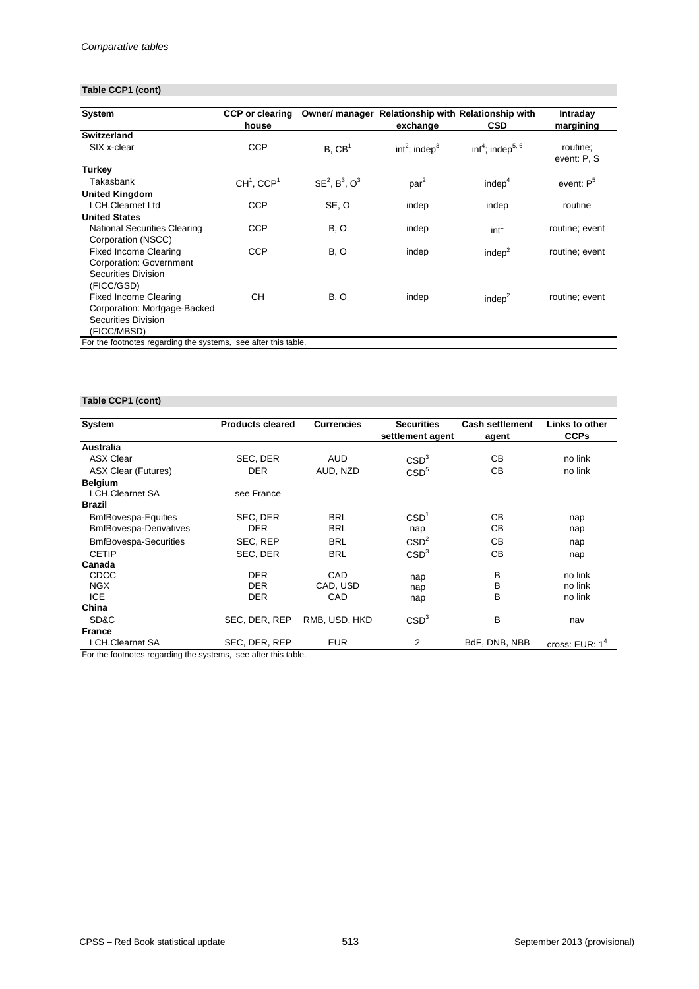## **Table CCP1 (cont)**

| <b>System</b>                                                  | <b>CCP</b> or clearing   |                     | Owner/ manager Relationship with Relationship with |                                          | <b>Intraday</b>         |
|----------------------------------------------------------------|--------------------------|---------------------|----------------------------------------------------|------------------------------------------|-------------------------|
|                                                                | house                    |                     | exchange                                           | <b>CSD</b>                               | margining               |
| <b>Switzerland</b>                                             |                          |                     |                                                    |                                          |                         |
| SIX x-clear                                                    | <b>CCP</b>               | B, CB <sup>1</sup>  | int <sup>2</sup> ; indep <sup>3</sup>              | int <sup>4</sup> ; indep <sup>5, 6</sup> | routine;<br>event: P, S |
| <b>Turkey</b>                                                  |                          |                     |                                                    |                                          |                         |
| Takasbank                                                      | $CH1$ , CCP <sup>1</sup> | $SE2$ , $B3$ , $O3$ | par <sup>2</sup>                                   | indep <sup>4</sup>                       | event: $P5$             |
| <b>United Kingdom</b>                                          |                          |                     |                                                    |                                          |                         |
| <b>LCH.Clearnet Ltd</b>                                        | <b>CCP</b>               | SE, O               | indep                                              | indep                                    | routine                 |
| <b>United States</b>                                           |                          |                     |                                                    |                                          |                         |
| <b>National Securities Clearing</b>                            | <b>CCP</b>               | B, O                | indep                                              | int <sup>1</sup>                         | routine; event          |
| Corporation (NSCC)                                             |                          |                     |                                                    |                                          |                         |
| <b>Fixed Income Clearing</b>                                   | <b>CCP</b>               | B, O                | indep                                              | indep $2$                                | routine; event          |
| <b>Corporation: Government</b>                                 |                          |                     |                                                    |                                          |                         |
| <b>Securities Division</b>                                     |                          |                     |                                                    |                                          |                         |
| (FICC/GSD)                                                     |                          |                     |                                                    |                                          |                         |
| <b>Fixed Income Clearing</b>                                   | СH                       | B, O                | indep                                              | indep $2$                                | routine; event          |
| Corporation: Mortgage-Backed                                   |                          |                     |                                                    |                                          |                         |
| <b>Securities Division</b>                                     |                          |                     |                                                    |                                          |                         |
| (FICC/MBSD)                                                    |                          |                     |                                                    |                                          |                         |
| For the footnotes regarding the systems, see after this table. |                          |                     |                                                    |                                          |                         |

# **Table CCP1 (cont)**

| <b>System</b>                                                  | <b>Products cleared</b> | <b>Currencies</b> | <b>Securities</b> | <b>Cash settlement</b> | Links to other   |  |
|----------------------------------------------------------------|-------------------------|-------------------|-------------------|------------------------|------------------|--|
|                                                                |                         |                   | settlement agent  | agent                  | <b>CCPs</b>      |  |
| <b>Australia</b>                                               |                         |                   |                   |                        |                  |  |
| <b>ASX Clear</b>                                               | SEC, DER                | <b>AUD</b>        | CSD <sup>3</sup>  | CB                     | no link          |  |
| <b>ASX Clear (Futures)</b>                                     | <b>DER</b>              | AUD, NZD          | CSD <sup>5</sup>  | CB                     | no link          |  |
| <b>Belgium</b>                                                 |                         |                   |                   |                        |                  |  |
| <b>LCH.Clearnet SA</b>                                         | see France              |                   |                   |                        |                  |  |
| <b>Brazil</b>                                                  |                         |                   |                   |                        |                  |  |
| <b>BmfBovespa-Equities</b>                                     | SEC, DER                | <b>BRL</b>        | CSD <sup>1</sup>  | СB                     | nap              |  |
| <b>BmfBovespa-Derivatives</b>                                  | <b>DER</b>              | <b>BRL</b>        | nap               | СB                     | nap              |  |
| <b>BmfBovespa-Securities</b>                                   | SEC, REP                | <b>BRL</b>        | CSD <sup>2</sup>  | CB                     | nap              |  |
| <b>CETIP</b>                                                   | SEC, DER                | <b>BRL</b>        | CSD <sup>3</sup>  | CB                     | nap              |  |
| Canada                                                         |                         |                   |                   |                        |                  |  |
| <b>CDCC</b>                                                    | <b>DER</b>              | <b>CAD</b>        | nap               | В                      | no link          |  |
| <b>NGX</b>                                                     | <b>DER</b>              | CAD, USD          | nap               | B                      | no link          |  |
| <b>ICE</b>                                                     | <b>DER</b>              | CAD               | nap               | B                      | no link          |  |
| China                                                          |                         |                   |                   |                        |                  |  |
| SD&C                                                           | SEC, DER, REP           | RMB, USD, HKD     | CSD <sup>3</sup>  | В                      | nav              |  |
| <b>France</b>                                                  |                         |                   |                   |                        |                  |  |
| <b>LCH.Clearnet SA</b>                                         | SEC, DER, REP           | <b>EUR</b>        | 2                 | BdF, DNB, NBB          | cross: $EUR: 14$ |  |
| For the footnotes regarding the systems, see after this table. |                         |                   |                   |                        |                  |  |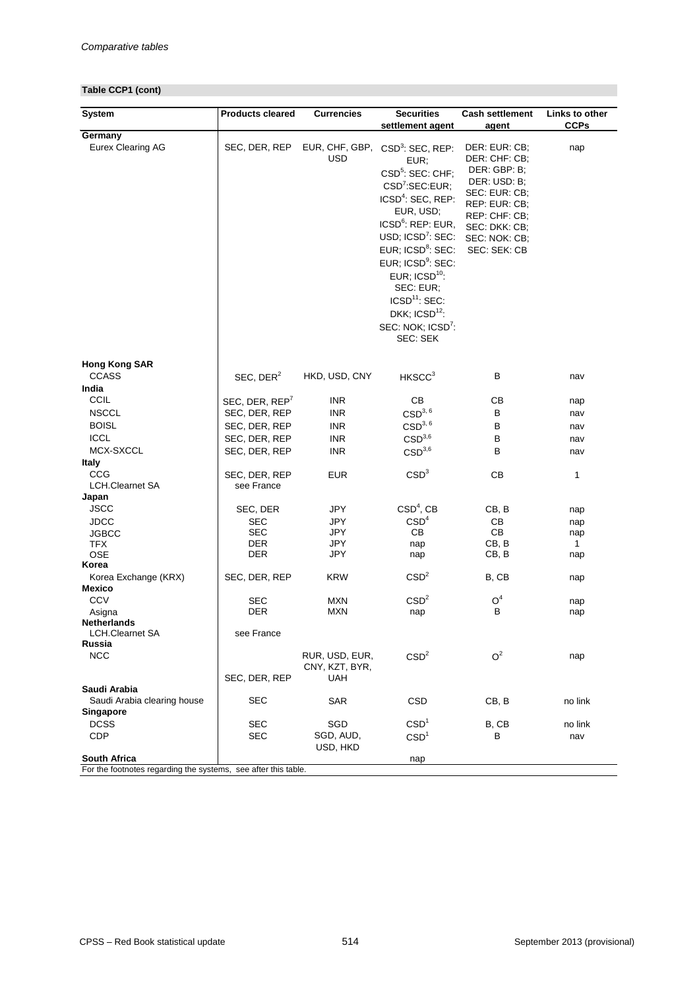## **Table CCP1 (cont)**

| <b>System</b>                                                  | <b>Products cleared</b>    | <b>Currencies</b>            | <b>Securities</b>                                                                                                                                                                                                                                                                                                                                                                                              | <b>Cash settlement</b>                                                                                                                                              | <b>Links to other</b> |  |
|----------------------------------------------------------------|----------------------------|------------------------------|----------------------------------------------------------------------------------------------------------------------------------------------------------------------------------------------------------------------------------------------------------------------------------------------------------------------------------------------------------------------------------------------------------------|---------------------------------------------------------------------------------------------------------------------------------------------------------------------|-----------------------|--|
|                                                                |                            |                              | settlement agent                                                                                                                                                                                                                                                                                                                                                                                               | agent                                                                                                                                                               | <b>CCPs</b>           |  |
| Germany<br><b>Eurex Clearing AG</b>                            | SEC, DER, REP              | EUR, CHF, GBP,<br><b>USD</b> | $CSD3$ : SEC, REP:<br>EUR;<br>CSD <sup>5</sup> : SEC: CHF;<br>CSD <sup>7</sup> :SEC:EUR;<br>ICSD <sup>4</sup> : SEC, REP:<br>EUR, USD;<br>ICSD <sup>6</sup> : REP: EUR,<br>USD; $ICSD7$ : SEC:<br>EUR; ICSD <sup>8</sup> : SEC:<br>EUR; ICSD <sup>9</sup> : SEC:<br>EUR; $\text{ICSD}^{10}$ :<br>SEC: EUR;<br>$ICSD11$ : SEC:<br>DKK; $\text{ICSD}^{12}$ :<br>SEC: NOK; ICSD <sup>7</sup> :<br><b>SEC: SEK</b> | DER: EUR: CB;<br>DER: CHF: CB;<br>DER: GBP: B;<br>DER: USD: B;<br>SEC: EUR: CB;<br>REP: EUR: CB;<br>REP: CHF: CB;<br>SEC: DKK: CB;<br>SEC: NOK: CB;<br>SEC: SEK: CB | nap                   |  |
| <b>Hong Kong SAR</b><br><b>CCASS</b>                           | SEC, $DER2$                | HKD, USD, CNY                | HKSCC <sup>3</sup>                                                                                                                                                                                                                                                                                                                                                                                             | B                                                                                                                                                                   | nav                   |  |
| India                                                          |                            |                              |                                                                                                                                                                                                                                                                                                                                                                                                                |                                                                                                                                                                     |                       |  |
| <b>CCIL</b>                                                    | SEC, DER, REP <sup>7</sup> | <b>INR</b>                   | CB                                                                                                                                                                                                                                                                                                                                                                                                             | CB                                                                                                                                                                  | nap                   |  |
| <b>NSCCL</b>                                                   | SEC, DER, REP              | <b>INR</b>                   | CSD <sup>3, 6</sup>                                                                                                                                                                                                                                                                                                                                                                                            | B                                                                                                                                                                   | nav                   |  |
| <b>BOISL</b>                                                   | SEC, DER, REP              | <b>INR</b>                   | CSD <sup>3, 6</sup>                                                                                                                                                                                                                                                                                                                                                                                            | B                                                                                                                                                                   | nav                   |  |
| <b>ICCL</b>                                                    | SEC, DER, REP              | <b>INR</b>                   | CSD <sup>3,6</sup>                                                                                                                                                                                                                                                                                                                                                                                             | B                                                                                                                                                                   | nav                   |  |
| MCX-SXCCL                                                      | SEC, DER, REP              | <b>INR</b>                   | CSD <sup>3,6</sup>                                                                                                                                                                                                                                                                                                                                                                                             | $\sf B$                                                                                                                                                             | nav                   |  |
| <b>Italy</b>                                                   |                            |                              |                                                                                                                                                                                                                                                                                                                                                                                                                |                                                                                                                                                                     |                       |  |
| <b>CCG</b>                                                     | SEC, DER, REP              | <b>EUR</b>                   | CSD <sup>3</sup>                                                                                                                                                                                                                                                                                                                                                                                               | CB                                                                                                                                                                  | 1                     |  |
| <b>LCH.Clearnet SA</b>                                         | see France                 |                              |                                                                                                                                                                                                                                                                                                                                                                                                                |                                                                                                                                                                     |                       |  |
| Japan                                                          |                            |                              |                                                                                                                                                                                                                                                                                                                                                                                                                |                                                                                                                                                                     |                       |  |
| <b>JSCC</b>                                                    | SEC, DER                   | <b>JPY</b>                   | $CSD4$ , CB                                                                                                                                                                                                                                                                                                                                                                                                    | CB, B                                                                                                                                                               | nap                   |  |
| <b>JDCC</b>                                                    | <b>SEC</b>                 | <b>JPY</b>                   | CSD <sup>4</sup>                                                                                                                                                                                                                                                                                                                                                                                               | CB                                                                                                                                                                  | nap                   |  |
| <b>JGBCC</b><br><b>TFX</b>                                     | <b>SEC</b><br><b>DER</b>   | <b>JPY</b><br><b>JPY</b>     | CB                                                                                                                                                                                                                                                                                                                                                                                                             | CB<br>CB, B                                                                                                                                                         | nap<br>$\mathbf{1}$   |  |
| <b>OSE</b>                                                     | <b>DER</b>                 | <b>JPY</b>                   | nap<br>nap                                                                                                                                                                                                                                                                                                                                                                                                     | CB, B                                                                                                                                                               | nap                   |  |
| Korea                                                          |                            |                              |                                                                                                                                                                                                                                                                                                                                                                                                                |                                                                                                                                                                     |                       |  |
| Korea Exchange (KRX)                                           | SEC, DER, REP              | <b>KRW</b>                   | CSD <sup>2</sup>                                                                                                                                                                                                                                                                                                                                                                                               | B, CB                                                                                                                                                               | nap                   |  |
| <b>Mexico</b>                                                  |                            |                              |                                                                                                                                                                                                                                                                                                                                                                                                                |                                                                                                                                                                     |                       |  |
| <b>CCV</b>                                                     | <b>SEC</b>                 | <b>MXN</b>                   | CSD <sup>2</sup>                                                                                                                                                                                                                                                                                                                                                                                               | O <sup>4</sup>                                                                                                                                                      | nap                   |  |
| Asigna                                                         | <b>DER</b>                 | <b>MXN</b>                   | nap                                                                                                                                                                                                                                                                                                                                                                                                            | B                                                                                                                                                                   | nap                   |  |
| <b>Netherlands</b>                                             |                            |                              |                                                                                                                                                                                                                                                                                                                                                                                                                |                                                                                                                                                                     |                       |  |
| <b>LCH.Clearnet SA</b><br>Russia                               | see France                 |                              |                                                                                                                                                                                                                                                                                                                                                                                                                |                                                                                                                                                                     |                       |  |
| <b>NCC</b>                                                     |                            | RUR, USD, EUR,               | CSD <sup>2</sup>                                                                                                                                                                                                                                                                                                                                                                                               | O <sup>2</sup>                                                                                                                                                      | nap                   |  |
|                                                                | SEC, DER, REP              | CNY, KZT, BYR,<br><b>UAH</b> |                                                                                                                                                                                                                                                                                                                                                                                                                |                                                                                                                                                                     |                       |  |
| Saudi Arabia                                                   |                            |                              |                                                                                                                                                                                                                                                                                                                                                                                                                |                                                                                                                                                                     |                       |  |
| Saudi Arabia clearing house                                    | <b>SEC</b>                 | <b>SAR</b>                   | <b>CSD</b>                                                                                                                                                                                                                                                                                                                                                                                                     | CB, B                                                                                                                                                               | no link               |  |
| <b>Singapore</b>                                               |                            |                              |                                                                                                                                                                                                                                                                                                                                                                                                                |                                                                                                                                                                     |                       |  |
| <b>DCSS</b>                                                    | <b>SEC</b>                 | SGD                          | CSD <sup>1</sup>                                                                                                                                                                                                                                                                                                                                                                                               | B, CB                                                                                                                                                               | no link               |  |
| <b>CDP</b>                                                     | <b>SEC</b>                 | SGD, AUD,                    | CSD <sup>1</sup>                                                                                                                                                                                                                                                                                                                                                                                               | B                                                                                                                                                                   | nav                   |  |
| South Africa                                                   |                            | USD, HKD                     | nap                                                                                                                                                                                                                                                                                                                                                                                                            |                                                                                                                                                                     |                       |  |
| For the footnotes regarding the systems, see after this table. |                            |                              |                                                                                                                                                                                                                                                                                                                                                                                                                |                                                                                                                                                                     |                       |  |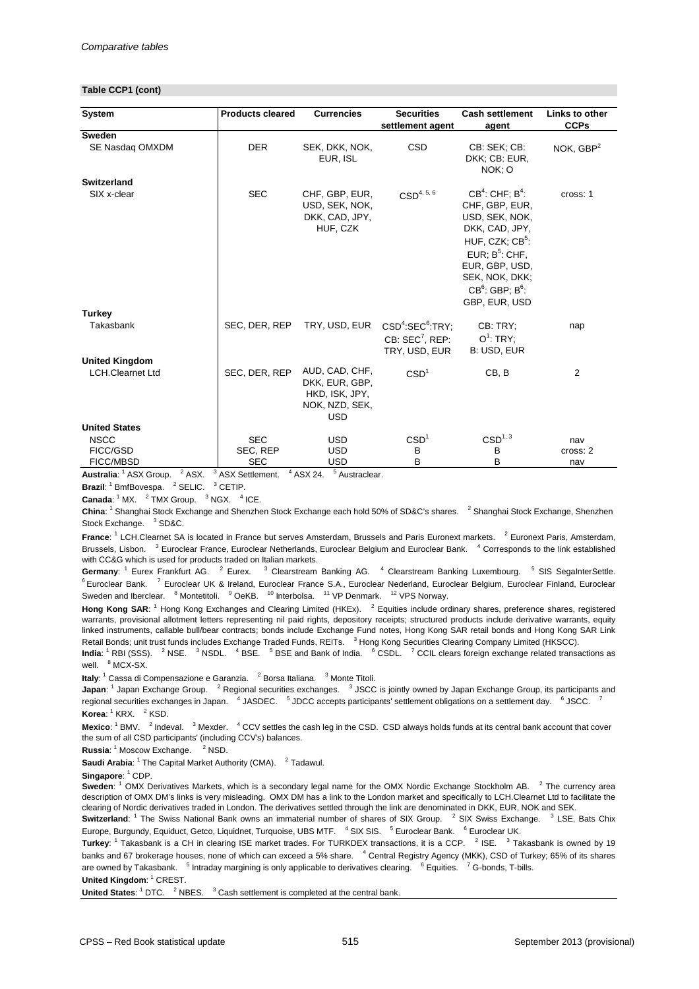#### **Table CCP1 (cont)**

| <b>System</b>                                        | <b>Products cleared</b>                                       | <b>Currencies</b>                                                                  | <b>Securities</b>                                                                        | <b>Cash settlement</b>                                                                                                                                                                                    | <b>Links to other</b>  |
|------------------------------------------------------|---------------------------------------------------------------|------------------------------------------------------------------------------------|------------------------------------------------------------------------------------------|-----------------------------------------------------------------------------------------------------------------------------------------------------------------------------------------------------------|------------------------|
|                                                      |                                                               |                                                                                    | settlement agent                                                                         | agent                                                                                                                                                                                                     | <b>CCPs</b>            |
| <b>Sweden</b><br>SE Nasdaq OMXDM                     | <b>DER</b>                                                    | SEK, DKK, NOK,<br>EUR, ISL                                                         | <b>CSD</b>                                                                               | CB: SEK; CB:<br>DKK; CB: EUR,<br>NOK; O                                                                                                                                                                   | NOK, $GBP2$            |
| <b>Switzerland</b>                                   |                                                               |                                                                                    |                                                                                          |                                                                                                                                                                                                           |                        |
| SIX x-clear                                          | <b>SEC</b>                                                    | CHF, GBP, EUR,<br>USD, SEK, NOK,<br>DKK, CAD, JPY,<br>HUF, CZK                     | $CSD^{4, 5, 6}$                                                                          | $CB4$ : CHF; $B4$ :<br>CHF, GBP, EUR,<br>USD, SEK, NOK,<br>DKK, CAD, JPY,<br>HUF, CZK; CB <sup>5</sup> :<br>EUR; $B^5$ : CHF,<br>EUR, GBP, USD,<br>SEK, NOK, DKK;<br>$CB6$ : GBP; $B6$ :<br>GBP, EUR, USD | cross: 1               |
| <b>Turkey</b>                                        |                                                               |                                                                                    |                                                                                          |                                                                                                                                                                                                           |                        |
| Takasbank                                            | SEC, DER, REP                                                 | TRY, USD, EUR                                                                      | CSD <sup>4</sup> :SEC <sup>6</sup> :TRY;<br>CB: SEC <sup>7</sup> , REP:<br>TRY, USD, EUR | CB: TRY;<br>$O^1$ : TRY;<br>B: USD, EUR                                                                                                                                                                   | nap                    |
| <b>United Kingdom</b>                                |                                                               |                                                                                    |                                                                                          |                                                                                                                                                                                                           |                        |
| <b>LCH.Clearnet Ltd</b>                              | SEC, DER, REP                                                 | AUD, CAD, CHF,<br>DKK, EUR, GBP,<br>HKD, ISK, JPY,<br>NOK, NZD, SEK,<br><b>USD</b> | CSD <sup>1</sup>                                                                         | CB, B                                                                                                                                                                                                     | $\overline{2}$         |
| <b>United States</b>                                 |                                                               |                                                                                    |                                                                                          |                                                                                                                                                                                                           |                        |
| <b>NSCC</b><br>FICC/GSD<br><b>FICC/MBSD</b><br>2.001 | <b>SEC</b><br>SEC, REP<br><b>SEC</b><br>$\sim$<br>$\Lambda$ . | <b>USD</b><br><b>USD</b><br><b>USD</b><br>5.                                       | CSD <sup>1</sup><br>B<br>B                                                               | CSD <sup>1, 3</sup><br>B<br>B                                                                                                                                                                             | nav<br>cross: 2<br>nav |

Australia: <sup>1</sup> ASX Group. <sup>2</sup> ASX. <sup>3</sup> ASX Settlement. <sup>4</sup> ASX 24. <sup>5</sup> Austraclear.

**Brazil**: <sup>1</sup> BmfBovespa. <sup>2</sup> SELIC. <sup>3</sup> CETIP.

**Canada:**  $1^4$  MX.  $2^2$  TMX Group.  $3^3$  NGX.  $4^4$  ICE.

China: <sup>1</sup> Shanghai Stock Exchange and Shenzhen Stock Exchange each hold 50% of SD&C's shares. <sup>2</sup> Shanghai Stock Exchange, Shenzhen Stock Exchange. <sup>3</sup> SD&C.

France: <sup>1</sup> LCH.Clearnet SA is located in France but serves Amsterdam, Brussels and Paris Euronext markets. <sup>2</sup> Euronext Paris, Amsterdam, Brussels, Lisbon. <sup>3</sup> Euroclear France, Euroclear Netherlands, Euroclear Belgium and Euroclear Bank. <sup>4</sup> Corresponds to the link established with CC&G which is used for products traded on Italian markets.

Germany: <sup>1</sup> Eurex Frankfurt AG. <sup>2</sup> Eurex. <sup>3</sup> Clearstream Banking AG. <sup>4</sup> Clearstream Banking Luxembourg. <sup>5</sup> SIS SegaInterSettle. <sup>6</sup> Euroclear Bank. <sup>7</sup> Euroclear UK & Ireland, Euroclear France S.A., Euroclear Nederland, Euroclear Belgium, Euroclear Finland, Euroclear Sweden and Iberclear. <sup>8</sup> Montetitoli. <sup>9</sup> OeKB. <sup>10</sup> Interbolsa. <sup>11</sup> VP Denmark. <sup>12</sup> VPS Norway.

Hong Kong SAR: <sup>1</sup> Hong Kong Exchanges and Clearing Limited (HKEx). <sup>2</sup> Equities include ordinary shares, preference shares, registered warrants, provisional allotment letters representing nil paid rights, depository receipts; structured products include derivative warrants, equity linked instruments, callable bull/bear contracts; bonds include Exchange Fund notes, Hong Kong SAR retail bonds and Hong Kong SAR Link Retail Bonds; unit trust funds includes Exchange Traded Funds, REITs. <sup>3</sup> Hong Kong Securities Clearing Company Limited (HKSCC).

India: <sup>1</sup> RBI (SSS). <sup>2</sup> NSE. <sup>3</sup> NSDL. <sup>4</sup> BSE. <sup>5</sup> BSE and Bank of India. <sup>6</sup> CSDL. <sup>7</sup> CCIL clears foreign exchange related transactions as well. <sup>8</sup> MCX-SX.

**Italy**: <sup>1</sup> Cassa di Compensazione e Garanzia. <sup>2</sup> Borsa Italiana. <sup>3</sup> Monte Titoli.

**Korea**: <sup>1</sup> KRX. <sup>2</sup> KSD. **Japan**: <sup>1</sup> Japan Exchange Group. <sup>2</sup> Regional securities exchanges. <sup>3</sup> JSCC is jointly owned by Japan Exchange Group, its participants and regional securities exchanges in Japan. <sup>4</sup> JASDEC. <sup>5</sup> JDCC accepts participants' settlement obligations on a settlement day. <sup>6</sup> JSCC. <sup>7</sup>

Mexico: <sup>1</sup> BMV. <sup>2</sup> Indeval. <sup>3</sup> Mexder. <sup>4</sup> CCV settles the cash leg in the CSD. CSD always holds funds at its central bank account that cover the sum of all CSD participants' (including CCV's) balances.

**Russia:** <sup>1</sup> Moscow Exchange. <sup>2</sup> NSD.

**Saudi Arabia**: <sup>1</sup> The Capital Market Authority (CMA). <sup>2</sup> Tadawul.

**Singapore:** <sup>1</sup> CDP.

**Sweden**: <sup>1</sup> OMX Derivatives Markets, which is a secondary legal name for the OMX Nordic Exchange Stockholm AB. <sup>2</sup> The currency area description of OMX DM's links is very misleading. OMX DM has a link to the London market and specifically to LCH.Clearnet Ltd to facilitate the clearing of Nordic derivatives traded in London. The derivatives settled through the link are denominated in DKK, EUR, NOK and SEK.

**Switzerland**: <sup>1</sup> The Swiss National Bank owns an immaterial number of shares of SIX Group. <sup>2</sup> SIX Swiss Exchange. <sup>3</sup> LSE, Bats Chix Europe, Burgundy, Equiduct, Getco, Liquidnet, Turquoise, UBS MTF. <sup>4</sup> SIX SIS. <sup>5</sup> Euroclear Bank. <sup>6</sup> Euroclear UK.

**Turkey**: <sup>1</sup> Takasbank is a CH in clearing ISE market trades. For TURKDEX transactions, it is a CCP. <sup>2</sup> ISE. <sup>3</sup> Takasbank is owned by 19 banks and 67 brokerage houses, none of which can exceed a 5% share. <sup>4</sup> Central Registry Agency (MKK), CSD of Turkey; 65% of its shares are owned by Takasbank. <sup>5</sup> Intraday margining is only applicable to derivatives clearing. <sup>6</sup> Equities. <sup>7</sup> G-bonds, T-bills.

United Kingdom: <sup>1</sup> CREST.

United States: <sup>1</sup> DTC. <sup>2</sup> NBES. <sup>3</sup> Cash settlement is completed at the central bank.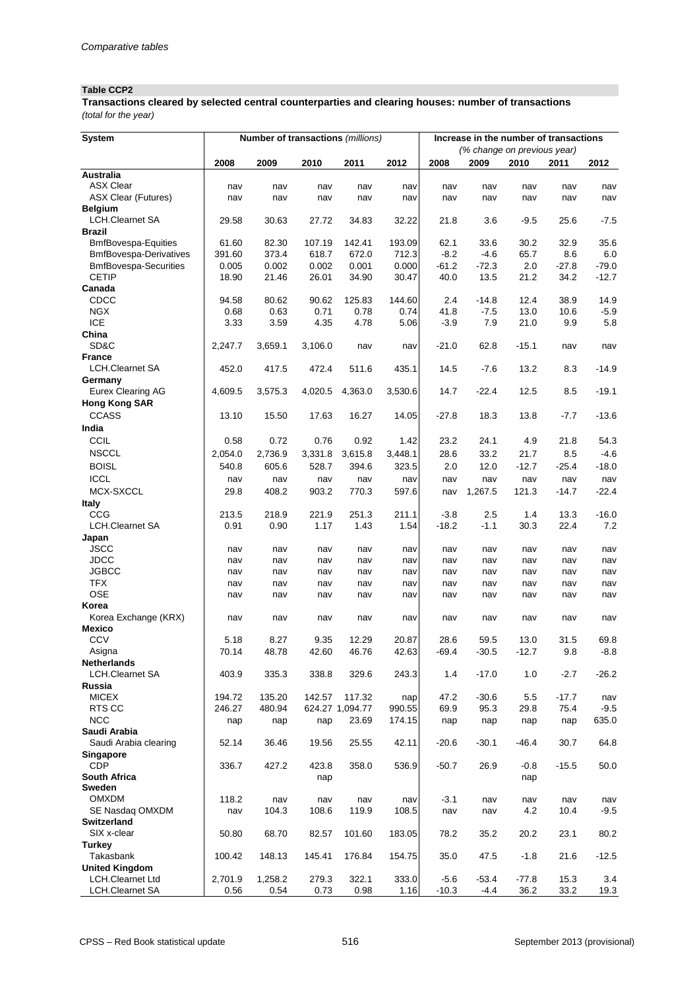### **Table CCP2**

*(total for the year)* **Transactions cleared by selected central counterparties and clearing houses: number of transactions**

| <b>System</b>                                |            | <b>Number of transactions (millions)</b> |            |                 |            |            | Increase in the number of transactions |                             |            |            |
|----------------------------------------------|------------|------------------------------------------|------------|-----------------|------------|------------|----------------------------------------|-----------------------------|------------|------------|
|                                              |            |                                          |            |                 |            |            |                                        | (% change on previous year) |            |            |
|                                              | 2008       | 2009                                     | 2010       | 2011            | 2012       | 2008       | 2009                                   | 2010                        | 2011       | 2012       |
| <b>Australia</b>                             |            |                                          |            |                 |            |            |                                        |                             |            |            |
| <b>ASX Clear</b>                             | nav        | nav                                      | nav        | nav             | nav        | nav        | nav                                    | nav                         | nav        | nav        |
| <b>ASX Clear (Futures)</b><br><b>Belgium</b> | nav        | nav                                      | nav        | nav             | nav        | nav        | nav                                    | nav                         | nav        | nav        |
| <b>LCH.Clearnet SA</b>                       | 29.58      | 30.63                                    | 27.72      | 34.83           | 32.22      | 21.8       | 3.6                                    | $-9.5$                      | 25.6       | $-7.5$     |
| <b>Brazil</b>                                |            |                                          |            |                 |            |            |                                        |                             |            |            |
| <b>BmfBovespa-Equities</b>                   | 61.60      | 82.30                                    | 107.19     | 142.41          | 193.09     | 62.1       | 33.6                                   | 30.2                        | 32.9       | 35.6       |
| <b>BmfBovespa-Derivatives</b>                | 391.60     | 373.4                                    | 618.7      | 672.0           | 712.3      | $-8.2$     | $-4.6$                                 | 65.7                        | 8.6        | 6.0        |
| <b>BmfBovespa-Securities</b>                 | 0.005      | 0.002                                    | 0.002      | 0.001           | 0.000      | $-61.2$    | $-72.3$                                | 2.0                         | $-27.8$    | $-79.0$    |
| <b>CETIP</b>                                 | 18.90      | 21.46                                    | 26.01      | 34.90           | 30.47      | 40.0       | 13.5                                   | 21.2                        | 34.2       | $-12.7$    |
| Canada                                       |            |                                          |            |                 |            |            |                                        |                             |            |            |
| CDCC                                         | 94.58      | 80.62                                    | 90.62      | 125.83          | 144.60     | 2.4        | $-14.8$                                | 12.4                        | 38.9       | 14.9       |
| <b>NGX</b>                                   | 0.68       | 0.63                                     | 0.71       | 0.78            | 0.74       | 41.8       | $-7.5$                                 | 13.0                        | 10.6       | $-5.9$     |
| <b>ICE</b>                                   | 3.33       | 3.59                                     | 4.35       | 4.78            | 5.06       | $-3.9$     | 7.9                                    | 21.0                        | 9.9        | 5.8        |
| China                                        |            |                                          |            |                 |            |            |                                        |                             |            |            |
| SD&C                                         | 2,247.7    | 3,659.1                                  | 3,106.0    | nav             | nav        | $-21.0$    | 62.8                                   | $-15.1$                     | nav        | nav        |
| <b>France</b>                                |            |                                          |            |                 |            |            |                                        |                             |            |            |
| <b>LCH.Clearnet SA</b>                       | 452.0      | 417.5                                    | 472.4      | 511.6           | 435.1      | 14.5       | $-7.6$                                 | 13.2                        | 8.3        | $-14.9$    |
| Germany<br><b>Eurex Clearing AG</b>          | 4,609.5    | 3,575.3                                  | 4,020.5    | 4,363.0         | 3,530.6    | 14.7       | $-22.4$                                | 12.5                        | 8.5        | $-19.1$    |
| <b>Hong Kong SAR</b>                         |            |                                          |            |                 |            |            |                                        |                             |            |            |
| <b>CCASS</b>                                 | 13.10      | 15.50                                    | 17.63      | 16.27           | 14.05      | $-27.8$    | 18.3                                   | 13.8                        | $-7.7$     | $-13.6$    |
|                                              |            |                                          |            |                 |            |            |                                        |                             |            |            |
| India                                        |            |                                          |            |                 |            |            |                                        |                             |            |            |
| CCIL                                         | 0.58       | 0.72                                     | 0.76       | 0.92            | 1.42       | 23.2       | 24.1                                   | 4.9                         | 21.8       | 54.3       |
| <b>NSCCL</b>                                 | 2,054.0    | 2,736.9                                  | 3,331.8    | 3,615.8         | 3,448.1    | 28.6       | 33.2                                   | 21.7                        | 8.5        | $-4.6$     |
| <b>BOISL</b>                                 | 540.8      | 605.6                                    | 528.7      | 394.6           | 323.5      | 2.0        | 12.0                                   | $-12.7$                     | $-25.4$    | $-18.0$    |
| <b>ICCL</b>                                  | nav        | nav                                      | nav        | nav             | nav        | nav        | nav                                    | nav                         | nav        | nav        |
| MCX-SXCCL                                    | 29.8       | 408.2                                    | 903.2      | 770.3           | 597.6      | nav        | 1,267.5                                | 121.3                       | $-14.7$    | $-22.4$    |
| <b>Italy</b>                                 |            |                                          |            |                 |            |            |                                        |                             |            |            |
| CCG                                          | 213.5      | 218.9                                    | 221.9      | 251.3           | 211.1      | $-3.8$     | 2.5                                    | 1.4                         | 13.3       | $-16.0$    |
| <b>LCH.Clearnet SA</b>                       | 0.91       | 0.90                                     | 1.17       | 1.43            | 1.54       | $-18.2$    | $-1.1$                                 | 30.3                        | 22.4       | 7.2        |
| Japan                                        |            |                                          |            |                 |            |            |                                        |                             |            |            |
| <b>JSCC</b><br><b>JDCC</b>                   | nav<br>nav | nav                                      | nav        | nav             | nav<br>nav | nav        | nav                                    | nav<br>nav                  | nav        | nav        |
| <b>JGBCC</b>                                 | nav        | nav<br>nav                               | nav<br>nav | nav<br>nav      | nav        | nav<br>nav | nav<br>nav                             | nav                         | nav<br>nav | nav<br>nav |
| <b>TFX</b>                                   | nav        | nav                                      | nav        | nav             | nav        | nav        | nav                                    | nav                         | nav        | nav        |
| <b>OSE</b>                                   | nav        | nav                                      | nav        | nav             | nav        | nav        | nav                                    | nav                         | nav        | nav        |
| Korea                                        |            |                                          |            |                 |            |            |                                        |                             |            |            |
| Korea Exchange (KRX)                         | nav        | nav                                      | nav        | nav             | nav        | nav        | nav                                    | nav                         | nav        | nav        |
| <b>Mexico</b>                                |            |                                          |            |                 |            |            |                                        |                             |            |            |
| CCV                                          | 5.18       | 8.27                                     | 9.35       | 12.29           | 20.87      | 28.6       | 59.5                                   | 13.0                        | 31.5       | 69.8       |
| Asigna                                       | 70.14      | 48.78                                    | 42.60      | 46.76           | 42.63      | $-69.4$    | $-30.5$                                | $-12.7$                     | 9.8        | $-8.8$     |
| <b>Netherlands</b>                           |            |                                          |            |                 |            |            |                                        |                             |            |            |
| <b>LCH.Clearnet SA</b>                       | 403.9      | 335.3                                    | 338.8      | 329.6           | 243.3      | 1.4        | $-17.0$                                | 1.0                         | $-2.7$     | $-26.2$    |
| Russia                                       |            |                                          |            |                 |            |            |                                        |                             |            |            |
| <b>MICEX</b>                                 | 194.72     | 135.20                                   | 142.57     | 117.32          | nap        | 47.2       | $-30.6$                                | 5.5                         | $-17.7$    | nav        |
| RTS CC                                       | 246.27     | 480.94                                   |            | 624.27 1,094.77 | 990.55     | 69.9       | 95.3                                   | 29.8                        | 75.4       | $-9.5$     |
| <b>NCC</b>                                   | nap        | nap                                      | nap        | 23.69           | 174.15     | nap        | nap                                    | nap                         | nap        | 635.0      |
| Saudi Arabia                                 |            | 36.46                                    | 19.56      | 25.55           | 42.11      | $-20.6$    | $-30.1$                                | $-46.4$                     | 30.7       | 64.8       |
| Saudi Arabia clearing<br><b>Singapore</b>    | 52.14      |                                          |            |                 |            |            |                                        |                             |            |            |
| <b>CDP</b>                                   | 336.7      | 427.2                                    | 423.8      | 358.0           | 536.9      | $-50.7$    | 26.9                                   | $-0.8$                      | $-15.5$    | 50.0       |
| <b>South Africa</b>                          |            |                                          | nap        |                 |            |            |                                        | nap                         |            |            |
| <b>Sweden</b>                                |            |                                          |            |                 |            |            |                                        |                             |            |            |
| <b>OMXDM</b>                                 | 118.2      | nav                                      | nav        | nav             | nav        | $-3.1$     | nav                                    | nav                         | nav        | nav        |
| SE Nasdaq OMXDM                              | nav        | 104.3                                    | 108.6      | 119.9           | 108.5      | nav        | nav                                    | 4.2                         | 10.4       | $-9.5$     |
| <b>Switzerland</b>                           |            |                                          |            |                 |            |            |                                        |                             |            |            |
| SIX x-clear                                  | 50.80      | 68.70                                    | 82.57      | 101.60          | 183.05     | 78.2       | 35.2                                   | 20.2                        | 23.1       | 80.2       |
| <b>Turkey</b>                                |            |                                          |            |                 |            |            |                                        |                             |            |            |
| Takasbank                                    | 100.42     | 148.13                                   | 145.41     | 176.84          | 154.75     | 35.0       | 47.5                                   | $-1.8$                      | 21.6       | $-12.5$    |
| <b>United Kingdom</b>                        |            |                                          |            |                 |            |            |                                        |                             |            |            |
| <b>LCH.Clearnet Ltd</b>                      | 2,701.9    | 1,258.2                                  | 279.3      | 322.1           | 333.0      | $-5.6$     | $-53.4$                                | $-77.8$                     | 15.3       | 3.4        |
| <b>LCH.Clearnet SA</b>                       | 0.56       | 0.54                                     | 0.73       | 0.98            | 1.16       | $-10.3$    | $-4.4$                                 | 36.2                        | 33.2       | 19.3       |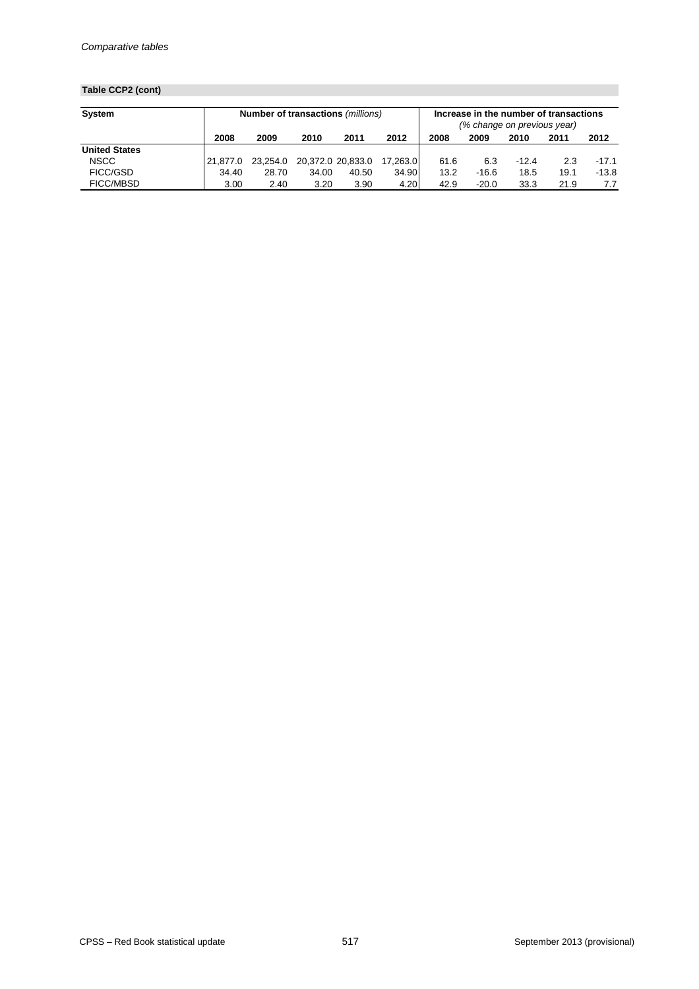## **Table CCP2 (cont)**

| <b>System</b>        | <b>Number of transactions (millions)</b> |          |       |                   |          | Increase in the number of transactions<br>(% change on previous year) |         |         |      |         |
|----------------------|------------------------------------------|----------|-------|-------------------|----------|-----------------------------------------------------------------------|---------|---------|------|---------|
|                      | 2008                                     | 2009     | 2010  | 2011              | 2012     | 2008                                                                  | 2009    | 2010    | 2011 | 2012    |
| <b>United States</b> |                                          |          |       |                   |          |                                                                       |         |         |      |         |
| <b>NSCC</b>          | 21.877.0                                 | 23,254.0 |       | 20,372.0 20,833.0 | 17.263.0 | 61.6                                                                  | 6.3     | $-12.4$ | 2.3  | $-17.1$ |
| <b>FICC/GSD</b>      | 34.40                                    | 28.70    | 34.00 | 40.50             | 34.90    | 13.2                                                                  | $-16.6$ | 18.5    | 19.1 | -13.8   |
| <b>FICC/MBSD</b>     | 3.00                                     | 2.40     | 3.20  | 3.90              | 4.20     | 42.9                                                                  | $-20.0$ | 33.3    | 21.9 | 7.7     |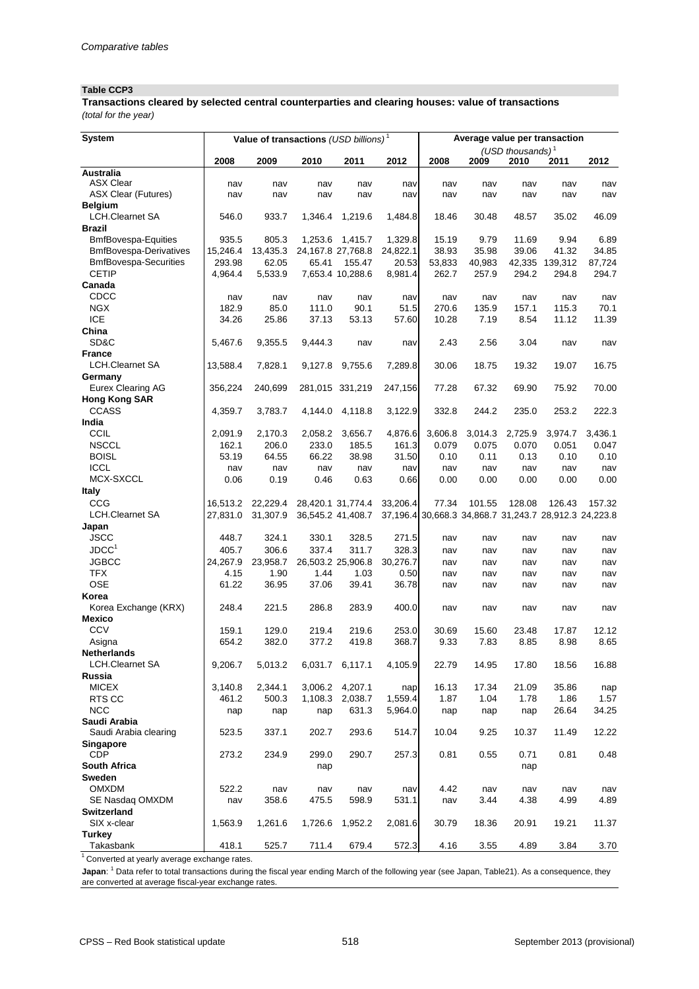## **Table CCP3**

*(total for the year)* **Transactions cleared by selected central counterparties and clearing houses: value of transactions**

| <b>System</b>                                | Value of transactions (USD billions) <sup>1</sup> |                   |                   |                            |                  |                 | Average value per transaction |                                                       |                  |                 |  |
|----------------------------------------------|---------------------------------------------------|-------------------|-------------------|----------------------------|------------------|-----------------|-------------------------------|-------------------------------------------------------|------------------|-----------------|--|
|                                              |                                                   |                   |                   |                            |                  |                 |                               | (USD thousands) $1$                                   |                  |                 |  |
|                                              | 2008                                              | 2009              | 2010              | 2011                       | 2012             | 2008            | 2009                          | 2010                                                  | 2011             | 2012            |  |
| <b>Australia</b>                             |                                                   |                   |                   |                            |                  |                 |                               |                                                       |                  |                 |  |
| <b>ASX Clear</b>                             | nav                                               | nav               | nav               | nav                        | nav              | nav             | nav                           | nav                                                   | nav              | nav             |  |
| <b>ASX Clear (Futures)</b>                   | nav                                               | nav               | nav               | nav                        | nav              | nav             | nav                           | nav                                                   | nav              | nav             |  |
| <b>Belgium</b>                               |                                                   |                   |                   |                            |                  |                 |                               |                                                       |                  |                 |  |
| <b>LCH.Clearnet SA</b>                       | 546.0                                             | 933.7             | 1,346.4           | 1,219.6                    | 1,484.8          | 18.46           | 30.48                         | 48.57                                                 | 35.02            | 46.09           |  |
| <b>Brazil</b>                                |                                                   |                   |                   |                            |                  |                 |                               |                                                       |                  |                 |  |
| <b>BmfBovespa-Equities</b>                   | 935.5                                             | 805.3             | 1,253.6           | 1,415.7                    | 1,329.8          | 15.19           | 9.79                          | 11.69                                                 | 9.94             | 6.89            |  |
| <b>BmfBovespa-Derivatives</b>                | 15,246.4<br>293.98                                | 13,435.3<br>62.05 | 24,167.8 27,768.8 |                            | 24,822.1         | 38.93           | 35.98                         | 39.06                                                 | 41.32<br>139,312 | 34.85           |  |
| <b>BmfBovespa-Securities</b><br><b>CETIP</b> | 4,964.4                                           | 5,533.9           | 65.41             | 155.47<br>7,653.4 10,288.6 | 20.53<br>8,981.4 | 53,833<br>262.7 | 40,983<br>257.9               | 42,335<br>294.2                                       | 294.8            | 87,724<br>294.7 |  |
| Canada                                       |                                                   |                   |                   |                            |                  |                 |                               |                                                       |                  |                 |  |
| CDCC                                         | nav                                               |                   |                   |                            |                  | nav             | nav                           | nav                                                   |                  |                 |  |
| <b>NGX</b>                                   | 182.9                                             | nav<br>85.0       | nav<br>111.0      | nav<br>90.1                | nav<br>51.5      | 270.6           | 135.9                         | 157.1                                                 | nav<br>115.3     | nav<br>70.1     |  |
| <b>ICE</b>                                   | 34.26                                             | 25.86             | 37.13             | 53.13                      | 57.60            | 10.28           | 7.19                          | 8.54                                                  | 11.12            | 11.39           |  |
| China                                        |                                                   |                   |                   |                            |                  |                 |                               |                                                       |                  |                 |  |
| SD&C                                         | 5,467.6                                           | 9,355.5           | 9,444.3           | nav                        | nav              | 2.43            | 2.56                          | 3.04                                                  | nav              | nav             |  |
| <b>France</b>                                |                                                   |                   |                   |                            |                  |                 |                               |                                                       |                  |                 |  |
| <b>LCH.Clearnet SA</b>                       | 13,588.4                                          | 7,828.1           | 9,127.8           | 9,755.6                    | 7,289.8          | 30.06           | 18.75                         | 19.32                                                 | 19.07            | 16.75           |  |
| Germany                                      |                                                   |                   |                   |                            |                  |                 |                               |                                                       |                  |                 |  |
| <b>Eurex Clearing AG</b>                     | 356,224                                           | 240,699           |                   | 281,015 331,219            | 247,156          | 77.28           | 67.32                         | 69.90                                                 | 75.92            | 70.00           |  |
| <b>Hong Kong SAR</b>                         |                                                   |                   |                   |                            |                  |                 |                               |                                                       |                  |                 |  |
| <b>CCASS</b>                                 | 4,359.7                                           | 3,783.7           | 4,144.0           | 4,118.8                    | 3,122.9          | 332.8           | 244.2                         | 235.0                                                 | 253.2            | 222.3           |  |
| India                                        |                                                   |                   |                   |                            |                  |                 |                               |                                                       |                  |                 |  |
| <b>CCIL</b>                                  | 2,091.9                                           | 2,170.3           | 2,058.2           | 3,656.7                    | 4,876.6          | 3,606.8         | 3,014.3                       | 2,725.9                                               | 3,974.7          | 3,436.1         |  |
| <b>NSCCL</b>                                 | 162.1                                             | 206.0             | 233.0             | 185.5                      | 161.3            | 0.079           | 0.075                         | 0.070                                                 | 0.051            | 0.047           |  |
| <b>BOISL</b>                                 | 53.19                                             | 64.55             | 66.22             | 38.98                      | 31.50            | 0.10            | 0.11                          | 0.13                                                  | 0.10             | 0.10            |  |
| <b>ICCL</b>                                  | nav                                               | nav               | nav               | nav                        | nav              | nav             | nav                           | nav                                                   | nav              | nav             |  |
| MCX-SXCCL                                    | 0.06                                              | 0.19              | 0.46              | 0.63                       | 0.66             | 0.00            | 0.00                          | 0.00                                                  | 0.00             | 0.00            |  |
| <b>Italy</b>                                 |                                                   |                   |                   |                            |                  |                 |                               |                                                       |                  |                 |  |
| CCG                                          | 16,513.2                                          | 22,229.4          |                   | 28,420.1 31,774.4          | 33,206.4         | 77.34           | 101.55                        | 128.08                                                | 126.43           | 157.32          |  |
| <b>LCH.Clearnet SA</b>                       | 27,831.0                                          | 31,307.9          |                   | 36,545.2 41,408.7          |                  |                 |                               | 37,196.4 30,668.3 34,868.7 31,243.7 28,912.3 24,223.8 |                  |                 |  |
| Japan                                        |                                                   |                   |                   |                            |                  |                 |                               |                                                       |                  |                 |  |
| <b>JSCC</b>                                  | 448.7                                             | 324.1             | 330.1             | 328.5                      | 271.5            | nav             | nav                           | nav                                                   | nav              | nav             |  |
| JDCC <sup>1</sup>                            | 405.7                                             | 306.6             | 337.4             | 311.7                      | 328.3            | nav             | nav                           | nav                                                   | nav              | nav             |  |
| <b>JGBCC</b>                                 | 24,267.9                                          | 23,958.7          |                   | 26,503.2 25,906.8          | 30,276.7         | nav             | nav                           | nav                                                   | nav              | nav             |  |
| <b>TFX</b>                                   | 4.15                                              | 1.90              | 1.44              | 1.03                       | 0.50             | nav             | nav                           | nav                                                   | nav              | nav             |  |
| <b>OSE</b>                                   | 61.22                                             | 36.95             | 37.06             | 39.41                      | 36.78            | nav             | nav                           | nav                                                   | nav              | nav             |  |
| Korea                                        |                                                   |                   |                   |                            |                  |                 |                               |                                                       |                  |                 |  |
| Korea Exchange (KRX)                         | 248.4                                             | 221.5             | 286.8             | 283.9                      | 400.0            | nav             | nav                           | nav                                                   | nav              | nav             |  |
| <b>Mexico</b>                                |                                                   |                   |                   |                            |                  |                 |                               |                                                       |                  |                 |  |
| <b>CCV</b>                                   | 159.1                                             | 129.0             | 219.4             | 219.6                      | 253.0            | 30.69           | 15.60                         | 23.48                                                 | 17.87            | 12.12           |  |
| Asigna                                       | 654.2                                             | 382.0             | 377.2             | 419.8                      | 368.7            | 9.33            | 7.83                          | 8.85                                                  | 8.98             | 8.65            |  |
| <b>Netherlands</b>                           |                                                   |                   |                   |                            |                  |                 |                               |                                                       |                  |                 |  |
| <b>LCH.Clearnet SA</b>                       | 9,206.7                                           | 5,013.2           | 6,031.7           | 6,117.1                    | 4,105.9          | 22.79           | 14.95                         | 17.80                                                 | 18.56            | 16.88           |  |
| Russia                                       |                                                   |                   |                   |                            |                  |                 |                               |                                                       |                  |                 |  |
| <b>MICEX</b>                                 | 3,140.8                                           | 2,344.1           | 3,006.2           | 4,207.1                    | nap              | 16.13           | 17.34                         | 21.09                                                 | 35.86            | nap             |  |
| RTS CC                                       | 461.2                                             | 500.3             | 1,108.3           | 2,038.7                    | 1,559.4          | 1.87            | 1.04                          | 1.78                                                  | 1.86             | 1.57            |  |
| <b>NCC</b>                                   | nap                                               | nap               | nap               | 631.3                      | 5,964.0          | nap             | nap                           | nap                                                   | 26.64            | 34.25           |  |
| Saudi Arabia                                 |                                                   |                   |                   |                            |                  |                 |                               |                                                       |                  |                 |  |
| Saudi Arabia clearing                        | 523.5                                             | 337.1             | 202.7             | 293.6                      | 514.7            | 10.04           | 9.25                          | 10.37                                                 | 11.49            | 12.22           |  |
| <b>Singapore</b>                             |                                                   |                   |                   |                            |                  |                 |                               |                                                       |                  |                 |  |
| <b>CDP</b>                                   | 273.2                                             | 234.9             | 299.0             | 290.7                      | 257.3            | 0.81            | 0.55                          | 0.71                                                  | 0.81             | 0.48            |  |
| <b>South Africa</b>                          |                                                   |                   | nap               |                            |                  |                 |                               | nap                                                   |                  |                 |  |
| <b>Sweden</b>                                |                                                   |                   |                   |                            |                  |                 |                               |                                                       |                  |                 |  |
| <b>OMXDM</b>                                 | 522.2                                             | nav               | nav               | nav                        | nav              | 4.42            | nav                           | nav                                                   | nav              | nav             |  |
| SE Nasdaq OMXDM                              | nav                                               | 358.6             | 475.5             | 598.9                      | 531.1            | nav             | 3.44                          | 4.38                                                  | 4.99             | 4.89            |  |
| <b>Switzerland</b>                           |                                                   |                   |                   |                            |                  |                 |                               |                                                       |                  |                 |  |
| SIX x-clear                                  | 1,563.9                                           | 1,261.6           | 1,726.6           | 1,952.2                    | 2,081.6          | 30.79           | 18.36                         | 20.91                                                 | 19.21            | 11.37           |  |
| <b>Turkey</b>                                |                                                   |                   |                   |                            |                  |                 |                               |                                                       |                  |                 |  |
| Takasbank                                    | 418.1                                             | 525.7             | 711.4             | 679.4                      | 572.3            | 4.16            | 3.55                          | 4.89                                                  | 3.84             | 3.70            |  |

 $1$  Converted at yearly average exchange rates.

**Japan**: <sup>1</sup> Data refer to total transactions during the fiscal year ending March of the following year (see Japan, Table21). As a consequence, they are converted at average fiscal-year exchange rates.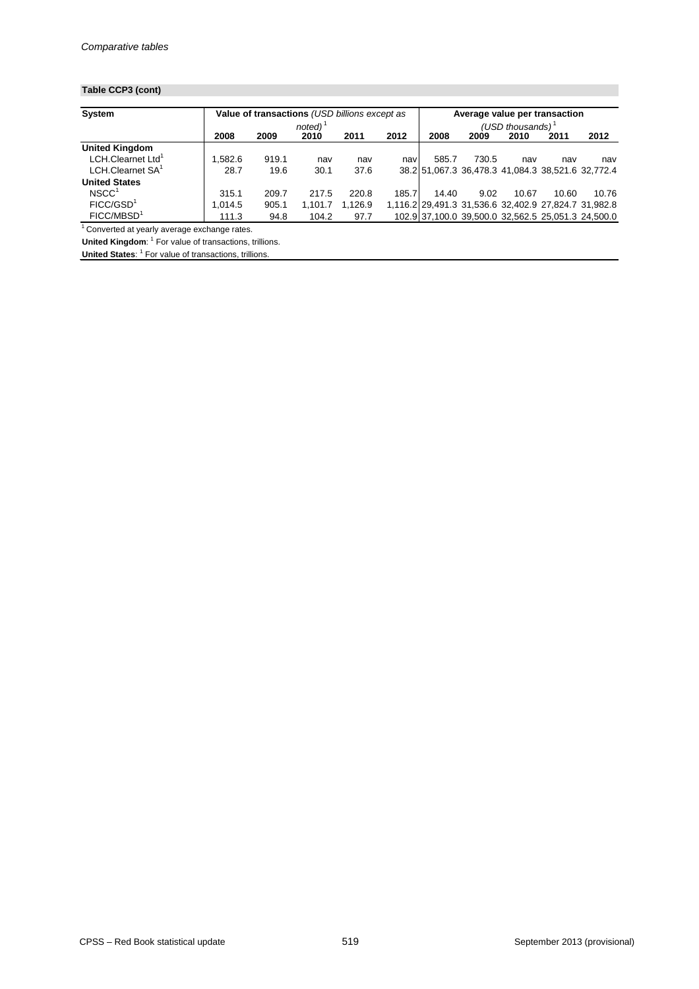## **Table CCP3 (cont)**

| <b>System</b>                 |         | Value of transactions (USD billions except as |                       |         |       | Average value per transaction                        |       |       |       |       |
|-------------------------------|---------|-----------------------------------------------|-----------------------|---------|-------|------------------------------------------------------|-------|-------|-------|-------|
|                               |         |                                               | $noted)$ <sup>1</sup> |         |       | (USD thousands) $1$                                  |       |       |       |       |
|                               | 2008    | 2009                                          | 2010                  | 2011    | 2012  | 2008                                                 | 2009  | 2010  | 2011  | 2012  |
| <b>United Kingdom</b>         |         |                                               |                       |         |       |                                                      |       |       |       |       |
| LCH.Clearnet Ltd <sup>1</sup> | .582.6  | 919.1                                         | nav                   | nav     | nav   | 585.7                                                | 730.5 | nav   | nav   | nav   |
| LCH.Clearnet SA <sup>1</sup>  | 28.7    | 19.6                                          | 30.1                  | 37.6    |       | 38.2 51,067.3 36,478.3 41,084.3 38,521.6 32,772.4    |       |       |       |       |
| <b>United States</b>          |         |                                               |                       |         |       |                                                      |       |       |       |       |
| NSCC <sup>1</sup>             | 315.1   | 209.7                                         | 217.5                 | 220.8   | 185.7 | 14.40                                                | 9.02  | 10.67 | 10.60 | 10.76 |
| FICC/GSD <sup>1</sup>         | 1.014.5 | 905.1                                         | 1.101.7               | 1,126.9 |       | 1,116.2 29,491.3 31,536.6 32,402.9 27,824.7 31,982.8 |       |       |       |       |
| FICC/MBSD <sup>1</sup>        | 111.3   | 94.8                                          | 104.2                 | 97.7    |       | 102.9 37,100.0 39,500.0 32,562.5 25,051.3 24,500.0   |       |       |       |       |

 $1$  Converted at yearly average exchange rates.

**United Kingdom**: <sup>1</sup> For value of transactions, trillions. **United States:** <sup>1</sup> For value of transactions, trillions.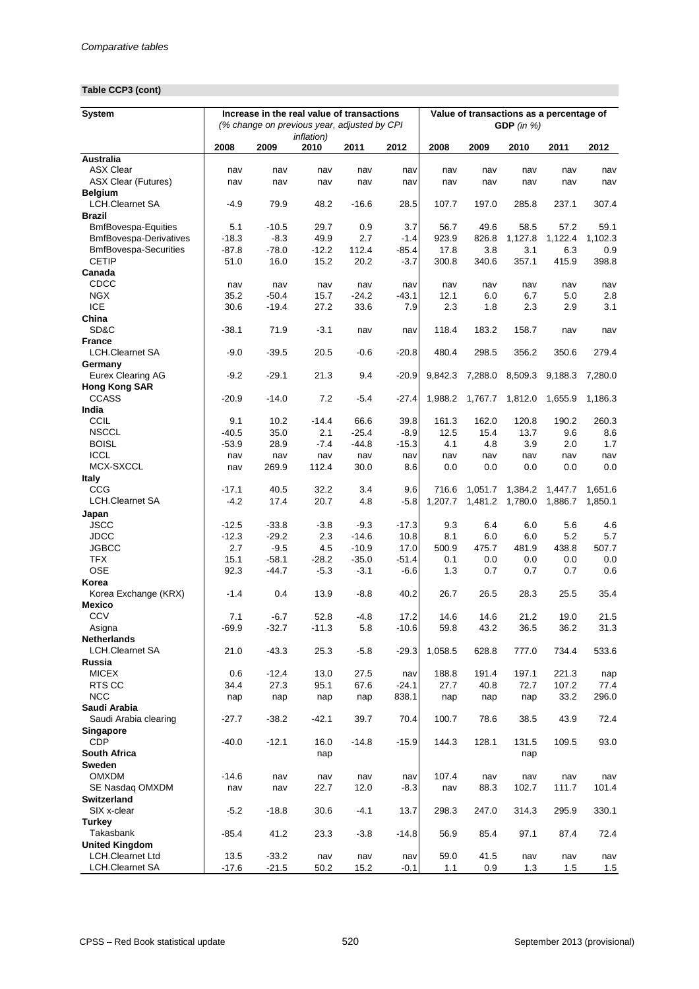## **Table CCP3 (cont)**

| <b>System</b>                            |                | Increase in the real value of transactions<br>(% change on previous year, adjusted by CPI |                            |                    |                |               | Value of transactions as a percentage of<br>GDP $(in %)$ |               |                |              |  |  |
|------------------------------------------|----------------|-------------------------------------------------------------------------------------------|----------------------------|--------------------|----------------|---------------|----------------------------------------------------------|---------------|----------------|--------------|--|--|
|                                          | 2008           | 2009                                                                                      | <i>inflation</i> )<br>2010 | 2011               | 2012           | 2008          | 2009                                                     | 2010          | 2011           | 2012         |  |  |
| <b>Australia</b>                         |                |                                                                                           |                            |                    |                |               |                                                          |               |                |              |  |  |
| <b>ASX Clear</b>                         | nav            | nav                                                                                       | nav                        | nav                | nav            | nav           | nav                                                      | nav           | nav            | nav          |  |  |
| <b>ASX Clear (Futures)</b>               | nav            | nav                                                                                       | nav                        | nav                | nav            | nav           | nav                                                      | nav           | nav            | nav          |  |  |
| <b>Belgium</b><br><b>LCH.Clearnet SA</b> | $-4.9$         | 79.9                                                                                      | 48.2                       | $-16.6$            | 28.5           | 107.7         | 197.0                                                    | 285.8         | 237.1          | 307.4        |  |  |
| <b>Brazil</b>                            |                |                                                                                           |                            |                    |                |               |                                                          |               |                |              |  |  |
| <b>BmfBovespa-Equities</b>               | 5.1            | $-10.5$                                                                                   | 29.7                       | 0.9                | 3.7            | 56.7          | 49.6                                                     | 58.5          | 57.2           | 59.1         |  |  |
| <b>BmfBovespa-Derivatives</b>            | $-18.3$        | $-8.3$                                                                                    | 49.9                       | 2.7                | $-1.4$         | 923.9         | 826.8                                                    | 1,127.8       | 1,122.4        | 1,102.3      |  |  |
| <b>BmfBovespa-Securities</b>             | $-87.8$        | $-78.0$                                                                                   | $-12.2$                    | 112.4              | $-85.4$        | 17.8          | 3.8                                                      | 3.1           | 6.3            | 0.9          |  |  |
| <b>CETIP</b>                             | 51.0           | 16.0                                                                                      | 15.2                       | 20.2               | $-3.7$         | 300.8         | 340.6                                                    | 357.1         | 415.9          | 398.8        |  |  |
| Canada                                   |                |                                                                                           |                            |                    |                |               |                                                          |               |                |              |  |  |
| CDCC                                     | nav            | nav                                                                                       | nav                        | nav                | nav            | nav           | nav                                                      | nav           | nav            | nav          |  |  |
| <b>NGX</b>                               | 35.2           | $-50.4$                                                                                   | 15.7                       | $-24.2$            | $-43.1$        | 12.1          | 6.0                                                      | 6.7           | 5.0            | 2.8          |  |  |
| <b>ICE</b>                               | 30.6           | $-19.4$                                                                                   | 27.2                       | 33.6               | 7.9            | 2.3           | 1.8                                                      | 2.3           | 2.9            | 3.1          |  |  |
| China                                    |                |                                                                                           |                            |                    |                |               |                                                          |               |                |              |  |  |
| SD&C                                     | $-38.1$        | 71.9                                                                                      | $-3.1$                     | nav                | nav            | 118.4         | 183.2                                                    | 158.7         | nav            | nav          |  |  |
| <b>France</b>                            |                |                                                                                           |                            |                    |                |               |                                                          |               |                | 279.4        |  |  |
| <b>LCH.Clearnet SA</b><br>Germany        | $-9.0$         | $-39.5$                                                                                   | 20.5                       | $-0.6$             | $-20.8$        | 480.4         | 298.5                                                    | 356.2         | 350.6          |              |  |  |
| <b>Eurex Clearing AG</b>                 | $-9.2$         | $-29.1$                                                                                   | 21.3                       | 9.4                | $-20.9$        | 9,842.3       | 7,288.0                                                  | 8,509.3       | 9,188.3        | 7,280.0      |  |  |
| <b>Hong Kong SAR</b>                     |                |                                                                                           |                            |                    |                |               |                                                          |               |                |              |  |  |
| <b>CCASS</b>                             | $-20.9$        | $-14.0$                                                                                   | 7.2                        | $-5.4$             | $-27.4$        | 1,988.2       | 1,767.7                                                  | 1,812.0       | 1,655.9        | 1,186.3      |  |  |
| India                                    |                |                                                                                           |                            |                    |                |               |                                                          |               |                |              |  |  |
| CCIL                                     | 9.1            | 10.2                                                                                      | $-14.4$                    | 66.6               | 39.8           | 161.3         | 162.0                                                    | 120.8         | 190.2          | 260.3        |  |  |
| <b>NSCCL</b>                             | $-40.5$        | 35.0                                                                                      | 2.1                        | $-25.4$            | $-8.9$         | 12.5          | 15.4                                                     | 13.7          | 9.6            | 8.6          |  |  |
| <b>BOISL</b>                             | $-53.9$        | 28.9                                                                                      | $-7.4$                     | $-44.8$            | $-15.3$        | 4.1           | 4.8                                                      | 3.9           | 2.0            | 1.7          |  |  |
| <b>ICCL</b>                              | nav            | nav                                                                                       | nav                        | nav                | nav            | nav           | nav                                                      | nav           | nav            | nav          |  |  |
| MCX-SXCCL                                | nav            | 269.9                                                                                     | 112.4                      | 30.0               | 8.6            | 0.0           | 0.0                                                      | 0.0           | 0.0            | 0.0          |  |  |
| <b>Italy</b>                             |                |                                                                                           |                            |                    |                |               |                                                          |               |                |              |  |  |
| CCG                                      | $-17.1$        | 40.5                                                                                      | 32.2                       | 3.4                | 9.6            | 716.6         | 1,051.7                                                  | 1,384.2       | 1,447.7        | 1,651.6      |  |  |
| <b>LCH.Clearnet SA</b>                   | $-4.2$         | 17.4                                                                                      | 20.7                       | 4.8                | $-5.8$         | 1,207.7       | 1,481.2                                                  | 1,780.0       | 1,886.7        | 1,850.1      |  |  |
| Japan                                    |                |                                                                                           |                            |                    |                |               |                                                          |               |                |              |  |  |
| <b>JSCC</b><br><b>JDCC</b>               | $-12.5$        | $-33.8$                                                                                   | $-3.8$                     | $-9.3$             | $-17.3$        | 9.3           | 6.4                                                      | 6.0           | 5.6            | 4.6          |  |  |
| <b>JGBCC</b>                             | $-12.3$<br>2.7 | $-29.2$<br>$-9.5$                                                                         | 2.3<br>4.5                 | $-14.6$<br>$-10.9$ | 10.8<br>17.0   | 8.1<br>500.9  | 6.0<br>475.7                                             | 6.0<br>481.9  | 5.2<br>438.8   | 5.7<br>507.7 |  |  |
| <b>TFX</b>                               | 15.1           | $-58.1$                                                                                   | $-28.2$                    | $-35.0$            | $-51.4$        | 0.1           | 0.0                                                      | 0.0           | 0.0            | 0.0          |  |  |
| <b>OSE</b>                               | 92.3           | $-44.7$                                                                                   | $-5.3$                     | $-3.1$             | $-6.6$         | 1.3           | 0.7                                                      | 0.7           | 0.7            | 0.6          |  |  |
| Korea                                    |                |                                                                                           |                            |                    |                |               |                                                          |               |                |              |  |  |
| Korea Exchange (KRX)                     | $-1.4$         | 0.4                                                                                       | 13.9                       | $-8.8$             | 40.2           | 26.7          | 26.5                                                     | 28.3          | 25.5           | 35.4         |  |  |
| <b>Mexico</b>                            |                |                                                                                           |                            |                    |                |               |                                                          |               |                |              |  |  |
| <b>CCV</b>                               | 7.1            | $-6.7$                                                                                    | 52.8                       | $-4.8$             | 17.2           | 14.6          | 14.6                                                     | 21.2          | 19.0           | 21.5         |  |  |
| Asigna                                   | $-69.9$        | $-32.7$                                                                                   | $-11.3$                    | 5.8                | $-10.6$        | 59.8          | 43.2                                                     | 36.5          | 36.2           | 31.3         |  |  |
| <b>Netherlands</b>                       |                |                                                                                           |                            |                    |                |               |                                                          |               |                |              |  |  |
| <b>LCH.Clearnet SA</b>                   | 21.0           | $-43.3$                                                                                   | 25.3                       | $-5.8$             | $-29.3$        | 1,058.5       | 628.8                                                    | 777.0         | 734.4          | 533.6        |  |  |
| Russia                                   |                |                                                                                           |                            |                    |                |               |                                                          |               |                |              |  |  |
| <b>MICEX</b><br>RTS CC                   | 0.6<br>34.4    | $-12.4$<br>27.3                                                                           | 13.0<br>95.1               | 27.5<br>67.6       | nav<br>$-24.1$ | 188.8<br>27.7 | 191.4<br>40.8                                            | 197.1<br>72.7 | 221.3<br>107.2 | nap<br>77.4  |  |  |
| <b>NCC</b>                               | nap            | nap                                                                                       | nap                        | nap                | 838.1          | nap           | nap                                                      | nap           | 33.2           | 296.0        |  |  |
| Saudi Arabia                             |                |                                                                                           |                            |                    |                |               |                                                          |               |                |              |  |  |
| Saudi Arabia clearing                    | $-27.7$        | $-38.2$                                                                                   | $-42.1$                    | 39.7               | 70.4           | 100.7         | 78.6                                                     | 38.5          | 43.9           | 72.4         |  |  |
| <b>Singapore</b>                         |                |                                                                                           |                            |                    |                |               |                                                          |               |                |              |  |  |
| <b>CDP</b>                               | $-40.0$        | $-12.1$                                                                                   | 16.0                       | $-14.8$            | $-15.9$        | 144.3         | 128.1                                                    | 131.5         | 109.5          | 93.0         |  |  |
| <b>South Africa</b>                      |                |                                                                                           | nap                        |                    |                |               |                                                          | nap           |                |              |  |  |
| <b>Sweden</b>                            |                |                                                                                           |                            |                    |                |               |                                                          |               |                |              |  |  |
| <b>OMXDM</b>                             | $-14.6$        | nav                                                                                       | nav                        | nav                | nav            | 107.4         | nav                                                      | nav           | nav            | nav          |  |  |
| SE Nasdaq OMXDM                          | nav            | nav                                                                                       | 22.7                       | 12.0               | $-8.3$         | nav           | 88.3                                                     | 102.7         | 111.7          | 101.4        |  |  |
| <b>Switzerland</b>                       |                |                                                                                           |                            |                    |                |               |                                                          |               |                |              |  |  |
| SIX x-clear                              | $-5.2$         | $-18.8$                                                                                   | 30.6                       | $-4.1$             | 13.7           | 298.3         | 247.0                                                    | 314.3         | 295.9          | 330.1        |  |  |
| <b>Turkey</b><br><b>Takasbank</b>        |                |                                                                                           |                            |                    |                |               |                                                          |               |                |              |  |  |
| <b>United Kingdom</b>                    | $-85.4$        | 41.2                                                                                      | 23.3                       | $-3.8$             | $-14.8$        | 56.9          | 85.4                                                     | 97.1          | 87.4           | 72.4         |  |  |
| <b>LCH.Clearnet Ltd</b>                  | 13.5           | $-33.2$                                                                                   | nav                        | nav                | nav            | 59.0          | 41.5                                                     | nav           | nav            | nav          |  |  |
| <b>LCH.Clearnet SA</b>                   | $-17.6$        | $-21.5$                                                                                   | 50.2                       | 15.2               | $-0.1$         | 1.1           | 0.9                                                      | 1.3           | 1.5            | 1.5          |  |  |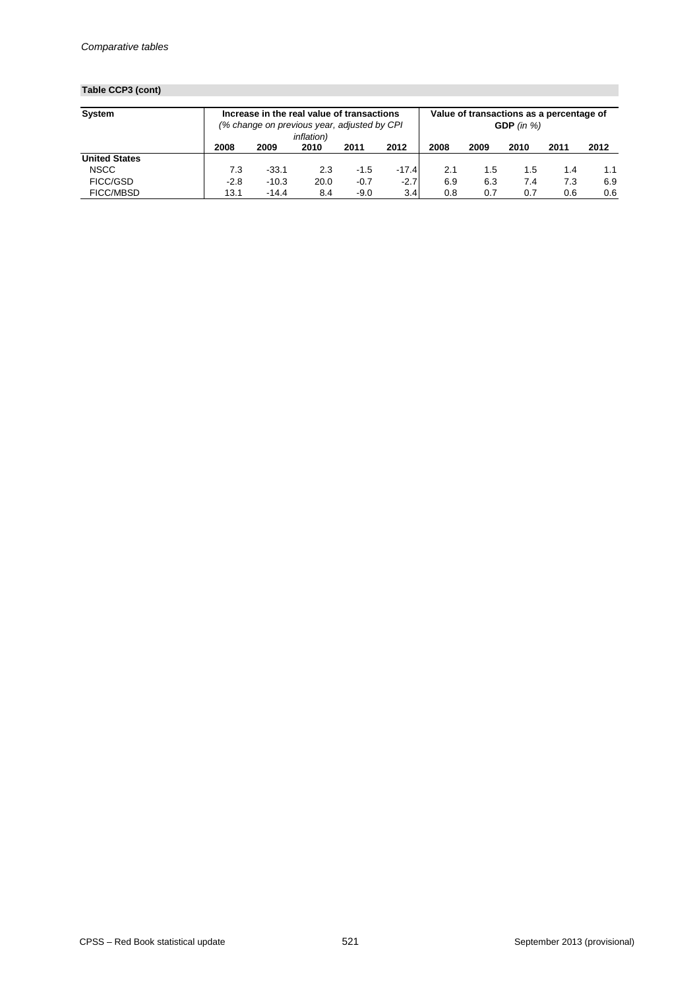## **Table CCP3 (cont)**

| <b>System</b>        | Increase in the real value of transactions<br>(% change on previous year, adjusted by CPI |         |      |        |                  | Value of transactions as a percentage of<br>GDP (in $%$ )<br><i>inflation</i> ) |      |      |      |      |
|----------------------|-------------------------------------------------------------------------------------------|---------|------|--------|------------------|---------------------------------------------------------------------------------|------|------|------|------|
|                      | 2008                                                                                      | 2009    | 2010 | 2011   | 2012             | 2008                                                                            | 2009 | 2010 | 2011 | 2012 |
| <b>United States</b> |                                                                                           |         |      |        |                  |                                                                                 |      |      |      |      |
| <b>NSCC</b>          | 7.3                                                                                       | $-33.1$ | 2.3  | $-1.5$ | $-17.4$          | 2.1                                                                             | 1.5  | 1.5  | 1.4  | 1.1  |
| <b>FICC/GSD</b>      | $-2.8$                                                                                    | $-10.3$ | 20.0 | $-0.7$ | $-2.7$           | 6.9                                                                             | 6.3  | 7.4  | 7.3  | 6.9  |
| <b>FICC/MBSD</b>     | 13.1                                                                                      | $-14.4$ | 8.4  | $-9.0$ | 3.4 <sub>l</sub> | 0.8                                                                             | 0.7  | 0.7  | 0.6  | 0.6  |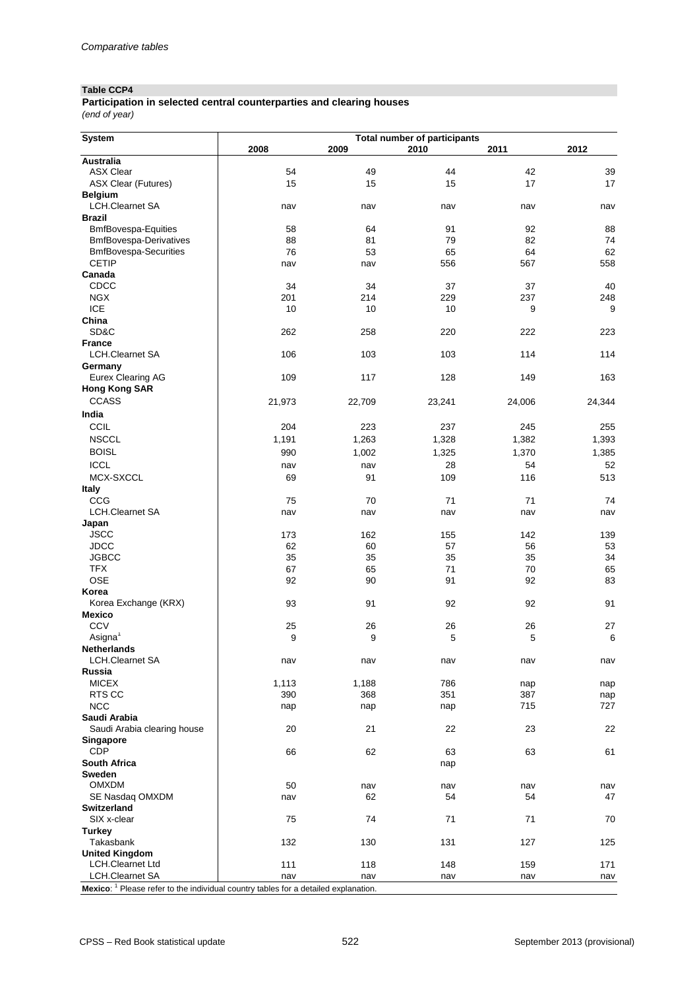### **Table CCP4**

#### *(end of year)* **Participation in selected central counterparties and clearing houses**

| <b>System</b>                                                                                                              | <b>Total number of participants</b> |        |           |           |           |  |  |  |  |
|----------------------------------------------------------------------------------------------------------------------------|-------------------------------------|--------|-----------|-----------|-----------|--|--|--|--|
|                                                                                                                            | 2008                                | 2009   | 2010      | 2011      | 2012      |  |  |  |  |
| <b>Australia</b>                                                                                                           |                                     |        |           |           |           |  |  |  |  |
| <b>ASX Clear</b>                                                                                                           | 54                                  | 49     | 44        | 42        | 39        |  |  |  |  |
| <b>ASX Clear (Futures)</b>                                                                                                 | 15                                  | 15     | 15        | 17        | 17        |  |  |  |  |
| <b>Belgium</b>                                                                                                             |                                     |        |           |           |           |  |  |  |  |
| <b>LCH.Clearnet SA</b>                                                                                                     | nav                                 | nav    | nav       | nav       | nav       |  |  |  |  |
| <b>Brazil</b>                                                                                                              |                                     |        |           |           |           |  |  |  |  |
| <b>BmfBovespa-Equities</b>                                                                                                 | 58                                  | 64     | 91        | 92        | 88        |  |  |  |  |
| <b>BmfBovespa-Derivatives</b>                                                                                              | 88                                  | 81     | 79        | 82        | 74        |  |  |  |  |
| <b>BmfBovespa-Securities</b><br><b>CETIP</b>                                                                               | 76                                  | 53     | 65<br>556 | 64<br>567 | 62<br>558 |  |  |  |  |
| Canada                                                                                                                     | nav                                 | nav    |           |           |           |  |  |  |  |
| CDCC                                                                                                                       | 34                                  | 34     | 37        | 37        | 40        |  |  |  |  |
| <b>NGX</b>                                                                                                                 | 201                                 | 214    | 229       | 237       | 248       |  |  |  |  |
| <b>ICE</b>                                                                                                                 | 10                                  | 10     | 10        | 9         | 9         |  |  |  |  |
| China                                                                                                                      |                                     |        |           |           |           |  |  |  |  |
| SD&C                                                                                                                       | 262                                 | 258    | 220       | 222       | 223       |  |  |  |  |
| <b>France</b>                                                                                                              |                                     |        |           |           |           |  |  |  |  |
| <b>LCH.Clearnet SA</b>                                                                                                     | 106                                 | 103    | 103       | 114       | 114       |  |  |  |  |
| Germany                                                                                                                    |                                     |        |           |           |           |  |  |  |  |
| <b>Eurex Clearing AG</b>                                                                                                   | 109                                 | 117    | 128       | 149       | 163       |  |  |  |  |
| <b>Hong Kong SAR</b>                                                                                                       |                                     |        |           |           |           |  |  |  |  |
| <b>CCASS</b>                                                                                                               | 21,973                              | 22,709 | 23,241    | 24,006    | 24,344    |  |  |  |  |
| India                                                                                                                      |                                     |        |           |           |           |  |  |  |  |
|                                                                                                                            |                                     |        |           |           |           |  |  |  |  |
| <b>CCIL</b>                                                                                                                | 204                                 | 223    | 237       | 245       | 255       |  |  |  |  |
| <b>NSCCL</b>                                                                                                               | 1,191                               | 1,263  | 1,328     | 1,382     | 1,393     |  |  |  |  |
| <b>BOISL</b>                                                                                                               | 990                                 | 1,002  | 1,325     | 1,370     | 1,385     |  |  |  |  |
| <b>ICCL</b>                                                                                                                | nav                                 | nav    | 28        | 54        | 52        |  |  |  |  |
| MCX-SXCCL                                                                                                                  | 69                                  | 91     | 109       | 116       | 513       |  |  |  |  |
| <b>Italy</b>                                                                                                               |                                     |        |           |           |           |  |  |  |  |
| CCG                                                                                                                        | 75                                  | 70     | 71        | 71        | 74        |  |  |  |  |
| <b>LCH.Clearnet SA</b>                                                                                                     | nav                                 | nav    | nav       | nav       | nav       |  |  |  |  |
| Japan                                                                                                                      |                                     |        |           |           |           |  |  |  |  |
| <b>JSCC</b>                                                                                                                | 173                                 | 162    | 155       | 142       | 139       |  |  |  |  |
| <b>JDCC</b>                                                                                                                | 62                                  | 60     | 57        | 56        | 53        |  |  |  |  |
| <b>JGBCC</b>                                                                                                               | 35                                  | 35     | 35        | 35        | 34        |  |  |  |  |
| <b>TFX</b>                                                                                                                 | 67                                  | 65     | 71        | 70        | 65        |  |  |  |  |
| <b>OSE</b>                                                                                                                 | 92                                  | 90     | 91        | 92        | 83        |  |  |  |  |
| Korea                                                                                                                      |                                     |        |           |           |           |  |  |  |  |
| Korea Exchange (KRX)<br><b>Mexico</b>                                                                                      | 93                                  | 91     | 92        | 92        | 91        |  |  |  |  |
| <b>CCV</b>                                                                                                                 | 25                                  | 26     | 26        | 26        | 27        |  |  |  |  |
| Asigna $1$                                                                                                                 | 9                                   | 9      | 5         | 5         | 6         |  |  |  |  |
| <b>Netherlands</b>                                                                                                         |                                     |        |           |           |           |  |  |  |  |
| <b>LCH.Clearnet SA</b>                                                                                                     | nav                                 | nav    | nav       | nav       | nav       |  |  |  |  |
| Russia                                                                                                                     |                                     |        |           |           |           |  |  |  |  |
| <b>MICEX</b>                                                                                                               | 1,113                               | 1,188  | 786       | nap       | nap       |  |  |  |  |
| RTS CC                                                                                                                     | 390                                 | 368    | 351       | 387       | nap       |  |  |  |  |
| <b>NCC</b>                                                                                                                 | nap                                 | nap    | nap       | 715       | 727       |  |  |  |  |
| Saudi Arabia                                                                                                               |                                     |        |           |           |           |  |  |  |  |
| Saudi Arabia clearing house                                                                                                | 20                                  | 21     | 22        | 23        | 22        |  |  |  |  |
| <b>Singapore</b>                                                                                                           |                                     |        |           |           |           |  |  |  |  |
| <b>CDP</b>                                                                                                                 | 66                                  | 62     | 63        | 63        | 61        |  |  |  |  |
| <b>South Africa</b>                                                                                                        |                                     |        | nap       |           |           |  |  |  |  |
| <b>Sweden</b>                                                                                                              |                                     |        |           |           |           |  |  |  |  |
| <b>OMXDM</b>                                                                                                               | 50                                  | nav    | nav       | nav       | nav       |  |  |  |  |
| SE Nasdaq OMXDM                                                                                                            | nav                                 | 62     | 54        | 54        | 47        |  |  |  |  |
| <b>Switzerland</b>                                                                                                         |                                     |        |           |           |           |  |  |  |  |
| SIX x-clear                                                                                                                | 75                                  | 74     | 71        | 71        | 70        |  |  |  |  |
| <b>Turkey</b>                                                                                                              |                                     |        |           |           |           |  |  |  |  |
| Takasbank                                                                                                                  | 132                                 | 130    | 131       | 127       | 125       |  |  |  |  |
| <b>United Kingdom</b>                                                                                                      |                                     |        |           |           |           |  |  |  |  |
| <b>LCH.Clearnet Ltd</b>                                                                                                    | 111                                 | 118    | 148       | 159       | 171       |  |  |  |  |
| <b>LCH.Clearnet SA</b><br>$Moxi$ es <sup>-1</sup> Please refer to the individual country tables for a detailed explanation | nav                                 | nav    | nav       | nav       | nav       |  |  |  |  |

**MEXICO:** Please refer to the individual country tables for a detailed explanation.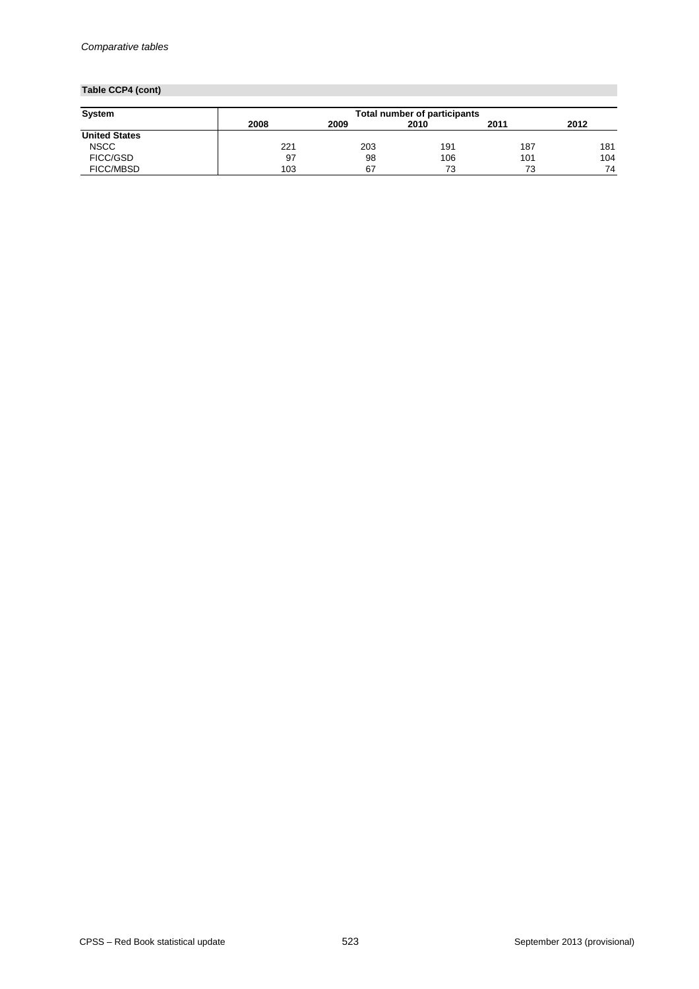## **Table CCP4 (cont)**

| <b>System</b>        |      | <b>Total number of participants</b> |      |      |      |  |  |  |  |  |
|----------------------|------|-------------------------------------|------|------|------|--|--|--|--|--|
|                      | 2008 | 2009                                | 2010 | 2011 | 2012 |  |  |  |  |  |
| <b>United States</b> |      |                                     |      |      |      |  |  |  |  |  |
| <b>NSCC</b>          | 221  | 203                                 | 191  | 187  | 181  |  |  |  |  |  |
| FICC/GSD             | -97  | 98                                  | 106  | 101  | 104  |  |  |  |  |  |
| <b>FICC/MBSD</b>     | 103  | 67                                  | 73   | 73   | 74   |  |  |  |  |  |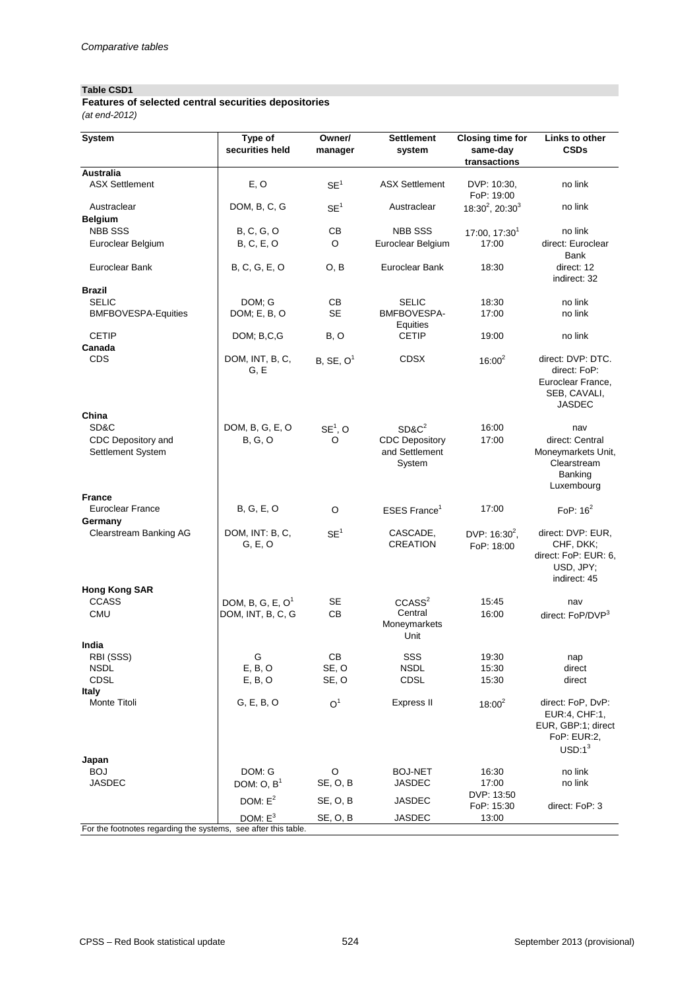### **Table CSD1**

*(at end-2012)* **Features of selected central securities depositories**

| <b>System</b>                                                  | Type of<br>securities held              | Owner/<br>manager     | <b>Settlement</b><br>system                                   | <b>Closing time for</b><br>same-day | <b>Links to other</b><br><b>CSDs</b>                                                    |
|----------------------------------------------------------------|-----------------------------------------|-----------------------|---------------------------------------------------------------|-------------------------------------|-----------------------------------------------------------------------------------------|
|                                                                |                                         |                       |                                                               | transactions                        |                                                                                         |
| <b>Australia</b><br><b>ASX Settlement</b>                      | E, O                                    | SE <sup>1</sup>       | <b>ASX Settlement</b>                                         | DVP: 10:30,<br>FoP: 19:00           | no link                                                                                 |
| Austraclear<br><b>Belgium</b>                                  | DOM, B, C, G                            | SE <sup>1</sup>       | Austraclear                                                   | $18:30^2$ , 20:30 <sup>3</sup>      | no link                                                                                 |
| <b>NBB SSS</b>                                                 | <b>B, C, G, O</b>                       | CB                    | <b>NBB SSS</b>                                                | 17:00, 17:30 <sup>1</sup>           | no link                                                                                 |
| Euroclear Belgium                                              | <b>B, C, E, O</b>                       | $\circ$               | Euroclear Belgium                                             | 17:00                               | direct: Euroclear<br><b>Bank</b>                                                        |
| Euroclear Bank                                                 | B, C, G, E, O                           | O, B                  | <b>Euroclear Bank</b>                                         | 18:30                               | direct: 12<br>indirect: 32                                                              |
| <b>Brazil</b>                                                  |                                         |                       |                                                               |                                     |                                                                                         |
| <b>SELIC</b><br><b>BMFBOVESPA-Equities</b>                     | DOM; G<br>DOM; E, B, O                  | CB<br><b>SE</b>       | <b>SELIC</b><br><b>BMFBOVESPA-</b><br>Equities                | 18:30<br>17:00                      | no link<br>no link                                                                      |
| <b>CETIP</b><br>Canada                                         | DOM; B,C,G                              | B, O                  | <b>CETIP</b>                                                  | 19:00                               | no link                                                                                 |
| <b>CDS</b>                                                     | DOM, INT, B, C,<br>G, E                 | B, SE, O <sup>1</sup> | <b>CDSX</b>                                                   | $16:00^{2}$                         | direct: DVP: DTC.<br>direct: FoP:<br>Euroclear France,<br>SEB, CAVALI,<br><b>JASDEC</b> |
| China<br>SD&C                                                  |                                         |                       |                                                               |                                     |                                                                                         |
| CDC Depository and<br>Settlement System                        | DOM, B, G, E, O<br>B, G, O              | $SE1$ , O<br>O        | $SD&C^2$<br><b>CDC Depository</b><br>and Settlement<br>System | 16:00<br>17:00                      | nav<br>direct: Central<br>Moneymarkets Unit,<br>Clearstream<br>Banking<br>Luxembourg    |
| <b>France</b>                                                  |                                         |                       |                                                               |                                     |                                                                                         |
| <b>Euroclear France</b><br>Germany                             | <b>B, G, E, O</b>                       | $\circ$               | ESES France <sup>1</sup>                                      | 17:00                               | FoP: $16^2$                                                                             |
| <b>Clearstream Banking AG</b>                                  | DOM, INT: B, C,<br>G, E, O              | SE <sup>1</sup>       | CASCADE,<br><b>CREATION</b>                                   | DVP: $16:30^2$ ,<br>FoP: 18:00      | direct: DVP: EUR,<br>CHF, DKK;<br>direct: FoP: EUR: 6,<br>USD, JPY;<br>indirect: 45     |
| <b>Hong Kong SAR</b><br><b>CCASS</b>                           |                                         |                       |                                                               |                                     |                                                                                         |
| <b>CMU</b>                                                     | DOM, B, G, E, $O1$<br>DOM, INT, B, C, G | <b>SE</b><br>CB       | CCASS <sup>2</sup><br>Central<br>Moneymarkets<br>Unit         | 15:45<br>16:00                      | nav<br>direct: FoP/DVP <sup>3</sup>                                                     |
| India<br>RBI (SSS)                                             | G                                       | CB                    | SSS                                                           | 19:30                               | nap                                                                                     |
| <b>NSDL</b>                                                    | E, B, O                                 | SE, O                 | <b>NSDL</b>                                                   | 15:30                               | direct                                                                                  |
| <b>CDSL</b><br><b>Italy</b>                                    | E, B, O                                 | SE, O                 | <b>CDSL</b>                                                   | 15:30                               | direct                                                                                  |
| Monte Titoli                                                   | G, E, B, O                              | O <sup>1</sup>        | <b>Express II</b>                                             | $18:00^{2}$                         | direct: FoP, DvP:<br>EUR:4, CHF:1,<br>EUR, GBP:1; direct<br>FoP: EUR:2,<br>$USD:1^3$    |
| Japan<br><b>BOJ</b>                                            | DOM: G                                  | O                     | <b>BOJ-NET</b>                                                | 16:30                               | no link                                                                                 |
| <b>JASDEC</b>                                                  | DOM: $O, B1$                            | SE, O, B              | <b>JASDEC</b>                                                 | 17:00                               | no link                                                                                 |
|                                                                | DOM: $E^2$                              | SE, O, B              | <b>JASDEC</b>                                                 | DVP: 13:50<br>FoP: 15:30            | direct: FoP: 3                                                                          |
| For the footnotes regarding the systems, see after this table. | DOM: $E^3$                              | SE, O, B              | <b>JASDEC</b>                                                 | 13:00                               |                                                                                         |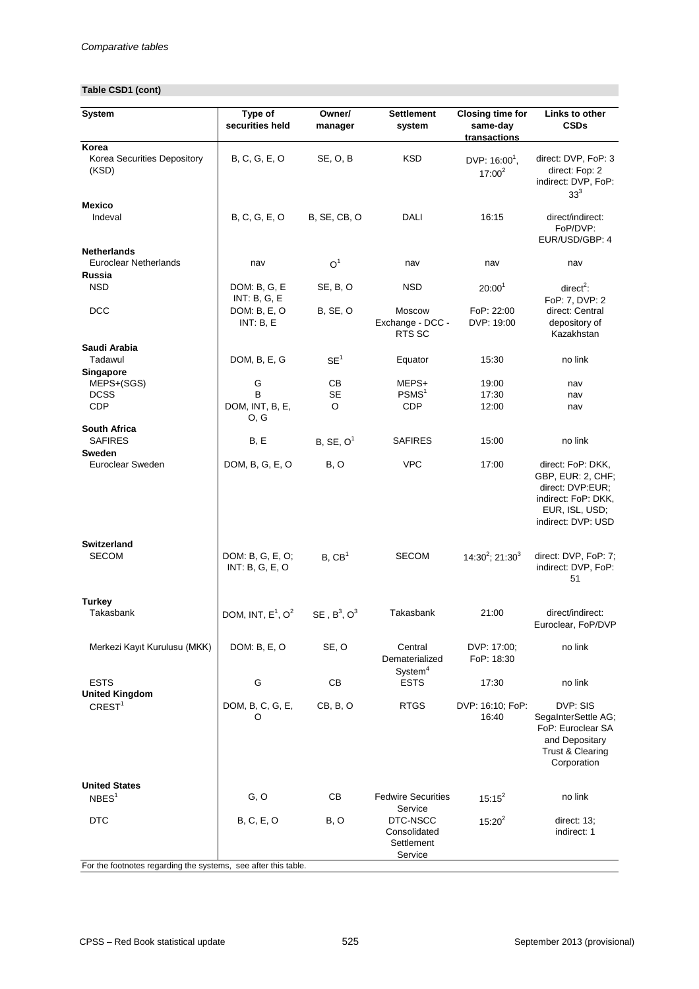## **Table CSD1 (cont)**

| <b>System</b>                                                  | Type of<br>securities held                       | Owner/<br>manager          | <b>Settlement</b><br>system                                  | <b>Closing time for</b><br>same-day<br>transactions | <b>Links to other</b><br><b>CSDs</b>                                                                                      |
|----------------------------------------------------------------|--------------------------------------------------|----------------------------|--------------------------------------------------------------|-----------------------------------------------------|---------------------------------------------------------------------------------------------------------------------------|
| Korea<br>Korea Securities Depository<br>(KSD)                  | B, C, G, E, O                                    | SE, O, B                   | <b>KSD</b>                                                   | DVP: 16:00 <sup>1</sup> ,<br>$17:00^2$              | direct: DVP, FoP: 3<br>direct: Fop: 2<br>indirect: DVP, FoP:<br>33 <sup>3</sup>                                           |
| <b>Mexico</b><br>Indeval                                       | B, C, G, E, O                                    | <b>B, SE, CB, O</b>        | <b>DALI</b>                                                  | 16:15                                               | direct/indirect:<br>FoP/DVP:<br>EUR/USD/GBP: 4                                                                            |
| <b>Netherlands</b><br><b>Euroclear Netherlands</b><br>Russia   | nav                                              | O <sup>1</sup>             | nav                                                          | nav                                                 | nav                                                                                                                       |
| <b>NSD</b>                                                     | DOM: B, G, E                                     | SE, B, O                   | <b>NSD</b>                                                   | 20:00 <sup>1</sup>                                  | direct <sup>2</sup> :                                                                                                     |
| <b>DCC</b>                                                     | <b>INT: B, G, E</b><br>DOM: B, E, O<br>INT: B, E | <b>B, SE, O</b>            | Moscow<br>Exchange - DCC -<br>RTS SC                         | FoP: 22:00<br>DVP: 19:00                            | FoP: 7, DVP: 2<br>direct: Central<br>depository of<br>Kazakhstan                                                          |
| Saudi Arabia<br>Tadawul<br><b>Singapore</b>                    | DOM, B, E, G                                     | SE <sup>1</sup>            | Equator                                                      | 15:30                                               | no link                                                                                                                   |
| MEPS+(SGS)<br><b>DCSS</b><br><b>CDP</b>                        | G<br>B<br>DOM, INT, B, E,<br>O, G                | CB<br><b>SE</b><br>$\circ$ | MEPS+<br>PSMS <sup>1</sup><br><b>CDP</b>                     | 19:00<br>17:30<br>12:00                             | nav<br>nav<br>nav                                                                                                         |
| <b>South Africa</b><br><b>SAFIRES</b>                          | B, E                                             | B, SE, O <sup>1</sup>      | <b>SAFIRES</b>                                               | 15:00                                               | no link                                                                                                                   |
| <b>Sweden</b><br>Euroclear Sweden                              | DOM, B, G, E, O                                  | B, O                       | <b>VPC</b>                                                   | 17:00                                               | direct: FoP: DKK,<br>GBP, EUR: 2, CHF;<br>direct: DVP:EUR;<br>indirect: FoP: DKK,<br>EUR, ISL, USD;<br>indirect: DVP: USD |
| <b>Switzerland</b><br><b>SECOM</b>                             | DOM: B, G, E, O;<br>INT: B, G, E, O              | B, CB <sup>1</sup>         | <b>SECOM</b>                                                 | $14:30^2$ ; 21:30 <sup>3</sup>                      | direct: DVP, FoP: 7;<br>indirect: DVP, FoP:<br>51                                                                         |
| <b>Turkey</b><br>Takasbank                                     | DOM, INT, $E^1$ , $O^2$                          | SE, $B^3$ , $O^3$          | Takasbank                                                    | 21:00                                               | direct/indirect:<br>Euroclear, FoP/DVP                                                                                    |
| Merkezi Kayıt Kurulusu (MKK)                                   | DOM: B, E, O                                     | SE, O                      | Central<br>Dematerialized                                    | DVP: 17:00;<br>FoP: 18:30                           | no link                                                                                                                   |
| <b>ESTS</b>                                                    | G                                                | CB                         | System <sup>4</sup><br><b>ESTS</b>                           | 17:30                                               | no link                                                                                                                   |
| <b>United Kingdom</b><br>CREST <sup>1</sup>                    | DOM, B, C, G, E,<br>O                            | CB, B, O                   | <b>RTGS</b>                                                  | DVP: 16:10; FoP:<br>16:40                           | DVP: SIS<br>SegaInterSettle AG;<br>FoP: Euroclear SA<br>and Depositary<br><b>Trust &amp; Clearing</b><br>Corporation      |
| <b>United States</b><br>NBES <sup>1</sup>                      | G, O                                             | CB                         | <b>Fedwire Securities</b>                                    | $15:15^{2}$                                         | no link                                                                                                                   |
| <b>DTC</b>                                                     | <b>B, C, E, O</b>                                | B, O                       | Service<br>DTC-NSCC<br>Consolidated<br>Settlement<br>Service | $15:20^2$                                           | direct: 13;<br>indirect: 1                                                                                                |
| For the footnotes regarding the systems, see after this table. |                                                  |                            |                                                              |                                                     |                                                                                                                           |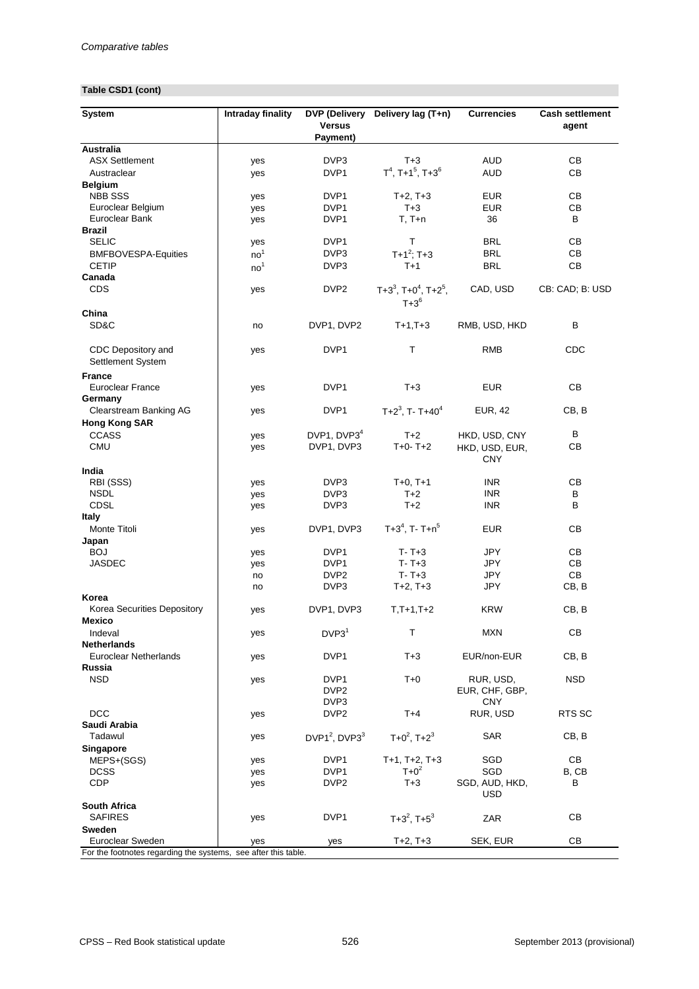## **Table CSD1 (cont)**

| <b>System</b>                                                  | <b>Intraday finality</b> | <b>DVP (Delivery</b><br><b>Versus</b><br>Payment) | Delivery lag (T+n)                          | <b>Currencies</b>            | <b>Cash settlement</b><br>agent |
|----------------------------------------------------------------|--------------------------|---------------------------------------------------|---------------------------------------------|------------------------------|---------------------------------|
| <b>Australia</b>                                               |                          |                                                   |                                             |                              |                                 |
| <b>ASX Settlement</b>                                          | yes                      | DVP3                                              | $T+3$                                       | <b>AUD</b>                   | CB                              |
| Austraclear                                                    | yes                      | DVP1                                              | $T^4$ , T+1 <sup>5</sup> , T+3 <sup>6</sup> | <b>AUD</b>                   | CB                              |
| <b>Belgium</b>                                                 |                          |                                                   |                                             |                              |                                 |
| <b>NBB SSS</b>                                                 | yes                      | DVP1                                              | $T+2, T+3$                                  | <b>EUR</b>                   | CB                              |
| Euroclear Belgium                                              | yes                      | DVP1                                              | $T+3$                                       | <b>EUR</b>                   | CB                              |
| <b>Euroclear Bank</b>                                          | yes                      | DVP1                                              | $T, T+n$                                    | 36                           | B                               |
| <b>Brazil</b>                                                  |                          |                                                   |                                             |                              |                                 |
| <b>SELIC</b>                                                   | yes                      | DVP1                                              | $\mathsf T$                                 | <b>BRL</b>                   | CB                              |
|                                                                |                          | DVP3                                              |                                             | <b>BRL</b>                   | CB                              |
| <b>BMFBOVESPA-Equities</b>                                     | no <sup>1</sup>          |                                                   | $T+1^2$ ; T+3                               |                              |                                 |
| <b>CETIP</b>                                                   | no <sup>1</sup>          | DVP3                                              | $T+1$                                       | <b>BRL</b>                   | CB                              |
| Canada                                                         |                          |                                                   |                                             |                              |                                 |
| <b>CDS</b>                                                     | yes                      | DVP <sub>2</sub>                                  | $T+3^3$ , $T+0^4$ , $T+2^5$ ,<br>$T+3^6$    | CAD, USD                     | CB: CAD; B: USD                 |
| China                                                          |                          |                                                   |                                             |                              |                                 |
| SD&C                                                           | no                       | DVP1, DVP2                                        | $T+1,T+3$                                   | RMB, USD, HKD                | B                               |
| CDC Depository and<br>Settlement System                        | yes                      | DVP1                                              | Τ                                           | <b>RMB</b>                   | CDC                             |
| <b>France</b>                                                  |                          |                                                   |                                             |                              |                                 |
| <b>Euroclear France</b><br>Germany                             | yes                      | DVP1                                              | $T+3$                                       | <b>EUR</b>                   | CB                              |
| <b>Clearstream Banking AG</b>                                  | yes                      | DVP1                                              | $T+2^3$ , T-T+40 <sup>4</sup>               | <b>EUR, 42</b>               | CB, B                           |
| <b>Hong Kong SAR</b>                                           |                          |                                                   |                                             |                              |                                 |
| <b>CCASS</b>                                                   | yes                      | DVP1, DVP3 <sup>4</sup>                           | $T+2$                                       | HKD, USD, CNY                | B                               |
| <b>CMU</b>                                                     | yes                      | DVP1, DVP3                                        | $T+0 T+2$                                   | HKD, USD, EUR,               | CB                              |
|                                                                |                          |                                                   |                                             | <b>CNY</b>                   |                                 |
| India                                                          |                          |                                                   |                                             |                              |                                 |
| RBI (SSS)                                                      | yes                      | DVP3                                              | $T+0, T+1$                                  | <b>INR</b>                   | CB                              |
| <b>NSDL</b>                                                    | yes                      | DVP3                                              | $T+2$                                       | <b>INR</b>                   | B                               |
| <b>CDSL</b>                                                    | yes                      | DVP3                                              | $T+2$                                       | <b>INR</b>                   | B                               |
| <b>Italy</b>                                                   |                          |                                                   |                                             |                              |                                 |
| Monte Titoli                                                   | yes                      | DVP1, DVP3                                        | $T+3^4$ , T-T+n <sup>5</sup>                | <b>EUR</b>                   | CB                              |
| Japan                                                          |                          |                                                   |                                             |                              |                                 |
| <b>BOJ</b>                                                     |                          | DVP1                                              | $T - T + 3$                                 | <b>JPY</b>                   |                                 |
|                                                                | yes                      |                                                   |                                             |                              | CB                              |
| <b>JASDEC</b>                                                  | yes                      | DVP1                                              | $T - T + 3$                                 | <b>JPY</b>                   | CB                              |
|                                                                | no                       | DVP <sub>2</sub>                                  | $T - T + 3$                                 | <b>JPY</b>                   | CB                              |
|                                                                | no                       | DVP3                                              | $T+2, T+3$                                  | <b>JPY</b>                   | CB, B                           |
| <b>Korea</b>                                                   |                          |                                                   |                                             |                              |                                 |
| Korea Securities Depository                                    | yes                      | DVP1, DVP3                                        | $T, T+1, T+2$                               | <b>KRW</b>                   | CB, B                           |
| <b>Mexico</b>                                                  |                          |                                                   |                                             |                              |                                 |
| Indeval                                                        | yes                      | DVP3 <sup>1</sup>                                 | $\sf T$                                     | <b>MXN</b>                   | CB                              |
| <b>Netherlands</b>                                             |                          |                                                   |                                             |                              |                                 |
| <b>Euroclear Netherlands</b>                                   | yes                      | DVP1                                              | $T+3$                                       | EUR/non-EUR                  | CB, B                           |
| Russia                                                         |                          |                                                   |                                             |                              |                                 |
| <b>NSD</b>                                                     | yes                      | DVP1                                              | $T+0$                                       | RUR, USD,                    | <b>NSD</b>                      |
|                                                                |                          | DVP <sub>2</sub>                                  |                                             | EUR, CHF, GBP,               |                                 |
|                                                                |                          | DVP3                                              |                                             | <b>CNY</b>                   |                                 |
| <b>DCC</b>                                                     | yes                      | DVP <sub>2</sub>                                  | $T+4$                                       | RUR, USD                     | RTS SC                          |
| Saudi Arabia                                                   |                          |                                                   |                                             |                              |                                 |
| Tadawul                                                        | yes                      | DVP1 <sup>2</sup> , DVP $3^3$                     | $T+0^2$ , $T+2^3$                           | <b>SAR</b>                   | CB, B                           |
|                                                                |                          |                                                   |                                             |                              |                                 |
| <b>Singapore</b>                                               |                          |                                                   |                                             |                              |                                 |
| MEPS+(SGS)                                                     | yes                      | DVP1                                              | $T+1$ , $T+2$ , $T+3$                       | SGD                          | CB                              |
| <b>DCSS</b>                                                    | yes                      | DVP1                                              | $T+0^2$                                     | SGD                          | B, CB                           |
| <b>CDP</b>                                                     | yes                      | DVP <sub>2</sub>                                  | $T+3$                                       | SGD, AUD, HKD,<br><b>USD</b> | B                               |
| <b>South Africa</b>                                            |                          |                                                   |                                             |                              |                                 |
| <b>SAFIRES</b>                                                 | yes                      | DVP1                                              | $T+3^2$ , $T+5^3$                           | ZAR                          | CB                              |
| <b>Sweden</b>                                                  |                          |                                                   |                                             |                              |                                 |
| Euroclear Sweden                                               | yes                      | yes                                               | $T+2, T+3$                                  | SEK, EUR                     | CB                              |
| For the footnotes regarding the systems, see after this table. |                          |                                                   |                                             |                              |                                 |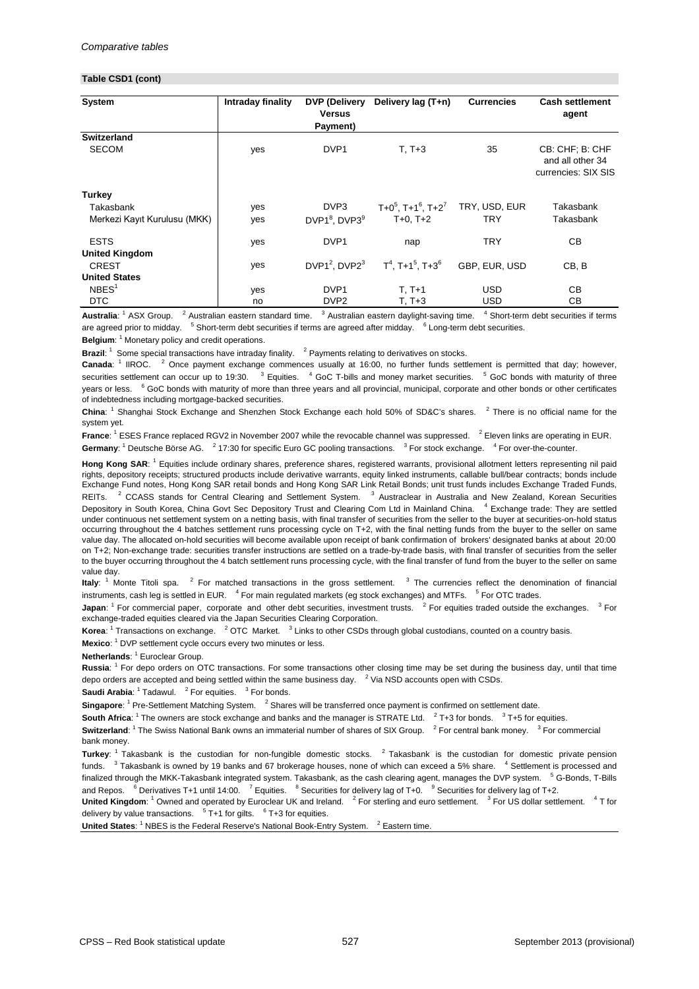#### **Table CSD1 (cont)**

| <b>System</b>                                              | Intraday finality | <b>DVP (Delivery</b><br><b>Versus</b><br>Payment) | Delivery lag (T+n)                                          | <b>Currencies</b>           | <b>Cash settlement</b><br>agent                            |
|------------------------------------------------------------|-------------------|---------------------------------------------------|-------------------------------------------------------------|-----------------------------|------------------------------------------------------------|
| <b>Switzerland</b><br><b>SECOM</b>                         | yes               | DVP <sub>1</sub>                                  | $T, T+3$                                                    | 35                          | CB: CHF; B: CHF<br>and all other 34<br>currencies: SIX SIS |
| <b>Turkey</b><br>Takasbank<br>Merkezi Kayıt Kurulusu (MKK) | yes<br>yes        | DVP3<br>DVP1 <sup>8</sup> , DVP3 <sup>9</sup>     | $T+0^5$ , T+1 <sup>6</sup> , T+2 <sup>7</sup><br>$T+0, T+2$ | TRY, USD, EUR<br><b>TRY</b> | Takasbank<br>Takasbank                                     |
| <b>ESTS</b><br><b>United Kingdom</b>                       | yes               | DVP <sub>1</sub>                                  | nap                                                         | <b>TRY</b>                  | CВ                                                         |
| <b>CREST</b><br><b>United States</b>                       | yes               | DVP1 <sup>2</sup> , DVP2 <sup>3</sup>             | $T^4$ , T+1 <sup>5</sup> , T+3 <sup>6</sup>                 | GBP, EUR, USD               | CB, B                                                      |
| NBES <sup>1</sup>                                          | yes               | DVP1                                              | $T, T+1$                                                    | <b>USD</b>                  | CB                                                         |
| <b>DTC</b>                                                 | no                | DVP <sub>2</sub>                                  | $T, T+3$                                                    | <b>USD</b>                  | CB                                                         |

Australia: <sup>1</sup> ASX Group. <sup>2</sup> Australian eastern standard time. <sup>3</sup> Australian eastern daylight-saving time. <sup>4</sup> Short-term debt securities if terms are agreed prior to midday. <sup>5</sup> Short-term debt securities if terms are agreed after midday. <sup>6</sup> Long-term debt securities.

Belgium: <sup>1</sup> Monetary policy and credit operations.

Brazil: <sup>1</sup> Some special transactions have intraday finality. <sup>2</sup> Payments relating to derivatives on stocks.

**Canada**: <sup>1</sup> IIROC. <sup>2</sup> Once payment exchange commences usually at 16:00, no further funds settlement is permitted that day; however, securities settlement can occur up to 19:30. <sup>3</sup> Equities. <sup>4</sup> GoC T-bills and money market securities. <sup>5</sup> GoC bonds with maturity of three years or less. <sup>6</sup> GoC bonds with maturity of more than three years and all provincial, municipal, corporate and other bonds or other certificates of indebtedness including mortgage-backed securities.

**China**: <sup>1</sup> Shanghai Stock Exchange and Shenzhen Stock Exchange each hold 50% of SD&C's shares. <sup>2</sup> There is no official name for the system yet.

Germany: <sup>1</sup> Deutsche Börse AG. <sup>2</sup> 17:30 for specific Euro GC pooling transactions. <sup>3</sup> For stock exchange. <sup>4</sup> For over-the-counter. **France**: <sup>1</sup> ESES France replaced RGV2 in November 2007 while the revocable channel was suppressed. <sup>2</sup> Eleven links are operating in EUR.

Hong Kong SAR: <sup>1</sup> Equities include ordinary shares, preference shares, registered warrants, provisional allotment letters representing nil paid rights, depository receipts; structured products include derivative warrants, equity linked instruments, callable bull/bear contracts; bonds include Exchange Fund notes, Hong Kong SAR retail bonds and Hong Kong SAR Link Retail Bonds; unit trust funds includes Exchange Traded Funds, REITs. <sup>2</sup> CCASS stands for Central Clearing and Settlement System. <sup>3</sup> Austraclear in Australia and New Zealand, Korean Securities Depository in South Korea, China Govt Sec Depository Trust and Clearing Com Ltd in Mainland China. <sup>4</sup> Exchange trade: They are settled under continuous net settlement system on a netting basis, with final transfer of securities from the seller to the buyer at securities-on-hold status occurring throughout the 4 batches settlement runs processing cycle on T+2, with the final netting funds from the buyer to the seller on same value day. The allocated on-hold securities will become available upon receipt of bank confirmation of brokers' designated banks at about 20:00 on T+2; Non-exchange trade: securities transfer instructions are settled on a trade-by-trade basis, with final transfer of securities from the seller to the buyer occurring throughout the 4 batch settlement runs processing cycle, with the final transfer of fund from the buyer to the seller on same value day.

**Italy**: <sup>1</sup> Monte Titoli spa. <sup>2</sup> For matched transactions in the gross settlement. <sup>3</sup> The currencies reflect the denomination of financial instruments, cash leg is settled in EUR. <sup>4</sup> For main regulated markets (eg stock exchanges) and MTFs. <sup>5</sup> For OTC trades.

**Japan**: <sup>1</sup> For commercial paper, corporate and other debt securities, investment trusts. <sup>2</sup> For equities traded outside the exchanges. <sup>3</sup> For exchange-traded equities cleared via the Japan Securities Clearing Corporation.

Korea: <sup>1</sup> Transactions on exchange. <sup>2</sup> OTC Market. <sup>3</sup> Links to other CSDs through global custodians, counted on a country basis.

Mexico: <sup>1</sup> DVP settlement cycle occurs every two minutes or less.

Netherlands: <sup>1</sup> Euroclear Group.

**Russia**: <sup>1</sup> For depo orders on OTC transactions. For some transactions other closing time may be set during the business day, until that time depo orders are accepted and being settled within the same business day.  $2$  Via NSD accounts open with CSDs.

**Saudi Arabia**: <sup>1</sup> Tadawul. <sup>2</sup> For equities. <sup>3</sup> For bonds.

Singapore: <sup>1</sup> Pre-Settlement Matching System. <sup>2</sup> Shares will be transferred once payment is confirmed on settlement date.

South Africa: <sup>1</sup> The owners are stock exchange and banks and the manager is STRATE Ltd. <sup>2</sup>T+3 for bonds. <sup>3</sup>T+5 for equities.

Switzerland: <sup>1</sup> The Swiss National Bank owns an immaterial number of shares of SIX Group. <sup>2</sup> For central bank money. <sup>3</sup> For commercial bank money.

**Turkey**: <sup>1</sup> Takasbank is the custodian for non-fungible domestic stocks. <sup>2</sup> Takasbank is the custodian for domestic private pension funds. <sup>3</sup> Takasbank is owned by 19 banks and 67 brokerage houses, none of which can exceed a 5% share. <sup>4</sup> Settlement is processed and finalized through the MKK-Takasbank integrated system. Takasbank, as the cash clearing agent, manages the DVP system. <sup>5</sup> G-Bonds, T-Bills and Repos. <sup>6</sup> Derivatives T+1 until 14:00. <sup>7</sup> Equities. <sup>8</sup> Securities for delivery lag of T+0. <sup>9</sup> Securities for delivery lag of T+2.

United Kingdom: <sup>1</sup> Owned and operated by Euroclear UK and Ireland. <sup>2</sup> For sterling and euro settlement. <sup>3</sup> For US dollar settlement. <sup>4</sup> T for delivery by value transactions.  $5$  T+1 for gilts.  $6$  T+3 for equities.

**United States:** <sup>1</sup> NBES is the Federal Reserve's National Book-Entry System.  $<sup>2</sup>$  Eastern time.</sup>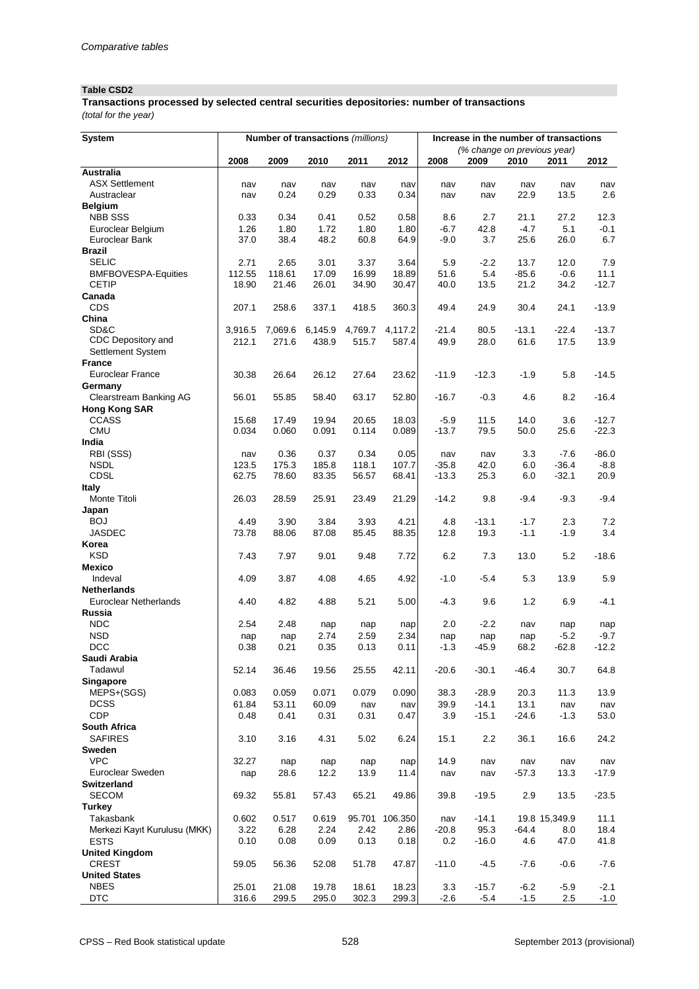### **Table CSD2**

*(total for the year)* **Transactions processed by selected central securities depositories: number of transactions**

| <b>System</b>                              |                  |         | Number of transactions (millions) |         |         | Increase in the number of transactions |                             |         |               |         |
|--------------------------------------------|------------------|---------|-----------------------------------|---------|---------|----------------------------------------|-----------------------------|---------|---------------|---------|
|                                            |                  |         |                                   |         |         |                                        | (% change on previous year) |         |               |         |
|                                            | 2008             | 2009    | 2010                              | 2011    | 2012    | 2008                                   | 2009                        | 2010    | 2011          | 2012    |
| <b>Australia</b>                           |                  |         |                                   |         |         |                                        |                             |         |               |         |
| <b>ASX Settlement</b>                      | nav              | nav     | nav                               | nav     | nav     | nav                                    | nav                         | nav     | nav           | nav     |
| Austraclear                                | nav              | 0.24    | 0.29                              | 0.33    | 0.34    | nav                                    | nav                         | 22.9    | 13.5          | 2.6     |
| <b>Belgium</b>                             |                  |         |                                   |         |         |                                        |                             |         |               |         |
| <b>NBB SSS</b>                             | 0.33             | 0.34    | 0.41                              | 0.52    | 0.58    | 8.6                                    | 2.7                         | 21.1    | 27.2          | 12.3    |
| Euroclear Belgium                          | 1.26             | 1.80    | 1.72                              | 1.80    | 1.80    | $-6.7$                                 | 42.8                        | $-4.7$  | 5.1           | $-0.1$  |
| Euroclear Bank                             | 37.0             | 38.4    | 48.2                              | 60.8    | 64.9    | $-9.0$                                 | 3.7                         | 25.6    | 26.0          | 6.7     |
| <b>Brazil</b>                              |                  |         |                                   |         |         |                                        |                             |         |               |         |
| <b>SELIC</b>                               | 2.71             | 2.65    | 3.01                              | 3.37    | 3.64    | 5.9                                    | $-2.2$                      | 13.7    | 12.0          | 7.9     |
| <b>BMFBOVESPA-Equities</b><br><b>CETIP</b> | 112.55           | 118.61  | 17.09                             | 16.99   | 18.89   | 51.6                                   | 5.4                         | $-85.6$ | $-0.6$        | 11.1    |
| Canada                                     | 18.90            | 21.46   | 26.01                             | 34.90   | 30.47   | 40.0                                   | 13.5                        | 21.2    | 34.2          | $-12.7$ |
| <b>CDS</b>                                 |                  |         |                                   |         |         |                                        |                             |         |               |         |
| China                                      | 207.1            | 258.6   | 337.1                             | 418.5   | 360.3   | 49.4                                   | 24.9                        | 30.4    | 24.1          | $-13.9$ |
| SD&C                                       |                  | 7,069.6 | 6,145.9                           | 4,769.7 | 4,117.2 | $-21.4$                                | 80.5                        | $-13.1$ | $-22.4$       | $-13.7$ |
| CDC Depository and                         | 3,916.5<br>212.1 | 271.6   | 438.9                             | 515.7   | 587.4   | 49.9                                   | 28.0                        | 61.6    | 17.5          | 13.9    |
| Settlement System                          |                  |         |                                   |         |         |                                        |                             |         |               |         |
| <b>France</b>                              |                  |         |                                   |         |         |                                        |                             |         |               |         |
| <b>Euroclear France</b>                    | 30.38            | 26.64   | 26.12                             | 27.64   | 23.62   | $-11.9$                                | $-12.3$                     | $-1.9$  | 5.8           | $-14.5$ |
| Germany                                    |                  |         |                                   |         |         |                                        |                             |         |               |         |
| <b>Clearstream Banking AG</b>              | 56.01            | 55.85   | 58.40                             | 63.17   | 52.80   | $-16.7$                                | $-0.3$                      | 4.6     | 8.2           | $-16.4$ |
| <b>Hong Kong SAR</b>                       |                  |         |                                   |         |         |                                        |                             |         |               |         |
| <b>CCASS</b>                               | 15.68            | 17.49   | 19.94                             | 20.65   | 18.03   | $-5.9$                                 | 11.5                        | 14.0    | 3.6           | $-12.7$ |
| <b>CMU</b>                                 | 0.034            | 0.060   | 0.091                             | 0.114   | 0.089   | $-13.7$                                | 79.5                        | 50.0    | 25.6          | $-22.3$ |
| India                                      |                  |         |                                   |         |         |                                        |                             |         |               |         |
| RBI (SSS)                                  | nav              | 0.36    | 0.37                              | 0.34    | 0.05    | nav                                    | nav                         | 3.3     | $-7.6$        | $-86.0$ |
| <b>NSDL</b>                                | 123.5            | 175.3   | 185.8                             | 118.1   | 107.7   | $-35.8$                                | 42.0                        | 6.0     | $-36.4$       | $-8.8$  |
| <b>CDSL</b>                                | 62.75            | 78.60   | 83.35                             | 56.57   | 68.41   | $-13.3$                                | 25.3                        | 6.0     | $-32.1$       | 20.9    |
| <b>Italy</b>                               |                  |         |                                   |         |         |                                        |                             |         |               |         |
| Monte Titoli                               | 26.03            | 28.59   | 25.91                             | 23.49   | 21.29   | $-14.2$                                | 9.8                         | $-9.4$  | $-9.3$        | $-9.4$  |
| Japan                                      |                  |         |                                   |         |         |                                        |                             |         |               |         |
| <b>BOJ</b>                                 | 4.49             | 3.90    | 3.84                              | 3.93    | 4.21    | 4.8                                    | $-13.1$                     | $-1.7$  | 2.3           | 7.2     |
| <b>JASDEC</b>                              | 73.78            | 88.06   | 87.08                             | 85.45   | 88.35   | 12.8                                   | 19.3                        | $-1.1$  | $-1.9$        | 3.4     |
| Korea                                      |                  |         |                                   |         |         |                                        |                             |         |               |         |
| <b>KSD</b>                                 | 7.43             | 7.97    | 9.01                              | 9.48    | 7.72    | 6.2                                    | 7.3                         | 13.0    | 5.2           | $-18.6$ |
| <b>Mexico</b>                              |                  |         |                                   |         |         |                                        |                             |         |               |         |
| Indeval                                    | 4.09             | 3.87    | 4.08                              | 4.65    | 4.92    | $-1.0$                                 | $-5.4$                      | 5.3     | 13.9          | 5.9     |
| <b>Netherlands</b>                         |                  |         |                                   |         |         |                                        |                             |         |               |         |
| <b>Euroclear Netherlands</b>               | 4.40             | 4.82    | 4.88                              | 5.21    | 5.00    | $-4.3$                                 | 9.6                         | 1.2     | 6.9           | $-4.1$  |
| Russia                                     |                  |         |                                   |         |         |                                        |                             |         |               |         |
| <b>NDC</b>                                 | 2.54             | 2.48    | nap                               | nap     | nap     | 2.0                                    | $-2.2$                      | nav     | nap           | nap     |
| <b>NSD</b>                                 | nap              | nap     | 2.74                              | 2.59    | 2.34    | nap                                    | nap                         | nap     | $-5.2$        | $-9.7$  |
| <b>DCC</b>                                 | 0.38             | 0.21    | 0.35                              | 0.13    | 0.11    | $-1.3$                                 | $-45.9$                     | 68.2    | $-62.8$       | $-12.2$ |
| Saudi Arabia                               |                  |         |                                   |         |         |                                        |                             |         |               |         |
| Tadawul                                    | 52.14            | 36.46   | 19.56                             | 25.55   | 42.11   | $-20.6$                                | $-30.1$                     | $-46.4$ | 30.7          | 64.8    |
| <b>Singapore</b>                           |                  |         |                                   |         |         |                                        |                             |         |               |         |
| MEPS+(SGS)                                 | 0.083            | 0.059   | 0.071                             | 0.079   | 0.090   | 38.3                                   | $-28.9$                     | 20.3    | 11.3          | 13.9    |
| <b>DCSS</b>                                | 61.84            | 53.11   | 60.09                             | nav     | nav     | 39.9                                   | $-14.1$                     | 13.1    | nav           | nav     |
| <b>CDP</b>                                 | 0.48             | 0.41    | 0.31                              | 0.31    | 0.47    | 3.9                                    | $-15.1$                     | $-24.6$ | $-1.3$        | 53.0    |
| <b>South Africa</b>                        |                  |         |                                   |         |         |                                        |                             |         |               |         |
| <b>SAFIRES</b>                             | 3.10             | 3.16    | 4.31                              | 5.02    | 6.24    | 15.1                                   | 2.2                         | 36.1    | 16.6          | 24.2    |
| <b>Sweden</b>                              |                  |         |                                   |         |         |                                        |                             |         |               |         |
| <b>VPC</b>                                 | 32.27            | nap     | nap                               | nap     | nap     | 14.9                                   | nav                         | nav     | nav           | nav     |
| Euroclear Sweden                           | nap              | 28.6    | 12.2                              | 13.9    | 11.4    | nav                                    | nav                         | $-57.3$ | 13.3          | $-17.9$ |
| <b>Switzerland</b>                         |                  |         |                                   |         |         |                                        |                             |         |               |         |
| <b>SECOM</b>                               | 69.32            | 55.81   | 57.43                             | 65.21   | 49.86   | 39.8                                   | $-19.5$                     | 2.9     | 13.5          | $-23.5$ |
| <b>Turkey</b>                              |                  |         |                                   |         |         |                                        |                             |         |               |         |
| Takasbank                                  | 0.602            | 0.517   | 0.619                             | 95.701  | 106.350 | nav                                    | $-14.1$                     |         | 19.8 15,349.9 | 11.1    |
| Merkezi Kayıt Kurulusu (MKK)               | 3.22             | 6.28    | 2.24                              | 2.42    | 2.86    | $-20.8$                                | 95.3                        | $-64.4$ | 8.0           | 18.4    |
| <b>ESTS</b>                                | 0.10             | 0.08    | 0.09                              | 0.13    | 0.18    | 0.2                                    | $-16.0$                     | 4.6     | 47.0          | 41.8    |
| <b>United Kingdom</b>                      |                  |         |                                   |         |         |                                        |                             |         |               |         |
| <b>CREST</b>                               | 59.05            | 56.36   | 52.08                             | 51.78   | 47.87   | $-11.0$                                | $-4.5$                      | $-7.6$  | $-0.6$        | $-7.6$  |
| <b>United States</b>                       |                  |         |                                   |         |         |                                        |                             |         |               |         |
| <b>NBES</b>                                | 25.01            | 21.08   | 19.78                             | 18.61   | 18.23   | 3.3                                    | $-15.7$                     | $-6.2$  | $-5.9$        | $-2.1$  |
| <b>DTC</b>                                 | 316.6            | 299.5   | 295.0                             | 302.3   | 299.3   | $-2.6$                                 | $-5.4$                      | $-1.5$  | 2.5           | $-1.0$  |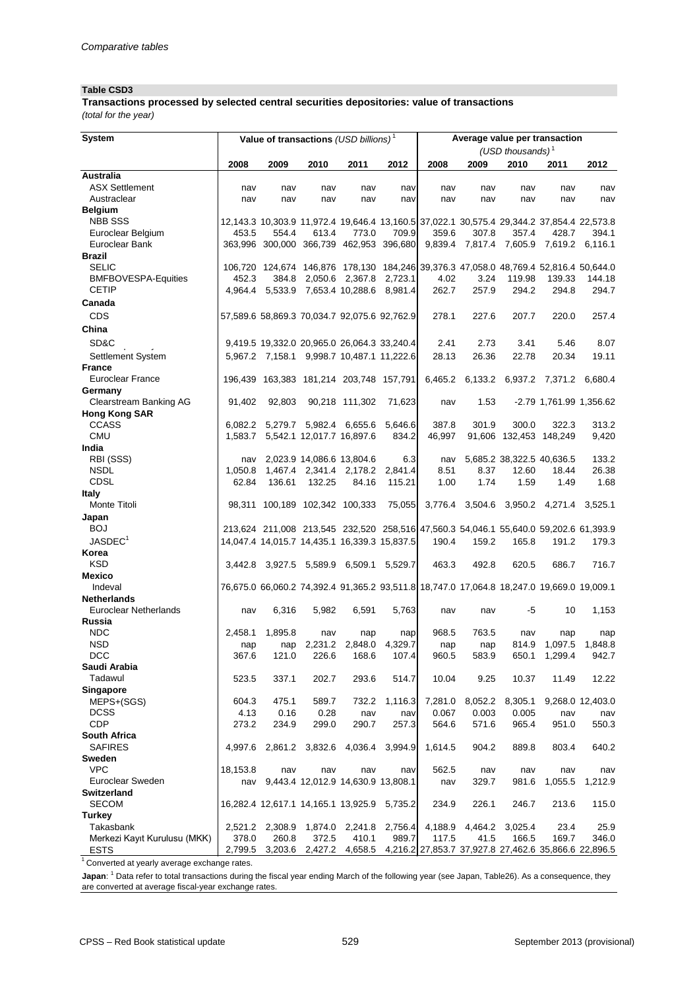#### **Table CSD3**

*(total for the year)* **Transactions processed by selected central securities depositories: value of transactions**

| <b>System</b>                 |          | Value of transactions (USD billions) <sup>1</sup>                                         |                 |                                    |         | Average value per transaction |         |                                                              |                         |                                                                            |  |  |
|-------------------------------|----------|-------------------------------------------------------------------------------------------|-----------------|------------------------------------|---------|-------------------------------|---------|--------------------------------------------------------------|-------------------------|----------------------------------------------------------------------------|--|--|
|                               |          |                                                                                           |                 |                                    |         |                               |         | (USD thousands) $1$                                          |                         |                                                                            |  |  |
|                               | 2008     | 2009                                                                                      | 2010            | 2011                               | 2012    | 2008                          | 2009    | 2010                                                         | 2011                    | 2012                                                                       |  |  |
| <b>Australia</b>              |          |                                                                                           |                 |                                    |         |                               |         |                                                              |                         |                                                                            |  |  |
| <b>ASX Settlement</b>         | nav      | nav                                                                                       | nav             | nav                                | nav     | nav                           | nav     | nav                                                          | nav                     | nav                                                                        |  |  |
| Austraclear                   | nav      | nav                                                                                       | nav             | nav                                | nav     | nav                           | nav     | nav                                                          | nav                     | nav                                                                        |  |  |
| <b>Belgium</b>                |          |                                                                                           |                 |                                    |         |                               |         |                                                              |                         |                                                                            |  |  |
| <b>NBB SSS</b>                |          | 12,143.3 10,303.9 11,972.4 19,646.4 13,160.5 37,022.1 30,575.4 29,344.2 37,854.4 22,573.8 |                 |                                    |         |                               |         |                                                              |                         |                                                                            |  |  |
| Euroclear Belgium             | 453.5    | 554.4                                                                                     | 613.4           | 773.0                              | 709.9   | 359.6                         | 307.8   | 357.4                                                        | 428.7                   | 394.1                                                                      |  |  |
| Euroclear Bank                |          | 363,996 300,000 366,739 462,953 396,680 9,839.4 7,817.4 7,605.9 7,619.2                   |                 |                                    |         |                               |         |                                                              |                         | 6,116.1                                                                    |  |  |
| <b>Brazil</b>                 |          |                                                                                           |                 |                                    |         |                               |         |                                                              |                         |                                                                            |  |  |
| <b>SELIC</b>                  |          | 106,720 124,674 146,876 178,130 184,246 39,376.3 47,058.0 48,769.4 52,816.4 50,644.0      |                 |                                    |         |                               |         |                                                              |                         |                                                                            |  |  |
| <b>BMFBOVESPA-Equities</b>    | 452.3    |                                                                                           |                 | 384.8 2,050.6 2,367.8 2,723.1      |         | 4.02                          | 3.24    | 119.98                                                       | 139.33                  | 144.18                                                                     |  |  |
| <b>CETIP</b>                  |          | 4,964.4 5,533.9 7,653.4 10,288.6 8,981.4                                                  |                 |                                    |         | 262.7                         | 257.9   | 294.2                                                        | 294.8                   | 294.7                                                                      |  |  |
| Canada                        |          |                                                                                           |                 |                                    |         |                               |         |                                                              |                         |                                                                            |  |  |
| <b>CDS</b>                    |          | 57,589.6 58,869.3 70,034.7 92,075.6 92,762.9                                              |                 |                                    |         | 278.1                         | 227.6   | 207.7                                                        | 220.0                   | 257.4                                                                      |  |  |
|                               |          |                                                                                           |                 |                                    |         |                               |         |                                                              |                         |                                                                            |  |  |
| China                         |          |                                                                                           |                 |                                    |         |                               |         |                                                              |                         |                                                                            |  |  |
| SD&C                          |          | 9,419.5 19,332.0 20,965.0 26,064.3 33,240.4                                               |                 |                                    |         | 2.41                          | 2.73    | 3.41                                                         | 5.46                    | 8.07                                                                       |  |  |
| Settlement System             |          | 5,967.2 7,158.1 9,998.7 10,487.1 11,222.6                                                 |                 |                                    |         | 28.13                         | 26.36   | 22.78                                                        | 20.34                   | 19.11                                                                      |  |  |
| <b>France</b>                 |          |                                                                                           |                 |                                    |         |                               |         |                                                              |                         |                                                                            |  |  |
| <b>Euroclear France</b>       |          | 196,439 163,383 181,214 203,748 157,791                                                   |                 |                                    |         |                               |         | 6,465.2 6,133.2 6,937.2 7,371.2 6,680.4                      |                         |                                                                            |  |  |
| Germany                       |          |                                                                                           |                 |                                    |         |                               |         |                                                              |                         |                                                                            |  |  |
| <b>Clearstream Banking AG</b> | 91,402   | 92,803                                                                                    |                 | 90,218 111,302                     | 71,623  | nav                           | 1.53    |                                                              | -2.79 1,761.99 1,356.62 |                                                                            |  |  |
| <b>Hong Kong SAR</b>          |          |                                                                                           |                 |                                    |         |                               |         |                                                              |                         |                                                                            |  |  |
| <b>CCASS</b>                  | 6.082.2  |                                                                                           |                 | 5,279.7 5,982.4 6,655.6 5,646.6    |         | 387.8                         | 301.9   | 300.0                                                        | 322.3                   | 313.2                                                                      |  |  |
| <b>CMU</b>                    | 1,583.7  |                                                                                           |                 | 5,542.1 12,017.7 16,897.6          | 834.2   | 46,997                        |         | 91,606 132,453 148,249                                       |                         | 9,420                                                                      |  |  |
| India                         |          |                                                                                           |                 |                                    |         |                               |         |                                                              |                         |                                                                            |  |  |
| RBI (SSS)                     | nav      |                                                                                           |                 | 2,023.9 14,086.6 13,804.6          | 6.3     | nav                           |         | 5,685.2 38,322.5 40,636.5                                    |                         | 133.2                                                                      |  |  |
| <b>NSDL</b>                   | 1,050.8  |                                                                                           |                 | 1,467.4 2,341.4 2,178.2            | 2,841.4 | 8.51                          | 8.37    | 12.60                                                        | 18.44                   | 26.38                                                                      |  |  |
| <b>CDSL</b>                   | 62.84    | 136.61                                                                                    | 132.25          | 84.16                              | 115.21  | 1.00                          | 1.74    | 1.59                                                         | 1.49                    | 1.68                                                                       |  |  |
| <b>Italy</b>                  |          |                                                                                           |                 |                                    |         |                               |         |                                                              |                         |                                                                            |  |  |
| Monte Titoli                  |          | 98,311 100,189 102,342 100,333                                                            |                 |                                    |         |                               |         | 75,055 3,776.4 3,504.6 3,950.2 4,271.4 3,525.1               |                         |                                                                            |  |  |
| Japan                         |          |                                                                                           |                 |                                    |         |                               |         |                                                              |                         |                                                                            |  |  |
| <b>BOJ</b>                    |          | 213,624 211,008 213,545 232,520 258,516 47,560.3 54,046.1 55,640.0 59,202.6 61,393.9      |                 |                                    |         |                               |         |                                                              |                         |                                                                            |  |  |
| $\mathsf{JASDEC}^1$           |          |                                                                                           |                 |                                    |         |                               |         |                                                              |                         | 14,047.4 14,015.7 14,435.1 16,339.3 15,837.5 190.4 159.2 165.8 191.2 179.3 |  |  |
| Korea                         |          |                                                                                           |                 |                                    |         |                               |         |                                                              |                         |                                                                            |  |  |
| <b>KSD</b>                    |          | 3,442.8 3,927.5 5,589.9 6,509.1 5,529.7                                                   |                 |                                    |         | 463.3                         | 492.8   | 620.5                                                        | 686.7                   | 716.7                                                                      |  |  |
| <b>Mexico</b>                 |          |                                                                                           |                 |                                    |         |                               |         |                                                              |                         |                                                                            |  |  |
| Indeval                       |          | 76,675.0 66,060.2 74,392.4 91,365.2 93,511.8 18,747.0 17,064.8 18,247.0 19,669.0 19,009.1 |                 |                                    |         |                               |         |                                                              |                         |                                                                            |  |  |
| <b>Netherlands</b>            |          |                                                                                           |                 |                                    |         |                               |         |                                                              |                         |                                                                            |  |  |
| <b>Euroclear Netherlands</b>  | nav      | 6,316                                                                                     | 5,982           | 6,591                              | 5,763   | nav                           | nav     | $-5$                                                         | 10                      | 1,153                                                                      |  |  |
| Russia                        |          |                                                                                           |                 |                                    |         |                               |         |                                                              |                         |                                                                            |  |  |
| <b>NDC</b>                    | 2,458.1  | 1,895.8                                                                                   | nav             | nap                                | nap     | 968.5                         | 763.5   | nav                                                          | nap                     | nap                                                                        |  |  |
| <b>NSD</b>                    | nap      | nap                                                                                       | 2,231.2         | 2,848.0                            | 4,329.7 | nap                           | nap     | 814.9                                                        | 1,097.5                 | 1,848.8                                                                    |  |  |
| <b>DCC</b>                    | 367.6    | 121.0                                                                                     | 226.6           | 168.6                              | 107.4   | 960.5                         | 583.9   | 650.1                                                        | 1,299.4                 | 942.7                                                                      |  |  |
| Saudi Arabia                  |          |                                                                                           |                 |                                    |         |                               |         |                                                              |                         |                                                                            |  |  |
| Tadawul                       | 523.5    | 337.1                                                                                     | 202.7           | 293.6                              | 514.7   | 10.04                         | 9.25    | 10.37                                                        | 11.49                   | 12.22                                                                      |  |  |
| Singapore                     |          |                                                                                           |                 |                                    |         |                               |         |                                                              |                         |                                                                            |  |  |
| MEPS+(SGS)                    | 604.3    | 475.1                                                                                     | 589.7           | 732.2                              | 1,116.3 | 7,281.0                       | 8,052.2 | 8,305.1                                                      |                         | 9,268.0 12,403.0                                                           |  |  |
| <b>DCSS</b>                   | 4.13     | 0.16                                                                                      | 0.28            | nav                                | nav     | 0.067                         | 0.003   | 0.005                                                        | nav                     | nav                                                                        |  |  |
| <b>CDP</b>                    | 273.2    | 234.9                                                                                     | 299.0           | 290.7                              | 257.3   | 564.6                         | 571.6   | 965.4                                                        | 951.0                   | 550.3                                                                      |  |  |
| <b>South Africa</b>           |          |                                                                                           |                 |                                    |         |                               |         |                                                              |                         |                                                                            |  |  |
| <b>SAFIRES</b>                |          | 4,997.6 2,861.2 3,832.6 4,036.4 3,994.9                                                   |                 |                                    |         | 1,614.5                       | 904.2   | 889.8                                                        | 803.4                   | 640.2                                                                      |  |  |
| <b>Sweden</b>                 |          |                                                                                           |                 |                                    |         |                               |         |                                                              |                         |                                                                            |  |  |
| <b>VPC</b>                    | 18,153.8 | nav                                                                                       | nav             | nav                                | nav     | 562.5                         | nav     | nav                                                          | nav                     | nav                                                                        |  |  |
| Euroclear Sweden              | nav      |                                                                                           |                 | 9,443.4 12,012.9 14,630.9 13,808.1 |         | nav                           | 329.7   | 981.6                                                        | 1,055.5                 | 1,212.9                                                                    |  |  |
| <b>Switzerland</b>            |          |                                                                                           |                 |                                    |         |                               |         |                                                              |                         |                                                                            |  |  |
| <b>SECOM</b>                  |          | 16,282.4 12,617.1 14,165.1 13,925.9 5,735.2                                               |                 |                                    |         | 234.9                         | 226.1   | 246.7                                                        | 213.6                   | 115.0                                                                      |  |  |
| <b>Turkey</b>                 |          |                                                                                           |                 |                                    |         |                               |         |                                                              |                         |                                                                            |  |  |
| Takasbank                     |          | 2,521.2 2,308.9                                                                           |                 | 1,874.0 2,241.8 2,756.4            |         | 4,188.9                       | 4,464.2 | 3,025.4                                                      | 23.4                    | 25.9                                                                       |  |  |
| Merkezi Kayıt Kurulusu (MKK)  | 378.0    | 260.8                                                                                     | 372.5           | 410.1                              | 989.7   | 117.5                         | 41.5    | 166.5                                                        | 169.7                   | 346.0                                                                      |  |  |
| <b>ESTS</b>                   | 2,799.5  |                                                                                           | 3,203.6 2,427.2 |                                    |         |                               |         | 4,658.5 4,216.2 27,853.7 37,927.8 27,462.6 35,866.6 22,896.5 |                         |                                                                            |  |  |
|                               |          |                                                                                           |                 |                                    |         |                               |         |                                                              |                         |                                                                            |  |  |

<sup>1</sup> Converted at yearly average exchange rates.

**Japan**: <sup>1</sup> Data refer to total transactions during the fiscal year ending March of the following year (see Japan, Table26). As a consequence, they are converted at average fiscal-year exchange rates.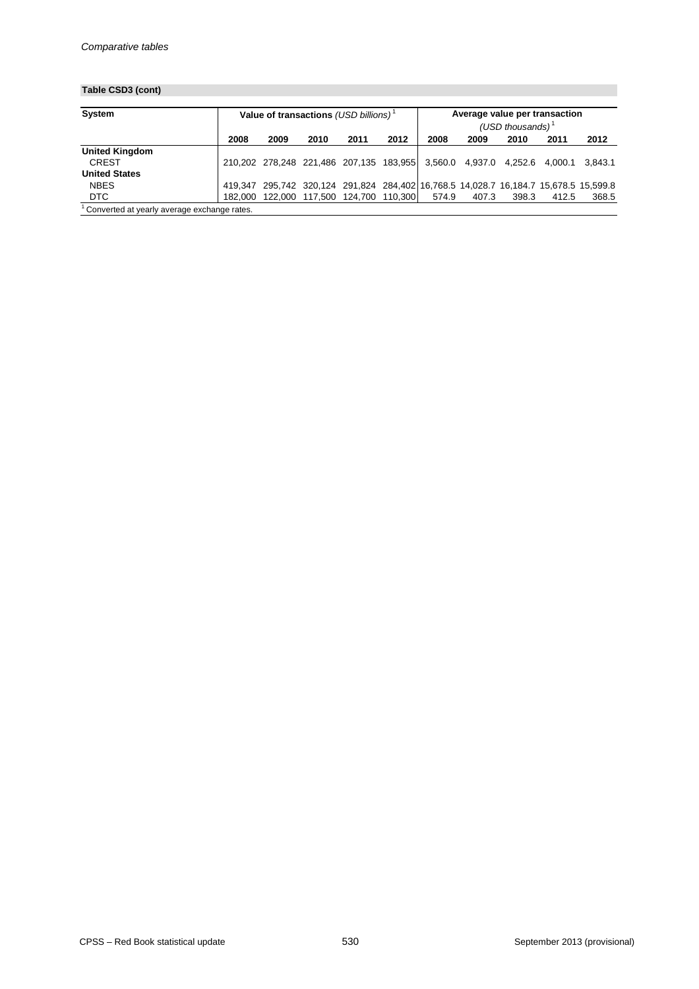## **Table CSD3 (cont)**

| <b>System</b>         |         | Value of transactions (USD billions) <sup>1</sup> |      |                                 |      |                                                                                      | Average value per transaction<br>(USD thousands) $1$ |       |       |         |  |  |
|-----------------------|---------|---------------------------------------------------|------|---------------------------------|------|--------------------------------------------------------------------------------------|------------------------------------------------------|-------|-------|---------|--|--|
|                       | 2008    | 2009                                              | 2010 | 2011                            | 2012 | 2008                                                                                 | 2009                                                 | 2010  | 2011  | 2012    |  |  |
| <b>United Kingdom</b> |         |                                                   |      |                                 |      |                                                                                      |                                                      |       |       |         |  |  |
| <b>CREST</b>          |         |                                                   |      |                                 |      | 210,202 278,248 221,486 207,135 183,955 3,560.0 4,937.0 4,252.6 4,000.1              |                                                      |       |       | 3.843.1 |  |  |
| <b>United States</b>  |         |                                                   |      |                                 |      |                                                                                      |                                                      |       |       |         |  |  |
| <b>NBES</b>           |         |                                                   |      |                                 |      | 419,347 295,742 320,124 291,824 284,402 16,768.5 14,028.7 16,184.7 15,678.5 15,599.8 |                                                      |       |       |         |  |  |
| <b>DTC</b>            | 182.000 |                                                   |      | 122,000 117,500 124,700 110,300 |      | 574.9                                                                                | 407.3                                                | 398.3 | 412.5 | 368.5   |  |  |

 $1$  Converted at yearly average exchange rates.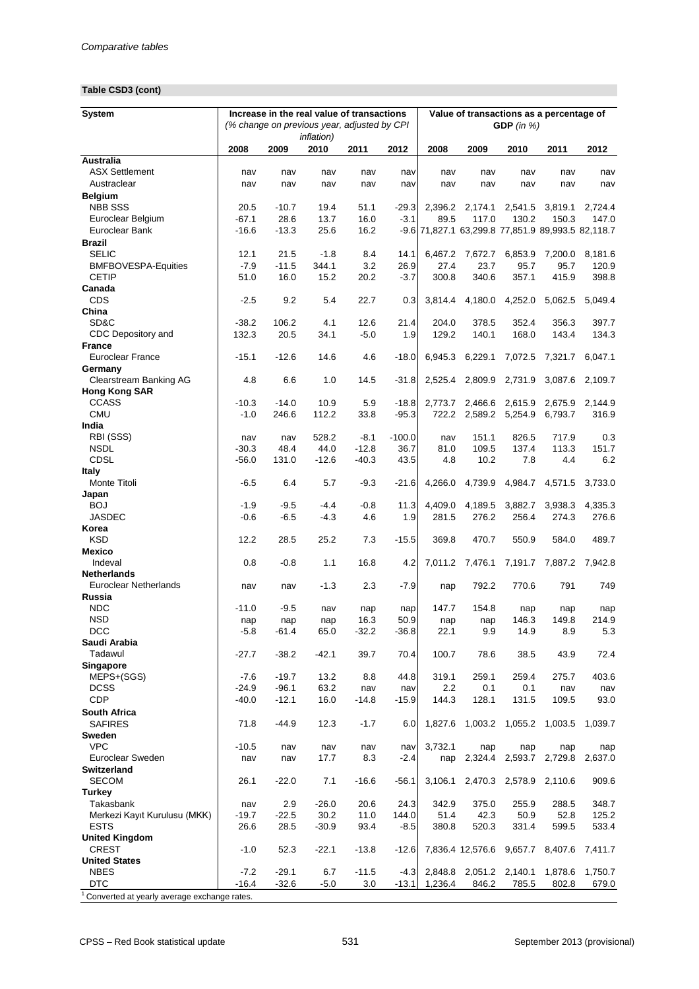## **Table CSD3 (cont)**

| <b>System</b>                               | Increase in the real value of transactions<br>(% change on previous year, adjusted by CPI<br><i>inflation</i> ) |                  |                 |              |                    | Value of transactions as a percentage of<br>GDP (in $%$ ) |                    |                                                            |               |                  |  |
|---------------------------------------------|-----------------------------------------------------------------------------------------------------------------|------------------|-----------------|--------------|--------------------|-----------------------------------------------------------|--------------------|------------------------------------------------------------|---------------|------------------|--|
|                                             | 2008                                                                                                            | 2009             | 2010            | 2011         | 2012               | 2008                                                      | 2009               | 2010                                                       | 2011          | 2012             |  |
| <b>Australia</b>                            |                                                                                                                 |                  |                 |              |                    |                                                           |                    |                                                            |               |                  |  |
| <b>ASX Settlement</b>                       | nav                                                                                                             | nav              | nav             | nav          | nav                | nav                                                       | nav                | nav                                                        | nav           | nav              |  |
| Austraclear                                 | nav                                                                                                             | nav              | nav             | nav          | nav                | nav                                                       | nav                | nav                                                        | nav           | nav              |  |
| <b>Belgium</b>                              |                                                                                                                 |                  |                 |              |                    |                                                           |                    |                                                            |               |                  |  |
| <b>NBB SSS</b>                              | 20.5                                                                                                            | $-10.7$          | 19.4            | 51.1         | $-29.3$            | 2,396.2                                                   | 2,174.1            | 2,541.5                                                    | 3,819.1       | 2,724.4          |  |
| Euroclear Belgium<br>Euroclear Bank         | $-67.1$<br>$-16.6$                                                                                              | 28.6<br>$-13.3$  | 13.7<br>25.6    | 16.0<br>16.2 | $-3.1$             | 89.5                                                      | 117.0              | 130.2<br>-9.6 71,827.1 63,299.8 77,851.9 89,993.5 82,118.7 | 150.3         | 147.0            |  |
|                                             |                                                                                                                 |                  |                 |              |                    |                                                           |                    |                                                            |               |                  |  |
| <b>Brazil</b><br><b>SELIC</b>               | 12.1                                                                                                            | 21.5             | $-1.8$          | 8.4          | 14.1               | 6,467.2                                                   | 7,672.7            | 6,853.9                                                    | 7,200.0       | 8,181.6          |  |
| <b>BMFBOVESPA-Equities</b>                  | $-7.9$                                                                                                          | $-11.5$          | 344.1           | 3.2          | 26.9               | 27.4                                                      | 23.7               | 95.7                                                       | 95.7          | 120.9            |  |
| <b>CETIP</b>                                | 51.0                                                                                                            | 16.0             | 15.2            | 20.2         | $-3.7$             | 300.8                                                     | 340.6              | 357.1                                                      | 415.9         | 398.8            |  |
| Canada                                      |                                                                                                                 |                  |                 |              |                    |                                                           |                    |                                                            |               |                  |  |
| <b>CDS</b>                                  | $-2.5$                                                                                                          | 9.2              | 5.4             | 22.7         | 0.3                | 3,814.4                                                   | 4,180.0            | 4,252.0                                                    | 5,062.5       | 5,049.4          |  |
| China                                       |                                                                                                                 |                  |                 |              |                    |                                                           |                    |                                                            |               |                  |  |
| SD&C                                        | $-38.2$                                                                                                         | 106.2            | 4.1             | 12.6         | 21.4               | 204.0                                                     | 378.5              | 352.4                                                      | 356.3         | 397.7            |  |
| CDC Depository and                          | 132.3                                                                                                           | 20.5             | 34.1            | $-5.0$       | 1.9                | 129.2                                                     | 140.1              | 168.0                                                      | 143.4         | 134.3            |  |
| <b>France</b>                               |                                                                                                                 |                  |                 |              |                    |                                                           |                    |                                                            |               |                  |  |
| <b>Euroclear France</b>                     | $-15.1$                                                                                                         | $-12.6$          | 14.6            | 4.6          | $-18.0$            | 6,945.3                                                   | 6,229.1            | 7,072.5                                                    | 7,321.7       | 6,047.1          |  |
| Germany                                     |                                                                                                                 |                  |                 |              |                    |                                                           |                    |                                                            |               |                  |  |
| <b>Clearstream Banking AG</b>               | 4.8                                                                                                             | 6.6              | 1.0             | 14.5         | $-31.8$            | 2,525.4                                                   | 2,809.9            | 2,731.9                                                    | 3,087.6       | 2,109.7          |  |
| <b>Hong Kong SAR</b>                        |                                                                                                                 |                  |                 |              |                    |                                                           |                    |                                                            |               |                  |  |
| <b>CCASS</b><br><b>CMU</b>                  | $-10.3$<br>$-1.0$                                                                                               | $-14.0$<br>246.6 | 10.9<br>112.2   | 5.9<br>33.8  | $-18.8$<br>$-95.3$ | 2,773.7<br>722.2                                          | 2,466.6<br>2,589.2 | 2,615.9<br>5,254.9                                         | 2,675.9       | 2,144.9<br>316.9 |  |
| India                                       |                                                                                                                 |                  |                 |              |                    |                                                           |                    |                                                            | 6,793.7       |                  |  |
| RBI (SSS)                                   | nav                                                                                                             | nav              | 528.2           | $-8.1$       | $-100.0$           | nav                                                       | 151.1              | 826.5                                                      | 717.9         | 0.3              |  |
| <b>NSDL</b>                                 | $-30.3$                                                                                                         | 48.4             | 44.0            | $-12.8$      | 36.7               | 81.0                                                      | 109.5              | 137.4                                                      | 113.3         | 151.7            |  |
| <b>CDSL</b>                                 | $-56.0$                                                                                                         | 131.0            | $-12.6$         | $-40.3$      | 43.5               | 4.8                                                       | 10.2               | 7.8                                                        | 4.4           | 6.2              |  |
| <b>Italy</b>                                |                                                                                                                 |                  |                 |              |                    |                                                           |                    |                                                            |               |                  |  |
| Monte Titoli                                | $-6.5$                                                                                                          | 6.4              | 5.7             | $-9.3$       | $-21.6$            | 4,266.0                                                   | 4,739.9            | 4,984.7                                                    | 4,571.5       | 3,733.0          |  |
| Japan                                       |                                                                                                                 |                  |                 |              |                    |                                                           |                    |                                                            |               |                  |  |
| <b>BOJ</b>                                  | $-1.9$                                                                                                          | $-9.5$           | $-4.4$          | $-0.8$       | 11.3               | 4,409.0                                                   |                    | 4,189.5 3,882.7                                            |               | 3,938.3 4,335.3  |  |
| JASDEC                                      | $-0.6$                                                                                                          | $-6.5$           | $-4.3$          | 4.6          | 1.9                | 281.5                                                     | 276.2              | 256.4                                                      | 274.3         | 276.6            |  |
| Korea                                       |                                                                                                                 |                  |                 |              |                    |                                                           |                    |                                                            |               |                  |  |
| <b>KSD</b><br><b>Mexico</b>                 | 12.2                                                                                                            | 28.5             | 25.2            | 7.3          | $-15.5$            | 369.8                                                     | 470.7              | 550.9                                                      | 584.0         | 489.7            |  |
| Indeval                                     | 0.8                                                                                                             | $-0.8$           | 1.1             | 16.8         | 4.2                | 7,011.2                                                   | 7,476.1            | 7,191.7                                                    | 7,887.2       | 7,942.8          |  |
| <b>Netherlands</b>                          |                                                                                                                 |                  |                 |              |                    |                                                           |                    |                                                            |               |                  |  |
| <b>Euroclear Netherlands</b>                | nav                                                                                                             | nav              | $-1.3$          | 2.3          | $-7.9$             | nap                                                       | 792.2              | 770.6                                                      | 791           | 749              |  |
| Russia                                      |                                                                                                                 |                  |                 |              |                    |                                                           |                    |                                                            |               |                  |  |
| <b>NDC</b>                                  | $-11.0$                                                                                                         | $-9.5$           | nav             | nap          | nap                | 147.7                                                     | 154.8              | nap                                                        | nap           | nap              |  |
| <b>NSD</b>                                  | nap                                                                                                             | nap              | nap             | 16.3         | 50.9               | nap                                                       | nap                | 146.3                                                      | 149.8         | 214.9            |  |
| <b>DCC</b>                                  | $-5.8$                                                                                                          | $-61.4$          | 65.0            | $-32.2$      | $-36.8$            | 22.1                                                      | 9.9                | 14.9                                                       | 8.9           | 5.3              |  |
| Saudi Arabia                                |                                                                                                                 |                  |                 |              |                    |                                                           |                    |                                                            |               |                  |  |
| Tadawul                                     | $-27.7$                                                                                                         | $-38.2$          | $-42.1$         | 39.7         | 70.4               | 100.7                                                     | 78.6               | 38.5                                                       | 43.9          | 72.4             |  |
| <b>Singapore</b>                            |                                                                                                                 | $-19.7$          | 13.2            | 8.8          |                    |                                                           | 259.1              |                                                            |               | 403.6            |  |
| MEPS+(SGS)<br><b>DCSS</b>                   | $-7.6$<br>$-24.9$                                                                                               | $-96.1$          | 63.2            | nav          | 44.8<br>nav        | 319.1<br>2.2                                              | 0.1                | 259.4<br>0.1                                               | 275.7<br>nav  | nav              |  |
| <b>CDP</b>                                  | $-40.0$                                                                                                         | $-12.1$          | 16.0            | $-14.8$      | $-15.9$            | 144.3                                                     | 128.1              | 131.5                                                      | 109.5         | 93.0             |  |
| <b>South Africa</b>                         |                                                                                                                 |                  |                 |              |                    |                                                           |                    |                                                            |               |                  |  |
| <b>SAFIRES</b>                              | 71.8                                                                                                            | $-44.9$          | 12.3            | $-1.7$       | 6.0                | 1,827.6                                                   | 1,003.2            | 1,055.2                                                    | 1,003.5       | 1,039.7          |  |
| <b>Sweden</b>                               |                                                                                                                 |                  |                 |              |                    |                                                           |                    |                                                            |               |                  |  |
| <b>VPC</b>                                  | $-10.5$                                                                                                         | nav              | nav             | nav          | nav                | 3,732.1                                                   | nap                | nap                                                        | nap           | nap              |  |
| Euroclear Sweden                            | nav                                                                                                             | nav              | 17.7            | 8.3          | $-2.4$             | nap                                                       | 2,324.4            | 2,593.7                                                    | 2,729.8       | 2,637.0          |  |
| <b>Switzerland</b>                          |                                                                                                                 |                  |                 |              |                    |                                                           |                    |                                                            |               |                  |  |
| <b>SECOM</b>                                | 26.1                                                                                                            | $-22.0$          | 7.1             | $-16.6$      | $-56.1$            | 3,106.1                                                   |                    | 2,470.3 2,578.9                                            | 2,110.6       | 909.6            |  |
| <b>Turkey</b>                               |                                                                                                                 |                  |                 |              |                    |                                                           |                    |                                                            |               |                  |  |
| Takasbank                                   | nav                                                                                                             | 2.9              | $-26.0$         | 20.6         | 24.3               | 342.9                                                     | 375.0              | 255.9                                                      | 288.5         | 348.7            |  |
| Merkezi Kayıt Kurulusu (MKK)<br><b>ESTS</b> | $-19.7$<br>26.6                                                                                                 | $-22.5$<br>28.5  | 30.2<br>$-30.9$ | 11.0<br>93.4 | 144.0<br>$-8.5$    | 51.4<br>380.8                                             | 42.3<br>520.3      | 50.9<br>331.4                                              | 52.8<br>599.5 | 125.2<br>533.4   |  |
| <b>United Kingdom</b>                       |                                                                                                                 |                  |                 |              |                    |                                                           |                    |                                                            |               |                  |  |
| <b>CREST</b>                                | $-1.0$                                                                                                          | 52.3             | $-22.1$         | $-13.8$      | $-12.6$            |                                                           | 7,836.4 12,576.6   | 9,657.7                                                    | 8,407.6       | 7,411.7          |  |
| <b>United States</b>                        |                                                                                                                 |                  |                 |              |                    |                                                           |                    |                                                            |               |                  |  |
| <b>NBES</b>                                 | $-7.2$                                                                                                          | $-29.1$          | 6.7             | $-11.5$      | $-4.3$             | 2,848.8                                                   | 2,051.2            | 2,140.1                                                    | 1,878.6       | 1,750.7          |  |
| <b>DTC</b>                                  | $-16.4$                                                                                                         | $-32.6$          | $-5.0$          | 3.0          | $-13.1$            | 1,236.4                                                   | 846.2              | 785.5                                                      | 802.8         | 679.0            |  |
| Converted at yearly average exchange rates. |                                                                                                                 |                  |                 |              |                    |                                                           |                    |                                                            |               |                  |  |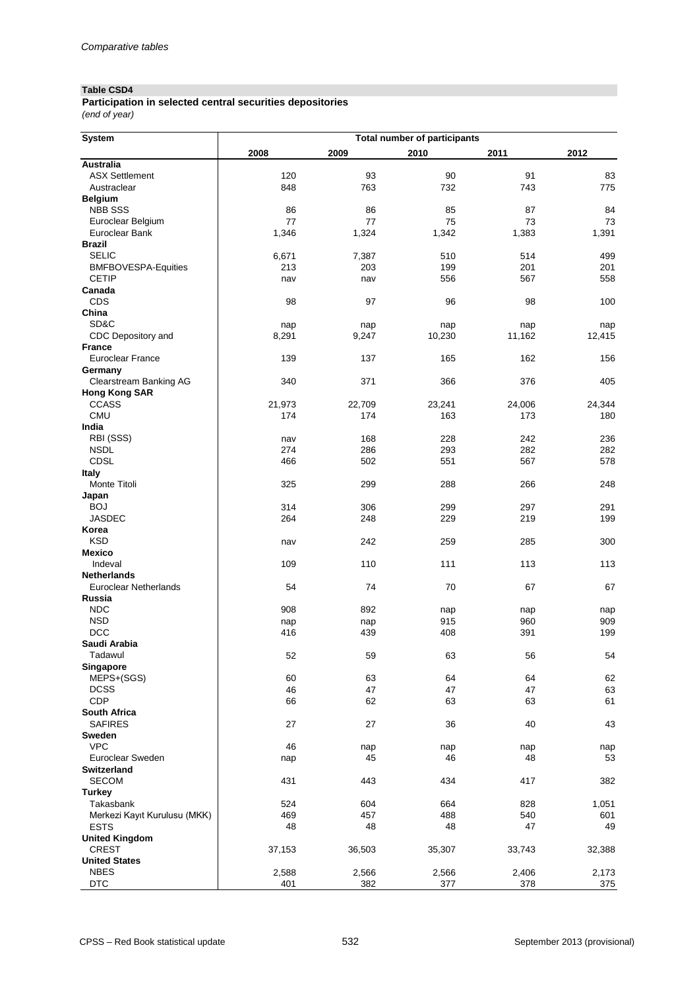#### **Table CSD4**

*(end of year)* **Participation in selected central securities depositories**

| 2008<br>2009<br>2010<br>2012<br>2011<br><b>Australia</b><br><b>ASX Settlement</b><br>93<br>91<br>120<br>90<br>83<br>848<br>763<br>732<br>743<br>775<br>Austraclear<br><b>Belgium</b><br><b>NBB SSS</b><br>86<br>86<br>85<br>87<br>84<br>77<br>77<br>75<br>73<br>73<br>Euroclear Belgium<br>1,391<br><b>Euroclear Bank</b><br>1,346<br>1,324<br>1,342<br>1,383<br><b>Brazil</b><br><b>SELIC</b><br>6,671<br>7,387<br>510<br>514<br>499<br>201<br><b>BMFBOVESPA-Equities</b><br>213<br>203<br>199<br>201<br><b>CETIP</b><br>567<br>556<br>558<br>nav<br>nav<br>Canada<br><b>CDS</b><br>98<br>96<br>97<br>98<br>100<br>China<br>SD&C<br>nap<br>nap<br>nap<br>nap<br>nap<br>8,291<br>9,247<br>10,230<br>11,162<br>12,415<br>CDC Depository and<br><b>France</b><br><b>Euroclear France</b><br>139<br>137<br>165<br>162<br>156<br>Germany<br>340<br>371<br>366<br>376<br>405<br><b>Clearstream Banking AG</b><br><b>Hong Kong SAR</b><br><b>CCASS</b><br>21,973<br>22,709<br>23,241<br>24,006<br>24,344<br><b>CMU</b><br>174<br>173<br>180<br>174<br>163<br>India<br>RBI (SSS)<br>168<br>228<br>242<br>236<br>nav<br><b>NSDL</b><br>286<br>293<br>282<br>274<br>282<br><b>CDSL</b><br>502<br>567<br>466<br>551<br>578<br><b>Italy</b><br>Monte Titoli<br>325<br>299<br>288<br>266<br>248<br>Japan<br><b>BOJ</b><br>314<br>306<br>299<br>297<br>291<br><b>JASDEC</b><br>264<br>248<br>229<br>219<br>199<br>Korea<br>242<br><b>KSD</b><br>259<br>285<br>300<br>nav<br><b>Mexico</b><br>Indeval<br>109<br>110<br>111<br>113<br>113<br><b>Netherlands</b><br><b>Euroclear Netherlands</b><br>54<br>74<br>70<br>67<br>67<br>Russia<br><b>NDC</b><br>908<br>892<br>nap<br>nap<br>nap<br><b>NSD</b><br>915<br>960<br>909<br>nap<br>nap<br><b>DCC</b><br>416<br>439<br>408<br>391<br>199<br>Saudi Arabia<br>Tadawul<br>52<br>59<br>63<br>56<br>54<br><b>Singapore</b><br>MEPS+(SGS)<br>60<br>63<br>64<br>64<br>62<br>46<br>47<br>63<br><b>DCSS</b><br>47<br>47<br><b>CDP</b><br>61<br>66<br>62<br>63<br>63<br><b>South Africa</b><br>43<br><b>SAFIRES</b><br>27<br>27<br>36<br>40<br><b>Sweden</b><br><b>VPC</b><br>46<br>nap<br>nap<br>nap<br>nap<br>Euroclear Sweden<br>45<br>46<br>48<br>53<br>nap<br><b>Switzerland</b><br><b>SECOM</b><br>431<br>443<br>434<br>417<br>382<br><b>Turkey</b><br>Takasbank<br>524<br>604<br>664<br>828<br>1,051<br>457<br>540<br>Merkezi Kayıt Kurulusu (MKK)<br>469<br>488<br>601<br>48<br><b>ESTS</b><br>48<br>48<br>47<br>49<br><b>United Kingdom</b><br><b>CREST</b><br>37,153<br>36,503<br>35,307<br>32,388<br>33,743<br><b>United States</b><br><b>NBES</b><br>2,588<br>2,566<br>2,566<br>2,406<br>2,173<br><b>DTC</b><br>401<br>382<br>378<br>377<br>375 | <b>System</b> | <b>Total number of participants</b> |  |  |  |  |  |  |  |  |  |
|--------------------------------------------------------------------------------------------------------------------------------------------------------------------------------------------------------------------------------------------------------------------------------------------------------------------------------------------------------------------------------------------------------------------------------------------------------------------------------------------------------------------------------------------------------------------------------------------------------------------------------------------------------------------------------------------------------------------------------------------------------------------------------------------------------------------------------------------------------------------------------------------------------------------------------------------------------------------------------------------------------------------------------------------------------------------------------------------------------------------------------------------------------------------------------------------------------------------------------------------------------------------------------------------------------------------------------------------------------------------------------------------------------------------------------------------------------------------------------------------------------------------------------------------------------------------------------------------------------------------------------------------------------------------------------------------------------------------------------------------------------------------------------------------------------------------------------------------------------------------------------------------------------------------------------------------------------------------------------------------------------------------------------------------------------------------------------------------------------------------------------------------------------------------------------------------------------------------------------------------------------------------------------------------------------------------------------------------------------------------------------------------------------------------------------------------------------------------------------------------------------------------------------------------------------------------------------------------------------------------------------------------------------------------------------------|---------------|-------------------------------------|--|--|--|--|--|--|--|--|--|
|                                                                                                                                                                                                                                                                                                                                                                                                                                                                                                                                                                                                                                                                                                                                                                                                                                                                                                                                                                                                                                                                                                                                                                                                                                                                                                                                                                                                                                                                                                                                                                                                                                                                                                                                                                                                                                                                                                                                                                                                                                                                                                                                                                                                                                                                                                                                                                                                                                                                                                                                                                                                                                                                                      |               |                                     |  |  |  |  |  |  |  |  |  |
|                                                                                                                                                                                                                                                                                                                                                                                                                                                                                                                                                                                                                                                                                                                                                                                                                                                                                                                                                                                                                                                                                                                                                                                                                                                                                                                                                                                                                                                                                                                                                                                                                                                                                                                                                                                                                                                                                                                                                                                                                                                                                                                                                                                                                                                                                                                                                                                                                                                                                                                                                                                                                                                                                      |               |                                     |  |  |  |  |  |  |  |  |  |
|                                                                                                                                                                                                                                                                                                                                                                                                                                                                                                                                                                                                                                                                                                                                                                                                                                                                                                                                                                                                                                                                                                                                                                                                                                                                                                                                                                                                                                                                                                                                                                                                                                                                                                                                                                                                                                                                                                                                                                                                                                                                                                                                                                                                                                                                                                                                                                                                                                                                                                                                                                                                                                                                                      |               |                                     |  |  |  |  |  |  |  |  |  |
|                                                                                                                                                                                                                                                                                                                                                                                                                                                                                                                                                                                                                                                                                                                                                                                                                                                                                                                                                                                                                                                                                                                                                                                                                                                                                                                                                                                                                                                                                                                                                                                                                                                                                                                                                                                                                                                                                                                                                                                                                                                                                                                                                                                                                                                                                                                                                                                                                                                                                                                                                                                                                                                                                      |               |                                     |  |  |  |  |  |  |  |  |  |
|                                                                                                                                                                                                                                                                                                                                                                                                                                                                                                                                                                                                                                                                                                                                                                                                                                                                                                                                                                                                                                                                                                                                                                                                                                                                                                                                                                                                                                                                                                                                                                                                                                                                                                                                                                                                                                                                                                                                                                                                                                                                                                                                                                                                                                                                                                                                                                                                                                                                                                                                                                                                                                                                                      |               |                                     |  |  |  |  |  |  |  |  |  |
|                                                                                                                                                                                                                                                                                                                                                                                                                                                                                                                                                                                                                                                                                                                                                                                                                                                                                                                                                                                                                                                                                                                                                                                                                                                                                                                                                                                                                                                                                                                                                                                                                                                                                                                                                                                                                                                                                                                                                                                                                                                                                                                                                                                                                                                                                                                                                                                                                                                                                                                                                                                                                                                                                      |               |                                     |  |  |  |  |  |  |  |  |  |
|                                                                                                                                                                                                                                                                                                                                                                                                                                                                                                                                                                                                                                                                                                                                                                                                                                                                                                                                                                                                                                                                                                                                                                                                                                                                                                                                                                                                                                                                                                                                                                                                                                                                                                                                                                                                                                                                                                                                                                                                                                                                                                                                                                                                                                                                                                                                                                                                                                                                                                                                                                                                                                                                                      |               |                                     |  |  |  |  |  |  |  |  |  |
|                                                                                                                                                                                                                                                                                                                                                                                                                                                                                                                                                                                                                                                                                                                                                                                                                                                                                                                                                                                                                                                                                                                                                                                                                                                                                                                                                                                                                                                                                                                                                                                                                                                                                                                                                                                                                                                                                                                                                                                                                                                                                                                                                                                                                                                                                                                                                                                                                                                                                                                                                                                                                                                                                      |               |                                     |  |  |  |  |  |  |  |  |  |
|                                                                                                                                                                                                                                                                                                                                                                                                                                                                                                                                                                                                                                                                                                                                                                                                                                                                                                                                                                                                                                                                                                                                                                                                                                                                                                                                                                                                                                                                                                                                                                                                                                                                                                                                                                                                                                                                                                                                                                                                                                                                                                                                                                                                                                                                                                                                                                                                                                                                                                                                                                                                                                                                                      |               |                                     |  |  |  |  |  |  |  |  |  |
|                                                                                                                                                                                                                                                                                                                                                                                                                                                                                                                                                                                                                                                                                                                                                                                                                                                                                                                                                                                                                                                                                                                                                                                                                                                                                                                                                                                                                                                                                                                                                                                                                                                                                                                                                                                                                                                                                                                                                                                                                                                                                                                                                                                                                                                                                                                                                                                                                                                                                                                                                                                                                                                                                      |               |                                     |  |  |  |  |  |  |  |  |  |
|                                                                                                                                                                                                                                                                                                                                                                                                                                                                                                                                                                                                                                                                                                                                                                                                                                                                                                                                                                                                                                                                                                                                                                                                                                                                                                                                                                                                                                                                                                                                                                                                                                                                                                                                                                                                                                                                                                                                                                                                                                                                                                                                                                                                                                                                                                                                                                                                                                                                                                                                                                                                                                                                                      |               |                                     |  |  |  |  |  |  |  |  |  |
|                                                                                                                                                                                                                                                                                                                                                                                                                                                                                                                                                                                                                                                                                                                                                                                                                                                                                                                                                                                                                                                                                                                                                                                                                                                                                                                                                                                                                                                                                                                                                                                                                                                                                                                                                                                                                                                                                                                                                                                                                                                                                                                                                                                                                                                                                                                                                                                                                                                                                                                                                                                                                                                                                      |               |                                     |  |  |  |  |  |  |  |  |  |
|                                                                                                                                                                                                                                                                                                                                                                                                                                                                                                                                                                                                                                                                                                                                                                                                                                                                                                                                                                                                                                                                                                                                                                                                                                                                                                                                                                                                                                                                                                                                                                                                                                                                                                                                                                                                                                                                                                                                                                                                                                                                                                                                                                                                                                                                                                                                                                                                                                                                                                                                                                                                                                                                                      |               |                                     |  |  |  |  |  |  |  |  |  |
|                                                                                                                                                                                                                                                                                                                                                                                                                                                                                                                                                                                                                                                                                                                                                                                                                                                                                                                                                                                                                                                                                                                                                                                                                                                                                                                                                                                                                                                                                                                                                                                                                                                                                                                                                                                                                                                                                                                                                                                                                                                                                                                                                                                                                                                                                                                                                                                                                                                                                                                                                                                                                                                                                      |               |                                     |  |  |  |  |  |  |  |  |  |
|                                                                                                                                                                                                                                                                                                                                                                                                                                                                                                                                                                                                                                                                                                                                                                                                                                                                                                                                                                                                                                                                                                                                                                                                                                                                                                                                                                                                                                                                                                                                                                                                                                                                                                                                                                                                                                                                                                                                                                                                                                                                                                                                                                                                                                                                                                                                                                                                                                                                                                                                                                                                                                                                                      |               |                                     |  |  |  |  |  |  |  |  |  |
|                                                                                                                                                                                                                                                                                                                                                                                                                                                                                                                                                                                                                                                                                                                                                                                                                                                                                                                                                                                                                                                                                                                                                                                                                                                                                                                                                                                                                                                                                                                                                                                                                                                                                                                                                                                                                                                                                                                                                                                                                                                                                                                                                                                                                                                                                                                                                                                                                                                                                                                                                                                                                                                                                      |               |                                     |  |  |  |  |  |  |  |  |  |
|                                                                                                                                                                                                                                                                                                                                                                                                                                                                                                                                                                                                                                                                                                                                                                                                                                                                                                                                                                                                                                                                                                                                                                                                                                                                                                                                                                                                                                                                                                                                                                                                                                                                                                                                                                                                                                                                                                                                                                                                                                                                                                                                                                                                                                                                                                                                                                                                                                                                                                                                                                                                                                                                                      |               |                                     |  |  |  |  |  |  |  |  |  |
|                                                                                                                                                                                                                                                                                                                                                                                                                                                                                                                                                                                                                                                                                                                                                                                                                                                                                                                                                                                                                                                                                                                                                                                                                                                                                                                                                                                                                                                                                                                                                                                                                                                                                                                                                                                                                                                                                                                                                                                                                                                                                                                                                                                                                                                                                                                                                                                                                                                                                                                                                                                                                                                                                      |               |                                     |  |  |  |  |  |  |  |  |  |
|                                                                                                                                                                                                                                                                                                                                                                                                                                                                                                                                                                                                                                                                                                                                                                                                                                                                                                                                                                                                                                                                                                                                                                                                                                                                                                                                                                                                                                                                                                                                                                                                                                                                                                                                                                                                                                                                                                                                                                                                                                                                                                                                                                                                                                                                                                                                                                                                                                                                                                                                                                                                                                                                                      |               |                                     |  |  |  |  |  |  |  |  |  |
|                                                                                                                                                                                                                                                                                                                                                                                                                                                                                                                                                                                                                                                                                                                                                                                                                                                                                                                                                                                                                                                                                                                                                                                                                                                                                                                                                                                                                                                                                                                                                                                                                                                                                                                                                                                                                                                                                                                                                                                                                                                                                                                                                                                                                                                                                                                                                                                                                                                                                                                                                                                                                                                                                      |               |                                     |  |  |  |  |  |  |  |  |  |
|                                                                                                                                                                                                                                                                                                                                                                                                                                                                                                                                                                                                                                                                                                                                                                                                                                                                                                                                                                                                                                                                                                                                                                                                                                                                                                                                                                                                                                                                                                                                                                                                                                                                                                                                                                                                                                                                                                                                                                                                                                                                                                                                                                                                                                                                                                                                                                                                                                                                                                                                                                                                                                                                                      |               |                                     |  |  |  |  |  |  |  |  |  |
|                                                                                                                                                                                                                                                                                                                                                                                                                                                                                                                                                                                                                                                                                                                                                                                                                                                                                                                                                                                                                                                                                                                                                                                                                                                                                                                                                                                                                                                                                                                                                                                                                                                                                                                                                                                                                                                                                                                                                                                                                                                                                                                                                                                                                                                                                                                                                                                                                                                                                                                                                                                                                                                                                      |               |                                     |  |  |  |  |  |  |  |  |  |
|                                                                                                                                                                                                                                                                                                                                                                                                                                                                                                                                                                                                                                                                                                                                                                                                                                                                                                                                                                                                                                                                                                                                                                                                                                                                                                                                                                                                                                                                                                                                                                                                                                                                                                                                                                                                                                                                                                                                                                                                                                                                                                                                                                                                                                                                                                                                                                                                                                                                                                                                                                                                                                                                                      |               |                                     |  |  |  |  |  |  |  |  |  |
|                                                                                                                                                                                                                                                                                                                                                                                                                                                                                                                                                                                                                                                                                                                                                                                                                                                                                                                                                                                                                                                                                                                                                                                                                                                                                                                                                                                                                                                                                                                                                                                                                                                                                                                                                                                                                                                                                                                                                                                                                                                                                                                                                                                                                                                                                                                                                                                                                                                                                                                                                                                                                                                                                      |               |                                     |  |  |  |  |  |  |  |  |  |
|                                                                                                                                                                                                                                                                                                                                                                                                                                                                                                                                                                                                                                                                                                                                                                                                                                                                                                                                                                                                                                                                                                                                                                                                                                                                                                                                                                                                                                                                                                                                                                                                                                                                                                                                                                                                                                                                                                                                                                                                                                                                                                                                                                                                                                                                                                                                                                                                                                                                                                                                                                                                                                                                                      |               |                                     |  |  |  |  |  |  |  |  |  |
|                                                                                                                                                                                                                                                                                                                                                                                                                                                                                                                                                                                                                                                                                                                                                                                                                                                                                                                                                                                                                                                                                                                                                                                                                                                                                                                                                                                                                                                                                                                                                                                                                                                                                                                                                                                                                                                                                                                                                                                                                                                                                                                                                                                                                                                                                                                                                                                                                                                                                                                                                                                                                                                                                      |               |                                     |  |  |  |  |  |  |  |  |  |
|                                                                                                                                                                                                                                                                                                                                                                                                                                                                                                                                                                                                                                                                                                                                                                                                                                                                                                                                                                                                                                                                                                                                                                                                                                                                                                                                                                                                                                                                                                                                                                                                                                                                                                                                                                                                                                                                                                                                                                                                                                                                                                                                                                                                                                                                                                                                                                                                                                                                                                                                                                                                                                                                                      |               |                                     |  |  |  |  |  |  |  |  |  |
|                                                                                                                                                                                                                                                                                                                                                                                                                                                                                                                                                                                                                                                                                                                                                                                                                                                                                                                                                                                                                                                                                                                                                                                                                                                                                                                                                                                                                                                                                                                                                                                                                                                                                                                                                                                                                                                                                                                                                                                                                                                                                                                                                                                                                                                                                                                                                                                                                                                                                                                                                                                                                                                                                      |               |                                     |  |  |  |  |  |  |  |  |  |
|                                                                                                                                                                                                                                                                                                                                                                                                                                                                                                                                                                                                                                                                                                                                                                                                                                                                                                                                                                                                                                                                                                                                                                                                                                                                                                                                                                                                                                                                                                                                                                                                                                                                                                                                                                                                                                                                                                                                                                                                                                                                                                                                                                                                                                                                                                                                                                                                                                                                                                                                                                                                                                                                                      |               |                                     |  |  |  |  |  |  |  |  |  |
|                                                                                                                                                                                                                                                                                                                                                                                                                                                                                                                                                                                                                                                                                                                                                                                                                                                                                                                                                                                                                                                                                                                                                                                                                                                                                                                                                                                                                                                                                                                                                                                                                                                                                                                                                                                                                                                                                                                                                                                                                                                                                                                                                                                                                                                                                                                                                                                                                                                                                                                                                                                                                                                                                      |               |                                     |  |  |  |  |  |  |  |  |  |
|                                                                                                                                                                                                                                                                                                                                                                                                                                                                                                                                                                                                                                                                                                                                                                                                                                                                                                                                                                                                                                                                                                                                                                                                                                                                                                                                                                                                                                                                                                                                                                                                                                                                                                                                                                                                                                                                                                                                                                                                                                                                                                                                                                                                                                                                                                                                                                                                                                                                                                                                                                                                                                                                                      |               |                                     |  |  |  |  |  |  |  |  |  |
|                                                                                                                                                                                                                                                                                                                                                                                                                                                                                                                                                                                                                                                                                                                                                                                                                                                                                                                                                                                                                                                                                                                                                                                                                                                                                                                                                                                                                                                                                                                                                                                                                                                                                                                                                                                                                                                                                                                                                                                                                                                                                                                                                                                                                                                                                                                                                                                                                                                                                                                                                                                                                                                                                      |               |                                     |  |  |  |  |  |  |  |  |  |
|                                                                                                                                                                                                                                                                                                                                                                                                                                                                                                                                                                                                                                                                                                                                                                                                                                                                                                                                                                                                                                                                                                                                                                                                                                                                                                                                                                                                                                                                                                                                                                                                                                                                                                                                                                                                                                                                                                                                                                                                                                                                                                                                                                                                                                                                                                                                                                                                                                                                                                                                                                                                                                                                                      |               |                                     |  |  |  |  |  |  |  |  |  |
|                                                                                                                                                                                                                                                                                                                                                                                                                                                                                                                                                                                                                                                                                                                                                                                                                                                                                                                                                                                                                                                                                                                                                                                                                                                                                                                                                                                                                                                                                                                                                                                                                                                                                                                                                                                                                                                                                                                                                                                                                                                                                                                                                                                                                                                                                                                                                                                                                                                                                                                                                                                                                                                                                      |               |                                     |  |  |  |  |  |  |  |  |  |
|                                                                                                                                                                                                                                                                                                                                                                                                                                                                                                                                                                                                                                                                                                                                                                                                                                                                                                                                                                                                                                                                                                                                                                                                                                                                                                                                                                                                                                                                                                                                                                                                                                                                                                                                                                                                                                                                                                                                                                                                                                                                                                                                                                                                                                                                                                                                                                                                                                                                                                                                                                                                                                                                                      |               |                                     |  |  |  |  |  |  |  |  |  |
|                                                                                                                                                                                                                                                                                                                                                                                                                                                                                                                                                                                                                                                                                                                                                                                                                                                                                                                                                                                                                                                                                                                                                                                                                                                                                                                                                                                                                                                                                                                                                                                                                                                                                                                                                                                                                                                                                                                                                                                                                                                                                                                                                                                                                                                                                                                                                                                                                                                                                                                                                                                                                                                                                      |               |                                     |  |  |  |  |  |  |  |  |  |
|                                                                                                                                                                                                                                                                                                                                                                                                                                                                                                                                                                                                                                                                                                                                                                                                                                                                                                                                                                                                                                                                                                                                                                                                                                                                                                                                                                                                                                                                                                                                                                                                                                                                                                                                                                                                                                                                                                                                                                                                                                                                                                                                                                                                                                                                                                                                                                                                                                                                                                                                                                                                                                                                                      |               |                                     |  |  |  |  |  |  |  |  |  |
|                                                                                                                                                                                                                                                                                                                                                                                                                                                                                                                                                                                                                                                                                                                                                                                                                                                                                                                                                                                                                                                                                                                                                                                                                                                                                                                                                                                                                                                                                                                                                                                                                                                                                                                                                                                                                                                                                                                                                                                                                                                                                                                                                                                                                                                                                                                                                                                                                                                                                                                                                                                                                                                                                      |               |                                     |  |  |  |  |  |  |  |  |  |
|                                                                                                                                                                                                                                                                                                                                                                                                                                                                                                                                                                                                                                                                                                                                                                                                                                                                                                                                                                                                                                                                                                                                                                                                                                                                                                                                                                                                                                                                                                                                                                                                                                                                                                                                                                                                                                                                                                                                                                                                                                                                                                                                                                                                                                                                                                                                                                                                                                                                                                                                                                                                                                                                                      |               |                                     |  |  |  |  |  |  |  |  |  |
|                                                                                                                                                                                                                                                                                                                                                                                                                                                                                                                                                                                                                                                                                                                                                                                                                                                                                                                                                                                                                                                                                                                                                                                                                                                                                                                                                                                                                                                                                                                                                                                                                                                                                                                                                                                                                                                                                                                                                                                                                                                                                                                                                                                                                                                                                                                                                                                                                                                                                                                                                                                                                                                                                      |               |                                     |  |  |  |  |  |  |  |  |  |
|                                                                                                                                                                                                                                                                                                                                                                                                                                                                                                                                                                                                                                                                                                                                                                                                                                                                                                                                                                                                                                                                                                                                                                                                                                                                                                                                                                                                                                                                                                                                                                                                                                                                                                                                                                                                                                                                                                                                                                                                                                                                                                                                                                                                                                                                                                                                                                                                                                                                                                                                                                                                                                                                                      |               |                                     |  |  |  |  |  |  |  |  |  |
|                                                                                                                                                                                                                                                                                                                                                                                                                                                                                                                                                                                                                                                                                                                                                                                                                                                                                                                                                                                                                                                                                                                                                                                                                                                                                                                                                                                                                                                                                                                                                                                                                                                                                                                                                                                                                                                                                                                                                                                                                                                                                                                                                                                                                                                                                                                                                                                                                                                                                                                                                                                                                                                                                      |               |                                     |  |  |  |  |  |  |  |  |  |
|                                                                                                                                                                                                                                                                                                                                                                                                                                                                                                                                                                                                                                                                                                                                                                                                                                                                                                                                                                                                                                                                                                                                                                                                                                                                                                                                                                                                                                                                                                                                                                                                                                                                                                                                                                                                                                                                                                                                                                                                                                                                                                                                                                                                                                                                                                                                                                                                                                                                                                                                                                                                                                                                                      |               |                                     |  |  |  |  |  |  |  |  |  |
|                                                                                                                                                                                                                                                                                                                                                                                                                                                                                                                                                                                                                                                                                                                                                                                                                                                                                                                                                                                                                                                                                                                                                                                                                                                                                                                                                                                                                                                                                                                                                                                                                                                                                                                                                                                                                                                                                                                                                                                                                                                                                                                                                                                                                                                                                                                                                                                                                                                                                                                                                                                                                                                                                      |               |                                     |  |  |  |  |  |  |  |  |  |
|                                                                                                                                                                                                                                                                                                                                                                                                                                                                                                                                                                                                                                                                                                                                                                                                                                                                                                                                                                                                                                                                                                                                                                                                                                                                                                                                                                                                                                                                                                                                                                                                                                                                                                                                                                                                                                                                                                                                                                                                                                                                                                                                                                                                                                                                                                                                                                                                                                                                                                                                                                                                                                                                                      |               |                                     |  |  |  |  |  |  |  |  |  |
|                                                                                                                                                                                                                                                                                                                                                                                                                                                                                                                                                                                                                                                                                                                                                                                                                                                                                                                                                                                                                                                                                                                                                                                                                                                                                                                                                                                                                                                                                                                                                                                                                                                                                                                                                                                                                                                                                                                                                                                                                                                                                                                                                                                                                                                                                                                                                                                                                                                                                                                                                                                                                                                                                      |               |                                     |  |  |  |  |  |  |  |  |  |
|                                                                                                                                                                                                                                                                                                                                                                                                                                                                                                                                                                                                                                                                                                                                                                                                                                                                                                                                                                                                                                                                                                                                                                                                                                                                                                                                                                                                                                                                                                                                                                                                                                                                                                                                                                                                                                                                                                                                                                                                                                                                                                                                                                                                                                                                                                                                                                                                                                                                                                                                                                                                                                                                                      |               |                                     |  |  |  |  |  |  |  |  |  |
|                                                                                                                                                                                                                                                                                                                                                                                                                                                                                                                                                                                                                                                                                                                                                                                                                                                                                                                                                                                                                                                                                                                                                                                                                                                                                                                                                                                                                                                                                                                                                                                                                                                                                                                                                                                                                                                                                                                                                                                                                                                                                                                                                                                                                                                                                                                                                                                                                                                                                                                                                                                                                                                                                      |               |                                     |  |  |  |  |  |  |  |  |  |
|                                                                                                                                                                                                                                                                                                                                                                                                                                                                                                                                                                                                                                                                                                                                                                                                                                                                                                                                                                                                                                                                                                                                                                                                                                                                                                                                                                                                                                                                                                                                                                                                                                                                                                                                                                                                                                                                                                                                                                                                                                                                                                                                                                                                                                                                                                                                                                                                                                                                                                                                                                                                                                                                                      |               |                                     |  |  |  |  |  |  |  |  |  |
|                                                                                                                                                                                                                                                                                                                                                                                                                                                                                                                                                                                                                                                                                                                                                                                                                                                                                                                                                                                                                                                                                                                                                                                                                                                                                                                                                                                                                                                                                                                                                                                                                                                                                                                                                                                                                                                                                                                                                                                                                                                                                                                                                                                                                                                                                                                                                                                                                                                                                                                                                                                                                                                                                      |               |                                     |  |  |  |  |  |  |  |  |  |
|                                                                                                                                                                                                                                                                                                                                                                                                                                                                                                                                                                                                                                                                                                                                                                                                                                                                                                                                                                                                                                                                                                                                                                                                                                                                                                                                                                                                                                                                                                                                                                                                                                                                                                                                                                                                                                                                                                                                                                                                                                                                                                                                                                                                                                                                                                                                                                                                                                                                                                                                                                                                                                                                                      |               |                                     |  |  |  |  |  |  |  |  |  |
|                                                                                                                                                                                                                                                                                                                                                                                                                                                                                                                                                                                                                                                                                                                                                                                                                                                                                                                                                                                                                                                                                                                                                                                                                                                                                                                                                                                                                                                                                                                                                                                                                                                                                                                                                                                                                                                                                                                                                                                                                                                                                                                                                                                                                                                                                                                                                                                                                                                                                                                                                                                                                                                                                      |               |                                     |  |  |  |  |  |  |  |  |  |
|                                                                                                                                                                                                                                                                                                                                                                                                                                                                                                                                                                                                                                                                                                                                                                                                                                                                                                                                                                                                                                                                                                                                                                                                                                                                                                                                                                                                                                                                                                                                                                                                                                                                                                                                                                                                                                                                                                                                                                                                                                                                                                                                                                                                                                                                                                                                                                                                                                                                                                                                                                                                                                                                                      |               |                                     |  |  |  |  |  |  |  |  |  |
|                                                                                                                                                                                                                                                                                                                                                                                                                                                                                                                                                                                                                                                                                                                                                                                                                                                                                                                                                                                                                                                                                                                                                                                                                                                                                                                                                                                                                                                                                                                                                                                                                                                                                                                                                                                                                                                                                                                                                                                                                                                                                                                                                                                                                                                                                                                                                                                                                                                                                                                                                                                                                                                                                      |               |                                     |  |  |  |  |  |  |  |  |  |
|                                                                                                                                                                                                                                                                                                                                                                                                                                                                                                                                                                                                                                                                                                                                                                                                                                                                                                                                                                                                                                                                                                                                                                                                                                                                                                                                                                                                                                                                                                                                                                                                                                                                                                                                                                                                                                                                                                                                                                                                                                                                                                                                                                                                                                                                                                                                                                                                                                                                                                                                                                                                                                                                                      |               |                                     |  |  |  |  |  |  |  |  |  |
|                                                                                                                                                                                                                                                                                                                                                                                                                                                                                                                                                                                                                                                                                                                                                                                                                                                                                                                                                                                                                                                                                                                                                                                                                                                                                                                                                                                                                                                                                                                                                                                                                                                                                                                                                                                                                                                                                                                                                                                                                                                                                                                                                                                                                                                                                                                                                                                                                                                                                                                                                                                                                                                                                      |               |                                     |  |  |  |  |  |  |  |  |  |
|                                                                                                                                                                                                                                                                                                                                                                                                                                                                                                                                                                                                                                                                                                                                                                                                                                                                                                                                                                                                                                                                                                                                                                                                                                                                                                                                                                                                                                                                                                                                                                                                                                                                                                                                                                                                                                                                                                                                                                                                                                                                                                                                                                                                                                                                                                                                                                                                                                                                                                                                                                                                                                                                                      |               |                                     |  |  |  |  |  |  |  |  |  |
|                                                                                                                                                                                                                                                                                                                                                                                                                                                                                                                                                                                                                                                                                                                                                                                                                                                                                                                                                                                                                                                                                                                                                                                                                                                                                                                                                                                                                                                                                                                                                                                                                                                                                                                                                                                                                                                                                                                                                                                                                                                                                                                                                                                                                                                                                                                                                                                                                                                                                                                                                                                                                                                                                      |               |                                     |  |  |  |  |  |  |  |  |  |
|                                                                                                                                                                                                                                                                                                                                                                                                                                                                                                                                                                                                                                                                                                                                                                                                                                                                                                                                                                                                                                                                                                                                                                                                                                                                                                                                                                                                                                                                                                                                                                                                                                                                                                                                                                                                                                                                                                                                                                                                                                                                                                                                                                                                                                                                                                                                                                                                                                                                                                                                                                                                                                                                                      |               |                                     |  |  |  |  |  |  |  |  |  |
|                                                                                                                                                                                                                                                                                                                                                                                                                                                                                                                                                                                                                                                                                                                                                                                                                                                                                                                                                                                                                                                                                                                                                                                                                                                                                                                                                                                                                                                                                                                                                                                                                                                                                                                                                                                                                                                                                                                                                                                                                                                                                                                                                                                                                                                                                                                                                                                                                                                                                                                                                                                                                                                                                      |               |                                     |  |  |  |  |  |  |  |  |  |
|                                                                                                                                                                                                                                                                                                                                                                                                                                                                                                                                                                                                                                                                                                                                                                                                                                                                                                                                                                                                                                                                                                                                                                                                                                                                                                                                                                                                                                                                                                                                                                                                                                                                                                                                                                                                                                                                                                                                                                                                                                                                                                                                                                                                                                                                                                                                                                                                                                                                                                                                                                                                                                                                                      |               |                                     |  |  |  |  |  |  |  |  |  |
|                                                                                                                                                                                                                                                                                                                                                                                                                                                                                                                                                                                                                                                                                                                                                                                                                                                                                                                                                                                                                                                                                                                                                                                                                                                                                                                                                                                                                                                                                                                                                                                                                                                                                                                                                                                                                                                                                                                                                                                                                                                                                                                                                                                                                                                                                                                                                                                                                                                                                                                                                                                                                                                                                      |               |                                     |  |  |  |  |  |  |  |  |  |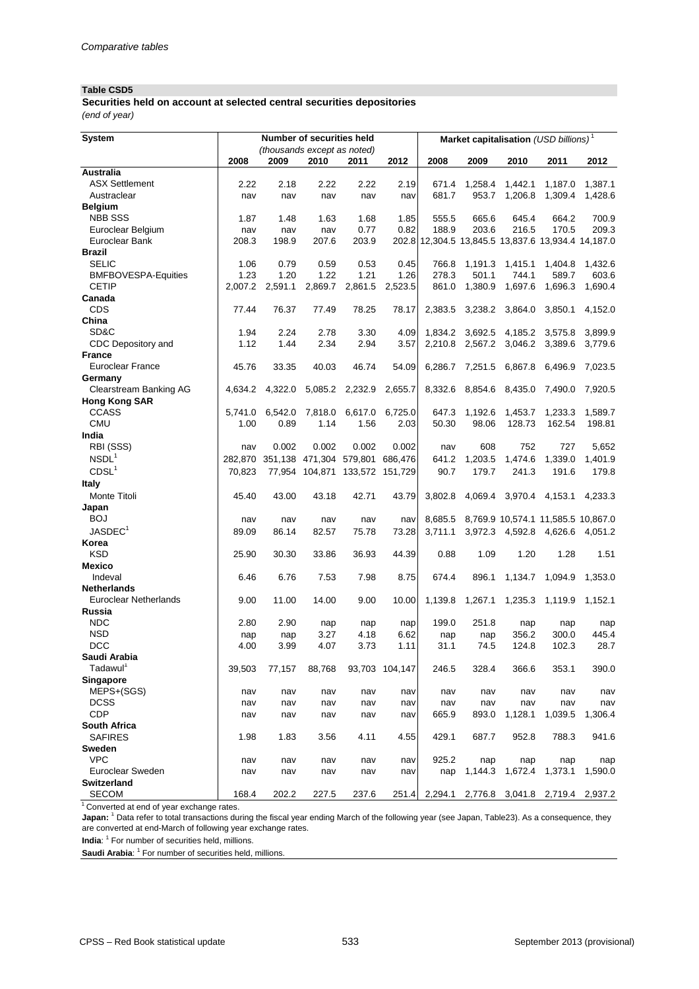#### **Table CSD5**

**Securities held on account at selected central securities depositories** *(end of year)*

| <b>System</b>                        |              |                             | <b>Number of securities held</b> |                                |                 | Market capitalisation (USD billions) <sup>1</sup>  |                         |                |                                    |                |  |
|--------------------------------------|--------------|-----------------------------|----------------------------------|--------------------------------|-----------------|----------------------------------------------------|-------------------------|----------------|------------------------------------|----------------|--|
|                                      |              | (thousands except as noted) |                                  |                                |                 |                                                    |                         |                |                                    |                |  |
|                                      | 2008         | 2009                        | 2010                             | 2011                           | 2012            | 2008                                               | 2009                    | 2010           | 2011                               | 2012           |  |
| <b>Australia</b>                     |              |                             |                                  |                                |                 |                                                    |                         |                |                                    |                |  |
| <b>ASX Settlement</b>                | 2.22         | 2.18                        | 2.22                             | 2.22                           | 2.19            | 671.4                                              | 1,258.4                 | 1,442.1        | 1,187.0                            | 1,387.1        |  |
| Austraclear                          | nav          | nav                         | nav                              | nav                            | nav             | 681.7                                              | 953.7                   | 1,206.8        | 1,309.4                            | 1,428.6        |  |
| <b>Belgium</b><br><b>NBB SSS</b>     |              |                             |                                  |                                |                 |                                                    |                         |                |                                    |                |  |
| Euroclear Belgium                    | 1.87         | 1.48                        | 1.63                             | 1.68<br>0.77                   | 1.85<br>0.82    | 555.5<br>188.9                                     | 665.6<br>203.6          | 645.4<br>216.5 | 664.2<br>170.5                     | 700.9<br>209.3 |  |
| Euroclear Bank                       | nav<br>208.3 | nav<br>198.9                | nav<br>207.6                     | 203.9                          |                 | 202.8 12,304.5 13,845.5 13,837.6 13,934.4 14,187.0 |                         |                |                                    |                |  |
| <b>Brazil</b>                        |              |                             |                                  |                                |                 |                                                    |                         |                |                                    |                |  |
| <b>SELIC</b>                         | 1.06         | 0.79                        | 0.59                             | 0.53                           | 0.45            | 766.8                                              | 1,191.3                 | 1,415.1        | 1,404.8                            | 1,432.6        |  |
| <b>BMFBOVESPA-Equities</b>           | 1.23         | 1.20                        | 1.22                             | 1.21                           | 1.26            | 278.3                                              | 501.1                   | 744.1          | 589.7                              | 603.6          |  |
| <b>CETIP</b>                         | 2,007.2      | 2,591.1                     | 2,869.7                          | 2,861.5                        | 2,523.5         | 861.0                                              | 1,380.9                 | 1,697.6        | 1,696.3                            | 1,690.4        |  |
| Canada                               |              |                             |                                  |                                |                 |                                                    |                         |                |                                    |                |  |
| <b>CDS</b>                           | 77.44        | 76.37                       | 77.49                            | 78.25                          | 78.17           | 2,383.5                                            | 3,238.2                 | 3,864.0        | 3,850.1                            | 4,152.0        |  |
| China                                |              |                             |                                  |                                |                 |                                                    |                         |                |                                    |                |  |
| SD&C                                 | 1.94         | 2.24                        | 2.78                             | 3.30                           | 4.09            | 1,834.2                                            | 3,692.5                 | 4,185.2        | 3,575.8                            | 3,899.9        |  |
| CDC Depository and                   | 1.12         | 1.44                        | 2.34                             | 2.94                           | 3.57            | 2,210.8                                            | 2,567.2                 | 3,046.2        | 3,389.6                            | 3,779.6        |  |
| <b>France</b>                        |              |                             |                                  |                                |                 |                                                    |                         |                |                                    |                |  |
| <b>Euroclear France</b>              | 45.76        | 33.35                       | 40.03                            | 46.74                          | 54.09           | 6,286.7                                            | 7,251.5                 | 6,867.8        | 6,496.9                            | 7,023.5        |  |
| Germany                              |              |                             |                                  |                                |                 |                                                    |                         |                |                                    |                |  |
| <b>Clearstream Banking AG</b>        | 4,634.2      | 4,322.0                     |                                  | 5,085.2 2,232.9 2,655.7        |                 |                                                    | 8,332.6 8,854.6 8,435.0 |                | 7,490.0                            | 7,920.5        |  |
| <b>Hong Kong SAR</b>                 |              |                             |                                  |                                |                 |                                                    |                         |                |                                    |                |  |
| <b>CCASS</b>                         | 5,741.0      | 6,542.0                     | 7,818.0                          |                                | 6,617.0 6,725.0 | 647.3                                              | 1,192.6                 | 1,453.7        | 1,233.3                            | 1,589.7        |  |
| <b>CMU</b>                           | 1.00         | 0.89                        | 1.14                             | 1.56                           | 2.03            | 50.30                                              | 98.06                   | 128.73         | 162.54                             | 198.81         |  |
| India                                |              |                             |                                  |                                |                 |                                                    |                         |                |                                    |                |  |
| RBI (SSS)                            | nav          | 0.002                       | 0.002                            | 0.002                          | 0.002           | nav                                                | 608                     | 752            | 727                                | 5,652          |  |
| NSDL <sup>1</sup>                    | 282,870      | 351,138                     | 471,304                          | 579,801                        | 686,476         | 641.2                                              | 1,203.5                 | 1,474.6        | 1,339.0                            | 1,401.9        |  |
| CDSL <sup>1</sup>                    | 70,823       |                             |                                  | 77,954 104,871 133,572 151,729 |                 | 90.7                                               | 179.7                   | 241.3          | 191.6                              | 179.8          |  |
| <b>Italy</b>                         |              |                             |                                  |                                |                 |                                                    |                         |                |                                    |                |  |
| Monte Titoli                         | 45.40        | 43.00                       | 43.18                            | 42.71                          | 43.79           | 3,802.8                                            | 4,069.4                 | 3,970.4        | 4,153.1                            | 4,233.3        |  |
| Japan                                |              |                             |                                  |                                |                 |                                                    |                         |                |                                    |                |  |
| <b>BOJ</b>                           | nav          | nav                         | nav                              | nav                            | navl            | 8,685.5                                            |                         |                | 8,769.9 10,574.1 11,585.5 10,867.0 |                |  |
| JASDEC <sup>1</sup>                  | 89.09        | 86.14                       | 82.57                            | 75.78                          | 73.28           | 3,711.1                                            |                         |                | 3,972.3 4,592.8 4,626.6 4,051.2    |                |  |
| Korea                                |              |                             |                                  |                                |                 |                                                    |                         |                |                                    |                |  |
| <b>KSD</b>                           | 25.90        | 30.30                       | 33.86                            | 36.93                          | 44.39           | 0.88                                               | 1.09                    | 1.20           | 1.28                               | 1.51           |  |
| <b>Mexico</b>                        |              |                             |                                  |                                |                 |                                                    |                         |                |                                    |                |  |
| Indeval                              | 6.46         | 6.76                        | 7.53                             | 7.98                           | 8.75            | 674.4                                              | 896.1                   | 1,134.7        | 1,094.9                            | 1,353.0        |  |
| <b>Netherlands</b>                   |              |                             |                                  |                                |                 |                                                    |                         |                |                                    |                |  |
| <b>Euroclear Netherlands</b>         | 9.00         | 11.00                       | 14.00                            | 9.00                           | 10.00           | 1,139.8                                            | 1,267.1                 | 1,235.3        | 1,119.9                            | 1,152.1        |  |
| <b>Russia</b>                        |              |                             |                                  |                                |                 |                                                    |                         |                |                                    |                |  |
| <b>NDC</b>                           | 2.80         | 2.90                        | nap                              | nap                            | nap             | 199.0                                              | 251.8                   | nap            | nap                                | nap            |  |
| <b>NSD</b><br><b>DCC</b>             | nap          | nap                         | 3.27                             | 4.18                           | 6.62            | nap                                                | nap                     | 356.2          | 300.0                              | 445.4          |  |
|                                      | 4.00         | 3.99                        | 4.07                             | 3.73                           | 1.11            | 31.1                                               | 74.5                    | 124.8          | 102.3                              | 28.7           |  |
| Saudi Arabia<br>Tadawul <sup>1</sup> |              |                             | 88,768                           |                                |                 | 246.5                                              | 328.4                   | 366.6          |                                    | 390.0          |  |
| <b>Singapore</b>                     | 39,503       | 77,157                      |                                  |                                | 93,703 104,147  |                                                    |                         |                | 353.1                              |                |  |
| MEPS+(SGS)                           | nav          | nav                         | nav                              | nav                            | nav             | nav                                                | nav                     | nav            | nav                                | nav            |  |
| <b>DCSS</b>                          | nav          | nav                         | nav                              | nav                            | nav             | nav                                                | nav                     | nav            | nav                                | nav            |  |
| <b>CDP</b>                           | nav          | nav                         | nav                              | nav                            | nav             | 665.9                                              | 893.0                   | 1,128.1        | 1,039.5                            | 1,306.4        |  |
| <b>South Africa</b>                  |              |                             |                                  |                                |                 |                                                    |                         |                |                                    |                |  |
| <b>SAFIRES</b>                       | 1.98         | 1.83                        | 3.56                             | 4.11                           | 4.55            | 429.1                                              | 687.7                   | 952.8          | 788.3                              | 941.6          |  |
| <b>Sweden</b>                        |              |                             |                                  |                                |                 |                                                    |                         |                |                                    |                |  |
| <b>VPC</b>                           | nav          | nav                         | nav                              | nav                            | nav             | 925.2                                              | nap                     | nap            | nap                                | nap            |  |
| Euroclear Sweden                     | nav          | nav                         | nav                              | nav                            | nav             | nap                                                | 1,144.3                 | 1,672.4        | 1,373.1                            | 1,590.0        |  |
| <b>Switzerland</b>                   |              |                             |                                  |                                |                 |                                                    |                         |                |                                    |                |  |
| <b>SECOM</b>                         | 168.4        | 202.2                       | 227.5                            | 237.6                          | 251.4           | 2,294.1                                            | 2,776.8                 | 3,041.8        | 2,719.4                            | 2,937.2        |  |

 $\frac{1}{1}$  Converted at end of year exchange rates.

**Japan:** <sup>1</sup> Data refer to total transactions during the fiscal year ending March of the following year (see Japan, Table23). As a consequence, they are converted at end-March of following year exchange rates.

India: <sup>1</sup> For number of securities held, millions.

Saudi Arabia: <sup>1</sup> For number of securities held, millions.